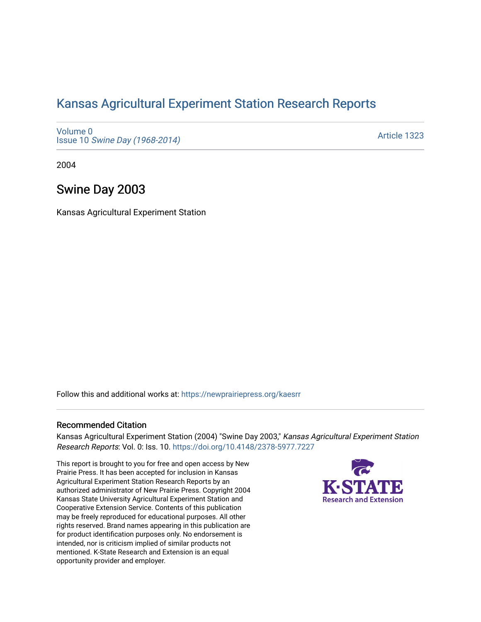# [Kansas Agricultural Experiment Station Research Reports](https://newprairiepress.org/kaesrr)

[Volume 0](https://newprairiepress.org/kaesrr/vol0) Issue 10 [Swine Day \(1968-2014\)](https://newprairiepress.org/kaesrr/vol0/iss10)

[Article 1323](https://newprairiepress.org/kaesrr/vol0/iss10/1323) 

2004

# Swine Day 2003

Kansas Agricultural Experiment Station

Follow this and additional works at: [https://newprairiepress.org/kaesrr](https://newprairiepress.org/kaesrr?utm_source=newprairiepress.org%2Fkaesrr%2Fvol0%2Fiss10%2F1323&utm_medium=PDF&utm_campaign=PDFCoverPages) 

#### Recommended Citation

Kansas Agricultural Experiment Station (2004) "Swine Day 2003," Kansas Agricultural Experiment Station Research Reports: Vol. 0: Iss. 10. <https://doi.org/10.4148/2378-5977.7227>

This report is brought to you for free and open access by New Prairie Press. It has been accepted for inclusion in Kansas Agricultural Experiment Station Research Reports by an authorized administrator of New Prairie Press. Copyright 2004 Kansas State University Agricultural Experiment Station and Cooperative Extension Service. Contents of this publication may be freely reproduced for educational purposes. All other rights reserved. Brand names appearing in this publication are for product identification purposes only. No endorsement is intended, nor is criticism implied of similar products not mentioned. K-State Research and Extension is an equal opportunity provider and employer.

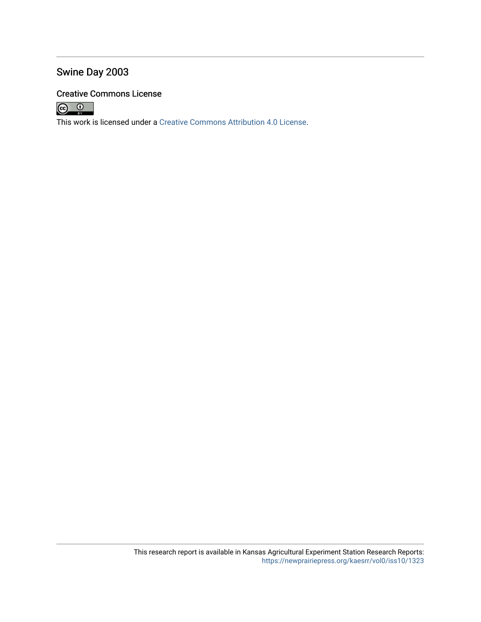# Swine Day 2003

# Creative Commons License



This work is licensed under a [Creative Commons Attribution 4.0 License](https://creativecommons.org/licenses/by/4.0/).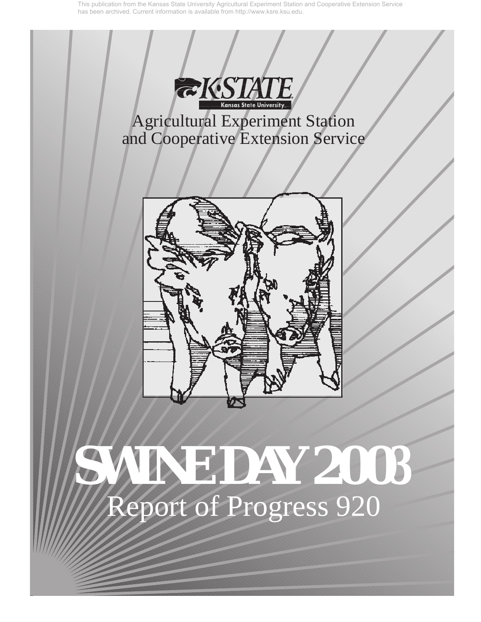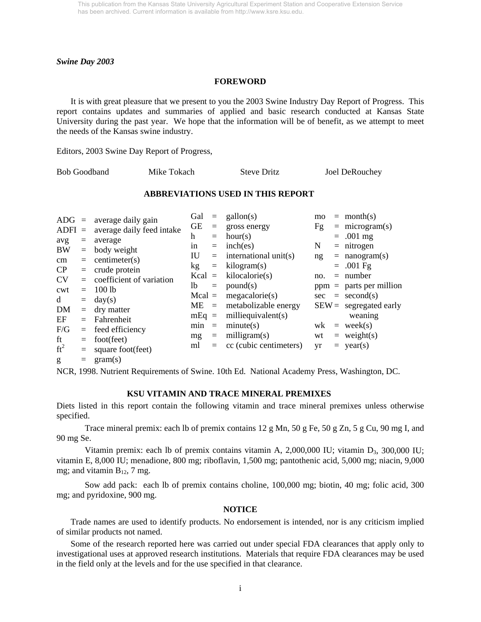#### *Swine Day 2003*

#### **FOREWORD**

It is with great pleasure that we present to you the 2003 Swine Industry Day Report of Progress. This report contains updates and summaries of applied and basic research conducted at Kansas State University during the past year. We hope that the information will be of benefit, as we attempt to meet the needs of the Kansas swine industry.

Editors, 2003 Swine Day Report of Progress,

| <b>Bob Goodband</b> | Mike Tokach | <b>Steve Dritz</b> | Joel DeRouchey |
|---------------------|-------------|--------------------|----------------|
|                     |             |                    |                |

#### **ABBREVIATIONS USED IN THIS REPORT**

| $ADG =$          |            | average daily gain                        | Gal       | $\quad \  \  =$ | $\text{gallon}(s)$     | mo  |     | $=$ month(s)              |
|------------------|------------|-------------------------------------------|-----------|-----------------|------------------------|-----|-----|---------------------------|
| $ADFI =$         |            | average daily feed intake                 | <b>GE</b> | $\equiv$        | gross energy           | Fg  |     | $=$ microgram(s)          |
|                  | $=$        | average                                   | h         | $=$             | hour(s)                |     |     | $= .001$ mg               |
| avg<br><b>BW</b> | $=$        | body weight                               | in        | $=$             | inch(es)               | N   |     | $=$ nitrogen              |
|                  | $=$        | centimeter(s)                             | IU        | $=$             | international unit(s)  | ng  |     | $=$ nanogram(s)           |
| $\rm cm$<br>CP   |            |                                           | kg        | $\equiv$        | kilogram(s)            |     |     | $= .001 \text{ Fg}$       |
| <b>CV</b>        | $=$<br>$=$ | crude protein<br>coefficient of variation | $Kcal =$  |                 | kilocalorie(s)         | no. |     | $=$ number                |
|                  |            |                                           | lb.       | $\equiv$        | pound(s)               |     |     | $ppm =$ parts per million |
| cwt              | $=$        | $100$ lb                                  | $Mcal =$  |                 | megacalorie(s)         |     |     | $sec = second(s)$         |
| d                | $=$        | day(s)                                    | $ME =$    |                 | metabolizable energy   |     |     | $SEW =$ segregated early  |
| DM               | $=$        | dry matter                                | $mEq =$   |                 | milliequivalent $(s)$  |     |     | weaning                   |
| EF               | $=$        | Fahrenheit                                | min       | $\equiv$        | minute(s)              | wk  | $=$ | week(s)                   |
| F/G              | $=$        | feed efficiency                           |           |                 |                        |     |     |                           |
| ft               | $=$        | foot(feet)                                | mg        | $\equiv$        | milligram(s)           | wt  |     | $=$ weight(s)             |
| $ft^2$           | $=$        | square foot(feet)                         | ml        | $=$             | cc (cubic centimeters) | yr  | $=$ | year(s)                   |
| g                | $=$        | gram(s)                                   |           |                 |                        |     |     |                           |

NCR, 1998. Nutrient Requirements of Swine. 10th Ed. National Academy Press, Washington, DC.

#### **KSU VITAMIN AND TRACE MINERAL PREMIXES**

Diets listed in this report contain the following vitamin and trace mineral premixes unless otherwise specified.

Trace mineral premix: each lb of premix contains  $12 \text{ g}$  Mn,  $50 \text{ g}$  Fe,  $50 \text{ g}$  Zn,  $5 \text{ g}$  Cu,  $90 \text{ mg}$  I, and 90 mg Se.

Vitamin premix: each lb of premix contains vitamin A,  $2,000,000$  IU; vitamin D<sub>3</sub>,  $300,000$  IU; vitamin E, 8,000 IU; menadione, 800 mg; riboflavin, 1,500 mg; pantothenic acid, 5,000 mg; niacin, 9,000 mg; and vitamin  $B_{12}$ , 7 mg.

Sow add pack: each lb of premix contains choline, 100,000 mg; biotin, 40 mg; folic acid, 300 mg; and pyridoxine, 900 mg.

#### **NOTICE**

Trade names are used to identify products. No endorsement is intended, nor is any criticism implied of similar products not named.

Some of the research reported here was carried out under special FDA clearances that apply only to investigational uses at approved research institutions. Materials that require FDA clearances may be used in the field only at the levels and for the use specified in that clearance.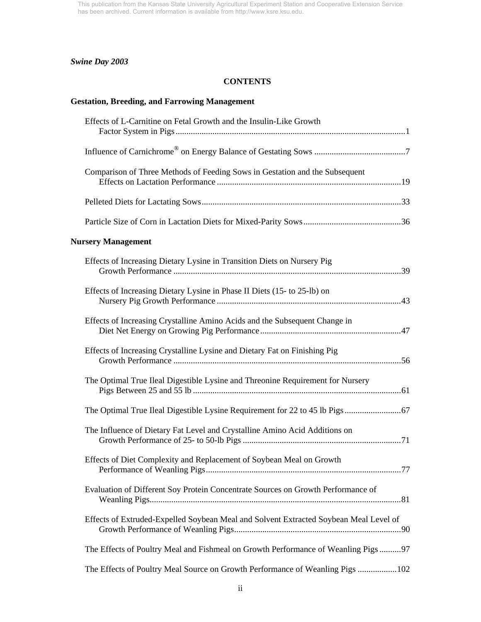# *Swine Day 2003*

## **CONTENTS**

# **Gestation, Breeding, and Farrowing Management**

| Effects of L-Carnitine on Fetal Growth and the Insulin-Like Growth                    |  |
|---------------------------------------------------------------------------------------|--|
|                                                                                       |  |
| Comparison of Three Methods of Feeding Sows in Gestation and the Subsequent           |  |
|                                                                                       |  |
|                                                                                       |  |
| <b>Nursery Management</b>                                                             |  |
| Effects of Increasing Dietary Lysine in Transition Diets on Nursery Pig               |  |
| Effects of Increasing Dietary Lysine in Phase II Diets (15- to 25-lb) on              |  |
| Effects of Increasing Crystalline Amino Acids and the Subsequent Change in            |  |
| Effects of Increasing Crystalline Lysine and Dietary Fat on Finishing Pig             |  |
| The Optimal True Ileal Digestible Lysine and Threonine Requirement for Nursery        |  |
|                                                                                       |  |
| The Influence of Dietary Fat Level and Crystalline Amino Acid Additions on            |  |
| Effects of Diet Complexity and Replacement of Soybean Meal on Growth                  |  |
| Evaluation of Different Soy Protein Concentrate Sources on Growth Performance of      |  |
| Effects of Extruded-Expelled Soybean Meal and Solvent Extracted Soybean Meal Level of |  |
| The Effects of Poultry Meal and Fishmeal on Growth Performance of Weanling Pigs 97    |  |
| The Effects of Poultry Meal Source on Growth Performance of Weanling Pigs  102        |  |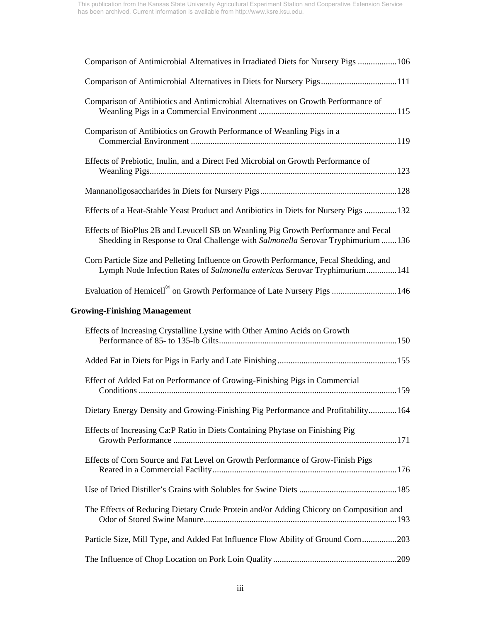| Comparison of Antimicrobial Alternatives in Irradiated Diets for Nursery Pigs 106                                                                                     |
|-----------------------------------------------------------------------------------------------------------------------------------------------------------------------|
| Comparison of Antimicrobial Alternatives in Diets for Nursery Pigs111                                                                                                 |
| Comparison of Antibiotics and Antimicrobial Alternatives on Growth Performance of                                                                                     |
| Comparison of Antibiotics on Growth Performance of Weanling Pigs in a                                                                                                 |
| Effects of Prebiotic, Inulin, and a Direct Fed Microbial on Growth Performance of                                                                                     |
|                                                                                                                                                                       |
| Effects of a Heat-Stable Yeast Product and Antibiotics in Diets for Nursery Pigs  132                                                                                 |
| Effects of BioPlus 2B and Levucell SB on Weanling Pig Growth Performance and Fecal<br>Shedding in Response to Oral Challenge with Salmonella Serovar Tryphimurium 136 |
| Corn Particle Size and Pelleting Influence on Growth Performance, Fecal Shedding, and<br>Lymph Node Infection Rates of Salmonella entericas Serovar Tryphimurium141   |
| Evaluation of Hemicell <sup>®</sup> on Growth Performance of Late Nursery Pigs 146                                                                                    |
| <b>Growing-Finishing Management</b>                                                                                                                                   |
| Effects of Increasing Crystalline Lysine with Other Amino Acids on Growth                                                                                             |
|                                                                                                                                                                       |
| Effect of Added Fat on Performance of Growing-Finishing Pigs in Commercial                                                                                            |
| Dietary Energy Density and Growing-Finishing Pig Performance and Profitability164                                                                                     |
| Effects of Increasing Ca:P Ratio in Diets Containing Phytase on Finishing Pig                                                                                         |
| Effects of Corn Source and Fat Level on Growth Performance of Grow-Finish Pigs                                                                                        |
|                                                                                                                                                                       |
| The Effects of Reducing Dietary Crude Protein and/or Adding Chicory on Composition and                                                                                |
| Particle Size, Mill Type, and Added Fat Influence Flow Ability of Ground Corn203                                                                                      |
|                                                                                                                                                                       |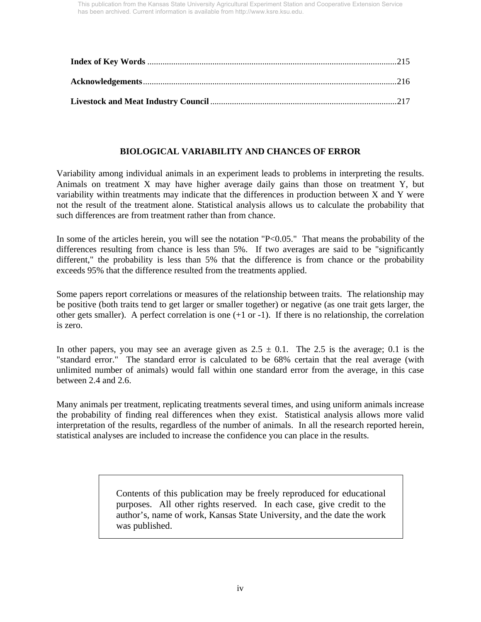## **BIOLOGICAL VARIABILITY AND CHANCES OF ERROR**

Variability among individual animals in an experiment leads to problems in interpreting the results. Animals on treatment X may have higher average daily gains than those on treatment Y, but variability within treatments may indicate that the differences in production between X and Y were not the result of the treatment alone. Statistical analysis allows us to calculate the probability that such differences are from treatment rather than from chance.

In some of the articles herein, you will see the notation "P<0.05." That means the probability of the differences resulting from chance is less than 5%. If two averages are said to be "significantly different," the probability is less than 5% that the difference is from chance or the probability exceeds 95% that the difference resulted from the treatments applied.

Some papers report correlations or measures of the relationship between traits. The relationship may be positive (both traits tend to get larger or smaller together) or negative (as one trait gets larger, the other gets smaller). A perfect correlation is one  $(+1 \text{ or } -1)$ . If there is no relationship, the correlation is zero.

In other papers, you may see an average given as  $2.5 \pm 0.1$ . The 2.5 is the average; 0.1 is the "standard error." The standard error is calculated to be 68% certain that the real average (with unlimited number of animals) would fall within one standard error from the average, in this case between 2.4 and 2.6.

Many animals per treatment, replicating treatments several times, and using uniform animals increase the probability of finding real differences when they exist. Statistical analysis allows more valid interpretation of the results, regardless of the number of animals. In all the research reported herein, statistical analyses are included to increase the confidence you can place in the results.

> Contents of this publication may be freely reproduced for educational purposes. All other rights reserved. In each case, give credit to the author's, name of work, Kansas State University, and the date the work was published.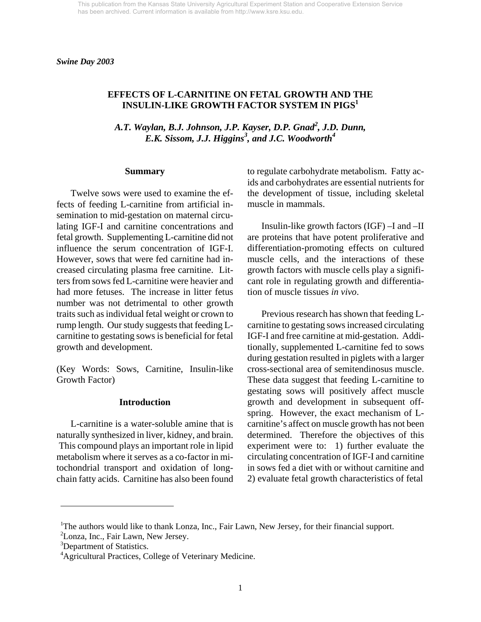### **EFFECTS OF L-CARNITINE ON FETAL GROWTH AND THE INSULIN-LIKE GROWTH FACTOR SYSTEM IN PIGS1**

A.T. Waylan, B.J. Johnson, J.P. Kayser, D.P. Gnad<sup>2</sup>, J.D. Dunn, *E.K. Sissom, J.J. Higgins<sup>3</sup> , and J.C. Woodworth4* 

#### **Summary**

 Twelve sows were used to examine the effects of feeding L-carnitine from artificial insemination to mid-gestation on maternal circulating IGF-I and carnitine concentrations and fetal growth. Supplementing L-carnitine did not influence the serum concentration of IGF-I. However, sows that were fed carnitine had increased circulating plasma free carnitine. Litters from sows fed L-carnitine were heavier and had more fetuses. The increase in litter fetus number was not detrimental to other growth traits such as individual fetal weight or crown to rump length. Our study suggests that feeding Lcarnitine to gestating sows is beneficial for fetal growth and development.

(Key Words: Sows, Carnitine, Insulin-like Growth Factor)

#### **Introduction**

 L-carnitine is a water-soluble amine that is naturally synthesized in liver, kidney, and brain. This compound plays an important role in lipid metabolism where it serves as a co-factor in mitochondrial transport and oxidation of longchain fatty acids. Carnitine has also been found to regulate carbohydrate metabolism. Fatty acids and carbohydrates are essential nutrients for the development of tissue, including skeletal muscle in mammals.

 Insulin-like growth factors (IGF) –I and –II are proteins that have potent proliferative and differentiation-promoting effects on cultured muscle cells, and the interactions of these growth factors with muscle cells play a significant role in regulating growth and differentiation of muscle tissues *in vivo*.

 Previous research has shown that feeding Lcarnitine to gestating sows increased circulating IGF-I and free carnitine at mid-gestation. Additionally, supplemented L-carnitine fed to sows during gestation resulted in piglets with a larger cross-sectional area of semitendinosus muscle. These data suggest that feeding L-carnitine to gestating sows will positively affect muscle growth and development in subsequent offspring. However, the exact mechanism of Lcarnitine's affect on muscle growth has not been determined. Therefore the objectives of this experiment were to: 1) further evaluate the circulating concentration of IGF-I and carnitine in sows fed a diet with or without carnitine and 2) evaluate fetal growth characteristics of fetal

 $\overline{a}$ 

<sup>&</sup>lt;sup>1</sup>The authors would like to thank Lonza, Inc., Fair Lawn, New Jersey, for their financial support.

<sup>&</sup>lt;sup>2</sup>Lonza, Inc., Fair Lawn, New Jersey.

<sup>&</sup>lt;sup>3</sup>Department of Statistics.

<sup>&</sup>lt;sup>4</sup> Agricultural Practices, College of Veterinary Medicine.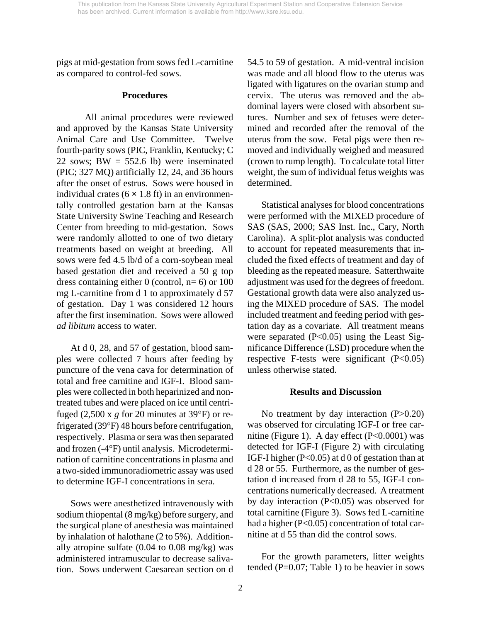pigs at mid-gestation from sows fed L-carnitine as compared to control-fed sows.

#### **Procedures**

 All animal procedures were reviewed and approved by the Kansas State University Animal Care and Use Committee. Twelve fourth-parity sows (PIC, Franklin, Kentucky; C 22 sows;  $BW = 552.6$  lb) were inseminated (PIC; 327 MQ) artificially 12, 24, and 36 hours after the onset of estrus. Sows were housed in individual crates  $(6 \times 1.8 \text{ ft})$  in an environmentally controlled gestation barn at the Kansas State University Swine Teaching and Research Center from breeding to mid-gestation. Sows were randomly allotted to one of two dietary treatments based on weight at breeding. All sows were fed 4.5 lb/d of a corn-soybean meal based gestation diet and received a 50 g top dress containing either 0 (control,  $n=6$ ) or 100 mg L-carnitine from d 1 to approximately d 57 of gestation. Day 1 was considered 12 hours after the first insemination. Sows were allowed *ad libitum* access to water.

 At d 0, 28, and 57 of gestation, blood samples were collected 7 hours after feeding by puncture of the vena cava for determination of total and free carnitine and IGF-I. Blood samples were collected in both heparinized and nontreated tubes and were placed on ice until centrifuged (2,500 x  $g$  for 20 minutes at 39 $\textdegree$ F) or refrigerated (39°F) 48 hours before centrifugation, respectively. Plasma or sera was then separated and frozen (-4°F) until analysis. Microdetermination of carnitine concentrations in plasma and a two-sided immunoradiometric assay was used to determine IGF-I concentrations in sera.

 Sows were anesthetized intravenously with sodium thiopental (8 mg/kg) before surgery, and the surgical plane of anesthesia was maintained by inhalation of halothane (2 to 5%). Additionally atropine sulfate (0.04 to 0.08 mg/kg) was administered intramuscular to decrease salivation. Sows underwent Caesarean section on d 54.5 to 59 of gestation. A mid-ventral incision was made and all blood flow to the uterus was ligated with ligatures on the ovarian stump and cervix. The uterus was removed and the abdominal layers were closed with absorbent sutures. Number and sex of fetuses were determined and recorded after the removal of the uterus from the sow. Fetal pigs were then removed and individually weighed and measured (crown to rump length). To calculate total litter weight, the sum of individual fetus weights was determined.

 Statistical analyses for blood concentrations were performed with the MIXED procedure of SAS (SAS, 2000; SAS Inst. Inc., Cary, North Carolina). A split-plot analysis was conducted to account for repeated measurements that included the fixed effects of treatment and day of bleeding as the repeated measure. Satterthwaite adjustment was used for the degrees of freedom. Gestational growth data were also analyzed using the MIXED procedure of SAS. The model included treatment and feeding period with gestation day as a covariate. All treatment means were separated  $(P<0.05)$  using the Least Significance Difference (LSD) procedure when the respective F-tests were significant (P<0.05) unless otherwise stated.

#### **Results and Discussion**

No treatment by day interaction (P>0.20) was observed for circulating IGF-I or free carnitine (Figure 1). A day effect  $(P<0.0001)$  was detected for IGF-I (Figure 2) with circulating IGF-I higher (P<0.05) at d 0 of gestation than at d 28 or 55. Furthermore, as the number of gestation d increased from d 28 to 55, IGF-I concentrations numerically decreased. A treatment by day interaction (P<0.05) was observed for total carnitine (Figure 3). Sows fed L-carnitine had a higher (P<0.05) concentration of total carnitine at d 55 than did the control sows.

 For the growth parameters, litter weights tended ( $P=0.07$ ; Table 1) to be heavier in sows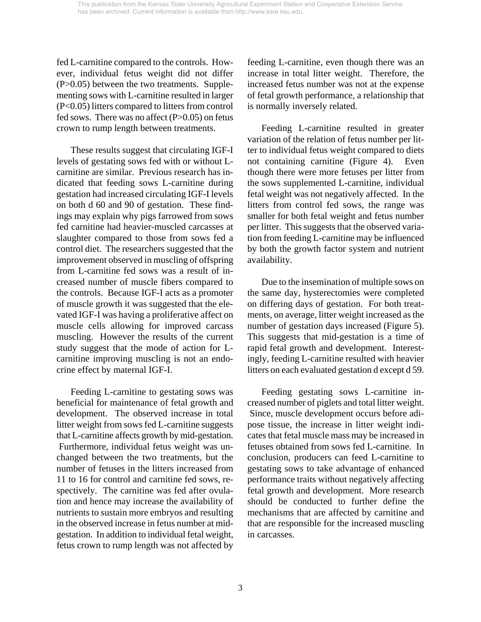fed L-carnitine compared to the controls. However, individual fetus weight did not differ (P>0.05) between the two treatments. Supplementing sows with L-carnitine resulted in larger (P<0.05) litters compared to litters from control fed sows. There was no affect  $(P>0.05)$  on fetus crown to rump length between treatments.

 These results suggest that circulating IGF-I levels of gestating sows fed with or without Lcarnitine are similar. Previous research has indicated that feeding sows L-carnitine during gestation had increased circulating IGF-I levels on both d 60 and 90 of gestation. These findings may explain why pigs farrowed from sows fed carnitine had heavier-muscled carcasses at slaughter compared to those from sows fed a control diet. The researchers suggested that the improvement observed in muscling of offspring from L-carnitine fed sows was a result of increased number of muscle fibers compared to the controls. Because IGF-I acts as a promoter of muscle growth it was suggested that the elevated IGF-I was having a proliferative affect on muscle cells allowing for improved carcass muscling. However the results of the current study suggest that the mode of action for Lcarnitine improving muscling is not an endocrine effect by maternal IGF-I.

 Feeding L-carnitine to gestating sows was beneficial for maintenance of fetal growth and development. The observed increase in total litter weight from sows fed L-carnitine suggests that L-carnitine affects growth by mid-gestation. Furthermore, individual fetus weight was unchanged between the two treatments, but the number of fetuses in the litters increased from 11 to 16 for control and carnitine fed sows, respectively. The carnitine was fed after ovulation and hence may increase the availability of nutrients to sustain more embryos and resulting in the observed increase in fetus number at midgestation. In addition to individual fetal weight, fetus crown to rump length was not affected by feeding L-carnitine, even though there was an increase in total litter weight. Therefore, the increased fetus number was not at the expense of fetal growth performance, a relationship that is normally inversely related.

 Feeding L-carnitine resulted in greater variation of the relation of fetus number per litter to individual fetus weight compared to diets not containing carnitine (Figure 4). Even though there were more fetuses per litter from the sows supplemented L-carnitine, individual fetal weight was not negatively affected. In the litters from control fed sows, the range was smaller for both fetal weight and fetus number per litter. This suggests that the observed variation from feeding L-carnitine may be influenced by both the growth factor system and nutrient availability.

 Due to the insemination of multiple sows on the same day, hysterectomies were completed on differing days of gestation. For both treatments, on average, litter weight increased as the number of gestation days increased (Figure 5). This suggests that mid-gestation is a time of rapid fetal growth and development. Interestingly, feeding L-carnitine resulted with heavier litters on each evaluated gestation d except d 59.

 Feeding gestating sows L-carnitine increased number of piglets and total litter weight. Since, muscle development occurs before adipose tissue, the increase in litter weight indicates that fetal muscle mass may be increased in fetuses obtained from sows fed L-carnitine. In conclusion, producers can feed L-carnitine to gestating sows to take advantage of enhanced performance traits without negatively affecting fetal growth and development. More research should be conducted to further define the mechanisms that are affected by carnitine and that are responsible for the increased muscling in carcasses.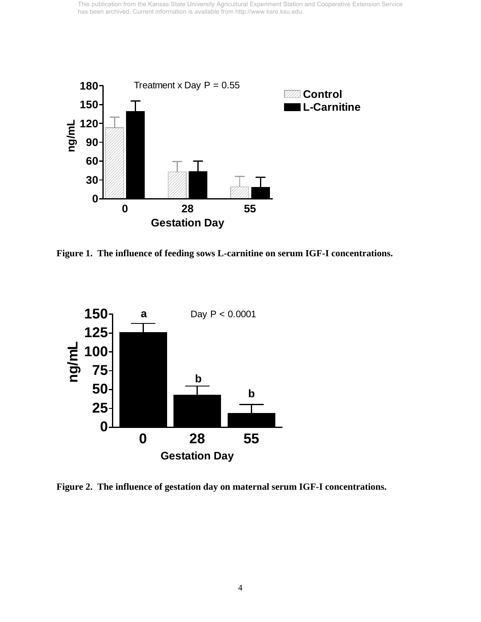

**Figure 1. The influence of feeding sows L-carnitine on serum IGF-I concentrations.** 



**Figure 2. The influence of gestation day on maternal serum IGF-I concentrations.**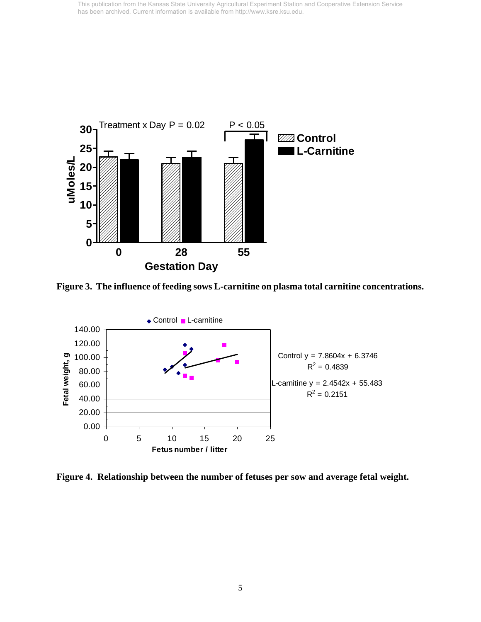

**Figure 3. The influence of feeding sows L-carnitine on plasma total carnitine concentrations.** 



**Figure 4. Relationship between the number of fetuses per sow and average fetal weight.**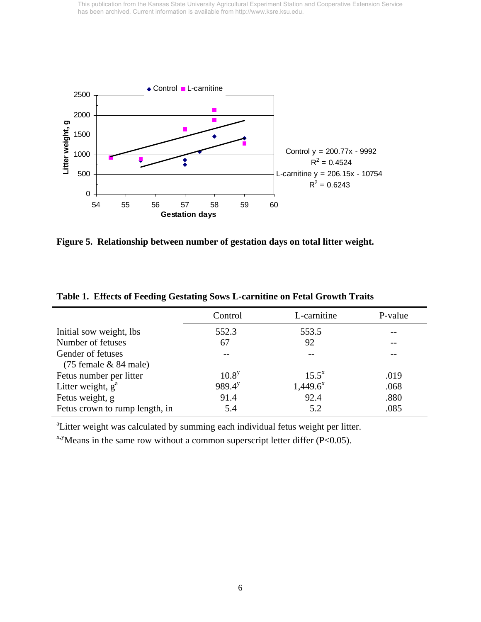

**Figure 5. Relationship between number of gestation days on total litter weight.** 

|                                | Control     | L-carnitine | P-value |
|--------------------------------|-------------|-------------|---------|
| Initial sow weight, lbs        | 552.3       | 553.5       |         |
| Number of fetuses              | 67          | 92          |         |
| Gender of fetuses              |             |             |         |
| $(75$ female $& 84$ male)      |             |             |         |
| Fetus number per litter        | $10.8^y$    | $15.5^x$    | .019    |
| Litter weight, $g^a$           | $989.4^{y}$ | $1,449.6^x$ | .068    |
| Fetus weight, g                | 91.4        | 92.4        | .880    |
| Fetus crown to rump length, in | 5.4         | 5.2         | .085    |

**Table 1. Effects of Feeding Gestating Sows L-carnitine on Fetal Growth Traits** 

<sup>a</sup>Litter weight was calculated by summing each individual fetus weight per litter.

 $x, y$  Means in the same row without a common superscript letter differ (P<0.05).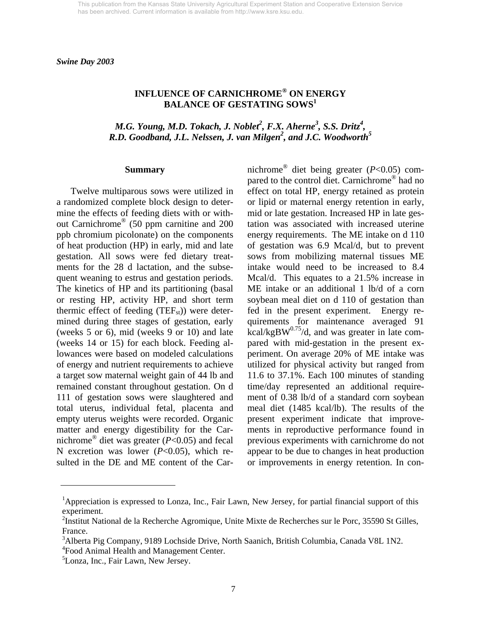*Swine Day 2003* 

# **INFLUENCE OF CARNICHROME® ON ENERGY BALANCE OF GESTATING SOWS<sup>1</sup>**

*M.G. Young, M.D. Tokach, J. Noblet<sup>2</sup>, F.X. Aherne<sup>3</sup>, S.S. Dritz<sup>4</sup>, R.D. Goodband, J.L. Nelssen, J. van Milgen<sup>2</sup> , and J.C. Woodworth5* 

#### **Summary**

Twelve multiparous sows were utilized in a randomized complete block design to determine the effects of feeding diets with or without Carnichrome® (50 ppm carnitine and 200 ppb chromium picolonate) on the components of heat production (HP) in early, mid and late gestation. All sows were fed dietary treatments for the 28 d lactation, and the subsequent weaning to estrus and gestation periods. The kinetics of HP and its partitioning (basal or resting HP, activity HP, and short term thermic effect of feeding  $(TEF_{st})$ ) were determined during three stages of gestation, early (weeks 5 or 6), mid (weeks 9 or 10) and late (weeks 14 or 15) for each block. Feeding allowances were based on modeled calculations of energy and nutrient requirements to achieve a target sow maternal weight gain of 44 lb and remained constant throughout gestation. On d 111 of gestation sows were slaughtered and total uterus, individual fetal, placenta and empty uterus weights were recorded. Organic matter and energy digestibility for the Carnichrome® diet was greater (*P*<0.05) and fecal N excretion was lower (*P*<0.05), which resulted in the DE and ME content of the Carnichrome® diet being greater (*P*<0.05) compared to the control diet. Carnichrome® had no effect on total HP, energy retained as protein or lipid or maternal energy retention in early, mid or late gestation. Increased HP in late gestation was associated with increased uterine energy requirements. The ME intake on d 110 of gestation was 6.9 Mcal/d, but to prevent sows from mobilizing maternal tissues ME intake would need to be increased to 8.4 Mcal/d. This equates to a 21.5% increase in ME intake or an additional 1 lb/d of a corn soybean meal diet on d 110 of gestation than fed in the present experiment. Energy requirements for maintenance averaged 91 kcal/kgBW $^{0.75}$ /d, and was greater in late compared with mid-gestation in the present experiment. On average 20% of ME intake was utilized for physical activity but ranged from 11.6 to 37.1%. Each 100 minutes of standing time/day represented an additional requirement of 0.38 lb/d of a standard corn soybean meal diet (1485 kcal/lb). The results of the present experiment indicate that improvements in reproductive performance found in previous experiments with carnichrome do not appear to be due to changes in heat production or improvements in energy retention. In con-

l

<sup>&</sup>lt;sup>1</sup>Appreciation is expressed to Lonza, Inc., Fair Lawn, New Jersey, for partial financial support of this experiment.

<sup>&</sup>lt;sup>2</sup>Institut National de la Recherche Agromique, Unite Mixte de Recherches sur le Porc, 35590 St Gilles, France.

<sup>&</sup>lt;sup>3</sup>Alberta Pig Company, 9189 Lochside Drive, North Saanich, British Columbia, Canada V8L 1N2. 4 Food Animal Health and Management Center.

<sup>&</sup>lt;sup>5</sup>Lonza, Inc., Fair Lawn, New Jersey.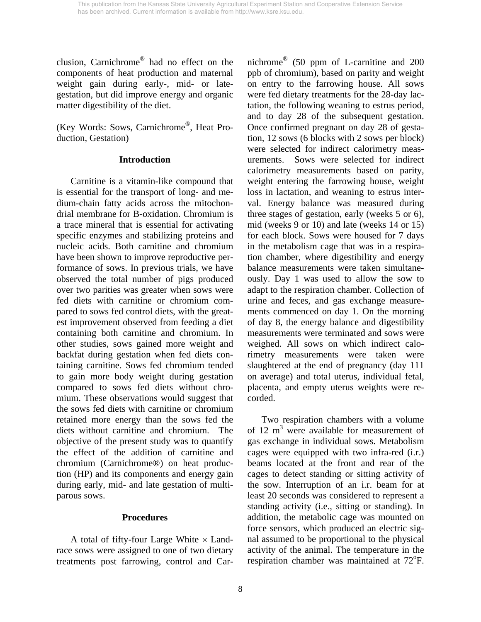clusion, Carnichrome® had no effect on the components of heat production and maternal weight gain during early-, mid- or lategestation, but did improve energy and organic matter digestibility of the diet.

(Key Words: Sows, Carnichrome®, Heat Production, Gestation)

## **Introduction**

 Carnitine is a vitamin-like compound that is essential for the transport of long- and medium-chain fatty acids across the mitochondrial membrane for B-oxidation. Chromium is a trace mineral that is essential for activating specific enzymes and stabilizing proteins and nucleic acids. Both carnitine and chromium have been shown to improve reproductive performance of sows. In previous trials, we have observed the total number of pigs produced over two parities was greater when sows were fed diets with carnitine or chromium compared to sows fed control diets, with the greatest improvement observed from feeding a diet containing both carnitine and chromium. In other studies, sows gained more weight and backfat during gestation when fed diets containing carnitine. Sows fed chromium tended to gain more body weight during gestation compared to sows fed diets without chromium. These observations would suggest that the sows fed diets with carnitine or chromium retained more energy than the sows fed the diets without carnitine and chromium. The objective of the present study was to quantify the effect of the addition of carnitine and chromium (Carnichrome®) on heat production (HP) and its components and energy gain during early, mid- and late gestation of multiparous sows.

## **Procedures**

A total of fifty-four Large White  $\times$  Landrace sows were assigned to one of two dietary treatments post farrowing, control and Carnichrome® (50 ppm of L-carnitine and 200 ppb of chromium), based on parity and weight on entry to the farrowing house. All sows were fed dietary treatments for the 28-day lactation, the following weaning to estrus period, and to day 28 of the subsequent gestation. Once confirmed pregnant on day 28 of gestation, 12 sows (6 blocks with 2 sows per block) were selected for indirect calorimetry measurements. Sows were selected for indirect calorimetry measurements based on parity, weight entering the farrowing house, weight loss in lactation, and weaning to estrus interval. Energy balance was measured during three stages of gestation, early (weeks 5 or 6), mid (weeks 9 or 10) and late (weeks 14 or 15) for each block. Sows were housed for 7 days in the metabolism cage that was in a respiration chamber, where digestibility and energy balance measurements were taken simultaneously. Day 1 was used to allow the sow to adapt to the respiration chamber. Collection of urine and feces, and gas exchange measurements commenced on day 1. On the morning of day 8, the energy balance and digestibility measurements were terminated and sows were weighed. All sows on which indirect calorimetry measurements were taken were slaughtered at the end of pregnancy (day 111 on average) and total uterus, individual fetal, placenta, and empty uterus weights were recorded.

 Two respiration chambers with a volume of 12  $m<sup>3</sup>$  were available for measurement of gas exchange in individual sows. Metabolism cages were equipped with two infra-red (i.r.) beams located at the front and rear of the cages to detect standing or sitting activity of the sow. Interruption of an i.r. beam for at least 20 seconds was considered to represent a standing activity (i.e., sitting or standing). In addition, the metabolic cage was mounted on force sensors, which produced an electric signal assumed to be proportional to the physical activity of the animal. The temperature in the respiration chamber was maintained at 72°F.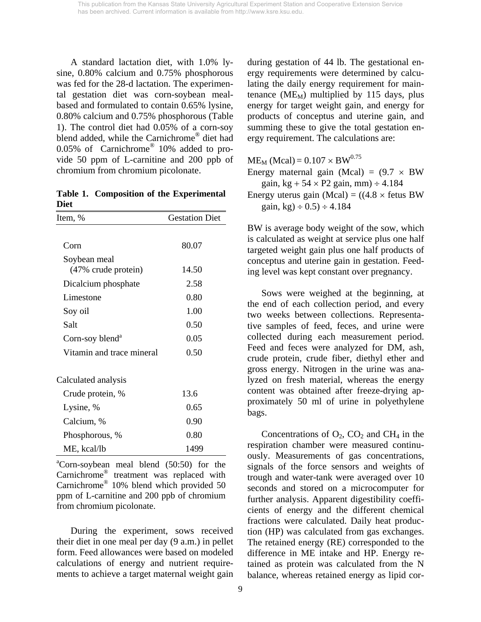A standard lactation diet, with 1.0% lysine, 0.80% calcium and 0.75% phosphorous was fed for the 28-d lactation. The experimental gestation diet was corn-soybean mealbased and formulated to contain 0.65% lysine, 0.80% calcium and 0.75% phosphorous (Table 1). The control diet had 0.05% of a corn-soy blend added, while the Carnichrome<sup>®</sup> diet had 0.05% of Carnichrome® 10% added to provide 50 ppm of L-carnitine and 200 ppb of chromium from chromium picolonate.

**Table 1. Composition of the Experimental Diet** 

| Item, %                     | <b>Gestation Diet</b> |
|-----------------------------|-----------------------|
|                             |                       |
| Corn                        | 80.07                 |
| Soybean meal                |                       |
| (47% crude protein)         | 14.50                 |
| Dicalcium phosphate         | 2.58                  |
| Limestone                   | 0.80                  |
| Soy oil                     | 1.00                  |
| Salt                        | 0.50                  |
| Corn-soy blend <sup>a</sup> | 0.05                  |
| Vitamin and trace mineral   | 0.50                  |
| Calculated analysis         |                       |
| Crude protein, %            | 13.6                  |
| Lysine, %                   | 0.65                  |
| Calcium, %                  | 0.90                  |
| Phosphorous, %              | 0.80                  |
| ME, kcal/lb                 | 1499                  |
|                             |                       |

a Corn-soybean meal blend (50:50) for the Carnichrome® treatment was replaced with Carnichrome® 10% blend which provided 50 ppm of L-carnitine and 200 ppb of chromium from chromium picolonate.

 During the experiment, sows received their diet in one meal per day (9 a.m.) in pellet form. Feed allowances were based on modeled calculations of energy and nutrient requirements to achieve a target maternal weight gain during gestation of 44 lb. The gestational energy requirements were determined by calculating the daily energy requirement for maintenance ( $ME_M$ ) multiplied by 115 days, plus energy for target weight gain, and energy for products of conceptus and uterine gain, and summing these to give the total gestation energy requirement. The calculations are:

 $ME<sub>M</sub>$  (Mcal) = 0.107  $\times$  BW<sup>0.75</sup> Energy maternal gain (Mcal) =  $(9.7 \times BW)$ gain, kg +  $54 \times P2$  gain, mm)  $\div 4.184$ Energy uterus gain (Mcal) =  $((4.8 \times$  fetus BW gain, kg)  $\div$  0.5)  $\div$  4.184

BW is average body weight of the sow, which is calculated as weight at service plus one half targeted weight gain plus one half products of conceptus and uterine gain in gestation. Feeding level was kept constant over pregnancy.

 Sows were weighed at the beginning, at the end of each collection period, and every two weeks between collections. Representative samples of feed, feces, and urine were collected during each measurement period. Feed and feces were analyzed for DM, ash, crude protein, crude fiber, diethyl ether and gross energy. Nitrogen in the urine was analyzed on fresh material, whereas the energy content was obtained after freeze-drying approximately 50 ml of urine in polyethylene bags.

Concentrations of  $O_2$ ,  $CO_2$  and  $CH_4$  in the respiration chamber were measured continuously. Measurements of gas concentrations, signals of the force sensors and weights of trough and water-tank were averaged over 10 seconds and stored on a microcomputer for further analysis. Apparent digestibility coefficients of energy and the different chemical fractions were calculated. Daily heat production (HP) was calculated from gas exchanges. The retained energy (RE) corresponded to the difference in ME intake and HP. Energy retained as protein was calculated from the N balance, whereas retained energy as lipid cor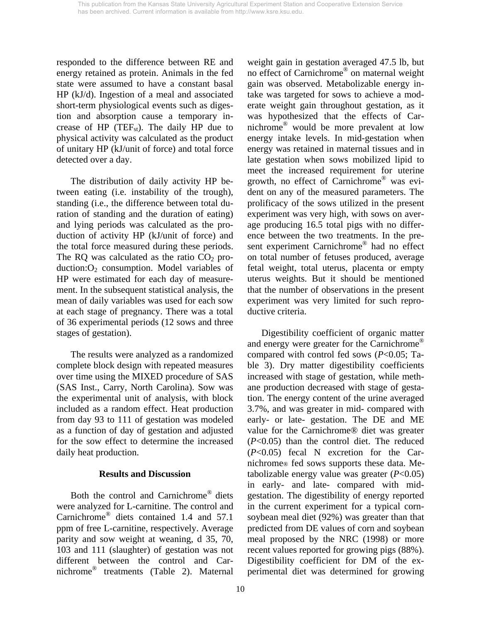responded to the difference between RE and energy retained as protein. Animals in the fed state were assumed to have a constant basal HP (kJ/d). Ingestion of a meal and associated short-term physiological events such as digestion and absorption cause a temporary increase of HP (TEF<sub>st</sub>). The daily HP due to physical activity was calculated as the product of unitary HP (kJ/unit of force) and total force detected over a day.

 The distribution of daily activity HP between eating (i.e. instability of the trough), standing (i.e., the difference between total duration of standing and the duration of eating) and lying periods was calculated as the production of activity HP (kJ/unit of force) and the total force measured during these periods. The RQ was calculated as the ratio  $CO<sub>2</sub>$  production: $O_2$  consumption. Model variables of HP were estimated for each day of measurement. In the subsequent statistical analysis, the mean of daily variables was used for each sow at each stage of pregnancy. There was a total of 36 experimental periods (12 sows and three stages of gestation).

 The results were analyzed as a randomized complete block design with repeated measures over time using the MIXED procedure of SAS (SAS Inst., Carry, North Carolina). Sow was the experimental unit of analysis, with block included as a random effect. Heat production from day 93 to 111 of gestation was modeled as a function of day of gestation and adjusted for the sow effect to determine the increased daily heat production.

## **Results and Discussion**

 Both the control and Carnichrome® diets were analyzed for L-carnitine. The control and Carnichrome® diets contained 1.4 and 57.1 ppm of free L-carnitine, respectively. Average parity and sow weight at weaning, d 35, 70, 103 and 111 (slaughter) of gestation was not different between the control and Carnichrome® treatments (Table 2). Maternal

weight gain in gestation averaged 47.5 lb, but no effect of Carnichrome® on maternal weight gain was observed. Metabolizable energy intake was targeted for sows to achieve a moderate weight gain throughout gestation, as it was hypothesized that the effects of Carnichrome® would be more prevalent at low energy intake levels. In mid-gestation when energy was retained in maternal tissues and in late gestation when sows mobilized lipid to meet the increased requirement for uterine growth, no effect of Carnichrome® was evident on any of the measured parameters. The prolificacy of the sows utilized in the present experiment was very high, with sows on average producing 16.5 total pigs with no difference between the two treatments. In the present experiment Carnichrome® had no effect on total number of fetuses produced, average fetal weight, total uterus, placenta or empty uterus weights. But it should be mentioned that the number of observations in the present experiment was very limited for such reproductive criteria.

 Digestibility coefficient of organic matter and energy were greater for the Carnichrome® compared with control fed sows (*P*<0.05; Table 3). Dry matter digestibility coefficients increased with stage of gestation, while methane production decreased with stage of gestation. The energy content of the urine averaged 3.7%, and was greater in mid- compared with early- or late- gestation. The DE and ME value for the Carnichrome® diet was greater (*P*<0.05) than the control diet. The reduced (*P*<0.05) fecal N excretion for the Carnichrome® fed sows supports these data. Metabolizable energy value was greater (*P*<0.05) in early- and late- compared with midgestation. The digestibility of energy reported in the current experiment for a typical cornsoybean meal diet (92%) was greater than that predicted from DE values of corn and soybean meal proposed by the NRC (1998) or more recent values reported for growing pigs (88%). Digestibility coefficient for DM of the experimental diet was determined for growing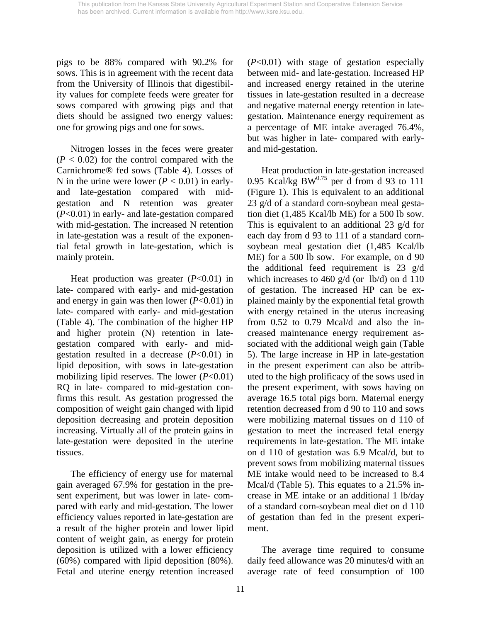pigs to be 88% compared with 90.2% for sows. This is in agreement with the recent data from the University of Illinois that digestibility values for complete feeds were greater for sows compared with growing pigs and that diets should be assigned two energy values: one for growing pigs and one for sows.

 Nitrogen losses in the feces were greater  $(P < 0.02)$  for the control compared with the Carnichrome® fed sows (Table 4). Losses of N in the urine were lower  $(P < 0.01)$  in earlyand late-gestation compared with midgestation and N retention was greater (*P*<0.01) in early- and late-gestation compared with mid-gestation. The increased N retention in late-gestation was a result of the exponential fetal growth in late-gestation, which is mainly protein.

 Heat production was greater (*P*<0.01) in late- compared with early- and mid-gestation and energy in gain was then lower (*P*<0.01) in late- compared with early- and mid-gestation (Table 4). The combination of the higher HP and higher protein (N) retention in lategestation compared with early- and midgestation resulted in a decrease (*P*<0.01) in lipid deposition, with sows in late-gestation mobilizing lipid reserves. The lower (*P*<0.01) RQ in late- compared to mid-gestation confirms this result. As gestation progressed the composition of weight gain changed with lipid deposition decreasing and protein deposition increasing. Virtually all of the protein gains in late-gestation were deposited in the uterine tissues.

 The efficiency of energy use for maternal gain averaged 67.9% for gestation in the present experiment, but was lower in late- compared with early and mid-gestation. The lower efficiency values reported in late-gestation are a result of the higher protein and lower lipid content of weight gain, as energy for protein deposition is utilized with a lower efficiency (60%) compared with lipid deposition (80%). Fetal and uterine energy retention increased (*P*<0.01) with stage of gestation especially between mid- and late-gestation. Increased HP and increased energy retained in the uterine tissues in late-gestation resulted in a decrease and negative maternal energy retention in lategestation. Maintenance energy requirement as a percentage of ME intake averaged 76.4%, but was higher in late- compared with earlyand mid-gestation.

 Heat production in late-gestation increased 0.95 Kcal/kg BW $^{0.75}$  per d from d 93 to 111 (Figure 1). This is equivalent to an additional 23 g/d of a standard corn-soybean meal gestation diet (1,485 Kcal/lb ME) for a 500 lb sow. This is equivalent to an additional 23 g/d for each day from d 93 to 111 of a standard cornsoybean meal gestation diet (1,485 Kcal/lb ME) for a 500 lb sow. For example, on d 90 the additional feed requirement is 23 g/d which increases to 460 g/d (or lb/d) on d 110 of gestation. The increased HP can be explained mainly by the exponential fetal growth with energy retained in the uterus increasing from 0.52 to 0.79 Mcal/d and also the increased maintenance energy requirement associated with the additional weigh gain (Table 5). The large increase in HP in late-gestation in the present experiment can also be attributed to the high prolificacy of the sows used in the present experiment, with sows having on average 16.5 total pigs born. Maternal energy retention decreased from d 90 to 110 and sows were mobilizing maternal tissues on d 110 of gestation to meet the increased fetal energy requirements in late-gestation. The ME intake on d 110 of gestation was 6.9 Mcal/d, but to prevent sows from mobilizing maternal tissues ME intake would need to be increased to 8.4 Mcal/d (Table 5). This equates to a 21.5% increase in ME intake or an additional 1 lb/day of a standard corn-soybean meal diet on d 110 of gestation than fed in the present experiment.

 The average time required to consume daily feed allowance was 20 minutes/d with an average rate of feed consumption of 100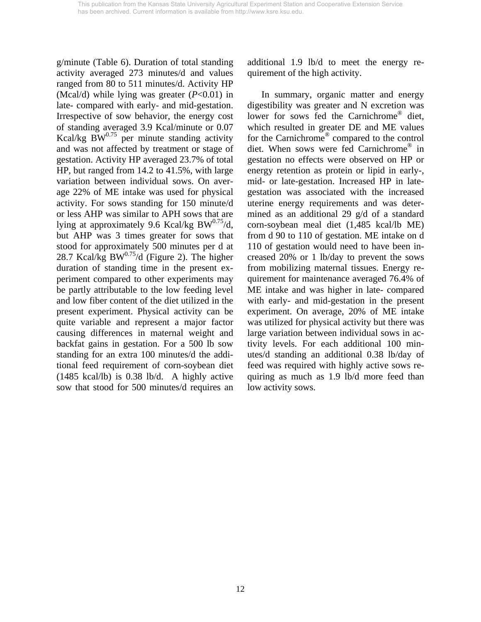g/minute (Table 6). Duration of total standing activity averaged 273 minutes/d and values ranged from 80 to 511 minutes/d. Activity HP (Mcal/d) while lying was greater (*P*<0.01) in late- compared with early- and mid-gestation. Irrespective of sow behavior, the energy cost of standing averaged 3.9 Kcal/minute or 0.07 Kcal/kg  $\cancel{BW}^{0.75}$  per minute standing activity and was not affected by treatment or stage of gestation. Activity HP averaged 23.7% of total HP, but ranged from 14.2 to 41.5%, with large variation between individual sows. On average 22% of ME intake was used for physical activity. For sows standing for 150 minute/d or less AHP was similar to APH sows that are lying at approximately 9.6 Kcal/kg BW $^{0.75}$ /d, but AHP was 3 times greater for sows that stood for approximately 500 minutes per d at 28.7 Kcal/kg BW $^{0.75}$ /d (Figure 2). The higher duration of standing time in the present experiment compared to other experiments may be partly attributable to the low feeding level and low fiber content of the diet utilized in the present experiment. Physical activity can be quite variable and represent a major factor causing differences in maternal weight and backfat gains in gestation. For a 500 lb sow standing for an extra 100 minutes/d the additional feed requirement of corn-soybean diet (1485 kcal/lb) is 0.38 lb/d. A highly active sow that stood for 500 minutes/d requires an

additional 1.9 lb/d to meet the energy requirement of the high activity.

 In summary, organic matter and energy digestibility was greater and N excretion was lower for sows fed the Carnichrome® diet, which resulted in greater DE and ME values for the Carnichrome® compared to the control diet. When sows were fed Carnichrome® in gestation no effects were observed on HP or energy retention as protein or lipid in early-, mid- or late-gestation. Increased HP in lategestation was associated with the increased uterine energy requirements and was determined as an additional 29 g/d of a standard corn-soybean meal diet (1,485 kcal/lb ME) from d 90 to 110 of gestation. ME intake on d 110 of gestation would need to have been increased 20% or 1 lb/day to prevent the sows from mobilizing maternal tissues. Energy requirement for maintenance averaged 76.4% of ME intake and was higher in late- compared with early- and mid-gestation in the present experiment. On average, 20% of ME intake was utilized for physical activity but there was large variation between individual sows in activity levels. For each additional 100 minutes/d standing an additional 0.38 lb/day of feed was required with highly active sows requiring as much as 1.9 lb/d more feed than low activity sows.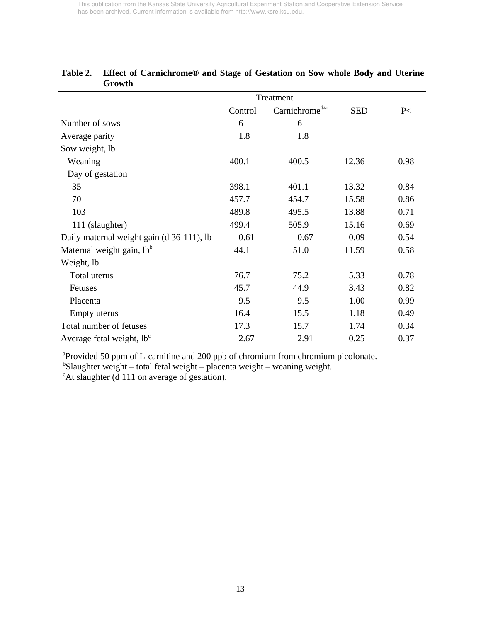|                                           | Treatment |               |            |      |
|-------------------------------------------|-----------|---------------|------------|------|
|                                           | Control   | Carnichrome®a | <b>SED</b> | P<   |
| Number of sows                            | 6         | 6             |            |      |
| Average parity                            | 1.8       | 1.8           |            |      |
| Sow weight, lb                            |           |               |            |      |
| Weaning                                   | 400.1     | 400.5         | 12.36      | 0.98 |
| Day of gestation                          |           |               |            |      |
| 35                                        | 398.1     | 401.1         | 13.32      | 0.84 |
| 70                                        | 457.7     | 454.7         | 15.58      | 0.86 |
| 103                                       | 489.8     | 495.5         | 13.88      | 0.71 |
| 111 (slaughter)                           | 499.4     | 505.9         | 15.16      | 0.69 |
| Daily maternal weight gain (d 36-111), lb | 0.61      | 0.67          | 0.09       | 0.54 |
| Maternal weight gain, lb <sup>b</sup>     | 44.1      | 51.0          | 11.59      | 0.58 |
| Weight, lb                                |           |               |            |      |
| Total uterus                              | 76.7      | 75.2          | 5.33       | 0.78 |
| Fetuses                                   | 45.7      | 44.9          | 3.43       | 0.82 |
| Placenta                                  | 9.5       | 9.5           | 1.00       | 0.99 |
| Empty uterus                              | 16.4      | 15.5          | 1.18       | 0.49 |
| Total number of fetuses                   | 17.3      | 15.7          | 1.74       | 0.34 |
| Average fetal weight, $lb^c$              | 2.67      | 2.91          | 0.25       | 0.37 |

# **Table 2. Effect of Carnichrome® and Stage of Gestation on Sow whole Body and Uterine Growth**

a Provided 50 ppm of L-carnitine and 200 ppb of chromium from chromium picolonate. b Slaughter weight – total fetal weight – placenta weight – weaning weight.

<sup>c</sup>At slaughter (d 111 on average of gestation).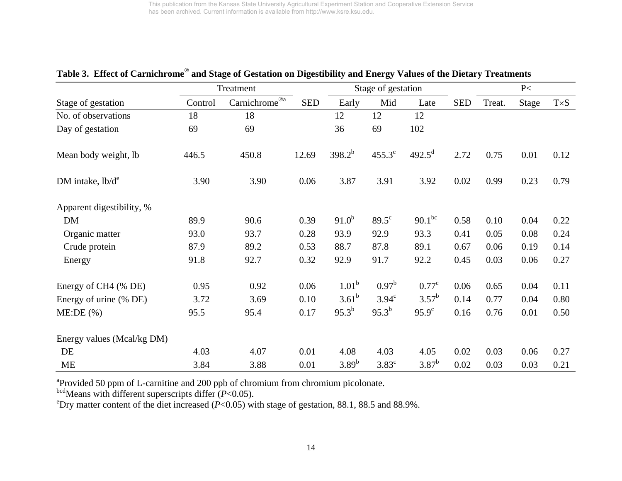|                            | Treatment |                           |            |                   | Stage of gestation |                    |            | P<     |       |             |
|----------------------------|-----------|---------------------------|------------|-------------------|--------------------|--------------------|------------|--------|-------|-------------|
| Stage of gestation         | Control   | Carnichrome® <sup>a</sup> | <b>SED</b> | Early             | Mid                | Late               | <b>SED</b> | Treat. | Stage | $T\times S$ |
| No. of observations        | 18        | 18                        |            | 12                | 12                 | 12                 |            |        |       |             |
| Day of gestation           | 69        | 69                        |            | 36                | 69                 | 102                |            |        |       |             |
| Mean body weight, lb       | 446.5     | 450.8                     | 12.69      | $398.2^{b}$       | $455.3^{\circ}$    | $492.5^{\text{d}}$ | 2.72       | 0.75   | 0.01  | 0.12        |
| DM intake, $lb/d^e$        | 3.90      | 3.90                      | 0.06       | 3.87              | 3.91               | 3.92               | 0.02       | 0.99   | 0.23  | 0.79        |
| Apparent digestibility, %  |           |                           |            |                   |                    |                    |            |        |       |             |
| <b>DM</b>                  | 89.9      | 90.6                      | 0.39       | $91.0^{b}$        | $89.5^{\circ}$     | $90.1^{bc}$        | 0.58       | 0.10   | 0.04  | 0.22        |
| Organic matter             | 93.0      | 93.7                      | 0.28       | 93.9              | 92.9               | 93.3               | 0.41       | 0.05   | 0.08  | 0.24        |
| Crude protein              | 87.9      | 89.2                      | 0.53       | 88.7              | 87.8               | 89.1               | 0.67       | 0.06   | 0.19  | 0.14        |
| Energy                     | 91.8      | 92.7                      | 0.32       | 92.9              | 91.7               | 92.2               | 0.45       | 0.03   | 0.06  | 0.27        |
| Energy of CH4 (% DE)       | 0.95      | 0.92                      | 0.06       | 1.01 <sup>b</sup> | $0.97^{\rm b}$     | $0.77^{\circ}$     | 0.06       | 0.65   | 0.04  | 0.11        |
| Energy of urine (% DE)     | 3.72      | 3.69                      | 0.10       | $3.61^{b}$        | $3.94^\circ$       | $3.57^{b}$         | 0.14       | 0.77   | 0.04  | 0.80        |
| ME:DE(%)                   | 95.5      | 95.4                      | 0.17       | $95.3^{b}$        | $95.3^{b}$         | $95.9^{\circ}$     | 0.16       | 0.76   | 0.01  | 0.50        |
| Energy values (Mcal/kg DM) |           |                           |            |                   |                    |                    |            |        |       |             |
| DE                         | 4.03      | 4.07                      | 0.01       | 4.08              | 4.03               | 4.05               | 0.02       | 0.03   | 0.06  | 0.27        |
| <b>ME</b>                  | 3.84      | 3.88                      | 0.01       | $3.89^{b}$        | $3.83^{\circ}$     | $3.87^{\rm b}$     | 0.02       | 0.03   | 0.03  | 0.21        |

# **Table 3. Effect of Carnichrome® and Stage of Gestation on Digestibility and Energy Values of the Dietary Treatments**

<sup>a</sup>Provided 50 ppm of L-carnitine and 200 ppb of chromium from chromium picolonate.

bcdMeans with different superscripts differ (*P*<0.05).

<sup>e</sup>Dry matter content of the diet increased ( $P<0.05$ ) with stage of gestation, 88.1, 88.5 and 88.9%.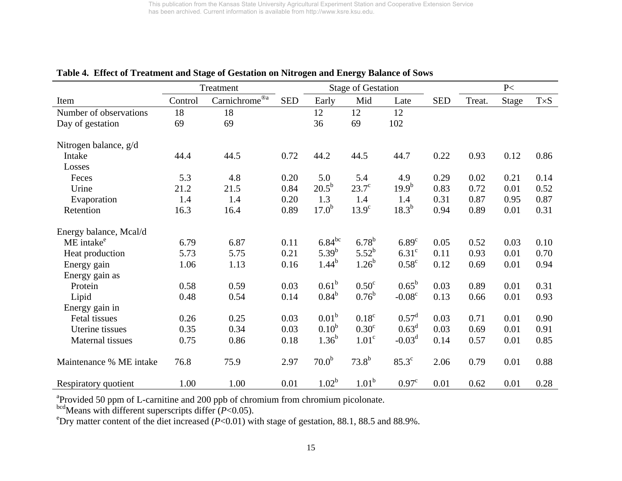|                         |         | Treatment                  |            | <b>Stage of Gestation</b> |                   |                   |            | P<     |       |             |
|-------------------------|---------|----------------------------|------------|---------------------------|-------------------|-------------------|------------|--------|-------|-------------|
| Item                    | Control | $Carnichrome^{\circledRa}$ | <b>SED</b> | Early                     | Mid               | Late              | <b>SED</b> | Treat. | Stage | $T\times S$ |
| Number of observations  | 18      | 18                         |            | 12                        | 12                | 12                |            |        |       |             |
| Day of gestation        | 69      | 69                         |            | 36                        | 69                | 102               |            |        |       |             |
| Nitrogen balance, g/d   |         |                            |            |                           |                   |                   |            |        |       |             |
| Intake                  | 44.4    | 44.5                       | 0.72       | 44.2                      | 44.5              | 44.7              | 0.22       | 0.93   | 0.12  | 0.86        |
| Losses                  |         |                            |            |                           |                   |                   |            |        |       |             |
| Feces                   | 5.3     | 4.8                        | 0.20       | 5.0                       | 5.4               | 4.9               | 0.29       | 0.02   | 0.21  | 0.14        |
| Urine                   | 21.2    | 21.5                       | 0.84       | $20.5^{\rm b}$            | $23.7^\circ$      | $19.9^{b}$        | 0.83       | 0.72   | 0.01  | 0.52        |
| Evaporation             | 1.4     | 1.4                        | 0.20       | 1.3                       | 1.4               | 1.4               | 0.31       | 0.87   | 0.95  | 0.87        |
| Retention               | 16.3    | 16.4                       | 0.89       | $17.0^{b}$                | $13.9^\circ$      | $18.3^{b}$        | 0.94       | 0.89   | 0.01  | 0.31        |
| Energy balance, Mcal/d  |         |                            |            |                           |                   |                   |            |        |       |             |
| ME intake <sup>e</sup>  | 6.79    | 6.87                       | 0.11       | $6.84^{bc}$               | $6.78^{b}$        | 6.89 <sup>c</sup> | 0.05       | 0.52   | 0.03  | 0.10        |
| Heat production         | 5.73    | 5.75                       | 0.21       | $5.39^{b}$                | $5.52^{b}$        | 6.31 <sup>c</sup> | 0.11       | 0.93   | 0.01  | 0.70        |
| Energy gain             | 1.06    | 1.13                       | 0.16       | $1.44^{b}$                | $1.26^{b}$        | $0.58^{\circ}$    | 0.12       | 0.69   | 0.01  | 0.94        |
| Energy gain as          |         |                            |            |                           |                   |                   |            |        |       |             |
| Protein                 | 0.58    | 0.59                       | 0.03       | $0.61^{\rm b}$            | 0.50 <sup>c</sup> | $0.65^{\rm b}$    | 0.03       | 0.89   | 0.01  | 0.31        |
| Lipid                   | 0.48    | 0.54                       | 0.14       | $0.84^{b}$                | $0.76^{\rm b}$    | $-0.08^{\circ}$   | 0.13       | 0.66   | 0.01  | 0.93        |
| Energy gain in          |         |                            |            |                           |                   |                   |            |        |       |             |
| Fetal tissues           | 0.26    | 0.25                       | 0.03       | 0.01 <sup>b</sup>         | 0.18 <sup>c</sup> | $0.57^{\rm d}$    | 0.03       | 0.71   | 0.01  | 0.90        |
| Uterine tissues         | 0.35    | 0.34                       | 0.03       | 0.10 <sup>b</sup>         | 0.30 <sup>c</sup> | 0.63 <sup>d</sup> | 0.03       | 0.69   | 0.01  | 0.91        |
| Maternal tissues        | 0.75    | 0.86                       | 0.18       | $1.36^{b}$                | 1.01 <sup>c</sup> | $-0.03d$          | 0.14       | 0.57   | 0.01  | 0.85        |
| Maintenance % ME intake | 76.8    | 75.9                       | 2.97       | 70.0 <sup>b</sup>         | $73.8^{b}$        | $85.3^\circ$      | 2.06       | 0.79   | 0.01  | 0.88        |
| Respiratory quotient    | 1.00    | 1.00                       | 0.01       | $1.02^b$                  | 1.01 <sup>b</sup> | 0.97 <sup>c</sup> | 0.01       | 0.62   | 0.01  | 0.28        |

# **Table 4. Effect of Treatment and Stage of Gestation on Nitrogen and Energy Balance of Sows**

<sup>a</sup>Provided 50 ppm of L-carnitine and 200 ppb of chromium from chromium picolonate.

bcdMeans with different superscripts differ (*P*<0.05).

<sup>e</sup>Dry matter content of the diet increased  $(P<0.01)$  with stage of gestation, 88.1, 88.5 and 88.9%.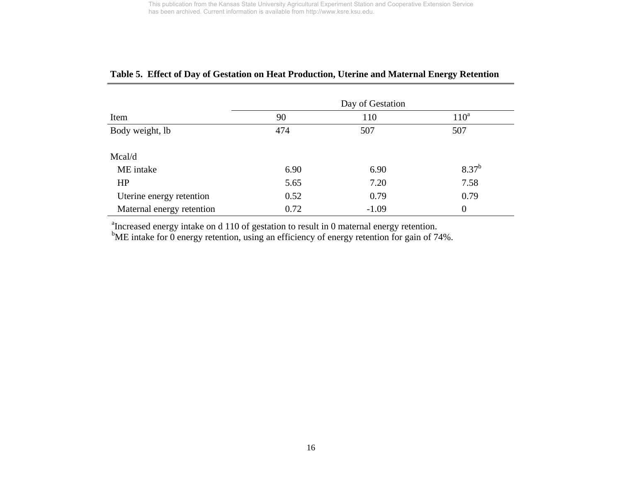|                           | Day of Gestation |         |                |  |  |  |  |
|---------------------------|------------------|---------|----------------|--|--|--|--|
| Item                      | 90               | 110     | $110^a$        |  |  |  |  |
| Body weight, lb           | 474              | 507     | 507            |  |  |  |  |
| Mcal/d                    |                  |         |                |  |  |  |  |
| ME intake                 | 6.90             | 6.90    | $8.37^{b}$     |  |  |  |  |
| HP                        | 5.65             | 7.20    | 7.58           |  |  |  |  |
| Uterine energy retention  | 0.52             | 0.79    | 0.79           |  |  |  |  |
| Maternal energy retention | 0.72             | $-1.09$ | $\overline{0}$ |  |  |  |  |

# **Table 5. Effect of Day of Gestation on Heat Production, Uterine and Maternal Energy Retention**

<sup>a</sup>Increased energy intake on d 110 of gestation to result in 0 maternal energy retention.

 $b$ ME intake for 0 energy retention, using an efficiency of energy retention for gain of 74%.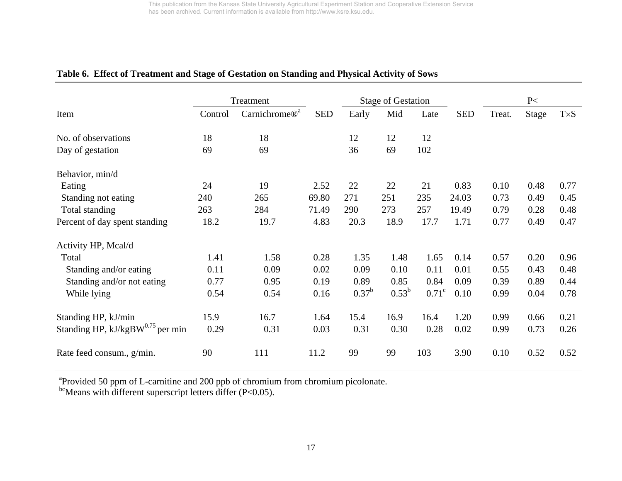|                                       | Treatment |                           |            | <b>Stage of Gestation</b> |                |              |            | P<     |       |             |
|---------------------------------------|-----------|---------------------------|------------|---------------------------|----------------|--------------|------------|--------|-------|-------------|
| Item                                  | Control   | Carnichrome® <sup>a</sup> | <b>SED</b> | Early                     | Mid            | Late         | <b>SED</b> | Treat. | Stage | $T\times S$ |
|                                       |           |                           |            |                           |                |              |            |        |       |             |
| No. of observations                   | 18        | 18                        |            | 12                        | 12             | 12           |            |        |       |             |
| Day of gestation                      | 69        | 69                        |            | 36                        | 69             | 102          |            |        |       |             |
| Behavior, min/d                       |           |                           |            |                           |                |              |            |        |       |             |
| Eating                                | 24        | 19                        | 2.52       | 22                        | 22             | 21           | 0.83       | 0.10   | 0.48  | 0.77        |
| Standing not eating                   | 240       | 265                       | 69.80      | 271                       | 251            | 235          | 24.03      | 0.73   | 0.49  | 0.45        |
| Total standing                        | 263       | 284                       | 71.49      | 290                       | 273            | 257          | 19.49      | 0.79   | 0.28  | 0.48        |
| Percent of day spent standing         | 18.2      | 19.7                      | 4.83       | 20.3                      | 18.9           | 17.7         | 1.71       | 0.77   | 0.49  | 0.47        |
| Activity HP, Mcal/d                   |           |                           |            |                           |                |              |            |        |       |             |
| Total                                 | 1.41      | 1.58                      | 0.28       | 1.35                      | 1.48           | 1.65         | 0.14       | 0.57   | 0.20  | 0.96        |
| Standing and/or eating                | 0.11      | 0.09                      | 0.02       | 0.09                      | 0.10           | 0.11         | 0.01       | 0.55   | 0.43  | 0.48        |
| Standing and/or not eating            | 0.77      | 0.95                      | 0.19       | 0.89                      | 0.85           | 0.84         | 0.09       | 0.39   | 0.89  | 0.44        |
| While lying                           | 0.54      | 0.54                      | 0.16       | $0.37^{\rm b}$            | $0.53^{\rm b}$ | $0.71^\circ$ | 0.10       | 0.99   | 0.04  | 0.78        |
| Standing HP, kJ/min                   | 15.9      | 16.7                      | 1.64       | 15.4                      | 16.9           | 16.4         | 1.20       | 0.99   | 0.66  | 0.21        |
| Standing HP, $kJ/kgBW^{0.75}$ per min | 0.29      | 0.31                      | 0.03       | 0.31                      | 0.30           | 0.28         | 0.02       | 0.99   | 0.73  | 0.26        |
| Rate feed consum., g/min.             | 90        | 111                       | 11.2       | 99                        | 99             | 103          | 3.90       | 0.10   | 0.52  | 0.52        |

# **Table 6. Effect of Treatment and Stage of Gestation on Standing and Physical Activity of Sows**

<sup>a</sup>Provided 50 ppm of L-carnitine and 200 ppb of chromium from chromium picolonate.

 $^{bc}$ Means with different superscript letters differ (P<0.05).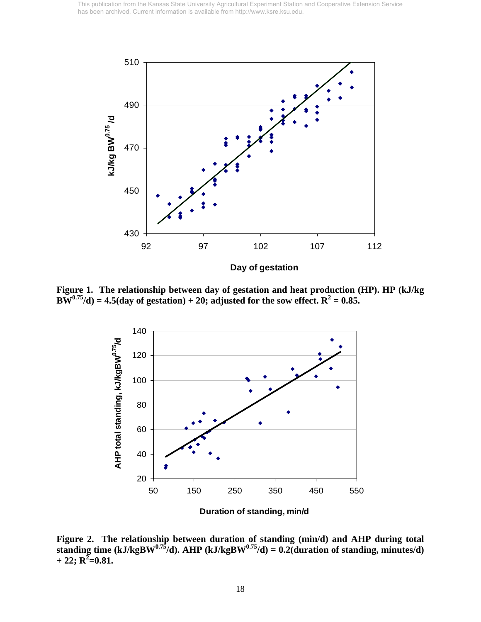

**Figure 1. The relationship between day of gestation and heat production (HP). HP (kJ/kg**   $BW^{0.75}/d$  = 4.5(day of gestation) + 20; adjusted for the sow effect.  $R^2 = 0.85$ .



**Figure 2. The relationship between duration of standing (min/d) and AHP during total**  standing time (kJ/kgBW<sup>0.75</sup>/d). AHP (kJ/kgBW<sup>0.75</sup>/d) = 0.2(duration of standing, minutes/d)  $+ 22; \mathbb{R}^2 = 0.81.$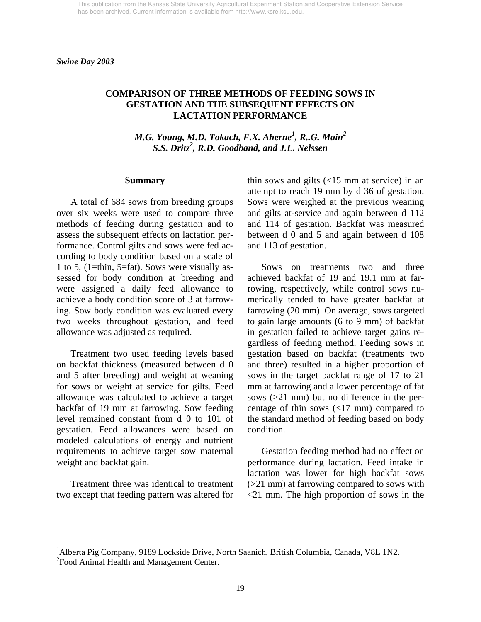*Swine Day 2003* 

## **COMPARISON OF THREE METHODS OF FEEDING SOWS IN GESTATION AND THE SUBSEQUENT EFFECTS ON LACTATION PERFORMANCE**

*M.G. Young, M.D. Tokach, F.X. Aherne<sup>1</sup> , R..G. Main2 S.S. Dritz2 , R.D. Goodband, and J.L. Nelssen* 

#### **Summary**

 A total of 684 sows from breeding groups over six weeks were used to compare three methods of feeding during gestation and to assess the subsequent effects on lactation performance. Control gilts and sows were fed according to body condition based on a scale of 1 to 5, (1=thin, 5=fat). Sows were visually assessed for body condition at breeding and were assigned a daily feed allowance to achieve a body condition score of 3 at farrowing. Sow body condition was evaluated every two weeks throughout gestation, and feed allowance was adjusted as required.

 Treatment two used feeding levels based on backfat thickness (measured between d 0 and 5 after breeding) and weight at weaning for sows or weight at service for gilts. Feed allowance was calculated to achieve a target backfat of 19 mm at farrowing. Sow feeding level remained constant from d 0 to 101 of gestation. Feed allowances were based on modeled calculations of energy and nutrient requirements to achieve target sow maternal weight and backfat gain.

 Treatment three was identical to treatment two except that feeding pattern was altered for

 $\overline{a}$ 

thin sows and gilts (<15 mm at service) in an attempt to reach 19 mm by d 36 of gestation. Sows were weighed at the previous weaning and gilts at-service and again between d 112 and 114 of gestation. Backfat was measured between d 0 and 5 and again between d 108 and 113 of gestation.

 Sows on treatments two and three achieved backfat of 19 and 19.1 mm at farrowing, respectively, while control sows numerically tended to have greater backfat at farrowing (20 mm). On average, sows targeted to gain large amounts (6 to 9 mm) of backfat in gestation failed to achieve target gains regardless of feeding method. Feeding sows in gestation based on backfat (treatments two and three) resulted in a higher proportion of sows in the target backfat range of 17 to 21 mm at farrowing and a lower percentage of fat sows (>21 mm) but no difference in the percentage of thin sows  $\left($ <17 mm) compared to the standard method of feeding based on body condition.

 Gestation feeding method had no effect on performance during lactation. Feed intake in lactation was lower for high backfat sows (>21 mm) at farrowing compared to sows with <21 mm. The high proportion of sows in the

<sup>&</sup>lt;sup>1</sup> Alberta Pig Company, 9189 Lockside Drive, North Saanich, British Columbia, Canada, V8L 1N2. <sup>2</sup> Food Animal Health and Management Center.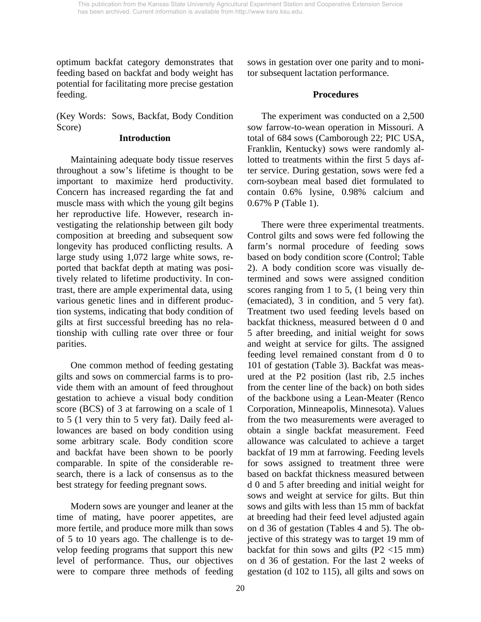optimum backfat category demonstrates that feeding based on backfat and body weight has potential for facilitating more precise gestation feeding.

(Key Words: Sows, Backfat, Body Condition Score)

#### **Introduction**

 Maintaining adequate body tissue reserves throughout a sow's lifetime is thought to be important to maximize herd productivity. Concern has increased regarding the fat and muscle mass with which the young gilt begins her reproductive life. However, research investigating the relationship between gilt body composition at breeding and subsequent sow longevity has produced conflicting results. A large study using 1,072 large white sows, reported that backfat depth at mating was positively related to lifetime productivity. In contrast, there are ample experimental data, using various genetic lines and in different production systems, indicating that body condition of gilts at first successful breeding has no relationship with culling rate over three or four parities.

 One common method of feeding gestating gilts and sows on commercial farms is to provide them with an amount of feed throughout gestation to achieve a visual body condition score (BCS) of 3 at farrowing on a scale of 1 to 5 (1 very thin to 5 very fat). Daily feed allowances are based on body condition using some arbitrary scale. Body condition score and backfat have been shown to be poorly comparable. In spite of the considerable research, there is a lack of consensus as to the best strategy for feeding pregnant sows.

 Modern sows are younger and leaner at the time of mating, have poorer appetites, are more fertile, and produce more milk than sows of 5 to 10 years ago. The challenge is to develop feeding programs that support this new level of performance. Thus, our objectives were to compare three methods of feeding sows in gestation over one parity and to monitor subsequent lactation performance.

# **Procedures**

 The experiment was conducted on a 2,500 sow farrow-to-wean operation in Missouri. A total of 684 sows (Camborough 22; PIC USA, Franklin, Kentucky) sows were randomly allotted to treatments within the first 5 days after service. During gestation, sows were fed a corn-soybean meal based diet formulated to contain 0.6% lysine, 0.98% calcium and 0.67% P (Table 1).

 There were three experimental treatments. Control gilts and sows were fed following the farm's normal procedure of feeding sows based on body condition score (Control; Table 2). A body condition score was visually determined and sows were assigned condition scores ranging from 1 to 5, (1 being very thin (emaciated), 3 in condition, and 5 very fat). Treatment two used feeding levels based on backfat thickness, measured between d 0 and 5 after breeding, and initial weight for sows and weight at service for gilts. The assigned feeding level remained constant from d 0 to 101 of gestation (Table 3). Backfat was measured at the P2 position (last rib, 2.5 inches from the center line of the back) on both sides of the backbone using a Lean-Meater (Renco Corporation, Minneapolis, Minnesota). Values from the two measurements were averaged to obtain a single backfat measurement. Feed allowance was calculated to achieve a target backfat of 19 mm at farrowing. Feeding levels for sows assigned to treatment three were based on backfat thickness measured between d 0 and 5 after breeding and initial weight for sows and weight at service for gilts. But thin sows and gilts with less than 15 mm of backfat at breeding had their feed level adjusted again on d 36 of gestation (Tables 4 and 5). The objective of this strategy was to target 19 mm of backfat for thin sows and gilts  $(P2 \lt 15$  mm) on d 36 of gestation. For the last 2 weeks of gestation (d 102 to 115), all gilts and sows on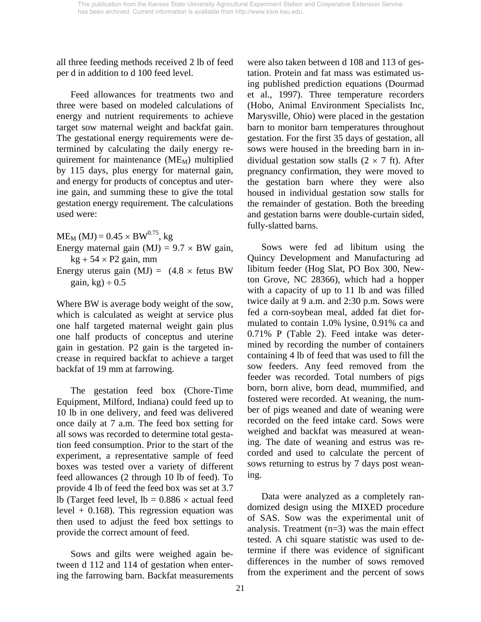all three feeding methods received 2 lb of feed per d in addition to d 100 feed level.

 Feed allowances for treatments two and three were based on modeled calculations of energy and nutrient requirements to achieve target sow maternal weight and backfat gain. The gestational energy requirements were determined by calculating the daily energy requirement for maintenance  $(ME_M)$  multiplied by 115 days, plus energy for maternal gain, and energy for products of conceptus and uterine gain, and summing these to give the total gestation energy requirement. The calculations used were:

 $ME_M (MJ) = 0.45 \times BW^{0.75}$ , kg Energy maternal gain  $(MJ) = 9.7 \times BW$  gain,  $kg + 54 \times P2$  gain, mm Energy uterus gain (MJ) =  $(4.8 \times$  fetus BW

gain, kg)  $\div$  0.5

Where BW is average body weight of the sow, which is calculated as weight at service plus one half targeted maternal weight gain plus one half products of conceptus and uterine gain in gestation. P2 gain is the targeted increase in required backfat to achieve a target backfat of 19 mm at farrowing.

 The gestation feed box (Chore-Time Equipment, Milford, Indiana) could feed up to 10 lb in one delivery, and feed was delivered once daily at 7 a.m. The feed box setting for all sows was recorded to determine total gestation feed consumption. Prior to the start of the experiment, a representative sample of feed boxes was tested over a variety of different feed allowances (2 through 10 lb of feed). To provide 4 lb of feed the feed box was set at 3.7 lb (Target feed level,  $lb = 0.886 \times$  actual feed level  $+$  0.168). This regression equation was then used to adjust the feed box settings to provide the correct amount of feed.

 Sows and gilts were weighed again between d 112 and 114 of gestation when entering the farrowing barn. Backfat measurements were also taken between d 108 and 113 of gestation. Protein and fat mass was estimated using published prediction equations (Dourmad et al., 1997). Three temperature recorders (Hobo, Animal Environment Specialists Inc, Marysville, Ohio) were placed in the gestation barn to monitor barn temperatures throughout gestation. For the first 35 days of gestation, all sows were housed in the breeding barn in individual gestation sow stalls  $(2 \times 7 \text{ ft})$ . After pregnancy confirmation, they were moved to the gestation barn where they were also housed in individual gestation sow stalls for the remainder of gestation. Both the breeding and gestation barns were double-curtain sided, fully-slatted barns.

 Sows were fed ad libitum using the Quincy Development and Manufacturing ad libitum feeder (Hog Slat, PO Box 300, Newton Grove, NC 28366), which had a hopper with a capacity of up to 11 lb and was filled twice daily at 9 a.m. and 2:30 p.m. Sows were fed a corn-soybean meal, added fat diet formulated to contain 1.0% lysine, 0.91% ca and 0.71% P (Table 2). Feed intake was determined by recording the number of containers containing 4 lb of feed that was used to fill the sow feeders. Any feed removed from the feeder was recorded. Total numbers of pigs born, born alive, born dead, mummified, and fostered were recorded. At weaning, the number of pigs weaned and date of weaning were recorded on the feed intake card. Sows were weighed and backfat was measured at weaning. The date of weaning and estrus was recorded and used to calculate the percent of sows returning to estrus by 7 days post weaning.

 Data were analyzed as a completely randomized design using the MIXED procedure of SAS. Sow was the experimental unit of analysis. Treatment (n=3) was the main effect tested. A chi square statistic was used to determine if there was evidence of significant differences in the number of sows removed from the experiment and the percent of sows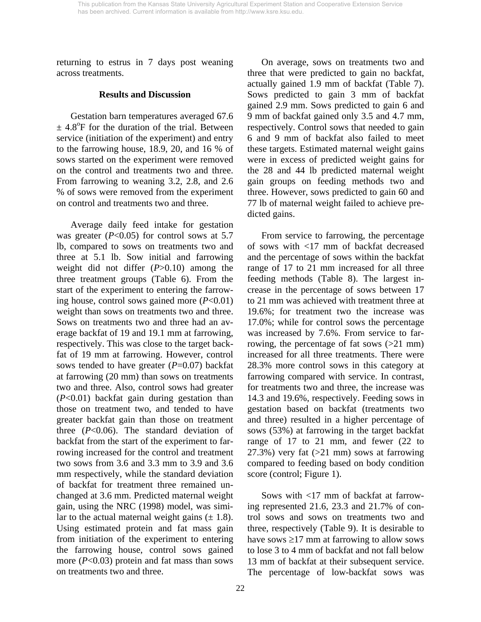returning to estrus in 7 days post weaning across treatments.

#### **Results and Discussion**

 Gestation barn temperatures averaged 67.6  $\pm$  4.8°F for the duration of the trial. Between service (initiation of the experiment) and entry to the farrowing house, 18.9, 20, and 16 % of sows started on the experiment were removed on the control and treatments two and three. From farrowing to weaning 3.2, 2.8, and 2.6 % of sows were removed from the experiment on control and treatments two and three.

 Average daily feed intake for gestation was greater  $(P<0.05)$  for control sows at 5.7 lb, compared to sows on treatments two and three at 5.1 lb. Sow initial and farrowing weight did not differ (*P*>0.10) among the three treatment groups (Table 6). From the start of the experiment to entering the farrowing house, control sows gained more (*P*<0.01) weight than sows on treatments two and three. Sows on treatments two and three had an average backfat of 19 and 19.1 mm at farrowing, respectively. This was close to the target backfat of 19 mm at farrowing. However, control sows tended to have greater (*P*=0.07) backfat at farrowing (20 mm) than sows on treatments two and three. Also, control sows had greater (*P*<0.01) backfat gain during gestation than those on treatment two, and tended to have greater backfat gain than those on treatment three  $(P<0.06)$ . The standard deviation of backfat from the start of the experiment to farrowing increased for the control and treatment two sows from 3.6 and 3.3 mm to 3.9 and 3.6 mm respectively, while the standard deviation of backfat for treatment three remained unchanged at 3.6 mm. Predicted maternal weight gain, using the NRC (1998) model, was similar to the actual maternal weight gains  $(\pm 1.8)$ . Using estimated protein and fat mass gain from initiation of the experiment to entering the farrowing house, control sows gained more (*P*<0.03) protein and fat mass than sows on treatments two and three.

 On average, sows on treatments two and three that were predicted to gain no backfat, actually gained 1.9 mm of backfat (Table 7). Sows predicted to gain 3 mm of backfat gained 2.9 mm. Sows predicted to gain 6 and 9 mm of backfat gained only 3.5 and 4.7 mm, respectively. Control sows that needed to gain 6 and 9 mm of backfat also failed to meet these targets. Estimated maternal weight gains were in excess of predicted weight gains for the 28 and 44 lb predicted maternal weight gain groups on feeding methods two and three. However, sows predicted to gain 60 and 77 lb of maternal weight failed to achieve predicted gains.

 From service to farrowing, the percentage of sows with <17 mm of backfat decreased and the percentage of sows within the backfat range of 17 to 21 mm increased for all three feeding methods (Table 8). The largest increase in the percentage of sows between 17 to 21 mm was achieved with treatment three at 19.6%; for treatment two the increase was 17.0%; while for control sows the percentage was increased by 7.6%. From service to farrowing, the percentage of fat sows (>21 mm) increased for all three treatments. There were 28.3% more control sows in this category at farrowing compared with service. In contrast, for treatments two and three, the increase was 14.3 and 19.6%, respectively. Feeding sows in gestation based on backfat (treatments two and three) resulted in a higher percentage of sows (53%) at farrowing in the target backfat range of 17 to 21 mm, and fewer (22 to  $27.3\%$ ) very fat ( $>21$  mm) sows at farrowing compared to feeding based on body condition score (control; Figure 1).

 Sows with <17 mm of backfat at farrowing represented 21.6, 23.3 and 21.7% of control sows and sows on treatments two and three, respectively (Table 9). It is desirable to have sows  $\geq$ 17 mm at farrowing to allow sows to lose 3 to 4 mm of backfat and not fall below 13 mm of backfat at their subsequent service. The percentage of low-backfat sows was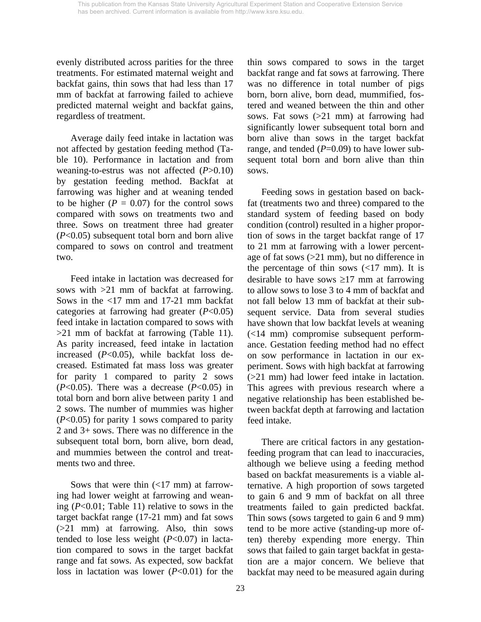evenly distributed across parities for the three treatments. For estimated maternal weight and backfat gains, thin sows that had less than 17 mm of backfat at farrowing failed to achieve predicted maternal weight and backfat gains, regardless of treatment.

 Average daily feed intake in lactation was not affected by gestation feeding method (Table 10). Performance in lactation and from weaning-to-estrus was not affected (*P*>0.10) by gestation feeding method. Backfat at farrowing was higher and at weaning tended to be higher  $(P = 0.07)$  for the control sows compared with sows on treatments two and three. Sows on treatment three had greater (*P*<0.05) subsequent total born and born alive compared to sows on control and treatment two.

 Feed intake in lactation was decreased for sows with >21 mm of backfat at farrowing. Sows in the <17 mm and 17-21 mm backfat categories at farrowing had greater (*P*<0.05) feed intake in lactation compared to sows with >21 mm of backfat at farrowing (Table 11). As parity increased, feed intake in lactation increased (*P*<0.05), while backfat loss decreased. Estimated fat mass loss was greater for parity 1 compared to parity 2 sows  $(P<0.05)$ . There was a decrease  $(P<0.05)$  in total born and born alive between parity 1 and 2 sows. The number of mummies was higher (*P*<0.05) for parity 1 sows compared to parity 2 and 3+ sows. There was no difference in the subsequent total born, born alive, born dead, and mummies between the control and treatments two and three.

Sows that were thin  $\left($  < 17 mm) at farrowing had lower weight at farrowing and weaning (*P*<0.01; Table 11) relative to sows in the target backfat range (17-21 mm) and fat sows (>21 mm) at farrowing. Also, thin sows tended to lose less weight (*P*<0.07) in lactation compared to sows in the target backfat range and fat sows. As expected, sow backfat loss in lactation was lower (*P*<0.01) for the

thin sows compared to sows in the target backfat range and fat sows at farrowing. There was no difference in total number of pigs born, born alive, born dead, mummified, fostered and weaned between the thin and other sows. Fat sows (>21 mm) at farrowing had significantly lower subsequent total born and born alive than sows in the target backfat range, and tended ( $P=0.09$ ) to have lower subsequent total born and born alive than thin sows.

 Feeding sows in gestation based on backfat (treatments two and three) compared to the standard system of feeding based on body condition (control) resulted in a higher proportion of sows in the target backfat range of 17 to 21 mm at farrowing with a lower percentage of fat sows (>21 mm), but no difference in the percentage of thin sows  $\left($  <17 mm). It is desirable to have sows  $\geq$ 17 mm at farrowing to allow sows to lose 3 to 4 mm of backfat and not fall below 13 mm of backfat at their subsequent service. Data from several studies have shown that low backfat levels at weaning (<14 mm) compromise subsequent performance. Gestation feeding method had no effect on sow performance in lactation in our experiment. Sows with high backfat at farrowing (>21 mm) had lower feed intake in lactation. This agrees with previous research where a negative relationship has been established between backfat depth at farrowing and lactation feed intake.

 There are critical factors in any gestationfeeding program that can lead to inaccuracies, although we believe using a feeding method based on backfat measurements is a viable alternative. A high proportion of sows targeted to gain 6 and 9 mm of backfat on all three treatments failed to gain predicted backfat. Thin sows (sows targeted to gain 6 and 9 mm) tend to be more active (standing-up more often) thereby expending more energy. Thin sows that failed to gain target backfat in gestation are a major concern. We believe that backfat may need to be measured again during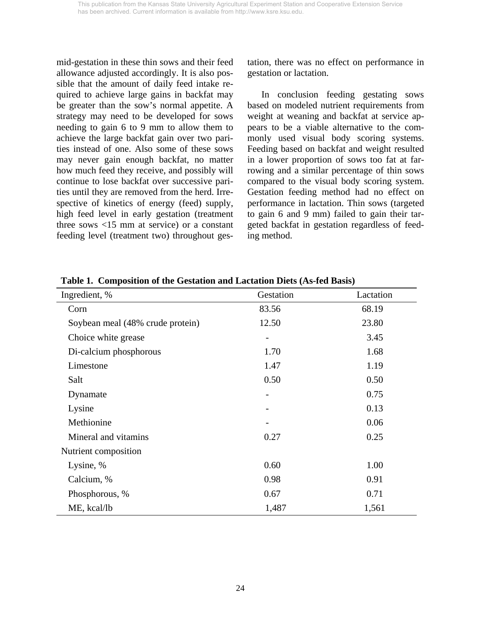mid-gestation in these thin sows and their feed allowance adjusted accordingly. It is also possible that the amount of daily feed intake required to achieve large gains in backfat may be greater than the sow's normal appetite. A strategy may need to be developed for sows needing to gain 6 to 9 mm to allow them to achieve the large backfat gain over two parities instead of one. Also some of these sows may never gain enough backfat, no matter how much feed they receive, and possibly will continue to lose backfat over successive parities until they are removed from the herd. Irrespective of kinetics of energy (feed) supply, high feed level in early gestation (treatment three sows <15 mm at service) or a constant feeding level (treatment two) throughout gestation, there was no effect on performance in gestation or lactation.

 In conclusion feeding gestating sows based on modeled nutrient requirements from weight at weaning and backfat at service appears to be a viable alternative to the commonly used visual body scoring systems. Feeding based on backfat and weight resulted in a lower proportion of sows too fat at farrowing and a similar percentage of thin sows compared to the visual body scoring system. Gestation feeding method had no effect on performance in lactation. Thin sows (targeted to gain 6 and 9 mm) failed to gain their targeted backfat in gestation regardless of feeding method.

| Ingredient, %                    | Gestation                    | Lactation |
|----------------------------------|------------------------------|-----------|
| Corn                             | 83.56                        | 68.19     |
| Soybean meal (48% crude protein) | 12.50                        | 23.80     |
| Choice white grease              | $\qquad \qquad \blacksquare$ | 3.45      |
| Di-calcium phosphorous           | 1.70                         | 1.68      |
| Limestone                        | 1.47                         | 1.19      |
| Salt                             | 0.50                         | 0.50      |
| Dynamate                         |                              | 0.75      |
| Lysine                           |                              | 0.13      |
| Methionine                       |                              | 0.06      |
| Mineral and vitamins             | 0.27                         | 0.25      |
| Nutrient composition             |                              |           |
| Lysine, %                        | 0.60                         | 1.00      |
| Calcium, %                       | 0.98                         | 0.91      |
| Phosphorous, %                   | 0.67                         | 0.71      |
| ME, kcal/lb                      | 1,487                        | 1,561     |

**Table 1. Composition of the Gestation and Lactation Diets (As-fed Basis)**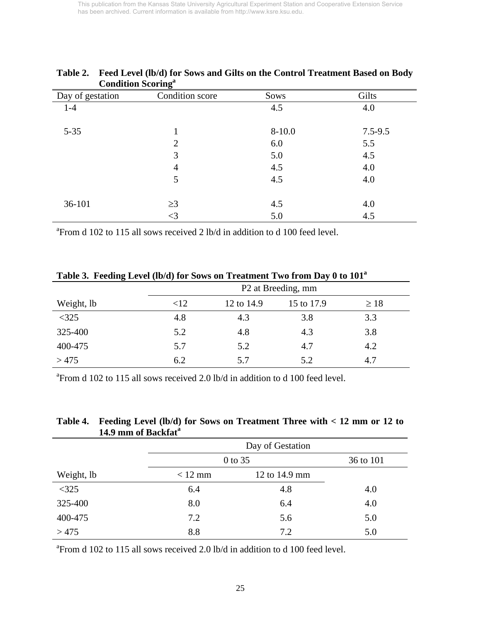| Condition Scoring |                 |            |             |
|-------------------|-----------------|------------|-------------|
| Day of gestation  | Condition score | Sows       | Gilts       |
| $1-4$             |                 | 4.5        | 4.0         |
| $5 - 35$          |                 | $8 - 10.0$ | $7.5 - 9.5$ |
|                   | 2               | 6.0        | 5.5         |
|                   | 3               | 5.0        | 4.5         |
|                   | 4               | 4.5        | 4.0         |
|                   | 5               | 4.5        | 4.0         |
| 36-101            | $\geq$ 3        | 4.5        | 4.0         |
|                   | $\leq$ 3        | 5.0        | 4.5         |

# **Table 2. Feed Level (lb/d) for Sows and Gilts on the Control Treatment Based on Body Condition Scoring<sup>a</sup>**

<sup>a</sup> From d 102 to 115 all sows received 2 lb/d in addition to d 100 feed level.

| Table 5. Peeding Level (10/0) for Sows on Treatment Two from Day o to Tul |                                |            |            |           |  |
|---------------------------------------------------------------------------|--------------------------------|------------|------------|-----------|--|
|                                                                           | P <sub>2</sub> at Breeding, mm |            |            |           |  |
| Weight, lb                                                                | $<$ 12                         | 12 to 14.9 | 15 to 17.9 | $\geq 18$ |  |
| $<$ 325                                                                   | 4.8                            | 4.3        | 3.8        | 3.3       |  |
| 325-400                                                                   | 5.2                            | 4.8        | 4.3        | 3.8       |  |
| 400-475                                                                   | 5.7                            | 5.2        | 4.7        | 4.2       |  |
| >475                                                                      | 6.2                            | 5.7        | 5.2        | 4.7       |  |

**Table 3. Feeding Level (lb/d) for Sows on Treatment Two from Day 0 to 101a**

<sup>a</sup> From d 102 to 115 all sows received 2.0 lb/d in addition to d 100 feed level.

## **Table 4. Feeding Level (lb/d) for Sows on Treatment Three with < 12 mm or 12 to 14.9 mm of Backfat<sup>a</sup>**

|            | Day of Gestation |               |     |  |  |  |
|------------|------------------|---------------|-----|--|--|--|
|            | 0 to 35          | 36 to 101     |     |  |  |  |
| Weight, lb | $< 12$ mm        | 12 to 14.9 mm |     |  |  |  |
| $<$ 325    | 6.4              | 4.8           | 4.0 |  |  |  |
| 325-400    | 8.0              | 6.4           | 4.0 |  |  |  |
| 400-475    | 7.2              | 5.6           | 5.0 |  |  |  |
| >475       | 8.8              | 7.2           | 5.0 |  |  |  |

<sup>a</sup> From d 102 to 115 all sows received 2.0 lb/d in addition to d 100 feed level.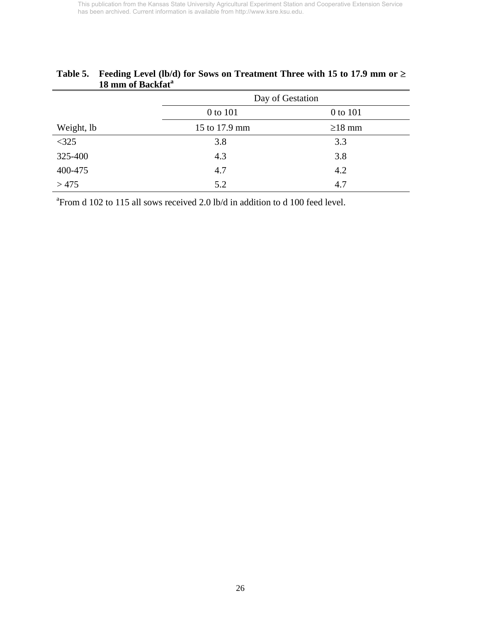| 10 mini ol Dackiat |                      |              |  |  |  |
|--------------------|----------------------|--------------|--|--|--|
|                    | Day of Gestation     |              |  |  |  |
|                    | 0 to 101<br>0 to 101 |              |  |  |  |
| Weight, lb         | 15 to 17.9 mm        | $\geq$ 18 mm |  |  |  |
| $<325$             | 3.8                  | 3.3          |  |  |  |
| 325-400            | 4.3                  | 3.8          |  |  |  |
| 400-475            | 4.7                  | 4.2          |  |  |  |
| >475               | 5.2                  | 4.7          |  |  |  |

# **Table 5. Feeding Level (lb/d) for Sows on Treatment Three with 15 to 17.9 mm or** ≥ **18 mm of Backfat<sup>a</sup>**

<sup>a</sup> From d 102 to 115 all sows received 2.0 lb/d in addition to d 100 feed level.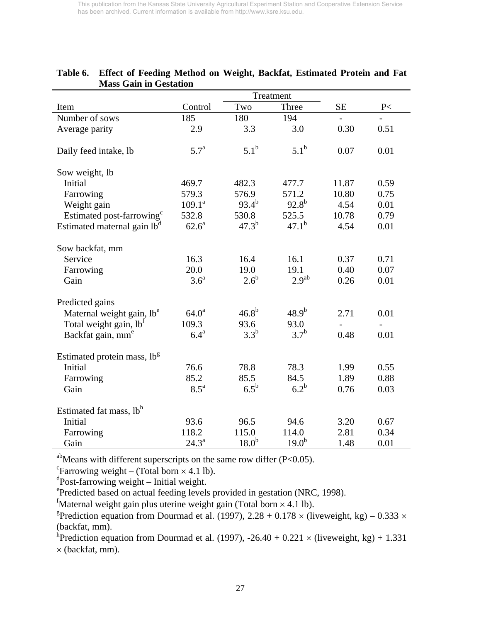|                                         |                    |                   | Treatment         |       |      |
|-----------------------------------------|--------------------|-------------------|-------------------|-------|------|
| Item                                    | Control            | Two               | Three             | SE    | P<   |
| Number of sows                          | 185                | 180               | 194               |       |      |
| Average parity                          | 2.9                | 3.3               | 3.0               | 0.30  | 0.51 |
| Daily feed intake, lb                   | 5.7 <sup>a</sup>   | 5.1 <sup>b</sup>  | $5.1^{\rm b}$     | 0.07  | 0.01 |
| Sow weight, lb                          |                    |                   |                   |       |      |
| Initial                                 | 469.7              | 482.3             | 477.7             | 11.87 | 0.59 |
| Farrowing                               | 579.3              | 576.9             | 571.2             | 10.80 | 0.75 |
| Weight gain                             | $109.1^a$          | $93.4^{b}$        | $92.8^{b}$        | 4.54  | 0.01 |
| Estimated post-farrowing <sup>c</sup>   | 532.8              | 530.8             | 525.5             | 10.78 | 0.79 |
| Estimated maternal gain lb <sup>d</sup> | $62.6^{\text{a}}$  | $47.3^{b}$        | $47.1^b$          | 4.54  | 0.01 |
| Sow backfat, mm                         |                    |                   |                   |       |      |
| Service                                 | 16.3               | 16.4              | 16.1              | 0.37  | 0.71 |
| Farrowing                               | 20.0               | 19.0              | 19.1              | 0.40  | 0.07 |
| Gain                                    | 3.6 <sup>a</sup>   | $2.6^b$           | 2.9 <sup>ab</sup> | 0.26  | 0.01 |
| Predicted gains                         |                    |                   |                   |       |      |
| Maternal weight gain, lb <sup>e</sup>   | $64.0^{\rm a}$     | $46.8^{b}$        | $48.9^{b}$        | 2.71  | 0.01 |
| Total weight gain, lb <sup>f</sup>      | 109.3              | 93.6              | 93.0              |       |      |
| Backfat gain, mm <sup>e</sup>           | $6.4^{\mathrm{a}}$ | $3.3^b$           | 3.7 <sup>b</sup>  | 0.48  | 0.01 |
| Estimated protein mass, lb <sup>g</sup> |                    |                   |                   |       |      |
| Initial                                 | 76.6               | 78.8              | 78.3              | 1.99  | 0.55 |
| Farrowing                               | 85.2               | 85.5              | 84.5              | 1.89  | 0.88 |
| Gain                                    | $8.5^{\mathrm{a}}$ | $6.5^{\rm b}$     | $6.2^b$           | 0.76  | 0.03 |
| Estimated fat mass, lb <sup>h</sup>     |                    |                   |                   |       |      |
| Initial                                 | 93.6               | 96.5              | 94.6              | 3.20  | 0.67 |
| Farrowing                               | 118.2              | 115.0             | 114.0             | 2.81  | 0.34 |
| Gain                                    | $24.3^{\rm a}$     | 18.0 <sup>b</sup> | $19.0^{b}$        | 1.48  | 0.01 |

## **Table 6. Effect of Feeding Method on Weight, Backfat, Estimated Protein and Fat Mass Gain in Gestation**

<sup>ab</sup>Means with different superscripts on the same row differ (P<0.05).

 $\text{``Farrowing weight} - \text{(Total born} \times 4.1 \text{ lb)}.$ 

d Post-farrowing weight – Initial weight.

e Predicted based on actual feeding levels provided in gestation (NRC, 1998).

 ${}^{\text{f}}$ Maternal weight gain plus uterine weight gain (Total born  $\times$  4.1 lb).

<sup>g</sup>Prediction equation from Dourmad et al. (1997), 2.28 + 0.178  $\times$  (liveweight, kg) – 0.333  $\times$ (backfat, mm).

<sup>h</sup>Prediction equation from Dourmad et al. (1997), -26.40 + 0.221  $\times$  (liveweight, kg) + 1.331  $\times$  (backfat, mm).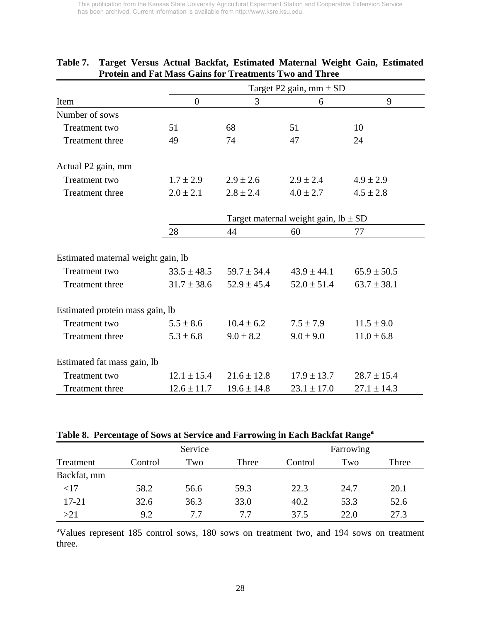|                                    |                 | Target P2 gain, mm $\pm$ SD              |                 |                 |  |  |
|------------------------------------|-----------------|------------------------------------------|-----------------|-----------------|--|--|
| Item                               | $\overline{0}$  | 3                                        | 6               | 9               |  |  |
| Number of sows                     |                 |                                          |                 |                 |  |  |
| Treatment two                      | 51              | 68                                       | 51              | 10              |  |  |
| Treatment three                    | 49              | 74                                       | 47              | 24              |  |  |
| Actual P2 gain, mm                 |                 |                                          |                 |                 |  |  |
| <b>Treatment</b> two               | $1.7 \pm 2.9$   | $2.9 \pm 2.6$                            | $2.9 \pm 2.4$   | $4.9 \pm 2.9$   |  |  |
| Treatment three                    | $2.0 \pm 2.1$   | $2.8 \pm 2.4$                            | $4.0 \pm 2.7$   | $4.5 \pm 2.8$   |  |  |
|                                    |                 | Target maternal weight gain, $lb \pm SD$ |                 |                 |  |  |
|                                    | 28              | 44                                       | 60              | 77              |  |  |
| Estimated maternal weight gain, lb |                 |                                          |                 |                 |  |  |
| Treatment two                      | $33.5 \pm 48.5$ | $59.7 \pm 34.4$                          | $43.9 \pm 44.1$ | $65.9 \pm 50.5$ |  |  |
| <b>Treatment three</b>             | $31.7 \pm 38.6$ | $52.9 \pm 45.4$                          | $52.0 \pm 51.4$ | $63.7 \pm 38.1$ |  |  |
| Estimated protein mass gain, lb    |                 |                                          |                 |                 |  |  |
| Treatment two                      | $5.5 \pm 8.6$   | $10.4 \pm 6.2$                           | $7.5 \pm 7.9$   | $11.5 \pm 9.0$  |  |  |
| <b>Treatment three</b>             | $5.3 \pm 6.8$   | $9.0 \pm 8.2$                            | $9.0 \pm 9.0$   | $11.0 \pm 6.8$  |  |  |
| Estimated fat mass gain, lb        |                 |                                          |                 |                 |  |  |
| Treatment two                      | $12.1 \pm 15.4$ | $21.6 \pm 12.8$                          | $17.9 \pm 13.7$ | $28.7 \pm 15.4$ |  |  |
| <b>Treatment three</b>             | $12.6 \pm 11.7$ | $19.6 \pm 14.8$                          | $23.1 \pm 17.0$ | $27.1 \pm 14.3$ |  |  |

# **Table 7. Target Versus Actual Backfat, Estimated Maternal Weight Gain, Estimated Protein and Fat Mass Gains for Treatments Two and Three**

# Table 8. Percentage of Sows at Service and Farrowing in Each Backfat Range<sup>a</sup>

|             | ີ       |      |       | ັ         | ັ    |       |
|-------------|---------|------|-------|-----------|------|-------|
|             | Service |      |       | Farrowing |      |       |
| Treatment   | Control | Two  | Three | Control   | Two  | Three |
| Backfat, mm |         |      |       |           |      |       |
| <17         | 58.2    | 56.6 | 59.3  | 22.3      | 24.7 | 20.1  |
| $17 - 21$   | 32.6    | 36.3 | 33.0  | 40.2      | 53.3 | 52.6  |
| >21         | 9.2     | 7.7  | 7.7   | 37.5      | 22.0 | 27.3  |

<sup>a</sup>Values represent 185 control sows, 180 sows on treatment two, and 194 sows on treatment three.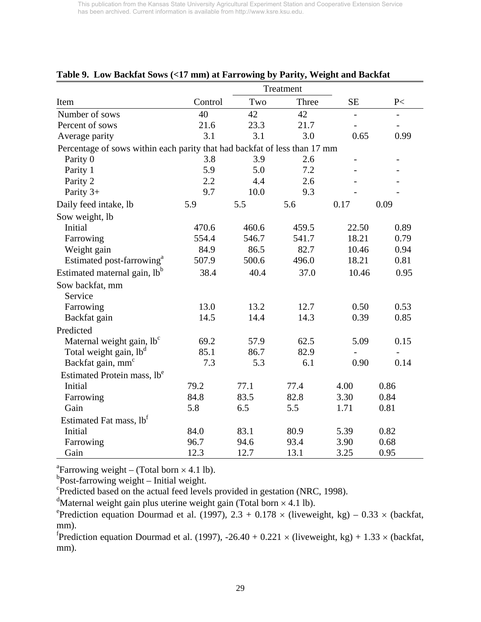|                                                                           | Treatment |       |       |                              |                          |
|---------------------------------------------------------------------------|-----------|-------|-------|------------------------------|--------------------------|
| Item                                                                      | Control   | Two   | Three | <b>SE</b>                    | P<                       |
| Number of sows                                                            | 40        | 42    | 42    | $\qquad \qquad \blacksquare$ | $\overline{\phantom{0}}$ |
| Percent of sows                                                           | 21.6      | 23.3  | 21.7  |                              |                          |
| Average parity                                                            | 3.1       | 3.1   | 3.0   | 0.65                         | 0.99                     |
| Percentage of sows within each parity that had backfat of less than 17 mm |           |       |       |                              |                          |
| Parity 0                                                                  | 3.8       | 3.9   | 2.6   |                              |                          |
| Parity 1                                                                  | 5.9       | 5.0   | 7.2   |                              |                          |
| Parity 2                                                                  | 2.2       | 4.4   | 2.6   |                              |                          |
| Parity 3+                                                                 | 9.7       | 10.0  | 9.3   |                              |                          |
| Daily feed intake, lb                                                     | 5.9       | 5.5   | 5.6   | 0.17                         | 0.09                     |
| Sow weight, lb                                                            |           |       |       |                              |                          |
| Initial                                                                   | 470.6     | 460.6 | 459.5 | 22.50                        | 0.89                     |
| Farrowing                                                                 | 554.4     | 546.7 | 541.7 | 18.21                        | 0.79                     |
| Weight gain                                                               | 84.9      | 86.5  | 82.7  | 10.46                        | 0.94                     |
| Estimated post-farrowing <sup>a</sup>                                     | 507.9     | 500.6 | 496.0 | 18.21                        | 0.81                     |
| Estimated maternal gain, lb <sup>b</sup>                                  | 38.4      | 40.4  | 37.0  | 10.46                        | 0.95                     |
| Sow backfat, mm                                                           |           |       |       |                              |                          |
| Service                                                                   |           |       |       |                              |                          |
| Farrowing                                                                 | 13.0      | 13.2  | 12.7  | 0.50                         | 0.53                     |
| Backfat gain                                                              | 14.5      | 14.4  | 14.3  | 0.39                         | 0.85                     |
| Predicted                                                                 |           |       |       |                              |                          |
| Maternal weight gain, lb <sup>c</sup>                                     | 69.2      | 57.9  | 62.5  | 5.09                         | 0.15                     |
| Total weight gain, lb <sup>d</sup>                                        | 85.1      | 86.7  | 82.9  | $\overline{a}$               | $\overline{\phantom{a}}$ |
| Backfat gain, mm <sup>c</sup>                                             | 7.3       | 5.3   | 6.1   | 0.90                         | 0.14                     |
| Estimated Protein mass, lb <sup>e</sup>                                   |           |       |       |                              |                          |
| Initial                                                                   | 79.2      | 77.1  | 77.4  | 4.00                         | 0.86                     |
| Farrowing                                                                 | 84.8      | 83.5  | 82.8  | 3.30                         | 0.84                     |
| Gain                                                                      | 5.8       | 6.5   | 5.5   | 1.71                         | 0.81                     |
| Estimated Fat mass, lb <sup>t</sup>                                       |           |       |       |                              |                          |
| Initial                                                                   | 84.0      | 83.1  | 80.9  | 5.39                         | 0.82                     |
| Farrowing                                                                 | 96.7      | 94.6  | 93.4  | 3.90                         | 0.68                     |
| Gain                                                                      | 12.3      | 12.7  | 13.1  | 3.25                         | 0.95                     |

## **Table 9. Low Backfat Sows (<17 mm) at Farrowing by Parity, Weight and Backfat**

<sup>a</sup>Farrowing weight – (Total born  $\times$  4.1 lb).

Post-farrowing weight – Initial weight.

<sup>c</sup>Predicted based on the actual feed levels provided in gestation (NRC, 1998).

<sup>d</sup>Maternal weight gain plus uterine weight gain (Total born  $\times$  4.1 lb).

<sup>e</sup>Prediction equation Dourmad et al. (1997), 2.3 + 0.178  $\times$  (liveweight, kg) – 0.33  $\times$  (backfat, mm).

 ${}^{\text{f}}$ Prediction equation Dourmad et al. (1997), -26.40 + 0.221 × (liveweight, kg) + 1.33 × (backfat, mm).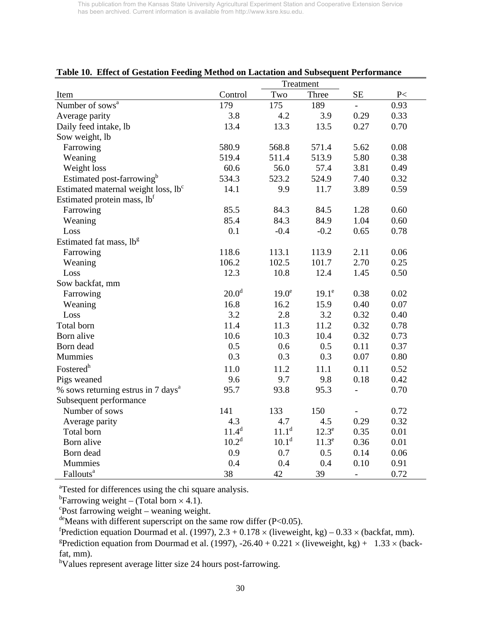| radic ro. Effect of Gestation Pecunig bicthou on Lactation and Dubsequent Ferrormance |                   | Treatment         |                   |                          |               |
|---------------------------------------------------------------------------------------|-------------------|-------------------|-------------------|--------------------------|---------------|
| Item                                                                                  | Control           | Two               | Three             | <b>SE</b>                | $\textrm{P}<$ |
| Number of sows <sup>a</sup>                                                           | 179               | 175               | 189               |                          | 0.93          |
| Average parity                                                                        | 3.8               | 4.2               | 3.9               | 0.29                     | 0.33          |
| Daily feed intake, lb                                                                 | 13.4              | 13.3              | 13.5              | 0.27                     | 0.70          |
| Sow weight, lb                                                                        |                   |                   |                   |                          |               |
| Farrowing                                                                             | 580.9             | 568.8             | 571.4             | 5.62                     | 0.08          |
| Weaning                                                                               | 519.4             | 511.4             | 513.9             | 5.80                     | 0.38          |
| Weight loss                                                                           | 60.6              | 56.0              | 57.4              | 3.81                     | 0.49          |
| Estimated post-farrowing <sup>b</sup>                                                 | 534.3             | 523.2             | 524.9             | 7.40                     | 0.32          |
| Estimated maternal weight loss, lb <sup>c</sup>                                       | 14.1              | 9.9               | 11.7              | 3.89                     | 0.59          |
| Estimated protein mass, lbf                                                           |                   |                   |                   |                          |               |
| Farrowing                                                                             | 85.5              | 84.3              | 84.5              | 1.28                     | 0.60          |
| Weaning                                                                               | 85.4              | 84.3              | 84.9              | 1.04                     | 0.60          |
| Loss                                                                                  | 0.1               | $-0.4$            | $-0.2$            | 0.65                     | 0.78          |
| Estimated fat mass, lb <sup>g</sup>                                                   |                   |                   |                   |                          |               |
| Farrowing                                                                             | 118.6             | 113.1             | 113.9             | 2.11                     | 0.06          |
| Weaning                                                                               | 106.2             | 102.5             | 101.7             | 2.70                     | 0.25          |
| Loss                                                                                  | 12.3              | 10.8              | 12.4              | 1.45                     | 0.50          |
| Sow backfat, mm                                                                       |                   |                   |                   |                          |               |
| Farrowing                                                                             | 20.0 <sup>d</sup> | 19.0 <sup>e</sup> | $19.1^e$          | 0.38                     | 0.02          |
| Weaning                                                                               | 16.8              | 16.2              | 15.9              | 0.40                     | 0.07          |
| Loss                                                                                  | 3.2               | 2.8               | 3.2               | 0.32                     | 0.40          |
| Total born                                                                            | 11.4              | 11.3              | 11.2              | 0.32                     | 0.78          |
| Born alive                                                                            | 10.6              | 10.3              | 10.4              | 0.32                     | 0.73          |
| Born dead                                                                             | 0.5               | 0.6               | 0.5               | 0.11                     | 0.37          |
| Mummies                                                                               | 0.3               | 0.3               | 0.3               | 0.07                     | 0.80          |
| Fostered <sup>h</sup>                                                                 | 11.0              | 11.2              | 11.1              | 0.11                     | 0.52          |
| Pigs weaned                                                                           | 9.6               | 9.7               | 9.8               | 0.18                     | 0.42          |
| % sows returning estrus in 7 days <sup>a</sup>                                        | 95.7              | 93.8              | 95.3              | $\blacksquare$           | 0.70          |
| Subsequent performance                                                                |                   |                   |                   |                          |               |
| Number of sows                                                                        | 141               | 133               | 150               |                          | 0.72          |
| Average parity                                                                        | 4.3               | 4.7               | 4.5               | 0.29                     | 0.32          |
| Total born                                                                            | $11.4^d$          | $11.1^d$          | $12.3^e$          | 0.35                     | 0.01          |
| Born alive                                                                            | $10.2^d$          | 10.1 <sup>d</sup> | 11.3 <sup>e</sup> | 0.36                     | 0.01          |
| Born dead                                                                             | 0.9               | 0.7               | 0.5               | 0.14                     | 0.06          |
| Mummies                                                                               | 0.4               | 0.4               | $0.4\,$           | $0.10\,$                 | 0.91          |
| Fallouts <sup>a</sup>                                                                 | 38                | 42                | 39                | $\overline{\phantom{0}}$ | 0.72          |

# **Table 10. Effect of Gestation Feeding Method on Lactation and Subsequent Performance**

<sup>a</sup>Tested for differences using the chi square analysis.

<sup>b</sup>Farrowing weight – (Total born  $\times$  4.1).<br><sup>c</sup>Post farrowing weight – weaning weight.

deMeans with different superscript on the same row differ (P<0.05).

 ${}^{\text{f}}$ Prediction equation Dourmad et al. (1997), 2.3 + 0.178 × (liveweight, kg) – 0.33 × (backfat, mm).

<sup>g</sup>Prediction equation from Dourmad et al. (1997), -26.40 + 0.221 × (liveweight, kg) + 1.33 × (backfat, mm).

<sup>h</sup>Values represent average litter size 24 hours post-farrowing.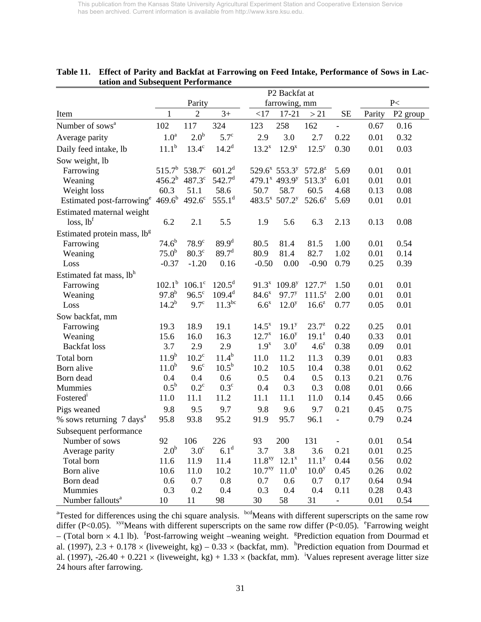|                                              | P2 Backfat at     |                  |                    |                    |                                       |                   |                |        |                      |
|----------------------------------------------|-------------------|------------------|--------------------|--------------------|---------------------------------------|-------------------|----------------|--------|----------------------|
|                                              |                   | Parity           |                    |                    | farrowing, mm                         |                   |                | P<     |                      |
| Item                                         | $\mathbf{1}$      | $\overline{2}$   | $3+$               | <17                | $17 - 21$                             | >21               | <b>SE</b>      | Parity | P <sub>2</sub> group |
| Number of sows <sup>a</sup>                  | 102               | 117              | 324                | 123                | 258                                   | 162               |                | 0.67   | 0.16                 |
| Average parity                               | 1.0 <sup>a</sup>  | 2.0 <sup>b</sup> | $5.7^\circ$        | 2.9                | 3.0                                   | 2.7               | 0.22           | 0.01   | 0.32                 |
| Daily feed intake, lb                        | $11.1^{b}$        | $13.4^\circ$     | $14.2^d$           | $13.2^{x}$         | $12.9^{x}$                            | $12.5^{y}$        | 0.30           | 0.01   | 0.03                 |
| Sow weight, lb                               |                   |                  |                    |                    |                                       |                   |                |        |                      |
| Farrowing                                    | $515.7^{b}$       | $538.7^{\circ}$  | $601.2^d$          |                    | $529.6^x$ 553.3 <sup>y</sup>          | $572.8^z$         | 5.69           | 0.01   | 0.01                 |
| Weaning                                      | $456.2^{b}$       | 487.3°           | 542.7 <sup>d</sup> |                    | 479.1 <sup>x</sup> 493.9 <sup>y</sup> | $513.3^z$         | 6.01           | 0.01   | 0.01                 |
| Weight loss                                  | 60.3              | 51.1             | 58.6               | 50.7               | 58.7                                  | 60.5              | 4.68           | 0.13   | 0.08                 |
| Estimated post-farrowing <sup>e</sup>        | $469.6^{b}$       | $492.6^{\circ}$  | $555.1^d$          |                    | 483.5 <sup>x</sup> 507.2 <sup>y</sup> | $526.6^z$         | 5.69           | 0.01   | 0.01                 |
| Estimated maternal weight                    |                   |                  |                    |                    |                                       |                   |                |        |                      |
| loss, lb <sup>f</sup>                        | 6.2               | 2.1              | 5.5                | 1.9                | 5.6                                   | 6.3               | 2.13           | 0.13   | 0.08                 |
| Estimated protein mass, lb <sup>g</sup>      |                   |                  |                    |                    |                                       |                   |                |        |                      |
| Farrowing                                    | $74.6^{b}$        | $78.9^\circ$     | $89.9^{d}$         | 80.5               | 81.4                                  | 81.5              | 1.00           | 0.01   | 0.54                 |
| Weaning                                      | $75.0^{b}$        | $80.3^\circ$     | 89.7 <sup>d</sup>  | 80.9               | 81.4                                  | 82.7              | 1.02           | 0.01   | 0.14                 |
| Loss                                         | $-0.37$           | $-1.20$          | 0.16               | $-0.50$            | 0.00                                  | $-0.90$           | 0.79           | 0.25   | 0.39                 |
| Estimated fat mass, lbh                      |                   |                  |                    |                    |                                       |                   |                |        |                      |
| Farrowing                                    | $102.1^{\rm b}$   | $106.1^\circ$    | $120.5^d$          | $91.3^{x}$         | $109.8^{y}$                           | $127.7^{z}$       | 1.50           | 0.01   | 0.01                 |
| Weaning                                      | $97.8^{b}$        | $96.5^{\circ}$   | $109.4^d$          | $84.6^{x}$         | $97.7^{y}$                            | $111.5^z$         | 2.00           | 0.01   | 0.01                 |
| Loss                                         | $14.2^{b}$        | $9.7^\circ$      | $11.3^{bc}$        | $6.6^x$            | $12.0^{y}$                            | $16.6^z$          | 0.77           | 0.05   | 0.01                 |
| Sow backfat, mm                              |                   |                  |                    |                    |                                       |                   |                |        |                      |
| Farrowing                                    | 19.3              | 18.9             | 19.1               | $14.5^{x}$         | 19.1 <sup>y</sup>                     | $23.7^{z}$        | 0.22           | 0.25   | 0.01                 |
| Weaning                                      | 15.6              | 16.0             | 16.3               | $12.7^{x}$         | $16.0^{y}$                            | $19.1^z$          | 0.40           | 0.33   | 0.01                 |
| <b>Backfat</b> loss                          | 3.7               | 2.9              | 2.9                | 1.9 <sup>x</sup>   | 3.0 <sup>y</sup>                      | $4.6^z$           | 0.38           | 0.09   | 0.01                 |
| Total born                                   | 11.9 <sup>b</sup> | $10.2^{\circ}$   | $11.4^{b}$         | 11.0               | 11.2                                  | 11.3              | 0.39           | 0.01   | 0.83                 |
| Born alive                                   | 11.0 <sup>b</sup> | $9.6^{\circ}$    | $10.5^{\rm b}$     | 10.2               | 10.5                                  | 10.4              | 0.38           | 0.01   | 0.62                 |
| Born dead                                    | 0.4               | 0.4              | 0.6                | 0.5                | 0.4                                   | 0.5               | 0.13           | 0.21   | 0.76                 |
| Mummies                                      | $0.5^{\rm b}$     | $0.2^{\circ}$    | $0.3^\circ$        | 0.4                | 0.3                                   | 0.3               | 0.08           | 0.01   | 0.66                 |
| Fostered <sup>1</sup>                        | 11.0              | 11.1             | 11.2               | 11.1               | 11.1                                  | 11.0              | 0.14           | 0.45   | 0.66                 |
| Pigs weaned                                  | 9.8               | 9.5              | 9.7                | 9.8                | 9.6                                   | 9.7               | 0.21           | 0.45   | 0.75                 |
| % sows returning $7 \text{ days}^{\text{a}}$ | 95.8              | 93.8             | 95.2               | 91.9               | 95.7                                  | 96.1              |                | 0.79   | 0.24                 |
| Subsequent performance                       |                   |                  |                    |                    |                                       |                   |                |        |                      |
| Number of sows                               | 92                | 106              | 226                | 93                 | 200                                   | 131               | $\overline{a}$ | 0.01   | 0.54                 |
| Average parity                               | 2.0 <sup>b</sup>  | $3.0^\circ$      | 6.1 <sup>d</sup>   | 3.7                | 3.8                                   | 3.6               | 0.21           | 0.01   | 0.25                 |
| Total born                                   | 11.6              | 11.9             | 11.4               | 11.8 <sup>xy</sup> | $12.1^x$                              | 11.1 <sup>y</sup> | 0.44           | 0.56   | 0.02                 |
| Born alive                                   | 10.6              | 11.0             | 10.2               | 10.7 <sup>xy</sup> | $11.0^x$                              | 10.0 <sup>y</sup> | 0.45           | 0.26   | 0.02                 |
| Born dead                                    | 0.6               | 0.7              | 0.8                | 0.7                | 0.6                                   | 0.7               | 0.17           | 0.64   | 0.94                 |
| Mummies                                      | 0.3               | 0.2              | 0.4                | 0.3                | 0.4                                   | 0.4               | 0.11           | 0.28   | 0.43                 |
| Number fallouts <sup>a</sup>                 | 10                | 11               | 98                 | 30                 | 58                                    | 31                |                | 0.01   | 0.54                 |

| Table 11. Effect of Parity and Backfat at Farrowing on Feed Intake, Performance of Sows in Lac- |
|-------------------------------------------------------------------------------------------------|
| tation and Subsequent Performance                                                               |

<sup>a</sup>Tested for differences using the chi square analysis. <sup>bcd</sup>Means with different superscripts on the same row differ (P<0.05). <sup>xyz</sup>Means with different superscripts on the same row differ (P<0.05). <sup>e</sup>Farrowing weight – (Total born  $\times$  4.1 lb). <sup>f</sup>Post-farrowing weight –weaning weight. <sup>g</sup>Prediction equation from Dourmad et al. (1997), 2.3 + 0.178  $\times$  (liveweight, kg) – 0.33  $\times$  (backfat, mm). <sup>h</sup>Prediction equation from Dourmad et al. (1997), -26.40 + 0.221  $\times$  (liveweight, kg) + 1.33  $\times$  (backfat, mm). <sup>i</sup>Values represent average litter size 24 hours after farrowing.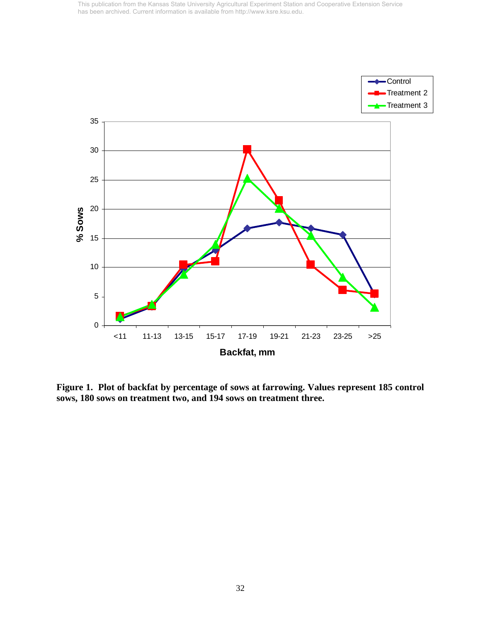

**Figure 1. Plot of backfat by percentage of sows at farrowing. Values represent 185 control sows, 180 sows on treatment two, and 194 sows on treatment three.**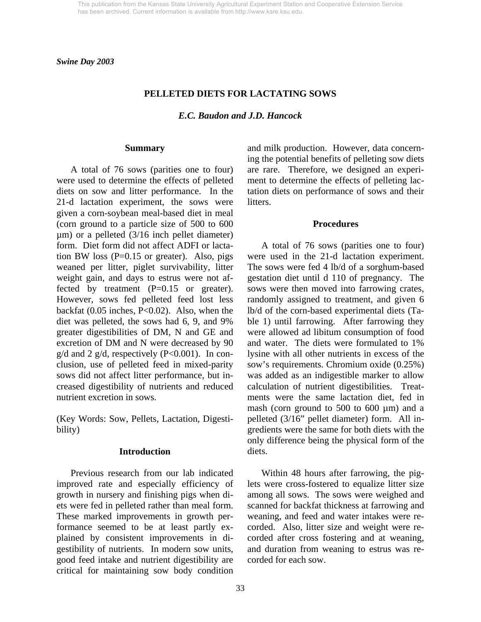*Swine Day 2003* 

## **PELLETED DIETS FOR LACTATING SOWS**

*E.C. Baudon and J.D. Hancock* 

#### **Summary**

 A total of 76 sows (parities one to four) were used to determine the effects of pelleted diets on sow and litter performance. In the 21-d lactation experiment, the sows were given a corn-soybean meal-based diet in meal (corn ground to a particle size of 500 to 600 µm) or a pelleted (3/16 inch pellet diameter) form. Diet form did not affect ADFI or lactation BW loss  $(P=0.15$  or greater). Also, pigs weaned per litter, piglet survivability, litter weight gain, and days to estrus were not affected by treatment  $(P=0.15$  or greater). However, sows fed pelleted feed lost less backfat (0.05 inches, P<0.02). Also, when the diet was pelleted, the sows had 6, 9, and 9% greater digestibilities of DM, N and GE and excretion of DM and N were decreased by 90  $g/d$  and 2  $g/d$ , respectively (P<0.001). In conclusion, use of pelleted feed in mixed-parity sows did not affect litter performance, but increased digestibility of nutrients and reduced nutrient excretion in sows.

(Key Words: Sow, Pellets, Lactation, Digestibility)

#### **Introduction**

 Previous research from our lab indicated improved rate and especially efficiency of growth in nursery and finishing pigs when diets were fed in pelleted rather than meal form. These marked improvements in growth performance seemed to be at least partly explained by consistent improvements in digestibility of nutrients. In modern sow units, good feed intake and nutrient digestibility are critical for maintaining sow body condition

and milk production. However, data concerning the potential benefits of pelleting sow diets are rare. Therefore, we designed an experiment to determine the effects of pelleting lactation diets on performance of sows and their litters.

#### **Procedures**

 A total of 76 sows (parities one to four) were used in the 21-d lactation experiment. The sows were fed 4 lb/d of a sorghum-based gestation diet until d 110 of pregnancy. The sows were then moved into farrowing crates, randomly assigned to treatment, and given 6 lb/d of the corn-based experimental diets (Table 1) until farrowing. After farrowing they were allowed ad libitum consumption of food and water. The diets were formulated to 1% lysine with all other nutrients in excess of the sow's requirements. Chromium oxide (0.25%) was added as an indigestible marker to allow calculation of nutrient digestibilities. Treatments were the same lactation diet, fed in mash (corn ground to 500 to 600  $\mu$ m) and a pelleted (3/16" pellet diameter) form. All ingredients were the same for both diets with the only difference being the physical form of the diets.

 Within 48 hours after farrowing, the piglets were cross-fostered to equalize litter size among all sows. The sows were weighed and scanned for backfat thickness at farrowing and weaning, and feed and water intakes were recorded. Also, litter size and weight were recorded after cross fostering and at weaning, and duration from weaning to estrus was recorded for each sow.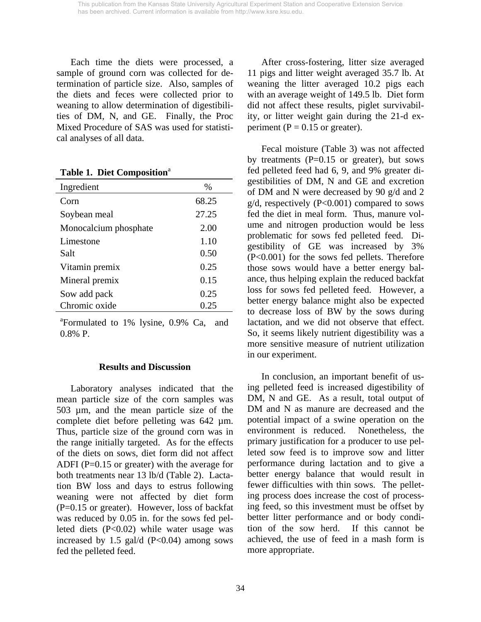Each time the diets were processed, a sample of ground corn was collected for determination of particle size. Also, samples of the diets and feces were collected prior to weaning to allow determination of digestibilities of DM, N, and GE. Finally, the Proc Mixed Procedure of SAS was used for statistical analyses of all data.

**Table 1. Diet Composition**<sup>a</sup>

| Ingredient            | $\%$  |
|-----------------------|-------|
| Corn                  | 68.25 |
| Soybean meal          | 27.25 |
| Monocalcium phosphate | 2.00  |
| Limestone             | 1.10  |
| Salt                  | 0.50  |
| Vitamin premix        | 0.25  |
| Mineral premix        | 0.15  |
| Sow add pack          | 0.25  |
| Chromic oxide         | 0.25  |

<sup>a</sup>Formulated to 1% lysine, 0.9% Ca, and 0.8% P.

#### **Results and Discussion**

 Laboratory analyses indicated that the mean particle size of the corn samples was 503 µm, and the mean particle size of the complete diet before pelleting was 642 µm. Thus, particle size of the ground corn was in the range initially targeted. As for the effects of the diets on sows, diet form did not affect ADFI (P=0.15 or greater) with the average for both treatments near 13 lb/d (Table 2). Lactation BW loss and days to estrus following weaning were not affected by diet form (P=0.15 or greater). However, loss of backfat was reduced by 0.05 in. for the sows fed pelleted diets (P<0.02) while water usage was increased by 1.5 gal/d  $(P<0.04)$  among sows fed the pelleted feed.

 After cross-fostering, litter size averaged 11 pigs and litter weight averaged 35.7 lb. At weaning the litter averaged 10.2 pigs each with an average weight of 149.5 lb. Diet form did not affect these results, piglet survivability, or litter weight gain during the 21-d experiment ( $P = 0.15$  or greater).

 Fecal moisture (Table 3) was not affected by treatments  $(P=0.15$  or greater), but sows fed pelleted feed had 6, 9, and 9% greater digestibilities of DM, N and GE and excretion of DM and N were decreased by 90 g/d and 2  $g/d$ , respectively (P<0.001) compared to sows fed the diet in meal form. Thus, manure volume and nitrogen production would be less problematic for sows fed pelleted feed. Digestibility of GE was increased by 3% (P<0.001) for the sows fed pellets. Therefore those sows would have a better energy balance, thus helping explain the reduced backfat loss for sows fed pelleted feed. However, a better energy balance might also be expected to decrease loss of BW by the sows during lactation, and we did not observe that effect. So, it seems likely nutrient digestibility was a more sensitive measure of nutrient utilization in our experiment.

 In conclusion, an important benefit of using pelleted feed is increased digestibility of DM, N and GE. As a result, total output of DM and N as manure are decreased and the potential impact of a swine operation on the environment is reduced. Nonetheless, the primary justification for a producer to use pelleted sow feed is to improve sow and litter performance during lactation and to give a better energy balance that would result in fewer difficulties with thin sows. The pelleting process does increase the cost of processing feed, so this investment must be offset by better litter performance and or body condition of the sow herd. If this cannot be achieved, the use of feed in a mash form is more appropriate.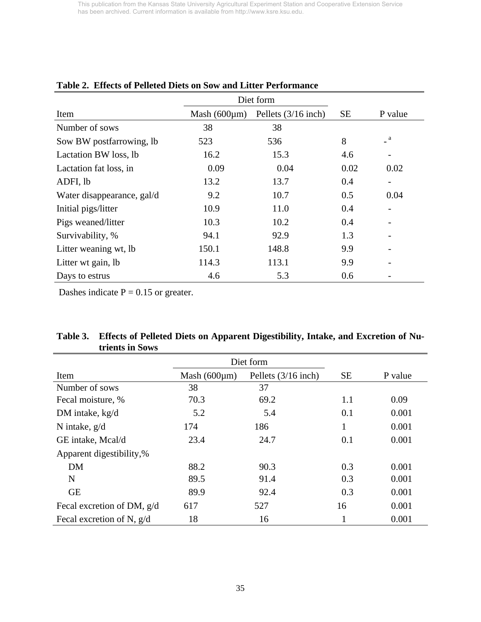|                            |                    | Diet form           |           |                          |
|----------------------------|--------------------|---------------------|-----------|--------------------------|
| Item                       | Mash $(600 \mu m)$ | Pellets (3/16 inch) | <b>SE</b> | P value                  |
| Number of sows             | 38                 | 38                  |           |                          |
| Sow BW postfarrowing, lb   | 523                | 536                 | 8         | a                        |
| Lactation BW loss, lb      | 16.2               | 15.3                | 4.6       | $\overline{\phantom{0}}$ |
| Lactation fat loss, in     | 0.09               | 0.04                | 0.02      | 0.02                     |
| ADFI, lb                   | 13.2               | 13.7                | 0.4       | $\overline{\phantom{a}}$ |
| Water disappearance, gal/d | 9.2                | 10.7                | 0.5       | 0.04                     |
| Initial pigs/litter        | 10.9               | 11.0                | 0.4       | $\overline{\phantom{0}}$ |
| Pigs weaned/litter         | 10.3               | 10.2                | 0.4       |                          |
| Survivability, %           | 94.1               | 92.9                | 1.3       |                          |
| Litter weaning wt, lb      | 150.1              | 148.8               | 9.9       |                          |
| Litter wt gain, lb         | 114.3              | 113.1               | 9.9       |                          |
| Days to estrus             | 4.6                | 5.3                 | 0.6       |                          |

# **Table 2. Effects of Pelleted Diets on Sow and Litter Performance**

Dashes indicate  $P = 0.15$  or greater.

| trients in Sows             |                    |                       |           |         |
|-----------------------------|--------------------|-----------------------|-----------|---------|
|                             |                    | Diet form             |           |         |
| Item                        | Mash $(600 \mu m)$ | Pellets $(3/16$ inch) | <b>SE</b> | P value |
| Number of sows              | 38                 | 37                    |           |         |
| Fecal moisture, %           | 70.3               | 69.2                  | 1.1       | 0.09    |
| DM intake, kg/d             | 5.2                | 5.4                   | 0.1       | 0.001   |
| N intake, $g/d$             | 174                | 186                   | 1         | 0.001   |
| GE intake, Mcal/d           | 23.4               | 24.7                  | 0.1       | 0.001   |
| Apparent digestibility,%    |                    |                       |           |         |
| <b>DM</b>                   | 88.2               | 90.3                  | 0.3       | 0.001   |
| $\mathbf N$                 | 89.5               | 91.4                  | 0.3       | 0.001   |
| <b>GE</b>                   | 89.9               | 92.4                  | 0.3       | 0.001   |
| Fecal excretion of DM, g/d  | 617                | 527                   | 16        | 0.001   |
| Fecal excretion of N, $g/d$ | 18                 | 16                    |           | 0.001   |

| Table 3. Effects of Pelleted Diets on Apparent Digestibility, Intake, and Excretion of Nu- |
|--------------------------------------------------------------------------------------------|
| trients in Sows                                                                            |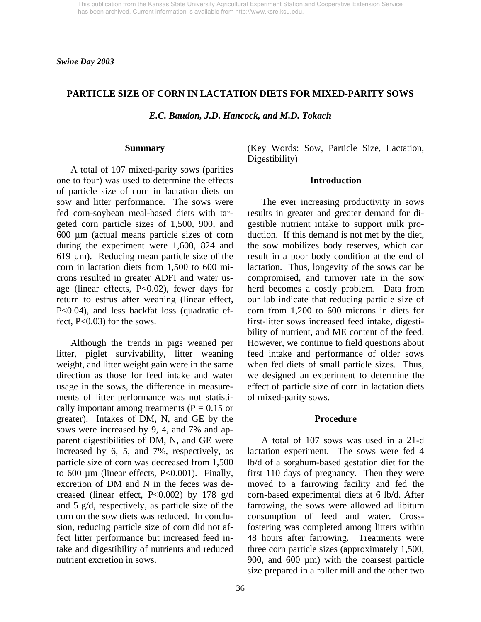*Swine Day 2003* 

## **PARTICLE SIZE OF CORN IN LACTATION DIETS FOR MIXED-PARITY SOWS**

*E.C. Baudon, J.D. Hancock, and M.D. Tokach* 

#### **Summary**

 A total of 107 mixed-parity sows (parities one to four) was used to determine the effects of particle size of corn in lactation diets on sow and litter performance. The sows were fed corn-soybean meal-based diets with targeted corn particle sizes of 1,500, 900, and 600 µm (actual means particle sizes of corn during the experiment were 1,600, 824 and 619 µm). Reducing mean particle size of the corn in lactation diets from 1,500 to 600 microns resulted in greater ADFI and water usage (linear effects, P<0.02), fewer days for return to estrus after weaning (linear effect, P<0.04), and less backfat loss (quadratic effect, P<0.03) for the sows.

 Although the trends in pigs weaned per litter, piglet survivability, litter weaning weight, and litter weight gain were in the same direction as those for feed intake and water usage in the sows, the difference in measurements of litter performance was not statistically important among treatments ( $P = 0.15$  or greater). Intakes of DM, N, and GE by the sows were increased by 9, 4, and 7% and apparent digestibilities of DM, N, and GE were increased by 6, 5, and 7%, respectively, as particle size of corn was decreased from 1,500 to 600 µm (linear effects, P<0.001). Finally, excretion of DM and N in the feces was decreased (linear effect, P<0.002) by 178 g/d and 5 g/d, respectively, as particle size of the corn on the sow diets was reduced. In conclusion, reducing particle size of corn did not affect litter performance but increased feed intake and digestibility of nutrients and reduced nutrient excretion in sows.

(Key Words: Sow, Particle Size, Lactation, Digestibility)

#### **Introduction**

 The ever increasing productivity in sows results in greater and greater demand for digestible nutrient intake to support milk production. If this demand is not met by the diet, the sow mobilizes body reserves, which can result in a poor body condition at the end of lactation. Thus, longevity of the sows can be compromised, and turnover rate in the sow herd becomes a costly problem. Data from our lab indicate that reducing particle size of corn from 1,200 to 600 microns in diets for first-litter sows increased feed intake, digestibility of nutrient, and ME content of the feed. However, we continue to field questions about feed intake and performance of older sows when fed diets of small particle sizes. Thus, we designed an experiment to determine the effect of particle size of corn in lactation diets of mixed-parity sows.

#### **Procedure**

 A total of 107 sows was used in a 21-d lactation experiment. The sows were fed 4 lb/d of a sorghum-based gestation diet for the first 110 days of pregnancy. Then they were moved to a farrowing facility and fed the corn-based experimental diets at 6 lb/d. After farrowing, the sows were allowed ad libitum consumption of feed and water. Crossfostering was completed among litters within 48 hours after farrowing. Treatments were three corn particle sizes (approximately 1,500, 900, and 600 µm) with the coarsest particle size prepared in a roller mill and the other two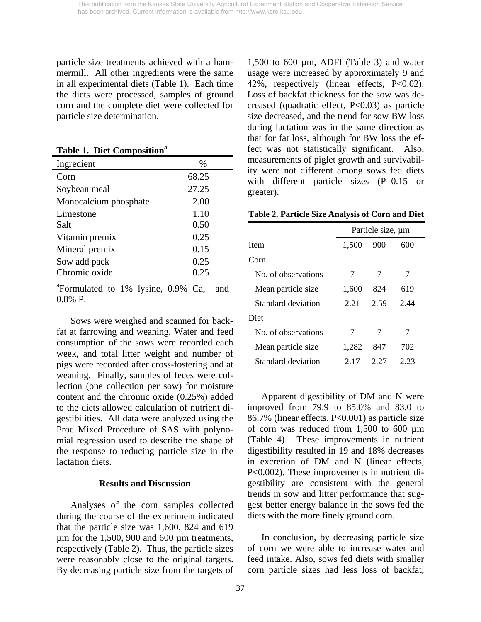particle size treatments achieved with a hammermill. All other ingredients were the same in all experimental diets (Table 1). Each time the diets were processed, samples of ground corn and the complete diet were collected for particle size determination.

**Table 1. Diet Composition<sup>a</sup>** 

| Ingredient            | $\%$  |
|-----------------------|-------|
| Corn                  | 68.25 |
| Soybean meal          | 27.25 |
| Monocalcium phosphate | 2.00  |
| Limestone             | 1.10  |
| Salt                  | 0.50  |
| Vitamin premix        | 0.25  |
| Mineral premix        | 0.15  |
| Sow add pack          | 0.25  |
| Chromic oxide         | 0.25  |

<sup>a</sup>Formulated to 1% lysine, 0.9% Ca, and 0.8% P.

 Sows were weighed and scanned for backfat at farrowing and weaning. Water and feed consumption of the sows were recorded each week, and total litter weight and number of pigs were recorded after cross-fostering and at weaning. Finally, samples of feces were collection (one collection per sow) for moisture content and the chromic oxide (0.25%) added to the diets allowed calculation of nutrient digestibilities. All data were analyzed using the Proc Mixed Procedure of SAS with polynomial regression used to describe the shape of the response to reducing particle size in the lactation diets.

#### **Results and Discussion**

 Analyses of the corn samples collected during the course of the experiment indicated that the particle size was 1,600, 824 and 619 µm for the 1,500, 900 and 600 µm treatments, respectively (Table 2). Thus, the particle sizes were reasonably close to the original targets. By decreasing particle size from the targets of

1,500 to 600 µm, ADFI (Table 3) and water usage were increased by approximately 9 and 42%, respectively (linear effects, P<0.02). Loss of backfat thickness for the sow was decreased (quadratic effect, P<0.03) as particle size decreased, and the trend for sow BW loss during lactation was in the same direction as that for fat loss, although for BW loss the effect was not statistically significant. Also, measurements of piglet growth and survivability were not different among sows fed diets with different particle sizes (P=0.15 or greater).

**Table 2. Particle Size Analysis of Corn and Diet**

|                     | Particle size, um |      |      |  |  |
|---------------------|-------------------|------|------|--|--|
| Item                | 1,500             | 900  | 600  |  |  |
| Corn                |                   |      |      |  |  |
| No. of observations | 7                 | 7    |      |  |  |
| Mean particle size  | 1,600             | 824  | 619  |  |  |
| Standard deviation  | 2.21              | 2.59 | 2.44 |  |  |
| Diet                |                   |      |      |  |  |
| No. of observations | 7                 | 7    |      |  |  |
| Mean particle size  | 1,282             | 847  | 702  |  |  |
| Standard deviation  | 2. 17             | 2 27 | 2.23 |  |  |

 Apparent digestibility of DM and N were improved from 79.9 to 85.0% and 83.0 to 86.7% (linear effects. P<0.001) as particle size of corn was reduced from 1,500 to 600 µm (Table 4). These improvements in nutrient digestibility resulted in 19 and 18% decreases in excretion of DM and N (linear effects, P<0.002). These improvements in nutrient digestibility are consistent with the general trends in sow and litter performance that suggest better energy balance in the sows fed the diets with the more finely ground corn.

 In conclusion, by decreasing particle size of corn we were able to increase water and feed intake. Also, sows fed diets with smaller corn particle sizes had less loss of backfat,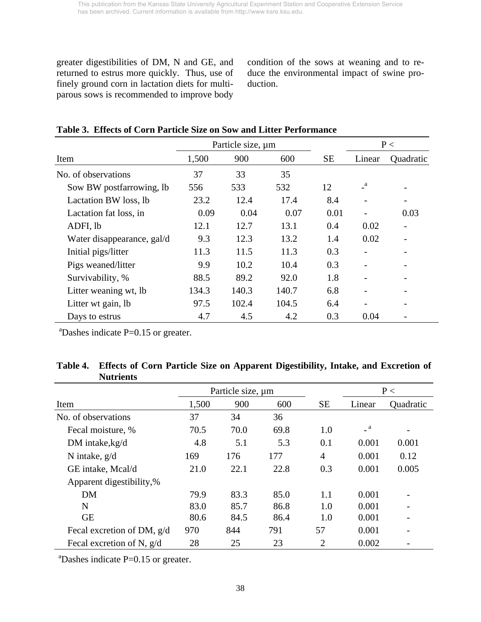greater digestibilities of DM, N and GE, and returned to estrus more quickly. Thus, use of finely ground corn in lactation diets for multiparous sows is recommended to improve body

condition of the sows at weaning and to reduce the environmental impact of swine production.

|                            | Particle size, um |       |       | P<        |              |           |
|----------------------------|-------------------|-------|-------|-----------|--------------|-----------|
| Item                       | 1,500             | 900   | 600   | <b>SE</b> | Linear       | Quadratic |
| No. of observations        | 37                | 33    | 35    |           |              |           |
| Sow BW postfarrowing, lb   | 556               | 533   | 532   | 12        | $\mathbf{a}$ |           |
| Lactation BW loss, lb      | 23.2              | 12.4  | 17.4  | 8.4       |              |           |
| Lactation fat loss, in     | 0.09              | 0.04  | 0.07  | 0.01      |              | 0.03      |
| ADFI, lb                   | 12.1              | 12.7  | 13.1  | 0.4       | 0.02         |           |
| Water disappearance, gal/d | 9.3               | 12.3  | 13.2  | 1.4       | 0.02         |           |
| Initial pigs/litter        | 11.3              | 11.5  | 11.3  | 0.3       |              |           |
| Pigs weaned/litter         | 9.9               | 10.2  | 10.4  | 0.3       |              |           |
| Survivability, %           | 88.5              | 89.2  | 92.0  | 1.8       |              |           |
| Litter weaning wt, lb      | 134.3             | 140.3 | 140.7 | 6.8       |              |           |
| Litter wt gain, lb         | 97.5              | 102.4 | 104.5 | 6.4       |              |           |
| Days to estrus             | 4.7               | 4.5   | 4.2   | 0.3       | 0.04         |           |

# **Table 3. Effects of Corn Particle Size on Sow and Litter Performance**

 $a^2$ Dashes indicate P=0.15 or greater.

| Table 4. Effects of Corn Particle Size on Apparent Digestibility, Intake, and Excretion of |
|--------------------------------------------------------------------------------------------|
| <b>Nutrients</b>                                                                           |

|                              | Particle size, um |      |      |                |                | P<                       |
|------------------------------|-------------------|------|------|----------------|----------------|--------------------------|
| Item                         | 1,500             | 900  | 600  | <b>SE</b>      | Linear         | Quadratic                |
| No. of observations          | 37                | 34   | 36   |                |                |                          |
| Fecal moisture, %            | 70.5              | 70.0 | 69.8 | 1.0            | $\overline{a}$ | $\overline{\phantom{a}}$ |
| DM intake, kg/d              | 4.8               | 5.1  | 5.3  | 0.1            | 0.001          | 0.001                    |
| N intake, $g/d$              | 169               | 176  | 177  | $\overline{4}$ | 0.001          | 0.12                     |
| GE intake, Mcal/d            | 21.0              | 22.1 | 22.8 | 0.3            | 0.001          | 0.005                    |
| Apparent digestibility,%     |                   |      |      |                |                |                          |
| <b>DM</b>                    | 79.9              | 83.3 | 85.0 | 1.1            | 0.001          |                          |
| N                            | 83.0              | 85.7 | 86.8 | 1.0            | 0.001          |                          |
| <b>GE</b>                    | 80.6              | 84.5 | 86.4 | 1.0            | 0.001          |                          |
| Fecal excretion of DM, $g/d$ | 970               | 844  | 791  | 57             | 0.001          | $\overline{\phantom{a}}$ |
| Fecal excretion of N, $g/d$  | 28                | 25   | 23   | $\overline{2}$ | 0.002          |                          |

 $a^2$ Dashes indicate P=0.15 or greater.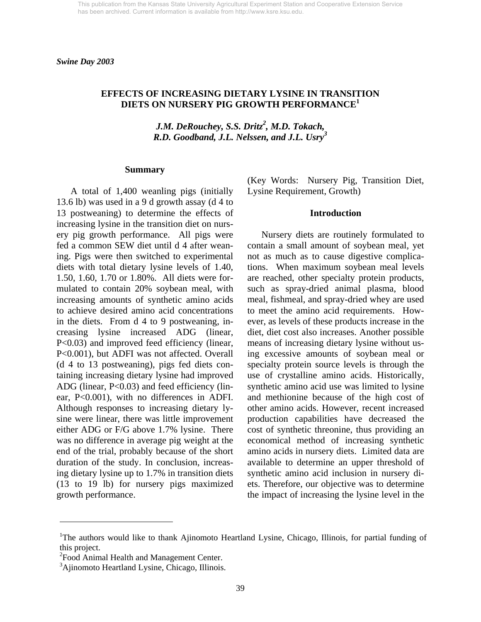*Swine Day 2003* 

## **EFFECTS OF INCREASING DIETARY LYSINE IN TRANSITION DIETS ON NURSERY PIG GROWTH PERFORMANCE1**

*J.M. DeRouchey, S.S. Dritz<sup>2</sup>, M.D. Tokach, R.D. Goodband, J.L. Nelssen, and J.L. Usry<sup>3</sup>*

#### **Summary**

 A total of 1,400 weanling pigs (initially 13.6 lb) was used in a 9 d growth assay (d 4 to 13 postweaning) to determine the effects of increasing lysine in the transition diet on nursery pig growth performance. All pigs were fed a common SEW diet until d 4 after weaning. Pigs were then switched to experimental diets with total dietary lysine levels of 1.40, 1.50, 1.60, 1.70 or 1.80%. All diets were formulated to contain 20% soybean meal, with increasing amounts of synthetic amino acids to achieve desired amino acid concentrations in the diets. From d 4 to 9 postweaning, increasing lysine increased ADG (linear, P<0.03) and improved feed efficiency (linear, P<0.001), but ADFI was not affected. Overall (d 4 to 13 postweaning), pigs fed diets containing increasing dietary lysine had improved ADG (linear, P<0.03) and feed efficiency (linear, P<0.001), with no differences in ADFI. Although responses to increasing dietary lysine were linear, there was little improvement either ADG or F/G above 1.7% lysine. There was no difference in average pig weight at the end of the trial, probably because of the short duration of the study. In conclusion, increasing dietary lysine up to 1.7% in transition diets (13 to 19 lb) for nursery pigs maximized growth performance.

(Key Words: Nursery Pig, Transition Diet, Lysine Requirement, Growth)

#### **Introduction**

 Nursery diets are routinely formulated to contain a small amount of soybean meal, yet not as much as to cause digestive complications. When maximum soybean meal levels are reached, other specialty protein products, such as spray-dried animal plasma, blood meal, fishmeal, and spray-dried whey are used to meet the amino acid requirements. However, as levels of these products increase in the diet, diet cost also increases. Another possible means of increasing dietary lysine without using excessive amounts of soybean meal or specialty protein source levels is through the use of crystalline amino acids. Historically, synthetic amino acid use was limited to lysine and methionine because of the high cost of other amino acids. However, recent increased production capabilities have decreased the cost of synthetic threonine, thus providing an economical method of increasing synthetic amino acids in nursery diets. Limited data are available to determine an upper threshold of synthetic amino acid inclusion in nursery diets. Therefore, our objective was to determine the impact of increasing the lysine level in the

 $\overline{a}$ 

<sup>&</sup>lt;sup>1</sup>The authors would like to thank Ajinomoto Heartland Lysine, Chicago, Illinois, for partial funding of this project.

<sup>&</sup>lt;sup>2</sup> Food Animal Health and Management Center.

<sup>&</sup>lt;sup>3</sup>Ajinomoto Heartland Lysine, Chicago, Illinois.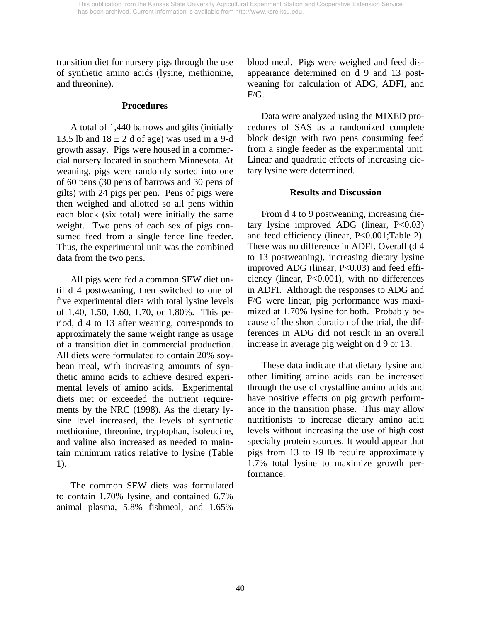transition diet for nursery pigs through the use of synthetic amino acids (lysine, methionine, and threonine).

#### **Procedures**

 A total of 1,440 barrows and gilts (initially 13.5 lb and  $18 \pm 2$  d of age) was used in a 9-d growth assay. Pigs were housed in a commercial nursery located in southern Minnesota. At weaning, pigs were randomly sorted into one of 60 pens (30 pens of barrows and 30 pens of gilts) with 24 pigs per pen. Pens of pigs were then weighed and allotted so all pens within each block (six total) were initially the same weight. Two pens of each sex of pigs consumed feed from a single fence line feeder. Thus, the experimental unit was the combined data from the two pens.

 All pigs were fed a common SEW diet until d 4 postweaning, then switched to one of five experimental diets with total lysine levels of 1.40, 1.50, 1.60, 1.70, or 1.80%. This period, d 4 to 13 after weaning, corresponds to approximately the same weight range as usage of a transition diet in commercial production. All diets were formulated to contain 20% soybean meal, with increasing amounts of synthetic amino acids to achieve desired experimental levels of amino acids. Experimental diets met or exceeded the nutrient requirements by the NRC (1998). As the dietary lysine level increased, the levels of synthetic methionine, threonine, tryptophan, isoleucine, and valine also increased as needed to maintain minimum ratios relative to lysine (Table 1).

 The common SEW diets was formulated to contain 1.70% lysine, and contained 6.7% animal plasma, 5.8% fishmeal, and 1.65% blood meal. Pigs were weighed and feed disappearance determined on d 9 and 13 postweaning for calculation of ADG, ADFI, and F/G.

 Data were analyzed using the MIXED procedures of SAS as a randomized complete block design with two pens consuming feed from a single feeder as the experimental unit. Linear and quadratic effects of increasing dietary lysine were determined.

## **Results and Discussion**

 From d 4 to 9 postweaning, increasing dietary lysine improved ADG (linear,  $P<0.03$ ) and feed efficiency (linear, P<0.001;Table 2). There was no difference in ADFI. Overall (d 4 to 13 postweaning), increasing dietary lysine improved ADG (linear, P<0.03) and feed efficiency (linear, P<0.001), with no differences in ADFI. Although the responses to ADG and F/G were linear, pig performance was maximized at 1.70% lysine for both. Probably because of the short duration of the trial, the differences in ADG did not result in an overall increase in average pig weight on d 9 or 13.

 These data indicate that dietary lysine and other limiting amino acids can be increased through the use of crystalline amino acids and have positive effects on pig growth performance in the transition phase. This may allow nutritionists to increase dietary amino acid levels without increasing the use of high cost specialty protein sources. It would appear that pigs from 13 to 19 lb require approximately 1.7% total lysine to maximize growth performance.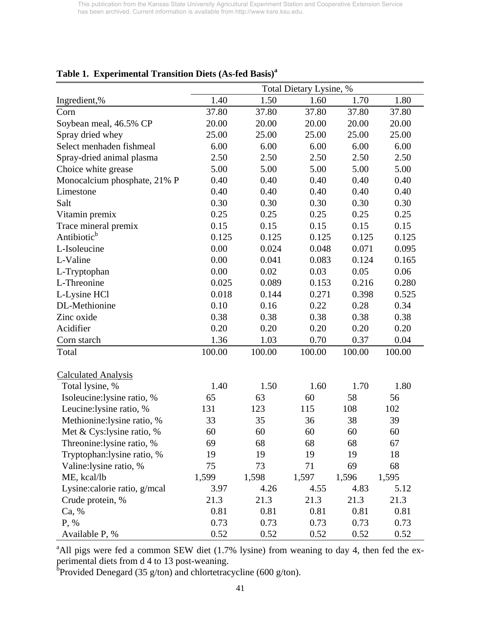|                              | Total Dietary Lysine, % |        |        |        |        |  |  |  |  |
|------------------------------|-------------------------|--------|--------|--------|--------|--|--|--|--|
| Ingredient,%                 | 1.40                    | 1.50   | 1.60   | 1.70   | 1.80   |  |  |  |  |
| Corn                         | 37.80                   | 37.80  | 37.80  | 37.80  | 37.80  |  |  |  |  |
| Soybean meal, 46.5% CP       | 20.00                   | 20.00  | 20.00  | 20.00  | 20.00  |  |  |  |  |
| Spray dried whey             | 25.00                   | 25.00  | 25.00  | 25.00  | 25.00  |  |  |  |  |
| Select menhaden fishmeal     | 6.00                    | 6.00   | 6.00   | 6.00   | 6.00   |  |  |  |  |
| Spray-dried animal plasma    | 2.50                    | 2.50   | 2.50   | 2.50   | 2.50   |  |  |  |  |
| Choice white grease          | 5.00                    | 5.00   | 5.00   | 5.00   | 5.00   |  |  |  |  |
| Monocalcium phosphate, 21% P | 0.40                    | 0.40   | 0.40   | 0.40   | 0.40   |  |  |  |  |
| Limestone                    | 0.40                    | 0.40   | 0.40   | 0.40   | 0.40   |  |  |  |  |
| Salt                         | 0.30                    | 0.30   | 0.30   | 0.30   | 0.30   |  |  |  |  |
| Vitamin premix               | 0.25                    | 0.25   | 0.25   | 0.25   | 0.25   |  |  |  |  |
| Trace mineral premix         | 0.15                    | 0.15   | 0.15   | 0.15   | 0.15   |  |  |  |  |
| Antibiotic <sup>b</sup>      | 0.125                   | 0.125  | 0.125  | 0.125  | 0.125  |  |  |  |  |
| L-Isoleucine                 | 0.00                    | 0.024  | 0.048  | 0.071  | 0.095  |  |  |  |  |
| L-Valine                     | 0.00                    | 0.041  | 0.083  | 0.124  | 0.165  |  |  |  |  |
| L-Tryptophan                 | 0.00                    | 0.02   | 0.03   | 0.05   | 0.06   |  |  |  |  |
| L-Threonine                  | 0.025                   | 0.089  | 0.153  | 0.216  | 0.280  |  |  |  |  |
| L-Lysine HCl                 | 0.018                   | 0.144  | 0.271  | 0.398  | 0.525  |  |  |  |  |
| DL-Methionine                | 0.10                    | 0.16   | 0.22   | 0.28   | 0.34   |  |  |  |  |
| Zinc oxide                   | 0.38                    | 0.38   | 0.38   | 0.38   | 0.38   |  |  |  |  |
| Acidifier                    | 0.20                    | 0.20   | 0.20   | 0.20   | 0.20   |  |  |  |  |
| Corn starch                  | 1.36                    | 1.03   | 0.70   | 0.37   | 0.04   |  |  |  |  |
| Total                        | 100.00                  | 100.00 | 100.00 | 100.00 | 100.00 |  |  |  |  |
| <b>Calculated Analysis</b>   |                         |        |        |        |        |  |  |  |  |
| Total lysine, %              | 1.40                    | 1.50   | 1.60   | 1.70   | 1.80   |  |  |  |  |
| Isoleucine:lysine ratio, %   | 65                      | 63     | 60     | 58     | 56     |  |  |  |  |
| Leucine: lysine ratio, %     | 131                     | 123    | 115    | 108    | 102    |  |  |  |  |
| Methionine: lysine ratio, %  | 33                      | 35     | 36     | 38     | 39     |  |  |  |  |
| Met & Cys: lysine ratio, %   | 60                      | 60     | 60     | 60     | 60     |  |  |  |  |
| Threonine:lysine ratio, %    | 69                      | 68     | 68     | 68     | 67     |  |  |  |  |
| Tryptophan: lysine ratio, %  | 19                      | 19     | 19     | 19     | 18     |  |  |  |  |
| Valine:lysine ratio, %       | 75                      | 73     | 71     | 69     | 68     |  |  |  |  |
| ME, kcal/lb                  | 1,599                   | 1,598  | 1,597  | 1,596  | 1,595  |  |  |  |  |
| Lysine:calorie ratio, g/mcal | 3.97                    | 4.26   | 4.55   | 4.83   | 5.12   |  |  |  |  |
| Crude protein, %             | 21.3                    | 21.3   | 21.3   | 21.3   | 21.3   |  |  |  |  |
| Ca, %                        | 0.81                    | 0.81   | 0.81   | 0.81   | 0.81   |  |  |  |  |
| P, %                         | 0.73                    | 0.73   | 0.73   | 0.73   | 0.73   |  |  |  |  |
| Available P, %               | 0.52                    | 0.52   | 0.52   | 0.52   | 0.52   |  |  |  |  |

# **Table 1. Experimental Transition Diets (As-fed Basis)<sup>a</sup>**

<sup>a</sup>All pigs were fed a common SEW diet (1.7% lysine) from weaning to day 4, then fed the experimental diets from d 4 to 13 post-weaning.<br><sup>b</sup>Provided Denegard (35 g/ton) and chlortetracycline (600 g/ton).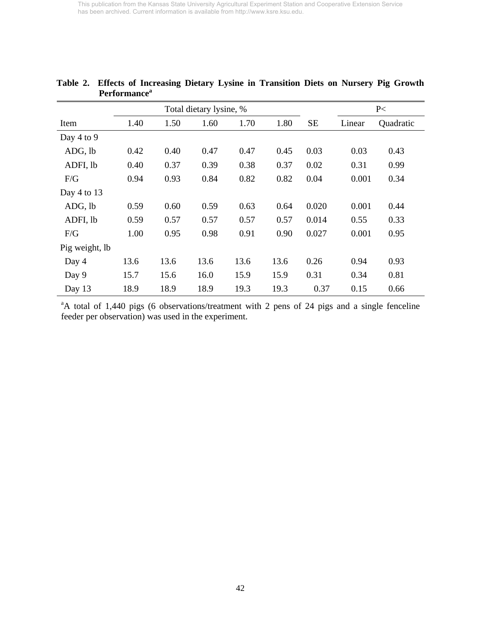|                | 1 UTTOI MANIU |      |                         |      |      |           |        |           |
|----------------|---------------|------|-------------------------|------|------|-----------|--------|-----------|
|                |               |      | Total dietary lysine, % |      |      |           |        | P<        |
| Item           | 1.40          | 1.50 | 1.60                    | 1.70 | 1.80 | <b>SE</b> | Linear | Quadratic |
| Day 4 to 9     |               |      |                         |      |      |           |        |           |
| ADG, lb        | 0.42          | 0.40 | 0.47                    | 0.47 | 0.45 | 0.03      | 0.03   | 0.43      |
| ADFI, lb       | 0.40          | 0.37 | 0.39                    | 0.38 | 0.37 | 0.02      | 0.31   | 0.99      |
| F/G            | 0.94          | 0.93 | 0.84                    | 0.82 | 0.82 | 0.04      | 0.001  | 0.34      |
| Day 4 to 13    |               |      |                         |      |      |           |        |           |
| ADG, lb        | 0.59          | 0.60 | 0.59                    | 0.63 | 0.64 | 0.020     | 0.001  | 0.44      |
| ADFI, lb       | 0.59          | 0.57 | 0.57                    | 0.57 | 0.57 | 0.014     | 0.55   | 0.33      |
| F/G            | 1.00          | 0.95 | 0.98                    | 0.91 | 0.90 | 0.027     | 0.001  | 0.95      |
| Pig weight, lb |               |      |                         |      |      |           |        |           |
| Day 4          | 13.6          | 13.6 | 13.6                    | 13.6 | 13.6 | 0.26      | 0.94   | 0.93      |
| Day 9          | 15.7          | 15.6 | 16.0                    | 15.9 | 15.9 | 0.31      | 0.34   | 0.81      |
| Day 13         | 18.9          | 18.9 | 18.9                    | 19.3 | 19.3 | 0.37      | 0.15   | 0.66      |

## **Table 2. Effects of Increasing Dietary Lysine in Transition Diets on Nursery Pig Growth Performancea**

<sup>a</sup>A total of 1,440 pigs (6 observations/treatment with 2 pens of 24 pigs and a single fenceline feeder per observation) was used in the experiment.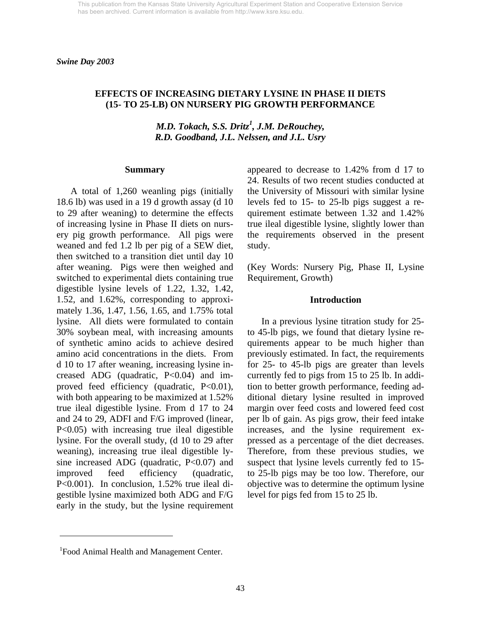*Swine Day 2003* 

## **EFFECTS OF INCREASING DIETARY LYSINE IN PHASE II DIETS (15- TO 25-LB) ON NURSERY PIG GROWTH PERFORMANCE**

*M.D. Tokach, S.S. Dritz<sup>1</sup>, J.M. DeRouchey, R.D. Goodband, J.L. Nelssen, and J.L. Usry* 

#### **Summary**

 A total of 1,260 weanling pigs (initially 18.6 lb) was used in a 19 d growth assay (d 10 to 29 after weaning) to determine the effects of increasing lysine in Phase II diets on nursery pig growth performance. All pigs were weaned and fed 1.2 lb per pig of a SEW diet, then switched to a transition diet until day 10 after weaning. Pigs were then weighed and switched to experimental diets containing true digestible lysine levels of 1.22, 1.32, 1.42, 1.52, and 1.62%, corresponding to approximately 1.36, 1.47, 1.56, 1.65, and 1.75% total lysine. All diets were formulated to contain 30% soybean meal, with increasing amounts of synthetic amino acids to achieve desired amino acid concentrations in the diets. From d 10 to 17 after weaning, increasing lysine increased ADG (quadratic, P<0.04) and improved feed efficiency (quadratic, P<0.01), with both appearing to be maximized at 1.52% true ileal digestible lysine. From d 17 to 24 and 24 to 29, ADFI and F/G improved (linear, P<0.05) with increasing true ileal digestible lysine. For the overall study, (d 10 to 29 after weaning), increasing true ileal digestible lysine increased ADG (quadratic, P<0.07) and improved feed efficiency (quadratic, P<0.001). In conclusion, 1.52% true ileal digestible lysine maximized both ADG and F/G early in the study, but the lysine requirement

appeared to decrease to 1.42% from d 17 to 24. Results of two recent studies conducted at the University of Missouri with similar lysine levels fed to 15- to 25-lb pigs suggest a requirement estimate between 1.32 and 1.42% true ileal digestible lysine, slightly lower than the requirements observed in the present study.

(Key Words: Nursery Pig, Phase II, Lysine Requirement, Growth)

#### **Introduction**

 In a previous lysine titration study for 25 to 45-lb pigs, we found that dietary lysine requirements appear to be much higher than previously estimated. In fact, the requirements for 25- to 45-lb pigs are greater than levels currently fed to pigs from 15 to 25 lb. In addition to better growth performance, feeding additional dietary lysine resulted in improved margin over feed costs and lowered feed cost per lb of gain. As pigs grow, their feed intake increases, and the lysine requirement expressed as a percentage of the diet decreases. Therefore, from these previous studies, we suspect that lysine levels currently fed to 15 to 25-lb pigs may be too low. Therefore, our objective was to determine the optimum lysine level for pigs fed from 15 to 25 lb.

 $\overline{a}$ 

<sup>&</sup>lt;sup>1</sup> Food Animal Health and Management Center.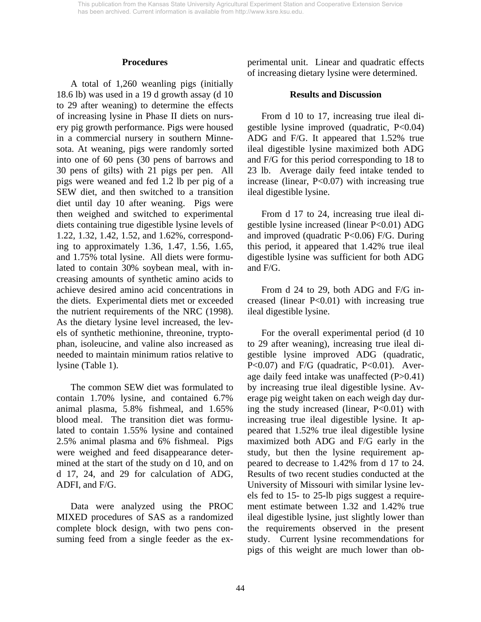#### **Procedures**

 A total of 1,260 weanling pigs (initially 18.6 lb) was used in a 19 d growth assay (d 10 to 29 after weaning) to determine the effects of increasing lysine in Phase II diets on nursery pig growth performance. Pigs were housed in a commercial nursery in southern Minnesota. At weaning, pigs were randomly sorted into one of 60 pens (30 pens of barrows and 30 pens of gilts) with 21 pigs per pen. All pigs were weaned and fed 1.2 lb per pig of a SEW diet, and then switched to a transition diet until day 10 after weaning. Pigs were then weighed and switched to experimental diets containing true digestible lysine levels of 1.22, 1.32, 1.42, 1.52, and 1.62%, corresponding to approximately 1.36, 1.47, 1.56, 1.65, and 1.75% total lysine. All diets were formulated to contain 30% soybean meal, with increasing amounts of synthetic amino acids to achieve desired amino acid concentrations in the diets. Experimental diets met or exceeded the nutrient requirements of the NRC (1998). As the dietary lysine level increased, the levels of synthetic methionine, threonine, tryptophan, isoleucine, and valine also increased as needed to maintain minimum ratios relative to lysine (Table 1).

 The common SEW diet was formulated to contain 1.70% lysine, and contained 6.7% animal plasma, 5.8% fishmeal, and 1.65% blood meal. The transition diet was formulated to contain 1.55% lysine and contained 2.5% animal plasma and 6% fishmeal. Pigs were weighed and feed disappearance determined at the start of the study on d 10, and on d 17, 24, and 29 for calculation of ADG, ADFI, and F/G.

 Data were analyzed using the PROC MIXED procedures of SAS as a randomized complete block design, with two pens consuming feed from a single feeder as the experimental unit. Linear and quadratic effects of increasing dietary lysine were determined.

#### **Results and Discussion**

 From d 10 to 17, increasing true ileal digestible lysine improved (quadratic, P<0.04) ADG and F/G. It appeared that 1.52% true ileal digestible lysine maximized both ADG and F/G for this period corresponding to 18 to 23 lb. Average daily feed intake tended to increase (linear,  $P<0.07$ ) with increasing true ileal digestible lysine.

 From d 17 to 24, increasing true ileal digestible lysine increased (linear P<0.01) ADG and improved (quadratic  $P<0.06$ ) F/G. During this period, it appeared that 1.42% true ileal digestible lysine was sufficient for both ADG and F/G.

 From d 24 to 29, both ADG and F/G increased (linear P<0.01) with increasing true ileal digestible lysine.

 For the overall experimental period (d 10 to 29 after weaning), increasing true ileal digestible lysine improved ADG (quadratic,  $P<0.07$ ) and  $F/G$  (quadratic,  $P<0.01$ ). Average daily feed intake was unaffected (P>0.41) by increasing true ileal digestible lysine. Average pig weight taken on each weigh day during the study increased (linear,  $P<0.01$ ) with increasing true ileal digestible lysine. It appeared that 1.52% true ileal digestible lysine maximized both ADG and F/G early in the study, but then the lysine requirement appeared to decrease to 1.42% from d 17 to 24. Results of two recent studies conducted at the University of Missouri with similar lysine levels fed to 15- to 25-lb pigs suggest a requirement estimate between 1.32 and 1.42% true ileal digestible lysine, just slightly lower than the requirements observed in the present study. Current lysine recommendations for pigs of this weight are much lower than ob-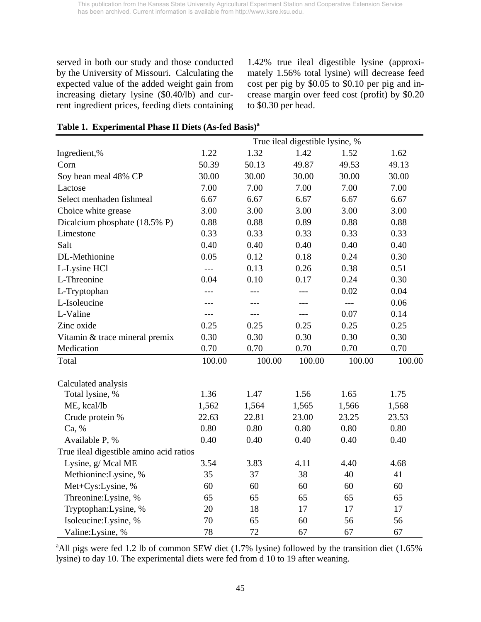served in both our study and those conducted by the University of Missouri. Calculating the expected value of the added weight gain from increasing dietary lysine (\$0.40/lb) and current ingredient prices, feeding diets containing

1.42% true ileal digestible lysine (approximately 1.56% total lysine) will decrease feed cost per pig by \$0.05 to \$0.10 per pig and increase margin over feed cost (profit) by \$0.20 to \$0.30 per head.

## **Table 1. Experimental Phase II Diets (As-fed Basis)a**

|                                         | True ileal digestible lysine, % |        |                     |        |        |  |  |  |  |
|-----------------------------------------|---------------------------------|--------|---------------------|--------|--------|--|--|--|--|
| Ingredient,%                            | 1.22                            | 1.32   | 1.42                | 1.52   | 1.62   |  |  |  |  |
| Corn                                    | 50.39                           | 50.13  | 49.87               | 49.53  | 49.13  |  |  |  |  |
| Soy bean meal 48% CP                    | 30.00                           | 30.00  | 30.00               | 30.00  | 30.00  |  |  |  |  |
| Lactose                                 | 7.00                            | 7.00   | 7.00                | 7.00   | 7.00   |  |  |  |  |
| Select menhaden fishmeal                | 6.67                            | 6.67   | 6.67                | 6.67   | 6.67   |  |  |  |  |
| Choice white grease                     | 3.00                            | 3.00   | 3.00                | 3.00   | 3.00   |  |  |  |  |
| Dicalcium phosphate (18.5% P)           | 0.88                            | 0.88   | 0.89                | 0.88   | 0.88   |  |  |  |  |
| Limestone                               | 0.33                            | 0.33   | 0.33                | 0.33   | 0.33   |  |  |  |  |
| Salt                                    | 0.40                            | 0.40   | 0.40                | 0.40   | 0.40   |  |  |  |  |
| DL-Methionine                           | 0.05                            | 0.12   | 0.18                | 0.24   | 0.30   |  |  |  |  |
| L-Lysine HCl                            | $---$                           | 0.13   | 0.26                | 0.38   | 0.51   |  |  |  |  |
| L-Threonine                             | 0.04                            | 0.10   | 0.17                | 0.24   | 0.30   |  |  |  |  |
| L-Tryptophan                            | ---                             |        | ---                 | 0.02   | 0.04   |  |  |  |  |
| L-Isoleucine                            | ---                             | ---    |                     | $---$  | 0.06   |  |  |  |  |
| L-Valine                                | ---                             | $---$  | $\qquad \qquad - -$ | 0.07   | 0.14   |  |  |  |  |
| Zinc oxide                              | 0.25                            | 0.25   | 0.25                | 0.25   | 0.25   |  |  |  |  |
| Vitamin & trace mineral premix          | 0.30                            | 0.30   | 0.30                | 0.30   | 0.30   |  |  |  |  |
| Medication                              | 0.70                            | 0.70   | 0.70                | 0.70   | 0.70   |  |  |  |  |
| Total                                   | 100.00                          | 100.00 | 100.00              | 100.00 | 100.00 |  |  |  |  |
| Calculated analysis                     |                                 |        |                     |        |        |  |  |  |  |
| Total lysine, %                         | 1.36                            | 1.47   | 1.56                | 1.65   | 1.75   |  |  |  |  |
| ME, kcal/lb                             | 1,562                           | 1,564  | 1,565               | 1,566  | 1,568  |  |  |  |  |
| Crude protein %                         | 22.63                           | 22.81  | 23.00               | 23.25  | 23.53  |  |  |  |  |
| Ca, %                                   | 0.80                            | 0.80   | 0.80                | 0.80   | 0.80   |  |  |  |  |
| Available P, %                          | 0.40                            | 0.40   | 0.40                | 0.40   | 0.40   |  |  |  |  |
| True ileal digestible amino acid ratios |                                 |        |                     |        |        |  |  |  |  |
| Lysine, g/ Mcal ME                      | 3.54                            | 3.83   | 4.11                | 4.40   | 4.68   |  |  |  |  |
| Methionine: Lysine, %                   | 35                              | 37     | 38                  | 40     | 41     |  |  |  |  |
| Met+Cys:Lysine, %                       | 60                              | 60     | 60                  | 60     | 60     |  |  |  |  |
| Threonine: Lysine, %                    | 65                              | 65     | 65                  | 65     | 65     |  |  |  |  |
| Tryptophan:Lysine, %                    | 20                              | 18     | 17                  | 17     | 17     |  |  |  |  |
| Isoleucine: Lysine, %                   | 70                              | 65     | 60                  | 56     | 56     |  |  |  |  |
| Valine: Lysine, %                       | 78                              | 72     | 67                  | 67     | 67     |  |  |  |  |

<sup>a</sup>All pigs were fed 1.2 lb of common SEW diet (1.7% lysine) followed by the transition diet (1.65% lysine) to day 10. The experimental diets were fed from d 10 to 19 after weaning.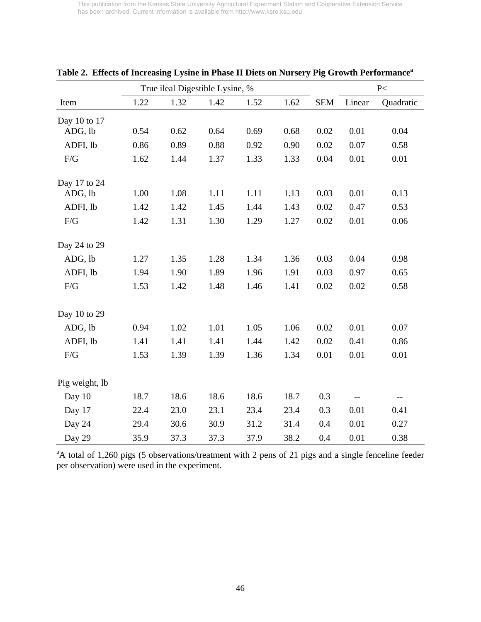|                |      |      | True ileal Digestible Lysine, % |      |      |            |        | P<        |
|----------------|------|------|---------------------------------|------|------|------------|--------|-----------|
| Item           | 1.22 | 1.32 | 1.42                            | 1.52 | 1.62 | <b>SEM</b> | Linear | Quadratic |
| Day 10 to 17   |      |      |                                 |      |      |            |        |           |
| ADG, lb        | 0.54 | 0.62 | 0.64                            | 0.69 | 0.68 | 0.02       | 0.01   | 0.04      |
| ADFI, lb       | 0.86 | 0.89 | 0.88                            | 0.92 | 0.90 | 0.02       | 0.07   | 0.58      |
| $\rm F/G$      | 1.62 | 1.44 | 1.37                            | 1.33 | 1.33 | 0.04       | 0.01   | 0.01      |
| Day 17 to 24   |      |      |                                 |      |      |            |        |           |
| ADG, lb        | 1.00 | 1.08 | 1.11                            | 1.11 | 1.13 | 0.03       | 0.01   | 0.13      |
| ADFI, lb       | 1.42 | 1.42 | 1.45                            | 1.44 | 1.43 | 0.02       | 0.47   | 0.53      |
| $\rm F/G$      | 1.42 | 1.31 | 1.30                            | 1.29 | 1.27 | 0.02       | 0.01   | 0.06      |
| Day 24 to 29   |      |      |                                 |      |      |            |        |           |
| ADG, lb        | 1.27 | 1.35 | 1.28                            | 1.34 | 1.36 | 0.03       | 0.04   | 0.98      |
| ADFI, lb       | 1.94 | 1.90 | 1.89                            | 1.96 | 1.91 | 0.03       | 0.97   | 0.65      |
| $\rm F/G$      | 1.53 | 1.42 | 1.48                            | 1.46 | 1.41 | 0.02       | 0.02   | 0.58      |
| Day 10 to 29   |      |      |                                 |      |      |            |        |           |
| ADG, lb        | 0.94 | 1.02 | 1.01                            | 1.05 | 1.06 | 0.02       | 0.01   | 0.07      |
| ADFI, lb       | 1.41 | 1.41 | 1.41                            | 1.44 | 1.42 | 0.02       | 0.41   | 0.86      |
| F/G            | 1.53 | 1.39 | 1.39                            | 1.36 | 1.34 | 0.01       | 0.01   | 0.01      |
| Pig weight, lb |      |      |                                 |      |      |            |        |           |
| Day 10         | 18.7 | 18.6 | 18.6                            | 18.6 | 18.7 | 0.3        |        | $-$       |
| Day 17         | 22.4 | 23.0 | 23.1                            | 23.4 | 23.4 | 0.3        | 0.01   | 0.41      |
| Day 24         | 29.4 | 30.6 | 30.9                            | 31.2 | 31.4 | 0.4        | 0.01   | 0.27      |
| Day 29         | 35.9 | 37.3 | 37.3                            | 37.9 | 38.2 | 0.4        | 0.01   | 0.38      |

|  |  |  |  | Table 2. Effects of Increasing Lysine in Phase II Diets on Nursery Pig Growth Performance <sup>a</sup> |
|--|--|--|--|--------------------------------------------------------------------------------------------------------|
|  |  |  |  |                                                                                                        |

<sup>a</sup>A total of 1,260 pigs (5 observations/treatment with 2 pens of 21 pigs and a single fenceline feeder per observation) were used in the experiment.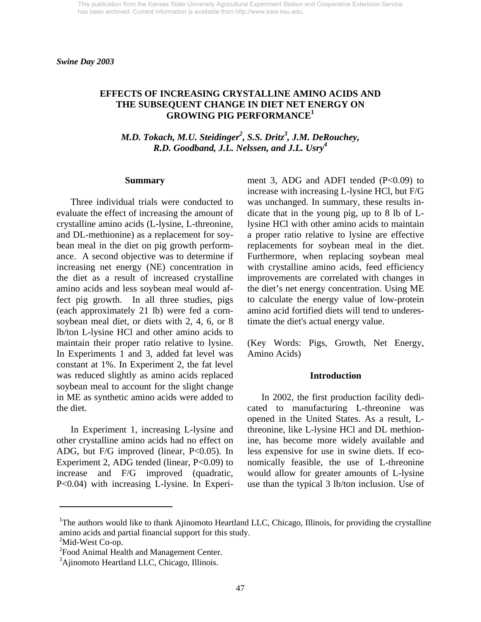*Swine Day 2003* 

## **EFFECTS OF INCREASING CRYSTALLINE AMINO ACIDS AND THE SUBSEQUENT CHANGE IN DIET NET ENERGY ON GROWING PIG PERFORMANCE1**

*M.D. Tokach, M.U. Steidinger2 , S.S. Dritz3 , J.M. DeRouchey, R.D. Goodband, J.L. Nelssen, and J.L. Usry<sup>4</sup>*

#### **Summary**

 Three individual trials were conducted to evaluate the effect of increasing the amount of crystalline amino acids (L-lysine, L-threonine, and DL-methionine) as a replacement for soybean meal in the diet on pig growth performance. A second objective was to determine if increasing net energy (NE) concentration in the diet as a result of increased crystalline amino acids and less soybean meal would affect pig growth. In all three studies, pigs (each approximately 21 lb) were fed a cornsoybean meal diet, or diets with 2, 4, 6, or 8 lb/ton L-lysine HCl and other amino acids to maintain their proper ratio relative to lysine. In Experiments 1 and 3, added fat level was constant at 1%. In Experiment 2, the fat level was reduced slightly as amino acids replaced soybean meal to account for the slight change in ME as synthetic amino acids were added to the diet.

 In Experiment 1, increasing L-lysine and other crystalline amino acids had no effect on ADG, but F/G improved (linear, P<0.05). In Experiment 2, ADG tended (linear, P<0.09) to increase and F/G improved (quadratic, P<0.04) with increasing L-lysine. In Experiment 3, ADG and ADFI tended  $(P<0.09)$  to increase with increasing L-lysine HCl, but F/G was unchanged. In summary, these results indicate that in the young pig, up to 8 lb of Llysine HCl with other amino acids to maintain a proper ratio relative to lysine are effective replacements for soybean meal in the diet. Furthermore, when replacing soybean meal with crystalline amino acids, feed efficiency improvements are correlated with changes in the diet's net energy concentration. Using ME to calculate the energy value of low-protein amino acid fortified diets will tend to underestimate the diet's actual energy value.

(Key Words: Pigs, Growth, Net Energy, Amino Acids)

#### **Introduction**

 In 2002, the first production facility dedicated to manufacturing L-threonine was opened in the United States. As a result, Lthreonine, like L-lysine HCl and DL methionine, has become more widely available and less expensive for use in swine diets. If economically feasible, the use of L-threonine would allow for greater amounts of L-lysine use than the typical 3 lb/ton inclusion. Use of

l

<sup>&</sup>lt;sup>1</sup>The authors would like to thank Ajinomoto Heartland LLC, Chicago, Illinois, for providing the crystalline amino acids and partial financial support for this study.

 $2^2$ Mid-West Co-op.

<sup>&</sup>lt;sup>2</sup> Food Animal Health and Management Center.

<sup>&</sup>lt;sup>3</sup>Ajinomoto Heartland LLC, Chicago, Illinois.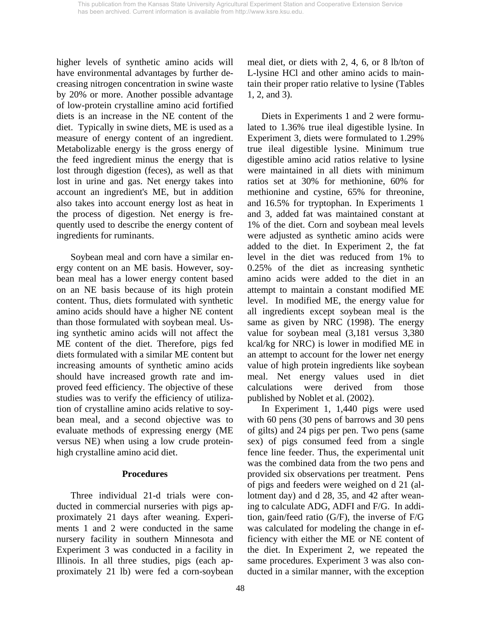higher levels of synthetic amino acids will have environmental advantages by further decreasing nitrogen concentration in swine waste by 20% or more. Another possible advantage of low-protein crystalline amino acid fortified diets is an increase in the NE content of the diet. Typically in swine diets, ME is used as a measure of energy content of an ingredient. Metabolizable energy is the gross energy of the feed ingredient minus the energy that is lost through digestion (feces), as well as that lost in urine and gas. Net energy takes into account an ingredient's ME, but in addition also takes into account energy lost as heat in the process of digestion. Net energy is frequently used to describe the energy content of ingredients for ruminants.

 Soybean meal and corn have a similar energy content on an ME basis. However, soybean meal has a lower energy content based on an NE basis because of its high protein content. Thus, diets formulated with synthetic amino acids should have a higher NE content than those formulated with soybean meal. Using synthetic amino acids will not affect the ME content of the diet. Therefore, pigs fed diets formulated with a similar ME content but increasing amounts of synthetic amino acids should have increased growth rate and improved feed efficiency. The objective of these studies was to verify the efficiency of utilization of crystalline amino acids relative to soybean meal, and a second objective was to evaluate methods of expressing energy (ME versus NE) when using a low crude proteinhigh crystalline amino acid diet.

## **Procedures**

Three individual 21-d trials were conducted in commercial nurseries with pigs approximately 21 days after weaning. Experiments 1 and 2 were conducted in the same nursery facility in southern Minnesota and Experiment 3 was conducted in a facility in Illinois. In all three studies, pigs (each approximately 21 lb) were fed a corn-soybean meal diet, or diets with 2, 4, 6, or 8 lb/ton of L-lysine HCl and other amino acids to maintain their proper ratio relative to lysine (Tables 1, 2, and 3).

 Diets in Experiments 1 and 2 were formulated to 1.36% true ileal digestible lysine. In Experiment 3, diets were formulated to 1.29% true ileal digestible lysine. Minimum true digestible amino acid ratios relative to lysine were maintained in all diets with minimum ratios set at 30% for methionine, 60% for methionine and cystine, 65% for threonine, and 16.5% for tryptophan. In Experiments 1 and 3, added fat was maintained constant at 1% of the diet. Corn and soybean meal levels were adjusted as synthetic amino acids were added to the diet. In Experiment 2, the fat level in the diet was reduced from 1% to 0.25% of the diet as increasing synthetic amino acids were added to the diet in an attempt to maintain a constant modified ME level. In modified ME, the energy value for all ingredients except soybean meal is the same as given by NRC (1998). The energy value for soybean meal (3,181 versus 3,380 kcal/kg for NRC) is lower in modified ME in an attempt to account for the lower net energy value of high protein ingredients like soybean meal. Net energy values used in diet calculations were derived from those published by Noblet et al. (2002).

 In Experiment 1, 1,440 pigs were used with 60 pens (30 pens of barrows and 30 pens of gilts) and 24 pigs per pen. Two pens (same sex) of pigs consumed feed from a single fence line feeder. Thus, the experimental unit was the combined data from the two pens and provided six observations per treatment. Pens of pigs and feeders were weighed on d 21 (allotment day) and d 28, 35, and 42 after weaning to calculate ADG, ADFI and F/G. In addition, gain/feed ratio (G/F), the inverse of F/G was calculated for modeling the change in efficiency with either the ME or NE content of the diet. In Experiment 2, we repeated the same procedures. Experiment 3 was also conducted in a similar manner, with the exception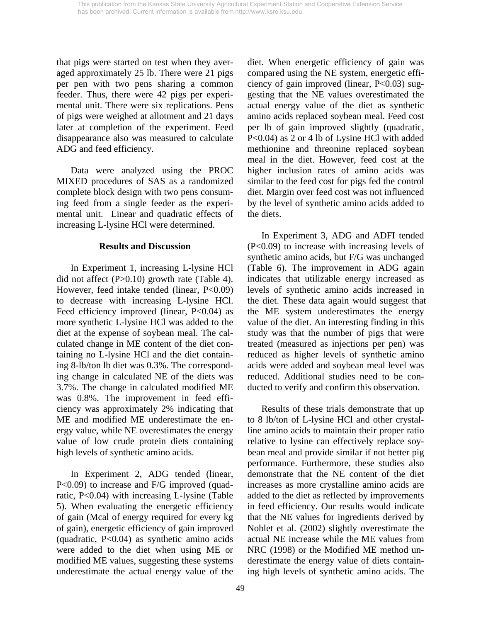that pigs were started on test when they averaged approximately 25 lb. There were 21 pigs per pen with two pens sharing a common feeder. Thus, there were 42 pigs per experimental unit. There were six replications. Pens of pigs were weighed at allotment and 21 days later at completion of the experiment. Feed disappearance also was measured to calculate ADG and feed efficiency.

Data were analyzed using the PROC MIXED procedures of SAS as a randomized complete block design with two pens consuming feed from a single feeder as the experimental unit. Linear and quadratic effects of increasing L-lysine HCl were determined.

## **Results and Discussion**

In Experiment 1, increasing L-lysine HCl did not affect (P>0.10) growth rate (Table 4). However, feed intake tended (linear, P<0.09) to decrease with increasing L-lysine HCl. Feed efficiency improved (linear, P<0.04) as more synthetic L-lysine HCl was added to the diet at the expense of soybean meal. The calculated change in ME content of the diet containing no L-lysine HCl and the diet containing 8-lb/ton lb diet was 0.3%. The corresponding change in calculated NE of the diets was 3.7%. The change in calculated modified ME was 0.8%. The improvement in feed efficiency was approximately 2% indicating that ME and modified ME underestimate the energy value, while NE overestimates the energy value of low crude protein diets containing high levels of synthetic amino acids.

In Experiment 2, ADG tended (linear, P<0.09) to increase and F/G improved (quadratic, P<0.04) with increasing L-lysine (Table 5). When evaluating the energetic efficiency of gain (Mcal of energy required for every kg of gain), energetic efficiency of gain improved (quadratic, P<0.04) as synthetic amino acids were added to the diet when using ME or modified ME values, suggesting these systems underestimate the actual energy value of the

diet. When energetic efficiency of gain was compared using the NE system, energetic efficiency of gain improved (linear, P<0.03) suggesting that the NE values overestimated the actual energy value of the diet as synthetic amino acids replaced soybean meal. Feed cost per lb of gain improved slightly (quadratic, P<0.04) as 2 or 4 lb of Lysine HCl with added methionine and threonine replaced soybean meal in the diet. However, feed cost at the higher inclusion rates of amino acids was similar to the feed cost for pigs fed the control diet. Margin over feed cost was not influenced by the level of synthetic amino acids added to the diets.

In Experiment 3, ADG and ADFI tended (P<0.09) to increase with increasing levels of synthetic amino acids, but F/G was unchanged (Table 6). The improvement in ADG again indicates that utilizable energy increased as levels of synthetic amino acids increased in the diet. These data again would suggest that the ME system underestimates the energy value of the diet. An interesting finding in this study was that the number of pigs that were treated (measured as injections per pen) was reduced as higher levels of synthetic amino acids were added and soybean meal level was reduced. Additional studies need to be conducted to verify and confirm this observation.

 Results of these trials demonstrate that up to 8 lb/ton of L-lysine HCl and other crystalline amino acids to maintain their proper ratio relative to lysine can effectively replace soybean meal and provide similar if not better pig performance. Furthermore, these studies also demonstrate that the NE content of the diet increases as more crystalline amino acids are added to the diet as reflected by improvements in feed efficiency. Our results would indicate that the NE values for ingredients derived by Noblet et al. (2002) slightly overestimate the actual NE increase while the ME values from NRC (1998) or the Modified ME method underestimate the energy value of diets containing high levels of synthetic amino acids. The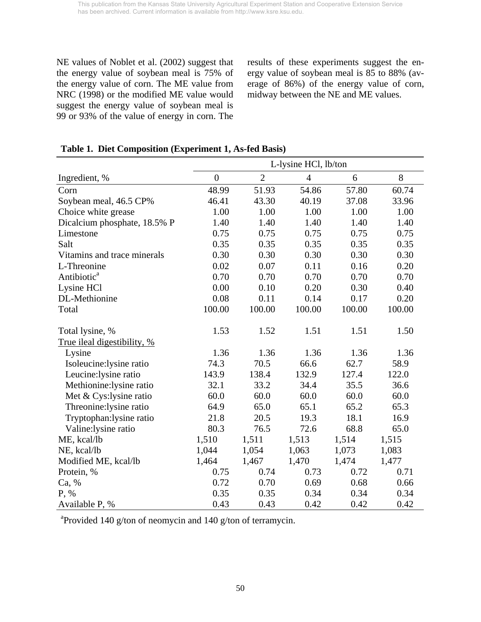NE values of Noblet et al. (2002) suggest that the energy value of soybean meal is 75% of the energy value of corn. The ME value from NRC (1998) or the modified ME value would suggest the energy value of soybean meal is 99 or 93% of the value of energy in corn. The

results of these experiments suggest the energy value of soybean meal is 85 to 88% (average of 86%) of the energy value of corn, midway between the NE and ME values.

|                              | L-lysine HCl, lb/ton |                |                |        |        |  |  |  |  |  |
|------------------------------|----------------------|----------------|----------------|--------|--------|--|--|--|--|--|
| Ingredient, %                | $\boldsymbol{0}$     | $\overline{2}$ | $\overline{4}$ | 6      | 8      |  |  |  |  |  |
| Corn                         | 48.99                | 51.93          | 54.86          | 57.80  | 60.74  |  |  |  |  |  |
| Soybean meal, 46.5 CP%       | 46.41                | 43.30          | 40.19          | 37.08  | 33.96  |  |  |  |  |  |
| Choice white grease          | 1.00                 | 1.00           | 1.00           | 1.00   | 1.00   |  |  |  |  |  |
| Dicalcium phosphate, 18.5% P | 1.40                 | 1.40           | 1.40           | 1.40   | 1.40   |  |  |  |  |  |
| Limestone                    | 0.75                 | 0.75           | 0.75           | 0.75   | 0.75   |  |  |  |  |  |
| Salt                         | 0.35                 | 0.35           | 0.35           | 0.35   | 0.35   |  |  |  |  |  |
| Vitamins and trace minerals  | 0.30                 | 0.30           | 0.30           | 0.30   | 0.30   |  |  |  |  |  |
| L-Threonine                  | 0.02                 | 0.07           | 0.11           | 0.16   | 0.20   |  |  |  |  |  |
| Antibiotic <sup>a</sup>      | 0.70                 | 0.70           | 0.70           | 0.70   | 0.70   |  |  |  |  |  |
| Lysine HCl                   | 0.00                 | 0.10           | 0.20           | 0.30   | 0.40   |  |  |  |  |  |
| DL-Methionine                | 0.08                 | 0.11           | 0.14           | 0.17   | 0.20   |  |  |  |  |  |
| Total                        | 100.00               | 100.00         | 100.00         | 100.00 | 100.00 |  |  |  |  |  |
| Total lysine, %              | 1.53                 | 1.52           | 1.51           | 1.51   | 1.50   |  |  |  |  |  |
| True ileal digestibility, %  |                      |                |                |        |        |  |  |  |  |  |
| Lysine                       | 1.36                 | 1.36           | 1.36           | 1.36   | 1.36   |  |  |  |  |  |
| Isoleucine:lysine ratio      | 74.3                 | 70.5           | 66.6           | 62.7   | 58.9   |  |  |  |  |  |
| Leucine: lysine ratio        | 143.9                | 138.4          | 132.9          | 127.4  | 122.0  |  |  |  |  |  |
| Methionine: lysine ratio     | 32.1                 | 33.2           | 34.4           | 35.5   | 36.6   |  |  |  |  |  |
| Met & Cys:lysine ratio       | 60.0                 | 60.0           | 60.0           | 60.0   | 60.0   |  |  |  |  |  |
| Threonine: lysine ratio      | 64.9                 | 65.0           | 65.1           | 65.2   | 65.3   |  |  |  |  |  |
| Tryptophan: lysine ratio     | 21.8                 | 20.5           | 19.3           | 18.1   | 16.9   |  |  |  |  |  |
| Valine:lysine ratio          | 80.3                 | 76.5           | 72.6           | 68.8   | 65.0   |  |  |  |  |  |
| ME, kcal/lb                  | 1,510                | 1,511          | 1,513          | 1,514  | 1,515  |  |  |  |  |  |
| NE, kcal/lb                  | 1,044                | 1,054          | 1,063          | 1,073  | 1,083  |  |  |  |  |  |
| Modified ME, kcal/lb         | 1,464                | 1,467          | 1,470          | 1,474  | 1,477  |  |  |  |  |  |
| Protein, %                   | 0.75                 | 0.74           | 0.73           | 0.72   | 0.71   |  |  |  |  |  |
| Ca, %                        | 0.72                 | 0.70           | 0.69           | 0.68   | 0.66   |  |  |  |  |  |
| P, %                         | 0.35                 | 0.35           | 0.34           | 0.34   | 0.34   |  |  |  |  |  |
| Available P, %               | 0.43                 | 0.43           | 0.42           | 0.42   | 0.42   |  |  |  |  |  |

# **Table 1. Diet Composition (Experiment 1, As-fed Basis)**

<sup>a</sup> Provided 140 g/ton of neomycin and 140 g/ton of terramycin.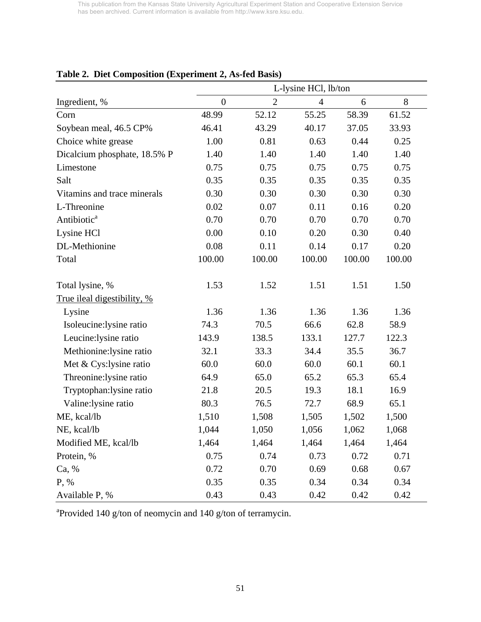| rabic 2. Dict Composition (Experiment 2, As-ica Dasis) | L-lysine HCl, lb/ton |                |                |        |        |  |  |  |  |  |
|--------------------------------------------------------|----------------------|----------------|----------------|--------|--------|--|--|--|--|--|
| Ingredient, %                                          | $\overline{0}$       | $\overline{2}$ | $\overline{4}$ | 6      | 8      |  |  |  |  |  |
| Corn                                                   | 48.99                | 52.12          | 55.25          | 58.39  | 61.52  |  |  |  |  |  |
| Soybean meal, 46.5 CP%                                 | 46.41                | 43.29          | 40.17          | 37.05  | 33.93  |  |  |  |  |  |
| Choice white grease                                    | 1.00                 | 0.81           | 0.63           | 0.44   | 0.25   |  |  |  |  |  |
| Dicalcium phosphate, 18.5% P                           | 1.40                 | 1.40           | 1.40           | 1.40   | 1.40   |  |  |  |  |  |
| Limestone                                              | 0.75                 | 0.75           | 0.75           | 0.75   | 0.75   |  |  |  |  |  |
| Salt                                                   | 0.35                 | 0.35           | 0.35           | 0.35   | 0.35   |  |  |  |  |  |
| Vitamins and trace minerals                            | 0.30                 | 0.30           | 0.30           | 0.30   | 0.30   |  |  |  |  |  |
| L-Threonine                                            | 0.02                 | 0.07           | 0.11           | 0.16   | 0.20   |  |  |  |  |  |
| Antibiotic <sup>a</sup>                                | 0.70                 | 0.70           | 0.70           | 0.70   | 0.70   |  |  |  |  |  |
| Lysine HCl                                             | 0.00                 | 0.10           | 0.20           | 0.30   | 0.40   |  |  |  |  |  |
| DL-Methionine                                          | 0.08                 | 0.11           | 0.14           | 0.17   | 0.20   |  |  |  |  |  |
| Total                                                  | 100.00               | 100.00         | 100.00         | 100.00 | 100.00 |  |  |  |  |  |
| Total lysine, %                                        | 1.53                 | 1.52           | 1.51           | 1.51   | 1.50   |  |  |  |  |  |
| True ileal digestibility, %                            |                      |                |                |        |        |  |  |  |  |  |
| Lysine                                                 | 1.36                 | 1.36           | 1.36           | 1.36   | 1.36   |  |  |  |  |  |
| Isoleucine:lysine ratio                                | 74.3                 | 70.5           | 66.6           | 62.8   | 58.9   |  |  |  |  |  |
| Leucine: lysine ratio                                  | 143.9                | 138.5          | 133.1          | 127.7  | 122.3  |  |  |  |  |  |
| Methionine:lysine ratio                                | 32.1                 | 33.3           | 34.4           | 35.5   | 36.7   |  |  |  |  |  |
| Met & Cys: lysine ratio                                | 60.0                 | 60.0           | 60.0           | 60.1   | 60.1   |  |  |  |  |  |
| Threonine: lysine ratio                                | 64.9                 | 65.0           | 65.2           | 65.3   | 65.4   |  |  |  |  |  |
| Tryptophan: lysine ratio                               | 21.8                 | 20.5           | 19.3           | 18.1   | 16.9   |  |  |  |  |  |
| Valine:lysine ratio                                    | 80.3                 | 76.5           | 72.7           | 68.9   | 65.1   |  |  |  |  |  |
| ME, kcal/lb                                            | 1,510                | 1,508          | 1,505          | 1,502  | 1,500  |  |  |  |  |  |
| NE, kcal/lb                                            | 1,044                | 1,050          | 1,056          | 1,062  | 1,068  |  |  |  |  |  |
| Modified ME, kcal/lb                                   | 1,464                | 1,464          | 1,464          | 1,464  | 1,464  |  |  |  |  |  |
| Protein, %                                             | 0.75                 | 0.74           | 0.73           | 0.72   | 0.71   |  |  |  |  |  |
| Ca, %                                                  | 0.72                 | 0.70           | 0.69           | 0.68   | 0.67   |  |  |  |  |  |
| $P, \%$                                                | 0.35                 | 0.35           | 0.34           | 0.34   | 0.34   |  |  |  |  |  |
| Available P, %                                         | 0.43                 | 0.43           | 0.42           | 0.42   | 0.42   |  |  |  |  |  |

# **Table 2. Diet Composition (Experiment 2, As-fed Basis)**

<sup>a</sup> Provided 140 g/ton of neomycin and 140 g/ton of terramycin.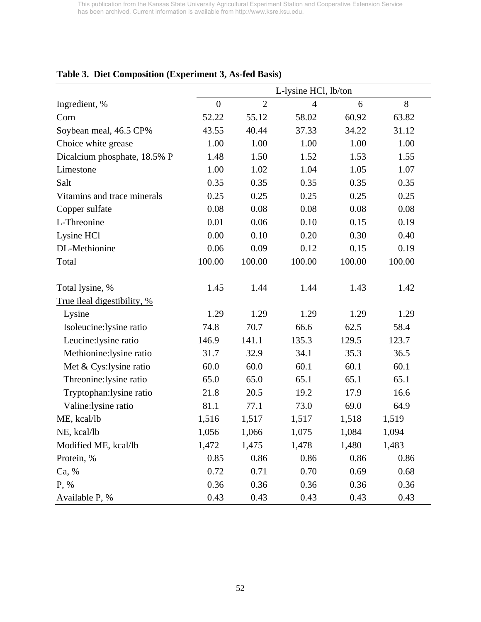|                              | L-lysine HCl, lb/ton |                |        |        |        |  |  |  |  |
|------------------------------|----------------------|----------------|--------|--------|--------|--|--|--|--|
| Ingredient, %                | $\boldsymbol{0}$     | $\overline{2}$ | 4      | 6      | 8      |  |  |  |  |
| Corn                         | 52.22                | 55.12          | 58.02  | 60.92  | 63.82  |  |  |  |  |
| Soybean meal, 46.5 CP%       | 43.55                | 40.44          | 37.33  | 34.22  | 31.12  |  |  |  |  |
| Choice white grease          | 1.00                 | 1.00           | 1.00   | 1.00   | 1.00   |  |  |  |  |
| Dicalcium phosphate, 18.5% P | 1.48                 | 1.50           | 1.52   | 1.53   | 1.55   |  |  |  |  |
| Limestone                    | 1.00                 | 1.02           | 1.04   | 1.05   | 1.07   |  |  |  |  |
| Salt                         | 0.35                 | 0.35           | 0.35   | 0.35   | 0.35   |  |  |  |  |
| Vitamins and trace minerals  | 0.25                 | 0.25           | 0.25   | 0.25   | 0.25   |  |  |  |  |
| Copper sulfate               | 0.08                 | 0.08           | 0.08   | 0.08   | 0.08   |  |  |  |  |
| L-Threonine                  | 0.01                 | 0.06           | 0.10   | 0.15   | 0.19   |  |  |  |  |
| Lysine HCl                   | 0.00                 | 0.10           | 0.20   | 0.30   | 0.40   |  |  |  |  |
| DL-Methionine                | 0.06                 | 0.09           | 0.12   | 0.15   | 0.19   |  |  |  |  |
| Total                        | 100.00               | 100.00         | 100.00 | 100.00 | 100.00 |  |  |  |  |
| Total lysine, %              | 1.45                 | 1.44           | 1.44   | 1.43   | 1.42   |  |  |  |  |
| True ileal digestibility, %  |                      |                |        |        |        |  |  |  |  |
| Lysine                       | 1.29                 | 1.29           | 1.29   | 1.29   | 1.29   |  |  |  |  |
| Isoleucine:lysine ratio      | 74.8                 | 70.7           | 66.6   | 62.5   | 58.4   |  |  |  |  |
| Leucine: lysine ratio        | 146.9                | 141.1          | 135.3  | 129.5  | 123.7  |  |  |  |  |
| Methionine:lysine ratio      | 31.7                 | 32.9           | 34.1   | 35.3   | 36.5   |  |  |  |  |
| Met & Cys:lysine ratio       | 60.0                 | 60.0           | 60.1   | 60.1   | 60.1   |  |  |  |  |
| Threonine: lysine ratio      | 65.0                 | 65.0           | 65.1   | 65.1   | 65.1   |  |  |  |  |
| Tryptophan:lysine ratio      | 21.8                 | 20.5           | 19.2   | 17.9   | 16.6   |  |  |  |  |
| Valine:lysine ratio          | 81.1                 | 77.1           | 73.0   | 69.0   | 64.9   |  |  |  |  |
| ME, kcal/lb                  | 1,516                | 1,517          | 1,517  | 1,518  | 1,519  |  |  |  |  |
| NE, kcal/lb                  | 1,056                | 1,066          | 1,075  | 1,084  | 1,094  |  |  |  |  |
| Modified ME, kcal/lb         | 1,472                | 1,475          | 1,478  | 1,480  | 1,483  |  |  |  |  |
| Protein, %                   | 0.85                 | 0.86           | 0.86   | 0.86   | 0.86   |  |  |  |  |
| Ca, %                        | 0.72                 | 0.71           | 0.70   | 0.69   | 0.68   |  |  |  |  |
| P, %                         | 0.36                 | 0.36           | 0.36   | 0.36   | 0.36   |  |  |  |  |
| Available P, %               | 0.43                 | 0.43           | 0.43   | 0.43   | 0.43   |  |  |  |  |

# **Table 3. Diet Composition (Experiment 3, As-fed Basis)**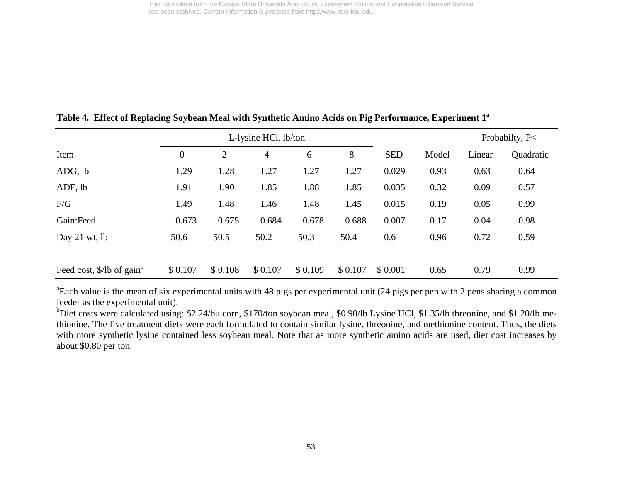|                                                   |                  |         | L-lysine HCl, lb/ton |         |         |            |       |        | Probabilty, P< |
|---------------------------------------------------|------------------|---------|----------------------|---------|---------|------------|-------|--------|----------------|
| Item                                              | $\boldsymbol{0}$ | 2       | $\overline{4}$       | 6       | 8       | <b>SED</b> | Model | Linear | Quadratic      |
| ADG, lb                                           | 1.29             | 1.28    | 1.27                 | 1.27    | 1.27    | 0.029      | 0.93  | 0.63   | 0.64           |
| ADF, lb                                           | 1.91             | 1.90    | 1.85                 | 1.88    | 1.85    | 0.035      | 0.32  | 0.09   | 0.57           |
| F/G                                               | 1.49             | 1.48    | 1.46                 | 1.48    | 1.45    | 0.015      | 0.19  | 0.05   | 0.99           |
| Gain:Feed                                         | 0.673            | 0.675   | 0.684                | 0.678   | 0.688   | 0.007      | 0.17  | 0.04   | 0.98           |
| Day 21 wt, $lb$                                   | 50.6             | 50.5    | 50.2                 | 50.3    | 50.4    | 0.6        | 0.96  | 0.72   | 0.59           |
|                                                   |                  |         |                      |         |         |            |       |        |                |
| Feed cost, $\frac{1}{2}$ /lb of gain <sup>b</sup> | \$0.107          | \$0.108 | \$0.107              | \$0.109 | \$0.107 | \$0.001    | 0.65  | 0.79   | 0.99           |

**Table 4. Effect of Replacing Soybean Meal with Synthetic Amino Acids on Pig Performance, Experiment 1a**

<sup>a</sup>Each value is the mean of six experimental units with 48 pigs per experimental unit (24 pigs per pen with 2 pens sharing a common feeder as the experimental unit).

bDiet costs were calculated using: \$2.24/bu corn, \$170/ton soybean meal, \$0.90/lb Lysine HCl, \$1.35/lb threonine, and \$1.20/lb methionine. The five treatment diets were each formulated to contain similar lysine, threonine, and methionine content. Thus, the diets with more synthetic lysine contained less soybean meal. Note that as more synthetic amino acids are used, diet cost increases by about \$0.80 per ton.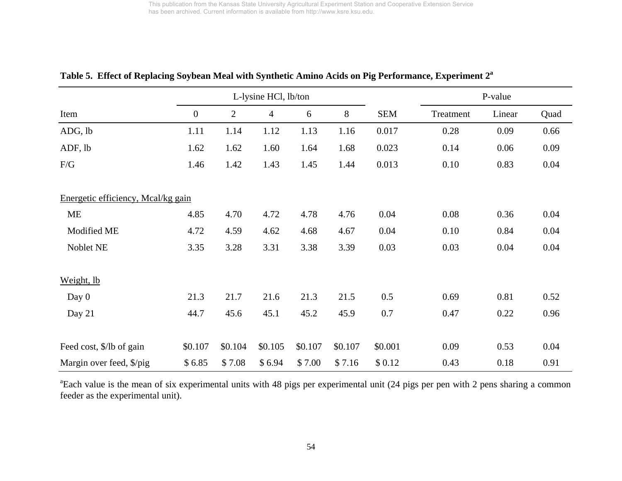|                                    |                |                | L-lysine HCl, lb/ton |         |         |            | P-value   |        |      |  |
|------------------------------------|----------------|----------------|----------------------|---------|---------|------------|-----------|--------|------|--|
| Item                               | $\overline{0}$ | $\overline{2}$ | $\overline{4}$       | 6       | 8       | <b>SEM</b> | Treatment | Linear | Quad |  |
| ADG, lb                            | 1.11           | 1.14           | 1.12                 | 1.13    | 1.16    | 0.017      | 0.28      | 0.09   | 0.66 |  |
| ADF, lb                            | 1.62           | 1.62           | 1.60                 | 1.64    | 1.68    | 0.023      | 0.14      | 0.06   | 0.09 |  |
| F/G                                | 1.46           | 1.42           | 1.43                 | 1.45    | 1.44    | 0.013      | 0.10      | 0.83   | 0.04 |  |
| Energetic efficiency, Mcal/kg gain |                |                |                      |         |         |            |           |        |      |  |
| <b>ME</b>                          | 4.85           | 4.70           | 4.72                 | 4.78    | 4.76    | 0.04       | 0.08      | 0.36   | 0.04 |  |
| Modified ME                        | 4.72           | 4.59           | 4.62                 | 4.68    | 4.67    | 0.04       | 0.10      | 0.84   | 0.04 |  |
| Noblet NE                          | 3.35           | 3.28           | 3.31                 | 3.38    | 3.39    | 0.03       | 0.03      | 0.04   | 0.04 |  |
| Weight, lb                         |                |                |                      |         |         |            |           |        |      |  |
| Day $0$                            | 21.3           | 21.7           | 21.6                 | 21.3    | 21.5    | 0.5        | 0.69      | 0.81   | 0.52 |  |
| Day 21                             | 44.7           | 45.6           | 45.1                 | 45.2    | 45.9    | 0.7        | 0.47      | 0.22   | 0.96 |  |
| Feed cost, \$/lb of gain           | \$0.107        | \$0.104        | \$0.105              | \$0.107 | \$0.107 | \$0.001    | 0.09      | 0.53   | 0.04 |  |
| Margin over feed, \$/pig           | \$6.85         | \$7.08         | \$6.94               | \$7.00  | \$7.16  | \$0.12     | 0.43      | 0.18   | 0.91 |  |

# **Table 5. Effect of Replacing Soybean Meal with Synthetic Amino Acids on Pig Performance, Experiment 2a**

<sup>a</sup>Each value is the mean of six experimental units with 48 pigs per experimental unit (24 pigs per pen with 2 pens sharing a common feeder as the experimental unit).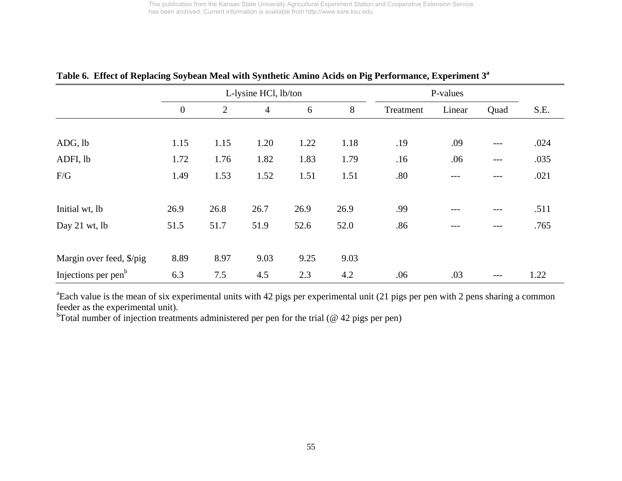| $\mathbf{r}$                    | $\circ$          |                | $\overline{\phantom{a}}$ |      | $\circ$ |           | $\overline{\phantom{a}}$ |      |      |
|---------------------------------|------------------|----------------|--------------------------|------|---------|-----------|--------------------------|------|------|
|                                 |                  |                | L-lysine HCl, lb/ton     |      |         | P-values  |                          |      |      |
|                                 | $\boldsymbol{0}$ | $\overline{2}$ | $\overline{4}$           | 6    | 8       | Treatment | Linear                   | Quad | S.E. |
|                                 |                  |                |                          |      |         |           |                          |      |      |
| ADG, lb                         | 1.15             | 1.15           | 1.20                     | 1.22 | 1.18    | .19       | .09                      | ---  | .024 |
| ADFI, lb                        | 1.72             | 1.76           | 1.82                     | 1.83 | 1.79    | .16       | .06                      | ---  | .035 |
| F/G                             | 1.49             | 1.53           | 1.52                     | 1.51 | 1.51    | .80       |                          |      | .021 |
|                                 |                  |                |                          |      |         |           |                          |      |      |
| Initial wt, lb                  | 26.9             | 26.8           | 26.7                     | 26.9 | 26.9    | .99       |                          |      | .511 |
| Day 21 wt, lb                   | 51.5             | 51.7           | 51.9                     | 52.6 | 52.0    | .86       |                          |      | .765 |
|                                 |                  |                |                          |      |         |           |                          |      |      |
| Margin over feed, \$/pig        | 8.89             | 8.97           | 9.03                     | 9.25 | 9.03    |           |                          |      |      |
| Injections per pen <sup>b</sup> | 6.3              | 7.5            | 4.5                      | 2.3  | 4.2     | .06       | .03                      | ---  | 1.22 |

#### **Table 6. Effect of Replacing Soybean Meal with Synthetic Amino Acids on Pig Performance, Experiment 3a**

<sup>a</sup>Each value is the mean of six experimental units with 42 pigs per experimental unit (21 pigs per pen with 2 pens sharing a common feeder as the experimental unit).

 $<sup>b</sup>Total number of injection treatments administered per pen for the trial ( $\textcircled{a} 42 \text{ pigs per pen})$ </sup>$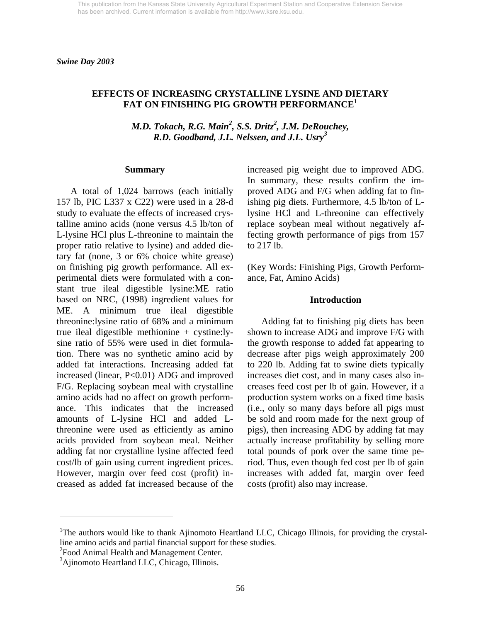*Swine Day 2003* 

# **EFFECTS OF INCREASING CRYSTALLINE LYSINE AND DIETARY FAT ON FINISHING PIG GROWTH PERFORMANCE1**

*M.D. Tokach, R.G. Main<sup>2</sup>, S.S. Dritz<sup>2</sup>, J.M. DeRouchey, R.D. Goodband, J.L. Nelssen, and J.L. Usry<sup>3</sup>*

#### **Summary**

 A total of 1,024 barrows (each initially 157 lb, PIC L337 x C22) were used in a 28-d study to evaluate the effects of increased crystalline amino acids (none versus 4.5 lb/ton of L-lysine HCl plus L-threonine to maintain the proper ratio relative to lysine) and added dietary fat (none, 3 or 6% choice white grease) on finishing pig growth performance. All experimental diets were formulated with a constant true ileal digestible lysine:ME ratio based on NRC, (1998) ingredient values for ME. A minimum true ileal digestible threonine:lysine ratio of 68% and a minimum true ileal digestible methionine + cystine:lysine ratio of 55% were used in diet formulation. There was no synthetic amino acid by added fat interactions. Increasing added fat increased (linear, P<0.01) ADG and improved F/G. Replacing soybean meal with crystalline amino acids had no affect on growth performance. This indicates that the increased amounts of L-lysine HCl and added Lthreonine were used as efficiently as amino acids provided from soybean meal. Neither adding fat nor crystalline lysine affected feed cost/lb of gain using current ingredient prices. However, margin over feed cost (profit) increased as added fat increased because of the

increased pig weight due to improved ADG. In summary, these results confirm the improved ADG and F/G when adding fat to finishing pig diets. Furthermore, 4.5 lb/ton of Llysine HCl and L-threonine can effectively replace soybean meal without negatively affecting growth performance of pigs from 157 to 217 lb.

(Key Words: Finishing Pigs, Growth Performance, Fat, Amino Acids)

#### **Introduction**

 Adding fat to finishing pig diets has been shown to increase ADG and improve F/G with the growth response to added fat appearing to decrease after pigs weigh approximately 200 to 220 lb. Adding fat to swine diets typically increases diet cost, and in many cases also increases feed cost per lb of gain. However, if a production system works on a fixed time basis (i.e., only so many days before all pigs must be sold and room made for the next group of pigs), then increasing ADG by adding fat may actually increase profitability by selling more total pounds of pork over the same time period. Thus, even though fed cost per lb of gain increases with added fat, margin over feed costs (profit) also may increase.

<sup>2</sup> Food Animal Health and Management Center.

 $\overline{a}$ 

<sup>&</sup>lt;sup>1</sup>The authors would like to thank Ajinomoto Heartland LLC, Chicago Illinois, for providing the crystalline amino acids and partial financial support for these studies.

<sup>&</sup>lt;sup>3</sup>Ajinomoto Heartland LLC, Chicago, Illinois.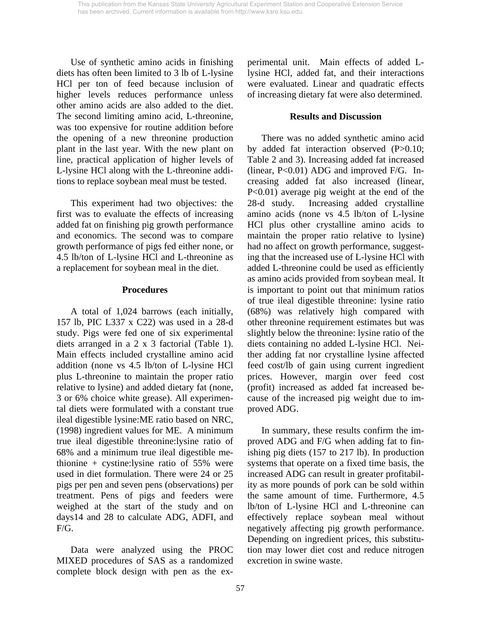Use of synthetic amino acids in finishing diets has often been limited to 3 lb of L-lysine HCl per ton of feed because inclusion of higher levels reduces performance unless other amino acids are also added to the diet. The second limiting amino acid, L-threonine, was too expensive for routine addition before the opening of a new threonine production plant in the last year. With the new plant on line, practical application of higher levels of L-lysine HCl along with the L-threonine additions to replace soybean meal must be tested.

 This experiment had two objectives: the first was to evaluate the effects of increasing added fat on finishing pig growth performance and economics. The second was to compare growth performance of pigs fed either none, or 4.5 lb/ton of L-lysine HCl and L-threonine as a replacement for soybean meal in the diet.

## **Procedures**

 A total of 1,024 barrows (each initially, 157 lb, PIC L337 x C22) was used in a 28-d study. Pigs were fed one of six experimental diets arranged in a 2 x 3 factorial (Table 1). Main effects included crystalline amino acid addition (none vs 4.5 lb/ton of L-lysine HCl plus L-threonine to maintain the proper ratio relative to lysine) and added dietary fat (none, 3 or 6% choice white grease). All experimental diets were formulated with a constant true ileal digestible lysine:ME ratio based on NRC, (1998) ingredient values for ME. A minimum true ileal digestible threonine:lysine ratio of 68% and a minimum true ileal digestible methionine + cystine:lysine ratio of  $55\%$  were used in diet formulation. There were 24 or 25 pigs per pen and seven pens (observations) per treatment. Pens of pigs and feeders were weighed at the start of the study and on days14 and 28 to calculate ADG, ADFI, and F/G.

 Data were analyzed using the PROC MIXED procedures of SAS as a randomized complete block design with pen as the experimental unit. Main effects of added Llysine HCl, added fat, and their interactions were evaluated. Linear and quadratic effects of increasing dietary fat were also determined.

## **Results and Discussion**

 There was no added synthetic amino acid by added fat interaction observed (P>0.10; Table 2 and 3). Increasing added fat increased (linear, P<0.01) ADG and improved F/G. Increasing added fat also increased (linear, P<0.01) average pig weight at the end of the 28-d study. Increasing added crystalline amino acids (none vs 4.5 lb/ton of L-lysine HCl plus other crystalline amino acids to maintain the proper ratio relative to lysine) had no affect on growth performance, suggesting that the increased use of L-lysine HCl with added L-threonine could be used as efficiently as amino acids provided from soybean meal. It is important to point out that minimum ratios of true ileal digestible threonine: lysine ratio (68%) was relatively high compared with other threonine requirement estimates but was slightly below the threonine: lysine ratio of the diets containing no added L-lysine HCl. Neither adding fat nor crystalline lysine affected feed cost/lb of gain using current ingredient prices. However, margin over feed cost (profit) increased as added fat increased because of the increased pig weight due to improved ADG.

 In summary, these results confirm the improved ADG and F/G when adding fat to finishing pig diets (157 to 217 lb). In production systems that operate on a fixed time basis, the increased ADG can result in greater profitability as more pounds of pork can be sold within the same amount of time. Furthermore, 4.5 lb/ton of L-lysine HCl and L-threonine can effectively replace soybean meal without negatively affecting pig growth performance. Depending on ingredient prices, this substitution may lower diet cost and reduce nitrogen excretion in swine waste.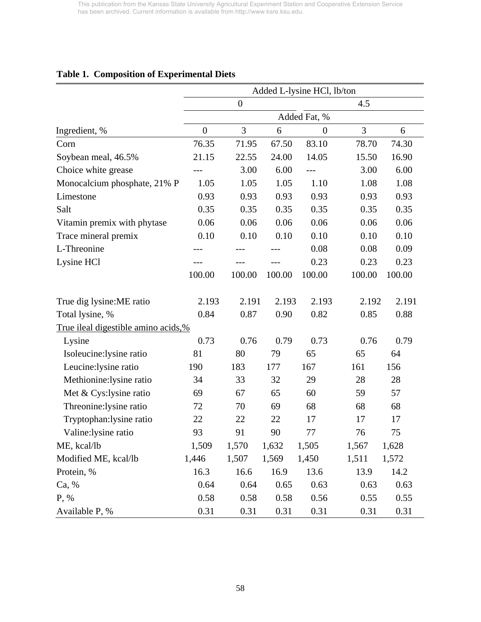|                                            | Added L-lysine HCl, lb/ton |                  |        |                  |        |        |  |  |  |
|--------------------------------------------|----------------------------|------------------|--------|------------------|--------|--------|--|--|--|
|                                            |                            | $\boldsymbol{0}$ |        |                  | 4.5    |        |  |  |  |
|                                            |                            |                  |        | Added Fat, %     |        |        |  |  |  |
| Ingredient, %                              | $\overline{0}$             | 3                | 6      | $\boldsymbol{0}$ | 3      | 6      |  |  |  |
| Corn                                       | 76.35                      | 71.95            | 67.50  | 83.10            | 78.70  | 74.30  |  |  |  |
| Soybean meal, 46.5%                        | 21.15                      | 22.55            | 24.00  | 14.05            | 15.50  | 16.90  |  |  |  |
| Choice white grease                        |                            | 3.00             | 6.00   | ---              | 3.00   | 6.00   |  |  |  |
| Monocalcium phosphate, 21% P               | 1.05                       | 1.05             | 1.05   | 1.10             | 1.08   | 1.08   |  |  |  |
| Limestone                                  | 0.93                       | 0.93             | 0.93   | 0.93             | 0.93   | 0.93   |  |  |  |
| Salt                                       | 0.35                       | 0.35             | 0.35   | 0.35             | 0.35   | 0.35   |  |  |  |
| Vitamin premix with phytase                | 0.06                       | 0.06             | 0.06   | 0.06             | 0.06   | 0.06   |  |  |  |
| Trace mineral premix                       | 0.10                       | 0.10             | 0.10   | 0.10             | 0.10   | 0.10   |  |  |  |
| L-Threonine                                |                            |                  |        | 0.08             | 0.08   | 0.09   |  |  |  |
| Lysine HCl                                 |                            |                  |        | 0.23             | 0.23   | 0.23   |  |  |  |
|                                            | 100.00                     | 100.00           | 100.00 | 100.00           | 100.00 | 100.00 |  |  |  |
| True dig lysine: ME ratio                  | 2.193                      | 2.191            | 2.193  | 2.193            | 2.192  | 2.191  |  |  |  |
| Total lysine, %                            | 0.84                       | 0.87             | 0.90   | 0.82             | 0.85   | 0.88   |  |  |  |
| <u>True ileal digestible amino acids,%</u> |                            |                  |        |                  |        |        |  |  |  |
| Lysine                                     | 0.73                       | 0.76             | 0.79   | 0.73             | 0.76   | 0.79   |  |  |  |
| Isoleucine:lysine ratio                    | 81                         | 80               | 79     | 65               | 65     | 64     |  |  |  |
| Leucine: lysine ratio                      | 190                        | 183              | 177    | 167              | 161    | 156    |  |  |  |
| Methionine: lysine ratio                   | 34                         | 33               | 32     | 29               | 28     | 28     |  |  |  |
| Met & Cys: lysine ratio                    | 69                         | 67               | 65     | 60               | 59     | 57     |  |  |  |
| Threonine: lysine ratio                    | 72                         | 70               | 69     | 68               | 68     | 68     |  |  |  |
| Tryptophan: lysine ratio                   | 22                         | 22               | 22     | 17               | 17     | 17     |  |  |  |
| Valine: lysine ratio                       | 93                         | 91               | 90     | 77               | 76     | 75     |  |  |  |
| ME, kcal/lb                                | 1,509                      | 1,570            | 1,632  | 1,505            | 1,567  | 1,628  |  |  |  |
| Modified ME, kcal/lb                       | 1,446                      | 1,507            | 1,569  | 1,450            | 1,511  | 1,572  |  |  |  |
| Protein, %                                 | 16.3                       | 16.6             | 16.9   | 13.6             | 13.9   | 14.2   |  |  |  |
| Ca, %                                      | 0.64                       | 0.64             | 0.65   | 0.63             | 0.63   | 0.63   |  |  |  |
| P, %                                       | 0.58                       | 0.58             | 0.58   | 0.56             | 0.55   | 0.55   |  |  |  |
| Available P, %                             | 0.31                       | 0.31             | 0.31   | 0.31             | 0.31   | 0.31   |  |  |  |

# **Table 1. Composition of Experimental Diets**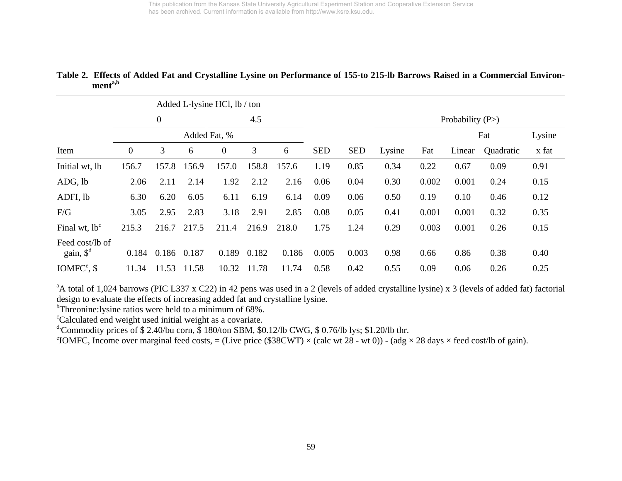|                                          |                   |             |       | Added L-lysine HCl, lb / ton |       |       |            |            |        |       |                    |           |        |
|------------------------------------------|-------------------|-------------|-------|------------------------------|-------|-------|------------|------------|--------|-------|--------------------|-----------|--------|
|                                          | 0<br>Added Fat, % |             |       |                              | 4.5   |       |            |            |        |       | Probability $(P>)$ |           |        |
|                                          |                   |             |       |                              |       |       |            |            |        |       | Fat                |           | Lysine |
| Item                                     | $\overline{0}$    | 3           | 6     | $\mathbf{0}$                 | 3     | 6     | <b>SED</b> | <b>SED</b> | Lysine | Fat   | Linear             | Quadratic | x fat  |
| Initial wt, lb                           | 156.7             | 157.8       | 156.9 | 157.0                        | 158.8 | 157.6 | 1.19       | 0.85       | 0.34   | 0.22  | 0.67               | 0.09      | 0.91   |
| ADG, lb                                  | 2.06              | 2.11        | 2.14  | 1.92                         | 2.12  | 2.16  | 0.06       | 0.04       | 0.30   | 0.002 | 0.001              | 0.24      | 0.15   |
| ADFI, lb                                 | 6.30              | 6.20        | 6.05  | 6.11                         | 6.19  | 6.14  | 0.09       | 0.06       | 0.50   | 0.19  | 0.10               | 0.46      | 0.12   |
| F/G                                      | 3.05              | 2.95        | 2.83  | 3.18                         | 2.91  | 2.85  | 0.08       | 0.05       | 0.41   | 0.001 | 0.001              | 0.32      | 0.35   |
| Final wt, $lb^c$                         | 215.3             | 216.7       | 217.5 | 211.4                        | 216.9 | 218.0 | 1.75       | 1.24       | 0.29   | 0.003 | 0.001              | 0.26      | 0.15   |
| Feed cost/lb of<br>gain, $\mathcal{S}^d$ | 0.184             | 0.186 0.187 |       | 0.189                        | 0.182 | 0.186 | 0.005      | 0.003      | 0.98   | 0.66  | 0.86               | 0.38      | 0.40   |
| $IOMFCe$ , \$                            | 11.34             | 11.53       | 11.58 | 10.32                        | 11.78 | 11.74 | 0.58       | 0.42       | 0.55   | 0.09  | 0.06               | 0.26      | 0.25   |

#### **Table 2. Effects of Added Fat and Crystalline Lysine on Performance of 155-to 215-lb Barrows Raised in a Commercial Environmenta,b**

<sup>a</sup>A total of 1,024 barrows (PIC L337 x C22) in 42 pens was used in a 2 (levels of added crystalline lysine) x 3 (levels of added fat) factorial design to evaluate the effects of increasing added fat and crystalline lysine.

<sup>b</sup>Threonine:lysine ratios were held to a minimum of 68%.

<sup>c</sup>Calculated end weight used initial weight as a covariate.

<sup>d.</sup>Commodity prices of \$2.40/bu corn, \$180/ton SBM, \$0.12/lb CWG, \$0.76/lb lys; \$1.20/lb thr.

<sup>e</sup>IOMFC, Income over marginal feed costs, = (Live price (\$38CWT) × (calc wt 28 - wt 0)) - (adg × 28 days × feed cost/lb of gain).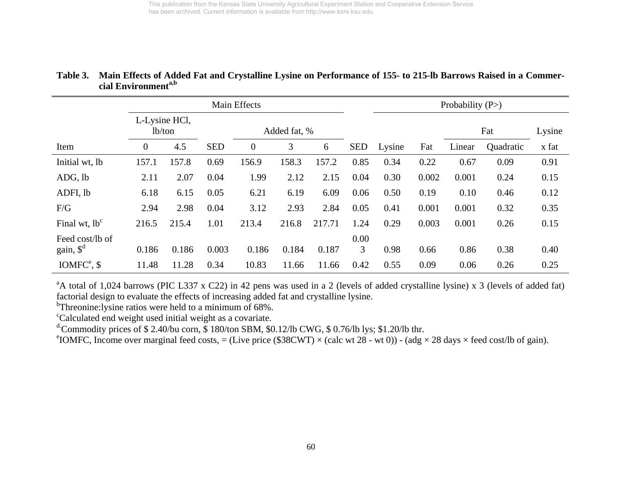|                       |                |                         |            | Main Effects | Probability $(P>)$ |        |            |        |       |        |           |       |
|-----------------------|----------------|-------------------------|------------|--------------|--------------------|--------|------------|--------|-------|--------|-----------|-------|
|                       |                | L-Lysine HCl,<br>lb/ton |            |              | Added fat, %       |        |            |        |       |        | Lysine    |       |
| Item                  | $\overline{0}$ | 4.5                     | <b>SED</b> | $\theta$     | 3                  | 6      | <b>SED</b> | Lysine | Fat   | Linear | Quadratic | x fat |
| Initial wt, lb        | 157.1          | 157.8                   | 0.69       | 156.9        | 158.3              | 157.2  | 0.85       | 0.34   | 0.22  | 0.67   | 0.09      | 0.91  |
| ADG, lb               | 2.11           | 2.07                    | 0.04       | 1.99         | 2.12               | 2.15   | 0.04       | 0.30   | 0.002 | 0.001  | 0.24      | 0.15  |
| ADFI, lb              | 6.18           | 6.15                    | 0.05       | 6.21         | 6.19               | 6.09   | 0.06       | 0.50   | 0.19  | 0.10   | 0.46      | 0.12  |
| F/G                   | 2.94           | 2.98                    | 0.04       | 3.12         | 2.93               | 2.84   | 0.05       | 0.41   | 0.001 | 0.001  | 0.32      | 0.35  |
| Final wt, $lb^c$      | 216.5          | 215.4                   | 1.01       | 213.4        | 216.8              | 217.71 | 1.24       | 0.29   | 0.003 | 0.001  | 0.26      | 0.15  |
| Feed cost/lb of       |                |                         |            |              |                    |        | 0.00       |        |       |        |           |       |
| gain, $\mathcal{S}^d$ | 0.186          | 0.186                   | 0.003      | 0.186        | 0.184              | 0.187  | 3          | 0.98   | 0.66  | 0.86   | 0.38      | 0.40  |
| $IOMFCe$ , \$         | 11.48          | 11.28                   | 0.34       | 10.83        | 11.66              | 11.66  | 0.42       | 0.55   | 0.09  | 0.06   | 0.26      | 0.25  |

## **Table 3. Main Effects of Added Fat and Crystalline Lysine on Performance of 155- to 215-lb Barrows Raised in a Commercial Environmenta,b**

<sup>a</sup>A total of 1,024 barrows (PIC L337 x C22) in 42 pens was used in a 2 (levels of added crystalline lysine) x 3 (levels of added fat) factorial design to evaluate the effects of increasing added fat and crystalline lysine.

<sup>b</sup>Threonine:lysine ratios were held to a minimum of 68%.

<sup>c</sup>Calculated end weight used initial weight as a covariate.

<sup>d.</sup>Commodity prices of \$2.40/bu corn, \$180/ton SBM, \$0.12/lb CWG, \$0.76/lb lys; \$1.20/lb thr.

<sup>e</sup>IOMFC, Income over marginal feed costs, = (Live price (\$38CWT) × (calc wt 28 - wt 0)) - (adg × 28 days × feed cost/lb of gain).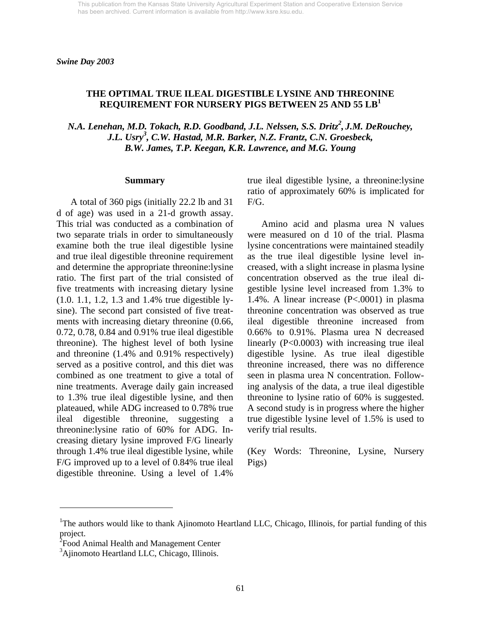## **THE OPTIMAL TRUE ILEAL DIGESTIBLE LYSINE AND THREONINE REQUIREMENT FOR NURSERY PIGS BETWEEN 25 AND 55 LB<sup>1</sup>**

*N.A. Lenehan, M.D. Tokach, R.D. Goodband, J.L. Nelssen, S.S. Dritz<sup>2</sup>, J.M. DeRouchey, J.L. Usry<sup>3</sup> , C.W. Hastad, M.R. Barker, N.Z. Frantz, C.N. Groesbeck, B.W. James, T.P. Keegan, K.R. Lawrence, and M.G. Young* 

#### **Summary**

 A total of 360 pigs (initially 22.2 lb and 31 d of age) was used in a 21-d growth assay. This trial was conducted as a combination of two separate trials in order to simultaneously examine both the true ileal digestible lysine and true ileal digestible threonine requirement and determine the appropriate threonine:lysine ratio. The first part of the trial consisted of five treatments with increasing dietary lysine (1.0. 1.1, 1.2, 1.3 and 1.4% true digestible lysine). The second part consisted of five treatments with increasing dietary threonine (0.66, 0.72, 0.78, 0.84 and 0.91% true ileal digestible threonine). The highest level of both lysine and threonine (1.4% and 0.91% respectively) served as a positive control, and this diet was combined as one treatment to give a total of nine treatments. Average daily gain increased to 1.3% true ileal digestible lysine, and then plateaued, while ADG increased to 0.78% true ileal digestible threonine, suggesting a threonine:lysine ratio of 60% for ADG. Increasing dietary lysine improved F/G linearly through 1.4% true ileal digestible lysine, while F/G improved up to a level of 0.84% true ileal digestible threonine. Using a level of 1.4%

true ileal digestible lysine, a threonine:lysine ratio of approximately 60% is implicated for F/G.

 Amino acid and plasma urea N values were measured on d 10 of the trial. Plasma lysine concentrations were maintained steadily as the true ileal digestible lysine level increased, with a slight increase in plasma lysine concentration observed as the true ileal digestible lysine level increased from 1.3% to 1.4%. A linear increase (P<.0001) in plasma threonine concentration was observed as true ileal digestible threonine increased from 0.66% to 0.91%. Plasma urea N decreased linearly (P<0.0003) with increasing true ileal digestible lysine. As true ileal digestible threonine increased, there was no difference seen in plasma urea N concentration. Following analysis of the data, a true ileal digestible threonine to lysine ratio of 60% is suggested. A second study is in progress where the higher true digestible lysine level of 1.5% is used to verify trial results.

(Key Words: Threonine, Lysine, Nursery Pigs)

 $\overline{a}$ 

<sup>&</sup>lt;sup>1</sup>The authors would like to thank Ajinomoto Heartland LLC, Chicago, Illinois, for partial funding of this project.

<sup>&</sup>lt;sup>2</sup> Food Animal Health and Management Center

<sup>&</sup>lt;sup>3</sup>Ajinomoto Heartland LLC, Chicago, Illinois.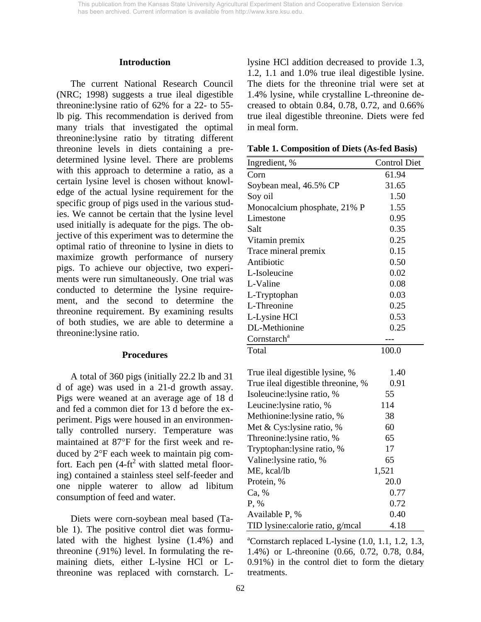#### **Introduction**

 The current National Research Council (NRC; 1998) suggests a true ileal digestible threonine:lysine ratio of 62% for a 22- to 55 lb pig. This recommendation is derived from many trials that investigated the optimal threonine:lysine ratio by titrating different threonine levels in diets containing a predetermined lysine level. There are problems with this approach to determine a ratio, as a certain lysine level is chosen without knowledge of the actual lysine requirement for the specific group of pigs used in the various studies. We cannot be certain that the lysine level used initially is adequate for the pigs. The objective of this experiment was to determine the optimal ratio of threonine to lysine in diets to maximize growth performance of nursery pigs. To achieve our objective, two experiments were run simultaneously. One trial was conducted to determine the lysine requirement, and the second to determine the threonine requirement. By examining results of both studies, we are able to determine a threonine:lysine ratio.

#### **Procedures**

 A total of 360 pigs (initially 22.2 lb and 31 d of age) was used in a 21-d growth assay. Pigs were weaned at an average age of 18 d and fed a common diet for 13 d before the experiment. Pigs were housed in an environmentally controlled nursery. Temperature was maintained at 87°F for the first week and reduced by 2°F each week to maintain pig comfort. Each pen  $(4-ft^2$  with slatted metal flooring) contained a stainless steel self-feeder and one nipple waterer to allow ad libitum consumption of feed and water.

 Diets were corn-soybean meal based (Table 1). The positive control diet was formulated with the highest lysine (1.4%) and threonine (.91%) level. In formulating the remaining diets, either L-lysine HCl or Lthreonine was replaced with cornstarch. L-

lysine HCl addition decreased to provide 1.3, 1.2, 1.1 and 1.0% true ileal digestible lysine. The diets for the threonine trial were set at 1.4% lysine, while crystalline L-threonine decreased to obtain 0.84, 0.78, 0.72, and 0.66% true ileal digestible threonine. Diets were fed in meal form.

| Ingredient, %                      | <b>Control Diet</b> |
|------------------------------------|---------------------|
| Corn                               | 61.94               |
| Soybean meal, 46.5% CP             | 31.65               |
| Soy oil                            | 1.50                |
| Monocalcium phosphate, 21% P       | 1.55                |
| Limestone                          | 0.95                |
| Salt                               | 0.35                |
| Vitamin premix                     | 0.25                |
| Trace mineral premix               | 0.15                |
| Antibiotic                         | 0.50                |
| L-Isoleucine                       | 0.02                |
| L-Valine                           | 0.08                |
| L-Tryptophan                       | 0.03                |
| L-Threonine                        | 0.25                |
| L-Lysine HCl                       | 0.53                |
| DL-Methionine                      | 0.25                |
| Cornstarch <sup>a</sup>            |                     |
| Total                              | 100.0               |
|                                    |                     |
| True ileal digestible lysine, %    | 1.40                |
| True ileal digestible threonine, % | 0.91                |
| Isoleucine:lysine ratio, %         | 55                  |
| Leucine:lysine ratio, %            | 114                 |
| Methionine:lysine ratio, %         | 38                  |
| Met & Cys:lysine ratio, %          | 60                  |
| Threonine: lysine ratio, %         | 65                  |
| Tryptophan: lysine ratio, %        | 17                  |
| Valine:lysine ratio, %             | 65                  |
| ME, kcal/lb                        | 1,521               |
| Protein, %                         | 20.0                |
| Ca, %                              | 0.77                |
| P, %                               | 0.72                |
| Available P, %                     | 0.40                |
| TID lysine: calorie ratio, g/mcal  | 4.18                |

**Table 1. Composition of Diets (As-fed Basis)**

 ${}^{\text{a}}$ Cornstarch replaced L-lysine  $(1.0, 1.1, 1.2, 1.3, 1.3)$ 1.4%) or L-threonine (0.66, 0.72, 0.78, 0.84, 0.91%) in the control diet to form the dietary treatments.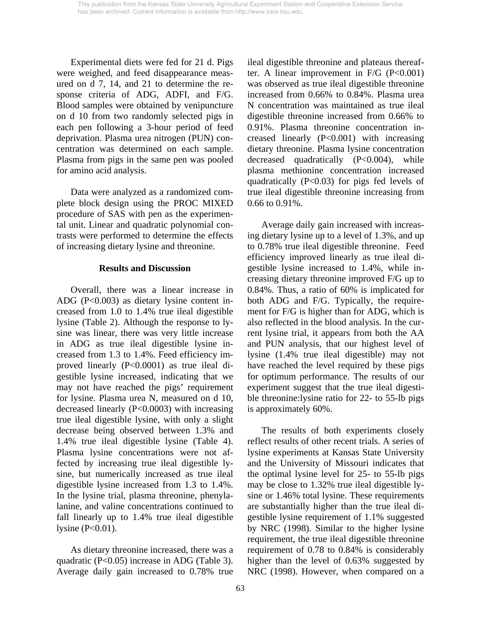Experimental diets were fed for 21 d. Pigs were weighed, and feed disappearance measured on d 7, 14, and 21 to determine the response criteria of ADG, ADFI, and F/G. Blood samples were obtained by venipuncture on d 10 from two randomly selected pigs in each pen following a 3-hour period of feed deprivation. Plasma urea nitrogen (PUN) concentration was determined on each sample. Plasma from pigs in the same pen was pooled for amino acid analysis.

 Data were analyzed as a randomized complete block design using the PROC MIXED procedure of SAS with pen as the experimental unit. Linear and quadratic polynomial contrasts were performed to determine the effects of increasing dietary lysine and threonine.

#### **Results and Discussion**

 Overall, there was a linear increase in ADG (P<0.003) as dietary lysine content increased from 1.0 to 1.4% true ileal digestible lysine (Table 2). Although the response to lysine was linear, there was very little increase in ADG as true ileal digestible lysine increased from 1.3 to 1.4%. Feed efficiency improved linearly (P<0.0001) as true ileal digestible lysine increased, indicating that we may not have reached the pigs' requirement for lysine. Plasma urea N, measured on d 10, decreased linearly (P<0.0003) with increasing true ileal digestible lysine, with only a slight decrease being observed between 1.3% and 1.4% true ileal digestible lysine (Table 4). Plasma lysine concentrations were not affected by increasing true ileal digestible lysine, but numerically increased as true ileal digestible lysine increased from 1.3 to 1.4%. In the lysine trial, plasma threonine, phenylalanine, and valine concentrations continued to fall linearly up to 1.4% true ileal digestible lysine  $(P<0.01)$ .

 As dietary threonine increased, there was a quadratic (P<0.05) increase in ADG (Table 3). Average daily gain increased to 0.78% true ileal digestible threonine and plateaus thereafter. A linear improvement in  $F/G$  ( $P<0.001$ ) was observed as true ileal digestible threonine increased from 0.66% to 0.84%. Plasma urea N concentration was maintained as true ileal digestible threonine increased from 0.66% to 0.91%. Plasma threonine concentration increased linearly (P<0.001) with increasing dietary threonine. Plasma lysine concentration decreased quadratically (P<0.004), while plasma methionine concentration increased quadratically (P<0.03) for pigs fed levels of true ileal digestible threonine increasing from 0.66 to 0.91%.

 Average daily gain increased with increasing dietary lysine up to a level of 1.3%, and up to 0.78% true ileal digestible threonine. Feed efficiency improved linearly as true ileal digestible lysine increased to 1.4%, while increasing dietary threonine improved F/G up to 0.84%. Thus, a ratio of 60% is implicated for both ADG and F/G. Typically, the requirement for F/G is higher than for ADG, which is also reflected in the blood analysis. In the current lysine trial, it appears from both the AA and PUN analysis, that our highest level of lysine (1.4% true ileal digestible) may not have reached the level required by these pigs for optimum performance. The results of our experiment suggest that the true ileal digestible threonine:lysine ratio for 22- to 55-lb pigs is approximately 60%.

 The results of both experiments closely reflect results of other recent trials. A series of lysine experiments at Kansas State University and the University of Missouri indicates that the optimal lysine level for 25- to 55-lb pigs may be close to 1.32% true ileal digestible lysine or 1.46% total lysine. These requirements are substantially higher than the true ileal digestible lysine requirement of 1.1% suggested by NRC (1998). Similar to the higher lysine requirement, the true ileal digestible threonine requirement of 0.78 to 0.84% is considerably higher than the level of 0.63% suggested by NRC (1998). However, when compared on a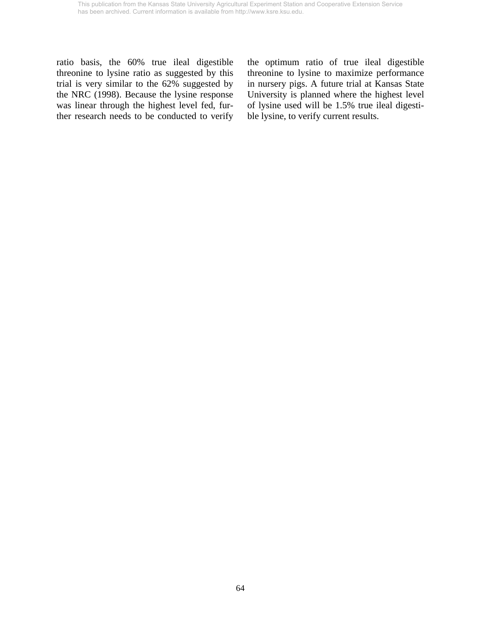ratio basis, the 60% true ileal digestible threonine to lysine ratio as suggested by this trial is very similar to the 62% suggested by the NRC (1998). Because the lysine response was linear through the highest level fed, further research needs to be conducted to verify the optimum ratio of true ileal digestible threonine to lysine to maximize performance in nursery pigs. A future trial at Kansas State University is planned where the highest level of lysine used will be 1.5% true ileal digestible lysine, to verify current results.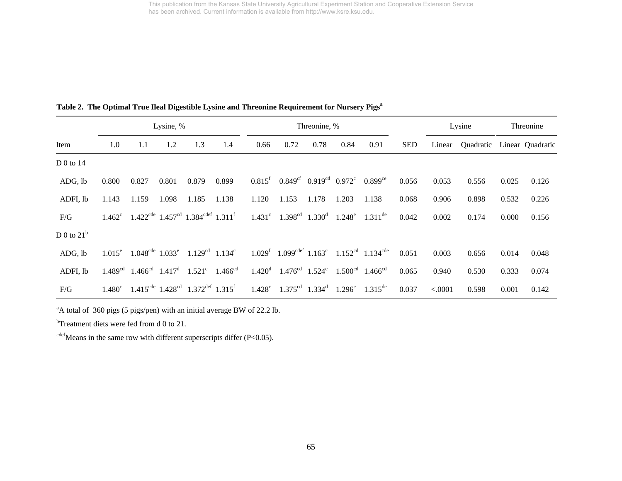|  |  |  |  | Table 2. The Optimal True Ileal Digestible Lysine and Threonine Requirement for Nursery Pigs <sup>a</sup> |  |  |  |
|--|--|--|--|-----------------------------------------------------------------------------------------------------------|--|--|--|
|  |  |  |  |                                                                                                           |  |  |  |

|               |                 |       | Lysine, % |                                                                                   |       |                 |                                                            | Threonine, % |                        |                                                                                             |            | Lysine  |                            | Threonine |       |
|---------------|-----------------|-------|-----------|-----------------------------------------------------------------------------------|-------|-----------------|------------------------------------------------------------|--------------|------------------------|---------------------------------------------------------------------------------------------|------------|---------|----------------------------|-----------|-------|
| Item          | 1.0             | 1.1   | 1.2       | 1.3                                                                               | 1.4   | 0.66            | 0.72                                                       | 0.78         | 0.84                   | 0.91                                                                                        | <b>SED</b> | Linear  | Quadratic Linear Quadratic |           |       |
| D 0 to $14$   |                 |       |           |                                                                                   |       |                 |                                                            |              |                        |                                                                                             |            |         |                            |           |       |
| ADG, lb       | 0.800           | 0.827 | 0.801     | 0.879                                                                             | 0.899 | $0.815^{\rm f}$ | $0.849cf$ 0.919 <sup>cd</sup> 0.972 <sup>c</sup>           |              |                        | $0.899$ <sup>ce</sup>                                                                       | 0.056      | 0.053   | 0.556                      | 0.025     | 0.126 |
| ADFI, lb      | 1.143           | 1.159 | 1.098     | 1.185                                                                             | 1.138 | 1.120           | 1.153                                                      | 1.178        | 1.203                  | 1.138                                                                                       | 0.068      | 0.906   | 0.898                      | 0.532     | 0.226 |
| F/G           | $1.462^{\circ}$ |       |           | $1.422^{\text{cde}}$ $1.457^{\text{cd}}$ $1.384^{\text{cdef}}$ $1.311^{\text{f}}$ |       |                 | $1.431^c$ $1.398^{cd}$ $1.330^d$ $1.248^e$ $1.311^{de}$    |              |                        |                                                                                             | 0.042      | 0.002   | 0.174                      | 0.000     | 0.156 |
| D 0 to $21^b$ |                 |       |           |                                                                                   |       |                 |                                                            |              |                        |                                                                                             |            |         |                            |           |       |
| ADG, lb       |                 |       |           | $1.015^e$ $1.048^{cde}$ $1.033^e$ $1.129^{cd}$ $1.134^c$                          |       |                 |                                                            |              |                        | $1.029^f$ 1.099 <sup>cdef</sup> 1.163 <sup>c</sup> 1.152 <sup>cd</sup> 1.134 <sup>cde</sup> | 0.051      | 0.003   | 0.656                      | 0.014     | 0.048 |
| ADFI, lb      |                 |       |           | $1.489cd$ $1.466cd$ $1.417d$ $1.521c$ $1.466cd$                                   |       |                 | $1.420^d$ $1.476^{cd}$ $1.524^c$ $1.500^{cd}$ $1.466^{cd}$ |              |                        |                                                                                             | 0.065      | 0.940   | 0.530                      | 0.333     | 0.074 |
| F/G           | $1.480^{\circ}$ |       |           | $1.415^{\text{cde}}$ $1.428^{\text{cd}}$ $1.372^{\text{def}}$ $1.315^{\text{f}}$  |       |                 | $1.428^c$ $1.375^{cd}$ $1.334^d$                           |              | $1.296^e$ $1.315^{de}$ |                                                                                             | 0.037      | < .0001 | 0.598                      | 0.001     | 0.142 |

<sup>a</sup>A total of 360 pigs (5 pigs/pen) with an initial average BW of 22.2 lb.

<sup>b</sup>Treatment diets were fed from d 0 to 21.

 $c<sup>def</sup> Means$  in the same row with different superscripts differ (P<0.05).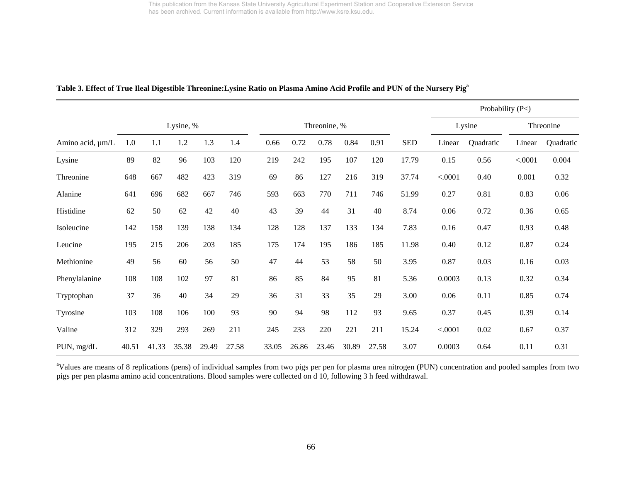|                       |       |           |       |       |       |              |       |       |       |       |            |         | Probability (P<) |         |           |
|-----------------------|-------|-----------|-------|-------|-------|--------------|-------|-------|-------|-------|------------|---------|------------------|---------|-----------|
|                       |       | Lysine, % |       |       |       | Threonine, % |       |       |       |       | Lysine     |         | Threonine        |         |           |
| Amino acid, $\mu$ m/L | 1.0   | 1.1       | 1.2   | 1.3   | 1.4   | 0.66         | 0.72  | 0.78  | 0.84  | 0.91  | <b>SED</b> | Linear  | Quadratic        | Linear  | Quadratic |
| Lysine                | 89    | 82        | 96    | 103   | 120   | 219          | 242   | 195   | 107   | 120   | 17.79      | 0.15    | 0.56             | < .0001 | 0.004     |
| Threonine             | 648   | 667       | 482   | 423   | 319   | 69           | 86    | 127   | 216   | 319   | 37.74      | < .0001 | 0.40             | 0.001   | 0.32      |
| Alanine               | 641   | 696       | 682   | 667   | 746   | 593          | 663   | 770   | 711   | 746   | 51.99      | 0.27    | 0.81             | 0.83    | 0.06      |
| Histidine             | 62    | 50        | 62    | 42    | 40    | 43           | 39    | 44    | 31    | 40    | 8.74       | 0.06    | 0.72             | 0.36    | 0.65      |
| Isoleucine            | 142   | 158       | 139   | 138   | 134   | 128          | 128   | 137   | 133   | 134   | 7.83       | 0.16    | 0.47             | 0.93    | 0.48      |
| Leucine               | 195   | 215       | 206   | 203   | 185   | 175          | 174   | 195   | 186   | 185   | 11.98      | 0.40    | 0.12             | 0.87    | 0.24      |
| Methionine            | 49    | 56        | 60    | 56    | 50    | 47           | 44    | 53    | 58    | 50    | 3.95       | 0.87    | 0.03             | 0.16    | 0.03      |
| Phenylalanine         | 108   | 108       | 102   | 97    | 81    | 86           | 85    | 84    | 95    | 81    | 5.36       | 0.0003  | 0.13             | 0.32    | 0.34      |
| Tryptophan            | 37    | 36        | 40    | 34    | 29    | 36           | 31    | 33    | 35    | 29    | 3.00       | 0.06    | 0.11             | 0.85    | 0.74      |
| Tyrosine              | 103   | 108       | 106   | 100   | 93    | 90           | 94    | 98    | 112   | 93    | 9.65       | 0.37    | 0.45             | 0.39    | 0.14      |
| Valine                | 312   | 329       | 293   | 269   | 211   | 245          | 233   | 220   | 221   | 211   | 15.24      | < .0001 | 0.02             | 0.67    | 0.37      |
| PUN, mg/dL            | 40.51 | 41.33     | 35.38 | 29.49 | 27.58 | 33.05        | 26.86 | 23.46 | 30.89 | 27.58 | 3.07       | 0.0003  | 0.64             | 0.11    | 0.31      |

#### **Table 3. Effect of True Ileal Digestible Threonine:Lysine Ratio on Plasma Amino Acid Profile and PUN of the Nursery Piga**

<sup>a</sup>Values are means of 8 replications (pens) of individual samples from two pigs per pen for plasma urea nitrogen (PUN) concentration and pooled samples from two pigs per pen plasma amino acid concentrations. Blood samples were collected on d 10, following 3 h feed withdrawal.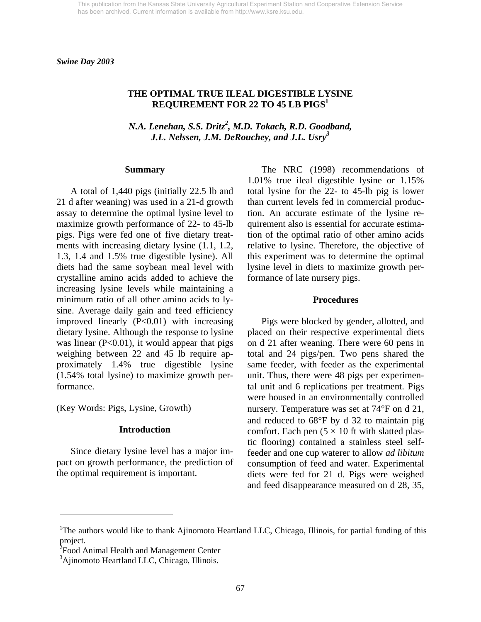### **THE OPTIMAL TRUE ILEAL DIGESTIBLE LYSINE REQUIREMENT FOR 22 TO 45 LB PIGS1**

*N.A. Lenehan, S.S. Dritz<sup>2</sup>, M.D. Tokach, R.D. Goodband, J.L. Nelssen, J.M. DeRouchey, and J.L. Usry3* 

#### **Summary**

 A total of 1,440 pigs (initially 22.5 lb and 21 d after weaning) was used in a 21-d growth assay to determine the optimal lysine level to maximize growth performance of 22- to 45-lb pigs. Pigs were fed one of five dietary treatments with increasing dietary lysine (1.1, 1.2, 1.3, 1.4 and 1.5% true digestible lysine). All diets had the same soybean meal level with crystalline amino acids added to achieve the increasing lysine levels while maintaining a minimum ratio of all other amino acids to lysine. Average daily gain and feed efficiency improved linearly  $(P<0.01)$  with increasing dietary lysine. Although the response to lysine was linear  $(P<0.01)$ , it would appear that pigs weighing between 22 and 45 lb require approximately 1.4% true digestible lysine (1.54% total lysine) to maximize growth performance.

(Key Words: Pigs, Lysine, Growth)

 $\overline{a}$ 

#### **Introduction**

 Since dietary lysine level has a major impact on growth performance, the prediction of the optimal requirement is important.

 The NRC (1998) recommendations of 1.01% true ileal digestible lysine or 1.15% total lysine for the 22- to 45-lb pig is lower than current levels fed in commercial production. An accurate estimate of the lysine requirement also is essential for accurate estimation of the optimal ratio of other amino acids relative to lysine. Therefore, the objective of this experiment was to determine the optimal lysine level in diets to maximize growth performance of late nursery pigs.

#### **Procedures**

 Pigs were blocked by gender, allotted, and placed on their respective experimental diets on d 21 after weaning. There were 60 pens in total and 24 pigs/pen. Two pens shared the same feeder, with feeder as the experimental unit. Thus, there were 48 pigs per experimental unit and 6 replications per treatment. Pigs were housed in an environmentally controlled nursery. Temperature was set at 74°F on d 21, and reduced to 68°F by d 32 to maintain pig comfort. Each pen  $(5 \times 10$  ft with slatted plastic flooring) contained a stainless steel selffeeder and one cup waterer to allow *ad libitum* consumption of feed and water. Experimental diets were fed for 21 d. Pigs were weighed and feed disappearance measured on d 28, 35,

<sup>&</sup>lt;sup>1</sup>The authors would like to thank Ajinomoto Heartland LLC, Chicago, Illinois, for partial funding of this project.

<sup>&</sup>lt;sup>2</sup> Food Animal Health and Management Center

<sup>&</sup>lt;sup>3</sup>Ajinomoto Heartland LLC, Chicago, Illinois.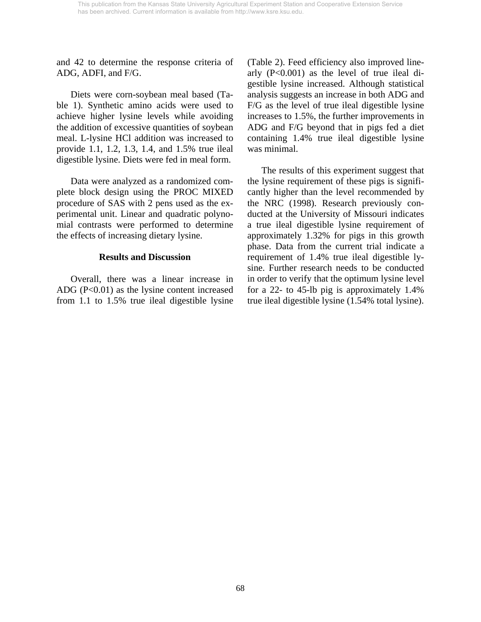and 42 to determine the response criteria of ADG, ADFI, and F/G.

 Diets were corn-soybean meal based (Table 1). Synthetic amino acids were used to achieve higher lysine levels while avoiding the addition of excessive quantities of soybean meal. L-lysine HCl addition was increased to provide 1.1, 1.2, 1.3, 1.4, and 1.5% true ileal digestible lysine. Diets were fed in meal form.

 Data were analyzed as a randomized complete block design using the PROC MIXED procedure of SAS with 2 pens used as the experimental unit. Linear and quadratic polynomial contrasts were performed to determine the effects of increasing dietary lysine.

#### **Results and Discussion**

 Overall, there was a linear increase in ADG (P<0.01) as the lysine content increased from 1.1 to 1.5% true ileal digestible lysine (Table 2). Feed efficiency also improved linearly (P<0.001) as the level of true ileal digestible lysine increased. Although statistical analysis suggests an increase in both ADG and F/G as the level of true ileal digestible lysine increases to 1.5%, the further improvements in ADG and F/G beyond that in pigs fed a diet containing 1.4% true ileal digestible lysine was minimal.

 The results of this experiment suggest that the lysine requirement of these pigs is significantly higher than the level recommended by the NRC (1998). Research previously conducted at the University of Missouri indicates a true ileal digestible lysine requirement of approximately 1.32% for pigs in this growth phase. Data from the current trial indicate a requirement of 1.4% true ileal digestible lysine. Further research needs to be conducted in order to verify that the optimum lysine level for a 22- to 45-lb pig is approximately 1.4% true ileal digestible lysine (1.54% total lysine).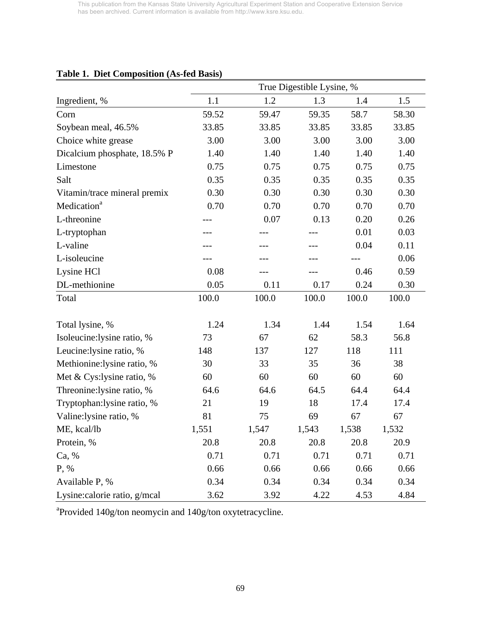|                              | True Digestible Lysine, % |       |       |       |       |  |  |  |
|------------------------------|---------------------------|-------|-------|-------|-------|--|--|--|
| Ingredient, %                | 1.1                       | 1.2   | 1.3   | 1.4   | 1.5   |  |  |  |
| Corn                         | 59.52                     | 59.47 | 59.35 | 58.7  | 58.30 |  |  |  |
| Soybean meal, 46.5%          | 33.85                     | 33.85 | 33.85 | 33.85 | 33.85 |  |  |  |
| Choice white grease          | 3.00                      | 3.00  | 3.00  | 3.00  | 3.00  |  |  |  |
| Dicalcium phosphate, 18.5% P | 1.40                      | 1.40  | 1.40  | 1.40  | 1.40  |  |  |  |
| Limestone                    | 0.75                      | 0.75  | 0.75  | 0.75  | 0.75  |  |  |  |
| Salt                         | 0.35                      | 0.35  | 0.35  | 0.35  | 0.35  |  |  |  |
| Vitamin/trace mineral premix | 0.30                      | 0.30  | 0.30  | 0.30  | 0.30  |  |  |  |
| Medication <sup>a</sup>      | 0.70                      | 0.70  | 0.70  | 0.70  | 0.70  |  |  |  |
| L-threonine                  |                           | 0.07  | 0.13  | 0.20  | 0.26  |  |  |  |
| L-tryptophan                 |                           |       |       | 0.01  | 0.03  |  |  |  |
| L-valine                     |                           |       |       | 0.04  | 0.11  |  |  |  |
| L-isoleucine                 |                           |       |       |       | 0.06  |  |  |  |
| Lysine HCl                   | 0.08                      |       |       | 0.46  | 0.59  |  |  |  |
| DL-methionine                | 0.05                      | 0.11  | 0.17  | 0.24  | 0.30  |  |  |  |
| Total                        | 100.0                     | 100.0 | 100.0 | 100.0 | 100.0 |  |  |  |
| Total lysine, %              | 1.24                      | 1.34  | 1.44  | 1.54  | 1.64  |  |  |  |
| Isoleucine:lysine ratio, %   | 73                        | 67    | 62    | 58.3  | 56.8  |  |  |  |
| Leucine:lysine ratio, %      | 148                       | 137   | 127   | 118   | 111   |  |  |  |
| Methionine:lysine ratio, %   | 30                        | 33    | 35    | 36    | 38    |  |  |  |
| Met & Cys:lysine ratio, %    | 60                        | 60    | 60    | 60    | 60    |  |  |  |
| Threonine:lysine ratio, %    | 64.6                      | 64.6  | 64.5  | 64.4  | 64.4  |  |  |  |
| Tryptophan: lysine ratio, %  | 21                        | 19    | 18    | 17.4  | 17.4  |  |  |  |
| Valine:lysine ratio, %       | 81                        | 75    | 69    | 67    | 67    |  |  |  |
| ME, kcal/lb                  | 1,551                     | 1,547 | 1,543 | 1,538 | 1,532 |  |  |  |
| Protein, %                   | 20.8                      | 20.8  | 20.8  | 20.8  | 20.9  |  |  |  |
| Ca, %                        | 0.71                      | 0.71  | 0.71  | 0.71  | 0.71  |  |  |  |
| P, %                         | 0.66                      | 0.66  | 0.66  | 0.66  | 0.66  |  |  |  |
| Available P, %               | 0.34                      | 0.34  | 0.34  | 0.34  | 0.34  |  |  |  |
| Lysine:calorie ratio, g/mcal | 3.62                      | 3.92  | 4.22  | 4.53  | 4.84  |  |  |  |

# **Table 1. Diet Composition (As-fed Basis)**

<sup>a</sup>Provided 140g/ton neomycin and 140g/ton oxytetracycline.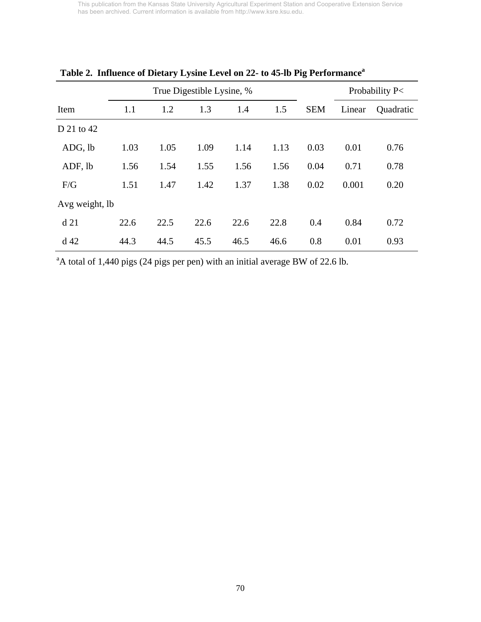|                 |      | True Digestible Lysine, % |      | Probability P< |      |            |        |           |
|-----------------|------|---------------------------|------|----------------|------|------------|--------|-----------|
| Item            | 1.1  | 1.2                       | 1.3  | 1.4            | 1.5  | <b>SEM</b> | Linear | Quadratic |
| D 21 to 42      |      |                           |      |                |      |            |        |           |
| ADG, lb         | 1.03 | 1.05                      | 1.09 | 1.14           | 1.13 | 0.03       | 0.01   | 0.76      |
| ADF, lb         | 1.56 | 1.54                      | 1.55 | 1.56           | 1.56 | 0.04       | 0.71   | 0.78      |
| F/G             | 1.51 | 1.47                      | 1.42 | 1.37           | 1.38 | 0.02       | 0.001  | 0.20      |
| Avg weight, lb  |      |                           |      |                |      |            |        |           |
| d21             | 22.6 | 22.5                      | 22.6 | 22.6           | 22.8 | 0.4        | 0.84   | 0.72      |
| d <sub>42</sub> | 44.3 | 44.5                      | 45.5 | 46.5           | 46.6 | 0.8        | 0.01   | 0.93      |

**Table 2. Influence of Dietary Lysine Level on 22- to 45-lb Pig Performancea**

 $A<sup>a</sup>A$  total of 1,440 pigs (24 pigs per pen) with an initial average BW of 22.6 lb.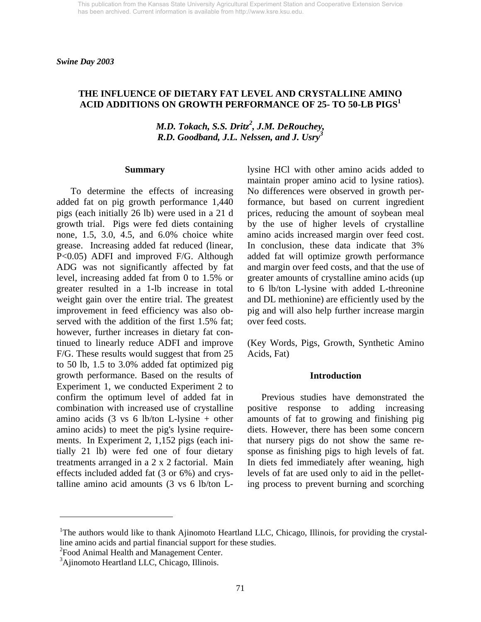*Swine Day 2003* 

### **THE INFLUENCE OF DIETARY FAT LEVEL AND CRYSTALLINE AMINO ACID ADDITIONS ON GROWTH PERFORMANCE OF 25- TO 50-LB PIGS<sup>1</sup>**

*M.D. Tokach, S.S. Dritz<sup>2</sup>, J.M. DeRouchey, R.D. Goodband, J.L. Nelssen, and J. Usry<sup>3</sup>*

#### **Summary**

To determine the effects of increasing added fat on pig growth performance 1,440 pigs (each initially 26 lb) were used in a 21 d growth trial. Pigs were fed diets containing none, 1.5, 3.0, 4.5, and 6.0% choice white grease. Increasing added fat reduced (linear, P<0.05) ADFI and improved F/G. Although ADG was not significantly affected by fat level, increasing added fat from 0 to 1.5% or greater resulted in a 1-lb increase in total weight gain over the entire trial. The greatest improvement in feed efficiency was also observed with the addition of the first 1.5% fat; however, further increases in dietary fat continued to linearly reduce ADFI and improve F/G. These results would suggest that from 25 to 50 lb, 1.5 to 3.0% added fat optimized pig growth performance. Based on the results of Experiment 1, we conducted Experiment 2 to confirm the optimum level of added fat in combination with increased use of crystalline amino acids (3 vs 6 lb/ton L-lysine + other amino acids) to meet the pig's lysine requirements. In Experiment 2, 1,152 pigs (each initially 21 lb) were fed one of four dietary treatments arranged in a 2 x 2 factorial. Main effects included added fat (3 or 6%) and crystalline amino acid amounts (3 vs 6 lb/ton L-

lysine HCl with other amino acids added to maintain proper amino acid to lysine ratios). No differences were observed in growth performance, but based on current ingredient prices, reducing the amount of soybean meal by the use of higher levels of crystalline amino acids increased margin over feed cost. In conclusion, these data indicate that 3% added fat will optimize growth performance and margin over feed costs, and that the use of greater amounts of crystalline amino acids (up to 6 lb/ton L-lysine with added L-threonine and DL methionine) are efficiently used by the pig and will also help further increase margin over feed costs.

(Key Words, Pigs, Growth, Synthetic Amino Acids, Fat)

#### **Introduction**

Previous studies have demonstrated the positive response to adding increasing amounts of fat to growing and finishing pig diets. However, there has been some concern that nursery pigs do not show the same response as finishing pigs to high levels of fat. In diets fed immediately after weaning, high levels of fat are used only to aid in the pelleting process to prevent burning and scorching

<sup>2</sup> Food Animal Health and Management Center.

 $\overline{a}$ 

<sup>&</sup>lt;sup>1</sup>The authors would like to thank Ajinomoto Heartland LLC, Chicago, Illinois, for providing the crystalline amino acids and partial financial support for these studies.

<sup>&</sup>lt;sup>3</sup>Ajinomoto Heartland LLC, Chicago, Illinois.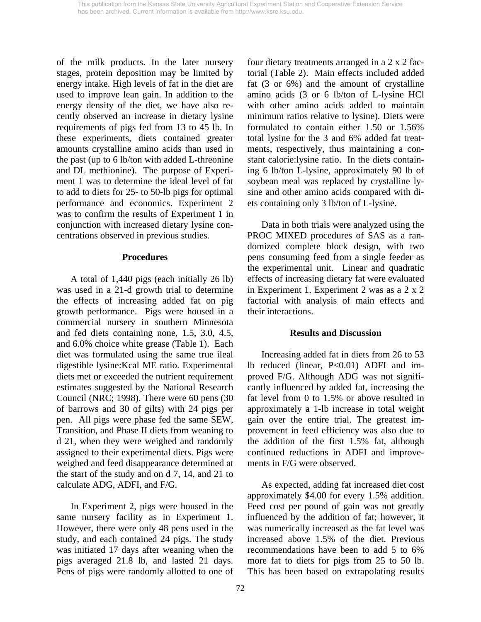of the milk products. In the later nursery stages, protein deposition may be limited by energy intake. High levels of fat in the diet are used to improve lean gain. In addition to the energy density of the diet, we have also recently observed an increase in dietary lysine requirements of pigs fed from 13 to 45 lb. In these experiments, diets contained greater amounts crystalline amino acids than used in the past (up to 6 lb/ton with added L-threonine and DL methionine). The purpose of Experiment 1 was to determine the ideal level of fat to add to diets for 25- to 50-lb pigs for optimal performance and economics. Experiment 2 was to confirm the results of Experiment 1 in conjunction with increased dietary lysine concentrations observed in previous studies.

#### **Procedures**

A total of 1,440 pigs (each initially 26 lb) was used in a 21-d growth trial to determine the effects of increasing added fat on pig growth performance. Pigs were housed in a commercial nursery in southern Minnesota and fed diets containing none, 1.5, 3.0, 4.5, and 6.0% choice white grease (Table 1). Each diet was formulated using the same true ileal digestible lysine:Kcal ME ratio. Experimental diets met or exceeded the nutrient requirement estimates suggested by the National Research Council (NRC; 1998). There were 60 pens (30 of barrows and 30 of gilts) with 24 pigs per pen. All pigs were phase fed the same SEW, Transition, and Phase II diets from weaning to d 21, when they were weighed and randomly assigned to their experimental diets. Pigs were weighed and feed disappearance determined at the start of the study and on d 7, 14, and 21 to calculate ADG, ADFI, and F/G.

 In Experiment 2, pigs were housed in the same nursery facility as in Experiment 1. However, there were only 48 pens used in the study, and each contained 24 pigs. The study was initiated 17 days after weaning when the pigs averaged 21.8 lb, and lasted 21 days. Pens of pigs were randomly allotted to one of four dietary treatments arranged in a 2 x 2 factorial (Table 2). Main effects included added fat (3 or 6%) and the amount of crystalline amino acids (3 or 6 lb/ton of L-lysine HCl with other amino acids added to maintain minimum ratios relative to lysine). Diets were formulated to contain either 1.50 or 1.56% total lysine for the 3 and 6% added fat treatments, respectively, thus maintaining a constant calorie:lysine ratio. In the diets containing 6 lb/ton L-lysine, approximately 90 lb of soybean meal was replaced by crystalline lysine and other amino acids compared with diets containing only 3 lb/ton of L-lysine.

 Data in both trials were analyzed using the PROC MIXED procedures of SAS as a randomized complete block design, with two pens consuming feed from a single feeder as the experimental unit. Linear and quadratic effects of increasing dietary fat were evaluated in Experiment 1. Experiment 2 was as a 2 x 2 factorial with analysis of main effects and their interactions.

#### **Results and Discussion**

Increasing added fat in diets from 26 to 53 lb reduced (linear, P<0.01) ADFI and improved F/G. Although ADG was not significantly influenced by added fat, increasing the fat level from 0 to 1.5% or above resulted in approximately a 1-lb increase in total weight gain over the entire trial. The greatest improvement in feed efficiency was also due to the addition of the first 1.5% fat, although continued reductions in ADFI and improvements in F/G were observed.

 As expected, adding fat increased diet cost approximately \$4.00 for every 1.5% addition. Feed cost per pound of gain was not greatly influenced by the addition of fat; however, it was numerically increased as the fat level was increased above 1.5% of the diet. Previous recommendations have been to add 5 to 6% more fat to diets for pigs from 25 to 50 lb. This has been based on extrapolating results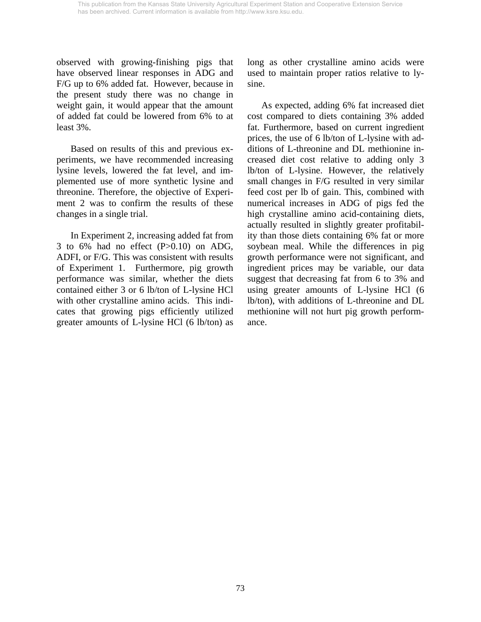observed with growing-finishing pigs that have observed linear responses in ADG and F/G up to 6% added fat. However, because in the present study there was no change in weight gain, it would appear that the amount of added fat could be lowered from 6% to at least 3%.

 Based on results of this and previous experiments, we have recommended increasing lysine levels, lowered the fat level, and implemented use of more synthetic lysine and threonine. Therefore, the objective of Experiment 2 was to confirm the results of these changes in a single trial.

 In Experiment 2, increasing added fat from 3 to 6% had no effect (P>0.10) on ADG, ADFI, or F/G. This was consistent with results of Experiment 1. Furthermore, pig growth performance was similar, whether the diets contained either 3 or 6 lb/ton of L-lysine HCl with other crystalline amino acids. This indicates that growing pigs efficiently utilized greater amounts of L-lysine HCl (6 lb/ton) as long as other crystalline amino acids were used to maintain proper ratios relative to lysine.

 As expected, adding 6% fat increased diet cost compared to diets containing 3% added fat. Furthermore, based on current ingredient prices, the use of 6 lb/ton of L-lysine with additions of L-threonine and DL methionine increased diet cost relative to adding only 3 lb/ton of L-lysine. However, the relatively small changes in F/G resulted in very similar feed cost per lb of gain. This, combined with numerical increases in ADG of pigs fed the high crystalline amino acid-containing diets, actually resulted in slightly greater profitability than those diets containing 6% fat or more soybean meal. While the differences in pig growth performance were not significant, and ingredient prices may be variable, our data suggest that decreasing fat from 6 to 3% and using greater amounts of L-lysine HCl (6 lb/ton), with additions of L-threonine and DL methionine will not hurt pig growth performance.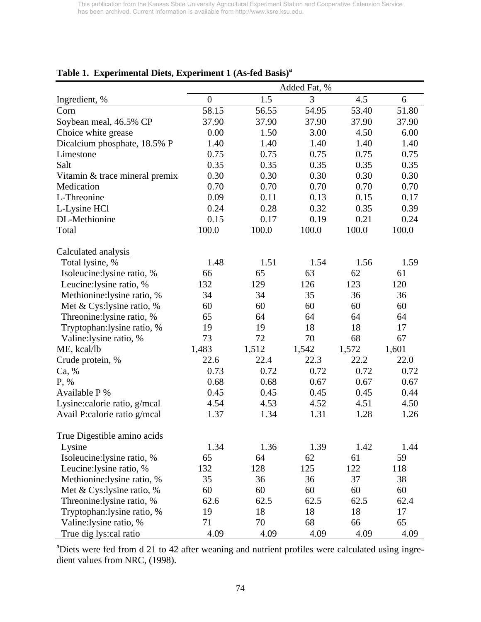|                                | Added Fat, %     |       |       |       |       |  |  |  |  |
|--------------------------------|------------------|-------|-------|-------|-------|--|--|--|--|
| Ingredient, %                  | $\boldsymbol{0}$ | 1.5   | 3     | 4.5   | 6     |  |  |  |  |
| Corn                           | 58.15            | 56.55 | 54.95 | 53.40 | 51.80 |  |  |  |  |
| Soybean meal, 46.5% CP         | 37.90            | 37.90 | 37.90 | 37.90 | 37.90 |  |  |  |  |
| Choice white grease            | 0.00             | 1.50  | 3.00  | 4.50  | 6.00  |  |  |  |  |
| Dicalcium phosphate, 18.5% P   | 1.40             | 1.40  | 1.40  | 1.40  | 1.40  |  |  |  |  |
| Limestone                      | 0.75             | 0.75  | 0.75  | 0.75  | 0.75  |  |  |  |  |
| Salt                           | 0.35             | 0.35  | 0.35  | 0.35  | 0.35  |  |  |  |  |
| Vitamin & trace mineral premix | 0.30             | 0.30  | 0.30  | 0.30  | 0.30  |  |  |  |  |
| Medication                     | 0.70             | 0.70  | 0.70  | 0.70  | 0.70  |  |  |  |  |
| L-Threonine                    | 0.09             | 0.11  | 0.13  | 0.15  | 0.17  |  |  |  |  |
| L-Lysine HCl                   | 0.24             | 0.28  | 0.32  | 0.35  | 0.39  |  |  |  |  |
| DL-Methionine                  | 0.15             | 0.17  | 0.19  | 0.21  | 0.24  |  |  |  |  |
| Total                          | 100.0            | 100.0 | 100.0 | 100.0 | 100.0 |  |  |  |  |
| Calculated analysis            |                  |       |       |       |       |  |  |  |  |
| Total lysine, %                | 1.48             | 1.51  | 1.54  | 1.56  | 1.59  |  |  |  |  |
| Isoleucine:lysine ratio, %     | 66               | 65    | 63    | 62    | 61    |  |  |  |  |
| Leucine: lysine ratio, %       | 132              | 129   | 126   | 123   | 120   |  |  |  |  |
| Methionine: lysine ratio, %    | 34               | 34    | 35    | 36    | 36    |  |  |  |  |
| Met & Cys: lysine ratio, %     | 60               | 60    | 60    | 60    | 60    |  |  |  |  |
| Threonine: lysine ratio, %     | 65               | 64    | 64    | 64    | 64    |  |  |  |  |
| Tryptophan: lysine ratio, %    | 19               | 19    | 18    | 18    | 17    |  |  |  |  |
| Valine:lysine ratio, %         | 73               | 72    | 70    | 68    | 67    |  |  |  |  |
| ME, kcal/lb                    | 1,483            | 1,512 | 1,542 | 1,572 | 1,601 |  |  |  |  |
| Crude protein, %               | 22.6             | 22.4  | 22.3  | 22.2  | 22.0  |  |  |  |  |
| Ca, %                          | 0.73             | 0.72  | 0.72  | 0.72  | 0.72  |  |  |  |  |
| P, %                           | 0.68             | 0.68  | 0.67  | 0.67  | 0.67  |  |  |  |  |
| Available P %                  | 0.45             | 0.45  | 0.45  | 0.45  | 0.44  |  |  |  |  |
| Lysine: calorie ratio, g/mcal  | 4.54             | 4.53  | 4.52  | 4.51  | 4.50  |  |  |  |  |
| Avail P:calorie ratio g/mcal   | 1.37             | 1.34  | 1.31  | 1.28  | 1.26  |  |  |  |  |
| True Digestible amino acids    |                  |       |       |       |       |  |  |  |  |
| Lysine                         | 1.34             | 1.36  | 1.39  | 1.42  | 1.44  |  |  |  |  |
| Isoleucine:lysine ratio, %     | 65               | 64    | 62    | 61    | 59    |  |  |  |  |
| Leucine: lysine ratio, %       | 132              | 128   | 125   | 122   | 118   |  |  |  |  |
| Methionine: lysine ratio, %    | 35               | 36    | 36    | 37    | 38    |  |  |  |  |
| Met & Cys: lysine ratio, %     | 60               | 60    | 60    | 60    | 60    |  |  |  |  |
| Threonine: lysine ratio, %     | 62.6             | 62.5  | 62.5  | 62.5  | 62.4  |  |  |  |  |
| Tryptophan: lysine ratio, %    | 19               | 18    | 18    | 18    | 17    |  |  |  |  |
| Valine: lysine ratio, %        | 71               | 70    | 68    | 66    | 65    |  |  |  |  |
| True dig lys:cal ratio         | 4.09             | 4.09  | 4.09  | 4.09  | 4.09  |  |  |  |  |

# **Table 1. Experimental Diets, Experiment 1 (As-fed Basis)a**

<sup>a</sup>Diets were fed from d 21 to 42 after weaning and nutrient profiles were calculated using ingredient values from NRC, (1998).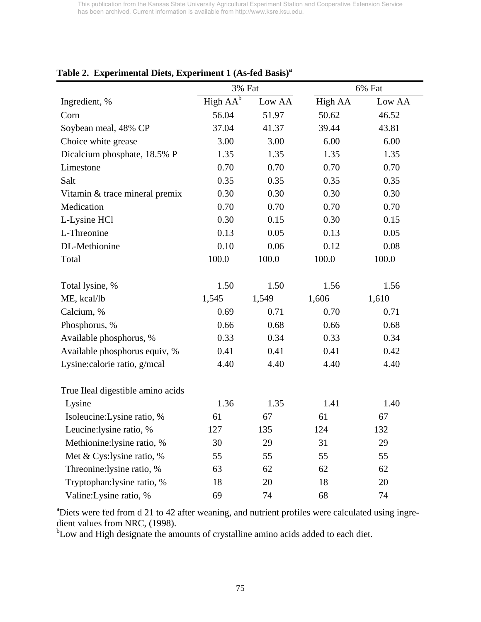|                                   | 3% Fat               |        | 6% Fat  |        |  |  |
|-----------------------------------|----------------------|--------|---------|--------|--|--|
| Ingredient, %                     | High AA <sup>b</sup> | Low AA | High AA | Low AA |  |  |
| Corn                              | 56.04                | 51.97  | 50.62   | 46.52  |  |  |
| Soybean meal, 48% CP              | 37.04                | 41.37  | 39.44   | 43.81  |  |  |
| Choice white grease               | 3.00                 | 3.00   | 6.00    | 6.00   |  |  |
| Dicalcium phosphate, 18.5% P      | 1.35                 | 1.35   | 1.35    | 1.35   |  |  |
| Limestone                         | 0.70                 | 0.70   | 0.70    | 0.70   |  |  |
| Salt                              | 0.35                 | 0.35   | 0.35    | 0.35   |  |  |
| Vitamin & trace mineral premix    | 0.30                 | 0.30   | 0.30    | 0.30   |  |  |
| Medication                        | 0.70                 | 0.70   | 0.70    | 0.70   |  |  |
| L-Lysine HCl                      | 0.30                 | 0.15   | 0.30    | 0.15   |  |  |
| L-Threonine                       | 0.13                 | 0.05   | 0.13    | 0.05   |  |  |
| DL-Methionine                     | 0.10                 | 0.06   | 0.12    | 0.08   |  |  |
| Total                             | 100.0                | 100.0  | 100.0   | 100.0  |  |  |
|                                   |                      |        |         |        |  |  |
| Total lysine, %                   | 1.50                 | 1.50   | 1.56    | 1.56   |  |  |
| ME, kcal/lb                       | 1,545                | 1,549  | 1,606   | 1,610  |  |  |
| Calcium, %                        | 0.69                 | 0.71   | 0.70    | 0.71   |  |  |
| Phosphorus, %                     | 0.66                 | 0.68   | 0.66    | 0.68   |  |  |
| Available phosphorus, %           | 0.33                 | 0.34   | 0.33    | 0.34   |  |  |
| Available phosphorus equiv, %     | 0.41                 | 0.41   | 0.41    | 0.42   |  |  |
| Lysine: calorie ratio, g/mcal     | 4.40                 | 4.40   | 4.40    | 4.40   |  |  |
|                                   |                      |        |         |        |  |  |
| True Ileal digestible amino acids |                      |        |         |        |  |  |
| Lysine                            | 1.36                 | 1.35   | 1.41    | 1.40   |  |  |
| Isoleucine: Lysine ratio, %       | 61                   | 67     | 61      | 67     |  |  |
| Leucine: lysine ratio, %          | 127                  | 135    | 124     | 132    |  |  |
| Methionine: lysine ratio, %       | 30                   | 29     | 31      | 29     |  |  |
| Met & Cys:lysine ratio, %         | 55                   | 55     | 55      | 55     |  |  |
| Threonine: lysine ratio, %        | 63                   | 62     | 62      | 62     |  |  |
| Tryptophan:lysine ratio, %        | 18                   | 20     | 18      | 20     |  |  |
| Valine: Lysine ratio, %           | 69                   | 74     | 68      | 74     |  |  |

# **Table 2. Experimental Diets, Experiment 1 (As-fed Basis)a**

<sup>a</sup>Diets were fed from d 21 to 42 after weaning, and nutrient profiles were calculated using ingredient values from NRC, (1998).

<sup>b</sup>Low and High designate the amounts of crystalline amino acids added to each diet.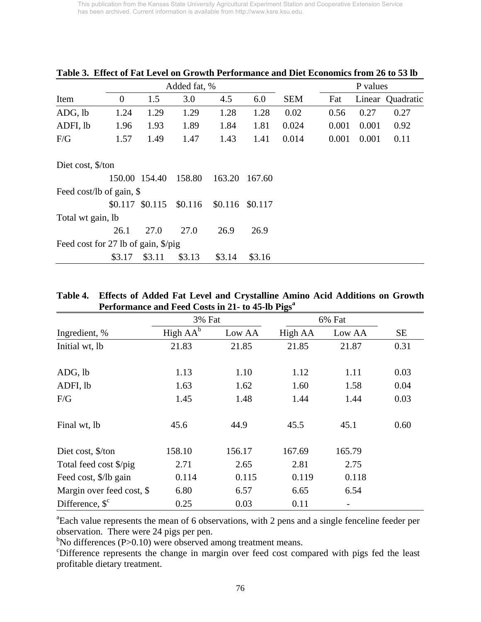|                                     |          | Added fat, %  | P values |         |         |            |       |       |                  |
|-------------------------------------|----------|---------------|----------|---------|---------|------------|-------|-------|------------------|
| Item                                | $\theta$ | 1.5           | 3.0      | 4.5     | 6.0     | <b>SEM</b> | Fat   |       | Linear Quadratic |
| ADG, lb                             | 1.24     | 1.29          | 1.29     | 1.28    | 1.28    | 0.02       | 0.56  | 0.27  | 0.27             |
| ADFI, lb                            | 1.96     | 1.93          | 1.89     | 1.84    | 1.81    | 0.024      | 0.001 | 0.001 | 0.92             |
| F/G                                 | 1.57     | 1.49          | 1.47     | 1.43    | 1.41    | 0.014      | 0.001 | 0.001 | 0.11             |
| Diet cost, \$/ton                   |          |               |          |         |         |            |       |       |                  |
|                                     |          | 150.00 154.40 | 158.80   | 163.20  | 167.60  |            |       |       |                  |
| Feed cost/lb of gain, \$            |          |               |          |         |         |            |       |       |                  |
|                                     | \$0.117  | \$0.115       | \$0.116  | \$0.116 | \$0.117 |            |       |       |                  |
| Total wt gain, lb                   |          |               |          |         |         |            |       |       |                  |
|                                     | 26.1     | 27.0          | 27.0     | 26.9    | 26.9    |            |       |       |                  |
| Feed cost for 27 lb of gain, \$/pig |          |               |          |         |         |            |       |       |                  |
|                                     | \$3.17   | \$3.11        | \$3.13   | \$3.14  | \$3.16  |            |       |       |                  |

**Table 3. Effect of Fat Level on Growth Performance and Diet Economics from 26 to 53 lb** 

| Table 4. Effects of Added Fat Level and Crystalline Amino Acid Additions on Growth |
|------------------------------------------------------------------------------------|
| Performance and Feed Costs in 21- to 45-lb Pigs <sup>a</sup>                       |

|                             | 3% Fat               |        | 6% Fat  |        |      |
|-----------------------------|----------------------|--------|---------|--------|------|
| Ingredient, %               | High AA <sup>b</sup> | Low AA | High AA | Low AA | SЕ   |
| Initial wt, lb              | 21.83                | 21.85  | 21.85   | 21.87  | 0.31 |
| ADG, lb                     | 1.13                 | 1.10   | 1.12    | 1.11   | 0.03 |
| ADFI, lb                    | 1.63                 | 1.62   | 1.60    | 1.58   | 0.04 |
| F/G                         | 1.45                 | 1.48   | 1.44    | 1.44   | 0.03 |
| Final wt, lb                | 45.6                 | 44.9   | 45.5    | 45.1   | 0.60 |
| Diet cost, \$/ton           | 158.10               | 156.17 | 167.69  | 165.79 |      |
| Total feed cost \$/pig      | 2.71                 | 2.65   | 2.81    | 2.75   |      |
| Feed cost, \$/lb gain       | 0.114                | 0.115  | 0.119   | 0.118  |      |
| Margin over feed cost, \$   | 6.80                 | 6.57   | 6.65    | 6.54   |      |
| Difference, $\mathcal{S}^c$ | 0.25                 | 0.03   | 0.11    | -      |      |

<sup>a</sup>Each value represents the mean of 6 observations, with 2 pens and a single fenceline feeder per observation. There were 24 pigs per pen.

<sup>b</sup>No differences (P>0.10) were observed among treatment means.

c Difference represents the change in margin over feed cost compared with pigs fed the least profitable dietary treatment.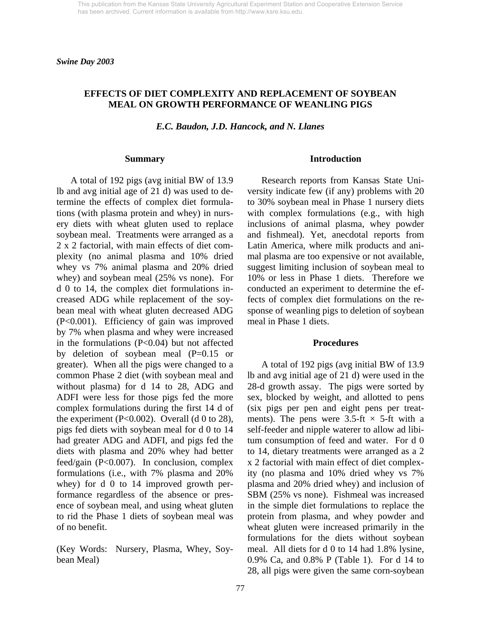*Swine Day 2003* 

## **EFFECTS OF DIET COMPLEXITY AND REPLACEMENT OF SOYBEAN MEAL ON GROWTH PERFORMANCE OF WEANLING PIGS**

*E.C. Baudon, J.D. Hancock, and N. Llanes* 

#### **Summary**

 A total of 192 pigs (avg initial BW of 13.9 lb and avg initial age of 21 d) was used to determine the effects of complex diet formulations (with plasma protein and whey) in nursery diets with wheat gluten used to replace soybean meal. Treatments were arranged as a 2 x 2 factorial, with main effects of diet complexity (no animal plasma and 10% dried whey vs 7% animal plasma and 20% dried whey) and soybean meal (25% vs none). For d 0 to 14, the complex diet formulations increased ADG while replacement of the soybean meal with wheat gluten decreased ADG (P<0.001). Efficiency of gain was improved by 7% when plasma and whey were increased in the formulations  $(P<0.04)$  but not affected by deletion of soybean meal (P=0.15 or greater). When all the pigs were changed to a common Phase 2 diet (with soybean meal and without plasma) for d 14 to 28, ADG and ADFI were less for those pigs fed the more complex formulations during the first 14 d of the experiment (P<0.002). Overall (d 0 to 28), pigs fed diets with soybean meal for d 0 to 14 had greater ADG and ADFI, and pigs fed the diets with plasma and 20% whey had better feed/gain (P<0.007). In conclusion, complex formulations (i.e., with 7% plasma and 20% whey) for d 0 to 14 improved growth performance regardless of the absence or presence of soybean meal, and using wheat gluten to rid the Phase 1 diets of soybean meal was of no benefit.

(Key Words: Nursery, Plasma, Whey, Soybean Meal)

#### **Introduction**

 Research reports from Kansas State University indicate few (if any) problems with 20 to 30% soybean meal in Phase 1 nursery diets with complex formulations (e.g., with high inclusions of animal plasma, whey powder and fishmeal). Yet, anecdotal reports from Latin America, where milk products and animal plasma are too expensive or not available, suggest limiting inclusion of soybean meal to 10% or less in Phase 1 diets. Therefore we conducted an experiment to determine the effects of complex diet formulations on the response of weanling pigs to deletion of soybean meal in Phase 1 diets.

#### **Procedures**

 A total of 192 pigs (avg initial BW of 13.9 lb and avg initial age of 21 d) were used in the 28-d growth assay. The pigs were sorted by sex, blocked by weight, and allotted to pens (six pigs per pen and eight pens per treatments). The pens were  $3.5\text{-ft} \times 5\text{-ft}$  with a self-feeder and nipple waterer to allow ad libitum consumption of feed and water. For d 0 to 14, dietary treatments were arranged as a 2 x 2 factorial with main effect of diet complexity (no plasma and 10% dried whey vs 7% plasma and 20% dried whey) and inclusion of SBM (25% vs none). Fishmeal was increased in the simple diet formulations to replace the protein from plasma, and whey powder and wheat gluten were increased primarily in the formulations for the diets without soybean meal. All diets for d 0 to 14 had 1.8% lysine, 0.9% Ca, and 0.8% P (Table 1). For d 14 to 28, all pigs were given the same corn-soybean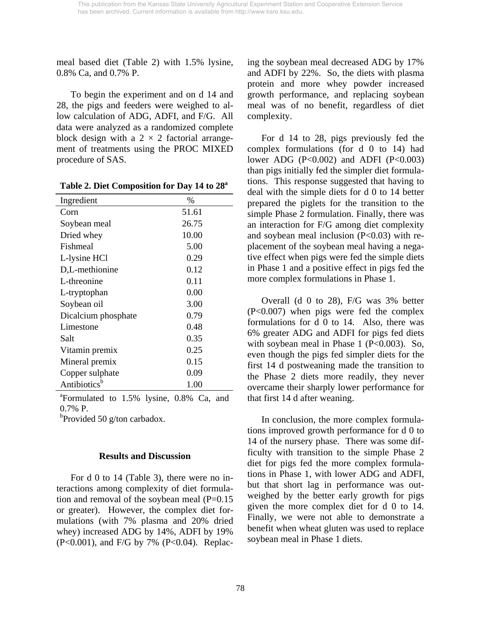meal based diet (Table 2) with 1.5% lysine, 0.8% Ca, and 0.7% P.

 To begin the experiment and on d 14 and 28, the pigs and feeders were weighed to allow calculation of ADG, ADFI, and F/G. All data were analyzed as a randomized complete block design with a  $2 \times 2$  factorial arrangement of treatments using the PROC MIXED procedure of SAS.

| Ingredient               | $\%$  |
|--------------------------|-------|
| Corn                     | 51.61 |
| Soybean meal             | 26.75 |
| Dried whey               | 10.00 |
| Fishmeal                 | 5.00  |
| L-lysine HCl             | 0.29  |
| D,L-methionine           | 0.12  |
| L-threonine              | 0.11  |
| L-tryptophan             | 0.00  |
| Soybean oil              | 3.00  |
| Dicalcium phosphate      | 0.79  |
| Limestone                | 0.48  |
| Salt                     | 0.35  |
| Vitamin premix           | 0.25  |
| Mineral premix           | 0.15  |
| Copper sulphate          | 0.09  |
| Antibiotics <sup>b</sup> | 1.00  |

a Formulated to 1.5% lysine, 0.8% Ca, and 0.7% P.

<sup>b</sup>Provided 50 g/ton carbadox.

## **Results and Discussion**

For d 0 to 14 (Table 3), there were no interactions among complexity of diet formulation and removal of the soybean meal  $(P=0.15)$ or greater). However, the complex diet formulations (with 7% plasma and 20% dried whey) increased ADG by 14%, ADFI by 19% (P<0.001), and F/G by 7% (P<0.04). Replacing the soybean meal decreased ADG by 17% and ADFI by 22%. So, the diets with plasma protein and more whey powder increased growth performance, and replacing soybean meal was of no benefit, regardless of diet complexity.

 For d 14 to 28, pigs previously fed the complex formulations (for d 0 to 14) had lower ADG (P<0.002) and ADFI (P<0.003) than pigs initially fed the simpler diet formulations. This response suggested that having to deal with the simple diets for d 0 to 14 better prepared the piglets for the transition to the simple Phase 2 formulation. Finally, there was an interaction for F/G among diet complexity and soybean meal inclusion  $(P<0.03)$  with replacement of the soybean meal having a negative effect when pigs were fed the simple diets in Phase 1 and a positive effect in pigs fed the more complex formulations in Phase 1.

 Overall (d 0 to 28), F/G was 3% better (P<0.007) when pigs were fed the complex formulations for d 0 to 14. Also, there was 6% greater ADG and ADFI for pigs fed diets with soybean meal in Phase 1 ( $P<0.003$ ). So, even though the pigs fed simpler diets for the first 14 d postweaning made the transition to the Phase 2 diets more readily, they never overcame their sharply lower performance for that first 14 d after weaning.

 In conclusion, the more complex formulations improved growth performance for d 0 to 14 of the nursery phase. There was some difficulty with transition to the simple Phase 2 diet for pigs fed the more complex formulations in Phase 1, with lower ADG and ADFI, but that short lag in performance was outweighed by the better early growth for pigs given the more complex diet for d 0 to 14. Finally, we were not able to demonstrate a benefit when wheat gluten was used to replace soybean meal in Phase 1 diets.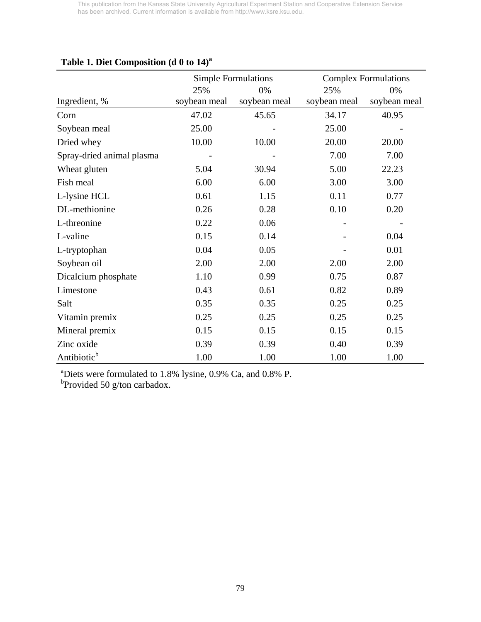|                           |              | <b>Simple Formulations</b> |              | <b>Complex Formulations</b> |
|---------------------------|--------------|----------------------------|--------------|-----------------------------|
|                           | 25%          | 0%                         | 25%          | 0%                          |
| Ingredient, %             | soybean meal | soybean meal               | soybean meal | soybean meal                |
| Corn                      | 47.02        | 45.65                      | 34.17        | 40.95                       |
| Soybean meal              | 25.00        |                            | 25.00        |                             |
| Dried whey                | 10.00        | 10.00                      | 20.00        | 20.00                       |
| Spray-dried animal plasma |              |                            | 7.00         | 7.00                        |
| Wheat gluten              | 5.04         | 30.94                      | 5.00         | 22.23                       |
| Fish meal                 | 6.00         | 6.00                       | 3.00         | 3.00                        |
| L-lysine HCL              | 0.61         | 1.15                       | 0.11         | 0.77                        |
| DL-methionine             | 0.26         | 0.28                       | 0.10         | 0.20                        |
| L-threonine               | 0.22         | 0.06                       |              |                             |
| L-valine                  | 0.15         | 0.14                       |              | 0.04                        |
| L-tryptophan              | 0.04         | 0.05                       |              | 0.01                        |
| Soybean oil               | 2.00         | 2.00                       | 2.00         | 2.00                        |
| Dicalcium phosphate       | 1.10         | 0.99                       | 0.75         | 0.87                        |
| Limestone                 | 0.43         | 0.61                       | 0.82         | 0.89                        |
| Salt                      | 0.35         | 0.35                       | 0.25         | 0.25                        |
| Vitamin premix            | 0.25         | 0.25                       | 0.25         | 0.25                        |
| Mineral premix            | 0.15         | 0.15                       | 0.15         | 0.15                        |
| Zinc oxide                | 0.39         | 0.39                       | 0.40         | 0.39                        |
| Antibiotic <sup>b</sup>   | 1.00         | 1.00                       | 1.00         | 1.00                        |

# **Table 1. Diet Composition (d 0 to 14)<sup>a</sup>**

<sup>a</sup>Diets were formulated to 1.8% lysine, 0.9% Ca, and 0.8% P.<br><sup>b</sup>Provided 50 g/ton carbadox.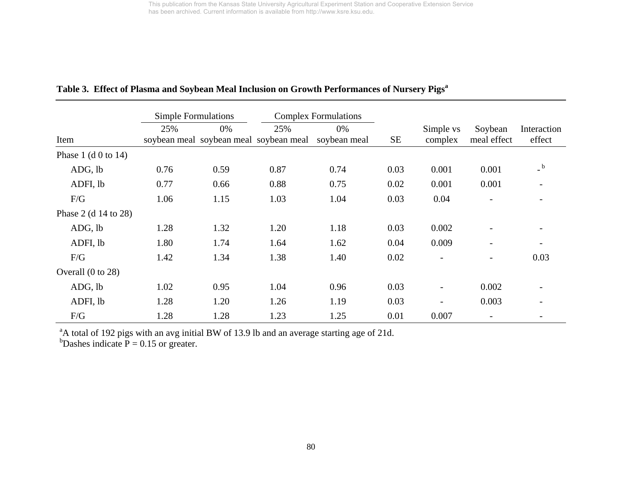|                              | <b>Simple Formulations</b> |      |                                               | <b>Complex Formulations</b> |           |                          |                          |                          |
|------------------------------|----------------------------|------|-----------------------------------------------|-----------------------------|-----------|--------------------------|--------------------------|--------------------------|
| Item                         | 25%                        | 0%   | 25%<br>soybean meal soybean meal soybean meal | 0%<br>soybean meal          | <b>SE</b> | Simple vs<br>complex     | Soybean<br>meal effect   | Interaction<br>effect    |
| Phase $1$ (d 0 to 14)        |                            |      |                                               |                             |           |                          |                          |                          |
| ADG, lb                      | 0.76                       | 0.59 | 0.87                                          | 0.74                        | 0.03      | 0.001                    | 0.001                    | b                        |
| ADFI, lb                     | 0.77                       | 0.66 | 0.88                                          | 0.75                        | 0.02      | 0.001                    | 0.001                    |                          |
| F/G                          | 1.06                       | 1.15 | 1.03                                          | 1.04                        | 0.03      | 0.04                     |                          |                          |
| Phase 2 (d $14$ to 28)       |                            |      |                                               |                             |           |                          |                          |                          |
| ADG, lb                      | 1.28                       | 1.32 | 1.20                                          | 1.18                        | 0.03      | 0.002                    |                          |                          |
| ADFI, lb                     | 1.80                       | 1.74 | 1.64                                          | 1.62                        | 0.04      | 0.009                    | $\overline{a}$           | $\overline{\phantom{0}}$ |
| F/G                          | 1.42                       | 1.34 | 1.38                                          | 1.40                        | 0.02      | $\overline{\phantom{a}}$ | $\overline{\phantom{0}}$ | 0.03                     |
| Overall $(0 \text{ to } 28)$ |                            |      |                                               |                             |           |                          |                          |                          |
| ADG, lb                      | 1.02                       | 0.95 | 1.04                                          | 0.96                        | 0.03      | $\overline{\phantom{a}}$ | 0.002                    |                          |
| ADFI, lb                     | 1.28                       | 1.20 | 1.26                                          | 1.19                        | 0.03      | $\overline{\phantom{a}}$ | 0.003                    | $\overline{\phantom{a}}$ |
| F/G                          | 1.28                       | 1.28 | 1.23                                          | 1.25                        | 0.01      | 0.007                    | $\overline{\phantom{a}}$ | $\overline{\phantom{a}}$ |

# Table 3. Effect of Plasma and Soybean Meal Inclusion on Growth Performances of Nursery Pigs<sup>a</sup>

<sup>a</sup>A total of 192 pigs with an avg initial BW of 13.9 lb and an average starting age of 21d.

<sup>b</sup>Dashes indicate  $P = 0.15$  or greater.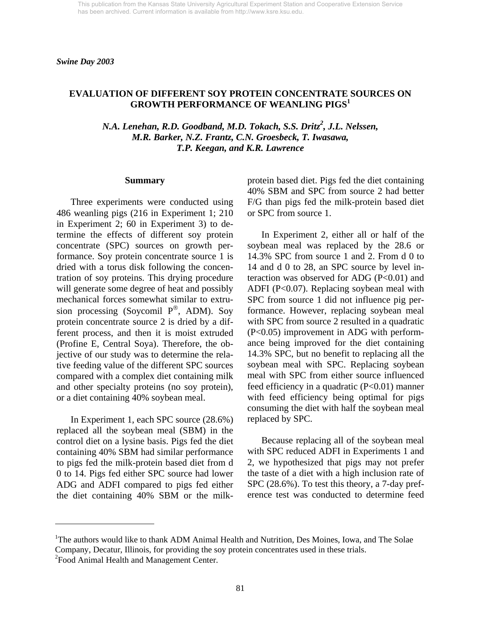### **EVALUATION OF DIFFERENT SOY PROTEIN CONCENTRATE SOURCES ON GROWTH PERFORMANCE OF WEANLING PIGS1**

*N.A. Lenehan, R.D. Goodband, M.D. Tokach, S.S. Dritz<sup>2</sup>, J.L. Nelssen, M.R. Barker, N.Z. Frantz, C.N. Groesbeck, T. Iwasawa, T.P. Keegan, and K.R. Lawrence* 

#### **Summary**

 Three experiments were conducted using 486 weanling pigs (216 in Experiment 1; 210 in Experiment 2; 60 in Experiment 3) to determine the effects of different soy protein concentrate (SPC) sources on growth performance. Soy protein concentrate source 1 is dried with a torus disk following the concentration of soy proteins. This drying procedure will generate some degree of heat and possibly mechanical forces somewhat similar to extrusion processing (Soycomil  $P^{\circledR}$ , ADM). Soy protein concentrate source 2 is dried by a different process, and then it is moist extruded (Profine E, Central Soya). Therefore, the objective of our study was to determine the relative feeding value of the different SPC sources compared with a complex diet containing milk and other specialty proteins (no soy protein), or a diet containing 40% soybean meal.

 In Experiment 1, each SPC source (28.6%) replaced all the soybean meal (SBM) in the control diet on a lysine basis. Pigs fed the diet containing 40% SBM had similar performance to pigs fed the milk-protein based diet from d 0 to 14. Pigs fed either SPC source had lower ADG and ADFI compared to pigs fed either the diet containing 40% SBM or the milk-

l

protein based diet. Pigs fed the diet containing 40% SBM and SPC from source 2 had better F/G than pigs fed the milk-protein based diet or SPC from source 1.

 In Experiment 2, either all or half of the soybean meal was replaced by the 28.6 or 14.3% SPC from source 1 and 2. From d 0 to 14 and d 0 to 28, an SPC source by level interaction was observed for ADG  $(P<0.01)$  and ADFI (P<0.07). Replacing soybean meal with SPC from source 1 did not influence pig performance. However, replacing soybean meal with SPC from source 2 resulted in a quadratic (P<0.05) improvement in ADG with performance being improved for the diet containing 14.3% SPC, but no benefit to replacing all the soybean meal with SPC. Replacing soybean meal with SPC from either source influenced feed efficiency in a quadratic  $(P<0.01)$  manner with feed efficiency being optimal for pigs consuming the diet with half the soybean meal replaced by SPC.

 Because replacing all of the soybean meal with SPC reduced ADFI in Experiments 1 and 2, we hypothesized that pigs may not prefer the taste of a diet with a high inclusion rate of SPC (28.6%). To test this theory, a 7-day preference test was conducted to determine feed

<sup>&</sup>lt;sup>1</sup>The authors would like to thank ADM Animal Health and Nutrition, Des Moines, Iowa, and The Solae Company, Decatur, Illinois, for providing the soy protein concentrates used in these trials. <sup>2</sup> Food Animal Health and Management Center.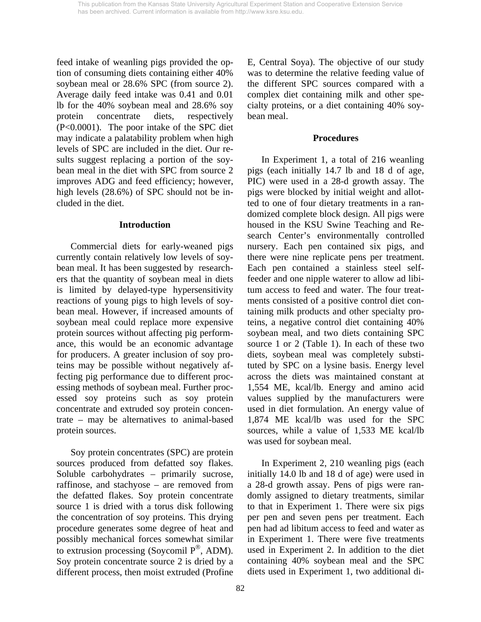feed intake of weanling pigs provided the option of consuming diets containing either 40% soybean meal or 28.6% SPC (from source 2). Average daily feed intake was 0.41 and 0.01 lb for the 40% soybean meal and 28.6% soy protein concentrate diets, respectively (P<0.0001). The poor intake of the SPC diet may indicate a palatability problem when high levels of SPC are included in the diet. Our results suggest replacing a portion of the soybean meal in the diet with SPC from source 2 improves ADG and feed efficiency; however, high levels (28.6%) of SPC should not be included in the diet.

### **Introduction**

 Commercial diets for early-weaned pigs currently contain relatively low levels of soybean meal. It has been suggested by researchers that the quantity of soybean meal in diets is limited by delayed-type hypersensitivity reactions of young pigs to high levels of soybean meal. However, if increased amounts of soybean meal could replace more expensive protein sources without affecting pig performance, this would be an economic advantage for producers. A greater inclusion of soy proteins may be possible without negatively affecting pig performance due to different processing methods of soybean meal. Further processed soy proteins such as soy protein concentrate and extruded soy protein concentrate – may be alternatives to animal-based protein sources.

 Soy protein concentrates (SPC) are protein sources produced from defatted soy flakes. Soluble carbohydrates – primarily sucrose, raffinose, and stachyose – are removed from the defatted flakes. Soy protein concentrate source 1 is dried with a torus disk following the concentration of soy proteins. This drying procedure generates some degree of heat and possibly mechanical forces somewhat similar to extrusion processing (Soycomil  $P^{\circledR}$ , ADM). Soy protein concentrate source 2 is dried by a different process, then moist extruded (Profine

E, Central Soya). The objective of our study was to determine the relative feeding value of the different SPC sources compared with a complex diet containing milk and other specialty proteins, or a diet containing 40% soybean meal.

## **Procedures**

 In Experiment 1, a total of 216 weanling pigs (each initially 14.7 lb and 18 d of age, PIC) were used in a 28-d growth assay. The pigs were blocked by initial weight and allotted to one of four dietary treatments in a randomized complete block design. All pigs were housed in the KSU Swine Teaching and Research Center's environmentally controlled nursery. Each pen contained six pigs, and there were nine replicate pens per treatment. Each pen contained a stainless steel selffeeder and one nipple waterer to allow ad libitum access to feed and water. The four treatments consisted of a positive control diet containing milk products and other specialty proteins, a negative control diet containing 40% soybean meal, and two diets containing SPC source 1 or 2 (Table 1). In each of these two diets, soybean meal was completely substituted by SPC on a lysine basis. Energy level across the diets was maintained constant at 1,554 ME, kcal/lb. Energy and amino acid values supplied by the manufacturers were used in diet formulation. An energy value of 1,874 ME kcal/lb was used for the SPC sources, while a value of 1,533 ME kcal/lb was used for soybean meal.

 In Experiment 2, 210 weanling pigs (each initially 14.0 lb and 18 d of age) were used in a 28-d growth assay. Pens of pigs were randomly assigned to dietary treatments, similar to that in Experiment 1. There were six pigs per pen and seven pens per treatment. Each pen had ad libitum access to feed and water as in Experiment 1. There were five treatments used in Experiment 2. In addition to the diet containing 40% soybean meal and the SPC diets used in Experiment 1, two additional di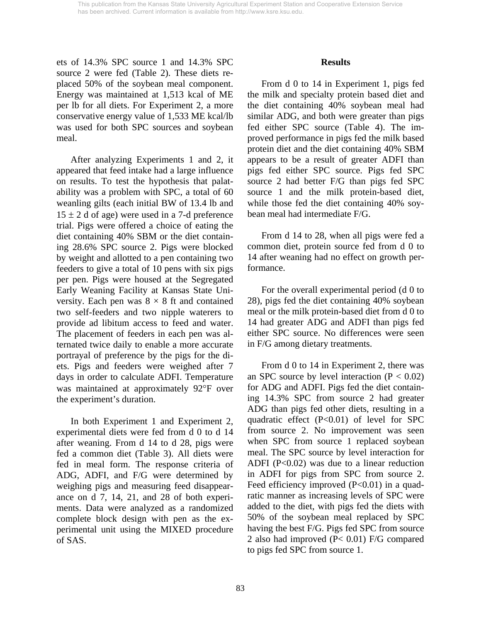ets of 14.3% SPC source 1 and 14.3% SPC source 2 were fed (Table 2). These diets replaced 50% of the soybean meal component. Energy was maintained at 1,513 kcal of ME per lb for all diets. For Experiment 2, a more conservative energy value of 1,533 ME kcal/lb was used for both SPC sources and soybean meal.

 After analyzing Experiments 1 and 2, it appeared that feed intake had a large influence on results. To test the hypothesis that palatability was a problem with SPC, a total of 60 weanling gilts (each initial BW of 13.4 lb and  $15 \pm 2$  d of age) were used in a 7-d preference trial. Pigs were offered a choice of eating the diet containing 40% SBM or the diet containing 28.6% SPC source 2. Pigs were blocked by weight and allotted to a pen containing two feeders to give a total of 10 pens with six pigs per pen. Pigs were housed at the Segregated Early Weaning Facility at Kansas State University. Each pen was  $8 \times 8$  ft and contained two self-feeders and two nipple waterers to provide ad libitum access to feed and water. The placement of feeders in each pen was alternated twice daily to enable a more accurate portrayal of preference by the pigs for the diets. Pigs and feeders were weighed after 7 days in order to calculate ADFI. Temperature was maintained at approximately 92°F over the experiment's duration.

 In both Experiment 1 and Experiment 2, experimental diets were fed from d 0 to d 14 after weaning. From d 14 to d 28, pigs were fed a common diet (Table 3). All diets were fed in meal form. The response criteria of ADG, ADFI, and F/G were determined by weighing pigs and measuring feed disappearance on d 7, 14, 21, and 28 of both experiments. Data were analyzed as a randomized complete block design with pen as the experimental unit using the MIXED procedure of SAS.

### **Results**

 From d 0 to 14 in Experiment 1, pigs fed the milk and specialty protein based diet and the diet containing 40% soybean meal had similar ADG, and both were greater than pigs fed either SPC source (Table 4). The improved performance in pigs fed the milk based protein diet and the diet containing 40% SBM appears to be a result of greater ADFI than pigs fed either SPC source. Pigs fed SPC source 2 had better F/G than pigs fed SPC source 1 and the milk protein-based diet, while those fed the diet containing 40% soybean meal had intermediate F/G.

 From d 14 to 28, when all pigs were fed a common diet, protein source fed from d 0 to 14 after weaning had no effect on growth performance.

 For the overall experimental period (d 0 to 28), pigs fed the diet containing 40% soybean meal or the milk protein-based diet from d 0 to 14 had greater ADG and ADFI than pigs fed either SPC source. No differences were seen in F/G among dietary treatments.

 From d 0 to 14 in Experiment 2, there was an SPC source by level interaction  $(P < 0.02)$ for ADG and ADFI. Pigs fed the diet containing 14.3% SPC from source 2 had greater ADG than pigs fed other diets, resulting in a quadratic effect (P<0.01) of level for SPC from source 2. No improvement was seen when SPC from source 1 replaced soybean meal. The SPC source by level interaction for ADFI ( $P<0.02$ ) was due to a linear reduction in ADFI for pigs from SPC from source 2. Feed efficiency improved (P<0.01) in a quadratic manner as increasing levels of SPC were added to the diet, with pigs fed the diets with 50% of the soybean meal replaced by SPC having the best F/G. Pigs fed SPC from source 2 also had improved (P< 0.01) F/G compared to pigs fed SPC from source 1.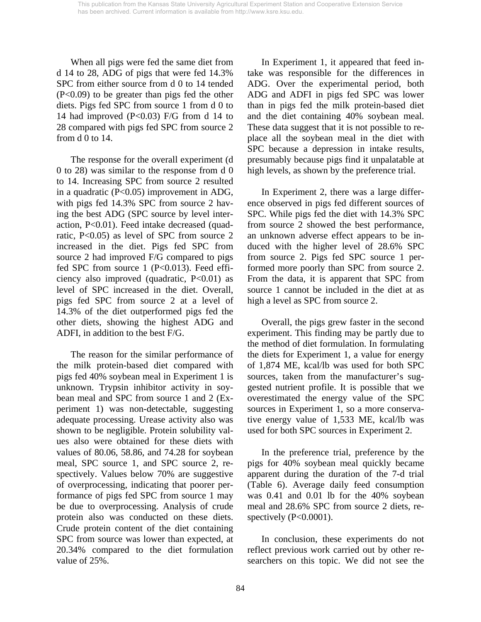When all pigs were fed the same diet from d 14 to 28, ADG of pigs that were fed 14.3% SPC from either source from d 0 to 14 tended (P<0.09) to be greater than pigs fed the other diets. Pigs fed SPC from source 1 from d 0 to 14 had improved (P<0.03) F/G from d 14 to 28 compared with pigs fed SPC from source 2 from d 0 to 14.

The response for the overall experiment (d 0 to 28) was similar to the response from d 0 to 14. Increasing SPC from source 2 resulted in a quadratic (P<0.05) improvement in ADG, with pigs fed 14.3% SPC from source 2 having the best ADG (SPC source by level interaction, P<0.01). Feed intake decreased (quadratic, P<0.05) as level of SPC from source 2 increased in the diet. Pigs fed SPC from source 2 had improved F/G compared to pigs fed SPC from source 1 (P<0.013). Feed efficiency also improved (quadratic, P<0.01) as level of SPC increased in the diet. Overall, pigs fed SPC from source 2 at a level of 14.3% of the diet outperformed pigs fed the other diets, showing the highest ADG and ADFI, in addition to the best F/G.

The reason for the similar performance of the milk protein-based diet compared with pigs fed 40% soybean meal in Experiment 1 is unknown. Trypsin inhibitor activity in soybean meal and SPC from source 1 and 2 (Experiment 1) was non-detectable, suggesting adequate processing. Urease activity also was shown to be negligible. Protein solubility values also were obtained for these diets with values of 80.06, 58.86, and 74.28 for soybean meal, SPC source 1, and SPC source 2, respectively. Values below 70% are suggestive of overprocessing, indicating that poorer performance of pigs fed SPC from source 1 may be due to overprocessing. Analysis of crude protein also was conducted on these diets. Crude protein content of the diet containing SPC from source was lower than expected, at 20.34% compared to the diet formulation value of 25%.

In Experiment 1, it appeared that feed intake was responsible for the differences in ADG. Over the experimental period, both ADG and ADFI in pigs fed SPC was lower than in pigs fed the milk protein-based diet and the diet containing 40% soybean meal. These data suggest that it is not possible to replace all the soybean meal in the diet with SPC because a depression in intake results, presumably because pigs find it unpalatable at high levels, as shown by the preference trial.

In Experiment 2, there was a large difference observed in pigs fed different sources of SPC. While pigs fed the diet with 14.3% SPC from source 2 showed the best performance, an unknown adverse effect appears to be induced with the higher level of 28.6% SPC from source 2. Pigs fed SPC source 1 performed more poorly than SPC from source 2. From the data, it is apparent that SPC from source 1 cannot be included in the diet at as high a level as SPC from source 2.

 Overall, the pigs grew faster in the second experiment. This finding may be partly due to the method of diet formulation. In formulating the diets for Experiment 1, a value for energy of 1,874 ME, kcal/lb was used for both SPC sources, taken from the manufacturer's suggested nutrient profile. It is possible that we overestimated the energy value of the SPC sources in Experiment 1, so a more conservative energy value of 1,533 ME, kcal/lb was used for both SPC sources in Experiment 2.

 In the preference trial, preference by the pigs for 40% soybean meal quickly became apparent during the duration of the 7-d trial (Table 6). Average daily feed consumption was 0.41 and 0.01 lb for the 40% soybean meal and 28.6% SPC from source 2 diets, respectively  $(P<0.0001)$ .

 In conclusion, these experiments do not reflect previous work carried out by other researchers on this topic. We did not see the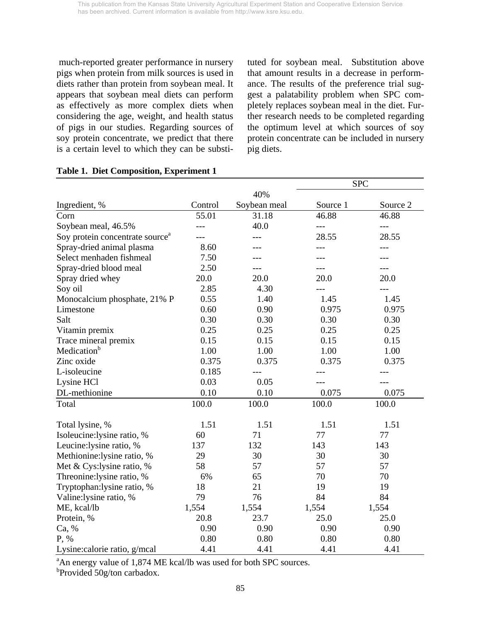much-reported greater performance in nursery pigs when protein from milk sources is used in diets rather than protein from soybean meal. It appears that soybean meal diets can perform as effectively as more complex diets when considering the age, weight, and health status of pigs in our studies. Regarding sources of soy protein concentrate, we predict that there is a certain level to which they can be substituted for soybean meal. Substitution above that amount results in a decrease in performance. The results of the preference trial suggest a palatability problem when SPC completely replaces soybean meal in the diet. Further research needs to be completed regarding the optimum level at which sources of soy protein concentrate can be included in nursery pig diets.

|                                             |         |              |          | <b>SPC</b> |
|---------------------------------------------|---------|--------------|----------|------------|
|                                             |         | 40%          |          |            |
| Ingredient, %                               | Control | Soybean meal | Source 1 | Source 2   |
| Corn                                        | 55.01   | 31.18        | 46.88    | 46.88      |
| Soybean meal, 46.5%                         | $---$   | 40.0         | $---$    | $---$      |
| Soy protein concentrate source <sup>a</sup> |         |              | 28.55    | 28.55      |
| Spray-dried animal plasma                   | 8.60    |              | ---      | ---        |
| Select menhaden fishmeal                    | 7.50    | $- - -$      | ---      | ---        |
| Spray-dried blood meal                      | 2.50    | ---          | ---      | ---        |
| Spray dried whey                            | 20.0    | 20.0         | 20.0     | 20.0       |
| Soy oil                                     | 2.85    | 4.30         | ---      | ---        |
| Monocalcium phosphate, 21% P                | 0.55    | 1.40         | 1.45     | 1.45       |
| Limestone                                   | 0.60    | 0.90         | 0.975    | 0.975      |
| Salt                                        | 0.30    | 0.30         | 0.30     | 0.30       |
| Vitamin premix                              | 0.25    | 0.25         | 0.25     | 0.25       |
| Trace mineral premix                        | 0.15    | 0.15         | 0.15     | 0.15       |
| Medication <sup>b</sup>                     | 1.00    | 1.00         | 1.00     | 1.00       |
| Zinc oxide                                  | 0.375   | 0.375        | 0.375    | 0.375      |
| L-isoleucine                                | 0.185   |              |          |            |
| Lysine HCl                                  | 0.03    | 0.05         |          |            |
| DL-methionine                               | 0.10    | 0.10         | 0.075    | 0.075      |
| Total                                       | 100.0   | 100.0        | 100.0    | 100.0      |
|                                             |         |              |          |            |
| Total lysine, %                             | 1.51    | 1.51         | 1.51     | 1.51       |
| Isoleucine:lysine ratio, %                  | 60      | 71           | 77       | 77         |
| Leucine: lysine ratio, %                    | 137     | 132          | 143      | 143        |
| Methionine:lysine ratio, %                  | 29      | 30           | 30       | 30         |
| Met & Cys:lysine ratio, %                   | 58      | 57           | 57       | 57         |
| Threonine:lysine ratio, %                   | 6%      | 65           | 70       | 70         |
| Tryptophan: lysine ratio, %                 | 18      | 21           | 19       | 19         |
| Valine:lysine ratio, %                      | 79      | 76           | 84       | 84         |
| ME, kcal/lb                                 | 1,554   | 1,554        | 1,554    | 1,554      |
| Protein, %                                  | 20.8    | 23.7         | 25.0     | 25.0       |
| Ca, %                                       | 0.90    | 0.90         | 0.90     | 0.90       |
| P, %                                        | 0.80    | 0.80         | 0.80     | 0.80       |
| Lysine: calorie ratio, g/mcal               | 4.41    | 4.41         | 4.41     | 4.41       |

### **Table 1. Diet Composition, Experiment 1**

<sup>a</sup>An energy value of 1,874 ME kcal/lb was used for both SPC sources.

b Provided 50g/ton carbadox.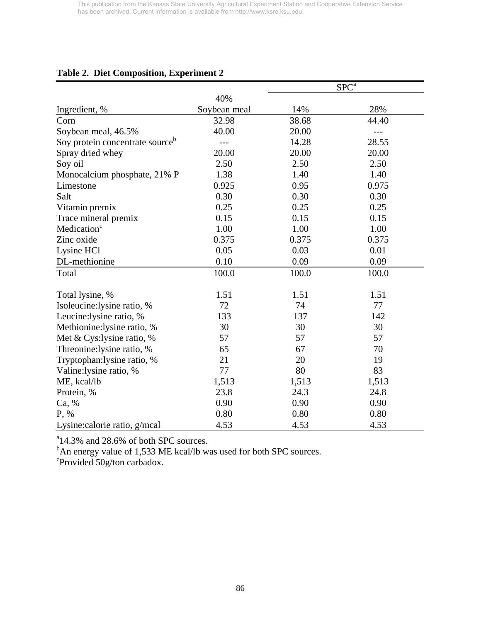|                                             |              |       | $SP\overline{C^a}$ |
|---------------------------------------------|--------------|-------|--------------------|
|                                             | 40%          |       |                    |
| Ingredient, %                               | Soybean meal | 14%   | 28%                |
| Corn                                        | 32.98        | 38.68 | 44.40              |
| Soybean meal, 46.5%                         | 40.00        | 20.00 | $---$              |
| Soy protein concentrate source <sup>b</sup> | $---$        | 14.28 | 28.55              |
| Spray dried whey                            | 20.00        | 20.00 | 20.00              |
| Soy oil                                     | 2.50         | 2.50  | 2.50               |
| Monocalcium phosphate, 21% P                | 1.38         | 1.40  | 1.40               |
| Limestone                                   | 0.925        | 0.95  | 0.975              |
| Salt                                        | 0.30         | 0.30  | 0.30               |
| Vitamin premix                              | 0.25         | 0.25  | 0.25               |
| Trace mineral premix                        | 0.15         | 0.15  | 0.15               |
| Medication <sup>c</sup>                     | 1.00         | 1.00  | 1.00               |
| Zinc oxide                                  | 0.375        | 0.375 | 0.375              |
| Lysine HCl                                  | 0.05         | 0.03  | 0.01               |
| DL-methionine                               | 0.10         | 0.09  | 0.09               |
| Total                                       | 100.0        | 100.0 | 100.0              |
| Total lysine, %                             | 1.51         | 1.51  | 1.51               |
| Isoleucine:lysine ratio, %                  | 72           | 74    | 77                 |
| Leucine: lysine ratio, %                    | 133          | 137   | 142                |
| Methionine:lysine ratio, %                  | 30           | 30    | 30                 |
| Met & Cys:lysine ratio, %                   | 57           | 57    | 57                 |
| Threonine: lysine ratio, %                  | 65           | 67    | 70                 |
| Tryptophan: lysine ratio, %                 | 21           | 20    | 19                 |
| Valine:lysine ratio, %                      | 77           | 80    | 83                 |
| ME, kcal/lb                                 | 1,513        | 1,513 | 1,513              |
| Protein, %                                  | 23.8         | 24.3  | 24.8               |
| Ca, %                                       | 0.90         | 0.90  | 0.90               |
| P, %                                        | 0.80         | 0.80  | 0.80               |
| Lysine:calorie ratio, g/mcal                | 4.53         | 4.53  | 4.53               |

# **Table 2. Diet Composition, Experiment 2**

<sup>a</sup>14.3% and 28.6% of both SPC sources.

<sup>b</sup>An energy value of 1,533 ME kcal/lb was used for both SPC sources.

c Provided 50g/ton carbadox.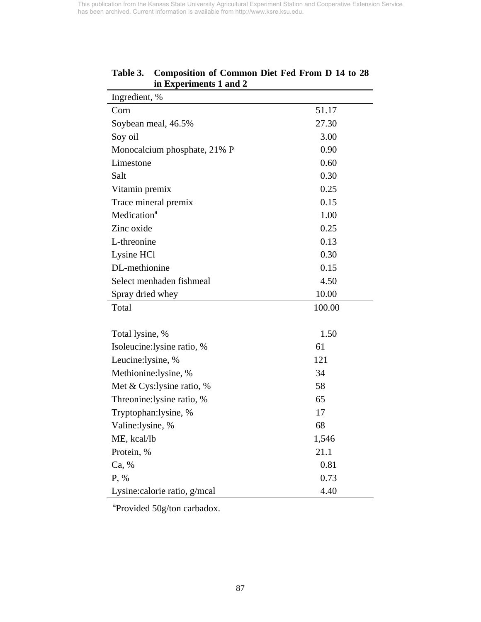| Ingredient, %                 |        |
|-------------------------------|--------|
| Corn                          | 51.17  |
| Soybean meal, 46.5%           | 27.30  |
| Soy oil                       | 3.00   |
| Monocalcium phosphate, 21% P  | 0.90   |
| Limestone                     | 0.60   |
| Salt                          | 0.30   |
| Vitamin premix                | 0.25   |
| Trace mineral premix          | 0.15   |
| Medication <sup>a</sup>       | 1.00   |
| Zinc oxide                    | 0.25   |
| L-threonine                   | 0.13   |
| Lysine HCl                    | 0.30   |
| DL-methionine                 | 0.15   |
| Select menhaden fishmeal      | 4.50   |
| Spray dried whey              | 10.00  |
| Total                         | 100.00 |
|                               |        |
| Total lysine, %               | 1.50   |
| Isoleucine: lysine ratio, %   | 61     |
| Leucine:lysine, %             | 121    |
| Methionine:lysine, %          | 34     |
| Met & Cys: lysine ratio, %    | 58     |
| Threonine: lysine ratio, %    | 65     |
| Tryptophan:lysine, %          | 17     |
| Valine:lysine, %              | 68     |
| ME, kcal/lb                   | 1,546  |
| Protein, %                    | 21.1   |
| Ca, %                         | 0.81   |
| P, %                          | 0.73   |
| Lysine: calorie ratio, g/mcal | 4.40   |

## **Table 3. Composition of Common Diet Fed From D 14 to 28 in Experiments 1 and 2**

<sup>a</sup>Provided 50g/ton carbadox.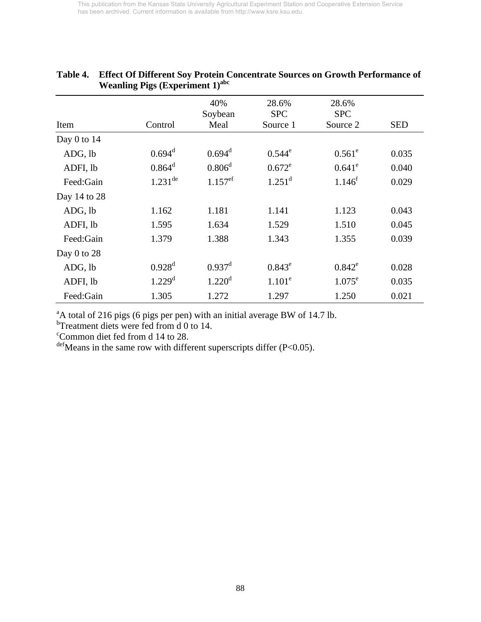|                 | $\cdots$ canning $\cdots$ $\cdots$ |                        |                                 |                                 |            |
|-----------------|------------------------------------|------------------------|---------------------------------|---------------------------------|------------|
| Item            | Control                            | 40%<br>Soybean<br>Meal | 28.6%<br><b>SPC</b><br>Source 1 | 28.6%<br><b>SPC</b><br>Source 2 | <b>SED</b> |
| Day $0$ to $14$ |                                    |                        |                                 |                                 |            |
| ADG, lb         | $0.694$ <sup>d</sup>               | $0.694$ <sup>d</sup>   | $0.544^e$                       | $0.561^{\circ}$                 | 0.035      |
| ADFI, lb        | $0.864^d$                          | $0.806^{\rm d}$        | $0.672^e$                       | $0.641^e$                       | 0.040      |
| Feed:Gain       | $1.231$ <sup>de</sup>              | $1.157$ <sup>ef</sup>  | $1.251^d$                       | $1.146^{f}$                     | 0.029      |
| Day 14 to 28    |                                    |                        |                                 |                                 |            |
| ADG, lb         | 1.162                              | 1.181                  | 1.141                           | 1.123                           | 0.043      |
| ADFI, lb        | 1.595                              | 1.634                  | 1.529                           | 1.510                           | 0.045      |
| Feed:Gain       | 1.379                              | 1.388                  | 1.343                           | 1.355                           | 0.039      |
| Day 0 to 28     |                                    |                        |                                 |                                 |            |
| ADG, lb         | $0.928^d$                          | $0.937^{\rm d}$        | $0.843^e$                       | $0.842^e$                       | 0.028      |
| ADFI, lb        | $1.229$ <sup>d</sup>               | $1.220$ <sup>d</sup>   | $1.101^e$                       | $1.075^{\rm e}$                 | 0.035      |
| Feed:Gain       | 1.305                              | 1.272                  | 1.297                           | 1.250                           | 0.021      |

## **Table 4. Effect Of Different Soy Protein Concentrate Sources on Growth Performance of Weanling Pigs (Experiment 1)**<sup>abc</sup>

 $A<sup>a</sup>A$  total of 216 pigs (6 pigs per pen) with an initial average BW of 14.7 lb.

<sup>b</sup>Treatment diets were fed from d 0 to 14.

c Common diet fed from d 14 to 28.

 $\text{def}$  Means in the same row with different superscripts differ (P<0.05).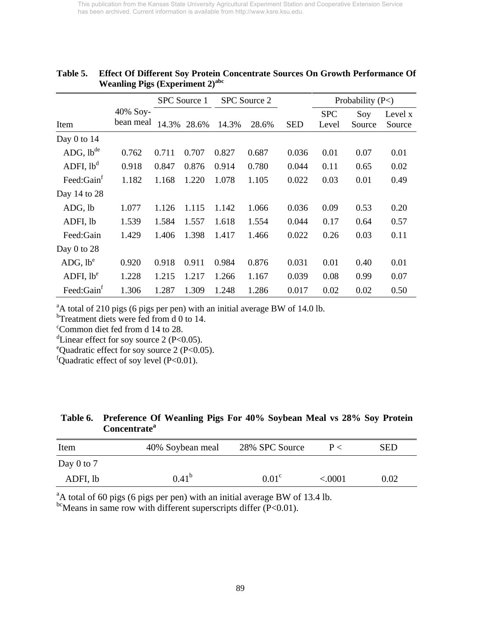|                        |                       |       | SPC Source 1 |       | <b>SPC Source 2</b> |            | Probability $(P<)$  |               |                   |  |
|------------------------|-----------------------|-------|--------------|-------|---------------------|------------|---------------------|---------------|-------------------|--|
| Item                   | 40% Soy-<br>bean meal | 14.3% | 28.6%        | 14.3% | 28.6%               | <b>SED</b> | <b>SPC</b><br>Level | Soy<br>Source | Level x<br>Source |  |
| Day $0$ to $14$        |                       |       |              |       |                     |            |                     |               |                   |  |
| ADG, lb <sup>de</sup>  | 0.762                 | 0.711 | 0.707        | 0.827 | 0.687               | 0.036      | 0.01                | 0.07          | 0.01              |  |
| ADFI, lb <sup>d</sup>  | 0.918                 | 0.847 | 0.876        | 0.914 | 0.780               | 0.044      | 0.11                | 0.65          | 0.02              |  |
| Feed:Gain <sup>f</sup> | 1.182                 | 1.168 | 1.220        | 1.078 | 1.105               | 0.022      | 0.03                | 0.01          | 0.49              |  |
| Day 14 to 28           |                       |       |              |       |                     |            |                     |               |                   |  |
| ADG, lb                | 1.077                 | 1.126 | 1.115        | 1.142 | 1.066               | 0.036      | 0.09                | 0.53          | 0.20              |  |
| ADFI, lb               | 1.539                 | 1.584 | 1.557        | 1.618 | 1.554               | 0.044      | 0.17                | 0.64          | 0.57              |  |
| Feed:Gain              | 1.429                 | 1.406 | 1.398        | 1.417 | 1.466               | 0.022      | 0.26                | 0.03          | 0.11              |  |
| Day $0$ to $28$        |                       |       |              |       |                     |            |                     |               |                   |  |
| ADG, lb <sup>e</sup>   | 0.920                 | 0.918 | 0.911        | 0.984 | 0.876               | 0.031      | 0.01                | 0.40          | 0.01              |  |
| ADFI, lb <sup>e</sup>  | 1.228                 | 1.215 | 1.217        | 1.266 | 1.167               | 0.039      | 0.08                | 0.99          | 0.07              |  |
| Feed:Gainf             | 1.306                 | 1.287 | 1.309        | 1.248 | 1.286               | 0.017      | 0.02                | 0.02          | 0.50              |  |

## **Table 5. Effect Of Different Soy Protein Concentrate Sources On Growth Performance Of Weanling Pigs (Experiment 2)**<sup>abc</sup>

 $A<sup>a</sup>A$  total of 210 pigs (6 pigs per pen) with an initial average BW of 14.0 lb.

<sup>b</sup>Treatment diets were fed from d 0 to 14.

c Common diet fed from d 14 to 28.

<sup>d</sup>Linear effect for soy source 2 (P<0.05).

eQuadratic effect for soy source 2 (P<0.05).

fQuadratic effect of soy level  $(P<0.01)$ .

# **Table 6. Preference Of Weanling Pigs For 40% Soybean Meal vs 28% Soy Protein Concentrate<sup>a</sup>**

| Item       | 40% Soybean meal | 28% SPC Source    | $P \lt $   | SED  |
|------------|------------------|-------------------|------------|------|
| Day 0 to 7 |                  |                   |            |      |
| ADFI, lb   | $0.41^{\circ}$   | 0.01 <sup>c</sup> | ${<}.0001$ | 0.02 |

<sup>a</sup>A total of 60 pigs (6 pigs per pen) with an initial average BW of 13.4 lb.

 $^{bc}$ Means in same row with different superscripts differ (P<0.01).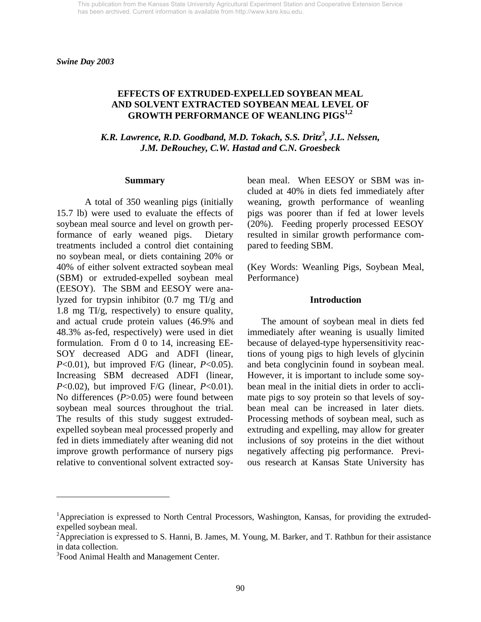### **EFFECTS OF EXTRUDED-EXPELLED SOYBEAN MEAL AND SOLVENT EXTRACTED SOYBEAN MEAL LEVEL OF GROWTH PERFORMANCE OF WEANLING PIGS1,2**

K.R. Lawrence, R.D. Goodband, M.D. Tokach, S.S. Dritz<sup>3</sup>, J.L. Nelssen, *J.M. DeRouchey, C.W. Hastad and C.N. Groesbeck* 

#### **Summary**

A total of 350 weanling pigs (initially 15.7 lb) were used to evaluate the effects of soybean meal source and level on growth performance of early weaned pigs. Dietary treatments included a control diet containing no soybean meal, or diets containing 20% or 40% of either solvent extracted soybean meal (SBM) or extruded-expelled soybean meal (EESOY). The SBM and EESOY were analyzed for trypsin inhibitor (0.7 mg TI/g and 1.8 mg TI/g, respectively) to ensure quality, and actual crude protein values (46.9% and 48.3% as-fed, respectively) were used in diet formulation. From d 0 to 14, increasing EE-SOY decreased ADG and ADFI (linear, *P*<0.01), but improved F/G (linear, *P*<0.05). Increasing SBM decreased ADFI (linear, *P*<0.02), but improved F/G (linear, *P*<0.01). No differences (*P*>0.05) were found between soybean meal sources throughout the trial. The results of this study suggest extrudedexpelled soybean meal processed properly and fed in diets immediately after weaning did not improve growth performance of nursery pigs relative to conventional solvent extracted soybean meal. When EESOY or SBM was included at 40% in diets fed immediately after weaning, growth performance of weanling pigs was poorer than if fed at lower levels (20%). Feeding properly processed EESOY resulted in similar growth performance compared to feeding SBM.

(Key Words: Weanling Pigs, Soybean Meal, Performance)

#### **Introduction**

The amount of soybean meal in diets fed immediately after weaning is usually limited because of delayed-type hypersensitivity reactions of young pigs to high levels of glycinin and beta conglycinin found in soybean meal. However, it is important to include some soybean meal in the initial diets in order to acclimate pigs to soy protein so that levels of soybean meal can be increased in later diets. Processing methods of soybean meal, such as extruding and expelling, may allow for greater inclusions of soy proteins in the diet without negatively affecting pig performance. Previous research at Kansas State University has

l

<sup>&</sup>lt;sup>1</sup>Appreciation is expressed to North Central Processors, Washington, Kansas, for providing the extrudedexpelled soybean meal.

<sup>&</sup>lt;sup>2</sup>Appreciation is expressed to S. Hanni, B. James, M. Young, M. Barker, and T. Rathbun for their assistance in data collection.

<sup>&</sup>lt;sup>3</sup> Food Animal Health and Management Center.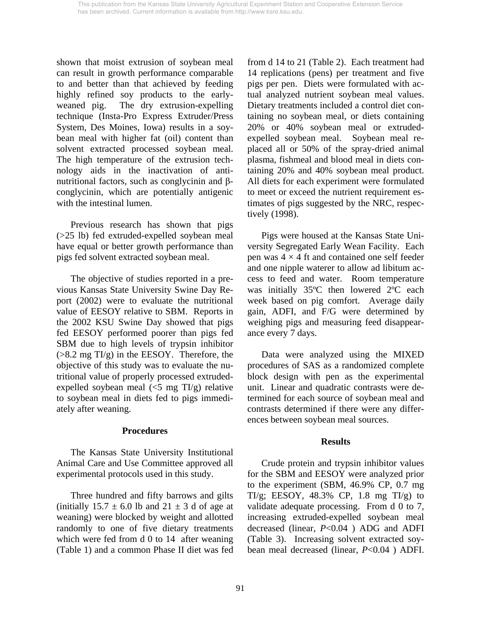shown that moist extrusion of soybean meal can result in growth performance comparable to and better than that achieved by feeding highly refined soy products to the earlyweaned pig. The dry extrusion-expelling technique (Insta-Pro Express Extruder/Press System, Des Moines, Iowa) results in a soybean meal with higher fat (oil) content than solvent extracted processed soybean meal. The high temperature of the extrusion technology aids in the inactivation of antinutritional factors, such as conglycinin and βconglycinin, which are potentially antigenic with the intestinal lumen.

 Previous research has shown that pigs (>25 lb) fed extruded-expelled soybean meal have equal or better growth performance than pigs fed solvent extracted soybean meal.

 The objective of studies reported in a previous Kansas State University Swine Day Report (2002) were to evaluate the nutritional value of EESOY relative to SBM. Reports in the 2002 KSU Swine Day showed that pigs fed EESOY performed poorer than pigs fed SBM due to high levels of trypsin inhibitor  $(>8.2$  mg TI/g) in the EESOY. Therefore, the objective of this study was to evaluate the nutritional value of properly processed extrudedexpelled soybean meal  $\langle$  <5 mg TI/g) relative to soybean meal in diets fed to pigs immediately after weaning.

#### **Procedures**

The Kansas State University Institutional Animal Care and Use Committee approved all experimental protocols used in this study.

Three hundred and fifty barrows and gilts (initially  $15.7 \pm 6.0$  lb and  $21 \pm 3$  d of age at weaning) were blocked by weight and allotted randomly to one of five dietary treatments which were fed from d 0 to 14 after weaning (Table 1) and a common Phase II diet was fed from d 14 to 21 (Table 2). Each treatment had 14 replications (pens) per treatment and five pigs per pen. Diets were formulated with actual analyzed nutrient soybean meal values. Dietary treatments included a control diet containing no soybean meal, or diets containing 20% or 40% soybean meal or extrudedexpelled soybean meal. Soybean meal replaced all or 50% of the spray-dried animal plasma, fishmeal and blood meal in diets containing 20% and 40% soybean meal product. All diets for each experiment were formulated to meet or exceed the nutrient requirement estimates of pigs suggested by the NRC, respectively (1998).

Pigs were housed at the Kansas State University Segregated Early Wean Facility. Each pen was  $4 \times 4$  ft and contained one self feeder and one nipple waterer to allow ad libitum access to feed and water. Room temperature was initially 35ºC then lowered 2ºC each week based on pig comfort. Average daily gain, ADFI, and F/G were determined by weighing pigs and measuring feed disappearance every 7 days.

Data were analyzed using the MIXED procedures of SAS as a randomized complete block design with pen as the experimental unit. Linear and quadratic contrasts were determined for each source of soybean meal and contrasts determined if there were any differences between soybean meal sources.

## **Results**

 Crude protein and trypsin inhibitor values for the SBM and EESOY were analyzed prior to the experiment (SBM, 46.9% CP, 0.7 mg TI/g; EESOY,  $48.3\%$  CP, 1.8 mg TI/g) to validate adequate processing. From d 0 to 7, increasing extruded-expelled soybean meal decreased (linear, *P*<0.04 ) ADG and ADFI (Table 3). Increasing solvent extracted soybean meal decreased (linear, *P*<0.04 ) ADFI.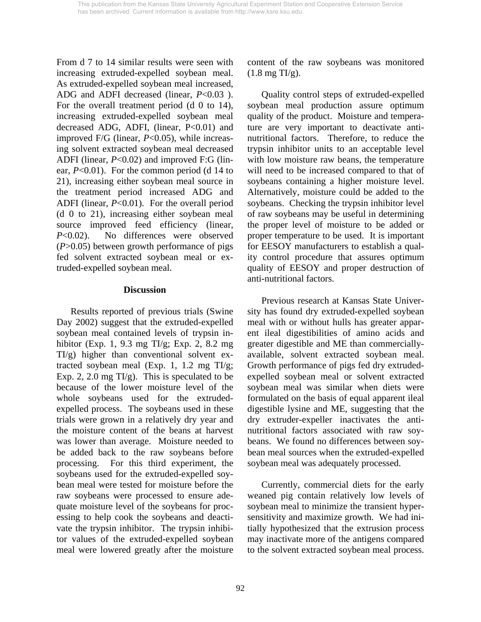From d 7 to 14 similar results were seen with increasing extruded-expelled soybean meal. As extruded-expelled soybean meal increased, ADG and ADFI decreased (linear, *P*<0.03 ). For the overall treatment period (d 0 to 14), increasing extruded-expelled soybean meal decreased ADG, ADFI, (linear, P<0.01) and improved F/G (linear, *P*<0.05), while increasing solvent extracted soybean meal decreased ADFI (linear, *P*<0.02) and improved F:G (linear, *P*<0.01). For the common period (d 14 to 21), increasing either soybean meal source in the treatment period increased ADG and ADFI (linear, *P*<0.01). For the overall period (d 0 to 21), increasing either soybean meal source improved feed efficiency (linear, *P*<0.02). No differences were observed (*P*>0.05) between growth performance of pigs fed solvent extracted soybean meal or extruded-expelled soybean meal.

### **Discussion**

Results reported of previous trials (Swine Day 2002) suggest that the extruded-expelled soybean meal contained levels of trypsin inhibitor (Exp. 1, 9.3 mg TI/g; Exp. 2, 8.2 mg  $TI/g$ ) higher than conventional solvent extracted soybean meal (Exp. 1, 1.2 mg TI/g; Exp. 2, 2.0 mg  $TI/g$ ). This is speculated to be because of the lower moisture level of the whole soybeans used for the extrudedexpelled process. The soybeans used in these trials were grown in a relatively dry year and the moisture content of the beans at harvest was lower than average. Moisture needed to be added back to the raw soybeans before processing. For this third experiment, the soybeans used for the extruded-expelled soybean meal were tested for moisture before the raw soybeans were processed to ensure adequate moisture level of the soybeans for processing to help cook the soybeans and deactivate the trypsin inhibitor. The trypsin inhibitor values of the extruded-expelled soybean meal were lowered greatly after the moisture content of the raw soybeans was monitored  $(1.8 \text{ mg TI/g}).$ 

 Quality control steps of extruded-expelled soybean meal production assure optimum quality of the product. Moisture and temperature are very important to deactivate antinutritional factors. Therefore, to reduce the trypsin inhibitor units to an acceptable level with low moisture raw beans, the temperature will need to be increased compared to that of soybeans containing a higher moisture level. Alternatively, moisture could be added to the soybeans. Checking the trypsin inhibitor level of raw soybeans may be useful in determining the proper level of moisture to be added or proper temperature to be used. It is important for EESOY manufacturers to establish a quality control procedure that assures optimum quality of EESOY and proper destruction of anti-nutritional factors.

 Previous research at Kansas State University has found dry extruded-expelled soybean meal with or without hulls has greater apparent ileal digestibilities of amino acids and greater digestible and ME than commerciallyavailable, solvent extracted soybean meal. Growth performance of pigs fed dry extrudedexpelled soybean meal or solvent extracted soybean meal was similar when diets were formulated on the basis of equal apparent ileal digestible lysine and ME, suggesting that the dry extruder-expeller inactivates the antinutritional factors associated with raw soybeans. We found no differences between soybean meal sources when the extruded-expelled soybean meal was adequately processed.

 Currently, commercial diets for the early weaned pig contain relatively low levels of soybean meal to minimize the transient hypersensitivity and maximize growth. We had initially hypothesized that the extrusion process may inactivate more of the antigens compared to the solvent extracted soybean meal process.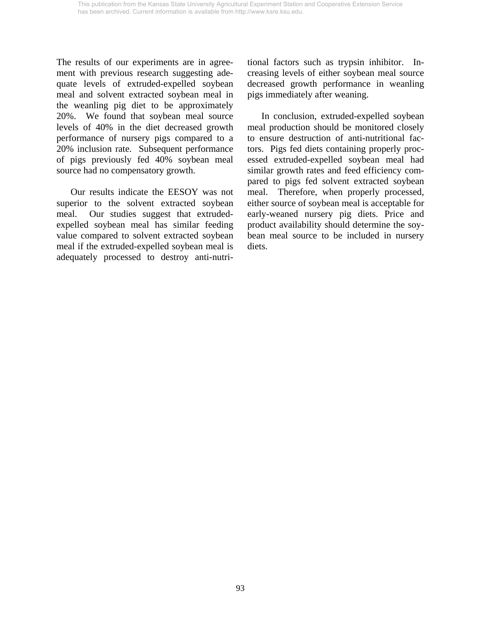The results of our experiments are in agreement with previous research suggesting adequate levels of extruded-expelled soybean meal and solvent extracted soybean meal in the weanling pig diet to be approximately 20%. We found that soybean meal source levels of 40% in the diet decreased growth performance of nursery pigs compared to a 20% inclusion rate. Subsequent performance of pigs previously fed 40% soybean meal source had no compensatory growth.

 Our results indicate the EESOY was not superior to the solvent extracted soybean meal. Our studies suggest that extrudedexpelled soybean meal has similar feeding value compared to solvent extracted soybean meal if the extruded-expelled soybean meal is adequately processed to destroy anti-nutritional factors such as trypsin inhibitor. Increasing levels of either soybean meal source decreased growth performance in weanling pigs immediately after weaning.

 In conclusion, extruded-expelled soybean meal production should be monitored closely to ensure destruction of anti-nutritional factors. Pigs fed diets containing properly processed extruded-expelled soybean meal had similar growth rates and feed efficiency compared to pigs fed solvent extracted soybean meal. Therefore, when properly processed, either source of soybean meal is acceptable for early-weaned nursery pig diets. Price and product availability should determine the soybean meal source to be included in nursery diets.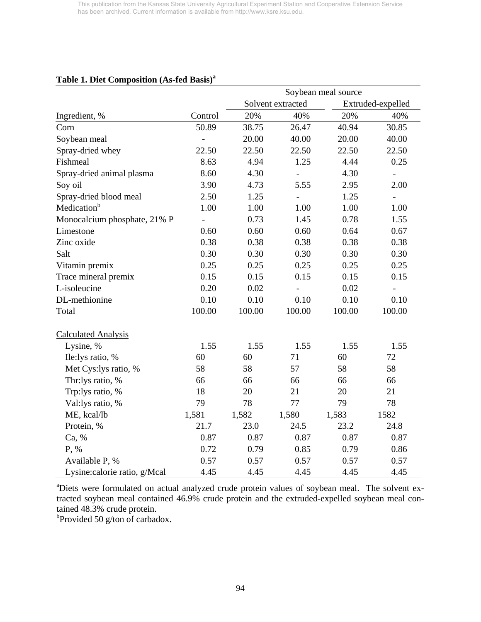|                               |                |        |                   | Soybean meal source |                   |
|-------------------------------|----------------|--------|-------------------|---------------------|-------------------|
|                               |                |        | Solvent extracted |                     | Extruded-expelled |
| Ingredient, %                 | Control        | 20%    | 40%               | 20%                 | 40%               |
| Corn                          | 50.89          | 38.75  | 26.47             | 40.94               | 30.85             |
| Soybean meal                  | $\overline{a}$ | 20.00  | 40.00             | 20.00               | 40.00             |
| Spray-dried whey              | 22.50          | 22.50  | 22.50             | 22.50               | 22.50             |
| Fishmeal                      | 8.63           | 4.94   | 1.25              | 4.44                | 0.25              |
| Spray-dried animal plasma     | 8.60           | 4.30   | $\overline{a}$    | 4.30                | $\overline{a}$    |
| Soy oil                       | 3.90           | 4.73   | 5.55              | 2.95                | 2.00              |
| Spray-dried blood meal        | 2.50           | 1.25   | $\equiv$          | 1.25                |                   |
| Medication <sup>b</sup>       | 1.00           | 1.00   | 1.00              | 1.00                | 1.00              |
| Monocalcium phosphate, 21% P  | $\frac{1}{2}$  | 0.73   | 1.45              | 0.78                | 1.55              |
| Limestone                     | 0.60           | 0.60   | 0.60              | 0.64                | 0.67              |
| Zinc oxide                    | 0.38           | 0.38   | 0.38              | 0.38                | 0.38              |
| Salt                          | 0.30           | 0.30   | 0.30              | 0.30                | 0.30              |
| Vitamin premix                | 0.25           | 0.25   | 0.25              | 0.25                | 0.25              |
| Trace mineral premix          | 0.15           | 0.15   | 0.15              | 0.15                | 0.15              |
| L-isoleucine                  | 0.20           | 0.02   | $\overline{a}$    | 0.02                | $\overline{a}$    |
| DL-methionine                 | 0.10           | 0.10   | 0.10              | 0.10                | 0.10              |
| Total                         | 100.00         | 100.00 | 100.00            | 100.00              | 100.00            |
| <b>Calculated Analysis</b>    |                |        |                   |                     |                   |
| Lysine, %                     | 1.55           | 1.55   | 1.55              | 1.55                | 1.55              |
| Ile: lys ratio, %             | 60             | 60     | 71                | 60                  | 72                |
| Met Cys:lys ratio, %          | 58             | 58     | 57                | 58                  | 58                |
| Thr:lys ratio, %              | 66             | 66     | 66                | 66                  | 66                |
| Trp:lys ratio, %              | 18             | 20     | 21                | 20                  | 21                |
| Val:lys ratio, %              | 79             | 78     | 77                | 79                  | 78                |
| ME, kcal/lb                   | 1,581          | 1,582  | 1,580             | 1,583               | 1582              |
| Protein, %                    | 21.7           | 23.0   | 24.5              | 23.2                | 24.8              |
| Ca, %                         | 0.87           | 0.87   | 0.87              | 0.87                | 0.87              |
| P, %                          | 0.72           | 0.79   | 0.85              | 0.79                | 0.86              |
| Available P, %                | 0.57           | 0.57   | 0.57              | 0.57                | 0.57              |
| Lysine: calorie ratio, g/Mcal | 4.45           | 4.45   | 4.45              | 4.45                | 4.45              |

# **Table 1. Diet Composition (As-fed Basis)a**

<sup>a</sup>Diets were formulated on actual analyzed crude protein values of soybean meal. The solvent extracted soybean meal contained 46.9% crude protein and the extruded-expelled soybean meal contained 48.3% crude protein.

<sup>b</sup>Provided 50 g/ton of carbadox.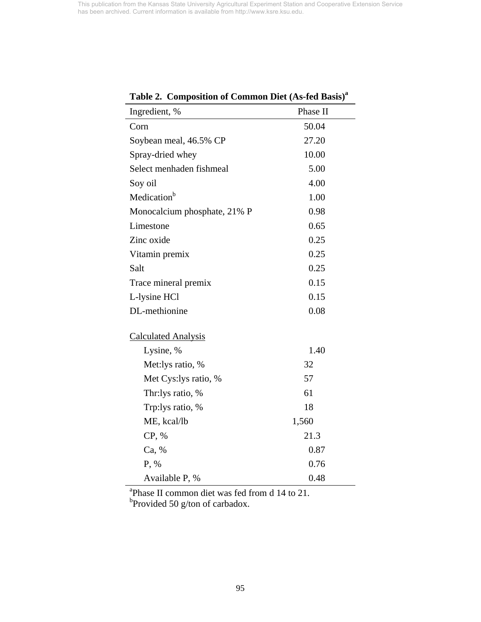| <b>Table 2.</b> Composition of Common Dict (As-teu Dasis) |          |
|-----------------------------------------------------------|----------|
| Ingredient, %                                             | Phase II |
| Corn                                                      | 50.04    |
| Soybean meal, 46.5% CP                                    | 27.20    |
| Spray-dried whey                                          | 10.00    |
| Select menhaden fishmeal                                  | 5.00     |
| Soy oil                                                   | 4.00     |
| Medication <sup>b</sup>                                   | 1.00     |
| Monocalcium phosphate, 21% P                              | 0.98     |
| Limestone                                                 | 0.65     |
| Zinc oxide                                                | 0.25     |
| Vitamin premix                                            | 0.25     |
| Salt                                                      | 0.25     |
| Trace mineral premix                                      | 0.15     |
| L-lysine HCl                                              | 0.15     |
| DL-methionine                                             | 0.08     |
| <b>Calculated Analysis</b>                                |          |
| Lysine, %                                                 | 1.40     |
| Met:lys ratio, %                                          | 32       |
| Met Cys:lys ratio, %                                      | 57       |
| Thr:lys ratio, %                                          | 61       |
| Trp:lys ratio, %                                          | 18       |
| ME, kcal/lb                                               | 1,560    |
| CP, %                                                     | 21.3     |
| Ca, %                                                     | 0.87     |
| P, %                                                      | 0.76     |
| Available P, %                                            | 0.48     |

**Table 2. Composition of Common Diet (As-fed Basis)<sup>a</sup>**

<sup>a</sup> Phase II common diet was fed from d 14 to 21.<br><sup>b</sup> Provided 50 g/ton of carbadox.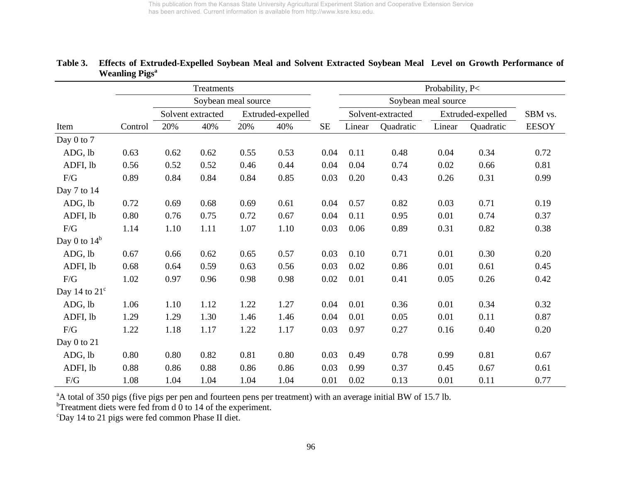|                        | Treatments |      |                     |      |                   |      | Probability, P<     |                   |        |                   |              |
|------------------------|------------|------|---------------------|------|-------------------|------|---------------------|-------------------|--------|-------------------|--------------|
|                        |            |      | Soybean meal source |      |                   |      | Soybean meal source |                   |        |                   |              |
|                        |            |      | Solvent extracted   |      | Extruded-expelled |      |                     | Solvent-extracted |        | Extruded-expelled | SBM vs.      |
| Item                   | Control    | 20%  | 40%                 | 20%  | 40%               | SE   | Linear              | Quadratic         | Linear | Quadratic         | <b>EESOY</b> |
| Day 0 to 7             |            |      |                     |      |                   |      |                     |                   |        |                   |              |
| ADG, lb                | 0.63       | 0.62 | 0.62                | 0.55 | 0.53              | 0.04 | 0.11                | 0.48              | 0.04   | 0.34              | 0.72         |
| ADFI, lb               | 0.56       | 0.52 | 0.52                | 0.46 | 0.44              | 0.04 | 0.04                | 0.74              | 0.02   | 0.66              | 0.81         |
| F/G                    | 0.89       | 0.84 | 0.84                | 0.84 | 0.85              | 0.03 | 0.20                | 0.43              | 0.26   | 0.31              | 0.99         |
| Day 7 to 14            |            |      |                     |      |                   |      |                     |                   |        |                   |              |
| ADG, lb                | 0.72       | 0.69 | 0.68                | 0.69 | 0.61              | 0.04 | 0.57                | 0.82              | 0.03   | 0.71              | 0.19         |
| ADFI, lb               | $0.80\,$   | 0.76 | 0.75                | 0.72 | 0.67              | 0.04 | 0.11                | 0.95              | 0.01   | 0.74              | 0.37         |
| $\rm F/G$              | 1.14       | 1.10 | 1.11                | 1.07 | 1.10              | 0.03 | 0.06                | 0.89              | 0.31   | 0.82              | 0.38         |
| Day 0 to $14^b$        |            |      |                     |      |                   |      |                     |                   |        |                   |              |
| ADG, lb                | 0.67       | 0.66 | 0.62                | 0.65 | 0.57              | 0.03 | 0.10                | 0.71              | 0.01   | 0.30              | 0.20         |
| ADFI, lb               | 0.68       | 0.64 | 0.59                | 0.63 | 0.56              | 0.03 | 0.02                | 0.86              | 0.01   | 0.61              | 0.45         |
| F/G                    | 1.02       | 0.97 | 0.96                | 0.98 | 0.98              | 0.02 | 0.01                | 0.41              | 0.05   | 0.26              | 0.42         |
| Day 14 to $21^{\circ}$ |            |      |                     |      |                   |      |                     |                   |        |                   |              |
| ADG, lb                | 1.06       | 1.10 | 1.12                | 1.22 | 1.27              | 0.04 | 0.01                | 0.36              | 0.01   | 0.34              | 0.32         |
| ADFI, lb               | 1.29       | 1.29 | 1.30                | 1.46 | 1.46              | 0.04 | 0.01                | 0.05              | 0.01   | 0.11              | 0.87         |
| F/G                    | 1.22       | 1.18 | 1.17                | 1.22 | 1.17              | 0.03 | 0.97                | 0.27              | 0.16   | 0.40              | 0.20         |
| Day 0 to 21            |            |      |                     |      |                   |      |                     |                   |        |                   |              |
| ADG, lb                | 0.80       | 0.80 | 0.82                | 0.81 | 0.80              | 0.03 | 0.49                | 0.78              | 0.99   | 0.81              | 0.67         |
| ADFI, lb               | 0.88       | 0.86 | 0.88                | 0.86 | 0.86              | 0.03 | 0.99                | 0.37              | 0.45   | 0.67              | 0.61         |
| F/G                    | 1.08       | 1.04 | 1.04                | 1.04 | 1.04              | 0.01 | 0.02                | 0.13              | 0.01   | 0.11              | 0.77         |

### **Table 3. Effects of Extruded-Expelled Soybean Meal and Solvent Extracted Soybean Meal Level on Growth Performance of Weanling Pigs<sup>a</sup>**

<sup>a</sup>A total of 350 pigs (five pigs per pen and fourteen pens per treatment) with an average initial BW of 15.7 lb.

 $b$ Treatment diets were fed from d 0 to 14 of the experiment.

<sup>c</sup>Day 14 to 21 pigs were fed common Phase II diet.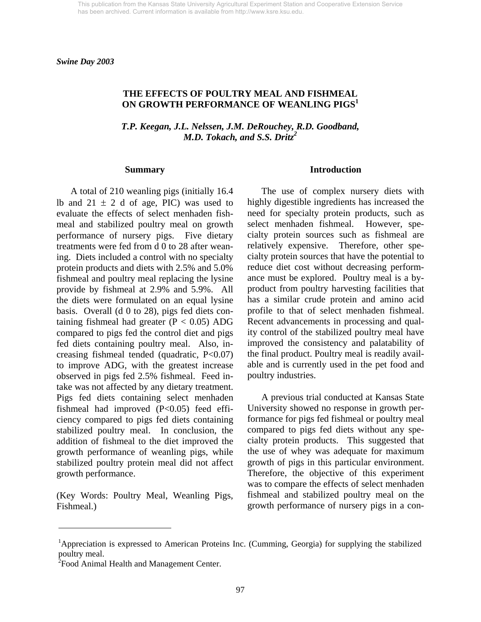*Swine Day 2003* 

### **THE EFFECTS OF POULTRY MEAL AND FISHMEAL ON GROWTH PERFORMANCE OF WEANLING PIGS1**

*T.P. Keegan, J.L. Nelssen, J.M. DeRouchey, R.D. Goodband, M.D. Tokach, and S.S. Dritz2*

#### **Summary**

 A total of 210 weanling pigs (initially 16.4 lb and  $21 \pm 2$  d of age, PIC) was used to evaluate the effects of select menhaden fishmeal and stabilized poultry meal on growth performance of nursery pigs. Five dietary treatments were fed from d 0 to 28 after weaning. Diets included a control with no specialty protein products and diets with 2.5% and 5.0% fishmeal and poultry meal replacing the lysine provide by fishmeal at 2.9% and 5.9%. All the diets were formulated on an equal lysine basis. Overall (d 0 to 28), pigs fed diets containing fishmeal had greater  $(P < 0.05)$  ADG compared to pigs fed the control diet and pigs fed diets containing poultry meal. Also, increasing fishmeal tended (quadratic, P<0.07) to improve ADG, with the greatest increase observed in pigs fed 2.5% fishmeal. Feed intake was not affected by any dietary treatment. Pigs fed diets containing select menhaden fishmeal had improved (P<0.05) feed efficiency compared to pigs fed diets containing stabilized poultry meal. In conclusion, the addition of fishmeal to the diet improved the growth performance of weanling pigs, while stabilized poultry protein meal did not affect growth performance.

(Key Words: Poultry Meal, Weanling Pigs, Fishmeal.)

#### **Introduction**

 The use of complex nursery diets with highly digestible ingredients has increased the need for specialty protein products, such as select menhaden fishmeal. However, specialty protein sources such as fishmeal are relatively expensive. Therefore, other specialty protein sources that have the potential to reduce diet cost without decreasing performance must be explored. Poultry meal is a byproduct from poultry harvesting facilities that has a similar crude protein and amino acid profile to that of select menhaden fishmeal. Recent advancements in processing and quality control of the stabilized poultry meal have improved the consistency and palatability of the final product. Poultry meal is readily available and is currently used in the pet food and poultry industries.

 A previous trial conducted at Kansas State University showed no response in growth performance for pigs fed fishmeal or poultry meal compared to pigs fed diets without any specialty protein products. This suggested that the use of whey was adequate for maximum growth of pigs in this particular environment. Therefore, the objective of this experiment was to compare the effects of select menhaden fishmeal and stabilized poultry meal on the growth performance of nursery pigs in a con-

l

<sup>&</sup>lt;sup>1</sup>Appreciation is expressed to American Proteins Inc. (Cumming, Georgia) for supplying the stabilized poultry meal.

<sup>&</sup>lt;sup>2</sup> Food Animal Health and Management Center.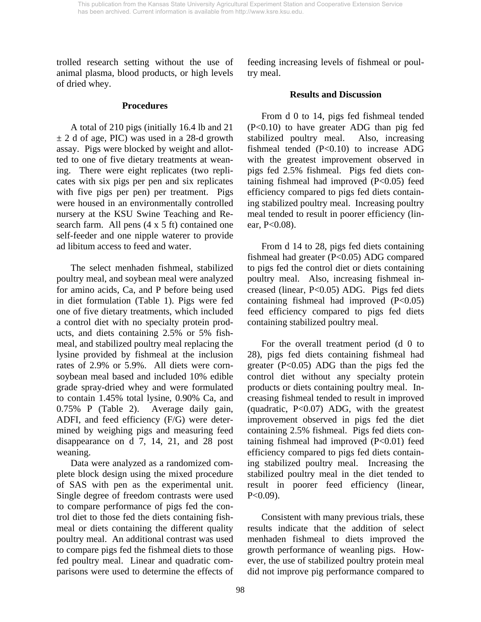trolled research setting without the use of animal plasma, blood products, or high levels of dried whey.

#### **Procedures**

 A total of 210 pigs (initially 16.4 lb and 21  $\pm$  2 d of age, PIC) was used in a 28-d growth assay. Pigs were blocked by weight and allotted to one of five dietary treatments at weaning. There were eight replicates (two replicates with six pigs per pen and six replicates with five pigs per pen) per treatment. Pigs were housed in an environmentally controlled nursery at the KSU Swine Teaching and Research farm. All pens (4 x 5 ft) contained one self-feeder and one nipple waterer to provide ad libitum access to feed and water.

 The select menhaden fishmeal, stabilized poultry meal, and soybean meal were analyzed for amino acids, Ca, and P before being used in diet formulation (Table 1). Pigs were fed one of five dietary treatments, which included a control diet with no specialty protein products, and diets containing 2.5% or 5% fishmeal, and stabilized poultry meal replacing the lysine provided by fishmeal at the inclusion rates of 2.9% or 5.9%. All diets were cornsoybean meal based and included 10% edible grade spray-dried whey and were formulated to contain 1.45% total lysine, 0.90% Ca, and 0.75% P (Table 2). Average daily gain, ADFI, and feed efficiency (F/G) were determined by weighing pigs and measuring feed disappearance on d 7, 14, 21, and 28 post weaning.

 Data were analyzed as a randomized complete block design using the mixed procedure of SAS with pen as the experimental unit. Single degree of freedom contrasts were used to compare performance of pigs fed the control diet to those fed the diets containing fishmeal or diets containing the different quality poultry meal. An additional contrast was used to compare pigs fed the fishmeal diets to those fed poultry meal. Linear and quadratic comparisons were used to determine the effects of feeding increasing levels of fishmeal or poultry meal.

## **Results and Discussion**

 From d 0 to 14, pigs fed fishmeal tended (P<0.10) to have greater ADG than pig fed stabilized poultry meal. Also, increasing fishmeal tended (P<0.10) to increase ADG with the greatest improvement observed in pigs fed 2.5% fishmeal. Pigs fed diets containing fishmeal had improved (P<0.05) feed efficiency compared to pigs fed diets containing stabilized poultry meal. Increasing poultry meal tended to result in poorer efficiency (linear, P<0.08).

 From d 14 to 28, pigs fed diets containing fishmeal had greater (P<0.05) ADG compared to pigs fed the control diet or diets containing poultry meal. Also, increasing fishmeal increased (linear, P<0.05) ADG. Pigs fed diets containing fishmeal had improved (P<0.05) feed efficiency compared to pigs fed diets containing stabilized poultry meal.

 For the overall treatment period (d 0 to 28), pigs fed diets containing fishmeal had greater  $(P<0.05)$  ADG than the pigs fed the control diet without any specialty protein products or diets containing poultry meal. Increasing fishmeal tended to result in improved (quadratic, P<0.07) ADG, with the greatest improvement observed in pigs fed the diet containing 2.5% fishmeal. Pigs fed diets containing fishmeal had improved  $(P<0.01)$  feed efficiency compared to pigs fed diets containing stabilized poultry meal. Increasing the stabilized poultry meal in the diet tended to result in poorer feed efficiency (linear,  $P<0.09$ ).

 Consistent with many previous trials, these results indicate that the addition of select menhaden fishmeal to diets improved the growth performance of weanling pigs. However, the use of stabilized poultry protein meal did not improve pig performance compared to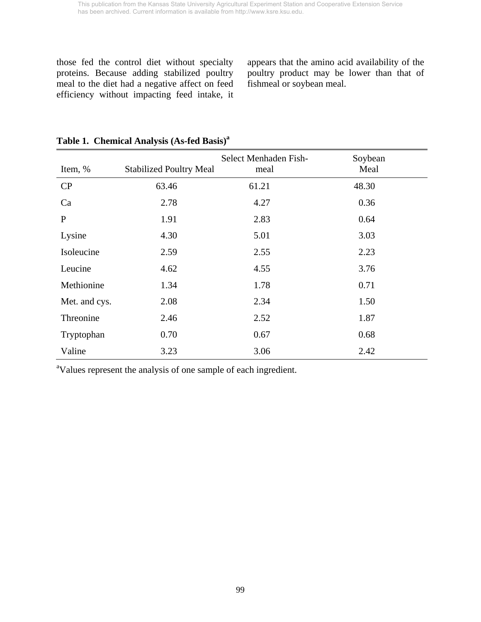those fed the control diet without specialty proteins. Because adding stabilized poultry meal to the diet had a negative affect on feed efficiency without impacting feed intake, it

appears that the amino acid availability of the poultry product may be lower than that of fishmeal or soybean meal.

| Item, %       | <b>Stabilized Poultry Meal</b> | Select Menhaden Fish-<br>meal | Soybean<br>Meal |
|---------------|--------------------------------|-------------------------------|-----------------|
| CP            | 63.46                          | 61.21                         | 48.30           |
| Ca            | 2.78                           | 4.27                          | 0.36            |
| $\mathbf{P}$  | 1.91                           | 2.83                          | 0.64            |
| Lysine        | 4.30                           | 5.01                          | 3.03            |
| Isoleucine    | 2.59                           | 2.55                          | 2.23            |
| Leucine       | 4.62                           | 4.55                          | 3.76            |
| Methionine    | 1.34                           | 1.78                          | 0.71            |
| Met. and cys. | 2.08                           | 2.34                          | 1.50            |
| Threonine     | 2.46                           | 2.52                          | 1.87            |
| Tryptophan    | 0.70                           | 0.67                          | 0.68            |
| Valine        | 3.23                           | 3.06                          | 2.42            |

# **Table 1. Chemical Analysis (As-fed Basis)<sup>a</sup>**

<sup>a</sup>Values represent the analysis of one sample of each ingredient.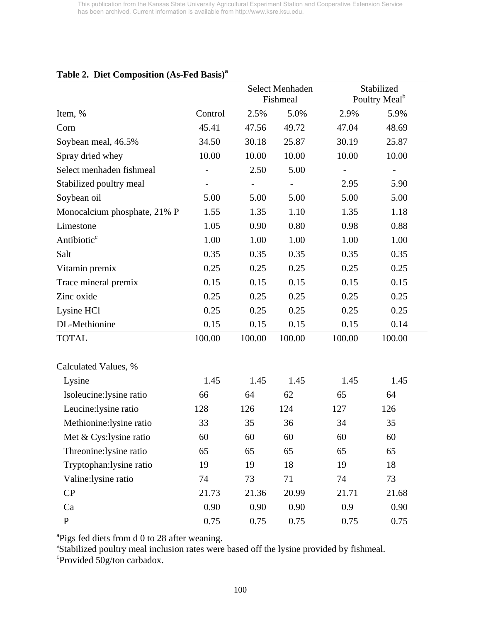|                              |                          |                              | Select Menhaden<br>Fishmeal |        | Stabilized<br>Poultry Meal <sup>b</sup> |  |
|------------------------------|--------------------------|------------------------------|-----------------------------|--------|-----------------------------------------|--|
| Item, %                      | Control                  | 2.5%                         | 5.0%                        | 2.9%   | 5.9%                                    |  |
| Corn                         | 45.41                    | 47.56                        | 49.72                       | 47.04  | 48.69                                   |  |
| Soybean meal, 46.5%          | 34.50                    | 30.18                        | 25.87                       | 30.19  | 25.87                                   |  |
| Spray dried whey             | 10.00                    | 10.00                        | 10.00                       | 10.00  | 10.00                                   |  |
| Select menhaden fishmeal     | $\overline{\phantom{0}}$ | 2.50                         | 5.00                        |        |                                         |  |
| Stabilized poultry meal      |                          | $\qquad \qquad \blacksquare$ | $\overline{\phantom{0}}$    | 2.95   | 5.90                                    |  |
| Soybean oil                  | 5.00                     | 5.00                         | 5.00                        | 5.00   | 5.00                                    |  |
| Monocalcium phosphate, 21% P | 1.55                     | 1.35                         | 1.10                        | 1.35   | 1.18                                    |  |
| Limestone                    | 1.05                     | 0.90                         | 0.80                        | 0.98   | 0.88                                    |  |
| Antibiotic <sup>c</sup>      | 1.00                     | 1.00                         | 1.00                        | 1.00   | 1.00                                    |  |
| Salt                         | 0.35                     | 0.35                         | 0.35                        | 0.35   | 0.35                                    |  |
| Vitamin premix               | 0.25                     | 0.25                         | 0.25                        | 0.25   | 0.25                                    |  |
| Trace mineral premix         | 0.15                     | 0.15                         | 0.15                        | 0.15   | 0.15                                    |  |
| Zinc oxide                   | 0.25                     | 0.25                         | 0.25                        | 0.25   | 0.25                                    |  |
| Lysine HCl                   | 0.25                     | 0.25                         | 0.25                        | 0.25   | 0.25                                    |  |
| DL-Methionine                | 0.15                     | 0.15                         | 0.15                        | 0.15   | 0.14                                    |  |
| <b>TOTAL</b>                 | 100.00                   | 100.00                       | 100.00                      | 100.00 | 100.00                                  |  |
| Calculated Values, %         |                          |                              |                             |        |                                         |  |
| Lysine                       | 1.45                     | 1.45                         | 1.45                        | 1.45   | 1.45                                    |  |
| Isoleucine:lysine ratio      | 66                       | 64                           | 62                          | 65     | 64                                      |  |
| Leucine: lysine ratio        | 128                      | 126                          | 124                         | 127    | 126                                     |  |
| Methionine: lysine ratio     | 33                       | 35                           | 36                          | 34     | 35                                      |  |
| Met & Cys:lysine ratio       | 60                       | 60                           | 60                          | 60     | 60                                      |  |
| Threonine: lysine ratio      | 65                       | 65                           | 65                          | 65     | 65                                      |  |
| Tryptophan: lysine ratio     | 19                       | 19                           | 18                          | 19     | 18                                      |  |
| Valine:lysine ratio          | 74                       | 73                           | 71                          | 74     | 73                                      |  |
| CP                           | 21.73                    | 21.36                        | 20.99                       | 21.71  | 21.68                                   |  |
| Ca                           | 0.90                     | 0.90                         | 0.90                        | 0.9    | 0.90                                    |  |
| ${\bf P}$                    | 0.75                     | 0.75                         | 0.75                        | 0.75   | 0.75                                    |  |

# **Table 2. Diet Composition (As-Fed Basis)<sup>a</sup>**

<sup>a</sup>Pigs fed diets from d 0 to 28 after weaning.

<sup>s</sup>Stabilized poultry meal inclusion rates were based off the lysine provided by fishmeal.

Provided 50g/ton carbadox.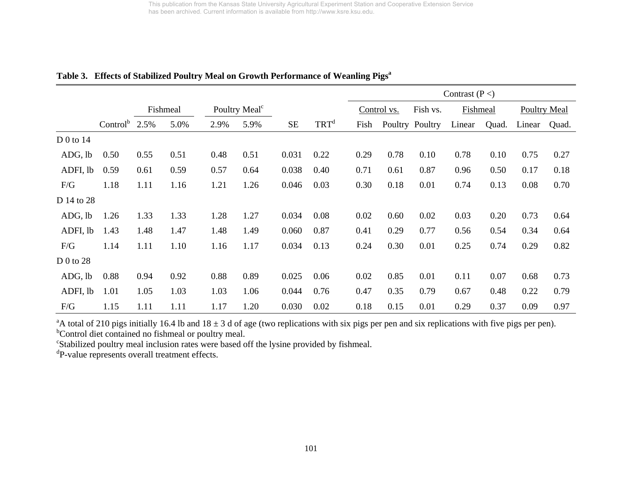|            |                           |      |          |      |                           |           |                  | Contrast $(P <)$ |             |                 |          |       |                     |       |
|------------|---------------------------|------|----------|------|---------------------------|-----------|------------------|------------------|-------------|-----------------|----------|-------|---------------------|-------|
|            |                           |      | Fishmeal |      | Poultry Meal <sup>c</sup> |           |                  |                  | Control vs. | Fish vs.        | Fishmeal |       | <b>Poultry Meal</b> |       |
|            | Control <sup>b</sup> 2.5% |      | 5.0%     | 2.9% | 5.9%                      | <b>SE</b> | TRT <sup>d</sup> | Fish             |             | Poultry Poultry | Linear   | Quad. | Linear              | Quad. |
| $D0$ to 14 |                           |      |          |      |                           |           |                  |                  |             |                 |          |       |                     |       |
| ADG, lb    | 0.50                      | 0.55 | 0.51     | 0.48 | 0.51                      | 0.031     | 0.22             | 0.29             | 0.78        | 0.10            | 0.78     | 0.10  | 0.75                | 0.27  |
| ADFI, lb   | 0.59                      | 0.61 | 0.59     | 0.57 | 0.64                      | 0.038     | 0.40             | 0.71             | 0.61        | 0.87            | 0.96     | 0.50  | 0.17                | 0.18  |
| F/G        | 1.18                      | 1.11 | 1.16     | 1.21 | 1.26                      | 0.046     | 0.03             | 0.30             | 0.18        | 0.01            | 0.74     | 0.13  | 0.08                | 0.70  |
| D 14 to 28 |                           |      |          |      |                           |           |                  |                  |             |                 |          |       |                     |       |
| ADG, lb    | 1.26                      | 1.33 | 1.33     | 1.28 | 1.27                      | 0.034     | 0.08             | 0.02             | 0.60        | 0.02            | 0.03     | 0.20  | 0.73                | 0.64  |
| ADFI, lb   | 1.43                      | 1.48 | 1.47     | 1.48 | 1.49                      | 0.060     | 0.87             | 0.41             | 0.29        | 0.77            | 0.56     | 0.54  | 0.34                | 0.64  |
| F/G        | 1.14                      | 1.11 | 1.10     | 1.16 | 1.17                      | 0.034     | 0.13             | 0.24             | 0.30        | 0.01            | 0.25     | 0.74  | 0.29                | 0.82  |
| D 0 to 28  |                           |      |          |      |                           |           |                  |                  |             |                 |          |       |                     |       |
| ADG, lb    | 0.88                      | 0.94 | 0.92     | 0.88 | 0.89                      | 0.025     | 0.06             | 0.02             | 0.85        | 0.01            | 0.11     | 0.07  | 0.68                | 0.73  |
| ADFI, lb   | 1.01                      | 1.05 | 1.03     | 1.03 | 1.06                      | 0.044     | 0.76             | 0.47             | 0.35        | 0.79            | 0.67     | 0.48  | 0.22                | 0.79  |
| F/G        | 1.15                      | 1.11 | 1.11     | 1.17 | 1.20                      | 0.030     | 0.02             | 0.18             | 0.15        | 0.01            | 0.29     | 0.37  | 0.09                | 0.97  |

### Table 3. Effects of Stabilized Poultry Meal on Growth Performance of Weanling Pigs<sup>a</sup>

<sup>a</sup>A total of 210 pigs initially 16.4 lb and 18  $\pm$  3 d of age (two replications with six pigs per pen and six replications with five pigs per pen).

<sup>b</sup>Control diet contained no fishmeal or poultry meal.

<sup>c</sup>Stabilized poultry meal inclusion rates were based off the lysine provided by fishmeal.

<sup>d</sup>P-value represents overall treatment effects.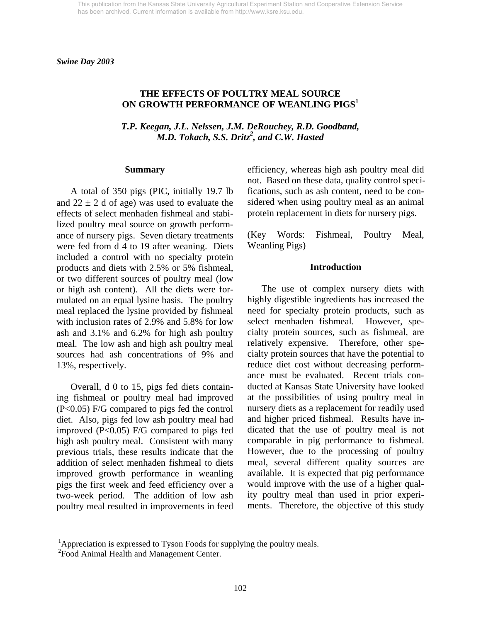*Swine Day 2003* 

## **THE EFFECTS OF POULTRY MEAL SOURCE ON GROWTH PERFORMANCE OF WEANLING PIGS1**

*T.P. Keegan, J.L. Nelssen, J.M. DeRouchey, R.D. Goodband, M.D. Tokach, S.S. Dritz<sup>2</sup>, and C.W. Hasted* 

#### **Summary**

A total of 350 pigs (PIC, initially 19.7 lb and  $22 \pm 2$  d of age) was used to evaluate the effects of select menhaden fishmeal and stabilized poultry meal source on growth performance of nursery pigs. Seven dietary treatments were fed from d 4 to 19 after weaning. Diets included a control with no specialty protein products and diets with 2.5% or 5% fishmeal, or two different sources of poultry meal (low or high ash content). All the diets were formulated on an equal lysine basis. The poultry meal replaced the lysine provided by fishmeal with inclusion rates of 2.9% and 5.8% for low ash and 3.1% and 6.2% for high ash poultry meal. The low ash and high ash poultry meal sources had ash concentrations of 9% and 13%, respectively.

Overall, d 0 to 15, pigs fed diets containing fishmeal or poultry meal had improved (P<0.05) F/G compared to pigs fed the control diet. Also, pigs fed low ash poultry meal had improved  $(P<0.05)$  F/G compared to pigs fed high ash poultry meal. Consistent with many previous trials, these results indicate that the addition of select menhaden fishmeal to diets improved growth performance in weanling pigs the first week and feed efficiency over a two-week period. The addition of low ash poultry meal resulted in improvements in feed efficiency, whereas high ash poultry meal did not. Based on these data, quality control specifications, such as ash content, need to be considered when using poultry meal as an animal protein replacement in diets for nursery pigs.

(Key Words: Fishmeal, Poultry Meal, Weanling Pigs)

#### **Introduction**

 The use of complex nursery diets with highly digestible ingredients has increased the need for specialty protein products, such as select menhaden fishmeal. However, specialty protein sources, such as fishmeal, are relatively expensive. Therefore, other specialty protein sources that have the potential to reduce diet cost without decreasing performance must be evaluated. Recent trials conducted at Kansas State University have looked at the possibilities of using poultry meal in nursery diets as a replacement for readily used and higher priced fishmeal. Results have indicated that the use of poultry meal is not comparable in pig performance to fishmeal. However, due to the processing of poultry meal, several different quality sources are available. It is expected that pig performance would improve with the use of a higher quality poultry meal than used in prior experiments. Therefore, the objective of this study

l

<sup>&</sup>lt;sup>1</sup>Appreciation is expressed to Tyson Foods for supplying the poultry meals.

<sup>&</sup>lt;sup>2</sup> Food Animal Health and Management Center.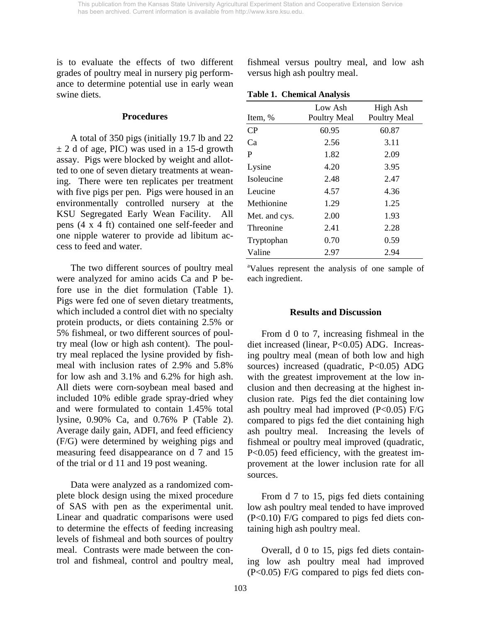is to evaluate the effects of two different grades of poultry meal in nursery pig performance to determine potential use in early wean swine diets.

#### **Procedures**

 A total of 350 pigs (initially 19.7 lb and 22  $\pm$  2 d of age, PIC) was used in a 15-d growth assay. Pigs were blocked by weight and allotted to one of seven dietary treatments at weaning. There were ten replicates per treatment with five pigs per pen. Pigs were housed in an environmentally controlled nursery at the KSU Segregated Early Wean Facility. All pens (4 x 4 ft) contained one self-feeder and one nipple waterer to provide ad libitum access to feed and water.

 The two different sources of poultry meal were analyzed for amino acids Ca and P before use in the diet formulation (Table 1). Pigs were fed one of seven dietary treatments, which included a control diet with no specialty protein products, or diets containing 2.5% or 5% fishmeal, or two different sources of poultry meal (low or high ash content). The poultry meal replaced the lysine provided by fishmeal with inclusion rates of 2.9% and 5.8% for low ash and 3.1% and 6.2% for high ash. All diets were corn-soybean meal based and included 10% edible grade spray-dried whey and were formulated to contain 1.45% total lysine, 0.90% Ca, and 0.76% P (Table 2). Average daily gain, ADFI, and feed efficiency (F/G) were determined by weighing pigs and measuring feed disappearance on d 7 and 15 of the trial or d 11 and 19 post weaning.

 Data were analyzed as a randomized complete block design using the mixed procedure of SAS with pen as the experimental unit. Linear and quadratic comparisons were used to determine the effects of feeding increasing levels of fishmeal and both sources of poultry meal. Contrasts were made between the control and fishmeal, control and poultry meal, fishmeal versus poultry meal, and low ash versus high ash poultry meal.

**Table 1. Chemical Analysis** 

| Item, %       | Low Ash<br><b>Poultry Meal</b> | High Ash<br><b>Poultry Meal</b> |
|---------------|--------------------------------|---------------------------------|
| CP            | 60.95                          | 60.87                           |
| Ca            | 2.56                           | 3.11                            |
| P             | 1.82                           | 2.09                            |
| Lysine        | 4.20                           | 3.95                            |
| Isoleucine    | 2.48                           | 2.47                            |
| Leucine       | 4.57                           | 4.36                            |
| Methionine    | 1.29                           | 1.25                            |
| Met. and cys. | 2.00                           | 1.93                            |
| Threonine     | 2.41                           | 2.28                            |
| Tryptophan    | 0.70                           | 0.59                            |
| Valine        | 2.97                           | 2.94                            |

<sup>a</sup>Values represent the analysis of one sample of each ingredient.

#### **Results and Discussion**

 From d 0 to 7, increasing fishmeal in the diet increased (linear, P<0.05) ADG. Increasing poultry meal (mean of both low and high sources) increased (quadratic, P<0.05) ADG with the greatest improvement at the low inclusion and then decreasing at the highest inclusion rate. Pigs fed the diet containing low ash poultry meal had improved  $(P<0.05)$  F/G compared to pigs fed the diet containing high ash poultry meal. Increasing the levels of fishmeal or poultry meal improved (quadratic, P<0.05) feed efficiency, with the greatest improvement at the lower inclusion rate for all sources.

 From d 7 to 15, pigs fed diets containing low ash poultry meal tended to have improved (P<0.10) F/G compared to pigs fed diets containing high ash poultry meal.

 Overall, d 0 to 15, pigs fed diets containing low ash poultry meal had improved (P<0.05) F/G compared to pigs fed diets con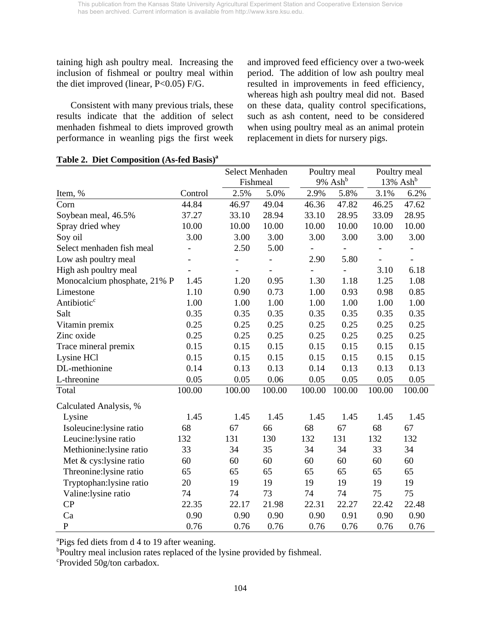taining high ash poultry meal. Increasing the inclusion of fishmeal or poultry meal within the diet improved (linear,  $P<0.05$ )  $F/G$ .

Consistent with many previous trials, these results indicate that the addition of select menhaden fishmeal to diets improved growth performance in weanling pigs the first week and improved feed efficiency over a two-week period. The addition of low ash poultry meal resulted in improvements in feed efficiency, whereas high ash poultry meal did not. Based on these data, quality control specifications, such as ash content, need to be considered when using poultry meal as an animal protein replacement in diets for nursery pigs.

|                              |                          | Select Menhaden          |                              |                | Poultry meal           |               | Poultry meal                 |
|------------------------------|--------------------------|--------------------------|------------------------------|----------------|------------------------|---------------|------------------------------|
|                              |                          | Fishmeal                 |                              |                | $9\%$ Ash <sup>b</sup> |               | $13\%$ Ash <sup>b</sup>      |
| Item, %                      | Control                  | 2.5%                     | 5.0%                         | 2.9%           | 5.8%                   | 3.1%          | 6.2%                         |
| Corn                         | 44.84                    | 46.97                    | 49.04                        | 46.36          | 47.82                  | 46.25         | 47.62                        |
| Soybean meal, 46.5%          | 37.27                    | 33.10                    | 28.94                        | 33.10          | 28.95                  | 33.09         | 28.95                        |
| Spray dried whey             | 10.00                    | 10.00                    | 10.00                        | 10.00          | 10.00                  | 10.00         | 10.00                        |
| Soy oil                      | 3.00                     | 3.00                     | 3.00                         | 3.00           | 3.00                   | 3.00          | 3.00                         |
| Select menhaden fish meal    |                          | 2.50                     | 5.00                         |                | $\blacksquare$         |               | $\blacksquare$               |
| Low ash poultry meal         |                          |                          |                              | 2.90           | 5.80                   | $\frac{1}{2}$ | $\qquad \qquad \blacksquare$ |
| High ash poultry meal        | $\overline{\phantom{a}}$ | $\overline{\phantom{a}}$ | $\qquad \qquad \blacksquare$ | $\blacksquare$ | $\overline{a}$         | 3.10          | 6.18                         |
| Monocalcium phosphate, 21% P | 1.45                     | 1.20                     | 0.95                         | 1.30           | 1.18                   | 1.25          | 1.08                         |
| Limestone                    | 1.10                     | 0.90                     | 0.73                         | 1.00           | 0.93                   | 0.98          | 0.85                         |
| Antibiotic <sup>c</sup>      | 1.00                     | 1.00                     | 1.00                         | 1.00           | 1.00                   | 1.00          | 1.00                         |
| Salt                         | 0.35                     | 0.35                     | 0.35                         | 0.35           | 0.35                   | 0.35          | 0.35                         |
| Vitamin premix               | 0.25                     | 0.25                     | 0.25                         | 0.25           | 0.25                   | 0.25          | 0.25                         |
| Zinc oxide                   | 0.25                     | 0.25                     | 0.25                         | 0.25           | 0.25                   | 0.25          | 0.25                         |
| Trace mineral premix         | 0.15                     | 0.15                     | 0.15                         | 0.15           | 0.15                   | 0.15          | 0.15                         |
| Lysine HCl                   | 0.15                     | 0.15                     | 0.15                         | 0.15           | 0.15                   | 0.15          | 0.15                         |
| DL-methionine                | 0.14                     | 0.13                     | 0.13                         | 0.14           | 0.13                   | 0.13          | 0.13                         |
| L-threonine                  | 0.05                     | 0.05                     | 0.06                         | 0.05           | 0.05                   | 0.05          | 0.05                         |
| Total                        | 100.00                   | 100.00                   | 100.00                       | 100.00         | 100.00                 | 100.00        | 100.00                       |
| Calculated Analysis, %       |                          |                          |                              |                |                        |               |                              |
| Lysine                       | 1.45                     | 1.45                     | 1.45                         | 1.45           | 1.45                   | 1.45          | 1.45                         |
| Isoleucine:lysine ratio      | 68                       | 67                       | 66                           | 68             | 67                     | 68            | 67                           |
| Leucine: lysine ratio        | 132                      | 131                      | 130                          | 132            | 131                    | 132           | 132                          |
| Methionine:lysine ratio      | 33                       | 34                       | 35                           | 34             | 34                     | 33            | 34                           |
| Met & cys:lysine ratio       | 60                       | 60                       | 60                           | 60             | 60                     | 60            | 60                           |
| Threonine: lysine ratio      | 65                       | 65                       | 65                           | 65             | 65                     | 65            | 65                           |
| Tryptophan: lysine ratio     | 20                       | 19                       | 19                           | 19             | 19                     | 19            | 19                           |
| Valine: lysine ratio         | 74                       | 74                       | 73                           | 74             | 74                     | 75            | 75                           |
| CP                           | 22.35                    | 22.17                    | 21.98                        | 22.31          | 22.27                  | 22.42         | 22.48                        |
| Ca                           | 0.90                     | 0.90                     | 0.90                         | 0.90           | 0.91                   | 0.90          | 0.90                         |
| $\mathbf{P}$                 | 0.76                     | 0.76                     | 0.76                         | 0.76           | 0.76                   | 0.76          | 0.76                         |

### **Table 2. Diet Composition (As-fed Basis)a**

<sup>a</sup>Pigs fed diets from d 4 to 19 after weaning.

<sup>b</sup>Poultry meal inclusion rates replaced of the lysine provided by fishmeal.

c Provided 50g/ton carbadox.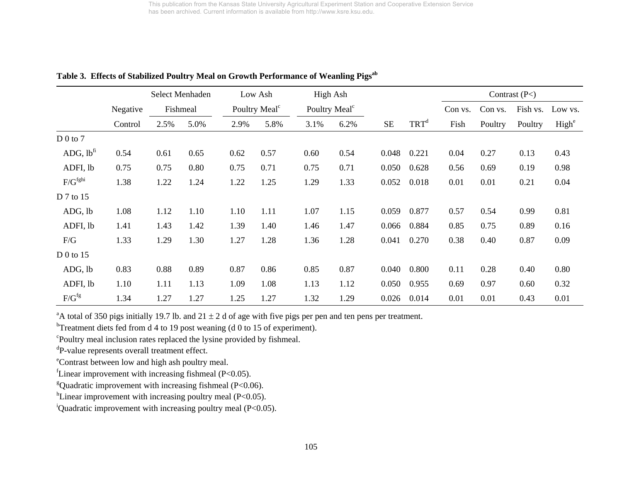|                       |          |      | Select Menhaden |      | Low Ash                   |      | High Ash                  |       |                  |         |         | Contrast $(P<)$ |                   |
|-----------------------|----------|------|-----------------|------|---------------------------|------|---------------------------|-------|------------------|---------|---------|-----------------|-------------------|
|                       | Negative |      | Fishmeal        |      | Poultry Meal <sup>c</sup> |      | Poultry Meal <sup>c</sup> |       |                  | Con vs. | Con vs. | Fish vs.        | Low vs.           |
|                       | Control  | 2.5% | 5.0%            | 2.9% | 5.8%                      | 3.1% | 6.2%                      | SE    | TRT <sup>d</sup> | Fish    | Poultry | Poultry         | High <sup>e</sup> |
| D 0 to 7              |          |      |                 |      |                           |      |                           |       |                  |         |         |                 |                   |
| ADG, lb <sup>fi</sup> | 0.54     | 0.61 | 0.65            | 0.62 | 0.57                      | 0.60 | 0.54                      | 0.048 | 0.221            | 0.04    | 0.27    | 0.13            | 0.43              |
| ADFI, lb              | 0.75     | 0.75 | 0.80            | 0.75 | 0.71                      | 0.75 | 0.71                      | 0.050 | 0.628            | 0.56    | 0.69    | 0.19            | 0.98              |
| F/G <sup>fghi</sup>   | 1.38     | 1.22 | 1.24            | 1.22 | 1.25                      | 1.29 | 1.33                      | 0.052 | 0.018            | 0.01    | 0.01    | 0.21            | 0.04              |
| D 7 to 15             |          |      |                 |      |                           |      |                           |       |                  |         |         |                 |                   |
| ADG, lb               | 1.08     | 1.12 | 1.10            | 1.10 | 1.11                      | 1.07 | 1.15                      | 0.059 | 0.877            | 0.57    | 0.54    | 0.99            | 0.81              |
| ADFI, lb              | 1.41     | 1.43 | 1.42            | 1.39 | 1.40                      | 1.46 | 1.47                      | 0.066 | 0.884            | 0.85    | 0.75    | 0.89            | 0.16              |
| F/G                   | 1.33     | 1.29 | 1.30            | 1.27 | 1.28                      | 1.36 | 1.28                      | 0.041 | 0.270            | 0.38    | 0.40    | 0.87            | 0.09              |
| $D0$ to 15            |          |      |                 |      |                           |      |                           |       |                  |         |         |                 |                   |
| ADG, lb               | 0.83     | 0.88 | 0.89            | 0.87 | 0.86                      | 0.85 | 0.87                      | 0.040 | 0.800            | 0.11    | 0.28    | 0.40            | 0.80              |
| ADFI, lb              | 1.10     | 1.11 | 1.13            | 1.09 | 1.08                      | 1.13 | 1.12                      | 0.050 | 0.955            | 0.69    | 0.97    | 0.60            | 0.32              |
| $F/G^{fg}$            | 1.34     | 1.27 | 1.27            | 1.25 | 1.27                      | 1.32 | 1.29                      | 0.026 | 0.014            | 0.01    | 0.01    | 0.43            | 0.01              |

Table 3. Effects of Stabilized Poultry Meal on Growth Performance of Weanling Pigs<sup>ab</sup>

<sup>a</sup>A total of 350 pigs initially 19.7 lb. and 21  $\pm$  2 d of age with five pigs per pen and ten pens per treatment.

<sup>b</sup>Treatment diets fed from d 4 to 19 post weaning (d 0 to 15 of experiment).

<sup>c</sup>Poultry meal inclusion rates replaced the lysine provided by fishmeal.

dP-value represents overall treatment effect.

eContrast between low and high ash poultry meal.

<sup>f</sup>Linear improvement with increasing fishmeal ( $P<0.05$ ).

<sup>g</sup>Quadratic improvement with increasing fishmeal ( $P < 0.06$ ).

 ${}^{\text{h}}$ Linear improvement with increasing poultry meal (P<0.05).

<sup>i</sup>Quadratic improvement with increasing poultry meal (P<0.05).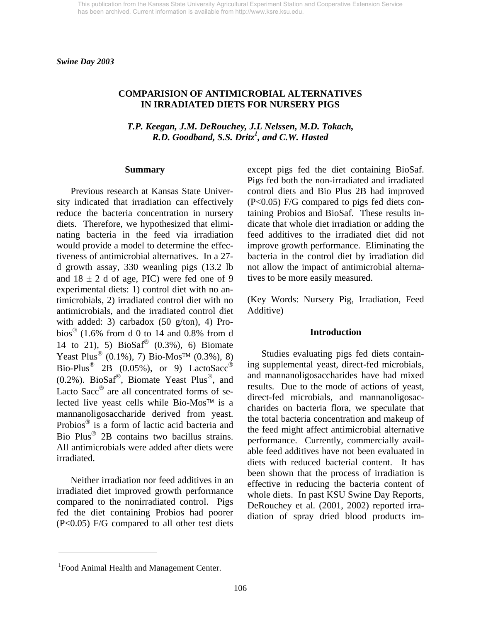### **COMPARISION OF ANTIMICROBIAL ALTERNATIVES IN IRRADIATED DIETS FOR NURSERY PIGS**

*T.P. Keegan, J.M. DeRouchey, J.L Nelssen, M.D. Tokach, R.D. Goodband, S.S. Dritz<sup>1</sup> , and C.W. Hasted*

#### **Summary**

Previous research at Kansas State University indicated that irradiation can effectively reduce the bacteria concentration in nursery diets. Therefore, we hypothesized that eliminating bacteria in the feed via irradiation would provide a model to determine the effectiveness of antimicrobial alternatives. In a 27 d growth assay, 330 weanling pigs (13.2 lb and  $18 \pm 2$  d of age, PIC) were fed one of 9 experimental diets: 1) control diet with no antimicrobials, 2) irradiated control diet with no antimicrobials, and the irradiated control diet with added: 3) carbadox (50 g/ton), 4) Probios<sup>®</sup> (1.6% from d 0 to 14 and 0.8% from d 14 to 21), 5)  $BioSaf^®$  (0.3%), 6) Biomate Yeast Plus<sup>®</sup> (0.1%), 7) Bio-Mos<sup>TM</sup> (0.3%), 8) Bio-Plus<sup>®</sup> 2B (0.05%), or 9) LactoSacc<sup>®</sup> (0.2%). BioSaf®, Biomate Yeast Plus®, and Lacto Sacc<sup>®</sup> are all concentrated forms of selected live yeast cells while Bio-Mos™ is a mannanoligosaccharide derived from yeast. Probios® is a form of lactic acid bacteria and Bio Plus® 2B contains two bacillus strains. All antimicrobials were added after diets were irradiated.

Neither irradiation nor feed additives in an irradiated diet improved growth performance compared to the nonirradiated control. Pigs fed the diet containing Probios had poorer (P<0.05) F/G compared to all other test diets except pigs fed the diet containing BioSaf. Pigs fed both the non-irradiated and irradiated control diets and Bio Plus 2B had improved (P<0.05) F/G compared to pigs fed diets containing Probios and BioSaf. These results indicate that whole diet irradiation or adding the feed additives to the irradiated diet did not improve growth performance. Eliminating the bacteria in the control diet by irradiation did not allow the impact of antimicrobial alternatives to be more easily measured.

(Key Words: Nursery Pig, Irradiation, Feed Additive)

#### **Introduction**

 Studies evaluating pigs fed diets containing supplemental yeast, direct-fed microbials, and mannanoligosaccharides have had mixed results. Due to the mode of actions of yeast, direct-fed microbials, and mannanoligosaccharides on bacteria flora, we speculate that the total bacteria concentration and makeup of the feed might affect antimicrobial alternative performance. Currently, commercially available feed additives have not been evaluated in diets with reduced bacterial content. It has been shown that the process of irradiation is effective in reducing the bacteria content of whole diets. In past KSU Swine Day Reports, DeRouchey et al. (2001, 2002) reported irradiation of spray dried blood products im-

l

<sup>&</sup>lt;sup>1</sup> Food Animal Health and Management Center.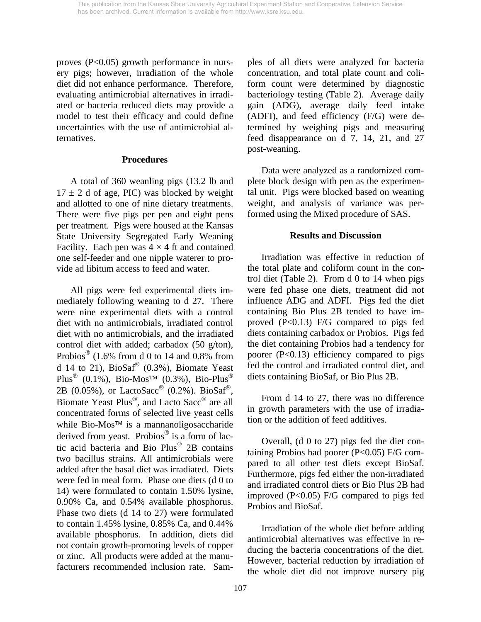proves (P<0.05) growth performance in nursery pigs; however, irradiation of the whole diet did not enhance performance. Therefore, evaluating antimicrobial alternatives in irradiated or bacteria reduced diets may provide a model to test their efficacy and could define uncertainties with the use of antimicrobial alternatives.

### **Procedures**

 A total of 360 weanling pigs (13.2 lb and  $17 \pm 2$  d of age, PIC) was blocked by weight and allotted to one of nine dietary treatments. There were five pigs per pen and eight pens per treatment. Pigs were housed at the Kansas State University Segregated Early Weaning Facility. Each pen was  $4 \times 4$  ft and contained one self-feeder and one nipple waterer to provide ad libitum access to feed and water.

 All pigs were fed experimental diets immediately following weaning to d 27. There were nine experimental diets with a control diet with no antimicrobials, irradiated control diet with no antimicrobials, and the irradiated control diet with added; carbadox (50 g/ton), Probios<sup>®</sup> (1.6% from d 0 to 14 and 0.8% from d 14 to 21),  $BioSaf^®$  (0.3%), Biomate Yeast Plus<sup>®</sup> (0.1%), Bio-Mos<sup>™</sup> (0.3%), Bio-Plus<sup>®</sup> 2B (0.05%), or LactoSacc® (0.2%). BioSaf®, Biomate Yeast Plus®, and Lacto Sacc® are all concentrated forms of selected live yeast cells while Bio-Mos™ is a mannanoligosaccharide derived from yeast. Probios® is a form of lactic acid bacteria and Bio Plus® 2B contains two bacillus strains. All antimicrobials were added after the basal diet was irradiated. Diets were fed in meal form. Phase one diets (d 0 to 14) were formulated to contain 1.50% lysine, 0.90% Ca, and 0.54% available phosphorus. Phase two diets (d 14 to 27) were formulated to contain 1.45% lysine, 0.85% Ca, and 0.44% available phosphorus. In addition, diets did not contain growth-promoting levels of copper or zinc. All products were added at the manufacturers recommended inclusion rate. Samples of all diets were analyzed for bacteria concentration, and total plate count and coliform count were determined by diagnostic bacteriology testing (Table 2). Average daily gain (ADG), average daily feed intake (ADFI), and feed efficiency (F/G) were determined by weighing pigs and measuring feed disappearance on d 7, 14, 21, and 27 post-weaning.

 Data were analyzed as a randomized complete block design with pen as the experimental unit. Pigs were blocked based on weaning weight, and analysis of variance was performed using the Mixed procedure of SAS.

# **Results and Discussion**

 Irradiation was effective in reduction of the total plate and coliform count in the control diet (Table 2). From d 0 to 14 when pigs were fed phase one diets, treatment did not influence ADG and ADFI. Pigs fed the diet containing Bio Plus 2B tended to have improved  $(P<0.13)$  F/G compared to pigs fed diets containing carbadox or Probios. Pigs fed the diet containing Probios had a tendency for poorer  $(P<0.13)$  efficiency compared to pigs fed the control and irradiated control diet, and diets containing BioSaf, or Bio Plus 2B.

 From d 14 to 27, there was no difference in growth parameters with the use of irradiation or the addition of feed additives.

 Overall, (d 0 to 27) pigs fed the diet containing Probios had poorer (P<0.05) F/G compared to all other test diets except BioSaf. Furthermore, pigs fed either the non-irradiated and irradiated control diets or Bio Plus 2B had improved (P<0.05) F/G compared to pigs fed Probios and BioSaf.

 Irradiation of the whole diet before adding antimicrobial alternatives was effective in reducing the bacteria concentrations of the diet. However, bacterial reduction by irradiation of the whole diet did not improve nursery pig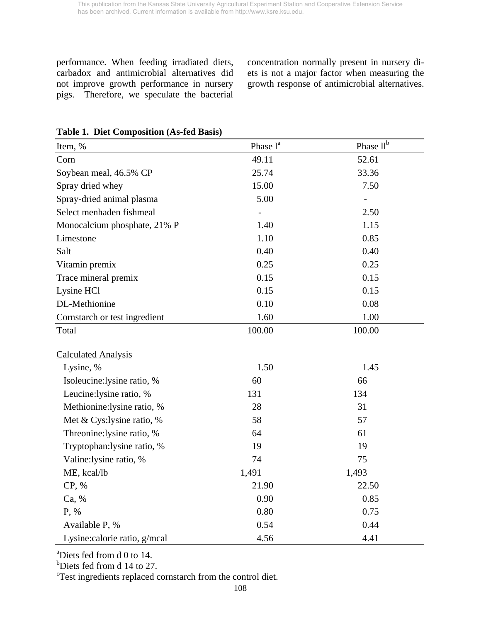performance. When feeding irradiated diets, carbadox and antimicrobial alternatives did not improve growth performance in nursery pigs. Therefore, we speculate the bacterial concentration normally present in nursery diets is not a major factor when measuring the growth response of antimicrobial alternatives.

| Item, %                       | Phase l <sup>a</sup> | Phase llb |
|-------------------------------|----------------------|-----------|
| Corn                          | 49.11                | 52.61     |
| Soybean meal, 46.5% CP        | 25.74                | 33.36     |
| Spray dried whey              | 15.00                | 7.50      |
| Spray-dried animal plasma     | 5.00                 |           |
| Select menhaden fishmeal      |                      | 2.50      |
| Monocalcium phosphate, 21% P  | 1.40                 | 1.15      |
| Limestone                     | 1.10                 | 0.85      |
| Salt                          | 0.40                 | 0.40      |
| Vitamin premix                | 0.25                 | 0.25      |
| Trace mineral premix          | 0.15                 | 0.15      |
| Lysine HCl                    | 0.15                 | 0.15      |
| DL-Methionine                 | 0.10                 | 0.08      |
| Cornstarch or test ingredient | 1.60                 | 1.00      |
| Total                         | 100.00               | 100.00    |
| <b>Calculated Analysis</b>    |                      |           |
| Lysine, %                     | 1.50                 | 1.45      |
| Isoleucine:lysine ratio, %    | 60                   | 66        |
| Leucine: lysine ratio, %      | 131                  | 134       |
| Methionine: lysine ratio, %   | 28                   | 31        |
| Met & Cys: lysine ratio, %    | 58                   | 57        |
| Threonine: lysine ratio, %    | 64                   | 61        |
| Tryptophan: lysine ratio, %   | 19                   | 19        |
| Valine:lysine ratio, %        | 74                   | 75        |
| ME, kcal/lb                   | 1,491                | 1,493     |
| CP, %                         | 21.90                | 22.50     |
| Ca, %                         | 0.90                 | 0.85      |
| P, %                          | 0.80                 | 0.75      |
| Available P, %                | 0.54                 | 0.44      |
| Lysine: calorie ratio, g/mcal | 4.56                 | 4.41      |

# **Table 1. Diet Composition (As-fed Basis)**

<sup>a</sup>Diets fed from d 0 to 14.

b Diets fed from d 14 to 27.

<sup>c</sup>Test ingredients replaced cornstarch from the control diet.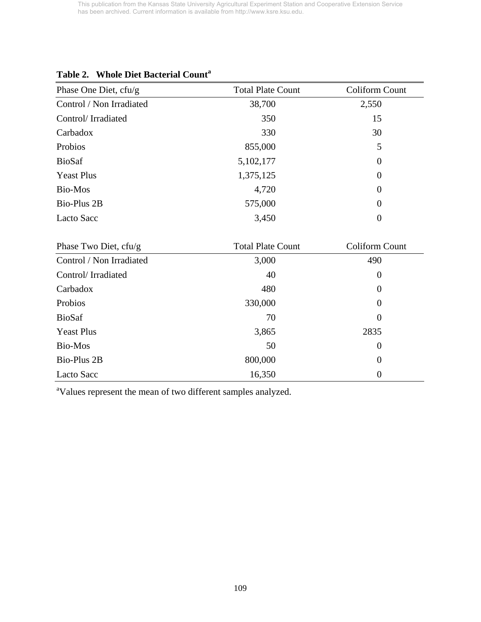| Phase One Diet, cfu/g    | <b>Total Plate Count</b> | Coliform Count |
|--------------------------|--------------------------|----------------|
| Control / Non Irradiated | 38,700                   | 2,550          |
| Control/Irradiated       | 350                      | 15             |
| Carbadox                 | 330                      | 30             |
| Probios                  | 855,000                  | 5              |
| <b>BioSaf</b>            | 5,102,177                | $\theta$       |
| <b>Yeast Plus</b>        | 1,375,125                | $\overline{0}$ |
| Bio-Mos                  | 4,720                    | $\theta$       |
| Bio-Plus 2B              | 575,000                  | $\overline{0}$ |
| Lacto Sacc               | 3,450                    | $\overline{0}$ |

# **Table 2. Whole Diet Bacterial Count<sup>a</sup>**

| Phase Two Diet, $cfu/g$  | <b>Total Plate Count</b> | Coliform Count   |
|--------------------------|--------------------------|------------------|
| Control / Non Irradiated | 3,000                    | 490              |
| Control/Irradiated       | 40                       | 0                |
| Carbadox                 | 480                      | $\boldsymbol{0}$ |
| Probios                  | 330,000                  | $\theta$         |
| <b>BioSaf</b>            | 70                       | $\boldsymbol{0}$ |
| <b>Yeast Plus</b>        | 3,865                    | 2835             |
| Bio-Mos                  | 50                       | 0                |
| Bio-Plus 2B              | 800,000                  | $\theta$         |
| Lacto Sacc               | 16,350                   | $\boldsymbol{0}$ |

<sup>a</sup>Values represent the mean of two different samples analyzed.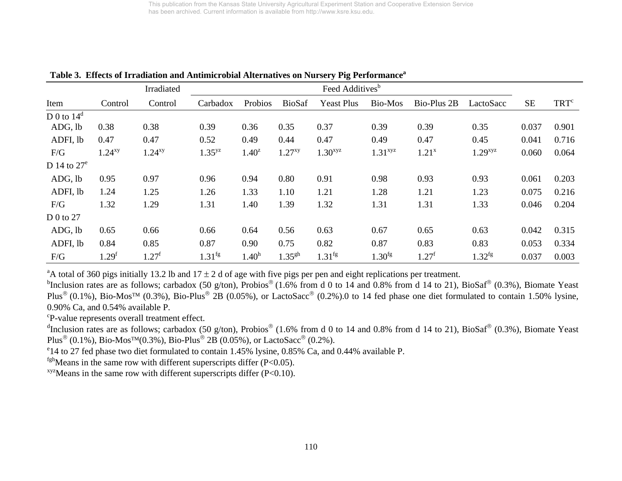|                |                   | Irradiated  |             |                   |               | Feed Additives <sup>b</sup> |                     |             |                       |           |                  |
|----------------|-------------------|-------------|-------------|-------------------|---------------|-----------------------------|---------------------|-------------|-----------------------|-----------|------------------|
| Item           | Control           | Control     | Carbadox    | Probios           | <b>BioSaf</b> | <b>Yeast Plus</b>           | Bio-Mos             | Bio-Plus 2B | LactoSacc             | <b>SE</b> | TRT <sup>c</sup> |
| D 0 to $14^d$  |                   |             |             |                   |               |                             |                     |             |                       |           |                  |
| ADG, lb        | 0.38              | 0.38        | 0.39        | 0.36              | 0.35          | 0.37                        | 0.39                | 0.39        | 0.35                  | 0.037     | 0.901            |
| ADFI, lb       | 0.47              | 0.47        | 0.52        | 0.49              | 0.44          | 0.47                        | 0.49                | 0.47        | 0.45                  | 0.041     | 0.716            |
| F/G            | $1.24^{xy}$       | $1.24^{xy}$ | $1.35^{yz}$ | $1.40^z$          | $1.27^{xy}$   | $1.30$ <sup>xyz</sup>       | 1.31 <sup>xyz</sup> | $1.21^{x}$  | $1.29$ <sup>xyz</sup> | 0.060     | 0.064            |
| D 14 to $27^e$ |                   |             |             |                   |               |                             |                     |             |                       |           |                  |
| ADG, lb        | 0.95              | 0.97        | 0.96        | 0.94              | 0.80          | 0.91                        | 0.98                | 0.93        | 0.93                  | 0.061     | 0.203            |
| ADFI, lb       | 1.24              | 1.25        | 1.26        | 1.33              | 1.10          | 1.21                        | 1.28                | 1.21        | 1.23                  | 0.075     | 0.216            |
| F/G            | 1.32              | 1.29        | 1.31        | 1.40              | 1.39          | 1.32                        | 1.31                | 1.31        | 1.33                  | 0.046     | 0.204            |
| D 0 to $27$    |                   |             |             |                   |               |                             |                     |             |                       |           |                  |
| ADG, lb        | 0.65              | 0.66        | 0.66        | 0.64              | 0.56          | 0.63                        | 0.67                | 0.65        | 0.63                  | 0.042     | 0.315            |
| ADFI, lb       | 0.84              | 0.85        | 0.87        | 0.90              | 0.75          | 0.82                        | 0.87                | 0.83        | 0.83                  | 0.053     | 0.334            |
| F/G            | 1.29 <sup>f</sup> | $1.27^f$    | $1.31^{fg}$ | 1.40 <sup>h</sup> | $1.35^{gh}$   | 1.31 <sup>fg</sup>          | 1.30 <sup>fg</sup>  | $1.27^f$    | $1.32^{fg}$           | 0.037     | 0.003            |

Table 3. Effects of Irradiation and Antimicrobial Alternatives on Nursery Pig Performance<sup>a</sup>

<sup>a</sup>A total of 360 pigs initially 13.2 lb and 17  $\pm$  2 d of age with five pigs per pen and eight replications per treatment.

bInclusion rates are as follows; carbadox (50 g/ton), Probios<sup>®</sup> (1.6% from d 0 to 14 and 0.8% from d 14 to 21), BioSaf® (0.3%), Biomate Yeast Plus<sup>®</sup> (0.1%), Bio-Mos<sup>™</sup> (0.3%), Bio-Plus<sup>®</sup> 2B (0.05%), or LactoSacc<sup>®</sup> (0.2%).0 to 14 fed phase one diet formulated to contain 1.50% lysine, 0.90% Ca, and 0.54% available P.

cP-value represents overall treatment effect.

dInclusion rates are as follows; carbadox (50 g/ton), Probios<sup>®</sup> (1.6% from d 0 to 14 and 0.8% from d 14 to 21), BioSaf<sup>®</sup> (0.3%), Biomate Yeast Plus<sup>®</sup> (0.1%), Bio-Mos<sup>™</sup>(0.3%), Bio-Plus<sup>®</sup> 2B (0.05%), or LactoSacc<sup>®</sup> (0.2%).

e14 to 27 fed phase two diet formulated to contain 1.45% lysine, 0.85% Ca, and 0.44% available P.

 $fgh$  Means in the same row with different superscripts differ (P<0.05).

 $xyz$ Means in the same row with different superscripts differ (P<0.10).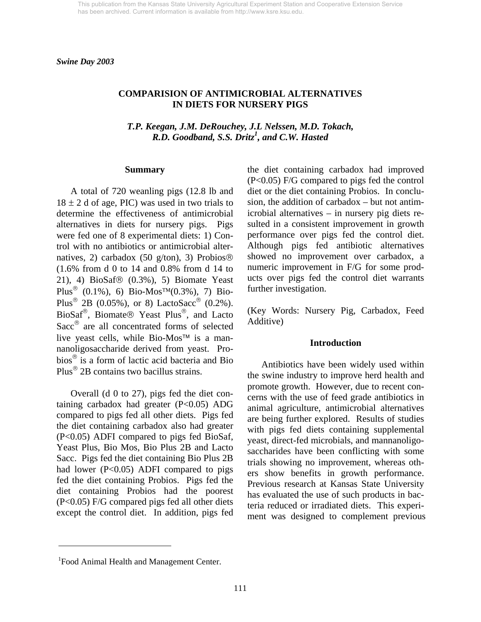*Swine Day 2003* 

## **COMPARISION OF ANTIMICROBIAL ALTERNATIVES IN DIETS FOR NURSERY PIGS**

*T.P. Keegan, J.M. DeRouchey, J.L Nelssen, M.D. Tokach, R.D. Goodband, S.S. Dritz<sup>1</sup> , and C.W. Hasted* 

#### **Summary**

 A total of 720 weanling pigs (12.8 lb and  $18 \pm 2$  d of age, PIC) was used in two trials to determine the effectiveness of antimicrobial alternatives in diets for nursery pigs. Pigs were fed one of 8 experimental diets: 1) Control with no antibiotics or antimicrobial alternatives, 2) carbadox (50 g/ton), 3) Probios® (1.6% from d 0 to 14 and 0.8% from d 14 to 21), 4) BioSaf® (0.3%), 5) Biomate Yeast Plus<sup>®</sup> (0.1%), 6) Bio-Mos<sup>TM</sup>(0.3%), 7) Bio-Plus<sup>®</sup> 2B (0.05%), or 8) LactoSacc<sup>®</sup> (0.2%). BioSaf®, Biomate® Yeast Plus®, and Lacto Sacc® are all concentrated forms of selected live yeast cells, while Bio-Mos™ is a mannanoligosaccharide derived from yeast. Probios® is a form of lactic acid bacteria and Bio Plus® 2B contains two bacillus strains.

 Overall (d 0 to 27), pigs fed the diet containing carbadox had greater  $(P<0.05)$  ADG compared to pigs fed all other diets. Pigs fed the diet containing carbadox also had greater (P<0.05) ADFI compared to pigs fed BioSaf, Yeast Plus, Bio Mos, Bio Plus 2B and Lacto Sacc. Pigs fed the diet containing Bio Plus 2B had lower (P<0.05) ADFI compared to pigs fed the diet containing Probios. Pigs fed the diet containing Probios had the poorest (P<0.05) F/G compared pigs fed all other diets except the control diet. In addition, pigs fed the diet containing carbadox had improved (P<0.05) F/G compared to pigs fed the control diet or the diet containing Probios. In conclusion, the addition of carbadox – but not antimicrobial alternatives – in nursery pig diets resulted in a consistent improvement in growth performance over pigs fed the control diet. Although pigs fed antibiotic alternatives showed no improvement over carbadox, a numeric improvement in F/G for some products over pigs fed the control diet warrants further investigation.

(Key Words: Nursery Pig, Carbadox, Feed Additive)

#### **Introduction**

 Antibiotics have been widely used within the swine industry to improve herd health and promote growth. However, due to recent concerns with the use of feed grade antibiotics in animal agriculture, antimicrobial alternatives are being further explored. Results of studies with pigs fed diets containing supplemental yeast, direct-fed microbials, and mannanoligosaccharides have been conflicting with some trials showing no improvement, whereas others show benefits in growth performance. Previous research at Kansas State University has evaluated the use of such products in bacteria reduced or irradiated diets. This experiment was designed to complement previous

l

<sup>&</sup>lt;sup>1</sup> Food Animal Health and Management Center.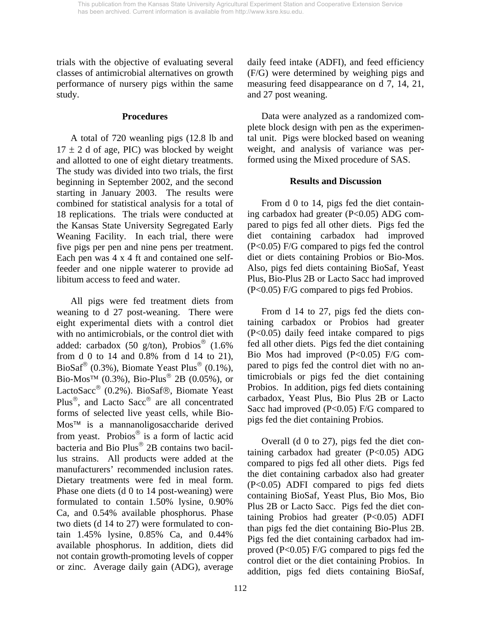trials with the objective of evaluating several classes of antimicrobial alternatives on growth performance of nursery pigs within the same study.

### **Procedures**

 A total of 720 weanling pigs (12.8 lb and  $17 \pm 2$  d of age, PIC) was blocked by weight and allotted to one of eight dietary treatments. The study was divided into two trials, the first beginning in September 2002, and the second starting in January 2003. The results were combined for statistical analysis for a total of 18 replications. The trials were conducted at the Kansas State University Segregated Early Weaning Facility. In each trial, there were five pigs per pen and nine pens per treatment. Each pen was 4 x 4 ft and contained one selffeeder and one nipple waterer to provide ad libitum access to feed and water.

 All pigs were fed treatment diets from weaning to d 27 post-weaning. There were eight experimental diets with a control diet with no antimicrobials, or the control diet with added: carbadox (50 g/ton), Probios<sup>®</sup> (1.6%) from d 0 to 14 and 0.8% from d 14 to 21), BioSaf<sup>®</sup> (0.3%), Biomate Yeast Plus<sup>®</sup> (0.1%), Bio-Mos<sup>™</sup> (0.3%), Bio-Plus<sup>®</sup> 2B (0.05%), or LactoSacc® (0.2%). BioSaf®, Biomate Yeast Plus®, and Lacto Sacc® are all concentrated forms of selected live yeast cells, while Bio-Mos™ is a mannanoligosaccharide derived from yeast. Probios® is a form of lactic acid bacteria and Bio Plus® 2B contains two bacillus strains. All products were added at the manufacturers' recommended inclusion rates. Dietary treatments were fed in meal form. Phase one diets (d 0 to 14 post-weaning) were formulated to contain 1.50% lysine, 0.90% Ca, and 0.54% available phosphorus. Phase two diets (d 14 to 27) were formulated to contain 1.45% lysine, 0.85% Ca, and 0.44% available phosphorus. In addition, diets did not contain growth-promoting levels of copper or zinc. Average daily gain (ADG), average

daily feed intake (ADFI), and feed efficiency (F/G) were determined by weighing pigs and measuring feed disappearance on d 7, 14, 21, and 27 post weaning.

 Data were analyzed as a randomized complete block design with pen as the experimental unit. Pigs were blocked based on weaning weight, and analysis of variance was performed using the Mixed procedure of SAS.

# **Results and Discussion**

 From d 0 to 14, pigs fed the diet containing carbadox had greater  $(P<0.05)$  ADG compared to pigs fed all other diets. Pigs fed the diet containing carbadox had improved (P<0.05) F/G compared to pigs fed the control diet or diets containing Probios or Bio-Mos. Also, pigs fed diets containing BioSaf, Yeast Plus, Bio-Plus 2B or Lacto Sacc had improved (P<0.05) F/G compared to pigs fed Probios.

 From d 14 to 27, pigs fed the diets containing carbadox or Probios had greater (P<0.05) daily feed intake compared to pigs fed all other diets. Pigs fed the diet containing Bio Mos had improved (P<0.05) F/G compared to pigs fed the control diet with no antimicrobials or pigs fed the diet containing Probios. In addition, pigs fed diets containing carbadox, Yeast Plus, Bio Plus 2B or Lacto Sacc had improved (P<0.05) F/G compared to pigs fed the diet containing Probios.

 Overall (d 0 to 27), pigs fed the diet containing carbadox had greater  $(P<0.05)$  ADG compared to pigs fed all other diets. Pigs fed the diet containing carbadox also had greater (P<0.05) ADFI compared to pigs fed diets containing BioSaf, Yeast Plus, Bio Mos, Bio Plus 2B or Lacto Sacc. Pigs fed the diet containing Probios had greater  $(P<0.05)$  ADFI than pigs fed the diet containing Bio-Plus 2B. Pigs fed the diet containing carbadox had improved (P<0.05) F/G compared to pigs fed the control diet or the diet containing Probios. In addition, pigs fed diets containing BioSaf,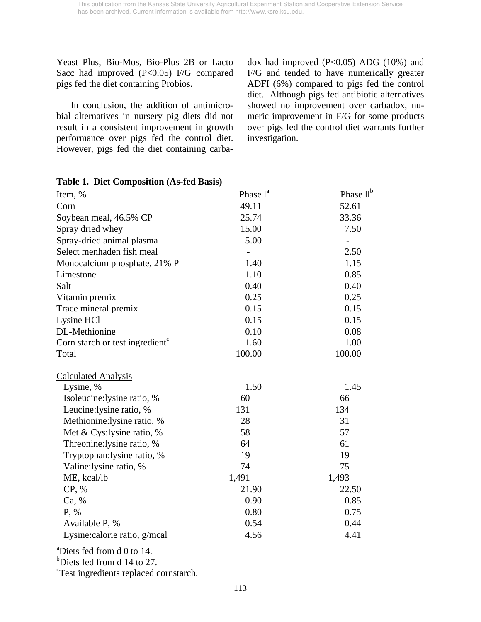Yeast Plus, Bio-Mos, Bio-Plus 2B or Lacto Sacc had improved (P<0.05) F/G compared pigs fed the diet containing Probios.

 In conclusion, the addition of antimicrobial alternatives in nursery pig diets did not result in a consistent improvement in growth performance over pigs fed the control diet. However, pigs fed the diet containing carba-

dox had improved  $(P<0.05)$  ADG  $(10%)$  and F/G and tended to have numerically greater ADFI (6%) compared to pigs fed the control diet. Although pigs fed antibiotic alternatives showed no improvement over carbadox, numeric improvement in F/G for some products over pigs fed the control diet warrants further investigation.

| Item, %                                     | Phase l <sup>a</sup> | Phase $ll^{\overline{b}}$ |  |
|---------------------------------------------|----------------------|---------------------------|--|
| Corn                                        | 49.11                | 52.61                     |  |
| Soybean meal, 46.5% CP                      | 25.74                | 33.36                     |  |
| Spray dried whey                            | 15.00                | 7.50                      |  |
| Spray-dried animal plasma                   | 5.00                 |                           |  |
| Select menhaden fish meal                   |                      | 2.50                      |  |
| Monocalcium phosphate, 21% P                | 1.40                 | 1.15                      |  |
| Limestone                                   | 1.10                 | 0.85                      |  |
| Salt                                        | 0.40                 | 0.40                      |  |
| Vitamin premix                              | 0.25                 | 0.25                      |  |
| Trace mineral premix                        | 0.15                 | 0.15                      |  |
| Lysine HCl                                  | 0.15                 | 0.15                      |  |
| DL-Methionine                               | 0.10                 | 0.08                      |  |
| Corn starch or test ingredient <sup>c</sup> | 1.60                 | 1.00                      |  |
| Total                                       | 100.00               | 100.00                    |  |
|                                             |                      |                           |  |
| <b>Calculated Analysis</b>                  |                      |                           |  |
| Lysine, %                                   | 1.50                 | 1.45                      |  |
| Isoleucine: lysine ratio, %                 | 60                   | 66                        |  |
| Leucine: lysine ratio, %                    | 131                  | 134                       |  |
| Methionine: lysine ratio, %                 | 28                   | 31                        |  |
| Met & Cys: lysine ratio, %                  | 58                   | 57                        |  |
| Threonine:lysine ratio, %                   | 64                   | 61                        |  |
| Tryptophan: lysine ratio, %                 | 19                   | 19                        |  |
| Valine: lysine ratio, %                     | 74                   | 75                        |  |
| ME, kcal/lb                                 | 1,491                | 1,493                     |  |
| CP, %                                       | 21.90                | 22.50                     |  |
| Ca, %                                       | 0.90                 | 0.85                      |  |
| P, %                                        | 0.80                 | 0.75                      |  |
| Available P, %                              | 0.54                 | 0.44                      |  |
| Lysine: calorie ratio, g/mcal               | 4.56                 | 4.41                      |  |

## **Table 1. Diet Composition (As-fed Basis)**

a Diets fed from d 0 to 14.

<sup>b</sup>Diets fed from d 14 to 27.

<sup>c</sup>Test ingredients replaced cornstarch.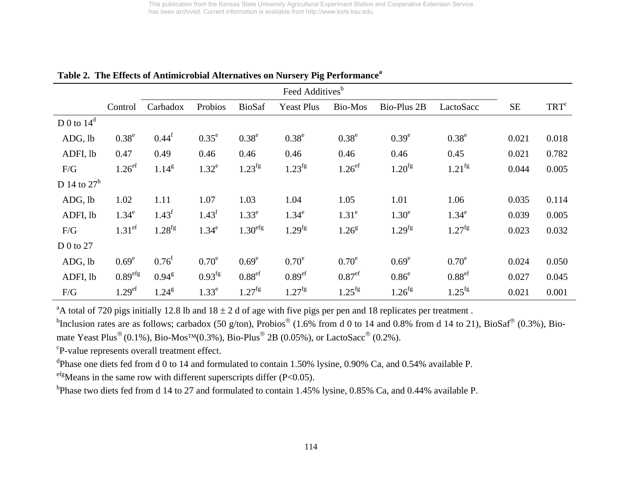|                |                      |                   |                   |                     | Feed Additives <sup>b</sup> |                    |                    |                    |           |                  |
|----------------|----------------------|-------------------|-------------------|---------------------|-----------------------------|--------------------|--------------------|--------------------|-----------|------------------|
|                | Control              | Carbadox          | Probios           | <b>BioSaf</b>       | <b>Yeast Plus</b>           | <b>Bio-Mos</b>     | Bio-Plus 2B        | LactoSacc          | <b>SE</b> | TRT <sup>c</sup> |
| D 0 to $14^d$  |                      |                   |                   |                     |                             |                    |                    |                    |           |                  |
| ADG, lb        | $0.38^e$             | $0.44^{\rm f}$    | $0.35^e$          | $0.38^e$            | 0.38 <sup>e</sup>           | $0.38^e$           | 0.39 <sup>e</sup>  | 0.38 <sup>e</sup>  | 0.021     | 0.018            |
| ADFI, lb       | 0.47                 | 0.49              | 0.46              | 0.46                | 0.46                        | 0.46               | 0.46               | 0.45               | 0.021     | 0.782            |
| F/G            | $1.26$ <sup>ef</sup> | $1.14^{g}$        | $1.32^e$          | $1.23^{fg}$         | $1.23^{fg}$                 | 1.26 <sup>ef</sup> | $1.20^{fg}$        | $1.21^{fg}$        | 0.044     | 0.005            |
| D 14 to $27^h$ |                      |                   |                   |                     |                             |                    |                    |                    |           |                  |
| ADG, lb        | 1.02                 | 1.11              | 1.07              | 1.03                | 1.04                        | 1.05               | 1.01               | 1.06               | 0.035     | 0.114            |
| ADFI, lb       | $1.34^e$             | $1.43^f$          | $1.43^f$          | 1.33 <sup>e</sup>   | $1.34^e$                    | 1.31 <sup>e</sup>  | 1.30 <sup>e</sup>  | $1.34^e$           | 0.039     | 0.005            |
| F/G            | 1.31 <sup>ef</sup>   | $1.28^{fg}$       | $1.34^e$          | 1.30 <sup>efg</sup> | $1.29^{fg}$                 | $1.26^{8}$         | 1.29 <sup>fg</sup> | $1.27^{fg}$        | 0.023     | 0.032            |
| D 0 to $27$    |                      |                   |                   |                     |                             |                    |                    |                    |           |                  |
| ADG, lb        | 0.69 <sup>e</sup>    | $0.76^{\rm f}$    | $0.70^e$          | 0.69 <sup>e</sup>   | $0.70^e$                    | $0.70^e$           | 0.69 <sup>e</sup>  | $0.70^e$           | 0.024     | 0.050            |
| ADFI, lb       | 0.89 <sup>efg</sup>  | $0.94^{\text{g}}$ | $0.93^{fg}$       | 0.88 <sup>ef</sup>  | 0.89 <sup>ef</sup>          | 0.87 <sup>ef</sup> | $0.86^\mathrm{e}$  | 0.88 <sup>ef</sup> | 0.027     | 0.045            |
| F/G            | 1.29 <sup>ef</sup>   | $1.24^{\rm g}$    | 1.33 <sup>e</sup> | $1.27^{fg}$         | $1.27^{fg}$                 | $1.25^{fg}$        | $1.26^{fg}$        | $1.25^{fg}$        | 0.021     | 0.001            |

**Table 2. The Effects of Antimicrobial Alternatives on Nursery Pig Performancea** 

<sup>a</sup>A total of 720 pigs initially 12.8 lb and  $18 \pm 2$  d of age with five pigs per pen and 18 replicates per treatment.

<sup>b</sup>Inclusion rates are as follows; carbadox (50 g/ton), Probios<sup>®</sup> (1.6% from d 0 to 14 and 0.8% from d 14 to 21), BioSaf<sup>®</sup> (0.3%), Biomate Yeast Plus<sup>®</sup> (0.1%), Bio-Mos<sup>™</sup>(0.3%), Bio-Plus<sup>®</sup> 2B (0.05%), or LactoSacc<sup>®</sup> (0.2%).

cP-value represents overall treatment effect.

<sup>d</sup>Phase one diets fed from d 0 to 14 and formulated to contain 1.50% lysine, 0.90% Ca, and 0.54% available P.

 $e^{fg}$ Means in the same row with different superscripts differ (P<0.05).

hPhase two diets fed from d 14 to 27 and formulated to contain 1.45% lysine, 0.85% Ca, and 0.44% available P.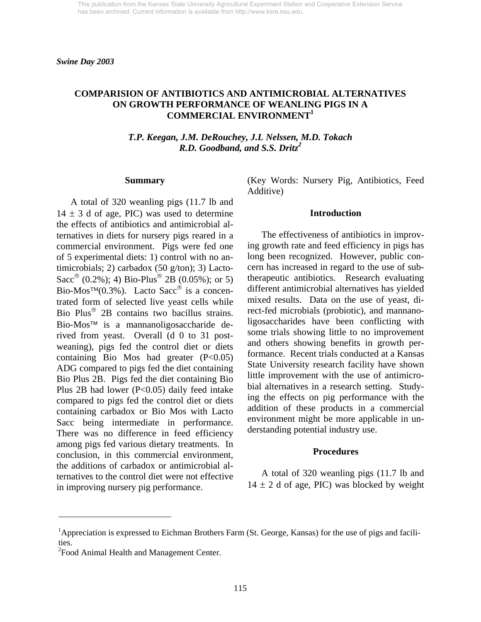### **COMPARISION OF ANTIBIOTICS AND ANTIMICROBIAL ALTERNATIVES ON GROWTH PERFORMANCE OF WEANLING PIGS IN A COMMERCIAL ENVIRONMENT1**

*T.P. Keegan, J.M. DeRouchey, J.L Nelssen, M.D. Tokach R.D. Goodband, and S.S. Dritz<sup>2</sup>*

#### **Summary**

 A total of 320 weanling pigs (11.7 lb and  $14 \pm 3$  d of age, PIC) was used to determine the effects of antibiotics and antimicrobial alternatives in diets for nursery pigs reared in a commercial environment. Pigs were fed one of 5 experimental diets: 1) control with no antimicrobials; 2) carbadox (50 g/ton); 3) Lacto-Sacc<sup>®</sup> (0.2%); 4) Bio-Plus<sup>®</sup> 2B (0.05%); or 5) Bio-Mos<sup>™</sup>(0.3%). Lacto Sacc<sup>®</sup> is a concentrated form of selected live yeast cells while Bio Plus® 2B contains two bacillus strains. Bio-Mos™ is a mannanoligosaccharide derived from yeast. Overall (d 0 to 31 postweaning), pigs fed the control diet or diets containing Bio Mos had greater  $(P<0.05)$ ADG compared to pigs fed the diet containing Bio Plus 2B. Pigs fed the diet containing Bio Plus 2B had lower (P<0.05) daily feed intake compared to pigs fed the control diet or diets containing carbadox or Bio Mos with Lacto Sacc being intermediate in performance. There was no difference in feed efficiency among pigs fed various dietary treatments. In conclusion, in this commercial environment, the additions of carbadox or antimicrobial alternatives to the control diet were not effective in improving nursery pig performance.

(Key Words: Nursery Pig, Antibiotics, Feed Additive)

#### **Introduction**

 The effectiveness of antibiotics in improving growth rate and feed efficiency in pigs has long been recognized. However, public concern has increased in regard to the use of subtherapeutic antibiotics. Research evaluating different antimicrobial alternatives has yielded mixed results. Data on the use of yeast, direct-fed microbials (probiotic), and mannanoligosaccharides have been conflicting with some trials showing little to no improvement and others showing benefits in growth performance. Recent trials conducted at a Kansas State University research facility have shown little improvement with the use of antimicrobial alternatives in a research setting. Studying the effects on pig performance with the addition of these products in a commercial environment might be more applicable in understanding potential industry use.

#### **Procedures**

 A total of 320 weanling pigs (11.7 lb and  $14 \pm 2$  d of age, PIC) was blocked by weight

l

<sup>&</sup>lt;sup>1</sup>Appreciation is expressed to Eichman Brothers Farm (St. George, Kansas) for the use of pigs and facilities.

 $2$ Food Animal Health and Management Center.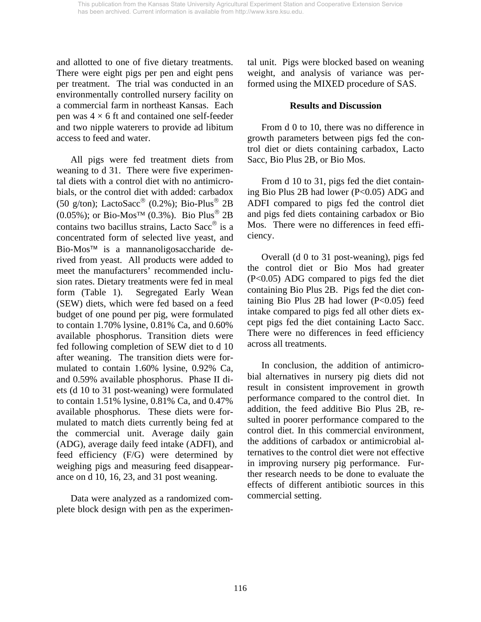and allotted to one of five dietary treatments. There were eight pigs per pen and eight pens per treatment. The trial was conducted in an environmentally controlled nursery facility on a commercial farm in northeast Kansas. Each pen was  $4 \times 6$  ft and contained one self-feeder and two nipple waterers to provide ad libitum access to feed and water.

 All pigs were fed treatment diets from weaning to d 31. There were five experimental diets with a control diet with no antimicrobials, or the control diet with added: carbadox (50 g/ton); LactoSacc® (0.2%); Bio-Plus<sup>®</sup> 2B  $(0.05\%)$ ; or Bio-Mos<sup>TM</sup> (0.3%). Bio Plus<sup>®</sup> 2B contains two bacillus strains, Lacto Sacc® is a concentrated form of selected live yeast, and Bio-Mos™ is a mannanoligosaccharide derived from yeast. All products were added to meet the manufacturers' recommended inclusion rates. Dietary treatments were fed in meal form (Table 1). Segregated Early Wean (SEW) diets, which were fed based on a feed budget of one pound per pig, were formulated to contain 1.70% lysine, 0.81% Ca, and 0.60% available phosphorus. Transition diets were fed following completion of SEW diet to d 10 after weaning. The transition diets were formulated to contain 1.60% lysine, 0.92% Ca, and 0.59% available phosphorus. Phase II diets (d 10 to 31 post-weaning) were formulated to contain 1.51% lysine, 0.81% Ca, and 0.47% available phosphorus. These diets were formulated to match diets currently being fed at the commercial unit. Average daily gain (ADG), average daily feed intake (ADFI), and feed efficiency (F/G) were determined by weighing pigs and measuring feed disappearance on d 10, 16, 23, and 31 post weaning.

 Data were analyzed as a randomized complete block design with pen as the experimental unit. Pigs were blocked based on weaning weight, and analysis of variance was performed using the MIXED procedure of SAS.

### **Results and Discussion**

 From d 0 to 10, there was no difference in growth parameters between pigs fed the control diet or diets containing carbadox, Lacto Sacc, Bio Plus 2B, or Bio Mos.

 From d 10 to 31, pigs fed the diet containing Bio Plus 2B had lower (P<0.05) ADG and ADFI compared to pigs fed the control diet and pigs fed diets containing carbadox or Bio Mos. There were no differences in feed efficiency.

 Overall (d 0 to 31 post-weaning), pigs fed the control diet or Bio Mos had greater (P<0.05) ADG compared to pigs fed the diet containing Bio Plus 2B. Pigs fed the diet containing Bio Plus 2B had lower (P<0.05) feed intake compared to pigs fed all other diets except pigs fed the diet containing Lacto Sacc. There were no differences in feed efficiency across all treatments.

 In conclusion, the addition of antimicrobial alternatives in nursery pig diets did not result in consistent improvement in growth performance compared to the control diet. In addition, the feed additive Bio Plus 2B, resulted in poorer performance compared to the control diet. In this commercial environment, the additions of carbadox or antimicrobial alternatives to the control diet were not effective in improving nursery pig performance. Further research needs to be done to evaluate the effects of different antibiotic sources in this commercial setting.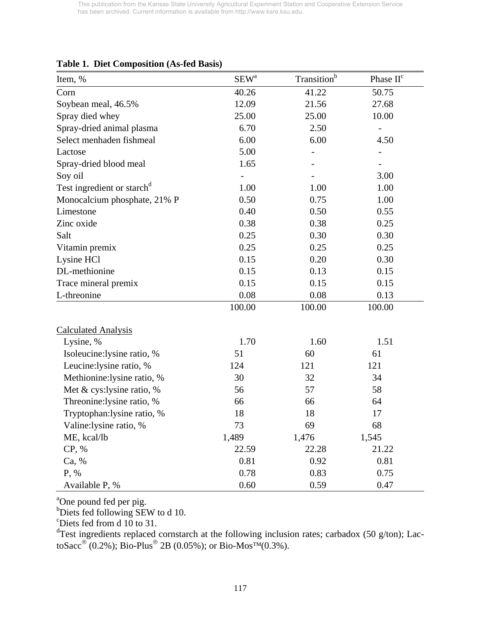| Item, %                                | $SEW^a$ | Transition <sup>b</sup> | Phase II <sup>c</sup> |
|----------------------------------------|---------|-------------------------|-----------------------|
| Corn                                   | 40.26   | 41.22                   | 50.75                 |
| Soybean meal, 46.5%                    | 12.09   | 21.56                   | 27.68                 |
| Spray died whey                        | 25.00   | 25.00                   | 10.00                 |
| Spray-dried animal plasma              | 6.70    | 2.50                    |                       |
| Select menhaden fishmeal               | 6.00    | 6.00                    | 4.50                  |
| Lactose                                | 5.00    |                         |                       |
| Spray-dried blood meal                 | 1.65    |                         |                       |
| Soy oil                                |         |                         | 3.00                  |
| Test ingredient or starch <sup>d</sup> | 1.00    | 1.00                    | 1.00                  |
| Monocalcium phosphate, 21% P           | 0.50    | 0.75                    | 1.00                  |
| Limestone                              | 0.40    | 0.50                    | 0.55                  |
| Zinc oxide                             | 0.38    | 0.38                    | 0.25                  |
| Salt                                   | 0.25    | 0.30                    | 0.30                  |
| Vitamin premix                         | 0.25    | 0.25                    | 0.25                  |
| Lysine HCl                             | 0.15    | 0.20                    | 0.30                  |
| DL-methionine                          | 0.15    | 0.13                    | 0.15                  |
| Trace mineral premix                   | 0.15    | 0.15                    | 0.15                  |
| L-threonine                            | 0.08    | 0.08                    | 0.13                  |
|                                        | 100.00  | 100.00                  | 100.00                |
| <b>Calculated Analysis</b>             |         |                         |                       |
| Lysine, %                              | 1.70    | 1.60                    | 1.51                  |
| Isoleucine:lysine ratio, %             | 51      | 60                      | 61                    |
| Leucine: lysine ratio, %               | 124     | 121                     | 121                   |
| Methionine: lysine ratio, %            | 30      | 32                      | 34                    |
| Met & cys:lysine ratio, %              | 56      | 57                      | 58                    |
| Threonine: lysine ratio, %             | 66      | 66                      | 64                    |
| Tryptophan: lysine ratio, %            | 18      | 18                      | 17                    |
| Valine: lysine ratio, %                | 73      | 69                      | 68                    |
| ME, kcal/lb                            | 1,489   | 1,476                   | 1,545                 |
| CP, %                                  | 22.59   | 22.28                   | 21.22                 |
| Ca, %                                  | 0.81    | 0.92                    | 0.81                  |
| P, %                                   | 0.78    | 0.83                    | 0.75                  |
| Available P, %                         | 0.60    | 0.59                    | 0.47                  |

### **Table 1. Diet Composition (As-fed Basis)**

<sup>a</sup>One pound fed per pig.<br><sup>b</sup>Diets fed following SEW to d 10.

c Diets fed from d 10 to 31.

<sup>d</sup>Test ingredients replaced cornstarch at the following inclusion rates; carbadox (50 g/ton); LactoSacc<sup>®</sup> (0.2%); Bio-Plus<sup>®</sup> 2B (0.05%); or Bio-Mos<sup>TM</sup>(0.3%).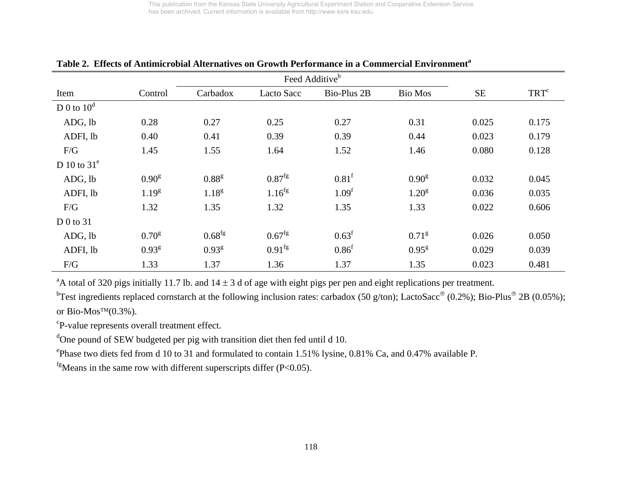|                |                   |                   |                    | Feed Additive <sup>b</sup> |                   |           |                  |
|----------------|-------------------|-------------------|--------------------|----------------------------|-------------------|-----------|------------------|
| Item           | Control           | Carbadox          | <b>Lacto Sacc</b>  | Bio-Plus 2B                | <b>Bio Mos</b>    | <b>SE</b> | TRT <sup>c</sup> |
| D 0 to $10^d$  |                   |                   |                    |                            |                   |           |                  |
| ADG, lb        | 0.28              | 0.27              | 0.25               | 0.27                       | 0.31              | 0.025     | 0.175            |
| ADFI, lb       | 0.40              | 0.41              | 0.39               | 0.39                       | 0.44              | 0.023     | 0.179            |
| F/G            | 1.45              | 1.55              | 1.64               | 1.52                       | 1.46              | 0.080     | 0.128            |
| D 10 to $31^e$ |                   |                   |                    |                            |                   |           |                  |
| ADG, lb        | 0.90 <sup>g</sup> | 0.88 <sup>g</sup> | $0.87^{fg}$        | 0.81 <sup>f</sup>          | 0.90 <sup>g</sup> | 0.032     | 0.045            |
| ADFI, lb       | $1.19^{g}$        | $1.18^{g}$        | $1.16^{fg}$        | 1.09 <sup>f</sup>          | $1.20^{8}$        | 0.036     | 0.035            |
| F/G            | 1.32              | 1.35              | 1.32               | 1.35                       | 1.33              | 0.022     | 0.606            |
| D 0 to $31$    |                   |                   |                    |                            |                   |           |                  |
| ADG, lb        | 0.70 <sup>g</sup> | $0.68^{fg}$       | $0.67^{\text{fg}}$ | $0.63^{\rm f}$             | $0.71^{8}$        | 0.026     | 0.050            |
| ADFI, lb       | 0.93 <sup>g</sup> | 0.93 <sup>g</sup> | $0.91^{fg}$        | 0.86 <sup>f</sup>          | $0.95^{8}$        | 0.029     | 0.039            |
| F/G            | 1.33              | 1.37              | 1.36               | 1.37                       | 1.35              | 0.023     | 0.481            |

# **Table 2. Effects of Antimicrobial Alternatives on Growth Performance in a Commercial Environment<sup>a</sup>**

<sup>a</sup>A total of 320 pigs initially 11.7 lb. and  $14 \pm 3$  d of age with eight pigs per pen and eight replications per treatment.

<sup>b</sup>Test ingredients replaced cornstarch at the following inclusion rates: carbadox (50 g/ton); LactoSacc<sup>®</sup> (0.2%); Bio-Plus<sup>®</sup> 2B (0.05%); or Bio-Mos<sup>TM</sup> $(0.3\%)$ .

cP-value represents overall treatment effect.

<sup>d</sup>One pound of SEW budgeted per pig with transition diet then fed until d 10.

ePhase two diets fed from d 10 to 31 and formulated to contain 1.51% lysine, 0.81% Ca, and 0.47% available P.

 $f<sup>g</sup>$ Means in the same row with different superscripts differ (P<0.05).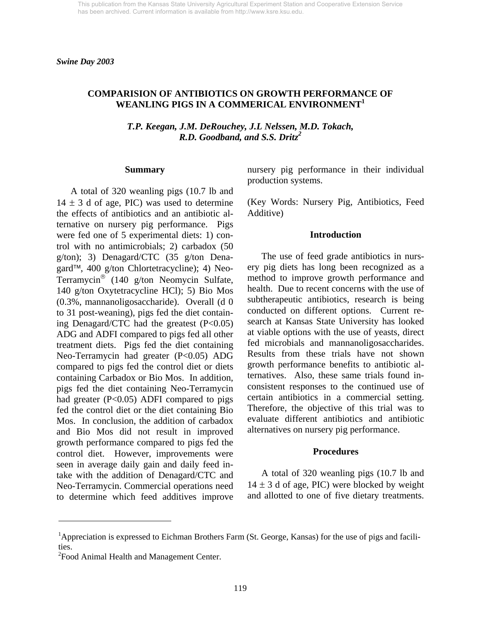### **COMPARISION OF ANTIBIOTICS ON GROWTH PERFORMANCE OF WEANLING PIGS IN A COMMERICAL ENVIRONMENT<sup>1</sup>**

*T.P. Keegan, J.M. DeRouchey, J.L Nelssen, M.D. Tokach, R.D. Goodband, and S.S. Dritz<sup>2</sup>*

#### **Summary**

 A total of 320 weanling pigs (10.7 lb and  $14 \pm 3$  d of age, PIC) was used to determine the effects of antibiotics and an antibiotic alternative on nursery pig performance. Pigs were fed one of 5 experimental diets: 1) control with no antimicrobials; 2) carbadox (50 g/ton); 3) Denagard/CTC (35 g/ton Denagard™, 400 g/ton Chlortetracycline); 4) Neo-Terramycin® (140 g/ton Neomycin Sulfate, 140 g/ton Oxytetracycline HCl); 5) Bio Mos (0.3%, mannanoligosaccharide). Overall (d 0 to 31 post-weaning), pigs fed the diet containing Denagard/CTC had the greatest (P<0.05) ADG and ADFI compared to pigs fed all other treatment diets. Pigs fed the diet containing Neo-Terramycin had greater (P<0.05) ADG compared to pigs fed the control diet or diets containing Carbadox or Bio Mos. In addition, pigs fed the diet containing Neo-Terramycin had greater (P<0.05) ADFI compared to pigs fed the control diet or the diet containing Bio Mos. In conclusion, the addition of carbadox and Bio Mos did not result in improved growth performance compared to pigs fed the control diet. However, improvements were seen in average daily gain and daily feed intake with the addition of Denagard/CTC and Neo-Terramycin. Commercial operations need to determine which feed additives improve nursery pig performance in their individual production systems.

(Key Words: Nursery Pig, Antibiotics, Feed Additive)

#### **Introduction**

 The use of feed grade antibiotics in nursery pig diets has long been recognized as a method to improve growth performance and health. Due to recent concerns with the use of subtherapeutic antibiotics, research is being conducted on different options. Current research at Kansas State University has looked at viable options with the use of yeasts, direct fed microbials and mannanoligosaccharides. Results from these trials have not shown growth performance benefits to antibiotic alternatives. Also, these same trials found inconsistent responses to the continued use of certain antibiotics in a commercial setting. Therefore, the objective of this trial was to evaluate different antibiotics and antibiotic alternatives on nursery pig performance.

### **Procedures**

 A total of 320 weanling pigs (10.7 lb and  $14 \pm 3$  d of age, PIC) were blocked by weight and allotted to one of five dietary treatments.

l

<sup>&</sup>lt;sup>1</sup>Appreciation is expressed to Eichman Brothers Farm (St. George, Kansas) for the use of pigs and facilities.

<sup>&</sup>lt;sup>2</sup> Food Animal Health and Management Center.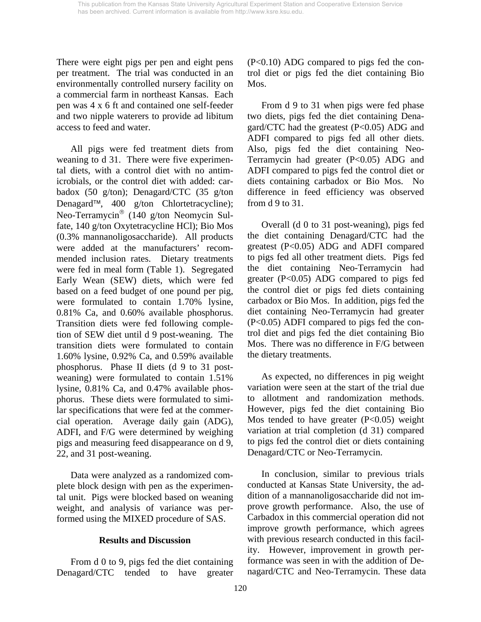There were eight pigs per pen and eight pens per treatment. The trial was conducted in an environmentally controlled nursery facility on a commercial farm in northeast Kansas. Each pen was 4 x 6 ft and contained one self-feeder and two nipple waterers to provide ad libitum access to feed and water.

 All pigs were fed treatment diets from weaning to d 31. There were five experimental diets, with a control diet with no antimicrobials, or the control diet with added: carbadox (50 g/ton); Denagard/CTC (35 g/ton Denagard™, 400 g/ton Chlortetracycline); Neo-Terramycin® (140 g/ton Neomycin Sulfate, 140 g/ton Oxytetracycline HCl); Bio Mos (0.3% mannanoligosaccharide). All products were added at the manufacturers' recommended inclusion rates. Dietary treatments were fed in meal form (Table 1). Segregated Early Wean (SEW) diets, which were fed based on a feed budget of one pound per pig, were formulated to contain 1.70% lysine, 0.81% Ca, and 0.60% available phosphorus. Transition diets were fed following completion of SEW diet until d 9 post-weaning. The transition diets were formulated to contain 1.60% lysine, 0.92% Ca, and 0.59% available phosphorus. Phase II diets (d 9 to 31 postweaning) were formulated to contain 1.51% lysine, 0.81% Ca, and 0.47% available phosphorus. These diets were formulated to similar specifications that were fed at the commercial operation. Average daily gain (ADG), ADFI, and F/G were determined by weighing pigs and measuring feed disappearance on d 9, 22, and 31 post-weaning.

 Data were analyzed as a randomized complete block design with pen as the experimental unit. Pigs were blocked based on weaning weight, and analysis of variance was performed using the MIXED procedure of SAS.

## **Results and Discussion**

 From d 0 to 9, pigs fed the diet containing Denagard/CTC tended to have greater (P<0.10) ADG compared to pigs fed the control diet or pigs fed the diet containing Bio Mos.

 From d 9 to 31 when pigs were fed phase two diets, pigs fed the diet containing Denagard/CTC had the greatest (P<0.05) ADG and ADFI compared to pigs fed all other diets. Also, pigs fed the diet containing Neo-Terramycin had greater (P<0.05) ADG and ADFI compared to pigs fed the control diet or diets containing carbadox or Bio Mos. No difference in feed efficiency was observed from d 9 to 31.

 Overall (d 0 to 31 post-weaning), pigs fed the diet containing Denagard/CTC had the greatest (P<0.05) ADG and ADFI compared to pigs fed all other treatment diets. Pigs fed the diet containing Neo-Terramycin had greater  $(P<0.05)$  ADG compared to pigs fed the control diet or pigs fed diets containing carbadox or Bio Mos. In addition, pigs fed the diet containing Neo-Terramycin had greater (P<0.05) ADFI compared to pigs fed the control diet and pigs fed the diet containing Bio Mos. There was no difference in F/G between the dietary treatments.

 As expected, no differences in pig weight variation were seen at the start of the trial due to allotment and randomization methods. However, pigs fed the diet containing Bio Mos tended to have greater  $(P<0.05)$  weight variation at trial completion (d 31) compared to pigs fed the control diet or diets containing Denagard/CTC or Neo-Terramycin.

 In conclusion, similar to previous trials conducted at Kansas State University, the addition of a mannanoligosaccharide did not improve growth performance. Also, the use of Carbadox in this commercial operation did not improve growth performance, which agrees with previous research conducted in this facility. However, improvement in growth performance was seen in with the addition of Denagard/CTC and Neo-Terramycin. These data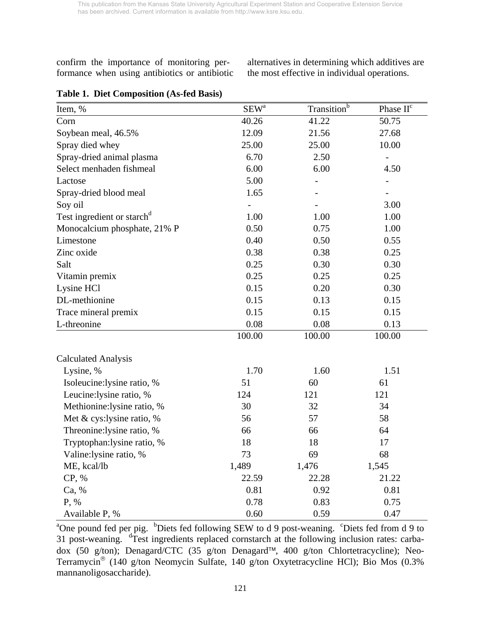confirm the importance of monitoring performance when using antibiotics or antibiotic alternatives in determining which additives are the most effective in individual operations.

| Item, %                                | $SEW^a$ | Transition <sup>b</sup> | Phase II <sup>c</sup> |
|----------------------------------------|---------|-------------------------|-----------------------|
| Corn                                   | 40.26   | 41.22                   | 50.75                 |
| Soybean meal, 46.5%                    | 12.09   | 21.56                   | 27.68                 |
| Spray died whey                        | 25.00   | 25.00                   | 10.00                 |
| Spray-dried animal plasma              | 6.70    | 2.50                    |                       |
| Select menhaden fishmeal               | 6.00    | 6.00                    | 4.50                  |
| Lactose                                | 5.00    |                         |                       |
| Spray-dried blood meal                 | 1.65    |                         |                       |
| Soy oil                                |         |                         | 3.00                  |
| Test ingredient or starch <sup>d</sup> | 1.00    | 1.00                    | 1.00                  |
| Monocalcium phosphate, 21% P           | 0.50    | 0.75                    | 1.00                  |
| Limestone                              | 0.40    | 0.50                    | 0.55                  |
| Zinc oxide                             | 0.38    | 0.38                    | 0.25                  |
| Salt                                   | 0.25    | 0.30                    | 0.30                  |
| Vitamin premix                         | 0.25    | 0.25                    | 0.25                  |
| Lysine HCl                             | 0.15    | 0.20                    | 0.30                  |
| DL-methionine                          | 0.15    | 0.13                    | 0.15                  |
| Trace mineral premix                   | 0.15    | 0.15                    | 0.15                  |
| L-threonine                            | 0.08    | 0.08                    | 0.13                  |
|                                        | 100.00  | 100.00                  | 100.00                |
| <b>Calculated Analysis</b>             |         |                         |                       |
| Lysine, %                              | 1.70    | 1.60                    | 1.51                  |
| Isoleucine:lysine ratio, %             | 51      | 60                      | 61                    |
| Leucine: lysine ratio, %               | 124     | 121                     | 121                   |
| Methionine:lysine ratio, %             | 30      | 32                      | 34                    |
| Met & cys:lysine ratio, %              | 56      | 57                      | 58                    |
| Threonine: lysine ratio, %             | 66      | 66                      | 64                    |
| Tryptophan:lysine ratio, %             | 18      | 18                      | 17                    |
| Valine: lysine ratio, %                | 73      | 69                      | 68                    |
| ME, kcal/lb                            | 1,489   | 1,476                   | 1,545                 |
| CP, %                                  | 22.59   | 22.28                   | 21.22                 |
| Ca, %                                  | 0.81    | 0.92                    | 0.81                  |
| P, %                                   | 0.78    | 0.83                    | 0.75                  |
| Available P, %                         | 0.60    | 0.59                    | 0.47                  |

|  |  |  | <b>Table 1. Diet Composition (As-fed Basis)</b> |  |
|--|--|--|-------------------------------------------------|--|
|--|--|--|-------------------------------------------------|--|

<sup>a</sup>One pound fed per pig. <sup>b</sup>Diets fed following SEW to d 9 post-weaning. <sup>c</sup>Diets fed from d 9 to 31 post-weaning. <sup>d</sup>Test ingredients replaced cornstarch at the following inclusion rates: carbadox (50 g/ton); Denagard/CTC (35 g/ton Denagard™, 400 g/ton Chlortetracycline); Neo-Terramycin® (140 g/ton Neomycin Sulfate, 140 g/ton Oxytetracycline HCl); Bio Mos (0.3% mannanoligosaccharide).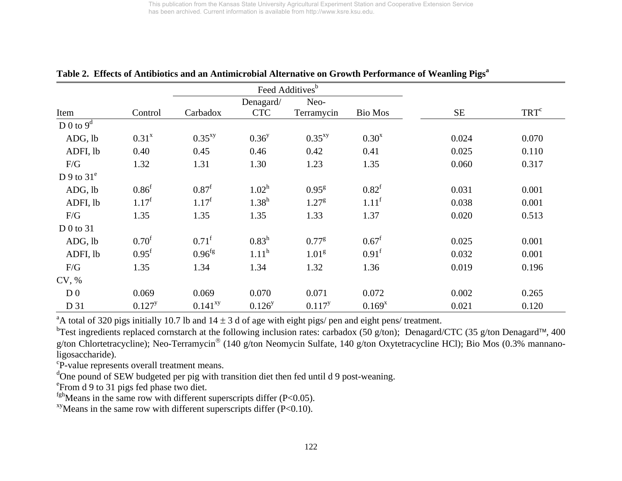|                |                   |                     |                   | Feed Additives <sup>b</sup> |                   |           |                  |
|----------------|-------------------|---------------------|-------------------|-----------------------------|-------------------|-----------|------------------|
|                |                   |                     | Denagard/         | Neo-                        |                   |           |                  |
| Item           | Control           | Carbadox            | <b>CTC</b>        | Terramycin                  | <b>Bio Mos</b>    | <b>SE</b> | TRT <sup>c</sup> |
| D 0 to $9^d$   |                   |                     |                   |                             |                   |           |                  |
| ADG, lb        | $0.31^{x}$        | $0.35^{xy}$         | $0.36^{y}$        | $0.35^{xy}$                 | $0.30^{x}$        | 0.024     | 0.070            |
| ADFI, lb       | 0.40              | 0.45                | 0.46              | 0.42                        | 0.41              | 0.025     | 0.110            |
| F/G            | 1.32              | 1.31                | 1.30              | 1.23                        | 1.35              | 0.060     | 0.317            |
| D 9 to $31^e$  |                   |                     |                   |                             |                   |           |                  |
| ADG, lb        | 0.86 <sup>f</sup> | 0.87 <sup>f</sup>   | $1.02^h$          | $0.95^{8}$                  | $0.82^{\rm f}$    | 0.031     | 0.001            |
| ADFI, lb       | $1.17^f$          | $1.17^f$            | $1.38^h$          | 1.27 <sup>g</sup>           | $1.11^f$          | 0.038     | 0.001            |
| F/G            | 1.35              | 1.35                | 1.35              | 1.33                        | 1.37              | 0.020     | 0.513            |
| D 0 to $31$    |                   |                     |                   |                             |                   |           |                  |
| ADG, lb        | 0.70 <sup>f</sup> | $0.71$ <sup>f</sup> | $0.83^h$          | $0.77^{8}$                  | $0.67^{\rm f}$    | 0.025     | 0.001            |
| ADFI, lb       | $0.95^{\rm f}$    | 0.96 <sup>fg</sup>  | 1.11 <sup>h</sup> | 1.01 <sup>g</sup>           | 0.91 <sup>f</sup> | 0.032     | 0.001            |
| F/G            | 1.35              | 1.34                | 1.34              | 1.32                        | 1.36              | 0.019     | 0.196            |
| CV, %          |                   |                     |                   |                             |                   |           |                  |
| D <sub>0</sub> | 0.069             | 0.069               | 0.070             | 0.071                       | 0.072             | 0.002     | 0.265            |
| D 31           | $0.127^{y}$       | $0.141^{xy}$        | $0.126^{y}$       | $0.117^{y}$                 | $0.169^{x}$       | 0.021     | 0.120            |

Table 2. Effects of Antibiotics and an Antimicrobial Alternative on Growth Performance of Weanling Pigs<sup>a</sup>

<sup>a</sup>A total of 320 pigs initially 10.7 lb and  $14 \pm 3$  d of age with eight pigs/ pen and eight pens/ treatment.

bTest ingredients replaced cornstarch at the following inclusion rates: carbadox (50 g/ton); Denagard/CTC (35 g/ton Denagard™, 400 g/ton Chlortetracycline); Neo-Terramycin® (140 g/ton Neomycin Sulfate, 140 g/ton Oxytetracycline HCl); Bio Mos (0.3% mannanoligosaccharide).

<sup>c</sup>P-value represents overall treatment means.

<sup>d</sup>One pound of SEW budgeted per pig with transition diet then fed until d 9 post-weaning.

eFrom d 9 to 31 pigs fed phase two diet.

 $fgh$  Means in the same row with different superscripts differ (P<0.05).

<sup>xy</sup>Means in the same row with different superscripts differ  $(P<0.10)$ .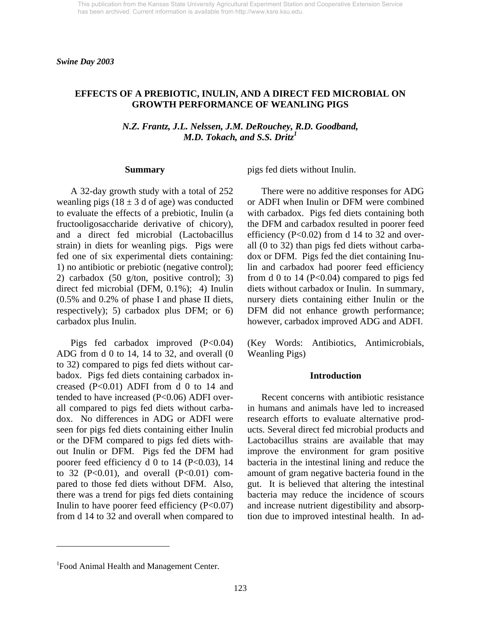## **EFFECTS OF A PREBIOTIC, INULIN, AND A DIRECT FED MICROBIAL ON GROWTH PERFORMANCE OF WEANLING PIGS**

*N.Z. Frantz, J.L. Nelssen, J.M. DeRouchey, R.D. Goodband, M.D. Tokach, and S.S. Dritz1* 

#### **Summary**

 A 32-day growth study with a total of 252 weanling pigs ( $18 \pm 3$  d of age) was conducted to evaluate the effects of a prebiotic, Inulin (a fructooligosaccharide derivative of chicory), and a direct fed microbial (Lactobacillus strain) in diets for weanling pigs. Pigs were fed one of six experimental diets containing: 1) no antibiotic or prebiotic (negative control); 2) carbadox (50 g/ton, positive control); 3) direct fed microbial (DFM, 0.1%); 4) Inulin (0.5% and 0.2% of phase I and phase II diets, respectively); 5) carbadox plus DFM; or 6) carbadox plus Inulin.

 Pigs fed carbadox improved (P<0.04) ADG from d 0 to 14, 14 to 32, and overall (0 to 32) compared to pigs fed diets without carbadox. Pigs fed diets containing carbadox increased  $(P<0.01)$  ADFI from d 0 to 14 and tended to have increased (P<0.06) ADFI overall compared to pigs fed diets without carbadox. No differences in ADG or ADFI were seen for pigs fed diets containing either Inulin or the DFM compared to pigs fed diets without Inulin or DFM. Pigs fed the DFM had poorer feed efficiency d 0 to 14 ( $P<0.03$ ), 14 to 32 ( $P<0.01$ ), and overall ( $P<0.01$ ) compared to those fed diets without DFM. Also, there was a trend for pigs fed diets containing Inulin to have poorer feed efficiency  $(P<0.07)$ from d 14 to 32 and overall when compared to pigs fed diets without Inulin.

 There were no additive responses for ADG or ADFI when Inulin or DFM were combined with carbadox. Pigs fed diets containing both the DFM and carbadox resulted in poorer feed efficiency ( $P<0.02$ ) from d 14 to 32 and overall (0 to 32) than pigs fed diets without carbadox or DFM. Pigs fed the diet containing Inulin and carbadox had poorer feed efficiency from d 0 to 14 ( $P<0.04$ ) compared to pigs fed diets without carbadox or Inulin. In summary, nursery diets containing either Inulin or the DFM did not enhance growth performance; however, carbadox improved ADG and ADFI.

(Key Words: Antibiotics, Antimicrobials, Weanling Pigs)

#### **Introduction**

 Recent concerns with antibiotic resistance in humans and animals have led to increased research efforts to evaluate alternative products. Several direct fed microbial products and Lactobacillus strains are available that may improve the environment for gram positive bacteria in the intestinal lining and reduce the amount of gram negative bacteria found in the gut. It is believed that altering the intestinal bacteria may reduce the incidence of scours and increase nutrient digestibility and absorption due to improved intestinal health. In ad-

l

<sup>&</sup>lt;sup>1</sup> Food Animal Health and Management Center.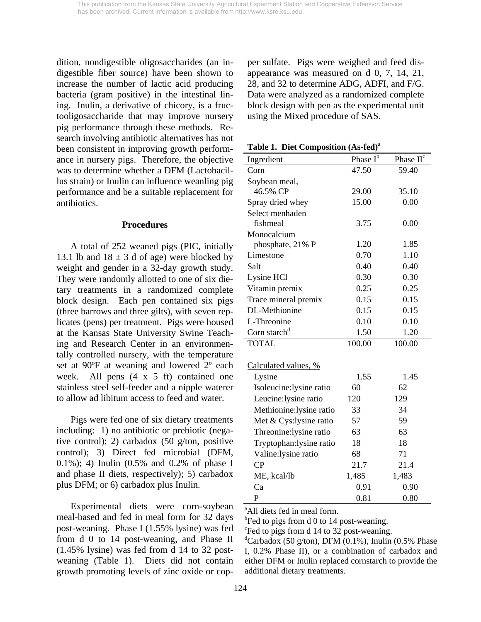dition, nondigestible oligosaccharides (an indigestible fiber source) have been shown to increase the number of lactic acid producing bacteria (gram positive) in the intestinal lining. Inulin, a derivative of chicory, is a fructooligosaccharide that may improve nursery pig performance through these methods. Research involving antibiotic alternatives has not been consistent in improving growth performance in nursery pigs. Therefore, the objective was to determine whether a DFM (Lactobacillus strain) or Inulin can influence weanling pig performance and be a suitable replacement for antibiotics.

#### **Procedures**

 A total of 252 weaned pigs (PIC, initially 13.1 lb and  $18 \pm 3$  d of age) were blocked by weight and gender in a 32-day growth study. They were randomly allotted to one of six dietary treatments in a randomized complete block design. Each pen contained six pigs (three barrows and three gilts), with seven replicates (pens) per treatment. Pigs were housed at the Kansas State University Swine Teaching and Research Center in an environmentally controlled nursery, with the temperature set at 90ºF at weaning and lowered 2º each week. All pens  $(4 \times 5 \text{ ft})$  contained one stainless steel self-feeder and a nipple waterer to allow ad libitum access to feed and water.

 Pigs were fed one of six dietary treatments including: 1) no antibiotic or prebiotic (negative control); 2) carbadox (50 g/ton, positive control); 3) Direct fed microbial (DFM, 0.1%); 4) Inulin (0.5% and 0.2% of phase I and phase II diets, respectively); 5) carbadox plus DFM; or 6) carbadox plus Inulin.

 Experimental diets were corn-soybean meal-based and fed in meal form for 32 days post-weaning. Phase I (1.55% lysine) was fed from d 0 to 14 post-weaning, and Phase II (1.45% lysine) was fed from d 14 to 32 postweaning (Table 1). Diets did not contain growth promoting levels of zinc oxide or copper sulfate. Pigs were weighed and feed disappearance was measured on d 0, 7, 14, 21, 28, and 32 to determine ADG, ADFI, and F/G. Data were analyzed as a randomized complete block design with pen as the experimental unit using the Mixed procedure of SAS.

**Table 1. Diet Composition (As-fed)a**

| Ingredient               | Phase $\overline{I^b}$ | Phase II <sup>c</sup> |
|--------------------------|------------------------|-----------------------|
| Corn                     | 47.50                  | 59.40                 |
| Soybean meal,            |                        |                       |
| 46.5% CP                 | 29.00                  | 35.10                 |
| Spray dried whey         | 15.00                  | 0.00                  |
| Select menhaden          |                        |                       |
| fishmeal                 | 3.75                   | 0.00                  |
| Monocalcium              |                        |                       |
| phosphate, 21% P         | 1.20                   | 1.85                  |
| Limestone                | 0.70                   | 1.10                  |
| Salt                     | 0.40                   | 0.40                  |
| Lysine HCl               | 0.30                   | 0.30                  |
| Vitamin premix           | 0.25                   | 0.25                  |
| Trace mineral premix     | 0.15                   | 0.15                  |
| DL-Methionine            | 0.15                   | 0.15                  |
| L-Threonine              | 0.10                   | 0.10                  |
| Corn starch <sup>d</sup> | 1.50                   | 1.20                  |
| <b>TOTAL</b>             | 100.00                 | 100.00                |
| Calculated values, %     |                        |                       |
| Lysine                   | 1.55                   | 1.45                  |
| Isoleucine:lysine ratio  | 60                     | 62                    |
| Leucine:lysine ratio     | 120                    | 129                   |
| Methionine:lysine ratio  | 33                     | 34                    |
| Met & Cys:lysine ratio   | 57                     | 59                    |
|                          | 63                     | 63                    |
| Threonine: lysine ratio  |                        |                       |
| Tryptophan: lysine ratio | 18                     | 18                    |
| Valine: lysine ratio     | 68                     | 71                    |
| CP                       | 21.7                   | 21.4                  |
| ME, kcal/lb              | 1,485                  | 1,483                 |
| Ca                       | 0.91                   | 0.90                  |
| P                        | 0.81                   | 0.80                  |

<sup>a</sup>All diets fed in meal form.

 $<sup>b</sup>$  Fed to pigs from d 0 to 14 post-weaning.</sup>

c Fed to pigs from d 14 to 32 post-weaning.

 ${}^d$ Carbadox (50 g/ton), DFM (0.1%), Inulin (0.5% Phase I, 0.2% Phase II), or a combination of carbadox and either DFM or Inulin replaced cornstarch to provide the additional dietary treatments.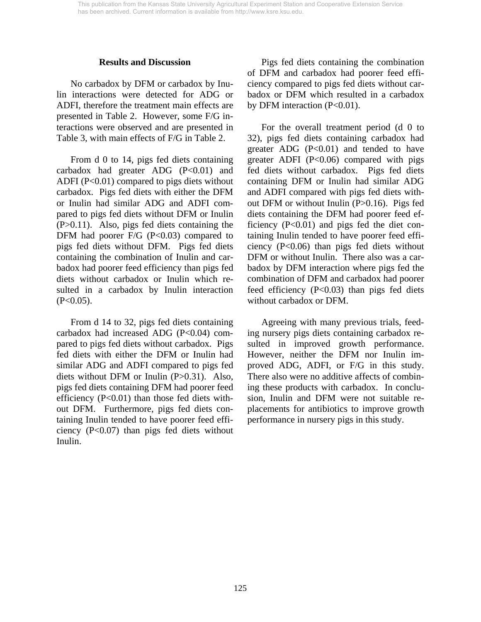### **Results and Discussion**

 No carbadox by DFM or carbadox by Inulin interactions were detected for ADG or ADFI, therefore the treatment main effects are presented in Table 2. However, some F/G interactions were observed and are presented in Table 3, with main effects of F/G in Table 2.

 From d 0 to 14, pigs fed diets containing carbadox had greater ADG  $(P<0.01)$  and ADFI ( $P<0.01$ ) compared to pigs diets without carbadox. Pigs fed diets with either the DFM or Inulin had similar ADG and ADFI compared to pigs fed diets without DFM or Inulin (P>0.11). Also, pigs fed diets containing the DFM had poorer  $F/G$  (P<0.03) compared to pigs fed diets without DFM. Pigs fed diets containing the combination of Inulin and carbadox had poorer feed efficiency than pigs fed diets without carbadox or Inulin which resulted in a carbadox by Inulin interaction  $(P<0.05)$ .

 From d 14 to 32, pigs fed diets containing carbadox had increased ADG  $(P<0.04)$  compared to pigs fed diets without carbadox. Pigs fed diets with either the DFM or Inulin had similar ADG and ADFI compared to pigs fed diets without DFM or Inulin (P>0.31). Also, pigs fed diets containing DFM had poorer feed efficiency (P<0.01) than those fed diets without DFM. Furthermore, pigs fed diets containing Inulin tended to have poorer feed efficiency (P<0.07) than pigs fed diets without Inulin.

 Pigs fed diets containing the combination of DFM and carbadox had poorer feed efficiency compared to pigs fed diets without carbadox or DFM which resulted in a carbadox by DFM interaction  $(P<0.01)$ .

 For the overall treatment period (d 0 to 32), pigs fed diets containing carbadox had greater ADG (P<0.01) and tended to have greater ADFI  $(P<0.06)$  compared with pigs fed diets without carbadox. Pigs fed diets containing DFM or Inulin had similar ADG and ADFI compared with pigs fed diets without DFM or without Inulin (P>0.16). Pigs fed diets containing the DFM had poorer feed efficiency  $(P<0.01)$  and pigs fed the diet containing Inulin tended to have poorer feed efficiency (P<0.06) than pigs fed diets without DFM or without Inulin. There also was a carbadox by DFM interaction where pigs fed the combination of DFM and carbadox had poorer feed efficiency (P<0.03) than pigs fed diets without carbadox or DFM.

 Agreeing with many previous trials, feeding nursery pigs diets containing carbadox resulted in improved growth performance. However, neither the DFM nor Inulin improved ADG, ADFI, or F/G in this study. There also were no additive affects of combining these products with carbadox. In conclusion, Inulin and DFM were not suitable replacements for antibiotics to improve growth performance in nursery pigs in this study.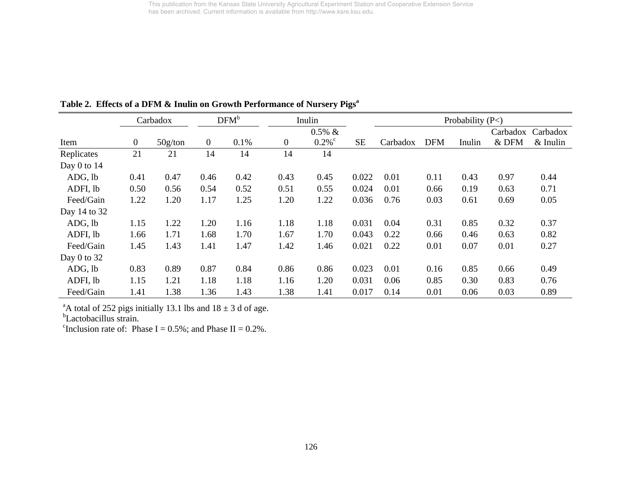|                 |                | Carbadox |              | DFM <sup>b</sup> |                  | Inulin               |           |          |            | Probability $(P<)$ |          |            |
|-----------------|----------------|----------|--------------|------------------|------------------|----------------------|-----------|----------|------------|--------------------|----------|------------|
|                 |                |          |              |                  |                  | $0.5\% \&$           |           |          |            |                    | Carbadox | Carbadox   |
| Item            | $\overline{0}$ | 50g/ton  | $\mathbf{0}$ | 0.1%             | $\boldsymbol{0}$ | $0.2\%$ <sup>c</sup> | <b>SE</b> | Carbadox | <b>DFM</b> | Inulin             | & DFM    | $&$ Inulin |
| Replicates      | 21             | 21       | 14           | 14               | 14               | 14                   |           |          |            |                    |          |            |
| Day $0$ to $14$ |                |          |              |                  |                  |                      |           |          |            |                    |          |            |
| ADG, lb         | 0.41           | 0.47     | 0.46         | 0.42             | 0.43             | 0.45                 | 0.022     | 0.01     | 0.11       | 0.43               | 0.97     | 0.44       |
| ADFI, lb        | 0.50           | 0.56     | 0.54         | 0.52             | 0.51             | 0.55                 | 0.024     | 0.01     | 0.66       | 0.19               | 0.63     | 0.71       |
| Feed/Gain       | 1.22           | 1.20     | 1.17         | 1.25             | 1.20             | 1.22                 | 0.036     | 0.76     | 0.03       | 0.61               | 0.69     | 0.05       |
| Day 14 to 32    |                |          |              |                  |                  |                      |           |          |            |                    |          |            |
| ADG, lb         | 1.15           | 1.22     | 1.20         | 1.16             | 1.18             | 1.18                 | 0.031     | 0.04     | 0.31       | 0.85               | 0.32     | 0.37       |
| ADFI, lb        | 1.66           | 1.71     | 1.68         | 1.70             | 1.67             | 1.70                 | 0.043     | 0.22     | 0.66       | 0.46               | 0.63     | 0.82       |
| Feed/Gain       | 1.45           | 1.43     | 1.41         | 1.47             | 1.42             | 1.46                 | 0.021     | 0.22     | 0.01       | 0.07               | 0.01     | 0.27       |
| Day $0$ to $32$ |                |          |              |                  |                  |                      |           |          |            |                    |          |            |
| ADG, lb         | 0.83           | 0.89     | 0.87         | 0.84             | 0.86             | 0.86                 | 0.023     | 0.01     | 0.16       | 0.85               | 0.66     | 0.49       |
| ADFI, lb        | 1.15           | 1.21     | 1.18         | 1.18             | 1.16             | 1.20                 | 0.031     | 0.06     | 0.85       | 0.30               | 0.83     | 0.76       |
| Feed/Gain       | 1.41           | 1.38     | 1.36         | 1.43             | 1.38             | 1.41                 | 0.017     | 0.14     | 0.01       | 0.06               | 0.03     | 0.89       |

Table 2. Effects of a DFM & Inulin on Growth Performance of Nursery Pigs<sup>a</sup>

<sup>a</sup>A total of 252 pigs initially 13.1 lbs and  $18 \pm 3$  d of age.

<sup>b</sup>Lactobacillus strain.

<sup>c</sup>Inclusion rate of: Phase I =  $0.5\%$ ; and Phase II =  $0.2\%$ .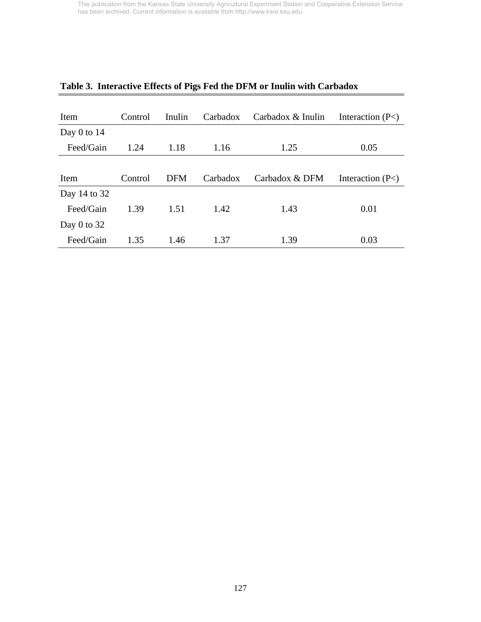| Item          | Control | Inulin     | Carbadox | Carbadox & Inulin | Interaction $(P<)$ |
|---------------|---------|------------|----------|-------------------|--------------------|
| Day $0$ to 14 |         |            |          |                   |                    |
| Feed/Gain     | 1.24    | 1.18       | 1.16     | 1.25              | 0.05               |
|               |         |            |          |                   |                    |
| Item          | Control | <b>DFM</b> | Carbadox | Carbadox & DFM    | Interaction $(P<)$ |
| Day 14 to 32  |         |            |          |                   |                    |
| Feed/Gain     | 1.39    | 1.51       | 1.42     | 1.43              | 0.01               |
| Day 0 to $32$ |         |            |          |                   |                    |
| Feed/Gain     | 1.35    | 1.46       | 1.37     | 1.39              | 0.03               |

# **Table 3. Interactive Effects of Pigs Fed the DFM or Inulin with Carbadox**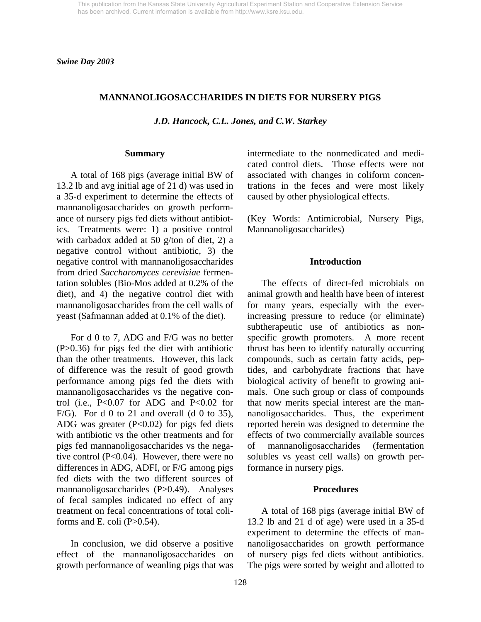*Swine Day 2003* 

### **MANNANOLIGOSACCHARIDES IN DIETS FOR NURSERY PIGS**

*J.D. Hancock, C.L. Jones, and C.W. Starkey* 

#### **Summary**

 A total of 168 pigs (average initial BW of 13.2 lb and avg initial age of 21 d) was used in a 35-d experiment to determine the effects of mannanoligosaccharides on growth performance of nursery pigs fed diets without antibiotics. Treatments were: 1) a positive control with carbadox added at 50 g/ton of diet, 2) a negative control without antibiotic, 3) the negative control with mannanoligosaccharides from dried *Saccharomyces cerevisiae* fermentation solubles (Bio-Mos added at 0.2% of the diet), and 4) the negative control diet with mannanoligosaccharides from the cell walls of yeast (Safmannan added at 0.1% of the diet).

 For d 0 to 7, ADG and F/G was no better (P>0.36) for pigs fed the diet with antibiotic than the other treatments. However, this lack of difference was the result of good growth performance among pigs fed the diets with mannanoligosaccharides vs the negative control (i.e.,  $P<0.07$  for ADG and  $P<0.02$  for F/G). For d 0 to 21 and overall (d 0 to 35), ADG was greater  $(P<0.02)$  for pigs fed diets with antibiotic vs the other treatments and for pigs fed mannanoligosaccharides vs the negative control (P<0.04). However, there were no differences in ADG, ADFI, or F/G among pigs fed diets with the two different sources of mannanoligosaccharides (P>0.49). Analyses of fecal samples indicated no effect of any treatment on fecal concentrations of total coliforms and E. coli  $(P>0.54)$ .

 In conclusion, we did observe a positive effect of the mannanoligosaccharides on growth performance of weanling pigs that was intermediate to the nonmedicated and medicated control diets. Those effects were not associated with changes in coliform concentrations in the feces and were most likely caused by other physiological effects.

(Key Words: Antimicrobial, Nursery Pigs, Mannanoligosaccharides)

#### **Introduction**

 The effects of direct-fed microbials on animal growth and health have been of interest for many years, especially with the everincreasing pressure to reduce (or eliminate) subtherapeutic use of antibiotics as nonspecific growth promoters. A more recent thrust has been to identify naturally occurring compounds, such as certain fatty acids, peptides, and carbohydrate fractions that have biological activity of benefit to growing animals. One such group or class of compounds that now merits special interest are the mannanoligosaccharides. Thus, the experiment reported herein was designed to determine the effects of two commercially available sources mannanoligosaccharides (fermentation solubles vs yeast cell walls) on growth performance in nursery pigs.

#### **Procedures**

 A total of 168 pigs (average initial BW of 13.2 lb and 21 d of age) were used in a 35-d experiment to determine the effects of mannanoligosaccharides on growth performance of nursery pigs fed diets without antibiotics. The pigs were sorted by weight and allotted to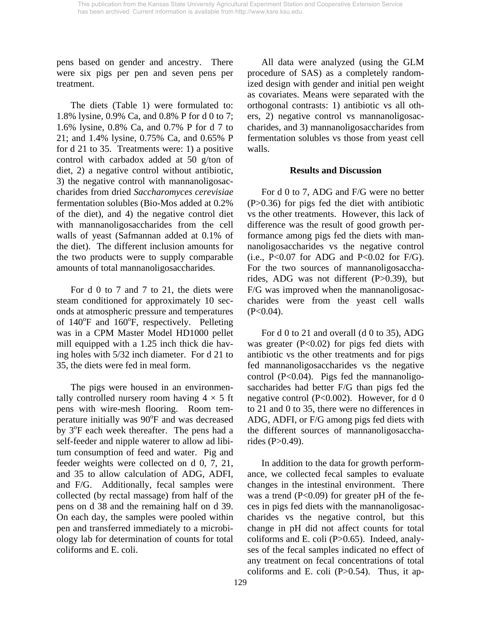pens based on gender and ancestry. There were six pigs per pen and seven pens per treatment.

 The diets (Table 1) were formulated to: 1.8% lysine, 0.9% Ca, and 0.8% P for d 0 to 7; 1.6% lysine, 0.8% Ca, and 0.7% P for d 7 to 21; and 1.4% lysine, 0.75% Ca, and 0.65% P for d 21 to 35. Treatments were: 1) a positive control with carbadox added at 50 g/ton of diet, 2) a negative control without antibiotic, 3) the negative control with mannanoligosaccharides from dried *Saccharomyces cerevisiae* fermentation solubles (Bio-Mos added at 0.2% of the diet), and 4) the negative control diet with mannanoligosaccharides from the cell walls of yeast (Safmannan added at 0.1% of the diet). The different inclusion amounts for the two products were to supply comparable amounts of total mannanoligosaccharides.

 For d 0 to 7 and 7 to 21, the diets were steam conditioned for approximately 10 seconds at atmospheric pressure and temperatures of  $140^{\circ}$ F and  $160^{\circ}$ F, respectively. Pelleting was in a CPM Master Model HD1000 pellet mill equipped with a 1.25 inch thick die having holes with 5/32 inch diameter. For d 21 to 35, the diets were fed in meal form.

 The pigs were housed in an environmentally controlled nursery room having  $4 \times 5$  ft pens with wire-mesh flooring. Room temperature initially was 90<sup>o</sup>F and was decreased by 3<sup>o</sup>F each week thereafter. The pens had a self-feeder and nipple waterer to allow ad libitum consumption of feed and water. Pig and feeder weights were collected on d 0, 7, 21, and 35 to allow calculation of ADG, ADFI, and F/G. Additionally, fecal samples were collected (by rectal massage) from half of the pens on d 38 and the remaining half on d 39. On each day, the samples were pooled within pen and transferred immediately to a microbiology lab for determination of counts for total coliforms and E. coli.

 All data were analyzed (using the GLM procedure of SAS) as a completely randomized design with gender and initial pen weight as covariates. Means were separated with the orthogonal contrasts: 1) antibiotic vs all others, 2) negative control vs mannanoligosaccharides, and 3) mannanoligosaccharides from fermentation solubles vs those from yeast cell walls.

## **Results and Discussion**

 For d 0 to 7, ADG and F/G were no better (P>0.36) for pigs fed the diet with antibiotic vs the other treatments. However, this lack of difference was the result of good growth performance among pigs fed the diets with mannanoligosaccharides vs the negative control (i.e.,  $P<0.07$  for ADG and  $P<0.02$  for  $F/G$ ). For the two sources of mannanoligosaccharides, ADG was not different (P>0.39), but F/G was improved when the mannanoligosaccharides were from the yeast cell walls  $(P<0.04)$ .

For d 0 to 21 and overall (d 0 to 35), ADG was greater  $(P<0.02)$  for pigs fed diets with antibiotic vs the other treatments and for pigs fed mannanoligosaccharides vs the negative control (P<0.04). Pigs fed the mannanoligosaccharides had better F/G than pigs fed the negative control (P<0.002). However, for d 0 to 21 and 0 to 35, there were no differences in ADG, ADFI, or F/G among pigs fed diets with the different sources of mannanoligosaccharides (P>0.49).

 In addition to the data for growth performance, we collected fecal samples to evaluate changes in the intestinal environment. There was a trend  $(P<0.09)$  for greater pH of the feces in pigs fed diets with the mannanoligosaccharides vs the negative control, but this change in pH did not affect counts for total coliforms and E. coli (P>0.65). Indeed, analyses of the fecal samples indicated no effect of any treatment on fecal concentrations of total coliforms and E. coli  $(P>0.54)$ . Thus, it ap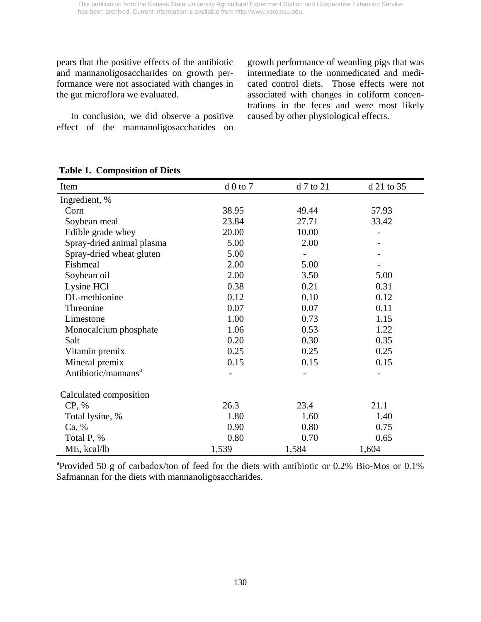pears that the positive effects of the antibiotic and mannanoligosaccharides on growth performance were not associated with changes in the gut microflora we evaluated.

 In conclusion, we did observe a positive effect of the mannanoligosaccharides on growth performance of weanling pigs that was intermediate to the nonmedicated and medicated control diets. Those effects were not associated with changes in coliform concentrations in the feces and were most likely caused by other physiological effects.

| Item                            | $d0$ to $7$ | d 7 to 21 | d 21 to 35 |
|---------------------------------|-------------|-----------|------------|
| Ingredient, %                   |             |           |            |
| Corn                            | 38.95       | 49.44     | 57.93      |
| Soybean meal                    | 23.84       | 27.71     | 33.42      |
| Edible grade whey               | 20.00       | 10.00     |            |
| Spray-dried animal plasma       | 5.00        | 2.00      |            |
| Spray-dried wheat gluten        | 5.00        |           |            |
| Fishmeal                        | 2.00        | 5.00      |            |
| Soybean oil                     | 2.00        | 3.50      | 5.00       |
| Lysine HCl                      | 0.38        | 0.21      | 0.31       |
| DL-methionine                   | 0.12        | 0.10      | 0.12       |
| Threonine                       | 0.07        | 0.07      | 0.11       |
| Limestone                       | 1.00        | 0.73      | 1.15       |
| Monocalcium phosphate           | 1.06        | 0.53      | 1.22       |
| Salt                            | 0.20        | 0.30      | 0.35       |
| Vitamin premix                  | 0.25        | 0.25      | 0.25       |
| Mineral premix                  | 0.15        | 0.15      | 0.15       |
| Antibiotic/mannans <sup>a</sup> |             |           |            |
| Calculated composition          |             |           |            |
| CP, %                           | 26.3        | 23.4      | 21.1       |
| Total lysine, %                 | 1.80        | 1.60      | 1.40       |
| Ca, %                           | 0.90        | 0.80      | 0.75       |
| Total P, %                      | 0.80        | 0.70      | 0.65       |
| ME, kcal/lb                     | 1,539       | 1,584     | 1,604      |

## **Table 1. Composition of Diets**

<sup>a</sup>Provided 50 g of carbadox/ton of feed for the diets with antibiotic or 0.2% Bio-Mos or 0.1% Safmannan for the diets with mannanoligosaccharides.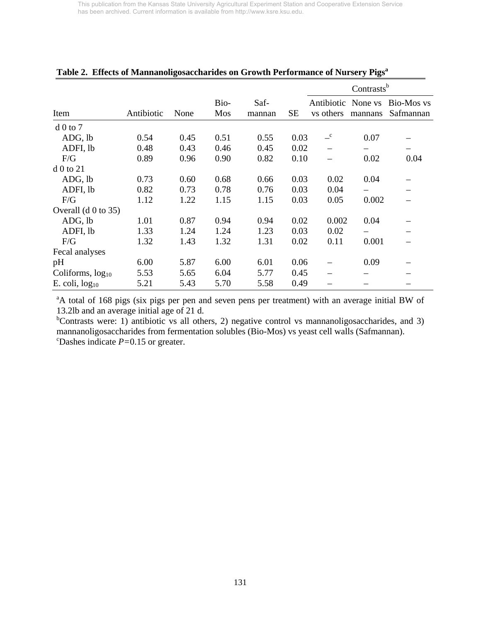|                       |            |      |             |                |           |                                 | Contrasts <sup>b</sup> |                         |
|-----------------------|------------|------|-------------|----------------|-----------|---------------------------------|------------------------|-------------------------|
| Item                  | Antibiotic | None | Bio-<br>Mos | Saf-<br>mannan | <b>SE</b> | Antibiotic None vs<br>vs others | mannans                | Bio-Mos vs<br>Safmannan |
|                       |            |      |             |                |           |                                 |                        |                         |
| $d0$ to 7             |            |      |             |                |           |                                 |                        |                         |
| ADG, lb               | 0.54       | 0.45 | 0.51        | 0.55           | 0.03      | $\overline{-}^{\rm c}$          | 0.07                   |                         |
| ADFI, lb              | 0.48       | 0.43 | 0.46        | 0.45           | 0.02      |                                 |                        |                         |
| F/G                   | 0.89       | 0.96 | 0.90        | 0.82           | 0.10      |                                 | 0.02                   | 0.04                    |
| $d$ 0 to 21           |            |      |             |                |           |                                 |                        |                         |
| ADG, lb               | 0.73       | 0.60 | 0.68        | 0.66           | 0.03      | 0.02                            | 0.04                   |                         |
| ADFI, lb              | 0.82       | 0.73 | 0.78        | 0.76           | 0.03      | 0.04                            |                        |                         |
| F/G                   | 1.12       | 1.22 | 1.15        | 1.15           | 0.03      | 0.05                            | 0.002                  |                         |
| Overall $(d 0 to 35)$ |            |      |             |                |           |                                 |                        |                         |
| ADG, lb               | 1.01       | 0.87 | 0.94        | 0.94           | 0.02      | 0.002                           | 0.04                   |                         |
| ADFI, lb              | 1.33       | 1.24 | 1.24        | 1.23           | 0.03      | 0.02                            |                        |                         |
| F/G                   | 1.32       | 1.43 | 1.32        | 1.31           | 0.02      | 0.11                            | 0.001                  |                         |
| Fecal analyses        |            |      |             |                |           |                                 |                        |                         |
| pH                    | 6.00       | 5.87 | 6.00        | 6.01           | 0.06      |                                 | 0.09                   |                         |
| Coliforms, $log_{10}$ | 5.53       | 5.65 | 6.04        | 5.77           | 0.45      |                                 |                        |                         |
| E. coli, $log_{10}$   | 5.21       | 5.43 | 5.70        | 5.58           | 0.49      |                                 |                        |                         |

### **Table 2. Effects of Mannanoligosaccharides on Growth Performance of Nursery Pigsa**

<sup>a</sup>A total of 168 pigs (six pigs per pen and seven pens per treatment) with an average initial BW of 13.2lb and an average initial age of 21 d.

<sup>b</sup>Contrasts were: 1) antibiotic vs all others, 2) negative control vs mannanoligosaccharides, and 3) mannanoligosaccharides from fermentation solubles (Bio-Mos) vs yeast cell walls (Safmannan). Poshes indicate  $P=0.15$  or greater.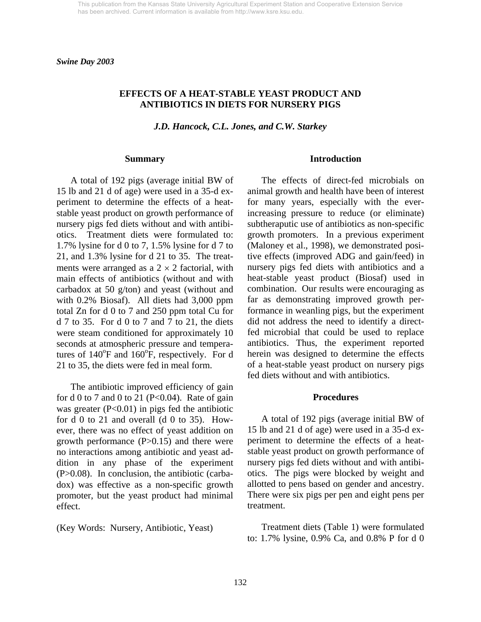*Swine Day 2003* 

### **EFFECTS OF A HEAT-STABLE YEAST PRODUCT AND ANTIBIOTICS IN DIETS FOR NURSERY PIGS**

*J.D. Hancock, C.L. Jones, and C.W. Starkey* 

#### **Summary**

A total of 192 pigs (average initial BW of 15 lb and 21 d of age) were used in a 35-d experiment to determine the effects of a heatstable yeast product on growth performance of nursery pigs fed diets without and with antibiotics. Treatment diets were formulated to: 1.7% lysine for d 0 to 7, 1.5% lysine for d 7 to 21, and 1.3% lysine for d 21 to 35. The treatments were arranged as a  $2 \times 2$  factorial, with main effects of antibiotics (without and with carbadox at 50 g/ton) and yeast (without and with 0.2% Biosaf). All diets had 3,000 ppm total Zn for d 0 to 7 and 250 ppm total Cu for d 7 to 35. For d 0 to 7 and 7 to 21, the diets were steam conditioned for approximately 10 seconds at atmospheric pressure and temperatures of  $140^{\circ}$ F and  $160^{\circ}$ F, respectively. For d 21 to 35, the diets were fed in meal form.

 The antibiotic improved efficiency of gain for d 0 to 7 and 0 to 21 (P<0.04). Rate of gain was greater  $(P<0.01)$  in pigs fed the antibiotic for d 0 to 21 and overall (d 0 to 35). However, there was no effect of yeast addition on growth performance  $(P>0.15)$  and there were no interactions among antibiotic and yeast addition in any phase of the experiment (P>0.08). In conclusion, the antibiotic (carbadox) was effective as a non-specific growth promoter, but the yeast product had minimal effect.

(Key Words: Nursery, Antibiotic, Yeast)

#### **Introduction**

The effects of direct-fed microbials on animal growth and health have been of interest for many years, especially with the everincreasing pressure to reduce (or eliminate) subtheraputic use of antibiotics as non-specific growth promoters. In a previous experiment (Maloney et al., 1998), we demonstrated positive effects (improved ADG and gain/feed) in nursery pigs fed diets with antibiotics and a heat-stable yeast product (Biosaf) used in combination. Our results were encouraging as far as demonstrating improved growth performance in weanling pigs, but the experiment did not address the need to identify a directfed microbial that could be used to replace antibiotics. Thus, the experiment reported herein was designed to determine the effects of a heat-stable yeast product on nursery pigs fed diets without and with antibiotics.

#### **Procedures**

 A total of 192 pigs (average initial BW of 15 lb and 21 d of age) were used in a 35-d experiment to determine the effects of a heatstable yeast product on growth performance of nursery pigs fed diets without and with antibiotics. The pigs were blocked by weight and allotted to pens based on gender and ancestry. There were six pigs per pen and eight pens per treatment.

 Treatment diets (Table 1) were formulated to: 1.7% lysine, 0.9% Ca, and 0.8% P for d 0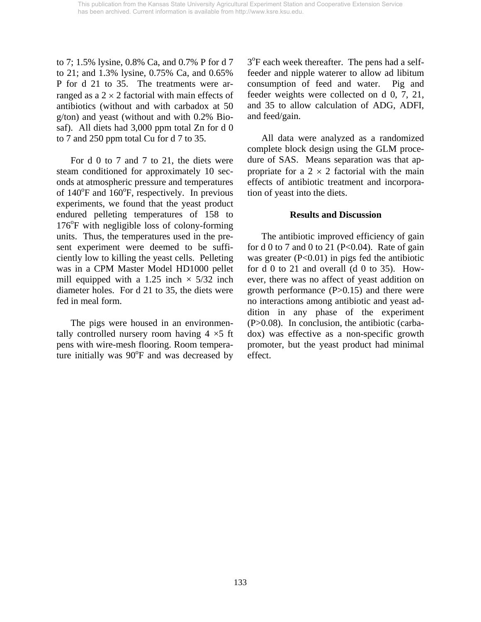to 7; 1.5% lysine, 0.8% Ca, and 0.7% P for d 7 to 21; and 1.3% lysine, 0.75% Ca, and 0.65% P for d 21 to 35. The treatments were arranged as a  $2 \times 2$  factorial with main effects of antibiotics (without and with carbadox at 50 g/ton) and yeast (without and with 0.2% Biosaf). All diets had 3,000 ppm total Zn for d 0 to 7 and 250 ppm total Cu for d 7 to 35.

For d 0 to 7 and 7 to 21, the diets were steam conditioned for approximately 10 seconds at atmospheric pressure and temperatures of  $140^{\circ}$ F and  $160^{\circ}$ F, respectively. In previous experiments, we found that the yeast product endured pelleting temperatures of 158 to 176°F with negligible loss of colony-forming units. Thus, the temperatures used in the present experiment were deemed to be sufficiently low to killing the yeast cells. Pelleting was in a CPM Master Model HD1000 pellet mill equipped with a 1.25 inch  $\times$  5/32 inch diameter holes. For d 21 to 35, the diets were fed in meal form.

The pigs were housed in an environmentally controlled nursery room having  $4 \times 5$  ft pens with wire-mesh flooring. Room temperature initially was 90°F and was decreased by

3<sup>o</sup>F each week thereafter. The pens had a selffeeder and nipple waterer to allow ad libitum consumption of feed and water. Pig and feeder weights were collected on d 0, 7, 21, and 35 to allow calculation of ADG, ADFI, and feed/gain.

 All data were analyzed as a randomized complete block design using the GLM procedure of SAS. Means separation was that appropriate for a  $2 \times 2$  factorial with the main effects of antibiotic treatment and incorporation of yeast into the diets.

## **Results and Discussion**

 The antibiotic improved efficiency of gain for d 0 to 7 and 0 to 21 (P<0.04). Rate of gain was greater  $(P<0.01)$  in pigs fed the antibiotic for d 0 to 21 and overall (d 0 to 35). However, there was no affect of yeast addition on growth performance  $(P>0.15)$  and there were no interactions among antibiotic and yeast addition in any phase of the experiment (P>0.08). In conclusion, the antibiotic (carbadox) was effective as a non-specific growth promoter, but the yeast product had minimal effect.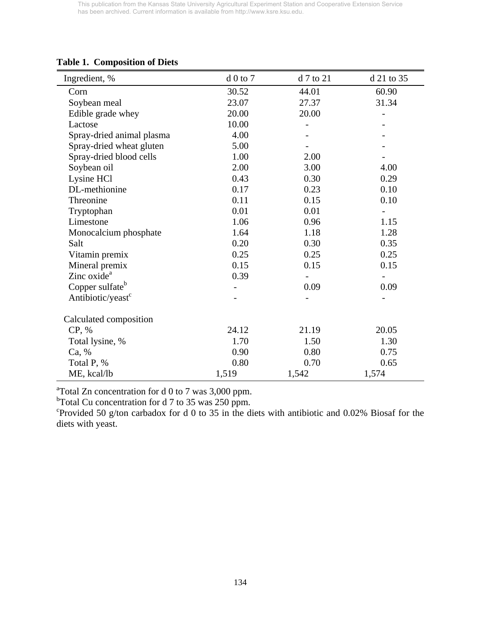| Ingredient, %                 | $d0$ to $7$ | d 7 to 21 | d 21 to 35               |
|-------------------------------|-------------|-----------|--------------------------|
| Corn                          | 30.52       | 44.01     | 60.90                    |
| Soybean meal                  | 23.07       | 27.37     | 31.34                    |
| Edible grade whey             | 20.00       | 20.00     | -                        |
| Lactose                       | 10.00       |           |                          |
| Spray-dried animal plasma     | 4.00        |           |                          |
| Spray-dried wheat gluten      | 5.00        |           |                          |
| Spray-dried blood cells       | 1.00        | 2.00      |                          |
| Soybean oil                   | 2.00        | 3.00      | 4.00                     |
| Lysine HCl                    | 0.43        | 0.30      | 0.29                     |
| DL-methionine                 | 0.17        | 0.23      | 0.10                     |
| Threonine                     | 0.11        | 0.15      | 0.10                     |
| Tryptophan                    | 0.01        | 0.01      |                          |
| Limestone                     | 1.06        | 0.96      | 1.15                     |
| Monocalcium phosphate         | 1.64        | 1.18      | 1.28                     |
| Salt                          | 0.20        | 0.30      | 0.35                     |
| Vitamin premix                | 0.25        | 0.25      | 0.25                     |
| Mineral premix                | 0.15        | 0.15      | 0.15                     |
| Zinc oxide <sup>a</sup>       | 0.39        |           | $\overline{\phantom{0}}$ |
| Copper sulfate <sup>b</sup>   |             | 0.09      | 0.09                     |
| Antibiotic/yeast <sup>c</sup> |             |           |                          |
| Calculated composition        |             |           |                          |
| CP, %                         | 24.12       | 21.19     | 20.05                    |
| Total lysine, %               | 1.70        | 1.50      | 1.30                     |
| Ca, %                         | 0.90        | 0.80      | 0.75                     |
| Total P, %                    | 0.80        | 0.70      | 0.65                     |
| ME, kcal/lb                   | 1,519       | 1,542     | 1,574                    |

# **Table 1. Composition of Diets**

<sup>a</sup>Total Zn concentration for d 0 to 7 was 3,000 ppm.<br><sup>b</sup>Total Cu concentration for d 7 to 35 was 250 ppm.

c Provided 50 g/ton carbadox for d 0 to 35 in the diets with antibiotic and 0.02% Biosaf for the diets with yeast.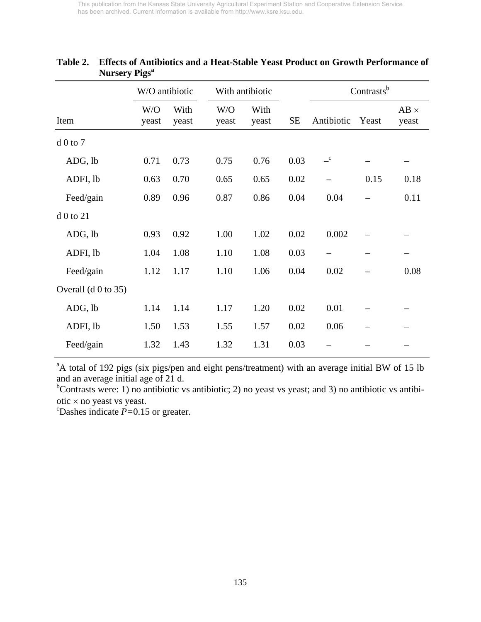|                       | W/O antibiotic |               | With antibiotic |               |           |                            | Contrasts <sup>b</sup> |                      |
|-----------------------|----------------|---------------|-----------------|---------------|-----------|----------------------------|------------------------|----------------------|
| Item                  | W/O<br>yeast   | With<br>yeast | W/O<br>yeast    | With<br>yeast | <b>SE</b> | Antibiotic                 | Yeast                  | $AB \times$<br>yeast |
| $d0$ to $7$           |                |               |                 |               |           |                            |                        |                      |
| ADG, lb               | 0.71           | 0.73          | 0.75            | 0.76          | 0.03      | $\overline{\phantom{a}}^c$ |                        |                      |
| ADFI, lb              | 0.63           | 0.70          | 0.65            | 0.65          | 0.02      |                            | 0.15                   | 0.18                 |
| Feed/gain             | 0.89           | 0.96          | 0.87            | 0.86          | 0.04      | 0.04                       |                        | 0.11                 |
| d 0 to 21             |                |               |                 |               |           |                            |                        |                      |
| ADG, lb               | 0.93           | 0.92          | 1.00            | 1.02          | 0.02      | 0.002                      |                        |                      |
| ADFI, lb              | 1.04           | 1.08          | 1.10            | 1.08          | 0.03      |                            |                        |                      |
| Feed/gain             | 1.12           | 1.17          | 1.10            | 1.06          | 0.04      | 0.02                       |                        | 0.08                 |
| Overall $(d 0 to 35)$ |                |               |                 |               |           |                            |                        |                      |
| ADG, lb               | 1.14           | 1.14          | 1.17            | 1.20          | 0.02      | 0.01                       |                        |                      |
| ADFI, lb              | 1.50           | 1.53          | 1.55            | 1.57          | 0.02      | 0.06                       |                        |                      |
| Feed/gain             | 1.32           | 1.43          | 1.32            | 1.31          | 0.03      |                            |                        |                      |

# **Table 2. Effects of Antibiotics and a Heat-Stable Yeast Product on Growth Performance of Nursery Pigs<sup>a</sup>**

<sup>a</sup>A total of 192 pigs (six pigs/pen and eight pens/treatment) with an average initial BW of 15 lb and an average initial age of 21 d.

<sup>b</sup>Contrasts were: 1) no antibiotic vs antibiotic; 2) no yeast vs yeast; and 3) no antibiotic vs antibiotic  $\times$  no yeast vs yeast.

Dashes indicate *P=*0.15 or greater.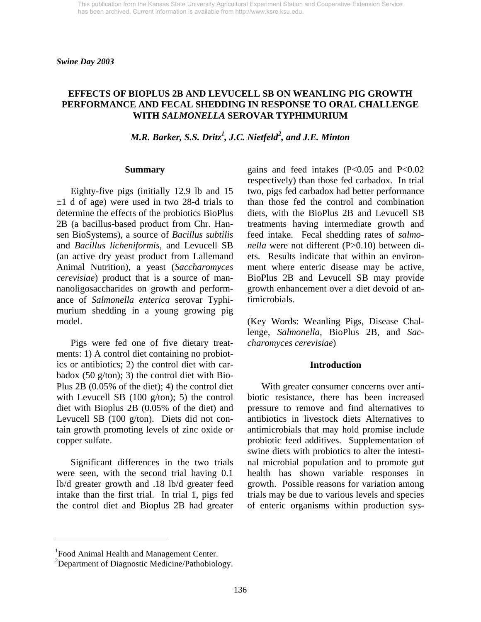*Swine Day 2003* 

### **EFFECTS OF BIOPLUS 2B AND LEVUCELL SB ON WEANLING PIG GROWTH PERFORMANCE AND FECAL SHEDDING IN RESPONSE TO ORAL CHALLENGE WITH** *SALMONELLA* **SEROVAR TYPHIMURIUM**

*M.R. Barker, S.S. Dritz<sup>1</sup>, J.C. Nietfeld<sup>2</sup>, and J.E. Minton* 

#### **Summary**

Eighty-five pigs (initially 12.9 lb and 15  $\pm 1$  d of age) were used in two 28-d trials to determine the effects of the probiotics BioPlus 2B (a bacillus-based product from Chr. Hansen BioSystems), a source of *Bacillus subtilis* and *Bacillus licheniformis*, and Levucell SB (an active dry yeast product from Lallemand Animal Nutrition), a yeast (*Saccharomyces cerevisiae*) product that is a source of mannanoligosaccharides on growth and performance of *Salmonella enterica* serovar Typhimurium shedding in a young growing pig model.

 Pigs were fed one of five dietary treatments: 1) A control diet containing no probiotics or antibiotics; 2) the control diet with carbadox  $(50 \text{ g/ton})$ ; 3) the control diet with Bio-Plus 2B (0.05% of the diet); 4) the control diet with Levucell SB (100 g/ton); 5) the control diet with Bioplus 2B (0.05% of the diet) and Levucell SB (100 g/ton). Diets did not contain growth promoting levels of zinc oxide or copper sulfate.

 Significant differences in the two trials were seen, with the second trial having 0.1 lb/d greater growth and .18 lb/d greater feed intake than the first trial. In trial 1, pigs fed the control diet and Bioplus 2B had greater gains and feed intakes  $(P<0.05$  and  $P<0.02$ respectively) than those fed carbadox. In trial two, pigs fed carbadox had better performance than those fed the control and combination diets, with the BioPlus 2B and Levucell SB treatments having intermediate growth and feed intake. Fecal shedding rates of *salmonella* were not different (P>0.10) between diets. Results indicate that within an environment where enteric disease may be active, BioPlus 2B and Levucell SB may provide growth enhancement over a diet devoid of antimicrobials.

(Key Words: Weanling Pigs, Disease Challenge, *Salmonella,* BioPlus 2B, and *Saccharomyces cerevisiae*)

#### **Introduction**

With greater consumer concerns over antibiotic resistance, there has been increased pressure to remove and find alternatives to antibiotics in livestock diets Alternatives to antimicrobials that may hold promise include probiotic feed additives. Supplementation of swine diets with probiotics to alter the intestinal microbial population and to promote gut health has shown variable responses in growth. Possible reasons for variation among trials may be due to various levels and species of enteric organisms within production sys-

l

<sup>&</sup>lt;sup>1</sup> Food Animal Health and Management Center.

<sup>&</sup>lt;sup>2</sup>Department of Diagnostic Medicine/Pathobiology.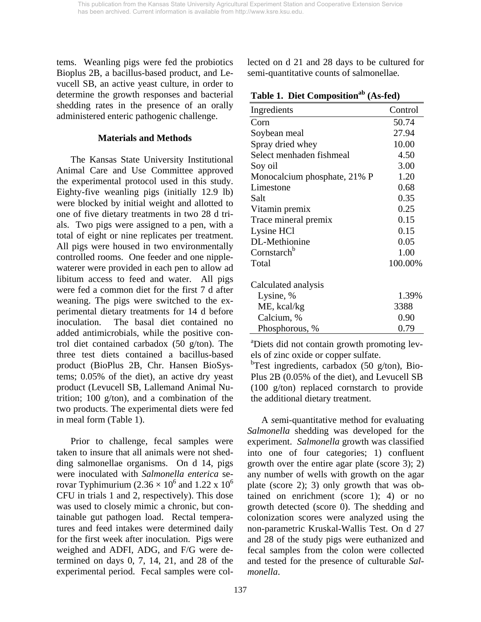tems. Weanling pigs were fed the probiotics Bioplus 2B, a bacillus-based product, and Levucell SB, an active yeast culture, in order to determine the growth responses and bacterial shedding rates in the presence of an orally administered enteric pathogenic challenge.

## **Materials and Methods**

The Kansas State University Institutional Animal Care and Use Committee approved the experimental protocol used in this study. Eighty-five weanling pigs (initially 12.9 lb) were blocked by initial weight and allotted to one of five dietary treatments in two 28 d trials. Two pigs were assigned to a pen, with a total of eight or nine replicates per treatment. All pigs were housed in two environmentally controlled rooms. One feeder and one nipplewaterer were provided in each pen to allow ad libitum access to feed and water. All pigs were fed a common diet for the first 7 d after weaning. The pigs were switched to the experimental dietary treatments for 14 d before inoculation. The basal diet contained no added antimicrobials, while the positive control diet contained carbadox (50 g/ton). The three test diets contained a bacillus-based product (BioPlus 2B, Chr. Hansen BioSystems; 0.05% of the diet), an active dry yeast product (Levucell SB, Lallemand Animal Nutrition; 100 g/ton), and a combination of the two products. The experimental diets were fed in meal form (Table 1).

Prior to challenge, fecal samples were taken to insure that all animals were not shedding salmonellae organisms. On d 14, pigs were inoculated with *Salmonella enterica* serovar Typhimurium (2.36  $\times$  10<sup>6</sup> and 1.22 x 10<sup>6</sup> CFU in trials 1 and 2, respectively). This dose was used to closely mimic a chronic, but containable gut pathogen load. Rectal temperatures and feed intakes were determined daily for the first week after inoculation. Pigs were weighed and ADFI, ADG, and F/G were determined on days 0, 7, 14, 21, and 28 of the experimental period. Fecal samples were collected on d 21 and 28 days to be cultured for semi-quantitative counts of salmonellae*.* 

|  |  |  | Table 1. Diet Composition <sup>ab</sup> (As-fed) |  |
|--|--|--|--------------------------------------------------|--|
|--|--|--|--------------------------------------------------|--|

| Ingredients                  | Control |
|------------------------------|---------|
| Corn                         | 50.74   |
| Soybean meal                 | 27.94   |
| Spray dried whey             | 10.00   |
| Select menhaden fishmeal     | 4.50    |
| Soy oil                      | 3.00    |
| Monocalcium phosphate, 21% P | 1.20    |
| Limestone                    | 0.68    |
| Salt                         | 0.35    |
| Vitamin premix               | 0.25    |
| Trace mineral premix         | 0.15    |
| Lysine HCl                   | 0.15    |
| DL-Methionine                | 0.05    |
| Cornstarch <sup>b</sup>      | 1.00    |
| Total                        | 100.00% |
| Calculated analysis          |         |
| Lysine, %                    | 1.39%   |
| ME, kcal/kg                  | 3388    |
| Calcium, %                   | 0.90    |
| Phosphorous, %               | 0.79    |

a Diets did not contain growth promoting levels of zinc oxide or copper sulfate.

<sup>b</sup>Test ingredients, carbadox (50 g/ton), Bio-Plus 2B (0.05% of the diet), and Levucell SB (100 g/ton) replaced cornstarch to provide the additional dietary treatment.

 A *s*emi-quantitative method for evaluating *Salmonella* shedding was developed for the experiment. *Salmonella* growth was classified into one of four categories; 1) confluent growth over the entire agar plate (score 3); 2) any number of wells with growth on the agar plate (score 2); 3) only growth that was obtained on enrichment (score 1); 4) or no growth detected (score 0). The shedding and colonization scores were analyzed using the non-parametric Kruskal-Wallis Test. On d 27 and 28 of the study pigs were euthanized and fecal samples from the colon were collected and tested for the presence of culturable *Salmonella*.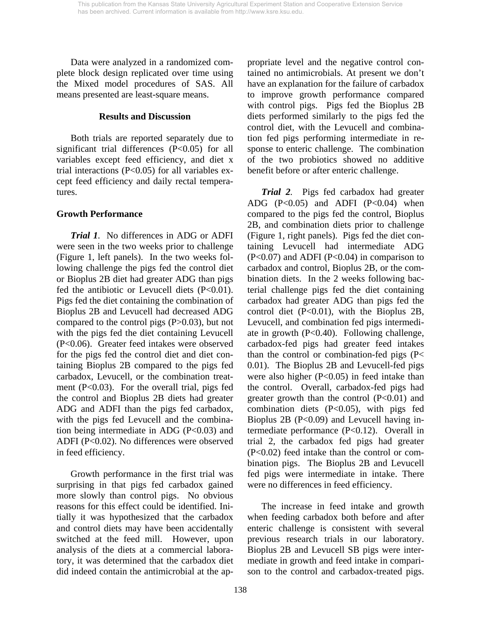Data were analyzed in a randomized complete block design replicated over time using the Mixed model procedures of SAS. All means presented are least-square means.

## **Results and Discussion**

 Both trials are reported separately due to significant trial differences (P<0.05) for all variables except feed efficiency, and diet x trial interactions  $(P<0.05)$  for all variables except feed efficiency and daily rectal temperatures.

## **Growth Performance**

*Trial 1.* No differences in ADG or ADFI were seen in the two weeks prior to challenge (Figure 1, left panels). In the two weeks following challenge the pigs fed the control diet or Bioplus 2B diet had greater ADG than pigs fed the antibiotic or Levucell diets  $(P<0.01)$ . Pigs fed the diet containing the combination of Bioplus 2B and Levucell had decreased ADG compared to the control pigs (P>0.03), but not with the pigs fed the diet containing Levucell (P<0.06). Greater feed intakes were observed for the pigs fed the control diet and diet containing Bioplus 2B compared to the pigs fed carbadox, Levucell, or the combination treatment (P<0.03). For the overall trial, pigs fed the control and Bioplus 2B diets had greater ADG and ADFI than the pigs fed carbadox, with the pigs fed Levucell and the combination being intermediate in ADG (P<0.03) and ADFI (P<0.02). No differences were observed in feed efficiency.

 Growth performance in the first trial was surprising in that pigs fed carbadox gained more slowly than control pigs. No obvious reasons for this effect could be identified. Initially it was hypothesized that the carbadox and control diets may have been accidentally switched at the feed mill. However, upon analysis of the diets at a commercial laboratory, it was determined that the carbadox diet did indeed contain the antimicrobial at the appropriate level and the negative control contained no antimicrobials. At present we don't have an explanation for the failure of carbadox to improve growth performance compared with control pigs. Pigs fed the Bioplus 2B diets performed similarly to the pigs fed the control diet, with the Levucell and combination fed pigs performing intermediate in response to enteric challenge. The combination of the two probiotics showed no additive benefit before or after enteric challenge.

*Trial 2.* Pigs fed carbadox had greater ADG  $(P<0.05)$  and ADFI  $(P<0.04)$  when compared to the pigs fed the control, Bioplus 2B, and combination diets prior to challenge (Figure 1, right panels). Pigs fed the diet containing Levucell had intermediate ADG  $(P<0.07)$  and ADFI  $(P<0.04)$  in comparison to carbadox and control, Bioplus 2B, or the combination diets. In the 2 weeks following bacterial challenge pigs fed the diet containing carbadox had greater ADG than pigs fed the control diet (P<0.01), with the Bioplus 2B, Levucell, and combination fed pigs intermediate in growth (P<0.40). Following challenge, carbadox-fed pigs had greater feed intakes than the control or combination-fed pigs (P< 0.01). The Bioplus 2B and Levucell-fed pigs were also higher (P<0.05) in feed intake than the control. Overall, carbadox-fed pigs had greater growth than the control  $(P<0.01)$  and combination diets  $(P<0.05)$ , with pigs fed Bioplus 2B (P<0.09) and Levucell having intermediate performance (P<0.12). Overall in trial 2, the carbadox fed pigs had greater (P<0.02) feed intake than the control or combination pigs. The Bioplus 2B and Levucell fed pigs were intermediate in intake. There were no differences in feed efficiency.

 The increase in feed intake and growth when feeding carbadox both before and after enteric challenge is consistent with several previous research trials in our laboratory. Bioplus 2B and Levucell SB pigs were intermediate in growth and feed intake in comparison to the control and carbadox-treated pigs.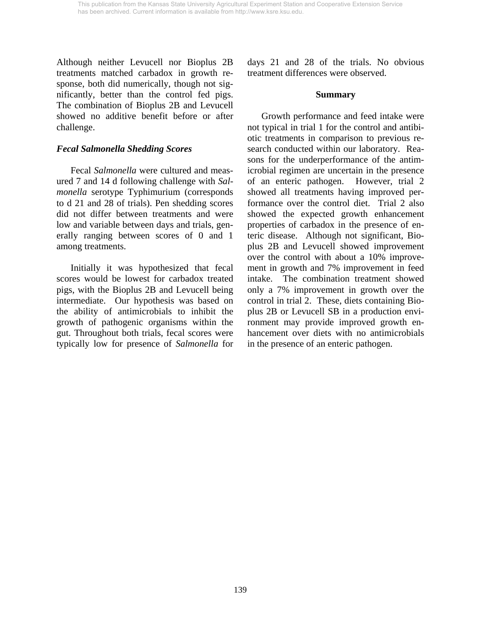Although neither Levucell nor Bioplus 2B treatments matched carbadox in growth response, both did numerically, though not significantly, better than the control fed pigs. The combination of Bioplus 2B and Levucell showed no additive benefit before or after challenge.

## *Fecal Salmonella Shedding Scores*

 Fecal *Salmonella* were cultured and measured 7 and 14 d following challenge with *Salmonella* serotype Typhimurium (corresponds to d 21 and 28 of trials). Pen shedding scores did not differ between treatments and were low and variable between days and trials, generally ranging between scores of 0 and 1 among treatments.

 Initially it was hypothesized that fecal scores would be lowest for carbadox treated pigs, with the Bioplus 2B and Levucell being intermediate. Our hypothesis was based on the ability of antimicrobials to inhibit the growth of pathogenic organisms within the gut. Throughout both trials, fecal scores were typically low for presence of *Salmonella* for

days 21 and 28 of the trials. No obvious treatment differences were observed.

### **Summary**

Growth performance and feed intake were not typical in trial 1 for the control and antibiotic treatments in comparison to previous research conducted within our laboratory. Reasons for the underperformance of the antimicrobial regimen are uncertain in the presence of an enteric pathogen. However, trial 2 showed all treatments having improved performance over the control diet. Trial 2 also showed the expected growth enhancement properties of carbadox in the presence of enteric disease. Although not significant, Bioplus 2B and Levucell showed improvement over the control with about a 10% improvement in growth and 7% improvement in feed intake. The combination treatment showed only a 7% improvement in growth over the control in trial 2. These, diets containing Bioplus 2B or Levucell SB in a production environment may provide improved growth enhancement over diets with no antimicrobials in the presence of an enteric pathogen.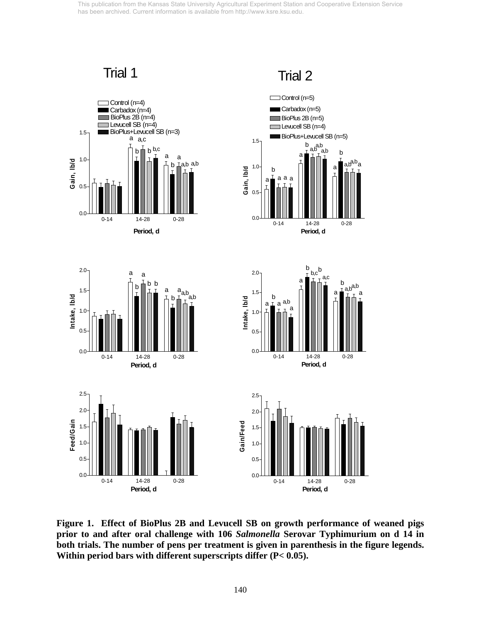Trial 1 Trial 2

Control (n=5)  $\Box$  Control (n=4) г Carbadox (n=5) Carbadox (n=4) BioPlus 2B (n=4) BioPlus 2B (n=5) Levucell SB (n=4) Levucell SB (n=4) BioPlus+Levucell SB (n=3) 1.5 BioPlus+Levucell SB (n=5) a a,c 1.5  $\frac{b}{a}$ , a,b  $b \biguplus b, c$ a,b b a a a 1.0 **Gain, lb/d** a,b a,b a,b a,b<sup>a,p</sup>a  $1.0 -$ **Gain, lb/d** a b a a a a 0.5 0.5 0.0 0.0 0-14 14-28 0-28 0-14 14-28 0-28 **Period, d Period, d** b b 2.0 $_{\begin{array}{ccc} \sim\end{array}}$  a 2.0 b,c $\frac{b}{r}$  a,c a a b b b b a,b a,b<sup>a,u</sup><br>TTa 1.5 a a<sub>a,b</sub><br>⊥ <sub>b</sub>⊥ a,b 1.5 b  $\begin{bmatrix} 1 \\ 1 \\ 1 \end{bmatrix}$ Intake, Ib/d **Intake, lb/d** Intake, Ib/d b **Intake, lb/d** a a,b a a 1.0 1.0 0.5  $0.5$ 0.0 0.0 0-14 14-28 0-28 0-14 14-28 0-28 **Period, d Period, d** 2.5 2.5 2.0 2.0 Feed/Gain Gain/Feed **Feed/Gain Gain/Feed** 1.5 1.5 1.0 1.0 0.5 0.5 0.0 0.0 0-14 14-28 0-28 0-14 14-28 0-28 **Period, d Period, d**

**Figure 1. Effect of BioPlus 2B and Levucell SB on growth performance of weaned pigs prior to and after oral challenge with 106** *Salmonella* **Serovar Typhimurium on d 14 in both trials. The number of pens per treatment is given in parenthesis in the figure legends. Within period bars with different superscripts differ (P< 0.05).**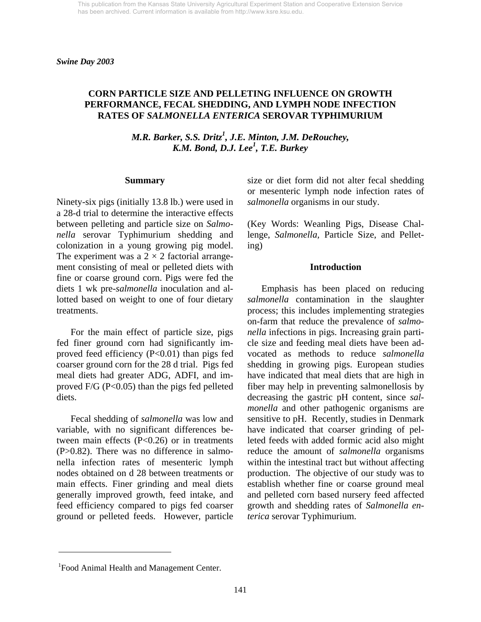## **CORN PARTICLE SIZE AND PELLETING INFLUENCE ON GROWTH PERFORMANCE, FECAL SHEDDING, AND LYMPH NODE INFECTION RATES OF** *SALMONELLA ENTERICA* **SEROVAR TYPHIMURIUM**

*M.R. Barker, S.S. Dritz<sup>1</sup>, J.E. Minton, J.M. DeRouchey, K.M. Bond, D.J. Lee1 , T.E. Burkey* 

#### **Summary**

Ninety-six pigs (initially 13.8 lb.) were used in a 28-d trial to determine the interactive effects between pelleting and particle size on *Salmonella* serovar Typhimurium shedding and colonization in a young growing pig model. The experiment was a  $2 \times 2$  factorial arrangement consisting of meal or pelleted diets with fine or coarse ground corn. Pigs were fed the diets 1 wk pre-*salmonella* inoculation and allotted based on weight to one of four dietary treatments.

 For the main effect of particle size, pigs fed finer ground corn had significantly improved feed efficiency  $(P<0.01)$  than pigs fed coarser ground corn for the 28 d trial. Pigs fed meal diets had greater ADG, ADFI, and improved  $F/G$  ( $P<0.05$ ) than the pigs fed pelleted diets.

 Fecal shedding of *salmonella* was low and variable, with no significant differences between main effects (P<0.26) or in treatments (P>0.82). There was no difference in salmonella infection rates of mesenteric lymph nodes obtained on d 28 between treatments or main effects. Finer grinding and meal diets generally improved growth, feed intake, and feed efficiency compared to pigs fed coarser ground or pelleted feeds. However, particle

size or diet form did not alter fecal shedding or mesenteric lymph node infection rates of *salmonella* organisms in our study.

(Key Words: Weanling Pigs, Disease Challenge, *Salmonella,* Particle Size, and Pelleting)

#### **Introduction**

 Emphasis has been placed on reducing *salmonella* contamination in the slaughter process; this includes implementing strategies on-farm that reduce the prevalence of *salmonella* infections in pigs. Increasing grain particle size and feeding meal diets have been advocated as methods to reduce *salmonella* shedding in growing pigs. European studies have indicated that meal diets that are high in fiber may help in preventing salmonellosis by decreasing the gastric pH content, since *salmonella* and other pathogenic organisms are sensitive to pH. Recently, studies in Denmark have indicated that coarser grinding of pelleted feeds with added formic acid also might reduce the amount of *salmonella* organisms within the intestinal tract but without affecting production. The objective of our study was to establish whether fine or coarse ground meal and pelleted corn based nursery feed affected growth and shedding rates of *Salmonella enterica* serovar Typhimurium.

l

<sup>&</sup>lt;sup>1</sup> Food Animal Health and Management Center.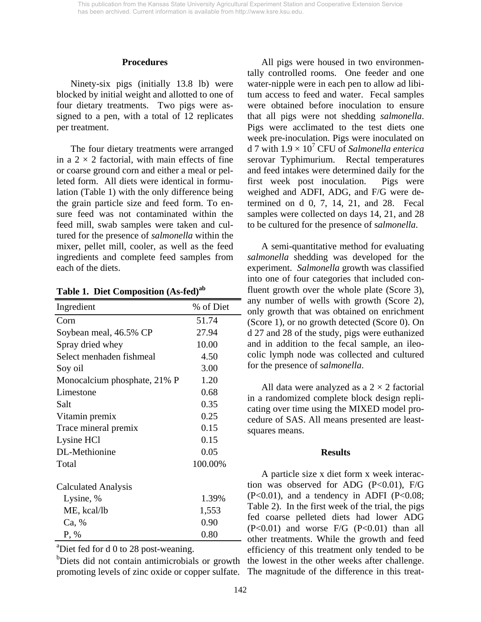#### **Procedures**

 Ninety-six pigs (initially 13.8 lb) were blocked by initial weight and allotted to one of four dietary treatments. Two pigs were assigned to a pen, with a total of 12 replicates per treatment.

 The four dietary treatments were arranged in a  $2 \times 2$  factorial, with main effects of fine or coarse ground corn and either a meal or pelleted form. All diets were identical in formulation (Table 1) with the only difference being the grain particle size and feed form. To ensure feed was not contaminated within the feed mill, swab samples were taken and cultured for the presence of *salmonella* within the mixer, pellet mill, cooler, as well as the feed ingredients and complete feed samples from each of the diets.

| Ingredient                   | % of Diet |
|------------------------------|-----------|
| Corn                         | 51.74     |
| Soybean meal, 46.5% CP       | 27.94     |
| Spray dried whey             | 10.00     |
| Select menhaden fishmeal     | 4.50      |
| Soy oil                      | 3.00      |
| Monocalcium phosphate, 21% P | 1.20      |
| Limestone                    | 0.68      |
| Salt                         | 0.35      |
| Vitamin premix               | 0.25      |
| Trace mineral premix         | 0.15      |
| Lysine HCl                   | 0.15      |
| DL-Methionine                | 0.05      |
| Total                        | 100.00%   |
| <b>Calculated Analysis</b>   |           |
| Lysine, %                    | 1.39%     |
| ME, kcal/lb                  | 1,553     |
| Ca, %                        | 0.90      |
| $P, \%$                      | 0.80      |

**Table 1. Diet Composition (As-fed)ab**

a Diet fed for d 0 to 28 post-weaning.

promoting levels of zinc oxide or copper sulfate.

 All pigs were housed in two environmentally controlled rooms. One feeder and one water-nipple were in each pen to allow ad libitum access to feed and water. Fecal samples were obtained before inoculation to ensure that all pigs were not shedding *salmonella*. Pigs were acclimated to the test diets one week pre-inoculation. Pigs were inoculated on d 7 with 1.9 × 10<sup>7</sup> CFU of *Salmonella enterica*  serovar Typhimurium. Rectal temperatures and feed intakes were determined daily for the first week post inoculation. Pigs were weighed and ADFI, ADG, and F/G were determined on d 0, 7, 14, 21, and 28. Fecal samples were collected on days 14, 21, and 28 to be cultured for the presence of s*almonella*.

 A semi-quantitative method for evaluating *salmonella* shedding was developed for the experiment. *Salmonella* growth was classified into one of four categories that included confluent growth over the whole plate (Score 3), any number of wells with growth (Score 2), only growth that was obtained on enrichment (Score 1), or no growth detected (Score 0). On d 27 and 28 of the study, pigs were euthanized and in addition to the fecal sample, an ileocolic lymph node was collected and cultured for the presence of s*almonella*.

All data were analyzed as a  $2 \times 2$  factorial in a randomized complete block design replicating over time using the MIXED model procedure of SAS. All means presented are leastsquares means.

#### **Results**

<sup>b</sup>Diets did not contain antimicrobials or growth the lowest in the other weeks after challenge. A particle size x diet form x week interaction was observed for ADG  $(P<0.01)$ , F/G  $(P<0.01)$ , and a tendency in ADFI  $(P<0.08)$ ; Table 2). In the first week of the trial, the pigs fed coarse pelleted diets had lower ADG  $(P<0.01)$  and worse  $F/G$   $(P<0.01)$  than all other treatments. While the growth and feed efficiency of this treatment only tended to be The magnitude of the difference in this treat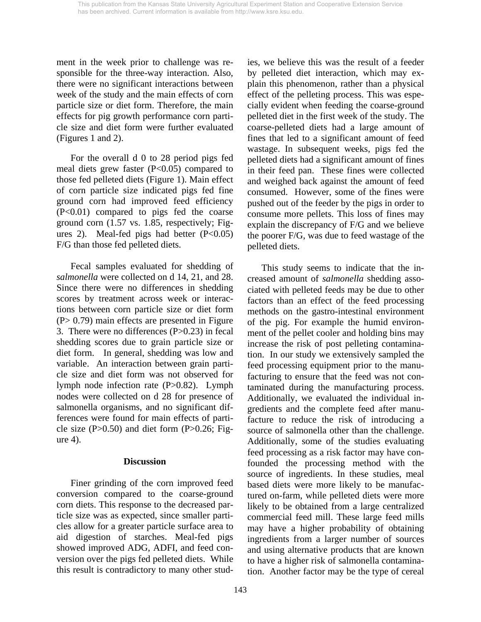ment in the week prior to challenge was responsible for the three-way interaction. Also, there were no significant interactions between week of the study and the main effects of corn particle size or diet form. Therefore, the main effects for pig growth performance corn particle size and diet form were further evaluated (Figures 1 and 2).

 For the overall d 0 to 28 period pigs fed meal diets grew faster  $(P<0.05)$  compared to those fed pelleted diets (Figure 1). Main effect of corn particle size indicated pigs fed fine ground corn had improved feed efficiency (P<0.01) compared to pigs fed the coarse ground corn (1.57 vs. 1.85, respectively; Figures 2). Meal-fed pigs had better  $(P<0.05)$ F/G than those fed pelleted diets.

 Fecal samples evaluated for shedding of *salmonella* were collected on d 14, 21, and 28. Since there were no differences in shedding scores by treatment across week or interactions between corn particle size or diet form (P> 0.79) main effects are presented in Figure 3. There were no differences (P>0.23) in fecal shedding scores due to grain particle size or diet form. In general, shedding was low and variable. An interaction between grain particle size and diet form was not observed for lymph node infection rate (P>0.82). Lymph nodes were collected on d 28 for presence of salmonella organisms, and no significant differences were found for main effects of particle size  $(P>0.50)$  and diet form  $(P>0.26; Fig$ ure 4).

## **Discussion**

 Finer grinding of the corn improved feed conversion compared to the coarse-ground corn diets. This response to the decreased particle size was as expected, since smaller particles allow for a greater particle surface area to aid digestion of starches. Meal-fed pigs showed improved ADG, ADFI, and feed conversion over the pigs fed pelleted diets. While this result is contradictory to many other studies, we believe this was the result of a feeder by pelleted diet interaction, which may explain this phenomenon, rather than a physical effect of the pelleting process. This was especially evident when feeding the coarse-ground pelleted diet in the first week of the study. The coarse-pelleted diets had a large amount of fines that led to a significant amount of feed wastage. In subsequent weeks, pigs fed the pelleted diets had a significant amount of fines in their feed pan. These fines were collected and weighed back against the amount of feed consumed. However, some of the fines were pushed out of the feeder by the pigs in order to consume more pellets. This loss of fines may explain the discrepancy of F/G and we believe the poorer F/G, was due to feed wastage of the pelleted diets.

 This study seems to indicate that the increased amount of *salmonella* shedding associated with pelleted feeds may be due to other factors than an effect of the feed processing methods on the gastro-intestinal environment of the pig. For example the humid environment of the pellet cooler and holding bins may increase the risk of post pelleting contamination. In our study we extensively sampled the feed processing equipment prior to the manufacturing to ensure that the feed was not contaminated during the manufacturing process. Additionally, we evaluated the individual ingredients and the complete feed after manufacture to reduce the risk of introducing a source of salmonella other than the challenge. Additionally, some of the studies evaluating feed processing as a risk factor may have confounded the processing method with the source of ingredients. In these studies, meal based diets were more likely to be manufactured on-farm, while pelleted diets were more likely to be obtained from a large centralized commercial feed mill. These large feed mills may have a higher probability of obtaining ingredients from a larger number of sources and using alternative products that are known to have a higher risk of salmonella contamination. Another factor may be the type of cereal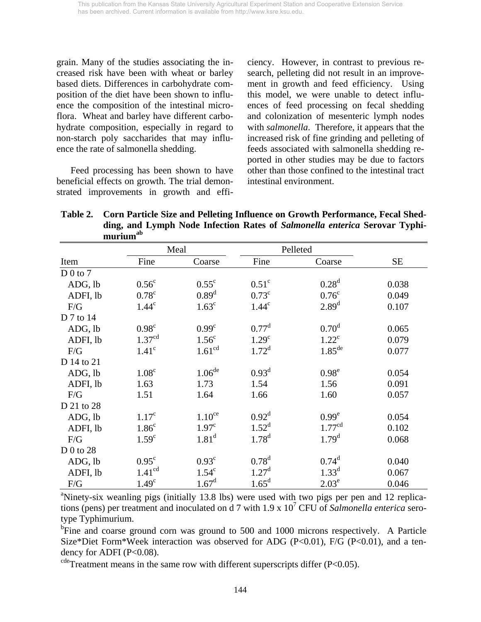grain. Many of the studies associating the increased risk have been with wheat or barley based diets. Differences in carbohydrate composition of the diet have been shown to influence the composition of the intestinal microflora. Wheat and barley have different carbohydrate composition, especially in regard to non-starch poly saccharides that may influence the rate of salmonella shedding.

 Feed processing has been shown to have beneficial effects on growth. The trial demonstrated improvements in growth and efficiency. However, in contrast to previous research, pelleting did not result in an improvement in growth and feed efficiency. Using this model, we were unable to detect influences of feed processing on fecal shedding and colonization of mesenteric lymph nodes with *salmonella*. Therefore, it appears that the increased risk of fine grinding and pelleting of feeds associated with salmonella shedding reported in other studies may be due to factors other than those confined to the intestinal tract intestinal environment.

**Table 2. Corn Particle Size and Pelleting Influence on Growth Performance, Fecal Shedding, and Lymph Node Infection Rates of** *Salmonella enterica* **Serovar Typhimuriumab**

|            |                    | Meal               | Pelleted          |                                                                                                            |           |
|------------|--------------------|--------------------|-------------------|------------------------------------------------------------------------------------------------------------|-----------|
| Item       | Fine               | Coarse             | Fine              | Coarse                                                                                                     | <b>SE</b> |
| $D_0$ to 7 |                    |                    |                   |                                                                                                            |           |
| ADG, lb    | 0.56 <sup>c</sup>  | $0.55^{\circ}$     | 0.51 <sup>c</sup> | 0.28 <sup>d</sup>                                                                                          | 0.038     |
| ADFI, lb   | $0.78^{\circ}$     | 0.89 <sup>d</sup>  | $0.73^{\circ}$    | 0.76 <sup>c</sup>                                                                                          | 0.049     |
| F/G        | 1.44 <sup>c</sup>  | 1.63 <sup>c</sup>  | 1.44 <sup>c</sup> | 2.89 <sup>d</sup>                                                                                          | 0.107     |
| D 7 to 14  |                    |                    |                   |                                                                                                            |           |
| ADG, lb    | $0.98^\circ$       | 0.99 <sup>c</sup>  | $0.77^{\rm d}$    | 0.70 <sup>d</sup>                                                                                          | 0.065     |
| ADFI, lb   | 1.37 <sup>cd</sup> | 1.56 <sup>c</sup>  | 1.29 <sup>c</sup> | $1.22^{\circ}$                                                                                             | 0.079     |
| F/G        | 1.41 <sup>c</sup>  | 1.61 <sup>cd</sup> | $1.72^d$          | $1.85^{\text{de}}$                                                                                         | 0.077     |
| D 14 to 21 |                    |                    |                   |                                                                                                            |           |
| ADG, lb    | 1.08 <sup>c</sup>  | $1.06^{\rm de}$    | $0.93^d$          | $0.98^e$                                                                                                   | 0.054     |
| ADFI, lb   | 1.63               | 1.73               | 1.54              | 1.56                                                                                                       | 0.091     |
| F/G        | 1.51               | 1.64               | 1.66              | 1.60                                                                                                       | 0.057     |
| D 21 to 28 |                    |                    |                   |                                                                                                            |           |
| ADG, lb    | 1.17 <sup>c</sup>  | 1.10 <sup>ce</sup> | $0.92^d$          | 0.99 <sup>e</sup>                                                                                          | 0.054     |
| ADFI, lb   | 1.86 <sup>c</sup>  | 1.97 <sup>c</sup>  | $1.52^d$          | 1.77 <sup>cd</sup>                                                                                         | 0.102     |
| F/G        | 1.59 <sup>c</sup>  | 1.81 <sup>d</sup>  | $1.78^{d}$        | 1.79 <sup>d</sup>                                                                                          | 0.068     |
| D 0 to 28  |                    |                    |                   |                                                                                                            |           |
| ADG, lb    | $0.95^{\circ}$     | $0.93^{\circ}$     | $0.78^d$          | $0.74^d$                                                                                                   | 0.040     |
| ADFI, lb   | 1.41 <sup>cd</sup> | $1.54^\circ$       | $1.27^{\rm d}$    | $1.33^{d}$                                                                                                 | 0.067     |
| F/G        | 1.49 <sup>c</sup>  | $1.67^{\rm d}$     | 1.65 <sup>d</sup> | 2.03 <sup>e</sup>                                                                                          | 0.046     |
|            |                    |                    |                   | <sup>a</sup> Ninety-six weanling pigs (initially 13.8 lbs) were used with two pigs per pen and 12 replica- |           |

tions (pens) per treatment and inoculated on d 7 with 1.9 x 107 CFU of *Salmonella enterica* serotype Typhimurium.

<sup>b</sup>Fine and coarse ground corn was ground to 500 and 1000 microns respectively. A Particle Size\*Diet Form\*Week interaction was observed for ADG (P<0.01), F/G (P<0.01), and a tendency for ADFI ( $P<0.08$ ).

 $cde$ <sup>cde</sup>Treatment means in the same row with different superscripts differ (P<0.05).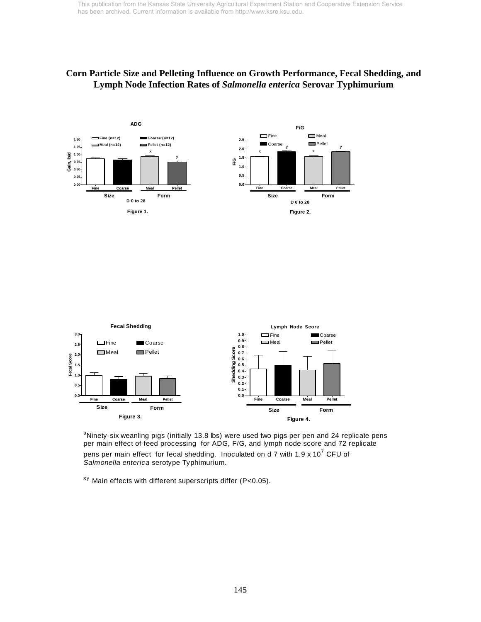## **Corn Particle Size and Pelleting Influence on Growth Performance, Fecal Shedding, and Lymph Node Infection Rates of** *Salmonella enterica* **Serovar Typhimurium**





<sup>a</sup>Ninety-six weanling pigs (initially 13.8 lbs) were used two pigs per pen and 24 replicate pens per main effect of feed processing for ADG, F/G, and lymph node score and 72 replicate pens per main effect for fecal shedding. Inoculated on d 7 with 1.9 x 10<sup>7</sup> CFU of *Salmonella enterica* serotype Typhimurium.

 $^{xy}$  Main effects with different superscripts differ (P<0.05).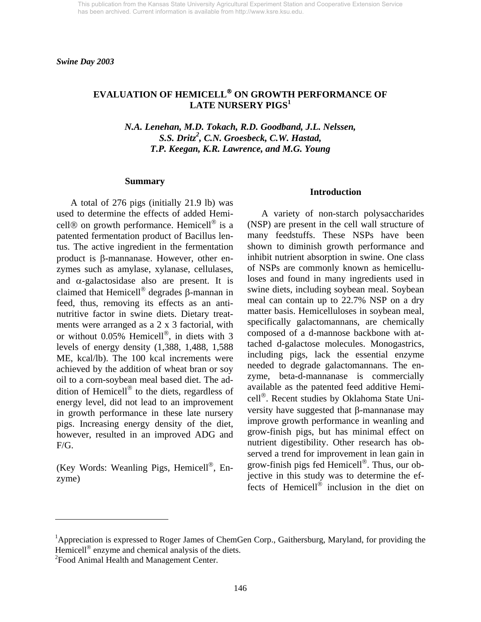*Swine Day 2003* 

# **EVALUATION OF HEMICELL**® **ON GROWTH PERFORMANCE OF LATE NURSERY PIGS1**

*N.A. Lenehan, M.D. Tokach, R.D. Goodband, J.L. Nelssen, S.S. Dritz2 , C.N. Groesbeck, C.W. Hastad, T.P. Keegan, K.R. Lawrence, and M.G. Young* 

#### **Summary**

 A total of 276 pigs (initially 21.9 lb) was used to determine the effects of added Hemicell® on growth performance. Hemicell® is a patented fermentation product of Bacillus lentus. The active ingredient in the fermentation product is β-mannanase. However, other enzymes such as amylase, xylanase, cellulases, and  $\alpha$ -galactosidase also are present. It is claimed that Hemicell® degrades β-mannan in feed, thus, removing its effects as an antinutritive factor in swine diets. Dietary treatments were arranged as a 2 x 3 factorial, with or without 0.05% Hemicell®, in diets with 3 levels of energy density (1,388, 1,488, 1,588 ME, kcal/lb). The 100 kcal increments were achieved by the addition of wheat bran or soy oil to a corn-soybean meal based diet. The addition of Hemicell® to the diets, regardless of energy level, did not lead to an improvement in growth performance in these late nursery pigs. Increasing energy density of the diet, however, resulted in an improved ADG and F/G.

(Key Words: Weanling Pigs, Hemicell®, Enzyme)

#### **Introduction**

 A variety of non-starch polysaccharides (NSP) are present in the cell wall structure of many feedstuffs. These NSPs have been shown to diminish growth performance and inhibit nutrient absorption in swine. One class of NSPs are commonly known as hemicelluloses and found in many ingredients used in swine diets, including soybean meal. Soybean meal can contain up to 22.7% NSP on a dry matter basis. Hemicelluloses in soybean meal, specifically galactomannans, are chemically composed of a d-mannose backbone with attached d-galactose molecules. Monogastrics, including pigs, lack the essential enzyme needed to degrade galactomannans. The enzyme, beta-d-mannanase is commercially available as the patented feed additive Hemicell®. Recent studies by Oklahoma State University have suggested that β-mannanase may improve growth performance in weanling and grow-finish pigs, but has minimal effect on nutrient digestibility. Other research has observed a trend for improvement in lean gain in grow-finish pigs fed Hemicell®. Thus, our objective in this study was to determine the effects of Hemicell $^{\circ}$  inclusion in the diet on

l

<sup>&</sup>lt;sup>1</sup>Appreciation is expressed to Roger James of ChemGen Corp., Gaithersburg, Maryland, for providing the Hemicell<sup>®</sup> enzyme and chemical analysis of the diets.

<sup>&</sup>lt;sup>2</sup> Food Animal Health and Management Center.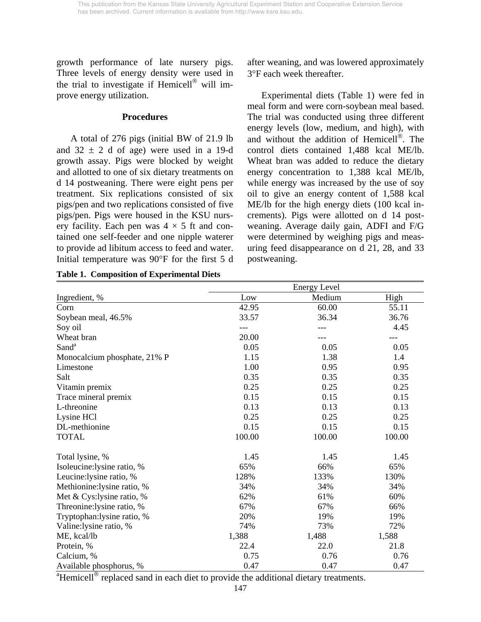growth performance of late nursery pigs. Three levels of energy density were used in the trial to investigate if Hemicell<sup>®</sup> will improve energy utilization.

### **Procedures**

 A total of 276 pigs (initial BW of 21.9 lb and  $32 \pm 2$  d of age) were used in a 19-d growth assay. Pigs were blocked by weight and allotted to one of six dietary treatments on d 14 postweaning. There were eight pens per treatment. Six replications consisted of six pigs/pen and two replications consisted of five pigs/pen. Pigs were housed in the KSU nursery facility. Each pen was  $4 \times 5$  ft and contained one self-feeder and one nipple waterer to provide ad libitum access to feed and water. Initial temperature was 90°F for the first 5 d after weaning, and was lowered approximately 3°F each week thereafter.

 Experimental diets (Table 1) were fed in meal form and were corn-soybean meal based. The trial was conducted using three different energy levels (low, medium, and high), with and without the addition of Hemicell®. The control diets contained 1,488 kcal ME/lb. Wheat bran was added to reduce the dietary energy concentration to 1,388 kcal ME/lb, while energy was increased by the use of soy oil to give an energy content of 1,588 kcal ME/lb for the high energy diets (100 kcal increments). Pigs were allotted on d 14 postweaning. Average daily gain, ADFI and F/G were determined by weighing pigs and measuring feed disappearance on d 21, 28, and 33 postweaning.

|                              | <b>Energy Level</b> |        |        |  |  |  |
|------------------------------|---------------------|--------|--------|--|--|--|
| Ingredient, %                | Low                 | Medium | High   |  |  |  |
| Corn                         | 42.95               | 60.00  | 55.11  |  |  |  |
| Soybean meal, 46.5%          | 33.57               | 36.34  | 36.76  |  |  |  |
| Soy oil                      |                     |        | 4.45   |  |  |  |
| Wheat bran                   | 20.00               |        |        |  |  |  |
| Sand <sup>a</sup>            | 0.05                | 0.05   | 0.05   |  |  |  |
| Monocalcium phosphate, 21% P | 1.15                | 1.38   | 1.4    |  |  |  |
| Limestone                    | 1.00                | 0.95   | 0.95   |  |  |  |
| Salt                         | 0.35                | 0.35   | 0.35   |  |  |  |
| Vitamin premix               | 0.25                | 0.25   | 0.25   |  |  |  |
| Trace mineral premix         | 0.15                | 0.15   | 0.15   |  |  |  |
| L-threonine                  | 0.13                | 0.13   | 0.13   |  |  |  |
| Lysine HCl                   | 0.25                | 0.25   | 0.25   |  |  |  |
| DL-methionine                | 0.15                | 0.15   | 0.15   |  |  |  |
| <b>TOTAL</b>                 | 100.00              | 100.00 | 100.00 |  |  |  |
| Total lysine, %              | 1.45                | 1.45   | 1.45   |  |  |  |
| Isoleucine:lysine ratio, %   | 65%                 | 66%    | 65%    |  |  |  |
| Leucine:lysine ratio, %      | 128%                | 133%   | 130%   |  |  |  |
| Methionine:lysine ratio, %   | 34%                 | 34%    | 34%    |  |  |  |
| Met & Cys: lysine ratio, %   | 62%                 | 61%    | 60%    |  |  |  |
| Threonine:lysine ratio, %    | 67%                 | 67%    | 66%    |  |  |  |
| Tryptophan:lysine ratio, %   | 20%                 | 19%    | 19%    |  |  |  |
| Valine:lysine ratio, %       | 74%                 | 73%    | 72%    |  |  |  |
| ME, kcal/lb                  | 1,388               | 1,488  | 1,588  |  |  |  |
| Protein, %                   | 22.4                | 22.0   | 21.8   |  |  |  |
| Calcium, %                   | 0.75                | 0.76   | 0.76   |  |  |  |
| Available phosphorus, %      | 0.47                | 0.47   | 0.47   |  |  |  |

**Table 1. Composition of Experimental Diets** 

<sup>a</sup>Hemicell<sup>®</sup> replaced sand in each diet to provide the additional dietary treatments.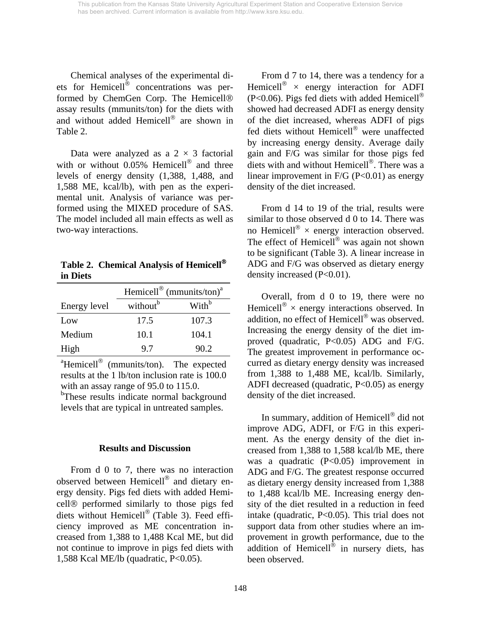Chemical analyses of the experimental diets for Hemicell® concentrations was performed by ChemGen Corp. The Hemicell® assay results (mmunits/ton) for the diets with and without added Hemicell® are shown in Table 2.

Data were analyzed as a  $2 \times 3$  factorial with or without 0.05% Hemicell<sup>®</sup> and three levels of energy density (1,388, 1,488, and 1,588 ME, kcal/lb), with pen as the experimental unit. Analysis of variance was performed using the MIXED procedure of SAS. The model included all main effects as well as two-way interactions.

**Table 2. Chemical Analysis of Hemicell**® **in Diets** 

|              | Hemicell® (mmunits/ton) <sup>a</sup> |                   |  |  |  |  |
|--------------|--------------------------------------|-------------------|--|--|--|--|
| Energy level | without <sup>b</sup>                 | With <sup>b</sup> |  |  |  |  |
| Low          | 17.5                                 | 107.3             |  |  |  |  |
| Medium       | 10.1                                 | 104.1             |  |  |  |  |
| High         | 9.7                                  | 90.2              |  |  |  |  |

 $\text{``Hemicell}^{\text{\textcircled{\tiny 8}}}$  (mmunits/ton). The expected results at the 1 lb/ton inclusion rate is 100.0 with an assay range of 95.0 to 115.0.

<sup>b</sup>These results indicate normal background levels that are typical in untreated samples.

### **Results and Discussion**

 From d 0 to 7, there was no interaction observed between Hemicell® and dietary energy density. Pigs fed diets with added Hemicell® performed similarly to those pigs fed diets without Hemicell® (Table 3). Feed efficiency improved as ME concentration increased from 1,388 to 1,488 Kcal ME, but did not continue to improve in pigs fed diets with 1,588 Kcal ME/lb (quadratic, P<0.05).

 From d 7 to 14, there was a tendency for a Hemicell<sup>®</sup>  $\times$  energy interaction for ADFI  $(P<0.06)$ . Pigs fed diets with added Hemicell<sup>®</sup> showed had decreased ADFI as energy density of the diet increased, whereas ADFI of pigs fed diets without Hemicell® were unaffected by increasing energy density. Average daily gain and F/G was similar for those pigs fed diets with and without Hemicell®. There was a linear improvement in  $F/G$  (P<0.01) as energy density of the diet increased.

 From d 14 to 19 of the trial, results were similar to those observed d 0 to 14. There was no Hemicell<sup>®</sup>  $\times$  energy interaction observed. The effect of Hemicell<sup>®</sup> was again not shown to be significant (Table 3). A linear increase in ADG and F/G was observed as dietary energy density increased (P<0.01).

 Overall, from d 0 to 19, there were no Hemicell<sup>®</sup>  $\times$  energy interactions observed. In addition, no effect of Hemicell® was observed. Increasing the energy density of the diet improved (quadratic, P<0.05) ADG and F/G. The greatest improvement in performance occurred as dietary energy density was increased from 1,388 to 1,488 ME, kcal/lb. Similarly, ADFI decreased (quadratic,  $P<0.05$ ) as energy density of the diet increased.

 In summary, addition of Hemicell® did not improve ADG, ADFI, or F/G in this experiment. As the energy density of the diet increased from 1,388 to 1,588 kcal/lb ME, there was a quadratic (P<0.05) improvement in ADG and F/G. The greatest response occurred as dietary energy density increased from 1,388 to 1,488 kcal/lb ME. Increasing energy density of the diet resulted in a reduction in feed intake (quadratic, P<0.05). This trial does not support data from other studies where an improvement in growth performance, due to the addition of Hemicell® in nursery diets, has been observed.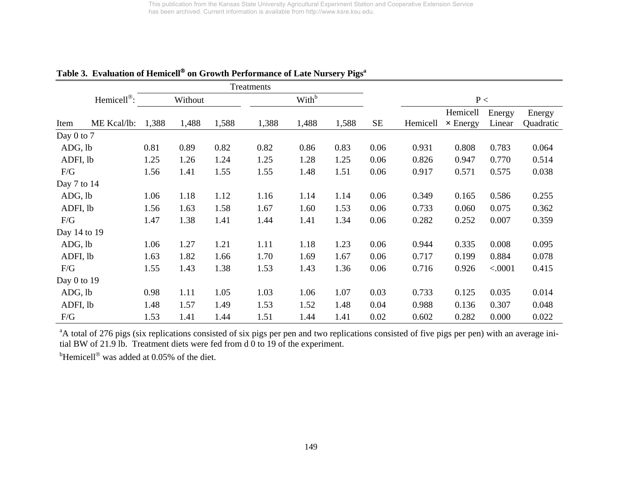|                 |                         |       |         |       | Treatments |                   |       |          |          |                 |         |           |
|-----------------|-------------------------|-------|---------|-------|------------|-------------------|-------|----------|----------|-----------------|---------|-----------|
|                 | Hemicell <sup>®</sup> : |       | Without |       |            | With <sup>b</sup> |       |          |          | P<              |         |           |
|                 |                         |       |         |       |            |                   |       |          |          | Hemicell        | Energy  | Energy    |
| Item            | ME Kcal/lb:             | 1,388 | 1,488   | 1,588 | 1,388      | 1,488             | 1,588 | $\rm SE$ | Hemicell | $\times$ Energy | Linear  | Quadratic |
| Day $0$ to $7$  |                         |       |         |       |            |                   |       |          |          |                 |         |           |
| ADG, lb         |                         | 0.81  | 0.89    | 0.82  | 0.82       | 0.86              | 0.83  | 0.06     | 0.931    | 0.808           | 0.783   | 0.064     |
| ADFI, lb        |                         | 1.25  | 1.26    | 1.24  | 1.25       | 1.28              | 1.25  | 0.06     | 0.826    | 0.947           | 0.770   | 0.514     |
| F/G             |                         | 1.56  | 1.41    | 1.55  | 1.55       | 1.48              | 1.51  | 0.06     | 0.917    | 0.571           | 0.575   | 0.038     |
| Day $7$ to $14$ |                         |       |         |       |            |                   |       |          |          |                 |         |           |
| ADG, lb         |                         | 1.06  | 1.18    | 1.12  | 1.16       | 1.14              | 1.14  | 0.06     | 0.349    | 0.165           | 0.586   | 0.255     |
| ADFI, lb        |                         | 1.56  | 1.63    | 1.58  | 1.67       | 1.60              | 1.53  | 0.06     | 0.733    | 0.060           | 0.075   | 0.362     |
| F/G             |                         | 1.47  | 1.38    | 1.41  | 1.44       | 1.41              | 1.34  | 0.06     | 0.282    | 0.252           | 0.007   | 0.359     |
| Day 14 to 19    |                         |       |         |       |            |                   |       |          |          |                 |         |           |
| ADG, lb         |                         | 1.06  | 1.27    | 1.21  | 1.11       | 1.18              | 1.23  | 0.06     | 0.944    | 0.335           | 0.008   | 0.095     |
| ADFI, lb        |                         | 1.63  | 1.82    | 1.66  | 1.70       | 1.69              | 1.67  | 0.06     | 0.717    | 0.199           | 0.884   | 0.078     |
| F/G             |                         | 1.55  | 1.43    | 1.38  | 1.53       | 1.43              | 1.36  | 0.06     | 0.716    | 0.926           | < .0001 | 0.415     |
| Day $0$ to $19$ |                         |       |         |       |            |                   |       |          |          |                 |         |           |
| ADG, lb         |                         | 0.98  | 1.11    | 1.05  | 1.03       | 1.06              | 1.07  | 0.03     | 0.733    | 0.125           | 0.035   | 0.014     |
| ADFI, lb        |                         | 1.48  | 1.57    | 1.49  | 1.53       | 1.52              | 1.48  | 0.04     | 0.988    | 0.136           | 0.307   | 0.048     |
| F/G             |                         | 1.53  | 1.41    | 1.44  | 1.51       | 1.44              | 1.41  | 0.02     | 0.602    | 0.282           | 0.000   | 0.022     |

**Table 3. Evaluation of Hemicell**® **on Growth Performance of Late Nursery Pigsa**

<sup>a</sup>A total of 276 pigs (six replications consisted of six pigs per pen and two replications consisted of five pigs per pen) with an average initial BW of 21.9 lb. Treatment diets were fed from d 0 to 19 of the experiment.

 $<sup>b</sup>$ Hemicell<sup>®</sup> was added at 0.05% of the diet.</sup>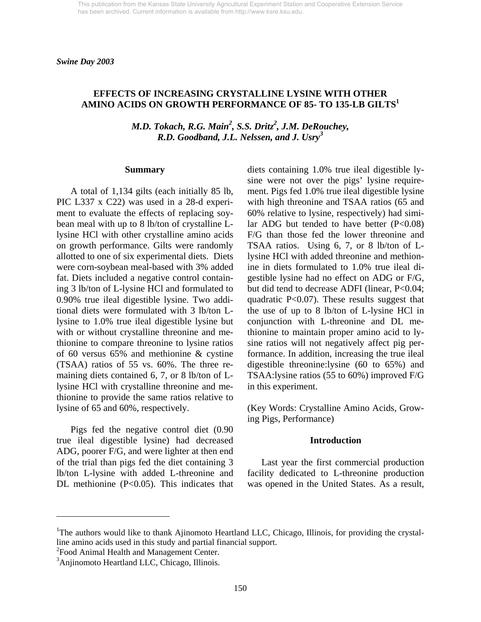## **EFFECTS OF INCREASING CRYSTALLINE LYSINE WITH OTHER AMINO ACIDS ON GROWTH PERFORMANCE OF 85- TO 135-LB GILTS<sup>1</sup>**

*M.D. Tokach, R.G. Main<sup>2</sup>, S.S. Dritz<sup>2</sup>, J.M. DeRouchey, R.D. Goodband, J.L. Nelssen, and J. Usry<sup>3</sup>*

#### **Summary**

 A total of 1,134 gilts (each initially 85 lb, PIC L337 x C22) was used in a 28-d experiment to evaluate the effects of replacing soybean meal with up to 8 lb/ton of crystalline Llysine HCl with other crystalline amino acids on growth performance. Gilts were randomly allotted to one of six experimental diets. Diets were corn-soybean meal-based with 3% added fat. Diets included a negative control containing 3 lb/ton of L-lysine HCl and formulated to 0.90% true ileal digestible lysine. Two additional diets were formulated with 3 lb/ton Llysine to 1.0% true ileal digestible lysine but with or without crystalline threonine and methionine to compare threonine to lysine ratios of 60 versus 65% and methionine & cystine (TSAA) ratios of 55 vs. 60%. The three remaining diets contained 6, 7, or 8 lb/ton of Llysine HCl with crystalline threonine and methionine to provide the same ratios relative to lysine of 65 and 60%, respectively.

 Pigs fed the negative control diet (0.90 true ileal digestible lysine) had decreased ADG, poorer F/G, and were lighter at then end of the trial than pigs fed the diet containing 3 lb/ton L-lysine with added L-threonine and DL methionine (P<0.05). This indicates that

diets containing 1.0% true ileal digestible lysine were not over the pigs' lysine requirement. Pigs fed 1.0% true ileal digestible lysine with high threonine and TSAA ratios (65 and 60% relative to lysine, respectively) had similar ADG but tended to have better  $(P<0.08)$ F/G than those fed the lower threonine and TSAA ratios. Using 6, 7, or 8 lb/ton of Llysine HCl with added threonine and methionine in diets formulated to 1.0% true ileal digestible lysine had no effect on ADG or F/G, but did tend to decrease ADFI (linear, P<0.04; quadratic P<0.07). These results suggest that the use of up to 8 lb/ton of L-lysine HCl in conjunction with L-threonine and DL methionine to maintain proper amino acid to lysine ratios will not negatively affect pig performance. In addition, increasing the true ileal digestible threonine:lysine (60 to 65%) and TSAA:lysine ratios (55 to 60%) improved F/G in this experiment.

(Key Words: Crystalline Amino Acids, Growing Pigs, Performance)

#### **Introduction**

Last year the first commercial production facility dedicated to L-threonine production was opened in the United States. As a result,

<sup>2</sup> Food Animal Health and Management Center.

l

<sup>&</sup>lt;sup>1</sup>The authors would like to thank Ajinomoto Heartland LLC, Chicago, Illinois, for providing the crystalline amino acids used in this study and partial financial support.

<sup>&</sup>lt;sup>3</sup>Anjinomoto Heartland LLC, Chicago, Illinois.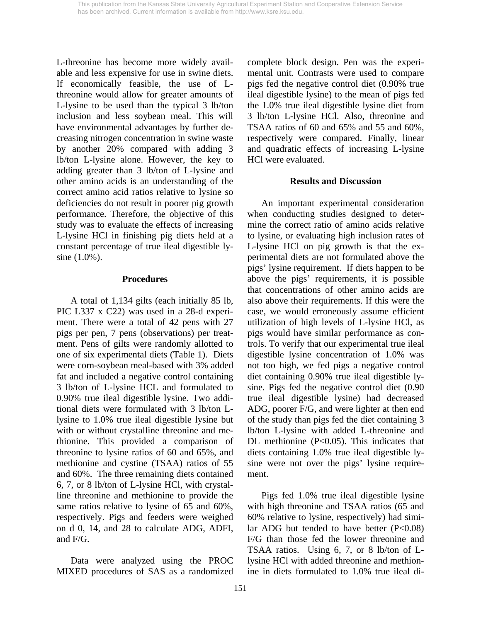L-threonine has become more widely available and less expensive for use in swine diets. If economically feasible, the use of Lthreonine would allow for greater amounts of L-lysine to be used than the typical 3 lb/ton inclusion and less soybean meal. This will have environmental advantages by further decreasing nitrogen concentration in swine waste by another 20% compared with adding 3 lb/ton L-lysine alone. However, the key to adding greater than 3 lb/ton of L-lysine and other amino acids is an understanding of the correct amino acid ratios relative to lysine so deficiencies do not result in poorer pig growth performance. Therefore, the objective of this study was to evaluate the effects of increasing L-lysine HCl in finishing pig diets held at a constant percentage of true ileal digestible lysine (1.0%).

## **Procedures**

A total of 1,134 gilts (each initially 85 lb, PIC L337 x C22) was used in a 28-d experiment. There were a total of 42 pens with 27 pigs per pen, 7 pens (observations) per treatment. Pens of gilts were randomly allotted to one of six experimental diets (Table 1). Diets were corn-soybean meal-based with 3% added fat and included a negative control containing 3 lb/ton of L-lysine HCL and formulated to 0.90% true ileal digestible lysine. Two additional diets were formulated with 3 lb/ton Llysine to 1.0% true ileal digestible lysine but with or without crystalline threonine and methionine. This provided a comparison of threonine to lysine ratios of 60 and 65%, and methionine and cystine (TSAA) ratios of 55 and 60%. The three remaining diets contained 6, 7, or 8 lb/ton of L-lysine HCl, with crystalline threonine and methionine to provide the same ratios relative to lysine of 65 and 60%, respectively. Pigs and feeders were weighed on d 0, 14, and 28 to calculate ADG, ADFI, and F/G.

 Data were analyzed using the PROC MIXED procedures of SAS as a randomized complete block design. Pen was the experimental unit. Contrasts were used to compare pigs fed the negative control diet (0.90% true ileal digestible lysine) to the mean of pigs fed the 1.0% true ileal digestible lysine diet from 3 lb/ton L-lysine HCl. Also, threonine and TSAA ratios of 60 and 65% and 55 and 60%, respectively were compared. Finally, linear and quadratic effects of increasing L-lysine HCl were evaluated.

## **Results and Discussion**

An important experimental consideration when conducting studies designed to determine the correct ratio of amino acids relative to lysine, or evaluating high inclusion rates of L-lysine HCl on pig growth is that the experimental diets are not formulated above the pigs' lysine requirement. If diets happen to be above the pigs' requirements, it is possible that concentrations of other amino acids are also above their requirements. If this were the case, we would erroneously assume efficient utilization of high levels of L-lysine HCl, as pigs would have similar performance as controls. To verify that our experimental true ileal digestible lysine concentration of 1.0% was not too high, we fed pigs a negative control diet containing 0.90% true ileal digestible lysine. Pigs fed the negative control diet (0.90 true ileal digestible lysine) had decreased ADG, poorer F/G, and were lighter at then end of the study than pigs fed the diet containing 3 lb/ton L-lysine with added L-threonine and DL methionine (P<0.05). This indicates that diets containing 1.0% true ileal digestible lysine were not over the pigs' lysine requirement.

 Pigs fed 1.0% true ileal digestible lysine with high threonine and TSAA ratios (65 and 60% relative to lysine, respectively) had similar ADG but tended to have better  $(P<0.08)$ F/G than those fed the lower threonine and TSAA ratios. Using 6, 7, or 8 lb/ton of Llysine HCl with added threonine and methionine in diets formulated to 1.0% true ileal di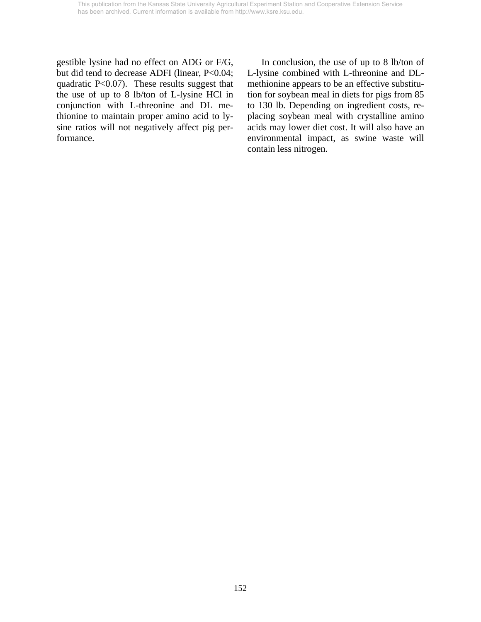gestible lysine had no effect on ADG or F/G, but did tend to decrease ADFI (linear, P<0.04; quadratic P<0.07). These results suggest that the use of up to 8 lb/ton of L-lysine HCl in conjunction with L-threonine and DL methionine to maintain proper amino acid to lysine ratios will not negatively affect pig performance.

 In conclusion, the use of up to 8 lb/ton of L-lysine combined with L-threonine and DLmethionine appears to be an effective substitution for soybean meal in diets for pigs from 85 to 130 lb. Depending on ingredient costs, replacing soybean meal with crystalline amino acids may lower diet cost. It will also have an environmental impact, as swine waste will contain less nitrogen.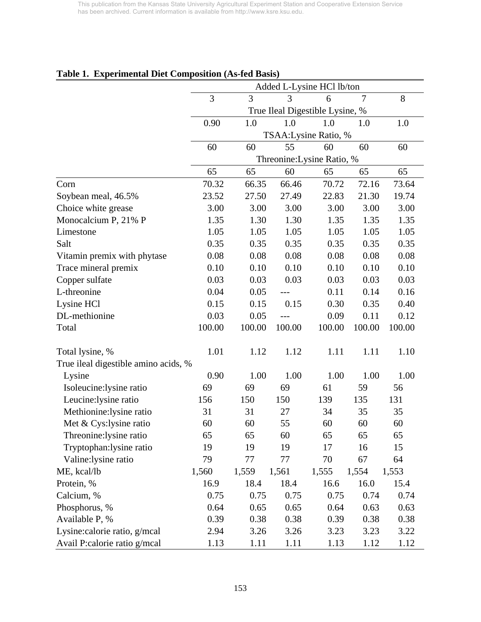| Table 1. Experimental Diet Composition (As-led Dasis) |        |        |        | Added L-Lysine HCl lb/ton       |                |        |  |
|-------------------------------------------------------|--------|--------|--------|---------------------------------|----------------|--------|--|
|                                                       | 3      | 3      | 3      | 6                               | $\overline{7}$ | 8      |  |
|                                                       |        |        |        | True Ileal Digestible Lysine, % |                |        |  |
|                                                       | 0.90   | 1.0    | 1.0    | 1.0                             | 1.0            | 1.0    |  |
|                                                       |        |        |        | TSAA: Lysine Ratio, %           |                |        |  |
|                                                       | 60     | 60     | 55     | 60                              | 60             | 60     |  |
|                                                       |        |        |        | Threonine: Lysine Ratio, %      |                |        |  |
|                                                       | 65     | 65     | 60     | 65                              | 65             | 65     |  |
| Corn                                                  | 70.32  | 66.35  | 66.46  | 70.72                           | 72.16          | 73.64  |  |
| Soybean meal, 46.5%                                   | 23.52  | 27.50  | 27.49  | 22.83                           | 21.30          | 19.74  |  |
| Choice white grease                                   | 3.00   | 3.00   | 3.00   | 3.00                            | 3.00           | 3.00   |  |
| Monocalcium P, 21% P                                  | 1.35   | 1.30   | 1.30   | 1.35                            | 1.35           | 1.35   |  |
| Limestone                                             | 1.05   | 1.05   | 1.05   | 1.05                            | 1.05           | 1.05   |  |
| Salt                                                  | 0.35   | 0.35   | 0.35   | 0.35                            | 0.35           | 0.35   |  |
| Vitamin premix with phytase                           | 0.08   | 0.08   | 0.08   | 0.08                            | 0.08           | 0.08   |  |
| Trace mineral premix                                  | 0.10   | 0.10   | 0.10   | 0.10                            | 0.10           | 0.10   |  |
| Copper sulfate                                        | 0.03   | 0.03   | 0.03   | 0.03                            | 0.03           | 0.03   |  |
| L-threonine                                           | 0.04   | 0.05   |        | 0.11                            | 0.14           | 0.16   |  |
| Lysine HCl                                            | 0.15   | 0.15   | 0.15   | 0.30                            | 0.35           | 0.40   |  |
| DL-methionine                                         | 0.03   | 0.05   |        | 0.09                            | 0.11           | 0.12   |  |
| Total                                                 | 100.00 | 100.00 | 100.00 | 100.00                          | 100.00         | 100.00 |  |
| Total lysine, %                                       | 1.01   | 1.12   | 1.12   | 1.11                            | 1.11           | 1.10   |  |
| True ileal digestible amino acids, %                  |        |        |        |                                 |                |        |  |
| Lysine                                                | 0.90   | 1.00   | 1.00   | 1.00                            | 1.00           | 1.00   |  |
| Isoleucine: lysine ratio                              | 69     | 69     | 69     | 61                              | 59             | 56     |  |
| Leucine: lysine ratio                                 | 156    | 150    | 150    | 139                             | 135            | 131    |  |
| Methionine: lysine ratio                              | 31     | 31     | 27     | 34                              | 35             | 35     |  |
| Met & Cys: lysine ratio                               | 60     | 60     | 55     | 60                              | 60             | 60     |  |
| Threonine: lysine ratio                               | 65     | 65     | 60     | 65                              | 65             | 65     |  |
| Tryptophan: lysine ratio                              | 19     | 19     | 19     | 17                              | 16             | 15     |  |
| Valine:lysine ratio                                   | 79     | 77     | 77     | 70                              | 67             | 64     |  |
| ME, kcal/lb                                           | 1,560  | 1,559  | 1,561  | 1,555                           | 1,554          | 1,553  |  |
| Protein, %                                            | 16.9   | 18.4   | 18.4   | 16.6                            | 16.0           | 15.4   |  |
| Calcium, %                                            | 0.75   | 0.75   | 0.75   | 0.75                            | 0.74           | 0.74   |  |
| Phosphorus, %                                         | 0.64   | 0.65   | 0.65   | 0.64                            | 0.63           | 0.63   |  |
| Available P, %                                        | 0.39   | 0.38   | 0.38   | 0.39                            | 0.38           | 0.38   |  |
| Lysine: calorie ratio, g/mcal                         | 2.94   | 3.26   | 3.26   | 3.23                            | 3.23           | 3.22   |  |
| Avail P:calorie ratio g/mcal                          | 1.13   | 1.11   | 1.11   | 1.13                            | 1.12           | 1.12   |  |

## **Table 1. Experimental Diet Composition (As-fed Basis)**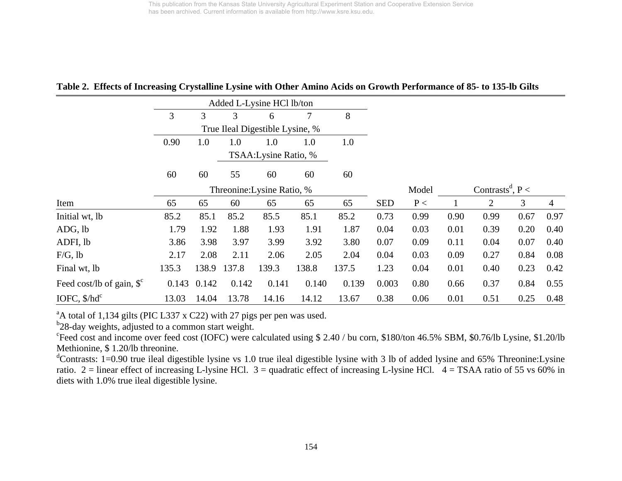**Table 2. Effects of Increasing Crystalline Lysine with Other Amino Acids on Growth Performance of 85- to 135-lb Gilts** 

|                                       |       |       |       | Added L-Lysine HCl lb/ton       |       |       |            |       |      |                                |      |                |
|---------------------------------------|-------|-------|-------|---------------------------------|-------|-------|------------|-------|------|--------------------------------|------|----------------|
|                                       | 3     | 3     | 3     | 6                               | 7     | 8     |            |       |      |                                |      |                |
|                                       |       |       |       | True Ileal Digestible Lysine, % |       |       |            |       |      |                                |      |                |
|                                       | 0.90  | 1.0   | 1.0   | 1.0                             | 1.0   | 1.0   |            |       |      |                                |      |                |
|                                       |       |       |       | TSAA: Lysine Ratio, %           |       |       |            |       |      |                                |      |                |
|                                       | 60    | 60    | 55    | 60                              | 60    | 60    |            |       |      |                                |      |                |
|                                       |       |       |       | Threonine: Lysine Ratio, %      |       |       |            | Model |      | Contrasts <sup>d</sup> , $P <$ |      |                |
| Item                                  | 65    | 65    | 60    | 65                              | 65    | 65    | <b>SED</b> | P<    |      | $\overline{2}$                 | 3    | $\overline{4}$ |
| Initial wt, lb                        | 85.2  | 85.1  | 85.2  | 85.5                            | 85.1  | 85.2  | 0.73       | 0.99  | 0.90 | 0.99                           | 0.67 | 0.97           |
| ADG, lb                               | 1.79  | 1.92  | 1.88  | 1.93                            | 1.91  | 1.87  | 0.04       | 0.03  | 0.01 | 0.39                           | 0.20 | 0.40           |
| ADFI, lb                              | 3.86  | 3.98  | 3.97  | 3.99                            | 3.92  | 3.80  | 0.07       | 0.09  | 0.11 | 0.04                           | 0.07 | 0.40           |
| $F/G$ , lb                            | 2.17  | 2.08  | 2.11  | 2.06                            | 2.05  | 2.04  | 0.04       | 0.03  | 0.09 | 0.27                           | 0.84 | 0.08           |
| Final wt, lb                          | 135.3 | 138.9 | 137.8 | 139.3                           | 138.8 | 137.5 | 1.23       | 0.04  | 0.01 | 0.40                           | 0.23 | 0.42           |
| Feed cost/lb of gain, $\mathcal{S}^c$ | 0.143 | 0.142 | 0.142 | 0.141                           | 0.140 | 0.139 | 0.003      | 0.80  | 0.66 | 0.37                           | 0.84 | 0.55           |
| IOFC, $$/hd^c$                        | 13.03 | 14.04 | 13.78 | 14.16                           | 14.12 | 13.67 | 0.38       | 0.06  | 0.01 | 0.51                           | 0.25 | 0.48           |

 $A^A$  total of 1,134 gilts (PIC L337 x C22) with 27 pigs per pen was used.

 $b^2$ 28-day weights, adjusted to a common start weight.

<sup>c</sup>Feed cost and income over feed cost (IOFC) were calculated using \$ 2.40 / bu corn, \$180/ton 46.5% SBM, \$0.76/lb Lysine, \$1.20/lb Methionine, \$ 1.20/lb threonine.

<sup>d</sup>Contrasts: 1=0.90 true ileal digestible lysine vs 1.0 true ileal digestible lysine with 3 lb of added lysine and 65% Threonine:Lysine ratio. 2 = linear effect of increasing L-lysine HCl. 3 = quadratic effect of increasing L-lysine HCl.  $4 =$ TSAA ratio of 55 vs 60% in diets with 1.0% true ileal digestible lysine.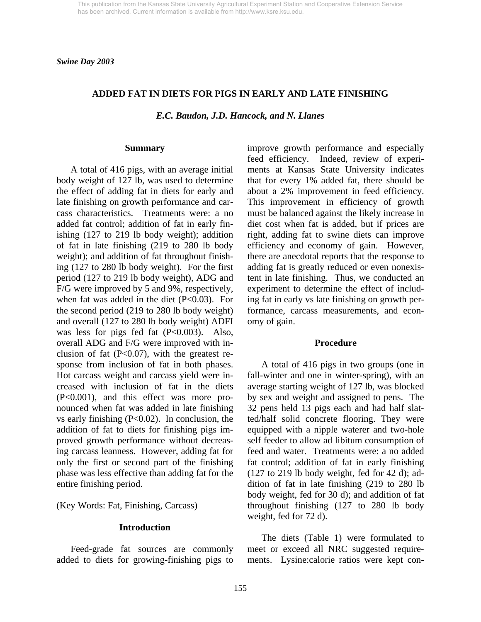*Swine Day 2003* 

#### **ADDED FAT IN DIETS FOR PIGS IN EARLY AND LATE FINISHING**

*E.C. Baudon, J.D. Hancock, and N. Llanes* 

#### **Summary**

 A total of 416 pigs, with an average initial body weight of 127 lb, was used to determine the effect of adding fat in diets for early and late finishing on growth performance and carcass characteristics. Treatments were: a no added fat control; addition of fat in early finishing (127 to 219 lb body weight); addition of fat in late finishing (219 to 280 lb body weight); and addition of fat throughout finishing (127 to 280 lb body weight). For the first period (127 to 219 lb body weight), ADG and F/G were improved by 5 and 9%, respectively, when fat was added in the diet  $(P<0.03)$ . For the second period (219 to 280 lb body weight) and overall (127 to 280 lb body weight) ADFI was less for pigs fed fat  $(P<0.003)$ . Also, overall ADG and F/G were improved with inclusion of fat  $(P<0.07)$ , with the greatest response from inclusion of fat in both phases. Hot carcass weight and carcass yield were increased with inclusion of fat in the diets (P<0.001), and this effect was more pronounced when fat was added in late finishing vs early finishing  $(P<0.02)$ . In conclusion, the addition of fat to diets for finishing pigs improved growth performance without decreasing carcass leanness. However, adding fat for only the first or second part of the finishing phase was less effective than adding fat for the entire finishing period.

(Key Words: Fat, Finishing, Carcass)

### **Introduction**

 Feed-grade fat sources are commonly added to diets for growing-finishing pigs to improve growth performance and especially feed efficiency. Indeed, review of experiments at Kansas State University indicates that for every 1% added fat, there should be about a 2% improvement in feed efficiency. This improvement in efficiency of growth must be balanced against the likely increase in diet cost when fat is added, but if prices are right, adding fat to swine diets can improve efficiency and economy of gain. However, there are anecdotal reports that the response to adding fat is greatly reduced or even nonexistent in late finishing. Thus, we conducted an experiment to determine the effect of including fat in early vs late finishing on growth performance, carcass measurements, and economy of gain.

#### **Procedure**

 A total of 416 pigs in two groups (one in fall-winter and one in winter-spring), with an average starting weight of 127 lb, was blocked by sex and weight and assigned to pens. The 32 pens held 13 pigs each and had half slatted/half solid concrete flooring. They were equipped with a nipple waterer and two-hole self feeder to allow ad libitum consumption of feed and water. Treatments were: a no added fat control; addition of fat in early finishing (127 to 219 lb body weight, fed for 42 d); addition of fat in late finishing (219 to 280 lb body weight, fed for 30 d); and addition of fat throughout finishing (127 to 280 lb body weight, fed for 72 d).

 The diets (Table 1) were formulated to meet or exceed all NRC suggested requirements. Lysine:calorie ratios were kept con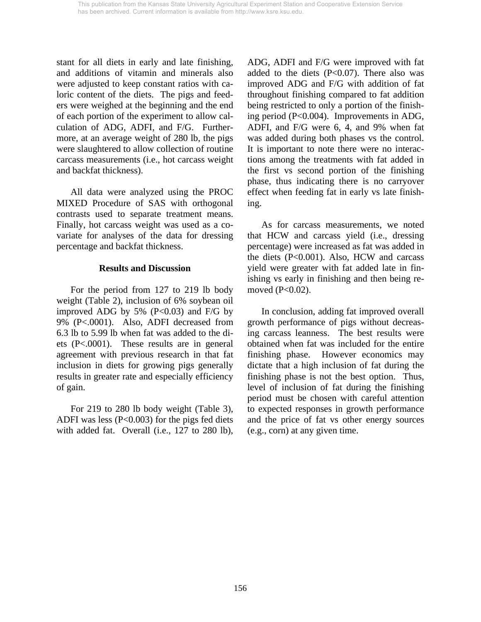stant for all diets in early and late finishing, and additions of vitamin and minerals also were adjusted to keep constant ratios with caloric content of the diets. The pigs and feeders were weighed at the beginning and the end of each portion of the experiment to allow calculation of ADG, ADFI, and F/G. Furthermore, at an average weight of 280 lb, the pigs were slaughtered to allow collection of routine carcass measurements (i.e., hot carcass weight and backfat thickness).

 All data were analyzed using the PROC MIXED Procedure of SAS with orthogonal contrasts used to separate treatment means. Finally, hot carcass weight was used as a covariate for analyses of the data for dressing percentage and backfat thickness.

## **Results and Discussion**

 For the period from 127 to 219 lb body weight (Table 2), inclusion of 6% soybean oil improved ADG by 5%  $(P<0.03)$  and F/G by 9% (P<.0001). Also, ADFI decreased from 6.3 lb to 5.99 lb when fat was added to the diets (P<.0001). These results are in general agreement with previous research in that fat inclusion in diets for growing pigs generally results in greater rate and especially efficiency of gain.

 For 219 to 280 lb body weight (Table 3), ADFI was less  $(P<0.003)$  for the pigs fed diets with added fat. Overall (i.e., 127 to 280 lb), ADG, ADFI and F/G were improved with fat added to the diets  $(P<0.07)$ . There also was improved ADG and F/G with addition of fat throughout finishing compared to fat addition being restricted to only a portion of the finishing period (P<0.004). Improvements in ADG, ADFI, and F/G were 6, 4, and 9% when fat was added during both phases vs the control. It is important to note there were no interactions among the treatments with fat added in the first vs second portion of the finishing phase, thus indicating there is no carryover effect when feeding fat in early vs late finishing.

 As for carcass measurements, we noted that HCW and carcass yield (i.e., dressing percentage) were increased as fat was added in the diets (P<0.001). Also, HCW and carcass yield were greater with fat added late in finishing vs early in finishing and then being removed (P<0.02).

 In conclusion, adding fat improved overall growth performance of pigs without decreasing carcass leanness. The best results were obtained when fat was included for the entire finishing phase. However economics may dictate that a high inclusion of fat during the finishing phase is not the best option. Thus, level of inclusion of fat during the finishing period must be chosen with careful attention to expected responses in growth performance and the price of fat vs other energy sources (e.g., corn) at any given time.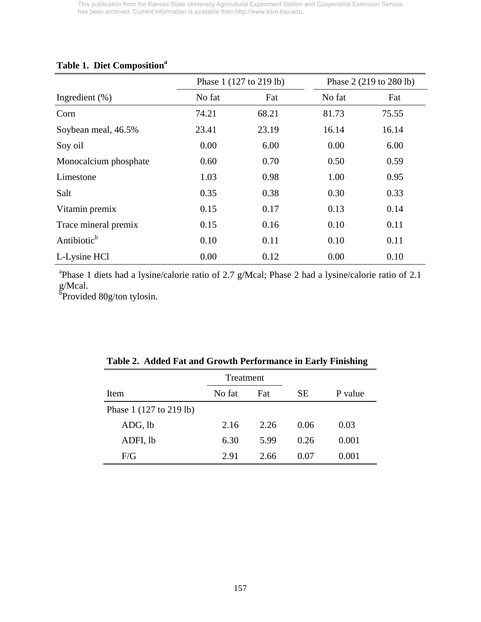# **Table 1. Diet Composition<sup>a</sup>**

|                         |        | Phase 1 (127 to 219 lb) |        | Phase 2 (219 to 280 lb) |
|-------------------------|--------|-------------------------|--------|-------------------------|
| Ingredient $(\%)$       | No fat | Fat                     | No fat | Fat                     |
| Corn                    | 74.21  | 68.21                   | 81.73  | 75.55                   |
| Soybean meal, 46.5%     | 23.41  | 23.19                   | 16.14  | 16.14                   |
| Soy oil                 | 0.00   | 6.00                    | 0.00   | 6.00                    |
| Monocalcium phosphate   | 0.60   | 0.70                    | 0.50   | 0.59                    |
| Limestone               | 1.03   | 0.98                    | 1.00   | 0.95                    |
| Salt                    | 0.35   | 0.38                    | 0.30   | 0.33                    |
| Vitamin premix          | 0.15   | 0.17                    | 0.13   | 0.14                    |
| Trace mineral premix    | 0.15   | 0.16                    | 0.10   | 0.11                    |
| Antibiotic <sup>b</sup> | 0.10   | 0.11                    | 0.10   | 0.11                    |
| L-Lysine HCl            | 0.00   | 0.12                    | 0.00   | 0.10                    |

<sup>a</sup>Phase 1 diets had a lysine/calorie ratio of 2.7 g/Mcal; Phase 2 had a lysine/calorie ratio of 2.1 g/Mcal.<br><sup>b</sup>Provided 80g/ton tylosin.

|                                           | Treatment |      |      |         |
|-------------------------------------------|-----------|------|------|---------|
| Item                                      | No fat    | Fat  |      | P value |
| Phase $1(127 \text{ to } 219 \text{ lb})$ |           |      |      |         |
| ADG, lb                                   | 2.16      | 2.26 | 0.06 | 0.03    |
| ADFI, lb                                  | 6.30      | 5.99 | 0.26 | 0.001   |
| F/G                                       | 2.91      | 2.66 | 0.07 | 0.001   |

|  |  |  |  | Table 2. Added Fat and Growth Performance in Early Finishing |  |  |  |
|--|--|--|--|--------------------------------------------------------------|--|--|--|
|--|--|--|--|--------------------------------------------------------------|--|--|--|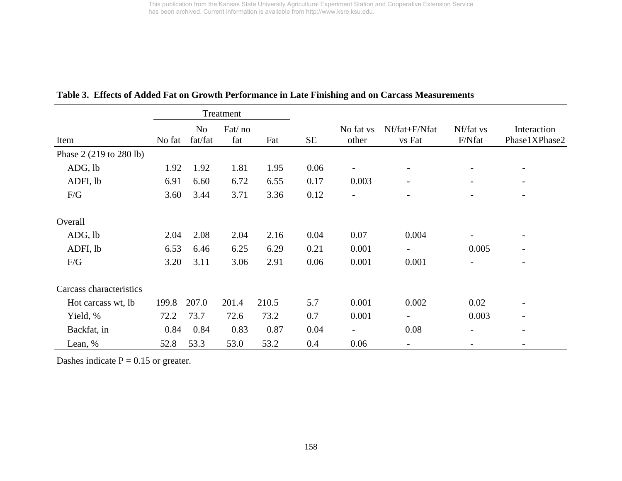|                         |        |                           | Treatment     |       |           |                          |                          |                          |                              |
|-------------------------|--------|---------------------------|---------------|-------|-----------|--------------------------|--------------------------|--------------------------|------------------------------|
| Item                    | No fat | N <sub>o</sub><br>fat/fat | Fat/no<br>fat | Fat   | <b>SE</b> | No fat vs<br>other       | Nf/fat+F/Nfat<br>vs Fat  | Nf/fat vs<br>F/Nfat      | Interaction<br>Phase1XPhase2 |
| Phase 2 (219 to 280 lb) |        |                           |               |       |           |                          |                          |                          |                              |
| ADG, lb                 | 1.92   | 1.92                      | 1.81          | 1.95  | 0.06      | $\overline{\phantom{0}}$ | $\overline{\phantom{a}}$ | $\overline{\phantom{0}}$ | $\overline{\phantom{a}}$     |
| ADFI, lb                | 6.91   | 6.60                      | 6.72          | 6.55  | 0.17      | 0.003                    |                          |                          | $\overline{\phantom{a}}$     |
| F/G                     | 3.60   | 3.44                      | 3.71          | 3.36  | 0.12      | $\qquad \qquad$          |                          |                          | $\overline{\phantom{0}}$     |
| Overall                 |        |                           |               |       |           |                          |                          |                          |                              |
| ADG, lb                 | 2.04   | 2.08                      | 2.04          | 2.16  | 0.04      | 0.07                     | 0.004                    |                          | $\overline{\phantom{a}}$     |
| ADFI, lb                | 6.53   | 6.46                      | 6.25          | 6.29  | 0.21      | 0.001                    | $\overline{\phantom{a}}$ | 0.005                    | $\overline{\phantom{a}}$     |
| F/G                     | 3.20   | 3.11                      | 3.06          | 2.91  | 0.06      | 0.001                    | 0.001                    | $\overline{\phantom{a}}$ | $\overline{\phantom{a}}$     |
| Carcass characteristics |        |                           |               |       |           |                          |                          |                          |                              |
| Hot carcass wt, lb      | 199.8  | 207.0                     | 201.4         | 210.5 | 5.7       | 0.001                    | 0.002                    | 0.02                     | $\overline{a}$               |
| Yield, %                | 72.2   | 73.7                      | 72.6          | 73.2  | 0.7       | 0.001                    | $\overline{\phantom{0}}$ | 0.003                    |                              |
| Backfat, in             | 0.84   | 0.84                      | 0.83          | 0.87  | 0.04      | $\overline{\phantom{0}}$ | 0.08                     |                          | $\overline{\phantom{a}}$     |
| Lean, %                 | 52.8   | 53.3                      | 53.0          | 53.2  | 0.4       | 0.06                     |                          |                          | $\overline{\phantom{0}}$     |

## **Table 3. Effects of Added Fat on Growth Performance in Late Finishing and on Carcass Measurements**

Dashes indicate  $P = 0.15$  or greater.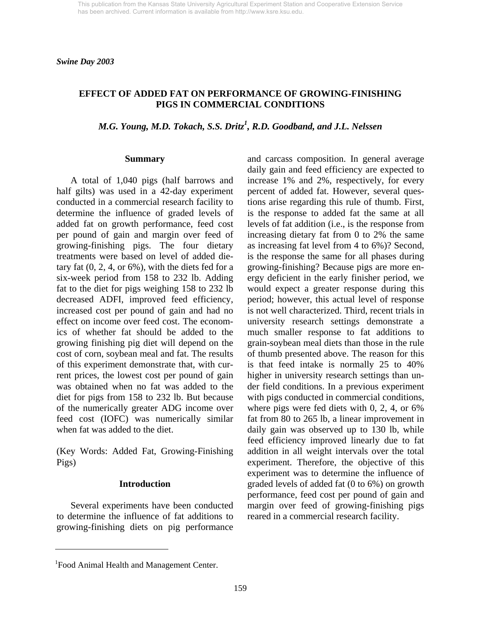## **EFFECT OF ADDED FAT ON PERFORMANCE OF GROWING-FINISHING PIGS IN COMMERCIAL CONDITIONS**

## *M.G. Young, M.D. Tokach, S.S. Dritz<sup>1</sup> , R.D. Goodband, and J.L. Nelssen*

#### **Summary**

 A total of 1,040 pigs (half barrows and half gilts) was used in a 42-day experiment conducted in a commercial research facility to determine the influence of graded levels of added fat on growth performance, feed cost per pound of gain and margin over feed of growing-finishing pigs. The four dietary treatments were based on level of added dietary fat  $(0, 2, 4, or 6\%)$ , with the diets fed for a six-week period from 158 to 232 lb. Adding fat to the diet for pigs weighing 158 to 232 lb decreased ADFI, improved feed efficiency, increased cost per pound of gain and had no effect on income over feed cost. The economics of whether fat should be added to the growing finishing pig diet will depend on the cost of corn, soybean meal and fat. The results of this experiment demonstrate that, with current prices, the lowest cost per pound of gain was obtained when no fat was added to the diet for pigs from 158 to 232 lb. But because of the numerically greater ADG income over feed cost (IOFC) was numerically similar when fat was added to the diet.

(Key Words: Added Fat, Growing-Finishing Pigs)

### **Introduction**

 Several experiments have been conducted to determine the influence of fat additions to growing-finishing diets on pig performance

and carcass composition. In general average daily gain and feed efficiency are expected to increase 1% and 2%, respectively, for every percent of added fat. However, several questions arise regarding this rule of thumb. First, is the response to added fat the same at all levels of fat addition (i.e., is the response from increasing dietary fat from 0 to 2% the same as increasing fat level from 4 to 6%)? Second, is the response the same for all phases during growing-finishing? Because pigs are more energy deficient in the early finisher period, we would expect a greater response during this period; however, this actual level of response is not well characterized. Third, recent trials in university research settings demonstrate a much smaller response to fat additions to grain-soybean meal diets than those in the rule of thumb presented above. The reason for this is that feed intake is normally 25 to 40% higher in university research settings than under field conditions. In a previous experiment with pigs conducted in commercial conditions, where pigs were fed diets with 0, 2, 4, or 6% fat from 80 to 265 lb, a linear improvement in daily gain was observed up to 130 lb, while feed efficiency improved linearly due to fat addition in all weight intervals over the total experiment. Therefore, the objective of this experiment was to determine the influence of graded levels of added fat (0 to 6%) on growth performance, feed cost per pound of gain and margin over feed of growing-finishing pigs reared in a commercial research facility.

l

<sup>&</sup>lt;sup>1</sup>Food Animal Health and Management Center.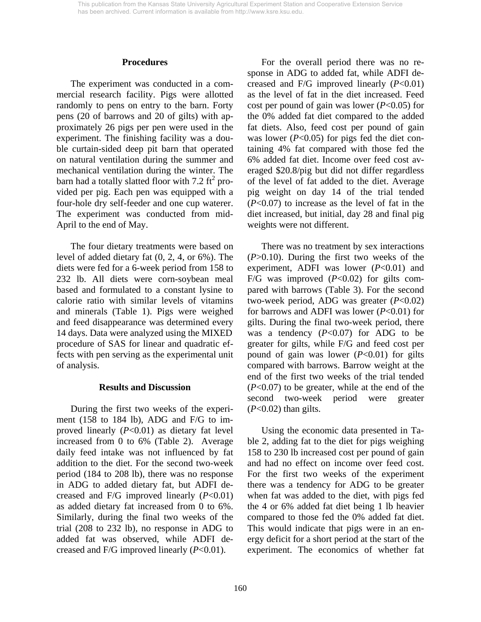#### **Procedures**

The experiment was conducted in a commercial research facility. Pigs were allotted randomly to pens on entry to the barn. Forty pens (20 of barrows and 20 of gilts) with approximately 26 pigs per pen were used in the experiment. The finishing facility was a double curtain-sided deep pit barn that operated on natural ventilation during the summer and mechanical ventilation during the winter. The barn had a totally slatted floor with 7.2  $\text{ft}^2$  provided per pig. Each pen was equipped with a four-hole dry self-feeder and one cup waterer. The experiment was conducted from mid-April to the end of May.

The four dietary treatments were based on level of added dietary fat (0, 2, 4, or 6%). The diets were fed for a 6-week period from 158 to 232 lb. All diets were corn-soybean meal based and formulated to a constant lysine to calorie ratio with similar levels of vitamins and minerals (Table 1). Pigs were weighed and feed disappearance was determined every 14 days. Data were analyzed using the MIXED procedure of SAS for linear and quadratic effects with pen serving as the experimental unit of analysis.

### **Results and Discussion**

 During the first two weeks of the experiment (158 to 184 lb), ADG and F/G to improved linearly (*P*<0.01) as dietary fat level increased from 0 to 6% (Table 2). Average daily feed intake was not influenced by fat addition to the diet. For the second two-week period (184 to 208 lb), there was no response in ADG to added dietary fat, but ADFI decreased and F/G improved linearly (*P*<0.01) as added dietary fat increased from 0 to 6%. Similarly, during the final two weeks of the trial (208 to 232 lb), no response in ADG to added fat was observed, while ADFI decreased and F/G improved linearly (*P*<0.01).

 For the overall period there was no response in ADG to added fat, while ADFI decreased and F/G improved linearly (*P*<0.01) as the level of fat in the diet increased. Feed cost per pound of gain was lower (*P*<0.05) for the 0% added fat diet compared to the added fat diets. Also, feed cost per pound of gain was lower (*P*<0.05) for pigs fed the diet containing 4% fat compared with those fed the 6% added fat diet. Income over feed cost averaged \$20.8/pig but did not differ regardless of the level of fat added to the diet. Average pig weight on day 14 of the trial tended (*P*<0.07) to increase as the level of fat in the diet increased, but initial, day 28 and final pig weights were not different.

 There was no treatment by sex interactions (*P*>0.10). During the first two weeks of the experiment, ADFI was lower (*P*<0.01) and F/G was improved (*P*<0.02) for gilts compared with barrows (Table 3). For the second two-week period, ADG was greater (*P*<0.02) for barrows and ADFI was lower (*P*<0.01) for gilts. During the final two-week period, there was a tendency  $(P<0.07)$  for ADG to be greater for gilts, while F/G and feed cost per pound of gain was lower (*P*<0.01) for gilts compared with barrows. Barrow weight at the end of the first two weeks of the trial tended (*P*<0.07) to be greater, while at the end of the second two-week period were greater (*P*<0.02) than gilts.

 Using the economic data presented in Table 2, adding fat to the diet for pigs weighing 158 to 230 lb increased cost per pound of gain and had no effect on income over feed cost. For the first two weeks of the experiment there was a tendency for ADG to be greater when fat was added to the diet, with pigs fed the 4 or 6% added fat diet being 1 lb heavier compared to those fed the 0% added fat diet. This would indicate that pigs were in an energy deficit for a short period at the start of the experiment. The economics of whether fat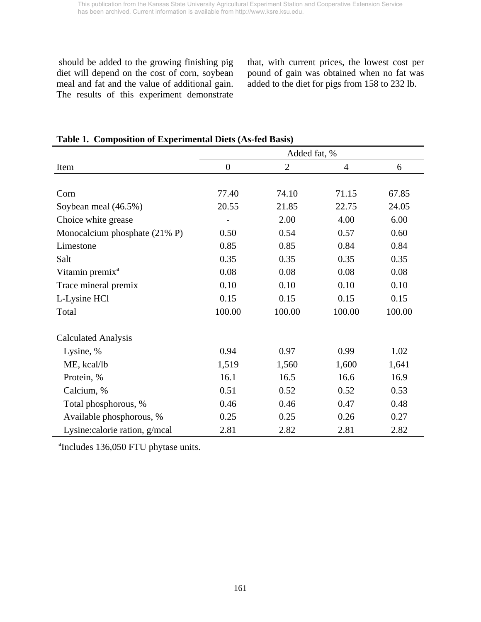should be added to the growing finishing pig diet will depend on the cost of corn, soybean meal and fat and the value of additional gain. The results of this experiment demonstrate that, with current prices, the lowest cost per pound of gain was obtained when no fat was added to the diet for pigs from 158 to 232 lb.

|                               | Added fat, %     |                |                |        |  |  |
|-------------------------------|------------------|----------------|----------------|--------|--|--|
| Item                          | $\boldsymbol{0}$ | $\overline{2}$ | $\overline{4}$ | 6      |  |  |
|                               |                  |                |                |        |  |  |
| Corn                          | 77.40            | 74.10          | 71.15          | 67.85  |  |  |
| Soybean meal (46.5%)          | 20.55            | 21.85          | 22.75          | 24.05  |  |  |
| Choice white grease           |                  | 2.00           | 4.00           | 6.00   |  |  |
| Monocalcium phosphate (21% P) | 0.50             | 0.54           | 0.57           | 0.60   |  |  |
| Limestone                     | 0.85             | 0.85           | 0.84           | 0.84   |  |  |
| Salt                          | 0.35             | 0.35           | 0.35           | 0.35   |  |  |
| Vitamin premix <sup>a</sup>   | 0.08             | 0.08           | 0.08           | 0.08   |  |  |
| Trace mineral premix          | 0.10             | 0.10           | 0.10           | 0.10   |  |  |
| L-Lysine HCl                  | 0.15             | 0.15           | 0.15           | 0.15   |  |  |
| Total                         | 100.00           | 100.00         | 100.00         | 100.00 |  |  |
|                               |                  |                |                |        |  |  |
| <b>Calculated Analysis</b>    |                  |                |                |        |  |  |
| Lysine, %                     | 0.94             | 0.97           | 0.99           | 1.02   |  |  |
| ME, kcal/lb                   | 1,519            | 1,560          | 1,600          | 1,641  |  |  |
| Protein, %                    | 16.1             | 16.5           | 16.6           | 16.9   |  |  |
| Calcium, %                    | 0.51             | 0.52           | 0.52           | 0.53   |  |  |
| Total phosphorous, %          | 0.46             | 0.46           | 0.47           | 0.48   |  |  |
| Available phosphorous, %      | 0.25             | 0.25           | 0.26           | 0.27   |  |  |
| Lysine:calorie ration, g/mcal | 2.81             | 2.82           | 2.81           | 2.82   |  |  |

## **Table 1. Composition of Experimental Diets (As-fed Basis)**

<sup>a</sup>Includes 136,050 FTU phytase units.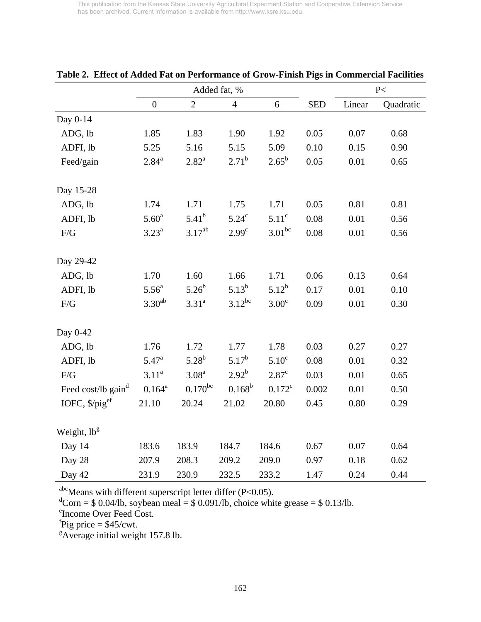|                                | Added fat, %      |                   |                   |                   |            | P<     |           |
|--------------------------------|-------------------|-------------------|-------------------|-------------------|------------|--------|-----------|
|                                | $\boldsymbol{0}$  | $\overline{2}$    | $\overline{4}$    | 6                 | <b>SED</b> | Linear | Quadratic |
| Day 0-14                       |                   |                   |                   |                   |            |        |           |
| ADG, lb                        | 1.85              | 1.83              | 1.90              | 1.92              | 0.05       | 0.07   | 0.68      |
| ADFI, lb                       | 5.25              | 5.16              | 5.15              | 5.09              | 0.10       | 0.15   | 0.90      |
| Feed/gain                      | $2.84^{a}$        | $2.82^{\rm a}$    | $2.71^{b}$        | $2.65^{\rm b}$    | 0.05       | 0.01   | 0.65      |
| Day 15-28                      |                   |                   |                   |                   |            |        |           |
| ADG, lb                        | 1.74              | 1.71              | 1.75              | 1.71              | 0.05       | 0.81   | 0.81      |
| ADFI, lb                       | 5.60 <sup>a</sup> | $5.41^{b}$        | 5.24 <sup>c</sup> | 5.11 <sup>c</sup> | 0.08       | 0.01   | 0.56      |
| $F/G$                          | $3.23^{\rm a}$    | $3.17^{ab}$       | 2.99 <sup>c</sup> | $3.01^{bc}$       | 0.08       | 0.01   | 0.56      |
| Day 29-42                      |                   |                   |                   |                   |            |        |           |
| ADG, lb                        | 1.70              | 1.60              | 1.66              | 1.71              | 0.06       | 0.13   | 0.64      |
| ADFI, lb                       | 5.56 <sup>a</sup> | $5.26^{b}$        | $5.13^{b}$        | $5.12^{b}$        | 0.17       | 0.01   | 0.10      |
| F/G                            | $3.30^{ab}$       | 3.31 <sup>a</sup> | $3.12^{bc}$       | $3.00^{\circ}$    | 0.09       | 0.01   | 0.30      |
| Day 0-42                       |                   |                   |                   |                   |            |        |           |
| ADG, lb                        | 1.76              | 1.72              | 1.77              | 1.78              | 0.03       | 0.27   | 0.27      |
| ADFI, lb                       | $5.47^{\rm a}$    | $5.28^{b}$        | $5.17^{b}$        | $5.10^{\circ}$    | 0.08       | 0.01   | 0.32      |
| F/G                            | 3.11 <sup>a</sup> | 3.08 <sup>a</sup> | $2.92^{b}$        | 2.87 <sup>c</sup> | 0.03       | 0.01   | 0.65      |
| Feed cost/lb gain <sup>d</sup> | $0.164^{a}$       | $0.170^{bc}$      | $0.168^{b}$       | $0.172^c$         | 0.002      | 0.01   | 0.50      |
| IOFC, $\frac{$p \cdot p}{e^f}$ | 21.10             | 20.24             | 21.02             | 20.80             | 0.45       | 0.80   | 0.29      |
| Weight, lb <sup>g</sup>        |                   |                   |                   |                   |            |        |           |
| Day 14                         | 183.6             | 183.9             | 184.7             | 184.6             | 0.67       | 0.07   | 0.64      |
| Day 28                         | 207.9             | 208.3             | 209.2             | 209.0             | 0.97       | 0.18   | 0.62      |
| Day 42                         | 231.9             | 230.9             | 232.5             | 233.2             | 1.47       | 0.24   | 0.44      |

**Table 2. Effect of Added Fat on Performance of Grow-Finish Pigs in Commercial Facilities**

<sup>abc</sup>Means with different superscript letter differ (P<0.05).<br>
<sup>d</sup>Corn = \$ 0.04/lb, soybean meal = \$ 0.091/lb, choice white grease = \$ 0.13/lb.

e Income Over Feed Cost.

 ${}^{f}$ Pig price = \$45/cwt.

<sup>g</sup>Average initial weight 157.8 lb.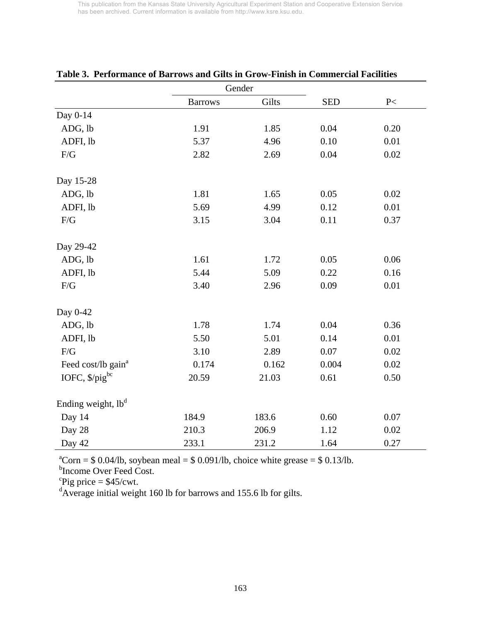|                                |                | Gender |            |      |
|--------------------------------|----------------|--------|------------|------|
|                                | <b>Barrows</b> | Gilts  | <b>SED</b> | P<   |
| Day 0-14                       |                |        |            |      |
| ADG, lb                        | 1.91           | 1.85   | 0.04       | 0.20 |
| ADFI, lb                       | 5.37           | 4.96   | 0.10       | 0.01 |
| F/G                            | 2.82           | 2.69   | 0.04       | 0.02 |
| Day 15-28                      |                |        |            |      |
| ADG, lb                        | 1.81           | 1.65   | 0.05       | 0.02 |
| ADFI, lb                       | 5.69           | 4.99   | 0.12       | 0.01 |
| $F/G$                          | 3.15           | 3.04   | 0.11       | 0.37 |
| Day 29-42                      |                |        |            |      |
| ADG, lb                        | 1.61           | 1.72   | 0.05       | 0.06 |
| ADFI, lb                       | 5.44           | 5.09   | 0.22       | 0.16 |
| F/G                            | 3.40           | 2.96   | 0.09       | 0.01 |
| Day 0-42                       |                |        |            |      |
| ADG, lb                        | 1.78           | 1.74   | 0.04       | 0.36 |
| ADFI, lb                       | 5.50           | 5.01   | 0.14       | 0.01 |
| F/G                            | 3.10           | 2.89   | 0.07       | 0.02 |
| Feed cost/lb gain <sup>a</sup> | 0.174          | 0.162  | 0.004      | 0.02 |
| IOFC, $\frac{$b^{\circ}]}{ }$  | 20.59          | 21.03  | 0.61       | 0.50 |
| Ending weight, lb <sup>d</sup> |                |        |            |      |
| Day 14                         | 184.9          | 183.6  | 0.60       | 0.07 |
| Day 28                         | 210.3          | 206.9  | 1.12       | 0.02 |
| Day 42                         | 233.1          | 231.2  | 1.64       | 0.27 |

## **Table 3. Performance of Barrows and Gilts in Grow-Finish in Commercial Facilities**

 ${}^{\text{a}}$ Corn = \$ 0.04/lb, soybean meal = \$ 0.091/lb, choice white grease = \$ 0.13/lb.<br><sup>b</sup>Income Over Feed Cost.

 ${}^{\rm c}$ Pig price = \$45/cwt.

<sup>d</sup>Average initial weight 160 lb for barrows and 155.6 lb for gilts.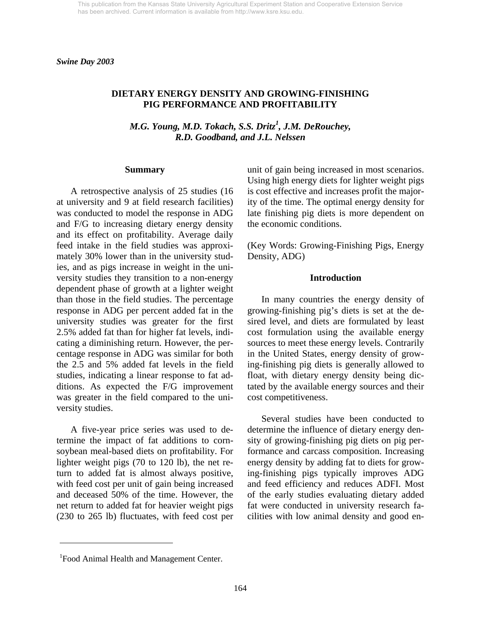## **DIETARY ENERGY DENSITY AND GROWING-FINISHING PIG PERFORMANCE AND PROFITABILITY**

*M.G. Young, M.D. Tokach, S.S. Dritz<sup>1</sup> , J.M. DeRouchey, R.D. Goodband, and J.L. Nelssen*

#### **Summary**

 A retrospective analysis of 25 studies (16 at university and 9 at field research facilities) was conducted to model the response in ADG and F/G to increasing dietary energy density and its effect on profitability. Average daily feed intake in the field studies was approximately 30% lower than in the university studies, and as pigs increase in weight in the university studies they transition to a non-energy dependent phase of growth at a lighter weight than those in the field studies. The percentage response in ADG per percent added fat in the university studies was greater for the first 2.5% added fat than for higher fat levels, indicating a diminishing return. However, the percentage response in ADG was similar for both the 2.5 and 5% added fat levels in the field studies, indicating a linear response to fat additions. As expected the F/G improvement was greater in the field compared to the university studies.

 A five-year price series was used to determine the impact of fat additions to cornsoybean meal-based diets on profitability. For lighter weight pigs (70 to 120 lb), the net return to added fat is almost always positive, with feed cost per unit of gain being increased and deceased 50% of the time. However, the net return to added fat for heavier weight pigs (230 to 265 lb) fluctuates, with feed cost per unit of gain being increased in most scenarios. Using high energy diets for lighter weight pigs is cost effective and increases profit the majority of the time. The optimal energy density for late finishing pig diets is more dependent on the economic conditions.

(Key Words: Growing-Finishing Pigs, Energy Density, ADG)

#### **Introduction**

 In many countries the energy density of growing-finishing pig's diets is set at the desired level, and diets are formulated by least cost formulation using the available energy sources to meet these energy levels. Contrarily in the United States, energy density of growing-finishing pig diets is generally allowed to float, with dietary energy density being dictated by the available energy sources and their cost competitiveness.

 Several studies have been conducted to determine the influence of dietary energy density of growing-finishing pig diets on pig performance and carcass composition. Increasing energy density by adding fat to diets for growing-finishing pigs typically improves ADG and feed efficiency and reduces ADFI. Most of the early studies evaluating dietary added fat were conducted in university research facilities with low animal density and good en-

 $\overline{a}$ 

<sup>&</sup>lt;sup>1</sup> Food Animal Health and Management Center.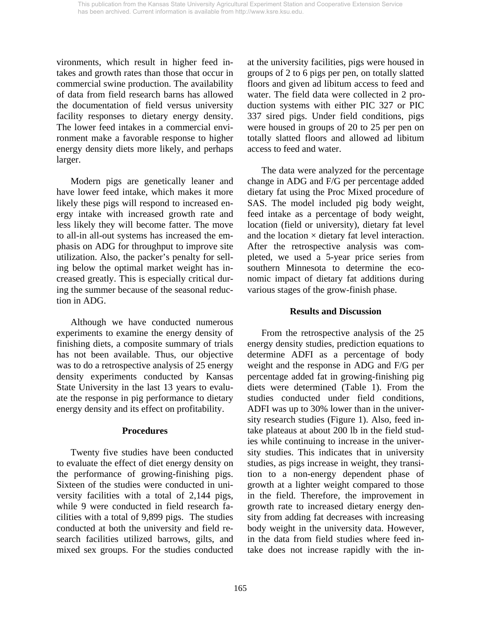vironments, which result in higher feed intakes and growth rates than those that occur in commercial swine production. The availability of data from field research barns has allowed the documentation of field versus university facility responses to dietary energy density. The lower feed intakes in a commercial environment make a favorable response to higher energy density diets more likely, and perhaps larger.

Modern pigs are genetically leaner and have lower feed intake, which makes it more likely these pigs will respond to increased energy intake with increased growth rate and less likely they will become fatter. The move to all-in all-out systems has increased the emphasis on ADG for throughput to improve site utilization. Also, the packer's penalty for selling below the optimal market weight has increased greatly. This is especially critical during the summer because of the seasonal reduction in ADG.

Although we have conducted numerous experiments to examine the energy density of finishing diets, a composite summary of trials has not been available. Thus, our objective was to do a retrospective analysis of 25 energy density experiments conducted by Kansas State University in the last 13 years to evaluate the response in pig performance to dietary energy density and its effect on profitability.

## **Procedures**

Twenty five studies have been conducted to evaluate the effect of diet energy density on the performance of growing-finishing pigs. Sixteen of the studies were conducted in university facilities with a total of 2,144 pigs, while 9 were conducted in field research facilities with a total of 9,899 pigs. The studies conducted at both the university and field research facilities utilized barrows, gilts, and mixed sex groups. For the studies conducted at the university facilities, pigs were housed in groups of 2 to 6 pigs per pen, on totally slatted floors and given ad libitum access to feed and water. The field data were collected in 2 production systems with either PIC 327 or PIC 337 sired pigs. Under field conditions, pigs were housed in groups of 20 to 25 per pen on totally slatted floors and allowed ad libitum access to feed and water.

The data were analyzed for the percentage change in ADG and F/G per percentage added dietary fat using the Proc Mixed procedure of SAS. The model included pig body weight, feed intake as a percentage of body weight, location (field or university), dietary fat level and the location  $\times$  dietary fat level interaction. After the retrospective analysis was completed, we used a 5-year price series from southern Minnesota to determine the economic impact of dietary fat additions during various stages of the grow-finish phase.

## **Results and Discussion**

From the retrospective analysis of the 25 energy density studies, prediction equations to determine ADFI as a percentage of body weight and the response in ADG and F/G per percentage added fat in growing-finishing pig diets were determined (Table 1). From the studies conducted under field conditions, ADFI was up to 30% lower than in the university research studies (Figure 1). Also, feed intake plateaus at about 200 lb in the field studies while continuing to increase in the university studies. This indicates that in university studies, as pigs increase in weight, they transition to a non-energy dependent phase of growth at a lighter weight compared to those in the field. Therefore, the improvement in growth rate to increased dietary energy density from adding fat decreases with increasing body weight in the university data. However, in the data from field studies where feed intake does not increase rapidly with the in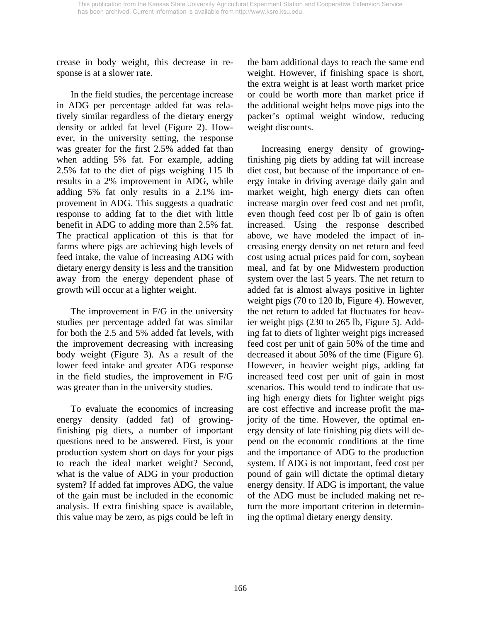crease in body weight, this decrease in response is at a slower rate.

 In the field studies, the percentage increase in ADG per percentage added fat was relatively similar regardless of the dietary energy density or added fat level (Figure 2). However, in the university setting, the response was greater for the first 2.5% added fat than when adding 5% fat. For example, adding 2.5% fat to the diet of pigs weighing 115 lb results in a 2% improvement in ADG, while adding 5% fat only results in a 2.1% improvement in ADG. This suggests a quadratic response to adding fat to the diet with little benefit in ADG to adding more than 2.5% fat. The practical application of this is that for farms where pigs are achieving high levels of feed intake, the value of increasing ADG with dietary energy density is less and the transition away from the energy dependent phase of growth will occur at a lighter weight.

 The improvement in F/G in the university studies per percentage added fat was similar for both the 2.5 and 5% added fat levels, with the improvement decreasing with increasing body weight (Figure 3). As a result of the lower feed intake and greater ADG response in the field studies, the improvement in F/G was greater than in the university studies.

 To evaluate the economics of increasing energy density (added fat) of growingfinishing pig diets, a number of important questions need to be answered. First, is your production system short on days for your pigs to reach the ideal market weight? Second, what is the value of ADG in your production system? If added fat improves ADG, the value of the gain must be included in the economic analysis. If extra finishing space is available, this value may be zero, as pigs could be left in

the barn additional days to reach the same end weight. However, if finishing space is short, the extra weight is at least worth market price or could be worth more than market price if the additional weight helps move pigs into the packer's optimal weight window, reducing weight discounts.

 Increasing energy density of growingfinishing pig diets by adding fat will increase diet cost, but because of the importance of energy intake in driving average daily gain and market weight, high energy diets can often increase margin over feed cost and net profit, even though feed cost per lb of gain is often increased. Using the response described above, we have modeled the impact of increasing energy density on net return and feed cost using actual prices paid for corn, soybean meal, and fat by one Midwestern production system over the last 5 years. The net return to added fat is almost always positive in lighter weight pigs (70 to 120 lb, Figure 4). However, the net return to added fat fluctuates for heavier weight pigs (230 to 265 lb, Figure 5). Adding fat to diets of lighter weight pigs increased feed cost per unit of gain 50% of the time and decreased it about 50% of the time (Figure 6). However, in heavier weight pigs, adding fat increased feed cost per unit of gain in most scenarios. This would tend to indicate that using high energy diets for lighter weight pigs are cost effective and increase profit the majority of the time. However, the optimal energy density of late finishing pig diets will depend on the economic conditions at the time and the importance of ADG to the production system. If ADG is not important, feed cost per pound of gain will dictate the optimal dietary energy density. If ADG is important, the value of the ADG must be included making net return the more important criterion in determining the optimal dietary energy density.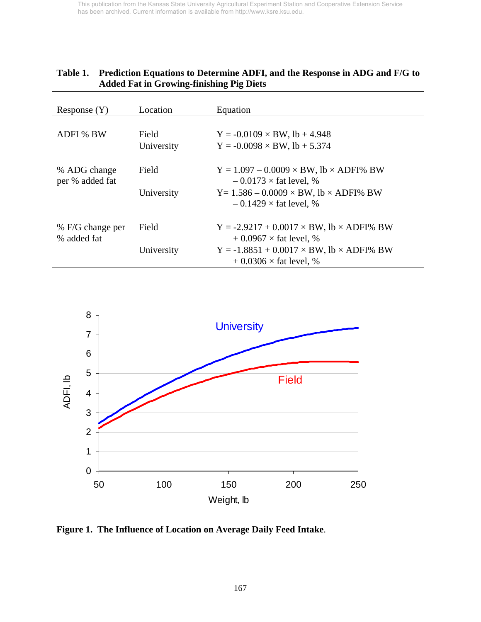| Response(Y)                     | Location            | Equation                                                                                                                                        |
|---------------------------------|---------------------|-------------------------------------------------------------------------------------------------------------------------------------------------|
| <b>ADFI % BW</b>                | Field<br>University | $Y = -0.0109 \times BW$ , lb + 4.948<br>$Y = -0.0098 \times BW$ , lb + 5.374                                                                    |
| % ADG change<br>per % added fat | Field<br>University | $Y = 1.097 - 0.0009 \times BW$ , lb $\times$ ADFI% BW<br>$-0.0173 \times$ fat level, %<br>$Y = 1.586 - 0.0009 \times BW$ , lb $\times$ ADFI% BW |
| % F/G change per                | Field               | $-0.1429 \times$ fat level, %<br>$Y = -2.9217 + 0.0017 \times BW$ , lb $\times$ ADFI% BW                                                        |
| % added fat                     | University          | $+0.0967 \times$ fat level, %<br>$Y = -1.8851 + 0.0017 \times BW$ , lb $\times$ ADFI% BW<br>$+0.0306 \times$ fat level, %                       |

# **Table 1. Prediction Equations to Determine ADFI, and the Response in ADG and F/G to Added Fat in Growing-finishing Pig Diets**



**Figure 1. The Influence of Location on Average Daily Feed Intake**.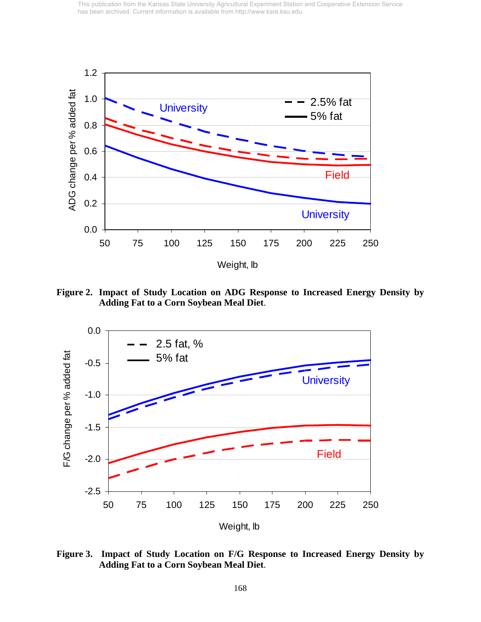

**Figure 2. Impact of Study Location on ADG Response to Increased Energy Density by Adding Fat to a Corn Soybean Meal Diet**.



**Figure 3. Impact of Study Location on F/G Response to Increased Energy Density by Adding Fat to a Corn Soybean Meal Diet**.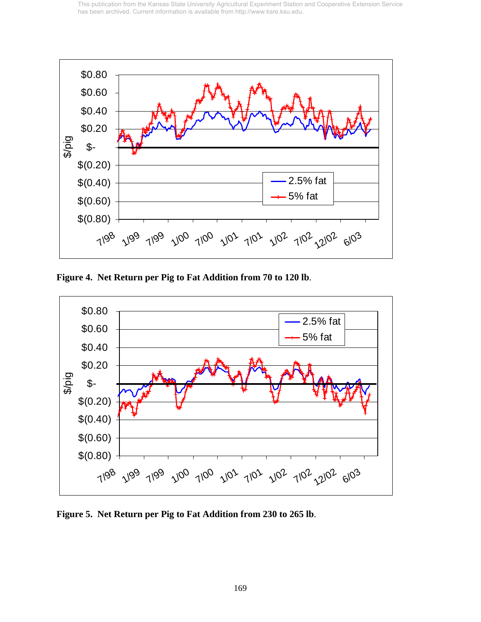

**Figure 4. Net Return per Pig to Fat Addition from 70 to 120 lb**.



**Figure 5. Net Return per Pig to Fat Addition from 230 to 265 lb**.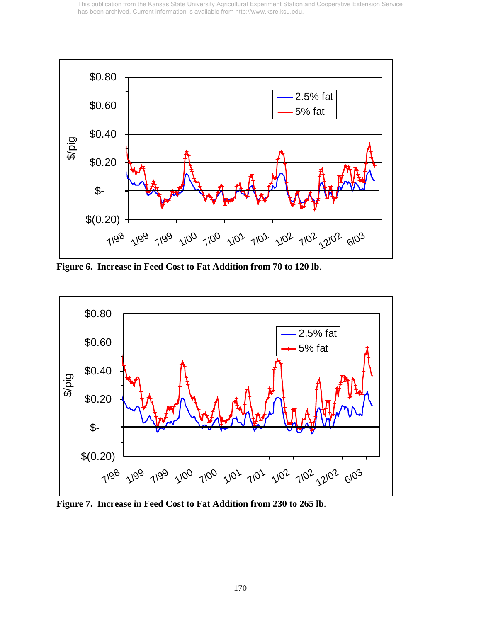

**Figure 6. Increase in Feed Cost to Fat Addition from 70 to 120 lb**.



**Figure 7. Increase in Feed Cost to Fat Addition from 230 to 265 lb**.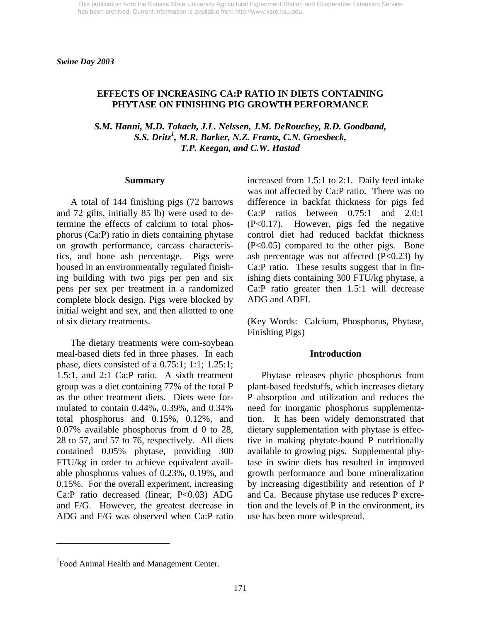### **EFFECTS OF INCREASING CA:P RATIO IN DIETS CONTAINING PHYTASE ON FINISHING PIG GROWTH PERFORMANCE**

*S.M. Hanni, M.D. Tokach, J.L. Nelssen, J.M. DeRouchey, R.D. Goodband, S.S. Dritz1 , M.R. Barker, N.Z. Frantz, C.N. Groesbeck, T.P. Keegan, and C.W. Hastad* 

#### **Summary**

 A total of 144 finishing pigs (72 barrows and 72 gilts, initially 85 lb) were used to determine the effects of calcium to total phosphorus (Ca:P) ratio in diets containing phytase on growth performance, carcass characteristics, and bone ash percentage. Pigs were housed in an environmentally regulated finishing building with two pigs per pen and six pens per sex per treatment in a randomized complete block design. Pigs were blocked by initial weight and sex, and then allotted to one of six dietary treatments.

 The dietary treatments were corn-soybean meal-based diets fed in three phases. In each phase, diets consisted of a 0.75:1; 1:1; 1.25:1; 1.5:1, and 2:1 Ca:P ratio. A sixth treatment group was a diet containing 77% of the total P as the other treatment diets. Diets were formulated to contain 0.44%, 0.39%, and 0.34% total phosphorus and 0.15%, 0.12%, and 0.07% available phosphorus from d 0 to 28, 28 to 57, and 57 to 76, respectively. All diets contained 0.05% phytase, providing 300 FTU/kg in order to achieve equivalent available phosphorus values of 0.23%, 0.19%, and 0.15%. For the overall experiment, increasing Ca:P ratio decreased (linear, P<0.03) ADG and F/G. However, the greatest decrease in ADG and F/G was observed when Ca:P ratio

increased from 1.5:1 to 2:1. Daily feed intake was not affected by Ca:P ratio. There was no difference in backfat thickness for pigs fed Ca:P ratios between 0.75:1 and 2.0:1 (P<0.17). However, pigs fed the negative control diet had reduced backfat thickness (P<0.05) compared to the other pigs. Bone ash percentage was not affected  $(P<0.23)$  by Ca:P ratio. These results suggest that in finishing diets containing 300 FTU/kg phytase, a Ca:P ratio greater then 1.5:1 will decrease ADG and ADFI.

(Key Words: Calcium, Phosphorus, Phytase, Finishing Pigs)

#### **Introduction**

Phytase releases phytic phosphorus from plant-based feedstuffs, which increases dietary P absorption and utilization and reduces the need for inorganic phosphorus supplementation. It has been widely demonstrated that dietary supplementation with phytase is effective in making phytate-bound P nutritionally available to growing pigs. Supplemental phytase in swine diets has resulted in improved growth performance and bone mineralization by increasing digestibility and retention of P and Ca. Because phytase use reduces P excretion and the levels of P in the environment, its use has been more widespread.

 $\overline{a}$ 

<sup>&</sup>lt;sup>1</sup> Food Animal Health and Management Center.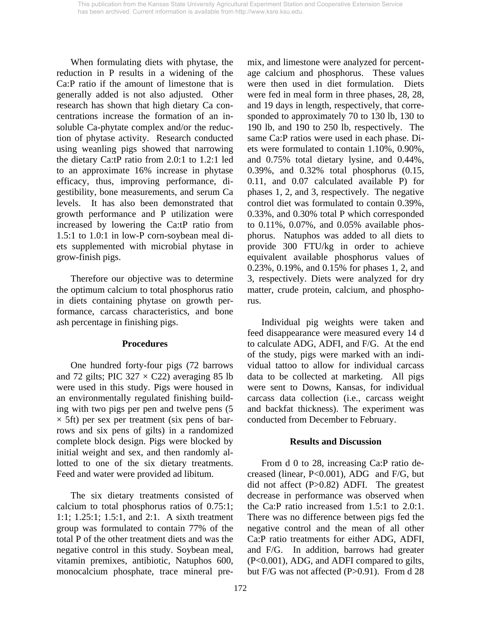When formulating diets with phytase, the reduction in P results in a widening of the Ca:P ratio if the amount of limestone that is generally added is not also adjusted. Other research has shown that high dietary Ca concentrations increase the formation of an insoluble Ca-phytate complex and/or the reduction of phytase activity. Research conducted using weanling pigs showed that narrowing the dietary Ca:tP ratio from 2.0:1 to 1.2:1 led to an approximate 16% increase in phytase efficacy, thus, improving performance, digestibility, bone measurements, and serum Ca levels. It has also been demonstrated that growth performance and P utilization were increased by lowering the Ca:tP ratio from 1.5:1 to 1.0:1 in low-P corn-soybean meal diets supplemented with microbial phytase in grow-finish pigs.

 Therefore our objective was to determine the optimum calcium to total phosphorus ratio in diets containing phytase on growth performance, carcass characteristics, and bone ash percentage in finishing pigs.

## **Procedures**

 One hundred forty-four pigs (72 barrows and 72 gilts; PIC  $327 \times C22$ ) averaging 85 lb were used in this study. Pigs were housed in an environmentally regulated finishing building with two pigs per pen and twelve pens (5  $\times$  5ft) per sex per treatment (six pens of barrows and six pens of gilts) in a randomized complete block design. Pigs were blocked by initial weight and sex, and then randomly allotted to one of the six dietary treatments. Feed and water were provided ad libitum.

 The six dietary treatments consisted of calcium to total phosphorus ratios of 0.75:1; 1:1; 1.25:1; 1.5:1, and 2:1. A sixth treatment group was formulated to contain 77% of the total P of the other treatment diets and was the negative control in this study. Soybean meal, vitamin premixes, antibiotic, Natuphos 600, monocalcium phosphate, trace mineral premix, and limestone were analyzed for percentage calcium and phosphorus. These values were then used in diet formulation. Diets were fed in meal form in three phases, 28, 28, and 19 days in length, respectively, that corresponded to approximately 70 to 130 lb, 130 to 190 lb, and 190 to 250 lb, respectively. The same Ca:P ratios were used in each phase. Diets were formulated to contain 1.10%, 0.90%, and 0.75% total dietary lysine, and 0.44%, 0.39%, and 0.32% total phosphorus (0.15, 0.11, and 0.07 calculated available P) for phases 1, 2, and 3, respectively. The negative control diet was formulated to contain 0.39%, 0.33%, and 0.30% total P which corresponded to 0.11%, 0.07%, and 0.05% available phosphorus. Natuphos was added to all diets to provide 300 FTU/kg in order to achieve equivalent available phosphorus values of 0.23%, 0.19%, and 0.15% for phases 1, 2, and 3, respectively. Diets were analyzed for dry matter, crude protein, calcium, and phosphorus.

 Individual pig weights were taken and feed disappearance were measured every 14 d to calculate ADG, ADFI, and F/G. At the end of the study, pigs were marked with an individual tattoo to allow for individual carcass data to be collected at marketing. All pigs were sent to Downs, Kansas, for individual carcass data collection (i.e., carcass weight and backfat thickness). The experiment was conducted from December to February.

## **Results and Discussion**

 From d 0 to 28, increasing Ca:P ratio decreased (linear, P<0.001), ADG and F/G, but did not affect (P>0.82) ADFI. The greatest decrease in performance was observed when the Ca:P ratio increased from 1.5:1 to 2.0:1. There was no difference between pigs fed the negative control and the mean of all other Ca:P ratio treatments for either ADG, ADFI, and F/G. In addition, barrows had greater (P<0.001), ADG, and ADFI compared to gilts, but F/G was not affected (P>0.91). From d 28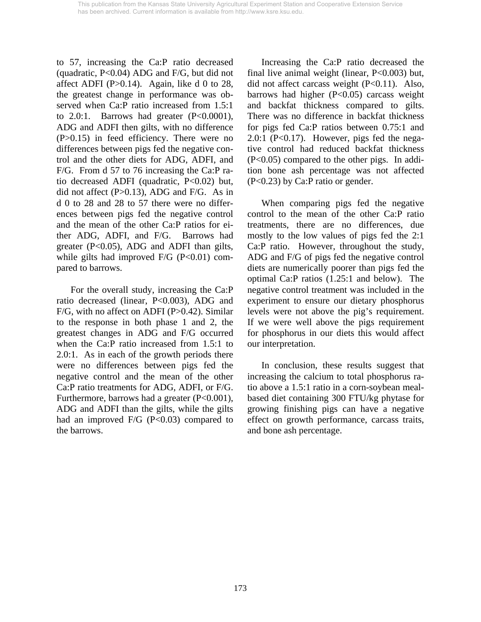to 57, increasing the Ca:P ratio decreased (quadratic, P<0.04) ADG and F/G, but did not affect ADFI (P $>0.14$ ). Again, like d 0 to 28, the greatest change in performance was observed when Ca:P ratio increased from 1.5:1 to  $2.0:1$ . Barrows had greater  $(P<0.0001)$ , ADG and ADFI then gilts, with no difference (P>0.15) in feed efficiency. There were no differences between pigs fed the negative control and the other diets for ADG, ADFI, and F/G. From d 57 to 76 increasing the Ca:P ratio decreased ADFI (quadratic, P<0.02) but, did not affect  $(P>0.13)$ , ADG and F/G. As in d 0 to 28 and 28 to 57 there were no differences between pigs fed the negative control and the mean of the other Ca:P ratios for either ADG, ADFI, and F/G. Barrows had greater (P<0.05), ADG and ADFI than gilts, while gilts had improved  $F/G$  (P<0.01) compared to barrows.

 For the overall study, increasing the Ca:P ratio decreased (linear, P<0.003), ADG and F/G, with no affect on ADFI (P>0.42). Similar to the response in both phase 1 and 2, the greatest changes in ADG and F/G occurred when the Ca:P ratio increased from 1.5:1 to 2.0:1. As in each of the growth periods there were no differences between pigs fed the negative control and the mean of the other Ca:P ratio treatments for ADG, ADFI, or F/G. Furthermore, barrows had a greater (P<0.001), ADG and ADFI than the gilts, while the gilts had an improved  $F/G$  (P<0.03) compared to the barrows.

 Increasing the Ca:P ratio decreased the final live animal weight (linear, P<0.003) but, did not affect carcass weight (P<0.11). Also, barrows had higher  $(P<0.05)$  carcass weight and backfat thickness compared to gilts. There was no difference in backfat thickness for pigs fed Ca:P ratios between 0.75:1 and 2.0:1 (P<0.17). However, pigs fed the negative control had reduced backfat thickness (P<0.05) compared to the other pigs. In addition bone ash percentage was not affected (P<0.23) by Ca:P ratio or gender.

 When comparing pigs fed the negative control to the mean of the other Ca:P ratio treatments, there are no differences, due mostly to the low values of pigs fed the 2:1 Ca:P ratio. However, throughout the study, ADG and F/G of pigs fed the negative control diets are numerically poorer than pigs fed the optimal Ca:P ratios (1.25:1 and below). The negative control treatment was included in the experiment to ensure our dietary phosphorus levels were not above the pig's requirement. If we were well above the pigs requirement for phosphorus in our diets this would affect our interpretation.

 In conclusion, these results suggest that increasing the calcium to total phosphorus ratio above a 1.5:1 ratio in a corn-soybean mealbased diet containing 300 FTU/kg phytase for growing finishing pigs can have a negative effect on growth performance, carcass traits, and bone ash percentage.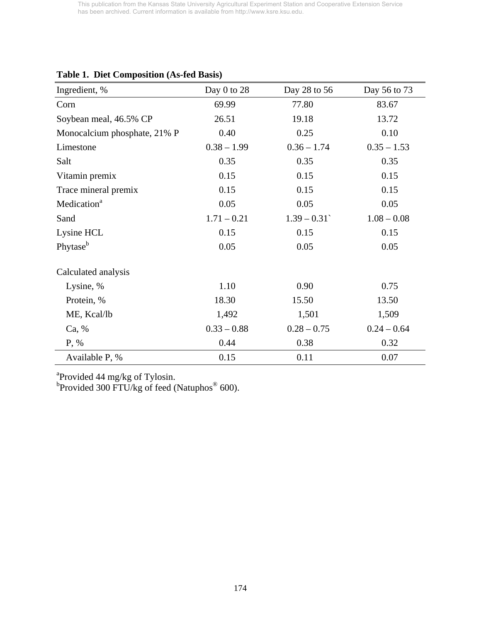| Day 0 to 28   | Day 28 to 56  | Day 56 to 73  |
|---------------|---------------|---------------|
| 69.99         | 77.80         | 83.67         |
| 26.51         | 19.18         | 13.72         |
| 0.40          | 0.25          | 0.10          |
| $0.38 - 1.99$ | $0.36 - 1.74$ | $0.35 - 1.53$ |
| 0.35          | 0.35          | 0.35          |
| 0.15          | 0.15          | 0.15          |
| 0.15          | 0.15          | 0.15          |
| 0.05          | 0.05          | 0.05          |
| $1.71 - 0.21$ | $1.39 - 0.31$ | $1.08 - 0.08$ |
| 0.15          | 0.15          | 0.15          |
| 0.05          | 0.05          | 0.05          |
|               |               |               |
| 1.10          | 0.90          | 0.75          |
| 18.30         | 15.50         | 13.50         |
| 1,492         | 1,501         | 1,509         |
| $0.33 - 0.88$ | $0.28 - 0.75$ | $0.24 - 0.64$ |
| 0.44          | 0.38          | 0.32          |
| 0.15          | 0.11          | 0.07          |
|               |               |               |

# **Table 1. Diet Composition (As-fed Basis)**

<sup>a</sup> Provided 44 mg/kg of Tylosin.<br><sup>b</sup> Provided 300 FTU/kg of feed (Natuphos<sup>®</sup> 600).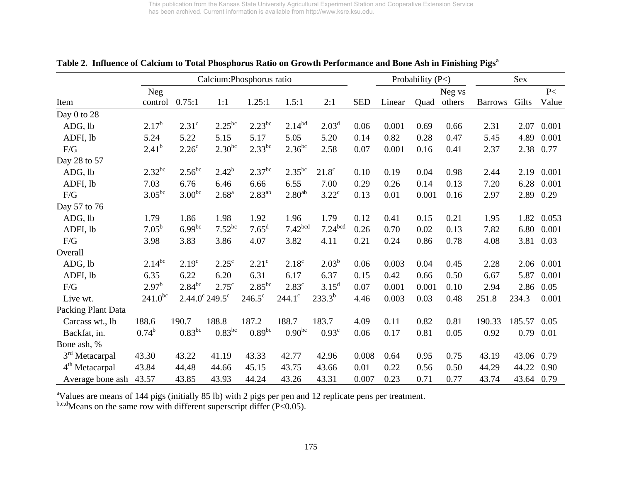|                            |                |                   | Calcium: Phosphorus ratio      |                    |                     |                     |            |        | Probability $(P<)$ |        |                | Sex        |       |
|----------------------------|----------------|-------------------|--------------------------------|--------------------|---------------------|---------------------|------------|--------|--------------------|--------|----------------|------------|-------|
|                            | <b>Neg</b>     |                   |                                |                    |                     |                     |            |        |                    | Neg vs |                |            | P<    |
| Item                       | control        | 0.75:1            | 1:1                            | 1.25:1             | 1.5:1               | 2:1                 | <b>SED</b> | Linear | Quad               | others | <b>Barrows</b> | Gilts      | Value |
| Day 0 to 28                |                |                   |                                |                    |                     |                     |            |        |                    |        |                |            |       |
| ADG, lb                    | $2.17^b$       | 2.31 <sup>c</sup> | $2.25^{bc}$                    | $2.23^{bc}$        | $2.14^{bd}$         | 2.03 <sup>d</sup>   | 0.06       | 0.001  | 0.69               | 0.66   | 2.31           | 2.07       | 0.001 |
| ADFI, lb                   | 5.24           | 5.22              | 5.15                           | 5.17               | 5.05                | 5.20                | 0.14       | 0.82   | 0.28               | 0.47   | 5.45           | 4.89       | 0.001 |
| F/G                        | $2.41^{b}$     | 2.26 <sup>c</sup> | $2.30^{bc}$                    | $2.33^{bc}$        | $2.36^{bc}$         | 2.58                | 0.07       | 0.001  | 0.16               | 0.41   | 2.37           | 2.38       | 0.77  |
| Day 28 to 57               |                |                   |                                |                    |                     |                     |            |        |                    |        |                |            |       |
| ADG, lb                    | $2.32^{bc}$    | $2.56^{bc}$       | $2.42^{b}$                     | 2.37 <sup>bc</sup> | $2.35^{bc}$         | $21.8^\circ$        | 0.10       | 0.19   | 0.04               | 0.98   | 2.44           | 2.19       | 0.001 |
| ADFI, lb                   | 7.03           | 6.76              | 6.46                           | 6.66               | 6.55                | 7.00                | 0.29       | 0.26   | 0.14               | 0.13   | 7.20           | 6.28       | 0.001 |
| F/G                        | $3.05^{bc}$    | $3.00^{bc}$       | $2.68^{a}$                     | $2.83^{ab}$        | 2.80 <sup>ab</sup>  | $3.22^c$            | 0.13       | 0.01   | 0.001              | 0.16   | 2.97           | 2.89       | 0.29  |
| Day 57 to 76               |                |                   |                                |                    |                     |                     |            |        |                    |        |                |            |       |
| ADG, lb                    | 1.79           | 1.86              | 1.98                           | 1.92               | 1.96                | 1.79                | 0.12       | 0.41   | 0.15               | 0.21   | 1.95           | 1.82       | 0.053 |
| ADFI, lb                   | $7.05^{\rm b}$ | $6.99^{bc}$       | $7.52^{bc}$                    | $7.65^{\rm d}$     | 7.42 <sup>bcd</sup> | 7.24 <sup>bcd</sup> | 0.26       | 0.70   | 0.02               | 0.13   | 7.82           | 6.80       | 0.001 |
| F/G                        | 3.98           | 3.83              | 3.86                           | 4.07               | 3.82                | 4.11                | 0.21       | 0.24   | 0.86               | 0.78   | 4.08           | 3.81       | 0.03  |
| Overall                    |                |                   |                                |                    |                     |                     |            |        |                    |        |                |            |       |
| ADG, lb                    | $2.14^{bc}$    | 2.19 <sup>c</sup> | $2.25^{\circ}$                 | 2.21 <sup>c</sup>  | 2.18 <sup>c</sup>   | $2.03^{b}$          | 0.06       | 0.003  | 0.04               | 0.45   | 2.28           | 2.06       | 0.001 |
| ADFI, lb                   | 6.35           | 6.22              | 6.20                           | 6.31               | 6.17                | 6.37                | 0.15       | 0.42   | 0.66               | 0.50   | 6.67           | 5.87       | 0.001 |
| $\rm F/G$                  | $2.97^{\rm b}$ | $2.84^{bc}$       | $2.75^{\circ}$                 | $2.85^{bc}$        | 2.83 <sup>c</sup>   | $3.15^d$            | 0.07       | 0.001  | 0.001              | 0.10   | 2.94           | 2.86       | 0.05  |
| Live wt.                   | $241.0^{bc}$   |                   | $2.44.0^{\circ} 249.5^{\circ}$ | $246.5^{\circ}$    | $244.1^{\circ}$     | $233.3^{b}$         | 4.46       | 0.003  | 0.03               | 0.48   | 251.8          | 234.3      | 0.001 |
| Packing Plant Data         |                |                   |                                |                    |                     |                     |            |        |                    |        |                |            |       |
| Carcass wt., lb            | 188.6          | 190.7             | 188.8                          | 187.2              | 188.7               | 183.7               | 4.09       | 0.11   | 0.82               | 0.81   | 190.33         | 185.57     | 0.05  |
| Backfat, in.               | $0.74^{\rm b}$ | $0.83^{bc}$       | $0.83^{bc}$                    | $0.89^{bc}$        | $0.90^{bc}$         | 0.93 <sup>c</sup>   | 0.06       | 0.17   | 0.81               | 0.05   | 0.92           | 0.79       | 0.01  |
| Bone ash, %                |                |                   |                                |                    |                     |                     |            |        |                    |        |                |            |       |
| 3 <sup>rd</sup> Metacarpal | 43.30          | 43.22             | 41.19                          | 43.33              | 42.77               | 42.96               | 0.008      | 0.64   | 0.95               | 0.75   | 43.19          | 43.06      | 0.79  |
| 4 <sup>th</sup> Metacarpal | 43.84          | 44.48             | 44.66                          | 45.15              | 43.75               | 43.66               | 0.01       | 0.22   | 0.56               | 0.50   | 44.29          | 44.22      | 0.90  |
| Average bone ash           | 43.57          | 43.85             | 43.93                          | 44.24              | 43.26               | 43.31               | 0.007      | 0.23   | 0.71               | 0.77   | 43.74          | 43.64 0.79 |       |

Table 2. Influence of Calcium to Total Phosphorus Ratio on Growth Performance and Bone Ash in Finishing Pigs<sup>a</sup>

<sup>a</sup>Values are means of 144 pigs (initially 85 lb) with 2 pigs per pen and 12 replicate pens per treatment.

 $b,c,d$  Means on the same row with different superscript differ (P<0.05).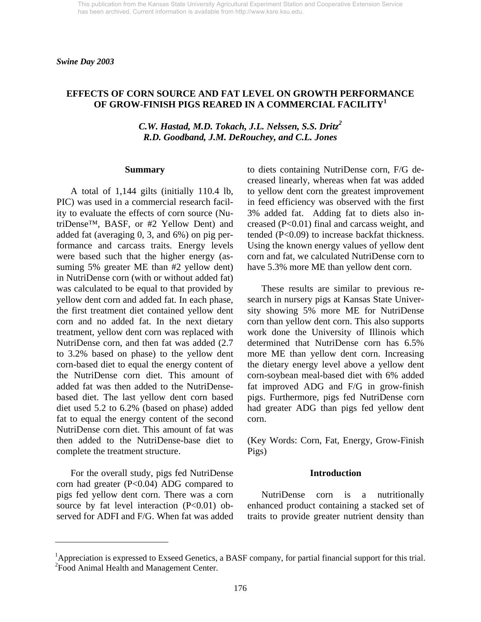### **EFFECTS OF CORN SOURCE AND FAT LEVEL ON GROWTH PERFORMANCE OF GROW-FINISH PIGS REARED IN A COMMERCIAL FACILITY<sup>1</sup>**

*C.W. Hastad, M.D. Tokach, J.L. Nelssen, S.S. Dritz<sup>2</sup> R.D. Goodband, J.M. DeRouchey, and C.L. Jones* 

#### **Summary**

 A total of 1,144 gilts (initially 110.4 lb, PIC) was used in a commercial research facility to evaluate the effects of corn source (NutriDense™, BASF, or #2 Yellow Dent) and added fat (averaging 0, 3, and 6%) on pig performance and carcass traits. Energy levels were based such that the higher energy (assuming 5% greater ME than #2 yellow dent) in NutriDense corn (with or without added fat) was calculated to be equal to that provided by yellow dent corn and added fat. In each phase, the first treatment diet contained yellow dent corn and no added fat. In the next dietary treatment, yellow dent corn was replaced with NutriDense corn, and then fat was added (2.7 to 3.2% based on phase) to the yellow dent corn-based diet to equal the energy content of the NutriDense corn diet. This amount of added fat was then added to the NutriDensebased diet. The last yellow dent corn based diet used 5.2 to 6.2% (based on phase) added fat to equal the energy content of the second NutriDense corn diet. This amount of fat was then added to the NutriDense-base diet to complete the treatment structure.

 For the overall study, pigs fed NutriDense corn had greater  $(P<0.04)$  ADG compared to pigs fed yellow dent corn. There was a corn source by fat level interaction  $(P<0.01)$  observed for ADFI and F/G. When fat was added

l

to diets containing NutriDense corn, F/G decreased linearly, whereas when fat was added to yellow dent corn the greatest improvement in feed efficiency was observed with the first 3% added fat. Adding fat to diets also increased (P<0.01) final and carcass weight, and tended (P<0.09) to increase backfat thickness. Using the known energy values of yellow dent corn and fat, we calculated NutriDense corn to have 5.3% more ME than yellow dent corn.

 These results are similar to previous research in nursery pigs at Kansas State University showing 5% more ME for NutriDense corn than yellow dent corn. This also supports work done the University of Illinois which determined that NutriDense corn has 6.5% more ME than yellow dent corn. Increasing the dietary energy level above a yellow dent corn-soybean meal-based diet with 6% added fat improved ADG and F/G in grow-finish pigs. Furthermore, pigs fed NutriDense corn had greater ADG than pigs fed yellow dent corn.

(Key Words: Corn, Fat, Energy, Grow-Finish Pigs)

#### **Introduction**

 NutriDense corn is a nutritionally enhanced product containing a stacked set of traits to provide greater nutrient density than

<sup>&</sup>lt;sup>1</sup>Appreciation is expressed to Exseed Genetics, a BASF company, for partial financial support for this trial. <sup>2</sup> Food Animal Health and Management Center.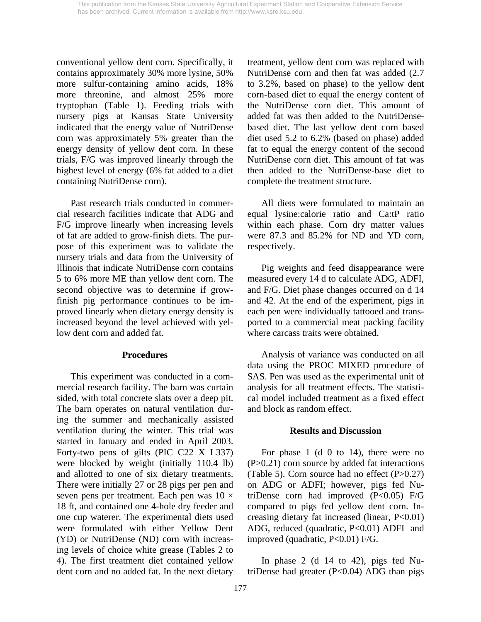conventional yellow dent corn. Specifically, it contains approximately 30% more lysine, 50% more sulfur-containing amino acids, 18% more threonine, and almost 25% more tryptophan (Table 1). Feeding trials with nursery pigs at Kansas State University indicated that the energy value of NutriDense corn was approximately 5% greater than the energy density of yellow dent corn. In these trials, F/G was improved linearly through the highest level of energy (6% fat added to a diet containing NutriDense corn).

 Past research trials conducted in commercial research facilities indicate that ADG and F/G improve linearly when increasing levels of fat are added to grow-finish diets. The purpose of this experiment was to validate the nursery trials and data from the University of Illinois that indicate NutriDense corn contains 5 to 6% more ME than yellow dent corn. The second objective was to determine if growfinish pig performance continues to be improved linearly when dietary energy density is increased beyond the level achieved with yellow dent corn and added fat.

#### **Procedures**

This experiment was conducted in a commercial research facility. The barn was curtain sided, with total concrete slats over a deep pit. The barn operates on natural ventilation during the summer and mechanically assisted ventilation during the winter. This trial was started in January and ended in April 2003. Forty-two pens of gilts (PIC C22 X L337) were blocked by weight (initially 110.4 lb) and allotted to one of six dietary treatments. There were initially 27 or 28 pigs per pen and seven pens per treatment. Each pen was  $10 \times$ 18 ft, and contained one 4-hole dry feeder and one cup waterer. The experimental diets used were formulated with either Yellow Dent (YD) or NutriDense (ND) corn with increasing levels of choice white grease (Tables 2 to 4). The first treatment diet contained yellow dent corn and no added fat. In the next dietary

treatment, yellow dent corn was replaced with NutriDense corn and then fat was added (2.7 to 3.2%, based on phase) to the yellow dent corn-based diet to equal the energy content of the NutriDense corn diet. This amount of added fat was then added to the NutriDensebased diet. The last yellow dent corn based diet used 5.2 to 6.2% (based on phase) added fat to equal the energy content of the second NutriDense corn diet. This amount of fat was then added to the NutriDense-base diet to complete the treatment structure.

All diets were formulated to maintain an equal lysine:calorie ratio and Ca:tP ratio within each phase. Corn dry matter values were 87.3 and 85.2% for ND and YD corn, respectively.

 Pig weights and feed disappearance were measured every 14 d to calculate ADG, ADFI, and F/G. Diet phase changes occurred on d 14 and 42. At the end of the experiment, pigs in each pen were individually tattooed and transported to a commercial meat packing facility where carcass traits were obtained.

 Analysis of variance was conducted on all data using the PROC MIXED procedure of SAS. Pen was used as the experimental unit of analysis for all treatment effects. The statistical model included treatment as a fixed effect and block as random effect.

## **Results and Discussion**

 For phase 1 (d 0 to 14), there were no  $(P>0.21)$  corn source by added fat interactions (Table 5). Corn source had no effect  $(P>0.27)$ on ADG or ADFI; however, pigs fed NutriDense corn had improved  $(P<0.05)$  F/G compared to pigs fed yellow dent corn. Increasing dietary fat increased (linear, P<0.01) ADG, reduced (quadratic, P<0.01) ADFI and improved (quadratic, P<0.01) F/G.

 In phase 2 (d 14 to 42), pigs fed NutriDense had greater  $(P<0.04)$  ADG than pigs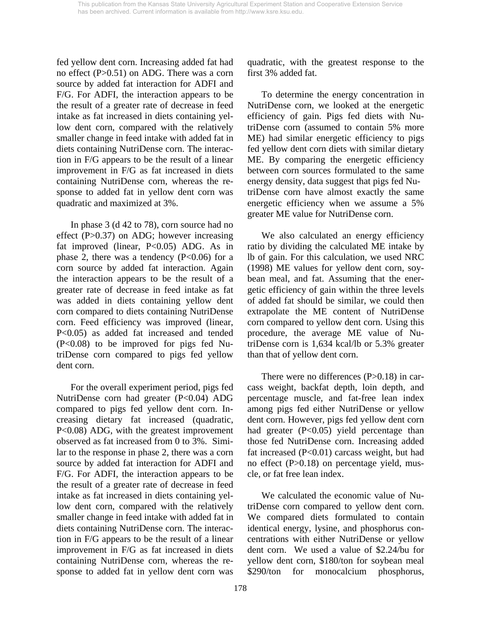fed yellow dent corn. Increasing added fat had no effect (P>0.51) on ADG. There was a corn source by added fat interaction for ADFI and F/G. For ADFI, the interaction appears to be the result of a greater rate of decrease in feed intake as fat increased in diets containing yellow dent corn, compared with the relatively smaller change in feed intake with added fat in diets containing NutriDense corn. The interaction in F/G appears to be the result of a linear improvement in F/G as fat increased in diets containing NutriDense corn, whereas the response to added fat in yellow dent corn was quadratic and maximized at 3%.

In phase 3 (d 42 to 78), corn source had no effect (P>0.37) on ADG; however increasing fat improved (linear, P<0.05) ADG. As in phase 2, there was a tendency  $(P<0.06)$  for a corn source by added fat interaction. Again the interaction appears to be the result of a greater rate of decrease in feed intake as fat was added in diets containing yellow dent corn compared to diets containing NutriDense corn. Feed efficiency was improved (linear, P<0.05) as added fat increased and tended (P<0.08) to be improved for pigs fed NutriDense corn compared to pigs fed yellow dent corn.

For the overall experiment period, pigs fed NutriDense corn had greater (P<0.04) ADG compared to pigs fed yellow dent corn. Increasing dietary fat increased (quadratic, P<0.08) ADG, with the greatest improvement observed as fat increased from 0 to 3%. Similar to the response in phase 2, there was a corn source by added fat interaction for ADFI and F/G. For ADFI, the interaction appears to be the result of a greater rate of decrease in feed intake as fat increased in diets containing yellow dent corn, compared with the relatively smaller change in feed intake with added fat in diets containing NutriDense corn. The interaction in F/G appears to be the result of a linear improvement in F/G as fat increased in diets containing NutriDense corn, whereas the response to added fat in yellow dent corn was

quadratic, with the greatest response to the first 3% added fat.

To determine the energy concentration in NutriDense corn, we looked at the energetic efficiency of gain. Pigs fed diets with NutriDense corn (assumed to contain 5% more ME) had similar energetic efficiency to pigs fed yellow dent corn diets with similar dietary ME. By comparing the energetic efficiency between corn sources formulated to the same energy density, data suggest that pigs fed NutriDense corn have almost exactly the same energetic efficiency when we assume a 5% greater ME value for NutriDense corn.

We also calculated an energy efficiency ratio by dividing the calculated ME intake by lb of gain. For this calculation, we used NRC (1998) ME values for yellow dent corn, soybean meal, and fat. Assuming that the energetic efficiency of gain within the three levels of added fat should be similar, we could then extrapolate the ME content of NutriDense corn compared to yellow dent corn. Using this procedure, the average ME value of NutriDense corn is 1,634 kcal/lb or 5.3% greater than that of yellow dent corn.

There were no differences (P>0.18) in carcass weight, backfat depth, loin depth, and percentage muscle, and fat-free lean index among pigs fed either NutriDense or yellow dent corn. However, pigs fed yellow dent corn had greater (P<0.05) yield percentage than those fed NutriDense corn. Increasing added fat increased (P<0.01) carcass weight, but had no effect (P>0.18) on percentage yield, muscle, or fat free lean index.

 We calculated the economic value of NutriDense corn compared to yellow dent corn. We compared diets formulated to contain identical energy, lysine, and phosphorus concentrations with either NutriDense or yellow dent corn. We used a value of \$2.24/bu for yellow dent corn, \$180/ton for soybean meal \$290/ton for monocalcium phosphorus,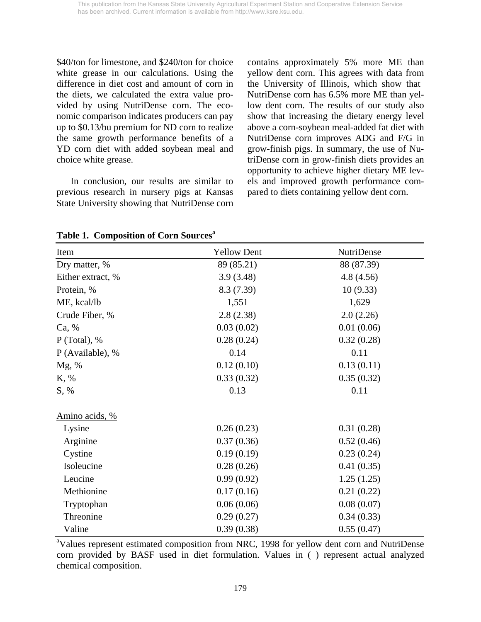\$40/ton for limestone, and \$240/ton for choice white grease in our calculations. Using the difference in diet cost and amount of corn in the diets, we calculated the extra value provided by using NutriDense corn. The economic comparison indicates producers can pay up to \$0.13/bu premium for ND corn to realize the same growth performance benefits of a YD corn diet with added soybean meal and choice white grease.

In conclusion, our results are similar to previous research in nursery pigs at Kansas State University showing that NutriDense corn contains approximately 5% more ME than yellow dent corn. This agrees with data from the University of Illinois, which show that NutriDense corn has 6.5% more ME than yellow dent corn. The results of our study also show that increasing the dietary energy level above a corn-soybean meal-added fat diet with NutriDense corn improves ADG and F/G in grow-finish pigs. In summary, the use of NutriDense corn in grow-finish diets provides an opportunity to achieve higher dietary ME levels and improved growth performance compared to diets containing yellow dent corn.

| Item              | <b>Yellow Dent</b> | NutriDense |  |  |  |
|-------------------|--------------------|------------|--|--|--|
| Dry matter, %     | 89 (85.21)         | 88 (87.39) |  |  |  |
| Either extract, % | 3.9(3.48)          | 4.8(4.56)  |  |  |  |
| Protein, %        | 8.3 (7.39)         | 10(9.33)   |  |  |  |
| ME, kcal/lb       | 1,551              | 1,629      |  |  |  |
| Crude Fiber, %    | 2.8(2.38)          | 2.0(2.26)  |  |  |  |
| Ca, %             | 0.03(0.02)         | 0.01(0.06) |  |  |  |
| $P$ (Total), %    | 0.28(0.24)         | 0.32(0.28) |  |  |  |
| P (Available), %  | 0.14               | 0.11       |  |  |  |
| Mg, %             | 0.12(0.10)         | 0.13(0.11) |  |  |  |
| K, %              | 0.33(0.32)         | 0.35(0.32) |  |  |  |
| S, %              | 0.13               | 0.11       |  |  |  |
| Amino acids, %    |                    |            |  |  |  |
| Lysine            | 0.26(0.23)         | 0.31(0.28) |  |  |  |
| Arginine          | 0.37(0.36)         | 0.52(0.46) |  |  |  |
| Cystine           | 0.19(0.19)         | 0.23(0.24) |  |  |  |
| Isoleucine        | 0.28(0.26)         | 0.41(0.35) |  |  |  |
| Leucine           | 0.99(0.92)         | 1.25(1.25) |  |  |  |
| Methionine        | 0.17(0.16)         | 0.21(0.22) |  |  |  |
| Tryptophan        | 0.06(0.06)         | 0.08(0.07) |  |  |  |
| Threonine         | 0.29(0.27)         | 0.34(0.33) |  |  |  |
| Valine            | 0.39(0.38)         | 0.55(0.47) |  |  |  |

**Table 1. Composition of Corn Sources**<sup>a</sup>

<sup>a</sup>Values represent estimated composition from NRC, 1998 for yellow dent corn and NutriDense corn provided by BASF used in diet formulation. Values in ( ) represent actual analyzed chemical composition.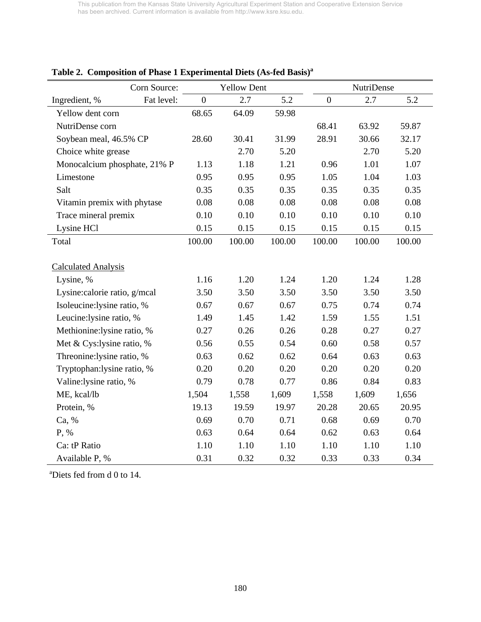|                              | Corn Source: |                  | <b>Yellow Dent</b> |        |                | NutriDense |        |
|------------------------------|--------------|------------------|--------------------|--------|----------------|------------|--------|
| Ingredient, %                | Fat level:   | $\boldsymbol{0}$ | 2.7                | 5.2    | $\overline{0}$ | 2.7        | 5.2    |
| Yellow dent corn             |              | 68.65            | 64.09              | 59.98  |                |            |        |
| NutriDense corn              |              |                  |                    |        | 68.41          | 63.92      | 59.87  |
| Soybean meal, 46.5% CP       |              | 28.60            | 30.41              | 31.99  | 28.91          | 30.66      | 32.17  |
| Choice white grease          |              |                  | 2.70               | 5.20   |                | 2.70       | 5.20   |
| Monocalcium phosphate, 21% P |              | 1.13             | 1.18               | 1.21   | 0.96           | 1.01       | 1.07   |
| Limestone                    |              | 0.95             | 0.95               | 0.95   | 1.05           | 1.04       | 1.03   |
| Salt                         |              | 0.35             | 0.35               | 0.35   | 0.35           | 0.35       | 0.35   |
| Vitamin premix with phytase  |              | 0.08             | 0.08               | 0.08   | 0.08           | 0.08       | 0.08   |
| Trace mineral premix         |              | 0.10             | 0.10               | 0.10   | 0.10           | 0.10       | 0.10   |
| Lysine HCl                   |              | 0.15             | 0.15               | 0.15   | 0.15           | 0.15       | 0.15   |
| Total                        |              | 100.00           | 100.00             | 100.00 | 100.00         | 100.00     | 100.00 |
|                              |              |                  |                    |        |                |            |        |
| <b>Calculated Analysis</b>   |              |                  |                    |        |                |            |        |
| Lysine, %                    |              | 1.16             | 1.20               | 1.24   | 1.20           | 1.24       | 1.28   |
| Lysine:calorie ratio, g/mcal |              | 3.50             | 3.50               | 3.50   | 3.50           | 3.50       | 3.50   |
| Isoleucine:lysine ratio, %   |              | 0.67             | 0.67               | 0.67   | 0.75           | 0.74       | 0.74   |
| Leucine: lysine ratio, %     |              | 1.49             | 1.45               | 1.42   | 1.59           | 1.55       | 1.51   |
| Methionine:lysine ratio, %   |              | 0.27             | 0.26               | 0.26   | 0.28           | 0.27       | 0.27   |
| Met & Cys:lysine ratio, %    |              | 0.56             | 0.55               | 0.54   | 0.60           | 0.58       | 0.57   |
| Threonine: lysine ratio, %   |              | 0.63             | 0.62               | 0.62   | 0.64           | 0.63       | 0.63   |
| Tryptophan:lysine ratio, %   |              | 0.20             | 0.20               | 0.20   | 0.20           | 0.20       | 0.20   |
| Valine:lysine ratio, %       |              | 0.79             | 0.78               | 0.77   | 0.86           | 0.84       | 0.83   |
| ME, kcal/lb                  |              | 1,504            | 1,558              | 1,609  | 1,558          | 1,609      | 1,656  |
| Protein, %                   |              | 19.13            | 19.59              | 19.97  | 20.28          | 20.65      | 20.95  |
| Ca, %                        |              | 0.69             | 0.70               | 0.71   | 0.68           | 0.69       | 0.70   |
| P, %                         |              | 0.63             | 0.64               | 0.64   | 0.62           | 0.63       | 0.64   |
| Ca: tP Ratio                 |              | 1.10             | 1.10               | 1.10   | 1.10           | 1.10       | 1.10   |
| Available P, %               |              | 0.31             | 0.32               | 0.32   | 0.33           | 0.33       | 0.34   |

# **Table 2. Composition of Phase 1 Experimental Diets (As-fed Basis)a**

a Diets fed from d 0 to 14.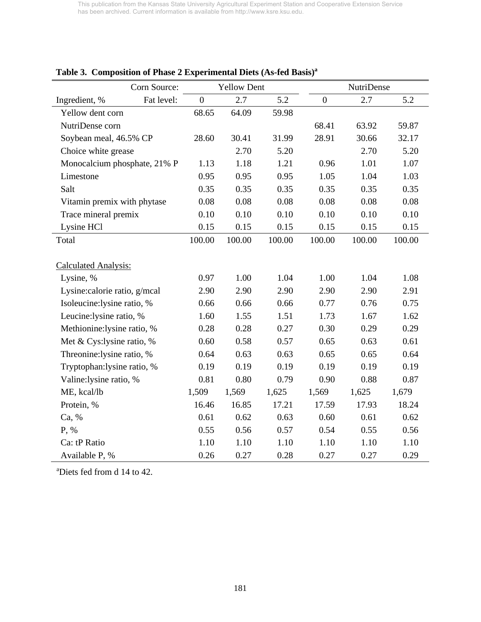|                               | Corn Source: |                  | <b>Yellow Dent</b> |        |                  | NutriDense |        |
|-------------------------------|--------------|------------------|--------------------|--------|------------------|------------|--------|
| Ingredient, %                 | Fat level:   | $\boldsymbol{0}$ | 2.7                | 5.2    | $\boldsymbol{0}$ | 2.7        | 5.2    |
| Yellow dent corn              |              | 68.65            | 64.09              | 59.98  |                  |            |        |
| NutriDense corn               |              |                  |                    |        | 68.41            | 63.92      | 59.87  |
| Soybean meal, 46.5% CP        |              | 28.60            | 30.41              | 31.99  | 28.91            | 30.66      | 32.17  |
| Choice white grease           |              |                  | 2.70               | 5.20   |                  | 2.70       | 5.20   |
| Monocalcium phosphate, 21% P  |              | 1.13             | 1.18               | 1.21   | 0.96             | 1.01       | 1.07   |
| Limestone                     |              | 0.95             | 0.95               | 0.95   | 1.05             | 1.04       | 1.03   |
| Salt                          |              | 0.35             | 0.35               | 0.35   | 0.35             | 0.35       | 0.35   |
| Vitamin premix with phytase   |              | 0.08             | 0.08               | 0.08   | 0.08             | 0.08       | 0.08   |
| Trace mineral premix          |              | 0.10             | 0.10               | 0.10   | 0.10             | 0.10       | 0.10   |
| Lysine HCl                    |              | 0.15             | 0.15               | 0.15   | 0.15             | 0.15       | 0.15   |
| Total                         |              | 100.00           | 100.00             | 100.00 | 100.00           | 100.00     | 100.00 |
|                               |              |                  |                    |        |                  |            |        |
| <b>Calculated Analysis:</b>   |              |                  |                    |        |                  |            |        |
| Lysine, %                     |              | 0.97             | 1.00               | 1.04   | 1.00             | 1.04       | 1.08   |
| Lysine: calorie ratio, g/mcal |              | 2.90             | 2.90               | 2.90   | 2.90             | 2.90       | 2.91   |
| Isoleucine:lysine ratio, %    |              | 0.66             | 0.66               | 0.66   | 0.77             | 0.76       | 0.75   |
| Leucine: lysine ratio, %      |              | 1.60             | 1.55               | 1.51   | 1.73             | 1.67       | 1.62   |
| Methionine:lysine ratio, %    |              | 0.28             | 0.28               | 0.27   | 0.30             | 0.29       | 0.29   |
| Met & Cys:lysine ratio, %     |              | 0.60             | 0.58               | 0.57   | 0.65             | 0.63       | 0.61   |
| Threonine: lysine ratio, %    |              | 0.64             | 0.63               | 0.63   | 0.65             | 0.65       | 0.64   |
| Tryptophan: lysine ratio, %   |              | 0.19             | 0.19               | 0.19   | 0.19             | 0.19       | 0.19   |
| Valine:lysine ratio, %        |              | 0.81             | 0.80               | 0.79   | 0.90             | 0.88       | 0.87   |
| ME, kcal/lb                   |              | 1,509            | 1,569              | 1,625  | 1,569            | 1,625      | 1,679  |
| Protein, %                    |              | 16.46            | 16.85              | 17.21  | 17.59            | 17.93      | 18.24  |
| Ca, %                         |              | 0.61             | 0.62               | 0.63   | 0.60             | 0.61       | 0.62   |
| P, %                          | 0.55         | 0.56             | 0.57               | 0.54   | 0.55             | 0.56       |        |
| Ca: tP Ratio                  |              |                  |                    | 1.10   | 1.10             | 1.10       | 1.10   |
| Available P, %                |              | 0.26             | 0.27               | 0.28   | 0.27             | 0.27       | 0.29   |

## **Table 3. Composition of Phase 2 Experimental Diets (As-fed Basis)a**

a Diets fed from d 14 to 42.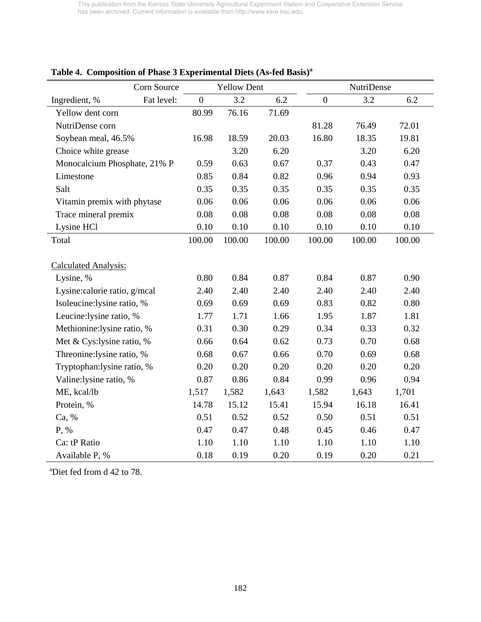|                              | Corn Source |                | <b>Yellow Dent</b> |        |                | <b>NutriDense</b> |        |
|------------------------------|-------------|----------------|--------------------|--------|----------------|-------------------|--------|
| Ingredient, %                | Fat level:  | $\overline{0}$ | 3.2                | 6.2    | $\overline{0}$ | 3.2               | 6.2    |
| Yellow dent corn             |             | 80.99          | 76.16              | 71.69  |                |                   |        |
| NutriDense corn              |             |                |                    |        | 81.28          | 76.49             | 72.01  |
| Soybean meal, 46.5%          |             | 16.98          | 18.59              | 20.03  | 16.80          | 18.35             | 19.81  |
| Choice white grease          |             |                | 3.20               | 6.20   |                | 3.20              | 6.20   |
| Monocalcium Phosphate, 21% P |             | 0.59           | 0.63               | 0.67   | 0.37           | 0.43              | 0.47   |
| Limestone                    |             | 0.85           | 0.84               | 0.82   | 0.96           | 0.94              | 0.93   |
| Salt                         |             | 0.35           | 0.35               | 0.35   | 0.35           | 0.35              | 0.35   |
| Vitamin premix with phytase  |             | 0.06           | 0.06               | 0.06   | 0.06           | 0.06              | 0.06   |
| Trace mineral premix         |             | 0.08           | 0.08               | 0.08   | 0.08           | 0.08              | 0.08   |
| Lysine HCl                   |             | 0.10           | 0.10               | 0.10   | 0.10           | 0.10              | 0.10   |
| Total                        |             | 100.00         | 100.00             | 100.00 | 100.00         | 100.00            | 100.00 |
| <b>Calculated Analysis:</b>  |             |                |                    |        |                |                   |        |
| Lysine, %                    |             | 0.80           | 0.84               | 0.87   | 0.84           | 0.87              | 0.90   |
| Lysine:calorie ratio, g/mcal |             | 2.40           | 2.40               | 2.40   | 2.40           | 2.40              | 2.40   |
| Isoleucine:lysine ratio, %   |             | 0.69           | 0.69               | 0.69   | 0.83           | 0.82              | 0.80   |
| Leucine:lysine ratio, %      |             | 1.77           | 1.71               | 1.66   | 1.95           | 1.87              | 1.81   |
| Methionine: lysine ratio, %  |             | 0.31           | 0.30               | 0.29   | 0.34           | 0.33              | 0.32   |
| Met & Cys:lysine ratio, %    |             | 0.66           | 0.64               | 0.62   | 0.73           | 0.70              | 0.68   |
| Threonine:lysine ratio, %    |             | 0.68           | 0.67               | 0.66   | 0.70           | 0.69              | 0.68   |
| Tryptophan:lysine ratio, %   |             | 0.20           | 0.20               | 0.20   | 0.20           | 0.20              | 0.20   |
| Valine:lysine ratio, %       |             | 0.87           | 0.86               | 0.84   | 0.99           | 0.96              | 0.94   |
| ME, kcal/lb                  |             | 1,517          | 1,582              | 1,643  | 1,582          | 1,643             | 1,701  |
| Protein, %                   |             | 14.78          | 15.12              | 15.41  | 15.94          | 16.18             | 16.41  |
| Ca, %                        |             | 0.51           | 0.52               | 0.52   | 0.50           | 0.51              | 0.51   |
| P, %                         |             | 0.47           | 0.47               | 0.48   | 0.45           | 0.46              | 0.47   |
| Ca: tP Ratio                 | 1.10        | 1.10           | 1.10               | 1.10   | 1.10           | 1.10              |        |
| Available P, %               |             | 0.18           | 0.19               | 0.20   | 0.19           | 0.20              | 0.21   |

# **Table 4. Composition of Phase 3 Experimental Diets (As-fed Basis)a**

a Diet fed from d 42 to 78.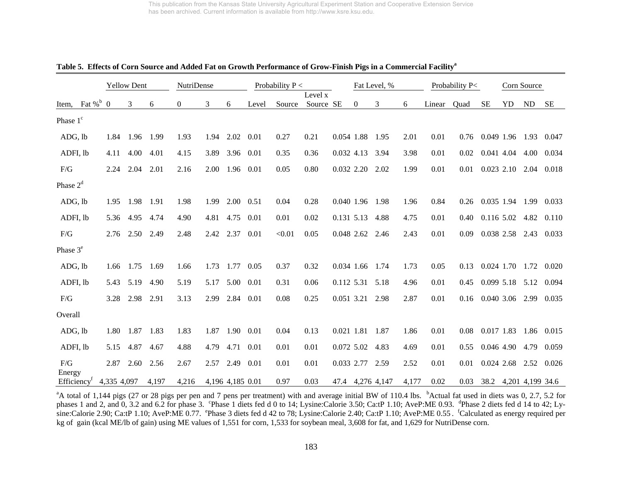|                             |                | <b>Yellow Dent</b> |       | NutriDense     |      |                  |       | Probability $P <$ |                      |            |                | Fat Level, %     |       |        | Probability P< |              |    | Corn Source      |            |
|-----------------------------|----------------|--------------------|-------|----------------|------|------------------|-------|-------------------|----------------------|------------|----------------|------------------|-------|--------|----------------|--------------|----|------------------|------------|
| Item, Fat $\%$ <sup>b</sup> | $\overline{0}$ | 3                  | 6     | $\overline{0}$ | 3    | 6                | Level | Source            | Level x<br>Source SE |            | $\overline{0}$ | 3                | 6     | Linear | Quad           | <b>SE</b>    | YD | $\rm ND$         | <b>SE</b>  |
| Phase 1 <sup>c</sup>        |                |                    |       |                |      |                  |       |                   |                      |            |                |                  |       |        |                |              |    |                  |            |
| ADG, lb                     | 1.84           | 1.96               | 1.99  | 1.93           | 1.94 | 2.02             | 0.01  | 0.27              | 0.21                 | 0.054 1.88 |                | 1.95             | 2.01  | 0.01   | 0.76           | 0.049 1.96   |    | 1.93             | 0.047      |
| ADFI, lb                    | 4.11           | 4.00               | 4.01  | 4.15           | 3.89 | 3.96             | 0.01  | 0.35              | 0.36                 | 0.032 4.13 |                | 3.94             | 3.98  | 0.01   | 0.02           | 0.041 4.04   |    | 4.00             | 0.034      |
| $\rm F/G$                   | 2.24           | 2.04               | 2.01  | 2.16           | 2.00 | 1.96             | 0.01  | 0.05              | 0.80                 | 0.032 2.20 |                | 2.02             | 1.99  | 0.01   | 0.01           | $0.023$ 2.10 |    | 2.04             | 0.018      |
| Phase $2d$                  |                |                    |       |                |      |                  |       |                   |                      |            |                |                  |       |        |                |              |    |                  |            |
| ADG, lb                     | 1.95           | 1.98               | 1.91  | 1.98           | 1.99 | 2.00             | 0.51  | 0.04              | 0.28                 | 0.040 1.96 |                | 1.98             | 1.96  | 0.84   | 0.26           | 0.035 1.94   |    | 1.99             | 0.033      |
| ADFI, lb                    | 5.36           | 4.95               | 4.74  | 4.90           | 4.81 | 4.75             | 0.01  | 0.01              | 0.02                 | 0.131 5.13 |                | 4.88             | 4.75  | 0.01   | 0.40           | 0.116 5.02   |    | 4.82             | 0.110      |
| F/G                         | 2.76           | 2.50               | 2.49  | 2.48           | 2.42 | 2.37             | 0.01  | < 0.01            | 0.05                 | 0.048 2.62 |                | 2.46             | 2.43  | 0.01   | 0.09           | 0.038 2.58   |    | 2.43             | 0.033      |
| Phase $3e$                  |                |                    |       |                |      |                  |       |                   |                      |            |                |                  |       |        |                |              |    |                  |            |
| ADG, lb                     | 1.66           | 1.75               | 1.69  | 1.66           | 1.73 | 1.77             | 0.05  | 0.37              | 0.32                 | 0.034 1.66 |                | 1.74             | 1.73  | 0.05   | 0.13           | 0.024 1.70   |    | 1.72             | 0.020      |
| ADFI, lb                    | 5.43           | 5.19               | 4.90  | 5.19           | 5.17 | 5.00             | 0.01  | 0.31              | 0.06                 | 0.112 5.31 |                | 5.18             | 4.96  | 0.01   | 0.45           | 0.099 5.18   |    | 5.12             | 0.094      |
| F/G                         | 3.28           | 2.98               | 2.91  | 3.13           | 2.99 | 2.84             | 0.01  | 0.08              | 0.25                 | 0.051 3.21 |                | 2.98             | 2.87  | 0.01   | 0.16           | 0.040 3.06   |    | 2.99             | 0.035      |
| Overall                     |                |                    |       |                |      |                  |       |                   |                      |            |                |                  |       |        |                |              |    |                  |            |
| ADG, lb                     | 1.80           | 1.87               | 1.83  | 1.83           | 1.87 | 1.90             | 0.01  | 0.04              | 0.13                 | 0.021 1.81 |                | 1.87             | 1.86  | 0.01   | 0.08           | 0.017 1.83   |    |                  | 1.86 0.015 |
| ADFI, lb                    | 5.15           | 4.87               | 4.67  | 4.88           | 4.79 | 4.71             | 0.01  | 0.01              | 0.01                 | 0.072 5.02 |                | 4.83             | 4.69  | 0.01   | 0.55           | 0.046 4.90   |    | 4.79             | 0.059      |
| F/G<br>Energy               | 2.87           | 2.60               | 2.56  | 2.67           | 2.57 | 2.49             | 0.01  | 0.01              | 0.01                 | 0.033 2.77 |                | 2.59             | 2.52  | 0.01   | 0.01           | $0.024$ 2.68 |    | 2.52             | 0.026      |
| Efficiency <sup>t</sup>     | 4,335 4,097    |                    | 4,197 | 4,216          |      | 4,196 4,185 0.01 |       | 0.97              | 0.03                 |            |                | 47.4 4,276 4,147 | 4,177 | 0.02   | 0.03           | 38.2         |    | 4,201 4,199 34.6 |            |

#### **Table 5. Effects of Corn Source and Added Fat on Growth Performance of Grow-Finish Pigs in a Commercial Facilitya**

 $A$  total of 1,144 pigs (27 or 28 pigs per pen and 7 pens per treatment) with and average initial BW of 110.4 lbs.  $b$ Actual fat used in diets was 0, 2.7, 5.2 for phases 1 and 2, and 0, 3.2 and 6.2 for phase 3. Phase 1 diets fed d 0 to 14; Lysine:Calorie 3.50; Ca:tP 1.10; AveP:ME 0.93. <sup>d</sup>Phase 2 diets fed d 14 to 42; Lysine:Calorie 2.90; Ca:tP 1.10; AveP:ME 0.77. ePhase 3 diets fed d 42 to 78; Lysine:Calorie 2.40; Ca:tP 1.10; AveP:ME 0.55 . fCalculated as energy required per kg of gain (kcal ME/lb of gain) using ME values of 1,551 for corn, 1,533 for soybean meal, 3,608 for fat, and 1,629 for NutriDense corn.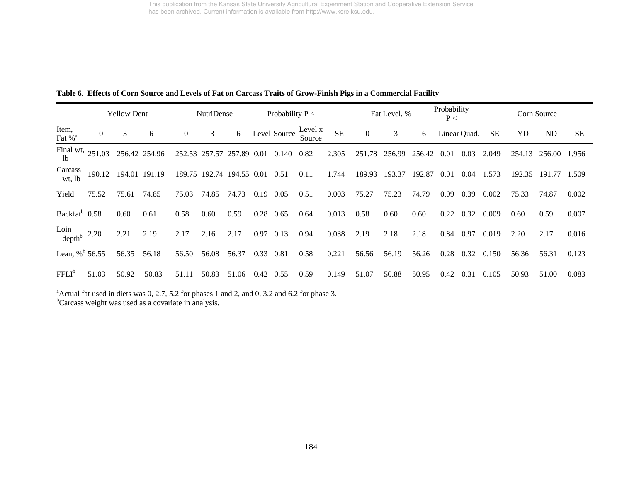|  |  | Table 6. Effects of Corn Source and Levels of Fat on Carcass Traits of Grow-Finish Pigs in a Commercial Facility |  |  |  |  |
|--|--|------------------------------------------------------------------------------------------------------------------|--|--|--|--|
|--|--|------------------------------------------------------------------------------------------------------------------|--|--|--|--|

|                             |                | <b>Yellow Dent</b> |        |              | NutriDense |                    |      | Probability $P <$ |                   |           |                | Fat Level, % |        | Probability<br>P< |              |           |             | Corn Source |           |
|-----------------------------|----------------|--------------------|--------|--------------|------------|--------------------|------|-------------------|-------------------|-----------|----------------|--------------|--------|-------------------|--------------|-----------|-------------|-------------|-----------|
| Item,<br>Fat % <sup>a</sup> | $\overline{0}$ | 3                  | 6      | $\mathbf{0}$ | 3          | 6                  |      | Level Source      | Level x<br>Source | <b>SE</b> | $\overline{0}$ | 3            | 6      |                   | Linear Quad. | <b>SE</b> | YD          | ND          | <b>SE</b> |
| Final wt,<br>1b             | 251.03         | 256.42 254.96      |        | 252.53       | 257.57     | 257.89 0.01        |      | 0.140             | 0.82              | 2.305     | 251.78         | 256.99       | 256.42 | 0.01              | 0.03         | 2.049     | 254.<br>.13 | 256.00      | 1.956     |
| Carcass<br>wt, lb           | 190.12         | 194.01             | 191.19 | 189.75       |            | 192.74 194.55 0.01 |      | 0.51              | 0.11              | 1.744     | 189.93         | 193.37       | 192.87 | 0.01              | 0.04         | 1.573     | 192.35      | 191.77      | 1.509     |
| Yield                       | 75.52          | 75.61              | 74.85  | 75.03        | 74.85      | 74.73              | 0.19 | 0.05              | 0.51              | 0.003     | 75.27          | 75.23        | 74.79  | 0.09              | 0.39         | 0.002     | 75.33       | 74.87       | 0.002     |
| Backfat <sup>b</sup> 0.58   |                | 0.60               | 0.61   | 0.58         | 0.60       | 0.59               | 0.28 | 0.65              | 0.64              | 0.013     | 0.58           | 0.60         | 0.60   | 0.22              | 0.32         | 0.009     | 0.60        | 0.59        | 0.007     |
| Loin<br>depth $b$ 2.20      |                | 2.21               | 2.19   | 2.17         | 2.16       | 2.17               | 0.97 | 0.13              | 0.94              | 0.038     | 2.19           | 2.18         | 2.18   | 0.84              | 0.97         | 0.019     | 2.20        | 2.17        | 0.016     |
| Lean, % $b$ 56.55           |                | 56.35              | 56.18  | 56.50        | 56.08      | 56.37              | 0.33 | 0.81              | 0.58              | 0.221     | 56.56          | 56.19        | 56.26  | 0.28              | 0.32         | 0.150     | 56.36       | 56.31       | 0.123     |
| $FFLI^b$                    | 51.03          | 50.92              | 50.83  | 51.11        | 50.83      | 51.06              | 0.42 | 0.55              | 0.59              | 0.149     | 51.07          | 50.88        | 50.95  | 0.42              | 0.31         | 0.105     | 50.93       | 51.00       | 0.083     |

 $^{\circ}$ Actual fat used in diets was 0, 2.7, 5.2 for phases 1 and 2, and 0, 3.2 and 6.2 for phase 3.

<sup>b</sup>Carcass weight was used as a covariate in analysis.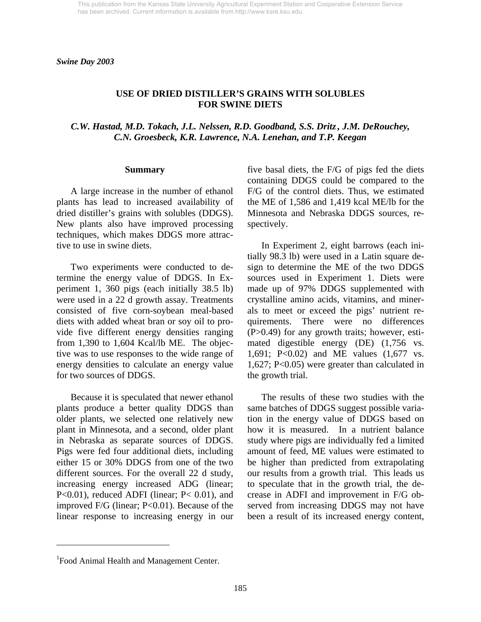*Swine Day 2003* 

### **USE OF DRIED DISTILLER'S GRAINS WITH SOLUBLES FOR SWINE DIETS**

*C.W. Hastad, M.D. Tokach, J.L. Nelssen, R.D. Goodband, S.S. Dritz , J.M. DeRouchey, C.N. Groesbeck, K.R. Lawrence, N.A. Lenehan, and T.P. Keegan* 

#### **Summary**

 A large increase in the number of ethanol plants has lead to increased availability of dried distiller's grains with solubles (DDGS). New plants also have improved processing techniques, which makes DDGS more attractive to use in swine diets.

 Two experiments were conducted to determine the energy value of DDGS. In Experiment 1, 360 pigs (each initially 38.5 lb) were used in a 22 d growth assay. Treatments consisted of five corn-soybean meal-based diets with added wheat bran or soy oil to provide five different energy densities ranging from 1,390 to 1,604 Kcal/lb ME. The objective was to use responses to the wide range of energy densities to calculate an energy value for two sources of DDGS.

 Because it is speculated that newer ethanol plants produce a better quality DDGS than older plants, we selected one relatively new plant in Minnesota, and a second, older plant in Nebraska as separate sources of DDGS. Pigs were fed four additional diets, including either 15 or 30% DDGS from one of the two different sources. For the overall 22 d study, increasing energy increased ADG (linear; P<0.01), reduced ADFI (linear; P< 0.01), and improved F/G (linear; P<0.01). Because of the linear response to increasing energy in our five basal diets, the F/G of pigs fed the diets containing DDGS could be compared to the F/G of the control diets. Thus, we estimated the ME of 1,586 and 1,419 kcal ME/lb for the Minnesota and Nebraska DDGS sources, respectively.

 In Experiment 2, eight barrows (each initially 98.3 lb) were used in a Latin square design to determine the ME of the two DDGS sources used in Experiment 1. Diets were made up of 97% DDGS supplemented with crystalline amino acids, vitamins, and minerals to meet or exceed the pigs' nutrient requirements. There were no differences (P>0.49) for any growth traits; however, estimated digestible energy (DE) (1,756 vs. 1,691; P<0.02) and ME values (1,677 vs. 1,627; P<0.05) were greater than calculated in the growth trial.

 The results of these two studies with the same batches of DDGS suggest possible variation in the energy value of DDGS based on how it is measured. In a nutrient balance study where pigs are individually fed a limited amount of feed, ME values were estimated to be higher than predicted from extrapolating our results from a growth trial. This leads us to speculate that in the growth trial, the decrease in ADFI and improvement in F/G observed from increasing DDGS may not have been a result of its increased energy content,

l

<sup>&</sup>lt;sup>1</sup> Food Animal Health and Management Center.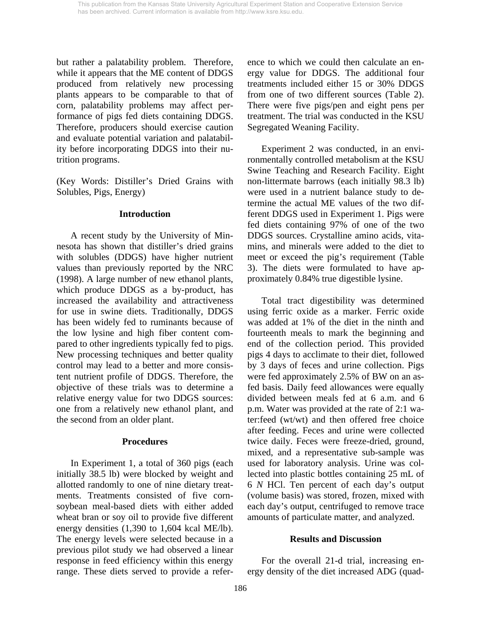but rather a palatability problem. Therefore, while it appears that the ME content of DDGS produced from relatively new processing plants appears to be comparable to that of corn, palatability problems may affect performance of pigs fed diets containing DDGS. Therefore, producers should exercise caution and evaluate potential variation and palatability before incorporating DDGS into their nutrition programs.

(Key Words: Distiller's Dried Grains with Solubles, Pigs, Energy)

### **Introduction**

A recent study by the University of Minnesota has shown that distiller's dried grains with solubles (DDGS) have higher nutrient values than previously reported by the NRC (1998). A large number of new ethanol plants, which produce DDGS as a by-product, has increased the availability and attractiveness for use in swine diets. Traditionally, DDGS has been widely fed to ruminants because of the low lysine and high fiber content compared to other ingredients typically fed to pigs. New processing techniques and better quality control may lead to a better and more consistent nutrient profile of DDGS. Therefore, the objective of these trials was to determine a relative energy value for two DDGS sources: one from a relatively new ethanol plant, and the second from an older plant.

## **Procedures**

 In Experiment 1, a total of 360 pigs (each initially 38.5 lb) were blocked by weight and allotted randomly to one of nine dietary treatments. Treatments consisted of five cornsoybean meal-based diets with either added wheat bran or soy oil to provide five different energy densities (1,390 to 1,604 kcal ME/lb). The energy levels were selected because in a previous pilot study we had observed a linear response in feed efficiency within this energy range. These diets served to provide a reference to which we could then calculate an energy value for DDGS. The additional four treatments included either 15 or 30% DDGS from one of two different sources (Table 2). There were five pigs/pen and eight pens per treatment. The trial was conducted in the KSU Segregated Weaning Facility.

 Experiment 2 was conducted, in an environmentally controlled metabolism at the KSU Swine Teaching and Research Facility. Eight non-littermate barrows (each initially 98.3 lb) were used in a nutrient balance study to determine the actual ME values of the two different DDGS used in Experiment 1. Pigs were fed diets containing 97% of one of the two DDGS sources. Crystalline amino acids, vitamins, and minerals were added to the diet to meet or exceed the pig's requirement (Table 3). The diets were formulated to have approximately 0.84% true digestible lysine.

Total tract digestibility was determined using ferric oxide as a marker. Ferric oxide was added at 1% of the diet in the ninth and fourteenth meals to mark the beginning and end of the collection period. This provided pigs 4 days to acclimate to their diet, followed by 3 days of feces and urine collection. Pigs were fed approximately 2.5% of BW on an asfed basis. Daily feed allowances were equally divided between meals fed at 6 a.m. and 6 p.m. Water was provided at the rate of 2:1 water:feed (wt/wt) and then offered free choice after feeding. Feces and urine were collected twice daily. Feces were freeze-dried, ground, mixed, and a representative sub-sample was used for laboratory analysis. Urine was collected into plastic bottles containing 25 mL of 6 *N* HCl. Ten percent of each day's output (volume basis) was stored, frozen, mixed with each day's output, centrifuged to remove trace amounts of particulate matter, and analyzed.

## **Results and Discussion**

 For the overall 21-d trial, increasing energy density of the diet increased ADG (quad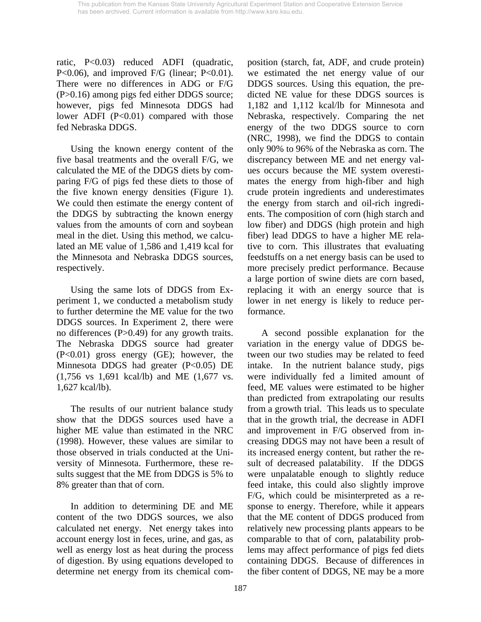ratic, P<0.03) reduced ADFI (quadratic, P<0.06), and improved F/G (linear; P<0.01). There were no differences in ADG or F/G (P>0.16) among pigs fed either DDGS source; however, pigs fed Minnesota DDGS had lower ADFI (P<0.01) compared with those fed Nebraska DDGS.

Using the known energy content of the five basal treatments and the overall F/G, we calculated the ME of the DDGS diets by comparing F/G of pigs fed these diets to those of the five known energy densities (Figure 1). We could then estimate the energy content of the DDGS by subtracting the known energy values from the amounts of corn and soybean meal in the diet. Using this method, we calculated an ME value of 1,586 and 1,419 kcal for the Minnesota and Nebraska DDGS sources, respectively.

Using the same lots of DDGS from Experiment 1, we conducted a metabolism study to further determine the ME value for the two DDGS sources. In Experiment 2, there were no differences (P>0.49) for any growth traits. The Nebraska DDGS source had greater (P<0.01) gross energy (GE); however, the Minnesota DDGS had greater (P<0.05) DE (1,756 vs 1,691 kcal/lb) and ME (1,677 vs. 1,627 kcal/lb).

The results of our nutrient balance study show that the DDGS sources used have a higher ME value than estimated in the NRC (1998). However, these values are similar to those observed in trials conducted at the University of Minnesota. Furthermore, these results suggest that the ME from DDGS is 5% to 8% greater than that of corn.

In addition to determining DE and ME content of the two DDGS sources, we also calculated net energy. Net energy takes into account energy lost in feces, urine, and gas, as well as energy lost as heat during the process of digestion. By using equations developed to determine net energy from its chemical composition (starch, fat, ADF, and crude protein) we estimated the net energy value of our DDGS sources. Using this equation, the predicted NE value for these DDGS sources is 1,182 and 1,112 kcal/lb for Minnesota and Nebraska, respectively. Comparing the net energy of the two DDGS source to corn (NRC, 1998), we find the DDGS to contain only 90% to 96% of the Nebraska as corn. The discrepancy between ME and net energy values occurs because the ME system overestimates the energy from high-fiber and high crude protein ingredients and underestimates the energy from starch and oil-rich ingredients. The composition of corn (high starch and low fiber) and DDGS (high protein and high fiber) lead DDGS to have a higher ME relative to corn. This illustrates that evaluating feedstuffs on a net energy basis can be used to more precisely predict performance. Because a large portion of swine diets are corn based, replacing it with an energy source that is lower in net energy is likely to reduce performance.

A second possible explanation for the variation in the energy value of DDGS between our two studies may be related to feed intake. In the nutrient balance study, pigs were individually fed a limited amount of feed, ME values were estimated to be higher than predicted from extrapolating our results from a growth trial. This leads us to speculate that in the growth trial, the decrease in ADFI and improvement in F/G observed from increasing DDGS may not have been a result of its increased energy content, but rather the result of decreased palatability. If the DDGS were unpalatable enough to slightly reduce feed intake, this could also slightly improve F/G, which could be misinterpreted as a response to energy. Therefore, while it appears that the ME content of DDGS produced from relatively new processing plants appears to be comparable to that of corn, palatability problems may affect performance of pigs fed diets containing DDGS. Because of differences in the fiber content of DDGS, NE may be a more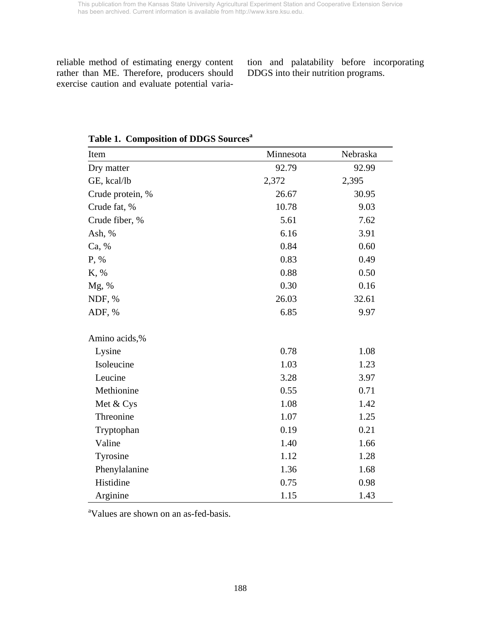reliable method of estimating energy content rather than ME. Therefore, producers should exercise caution and evaluate potential varia-

tion and palatability before incorporating DDGS into their nutrition programs.

| Item             | Minnesota | Nebraska |  |  |
|------------------|-----------|----------|--|--|
| Dry matter       | 92.79     | 92.99    |  |  |
| GE, kcal/lb      | 2,372     | 2,395    |  |  |
| Crude protein, % | 26.67     | 30.95    |  |  |
| Crude fat, %     | 10.78     | 9.03     |  |  |
| Crude fiber, %   | 5.61      | 7.62     |  |  |
| Ash, %           | 6.16      | 3.91     |  |  |
| Ca, %            | 0.84      | 0.60     |  |  |
| P, %             | 0.83      | 0.49     |  |  |
| K, %             | 0.88      | 0.50     |  |  |
| Mg, %            | 0.30      | 0.16     |  |  |
| NDF, %           | 26.03     | 32.61    |  |  |
| ADF, %           | 6.85      | 9.97     |  |  |
| Amino acids,%    |           |          |  |  |
| Lysine           | 0.78      | 1.08     |  |  |
| Isoleucine       | 1.03      | 1.23     |  |  |
| Leucine          | 3.28      | 3.97     |  |  |
| Methionine       | 0.55      | 0.71     |  |  |
| Met & Cys        | 1.08      | 1.42     |  |  |
| Threonine        | 1.07      | 1.25     |  |  |
| Tryptophan       | 0.19      | 0.21     |  |  |
| Valine           | 1.40      | 1.66     |  |  |
| Tyrosine         | 1.12      | 1.28     |  |  |
| Phenylalanine    | 1.36      | 1.68     |  |  |
| Histidine        | 0.75      | 0.98     |  |  |
| Arginine         | 1.15      | 1.43     |  |  |

**Table 1. Composition of DDGS Sources<sup>a</sup>**

a Values are shown on an as-fed-basis.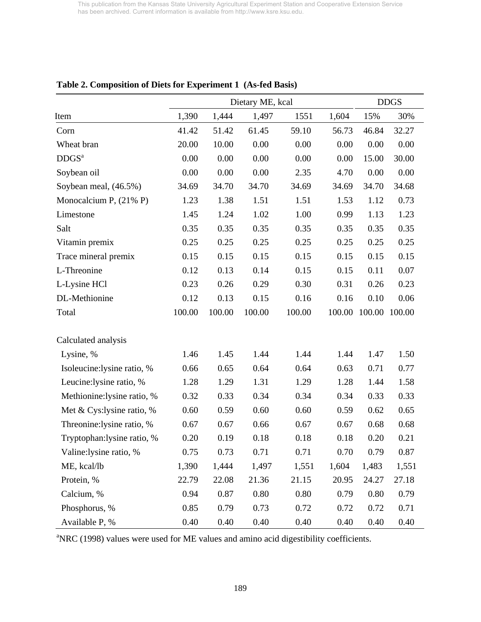|                             |        | Dietary ME, kcal |        |        |        |        |        |  |  |  |
|-----------------------------|--------|------------------|--------|--------|--------|--------|--------|--|--|--|
| Item                        | 1,390  | 1,444            | 1,497  | 1551   | 1,604  | 15%    | 30%    |  |  |  |
| Corn                        | 41.42  | 51.42            | 61.45  | 59.10  | 56.73  | 46.84  | 32.27  |  |  |  |
| Wheat bran                  | 20.00  | 10.00            | 0.00   | 0.00   | 0.00   | 0.00   | 0.00   |  |  |  |
| DDGS <sup>a</sup>           | 0.00   | 0.00             | 0.00   | 0.00   | 0.00   | 15.00  | 30.00  |  |  |  |
| Soybean oil                 | 0.00   | 0.00             | 0.00   | 2.35   | 4.70   | 0.00   | 0.00   |  |  |  |
| Soybean meal, (46.5%)       | 34.69  | 34.70            | 34.70  | 34.69  | 34.69  | 34.70  | 34.68  |  |  |  |
| Monocalcium P, $(21\% P)$   | 1.23   | 1.38             | 1.51   | 1.51   | 1.53   | 1.12   | 0.73   |  |  |  |
| Limestone                   | 1.45   | 1.24             | 1.02   | 1.00   | 0.99   | 1.13   | 1.23   |  |  |  |
| Salt                        | 0.35   | 0.35             | 0.35   | 0.35   | 0.35   | 0.35   | 0.35   |  |  |  |
| Vitamin premix              | 0.25   | 0.25             | 0.25   | 0.25   | 0.25   | 0.25   | 0.25   |  |  |  |
| Trace mineral premix        | 0.15   | 0.15             | 0.15   | 0.15   | 0.15   | 0.15   | 0.15   |  |  |  |
| L-Threonine                 | 0.12   | 0.13             | 0.14   | 0.15   | 0.15   | 0.11   | 0.07   |  |  |  |
| L-Lysine HCl                | 0.23   | 0.26             | 0.29   | 0.30   | 0.31   | 0.26   | 0.23   |  |  |  |
| DL-Methionine               | 0.12   | 0.13             | 0.15   | 0.16   | 0.16   | 0.10   | 0.06   |  |  |  |
| Total                       | 100.00 | 100.00           | 100.00 | 100.00 | 100.00 | 100.00 | 100.00 |  |  |  |
| Calculated analysis         |        |                  |        |        |        |        |        |  |  |  |
| Lysine, %                   | 1.46   | 1.45             | 1.44   | 1.44   | 1.44   | 1.47   | 1.50   |  |  |  |
| Isoleucine: lysine ratio, % | 0.66   | 0.65             | 0.64   | 0.64   | 0.63   | 0.71   | 0.77   |  |  |  |
| Leucine: lysine ratio, %    | 1.28   | 1.29             | 1.31   | 1.29   | 1.28   | 1.44   | 1.58   |  |  |  |
| Methionine:lysine ratio, %  | 0.32   | 0.33             | 0.34   | 0.34   | 0.34   | 0.33   | 0.33   |  |  |  |
| Met & Cys:lysine ratio, %   | 0.60   | 0.59             | 0.60   | 0.60   | 0.59   | 0.62   | 0.65   |  |  |  |
| Threonine: lysine ratio, %  | 0.67   | 0.67             | 0.66   | 0.67   | 0.67   | 0.68   | 0.68   |  |  |  |
| Tryptophan: lysine ratio, % | 0.20   | 0.19             | 0.18   | 0.18   | 0.18   | 0.20   | 0.21   |  |  |  |
| Valine:lysine ratio, %      | 0.75   | 0.73             | 0.71   | 0.71   | 0.70   | 0.79   | 0.87   |  |  |  |
| ME, kcal/lb                 | 1,390  | 1,444            | 1,497  | 1,551  | 1,604  | 1,483  | 1,551  |  |  |  |
| Protein, %                  | 22.79  | 22.08            | 21.36  | 21.15  | 20.95  | 24.27  | 27.18  |  |  |  |
| Calcium, %                  | 0.94   | 0.87             | 0.80   | 0.80   | 0.79   | 0.80   | 0.79   |  |  |  |
| Phosphorus, %               | 0.85   | 0.79             | 0.73   | 0.72   | 0.72   | 0.72   | 0.71   |  |  |  |
| Available P, %              | 0.40   | 0.40             | 0.40   | 0.40   | 0.40   | 0.40   | 0.40   |  |  |  |

# **Table 2. Composition of Diets for Experiment 1 (As-fed Basis)**

<sup>a</sup>NRC (1998) values were used for ME values and amino acid digestibility coefficients.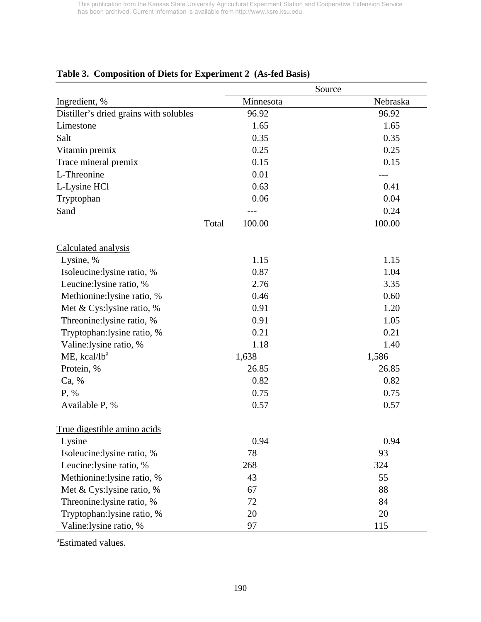|                                        |                 | Source   |
|----------------------------------------|-----------------|----------|
| Ingredient, %                          | Minnesota       | Nebraska |
| Distiller's dried grains with solubles | 96.92           | 96.92    |
| Limestone                              | 1.65            | 1.65     |
| Salt                                   | 0.35            | 0.35     |
| Vitamin premix                         | 0.25            | 0.25     |
| Trace mineral premix                   | 0.15            | 0.15     |
| L-Threonine                            | 0.01            |          |
| L-Lysine HCl                           | 0.63            | 0.41     |
| Tryptophan                             | 0.06            | 0.04     |
| Sand                                   |                 | 0.24     |
|                                        | Total<br>100.00 | 100.00   |
| Calculated analysis                    |                 |          |
| Lysine, %                              | 1.15            | 1.15     |
| Isoleucine:lysine ratio, %             | 0.87            | 1.04     |
| Leucine: lysine ratio, %               | 2.76            | 3.35     |
| Methionine:lysine ratio, %             | 0.46            | 0.60     |
| Met & Cys:lysine ratio, %              | 0.91            | 1.20     |
| Threonine:lysine ratio, %              | 0.91            | 1.05     |
| Tryptophan:lysine ratio, %             | 0.21            | 0.21     |
| Valine:lysine ratio, %                 | 1.18            | 1.40     |
| $ME$ , kcal/l $b^a$                    | 1,638           | 1,586    |
| Protein, %                             | 26.85           | 26.85    |
| Ca, %                                  | 0.82            | 0.82     |
| P, %                                   | 0.75            | 0.75     |
| Available P, %                         | 0.57            | 0.57     |
| True digestible amino acids            |                 |          |
| Lysine                                 | 0.94            | 0.94     |
| Isoleucine:lysine ratio, %             | 78              | 93       |
| Leucine:lysine ratio, %                | 268             | 324      |
| Methionine:lysine ratio, %             | 43              | 55       |
| Met & Cys:lysine ratio, %              | 67              | 88       |
| Threonine: lysine ratio, %             | 72              | 84       |
| Tryptophan: lysine ratio, %            | 20              | 20       |
| Valine:lysine ratio, %                 | 97              | 115      |

# **Table 3. Composition of Diets for Experiment 2 (As-fed Basis)**

<sup>a</sup>Estimated values.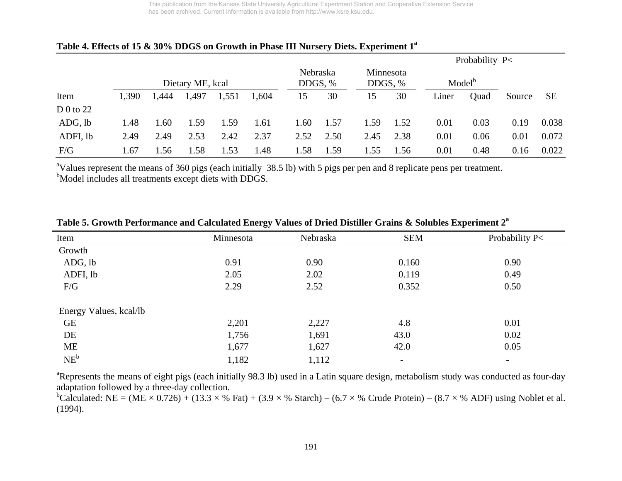|           |       |      |                  |       |                  |                     |      |                      |      |       | Probability P<     |        |           |
|-----------|-------|------|------------------|-------|------------------|---------------------|------|----------------------|------|-------|--------------------|--------|-----------|
|           |       |      | Dietary ME, kcal |       |                  | Nebraska<br>DDGS, % |      | Minnesota<br>DDGS, % |      |       | Model <sup>b</sup> |        |           |
| Item      | 1,390 | .444 | 497,،            | 1,551 | 1,604            | 15                  | 30   | 15                   | 30   | Liner | Quad               | Source | <b>SE</b> |
| D 0 to 22 |       |      |                  |       |                  |                     |      |                      |      |       |                    |        |           |
| ADG, lb   | 1.48  | 1.60 | 1.59             | l.59  | 1.61             | 1.60                | 1.57 | 1.59                 | 1.52 | 0.01  | 0.03               | 0.19   | 0.038     |
| ADFI, lb  | 2.49  | 2.49 | 2.53             | 2.42  | 2.37             | 2.52                | 2.50 | 2.45                 | 2.38 | 0.01  | 0.06               | 0.01   | 0.072     |
| F/G       | 1.67  | 1.56 | .58              | 1.53  | $\overline{.48}$ | 1.58                | 1.59 | 1.55                 | 1.56 | 0.01  | 0.48               | 0.16   | 0.022     |

## **Table 4. Effects of 15 & 30% DDGS on Growth in Phase III Nursery Diets. Experiment 1a**

<sup>a</sup>Values represent the means of 360 pigs (each initially 38.5 lb) with 5 pigs per pen and 8 replicate pens per treatment. b<sub>Model</sub> includes all treatments except diets with DDGS.

| Item                   | Minnesota | Nebraska | <b>SEM</b>                   | Probability P<           |
|------------------------|-----------|----------|------------------------------|--------------------------|
| Growth                 |           |          |                              |                          |
| ADG, lb                | 0.91      | 0.90     | 0.160                        | 0.90                     |
| ADFI, lb               | 2.05      | 2.02     | 0.119                        | 0.49                     |
| F/G                    | 2.29      | 2.52     | 0.352                        | 0.50                     |
| Energy Values, kcal/lb |           |          |                              |                          |
| <b>GE</b>              | 2,201     | 2,227    | 4.8                          | 0.01                     |
| DE                     | 1,756     | 1,691    | 43.0                         | 0.02                     |
| ME                     | 1,677     | 1,627    | 42.0                         | 0.05                     |
| $NE^b$                 | 1,182     | 1,112    | $\qquad \qquad \blacksquare$ | $\overline{\phantom{a}}$ |

## **Table 5. Growth Performance and Calculated Energy Values of Dried Distiller Grains & Solubles Experiment 2a**

<sup>a</sup>Represents the means of eight pigs (each initially 98.3 lb) used in a Latin square design, metabolism study was conducted as four-day adaptation followed by a three-day collection.

<sup>b</sup>Calculated: NE = (ME  $\times$  0.726) + (13.3  $\times$  % Fat) + (3.9  $\times$  % Starch) – (6.7  $\times$  % Crude Protein) – (8.7  $\times$  % ADF) using Noblet et al. (1994).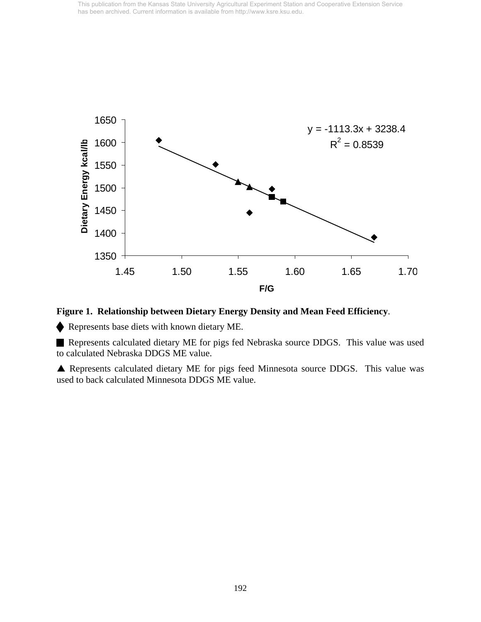

**Figure 1. Relationship between Dietary Energy Density and Mean Feed Efficiency**.

Represents base diets with known dietary ME.

 Represents calculated dietary ME for pigs fed Nebraska source DDGS. This value was used to calculated Nebraska DDGS ME value.

S Represents calculated dietary ME for pigs feed Minnesota source DDGS. This value was used to back calculated Minnesota DDGS ME value.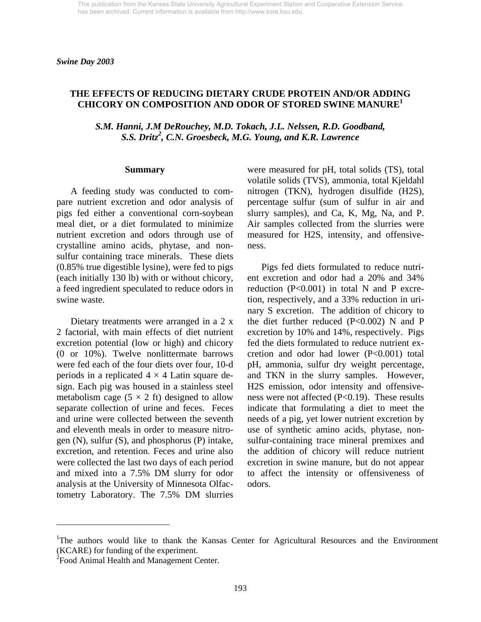### **THE EFFECTS OF REDUCING DIETARY CRUDE PROTEIN AND/OR ADDING CHICORY ON COMPOSITION AND ODOR OF STORED SWINE MANURE<sup>1</sup>**

*S.M. Hanni, J.M DeRouchey, M.D. Tokach, J.L. Nelssen, R.D. Goodband, S.S. Dritz2 , C.N. Groesbeck, M.G. Young, and K.R. Lawrence* 

#### **Summary**

 A feeding study was conducted to compare nutrient excretion and odor analysis of pigs fed either a conventional corn-soybean meal diet, or a diet formulated to minimize nutrient excretion and odors through use of crystalline amino acids, phytase, and nonsulfur containing trace minerals. These diets (0.85% true digestible lysine), were fed to pigs (each initially 130 lb) with or without chicory, a feed ingredient speculated to reduce odors in swine waste.

 Dietary treatments were arranged in a 2 x 2 factorial, with main effects of diet nutrient excretion potential (low or high) and chicory (0 or 10%). Twelve nonlittermate barrows were fed each of the four diets over four, 10-d periods in a replicated  $4 \times 4$  Latin square design. Each pig was housed in a stainless steel metabolism cage  $(5 \times 2 \text{ ft})$  designed to allow separate collection of urine and feces. Feces and urine were collected between the seventh and eleventh meals in order to measure nitrogen (N), sulfur (S), and phosphorus (P) intake, excretion, and retention. Feces and urine also were collected the last two days of each period and mixed into a 7.5% DM slurry for odor analysis at the University of Minnesota Olfactometry Laboratory. The 7.5% DM slurries were measured for pH, total solids (TS), total volatile solids (TVS), ammonia, total Kjeldahl nitrogen (TKN), hydrogen disulfide (H2S), percentage sulfur (sum of sulfur in air and slurry samples), and Ca, K, Mg, Na, and P. Air samples collected from the slurries were measured for H2S, intensity, and offensiveness.

 Pigs fed diets formulated to reduce nutrient excretion and odor had a 20% and 34% reduction  $(P<0.001)$  in total N and P excretion, respectively, and a 33% reduction in urinary S excretion. The addition of chicory to the diet further reduced (P<0.002) N and P excretion by 10% and 14%, respectively. Pigs fed the diets formulated to reduce nutrient excretion and odor had lower (P<0.001) total pH, ammonia, sulfur dry weight percentage, and TKN in the slurry samples. However, H2S emission, odor intensity and offensiveness were not affected (P<0.19). These results indicate that formulating a diet to meet the needs of a pig, yet lower nutrient excretion by use of synthetic amino acids, phytase, nonsulfur-containing trace mineral premixes and the addition of chicory will reduce nutrient excretion in swine manure, but do not appear to affect the intensity or offensiveness of odors.

l

<sup>&</sup>lt;sup>1</sup>The authors would like to thank the Kansas Center for Agricultural Resources and the Environment (KCARE) for funding of the experiment.

<sup>&</sup>lt;sup>2</sup> Food Animal Health and Management Center.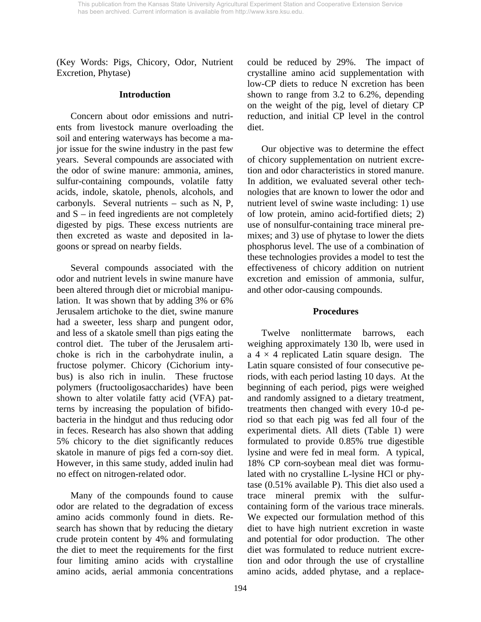(Key Words: Pigs, Chicory, Odor, Nutrient Excretion, Phytase)

### **Introduction**

 Concern about odor emissions and nutrients from livestock manure overloading the soil and entering waterways has become a major issue for the swine industry in the past few years. Several compounds are associated with the odor of swine manure: ammonia, amines, sulfur-containing compounds, volatile fatty acids, indole, skatole, phenols, alcohols, and carbonyls. Several nutrients – such as N, P, and  $S$  – in feed ingredients are not completely digested by pigs. These excess nutrients are then excreted as waste and deposited in lagoons or spread on nearby fields.

 Several compounds associated with the odor and nutrient levels in swine manure have been altered through diet or microbial manipulation. It was shown that by adding 3% or 6% Jerusalem artichoke to the diet, swine manure had a sweeter, less sharp and pungent odor, and less of a skatole smell than pigs eating the control diet. The tuber of the Jerusalem artichoke is rich in the carbohydrate inulin, a fructose polymer. Chicory (Cichorium intybus) is also rich in inulin. These fructose polymers (fructooligosaccharides) have been shown to alter volatile fatty acid (VFA) patterns by increasing the population of bifidobacteria in the hindgut and thus reducing odor in feces. Research has also shown that adding 5% chicory to the diet significantly reduces skatole in manure of pigs fed a corn-soy diet. However, in this same study, added inulin had no effect on nitrogen-related odor.

 Many of the compounds found to cause odor are related to the degradation of excess amino acids commonly found in diets. Research has shown that by reducing the dietary crude protein content by 4% and formulating the diet to meet the requirements for the first four limiting amino acids with crystalline amino acids, aerial ammonia concentrations could be reduced by 29%. The impact of crystalline amino acid supplementation with low-CP diets to reduce N excretion has been shown to range from 3.2 to 6.2%, depending on the weight of the pig, level of dietary CP reduction, and initial CP level in the control diet.

 Our objective was to determine the effect of chicory supplementation on nutrient excretion and odor characteristics in stored manure. In addition, we evaluated several other technologies that are known to lower the odor and nutrient level of swine waste including: 1) use of low protein, amino acid-fortified diets; 2) use of nonsulfur-containing trace mineral premixes; and 3) use of phytase to lower the diets phosphorus level. The use of a combination of these technologies provides a model to test the effectiveness of chicory addition on nutrient excretion and emission of ammonia, sulfur, and other odor-causing compounds.

#### **Procedures**

 Twelve nonlittermate barrows, each weighing approximately 130 lb, were used in a  $4 \times 4$  replicated Latin square design. The Latin square consisted of four consecutive periods, with each period lasting 10 days. At the beginning of each period, pigs were weighed and randomly assigned to a dietary treatment, treatments then changed with every 10-d period so that each pig was fed all four of the experimental diets. All diets (Table 1) were formulated to provide 0.85% true digestible lysine and were fed in meal form. A typical, 18% CP corn-soybean meal diet was formulated with no crystalline L-lysine HCl or phytase (0.51% available P). This diet also used a trace mineral premix with the sulfurcontaining form of the various trace minerals. We expected our formulation method of this diet to have high nutrient excretion in waste and potential for odor production. The other diet was formulated to reduce nutrient excretion and odor through the use of crystalline amino acids, added phytase, and a replace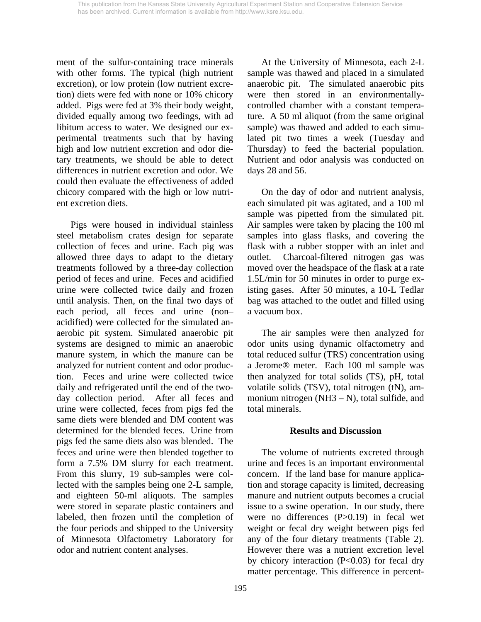ment of the sulfur-containing trace minerals with other forms. The typical (high nutrient excretion), or low protein (low nutrient excretion) diets were fed with none or 10% chicory added. Pigs were fed at 3% their body weight, divided equally among two feedings, with ad libitum access to water. We designed our experimental treatments such that by having high and low nutrient excretion and odor dietary treatments, we should be able to detect differences in nutrient excretion and odor. We could then evaluate the effectiveness of added chicory compared with the high or low nutrient excretion diets.

 Pigs were housed in individual stainless steel metabolism crates design for separate collection of feces and urine. Each pig was allowed three days to adapt to the dietary treatments followed by a three-day collection period of feces and urine. Feces and acidified urine were collected twice daily and frozen until analysis. Then, on the final two days of each period, all feces and urine (non– acidified) were collected for the simulated anaerobic pit system. Simulated anaerobic pit systems are designed to mimic an anaerobic manure system, in which the manure can be analyzed for nutrient content and odor production. Feces and urine were collected twice daily and refrigerated until the end of the twoday collection period. After all feces and urine were collected, feces from pigs fed the same diets were blended and DM content was determined for the blended feces. Urine from pigs fed the same diets also was blended. The feces and urine were then blended together to form a 7.5% DM slurry for each treatment. From this slurry, 19 sub-samples were collected with the samples being one 2-L sample, and eighteen 50-ml aliquots. The samples were stored in separate plastic containers and labeled, then frozen until the completion of the four periods and shipped to the University of Minnesota Olfactometry Laboratory for odor and nutrient content analyses.

 At the University of Minnesota, each 2-L sample was thawed and placed in a simulated anaerobic pit. The simulated anaerobic pits were then stored in an environmentallycontrolled chamber with a constant temperature. A 50 ml aliquot (from the same original sample) was thawed and added to each simulated pit two times a week (Tuesday and Thursday) to feed the bacterial population. Nutrient and odor analysis was conducted on days 28 and 56.

 On the day of odor and nutrient analysis, each simulated pit was agitated, and a 100 ml sample was pipetted from the simulated pit. Air samples were taken by placing the 100 ml samples into glass flasks, and covering the flask with a rubber stopper with an inlet and outlet. Charcoal-filtered nitrogen gas was moved over the headspace of the flask at a rate 1.5L/min for 50 minutes in order to purge existing gases. After 50 minutes, a 10-L Tedlar bag was attached to the outlet and filled using a vacuum box.

 The air samples were then analyzed for odor units using dynamic olfactometry and total reduced sulfur (TRS) concentration using a Jerome® meter. Each 100 ml sample was then analyzed for total solids (TS), pH, total volatile solids (TSV), total nitrogen (tN), ammonium nitrogen (NH3 – N), total sulfide, and total minerals.

#### **Results and Discussion**

 The volume of nutrients excreted through urine and feces is an important environmental concern. If the land base for manure application and storage capacity is limited, decreasing manure and nutrient outputs becomes a crucial issue to a swine operation. In our study, there were no differences (P>0.19) in fecal wet weight or fecal dry weight between pigs fed any of the four dietary treatments (Table 2). However there was a nutrient excretion level by chicory interaction  $(P<0.03)$  for fecal dry matter percentage. This difference in percent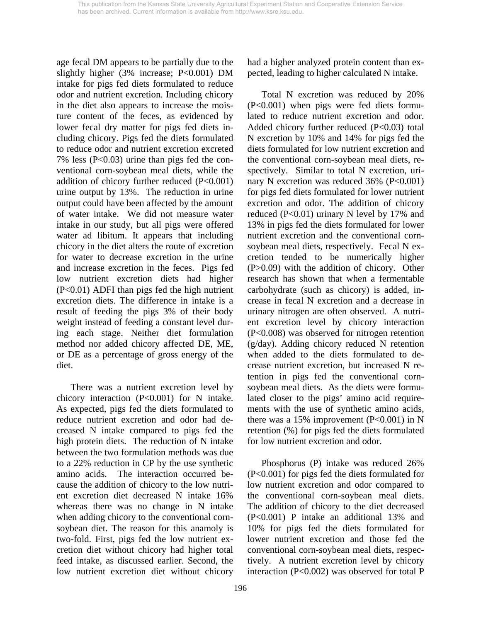age fecal DM appears to be partially due to the slightly higher (3% increase; P<0.001) DM intake for pigs fed diets formulated to reduce odor and nutrient excretion. Including chicory in the diet also appears to increase the moisture content of the feces, as evidenced by lower fecal dry matter for pigs fed diets including chicory. Pigs fed the diets formulated to reduce odor and nutrient excretion excreted 7% less (P<0.03) urine than pigs fed the conventional corn-soybean meal diets, while the addition of chicory further reduced (P<0.001) urine output by 13%. The reduction in urine output could have been affected by the amount of water intake. We did not measure water intake in our study, but all pigs were offered water ad libitum. It appears that including chicory in the diet alters the route of excretion for water to decrease excretion in the urine and increase excretion in the feces. Pigs fed low nutrient excretion diets had higher (P<0.01) ADFI than pigs fed the high nutrient excretion diets. The difference in intake is a result of feeding the pigs 3% of their body weight instead of feeding a constant level during each stage. Neither diet formulation method nor added chicory affected DE, ME, or DE as a percentage of gross energy of the diet.

 There was a nutrient excretion level by chicory interaction (P<0.001) for N intake. As expected, pigs fed the diets formulated to reduce nutrient excretion and odor had decreased N intake compared to pigs fed the high protein diets. The reduction of N intake between the two formulation methods was due to a 22% reduction in CP by the use synthetic amino acids. The interaction occurred because the addition of chicory to the low nutrient excretion diet decreased N intake 16% whereas there was no change in N intake when adding chicory to the conventional cornsoybean diet. The reason for this anamoly is two-fold. First, pigs fed the low nutrient excretion diet without chicory had higher total feed intake, as discussed earlier. Second, the low nutrient excretion diet without chicory had a higher analyzed protein content than expected, leading to higher calculated N intake.

 Total N excretion was reduced by 20% (P<0.001) when pigs were fed diets formulated to reduce nutrient excretion and odor. Added chicory further reduced (P<0.03) total N excretion by 10% and 14% for pigs fed the diets formulated for low nutrient excretion and the conventional corn-soybean meal diets, respectively. Similar to total N excretion, urinary N excretion was reduced 36% (P<0.001) for pigs fed diets formulated for lower nutrient excretion and odor. The addition of chicory reduced  $(P<0.01)$  urinary N level by 17% and 13% in pigs fed the diets formulated for lower nutrient excretion and the conventional cornsoybean meal diets, respectively. Fecal N excretion tended to be numerically higher (P>0.09) with the addition of chicory. Other research has shown that when a fermentable carbohydrate (such as chicory) is added, increase in fecal N excretion and a decrease in urinary nitrogen are often observed. A nutrient excretion level by chicory interaction (P<0.008) was observed for nitrogen retention (g/day). Adding chicory reduced N retention when added to the diets formulated to decrease nutrient excretion, but increased N retention in pigs fed the conventional cornsoybean meal diets. As the diets were formulated closer to the pigs' amino acid requirements with the use of synthetic amino acids, there was a 15% improvement  $(P<0.001)$  in N retention (%) for pigs fed the diets formulated for low nutrient excretion and odor.

 Phosphorus (P) intake was reduced 26% (P<0.001) for pigs fed the diets formulated for low nutrient excretion and odor compared to the conventional corn-soybean meal diets. The addition of chicory to the diet decreased (P<0.001) P intake an additional 13% and 10% for pigs fed the diets formulated for lower nutrient excretion and those fed the conventional corn-soybean meal diets, respectively. A nutrient excretion level by chicory interaction (P<0.002) was observed for total P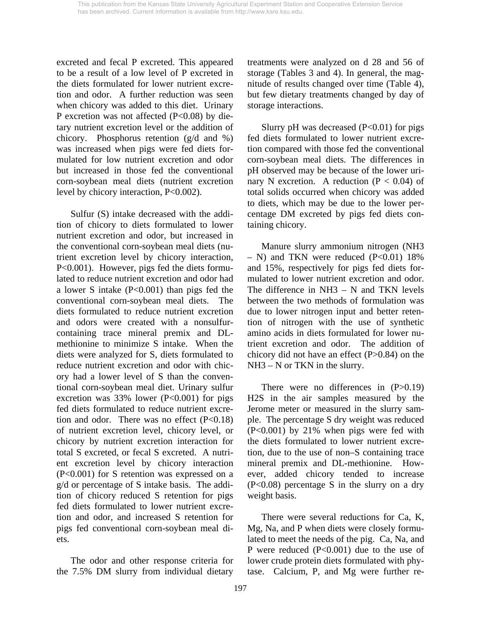excreted and fecal P excreted. This appeared to be a result of a low level of P excreted in the diets formulated for lower nutrient excretion and odor. A further reduction was seen when chicory was added to this diet. Urinary P excretion was not affected (P<0.08) by dietary nutrient excretion level or the addition of chicory. Phosphorus retention (g/d and %) was increased when pigs were fed diets formulated for low nutrient excretion and odor but increased in those fed the conventional corn-soybean meal diets (nutrient excretion level by chicory interaction, P<0.002).

 Sulfur (S) intake decreased with the addition of chicory to diets formulated to lower nutrient excretion and odor, but increased in the conventional corn-soybean meal diets (nutrient excretion level by chicory interaction, P<0.001). However, pigs fed the diets formulated to reduce nutrient excretion and odor had a lower S intake (P<0.001) than pigs fed the conventional corn-soybean meal diets. The diets formulated to reduce nutrient excretion and odors were created with a nonsulfurcontaining trace mineral premix and DLmethionine to minimize S intake. When the diets were analyzed for S, diets formulated to reduce nutrient excretion and odor with chicory had a lower level of S than the conventional corn-soybean meal diet. Urinary sulfur excretion was  $33\%$  lower (P<0.001) for pigs fed diets formulated to reduce nutrient excretion and odor. There was no effect  $(P<0.18)$ of nutrient excretion level, chicory level, or chicory by nutrient excretion interaction for total S excreted, or fecal S excreted. A nutrient excretion level by chicory interaction (P<0.001) for S retention was expressed on a g/d or percentage of S intake basis. The addition of chicory reduced S retention for pigs fed diets formulated to lower nutrient excretion and odor, and increased S retention for pigs fed conventional corn-soybean meal diets.

 The odor and other response criteria for the 7.5% DM slurry from individual dietary treatments were analyzed on d 28 and 56 of storage (Tables 3 and 4). In general, the magnitude of results changed over time (Table 4), but few dietary treatments changed by day of storage interactions.

Slurry pH was decreased  $(P<0.01)$  for pigs fed diets formulated to lower nutrient excretion compared with those fed the conventional corn-soybean meal diets. The differences in pH observed may be because of the lower urinary N excretion. A reduction ( $P < 0.04$ ) of total solids occurred when chicory was added to diets, which may be due to the lower percentage DM excreted by pigs fed diets containing chicory.

 Manure slurry ammonium nitrogen (NH3  $-$  N) and TKN were reduced (P<0.01) 18% and 15%, respectively for pigs fed diets formulated to lower nutrient excretion and odor. The difference in  $NH3 - N$  and TKN levels between the two methods of formulation was due to lower nitrogen input and better retention of nitrogen with the use of synthetic amino acids in diets formulated for lower nutrient excretion and odor. The addition of chicory did not have an effect (P>0.84) on the NH3 – N or TKN in the slurry.

There were no differences in  $(P>0.19)$ H2S in the air samples measured by the Jerome meter or measured in the slurry sample. The percentage S dry weight was reduced (P<0.001) by 21% when pigs were fed with the diets formulated to lower nutrient excretion, due to the use of non–S containing trace mineral premix and DL-methionine. However, added chicory tended to increase (P<0.08) percentage S in the slurry on a dry weight basis.

 There were several reductions for Ca, K, Mg, Na, and P when diets were closely formulated to meet the needs of the pig. Ca, Na, and P were reduced (P<0.001) due to the use of lower crude protein diets formulated with phytase. Calcium, P, and Mg were further re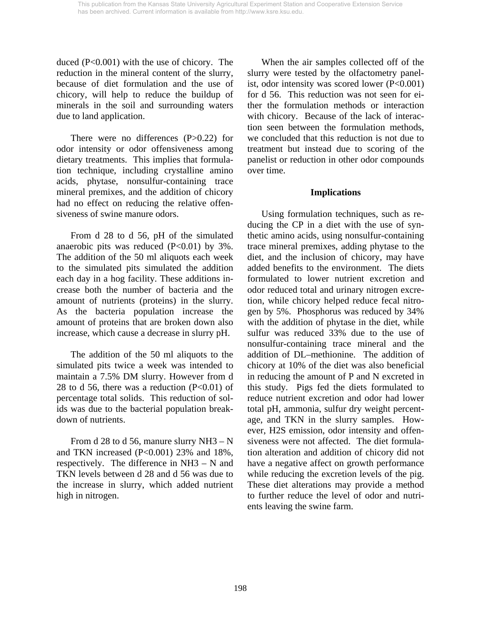duced (P<0.001) with the use of chicory. The reduction in the mineral content of the slurry, because of diet formulation and the use of chicory, will help to reduce the buildup of minerals in the soil and surrounding waters due to land application.

There were no differences  $(P>0.22)$  for odor intensity or odor offensiveness among dietary treatments. This implies that formulation technique, including crystalline amino acids, phytase, nonsulfur-containing trace mineral premixes, and the addition of chicory had no effect on reducing the relative offensiveness of swine manure odors.

 From d 28 to d 56, pH of the simulated anaerobic pits was reduced  $(P<0.01)$  by 3%. The addition of the 50 ml aliquots each week to the simulated pits simulated the addition each day in a hog facility. These additions increase both the number of bacteria and the amount of nutrients (proteins) in the slurry. As the bacteria population increase the amount of proteins that are broken down also increase, which cause a decrease in slurry pH.

 The addition of the 50 ml aliquots to the simulated pits twice a week was intended to maintain a 7.5% DM slurry. However from d 28 to d 56, there was a reduction  $(P<0.01)$  of percentage total solids. This reduction of solids was due to the bacterial population breakdown of nutrients.

From d 28 to d 56, manure slurry  $NH3 - N$ and TKN increased (P<0.001) 23% and 18%, respectively. The difference in NH3 – N and TKN levels between d 28 and d 56 was due to the increase in slurry, which added nutrient high in nitrogen.

 When the air samples collected off of the slurry were tested by the olfactometry panelist, odor intensity was scored lower (P<0.001) for d 56. This reduction was not seen for either the formulation methods or interaction with chicory. Because of the lack of interaction seen between the formulation methods, we concluded that this reduction is not due to treatment but instead due to scoring of the panelist or reduction in other odor compounds over time.

## **Implications**

 Using formulation techniques, such as reducing the CP in a diet with the use of synthetic amino acids, using nonsulfur-containing trace mineral premixes, adding phytase to the diet, and the inclusion of chicory, may have added benefits to the environment. The diets formulated to lower nutrient excretion and odor reduced total and urinary nitrogen excretion, while chicory helped reduce fecal nitrogen by 5%. Phosphorus was reduced by 34% with the addition of phytase in the diet, while sulfur was reduced 33% due to the use of nonsulfur-containing trace mineral and the addition of DL–methionine. The addition of chicory at 10% of the diet was also beneficial in reducing the amount of P and N excreted in this study. Pigs fed the diets formulated to reduce nutrient excretion and odor had lower total pH, ammonia, sulfur dry weight percentage, and TKN in the slurry samples. However, H2S emission, odor intensity and offensiveness were not affected. The diet formulation alteration and addition of chicory did not have a negative affect on growth performance while reducing the excretion levels of the pig. These diet alterations may provide a method to further reduce the level of odor and nutrients leaving the swine farm.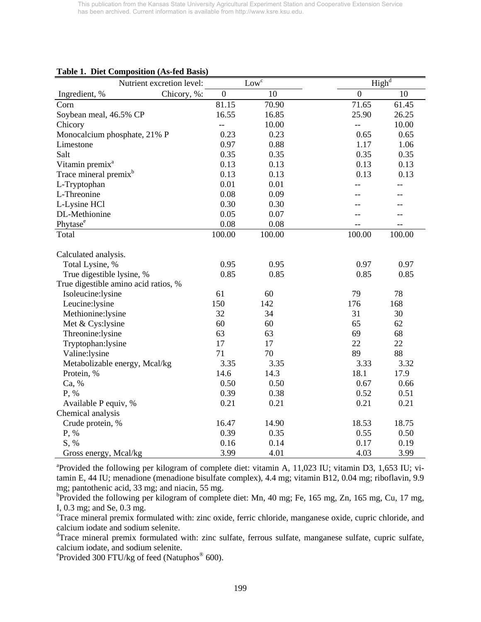|                                      | Nutrient excretion level: |                  | Low <sup>c</sup> |                | $\overline{\text{High}^d}$ |
|--------------------------------------|---------------------------|------------------|------------------|----------------|----------------------------|
| Ingredient, %                        | Chicory, %:               | $\boldsymbol{0}$ | 10               | $\overline{0}$ | 10                         |
| Corn                                 |                           | 81.15            | 70.90            | 71.65          | 61.45                      |
| Soybean meal, 46.5% CP               |                           | 16.55            | 16.85            | 25.90          | 26.25                      |
| Chicory                              |                           | $\overline{a}$   | 10.00            | --             | 10.00                      |
| Monocalcium phosphate, 21% P         |                           | 0.23             | 0.23             | 0.65           | 0.65                       |
| Limestone                            |                           | 0.97             | 0.88             | 1.17           | 1.06                       |
| Salt                                 |                           | 0.35             | 0.35             | 0.35           | 0.35                       |
| Vitamin premix <sup>a</sup>          |                           | 0.13             | 0.13             | 0.13           | 0.13                       |
| Trace mineral premix <sup>b</sup>    |                           | 0.13             | 0.13             | 0.13           | 0.13                       |
| L-Tryptophan                         |                           | 0.01             | 0.01             |                | $-1$                       |
| L-Threonine                          |                           | 0.08             | 0.09             |                |                            |
| L-Lysine HCl                         |                           | 0.30             | 0.30             |                |                            |
| DL-Methionine                        |                           | 0.05             | 0.07             |                |                            |
| Phytase <sup>e</sup>                 |                           | 0.08             | 0.08             |                |                            |
| Total                                |                           | 100.00           | 100.00           | 100.00         | 100.00                     |
|                                      |                           |                  |                  |                |                            |
| Calculated analysis.                 |                           |                  |                  |                |                            |
| Total Lysine, %                      |                           | 0.95             | 0.95             | 0.97           | 0.97                       |
| True digestible lysine, %            |                           | 0.85             | 0.85             | 0.85           | 0.85                       |
| True digestible amino acid ratios, % |                           |                  |                  |                |                            |
| Isoleucine:lysine                    |                           | 61               | 60               | 79             | 78                         |
| Leucine:lysine                       |                           | 150              | 142              | 176            | 168                        |
| Methionine:lysine                    |                           | 32               | 34               | 31             | 30                         |
| Met & Cys:lysine                     |                           | 60               | 60               | 65             | 62                         |
| Threonine:lysine                     |                           | 63               | 63               | 69             | 68                         |
| Tryptophan:lysine                    |                           | 17               | 17               | 22             | 22                         |
| Valine:lysine                        |                           | 71               | 70               | 89             | 88                         |
| Metabolizable energy, Mcal/kg        |                           | 3.35             | 3.35             | 3.33           | 3.32                       |
| Protein, %                           |                           | 14.6             | 14.3             | 18.1           | 17.9                       |
| Ca, %                                |                           | 0.50             | 0.50             | 0.67           | 0.66                       |
| P, %                                 |                           | 0.39             | 0.38             | 0.52           | 0.51                       |
| Available P equiv, %                 |                           | 0.21             | 0.21             | 0.21           | 0.21                       |
| Chemical analysis                    |                           |                  |                  |                |                            |
| Crude protein, %                     |                           | 16.47            | 14.90            | 18.53          | 18.75                      |
| P, %                                 |                           | 0.39             | 0.35             | 0.55           | 0.50                       |
| S, %                                 |                           | 0.16             | 0.14             | 0.17           | 0.19                       |
| Gross energy, Mcal/kg                |                           | 3.99             | 4.01             | 4.03           | 3.99                       |

#### **Table 1. Diet Composition (As-fed Basis)**

<sup>a</sup> Provided the following per kilogram of complete diet: vitamin A, 11,023 IU; vitamin D3, 1,653 IU; vitamin E, 44 IU; menadione (menadione bisulfate complex), 4.4 mg; vitamin B12, 0.04 mg; riboflavin, 9.9 mg; pantothenic acid, 33 mg; and niacin, 55 mg.

<sup>b</sup>Provided the following per kilogram of complete diet: Mn, 40 mg; Fe, 165 mg, Zn, 165 mg, Cu, 17 mg, I, 0.3 mg; and Se, 0.3 mg.

<sup>c</sup>Trace mineral premix formulated with: zinc oxide, ferric chloride, manganese oxide, cupric chloride, and calcium iodate and sodium selenite.

<sup>d</sup>Trace mineral premix formulated with: zinc sulfate, ferrous sulfate, manganese sulfate, cupric sulfate, calcium iodate, and sodium selenite.

<sup>e</sup> Provided 300 FTU/kg of feed (Natuphos<sup>®</sup> 600).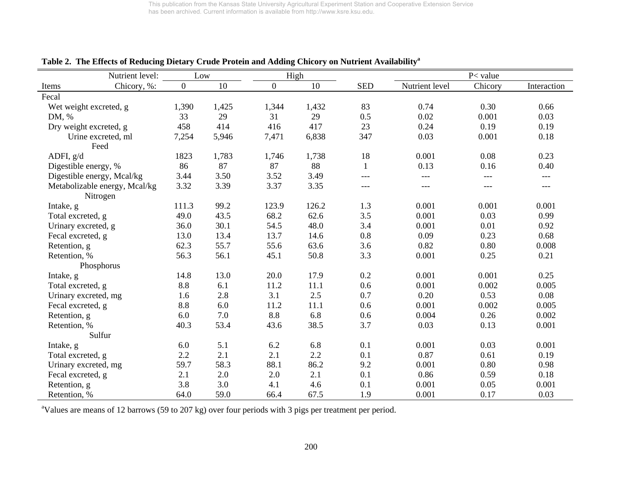| Nutrient level:                           | Low            |       |                | High  |              |                | P< value |             |
|-------------------------------------------|----------------|-------|----------------|-------|--------------|----------------|----------|-------------|
| Chicory, %:<br>Items                      | $\overline{0}$ | 10    | $\overline{0}$ | 10    | <b>SED</b>   | Nutrient level | Chicory  | Interaction |
| Fecal                                     |                |       |                |       |              |                |          |             |
| Wet weight excreted, g                    | 1,390          | 1,425 | 1,344          | 1,432 | 83           | 0.74           | 0.30     | 0.66        |
| DM, %                                     | 33             | 29    | 31             | 29    | 0.5          | 0.02           | 0.001    | 0.03        |
| Dry weight excreted, g                    | 458            | 414   | 416            | 417   | 23           | 0.24           | 0.19     | 0.19        |
| Urine excreted, ml<br>Feed                | 7,254          | 5,946 | 7,471          | 6,838 | 347          | 0.03           | 0.001    | 0.18        |
| ADFI, g/d                                 | 1823           | 1,783 | 1,746          | 1,738 | 18           | 0.001          | 0.08     | 0.23        |
| Digestible energy, %                      | 86             | 87    | 87             | 88    | $\mathbf{1}$ | 0.13           | 0.16     | 0.40        |
| Digestible energy, Mcal/kg                | 3.44           | 3.50  | 3.52           | 3.49  | ---          | ---            | $---$    | ---         |
| Metabolizable energy, Mcal/kg<br>Nitrogen | 3.32           | 3.39  | 3.37           | 3.35  | ---          | ---            | $---$    | ---         |
| Intake, g                                 | 111.3          | 99.2  | 123.9          | 126.2 | 1.3          | 0.001          | 0.001    | 0.001       |
| Total excreted, g                         | 49.0           | 43.5  | 68.2           | 62.6  | 3.5          | 0.001          | 0.03     | 0.99        |
| Urinary excreted, g                       | 36.0           | 30.1  | 54.5           | 48.0  | 3.4          | 0.001          | 0.01     | 0.92        |
| Fecal excreted, g                         | 13.0           | 13.4  | 13.7           | 14.6  | 0.8          | 0.09           | 0.23     | 0.68        |
| Retention, g                              | 62.3           | 55.7  | 55.6           | 63.6  | 3.6          | 0.82           | 0.80     | 0.008       |
| Retention, %                              | 56.3           | 56.1  | 45.1           | 50.8  | 3.3          | 0.001          | 0.25     | 0.21        |
| Phosphorus                                |                |       |                |       |              |                |          |             |
| Intake, g                                 | 14.8           | 13.0  | 20.0           | 17.9  | 0.2          | 0.001          | 0.001    | 0.25        |
| Total excreted, g                         | 8.8            | 6.1   | 11.2           | 11.1  | 0.6          | 0.001          | 0.002    | 0.005       |
| Urinary excreted, mg                      | 1.6            | 2.8   | 3.1            | 2.5   | 0.7          | 0.20           | 0.53     | 0.08        |
| Fecal excreted, g                         | 8.8            | 6.0   | 11.2           | 11.1  | 0.6          | 0.001          | 0.002    | 0.005       |
| Retention, g                              | 6.0            | 7.0   | 8.8            | 6.8   | 0.6          | 0.004          | 0.26     | 0.002       |
| Retention, %                              | 40.3           | 53.4  | 43.6           | 38.5  | 3.7          | 0.03           | 0.13     | 0.001       |
| Sulfur                                    |                |       |                |       |              |                |          |             |
| Intake, g                                 | 6.0            | 5.1   | 6.2            | 6.8   | 0.1          | 0.001          | 0.03     | 0.001       |
| Total excreted, g                         | 2.2            | 2.1   | 2.1            | 2.2   | 0.1          | 0.87           | 0.61     | 0.19        |
| Urinary excreted, mg                      | 59.7           | 58.3  | 88.1           | 86.2  | 9.2          | 0.001          | 0.80     | 0.98        |
| Fecal excreted, g                         | 2.1            | 2.0   | 2.0            | 2.1   | 0.1          | 0.86           | 0.59     | 0.18        |
| Retention, g                              | 3.8            | 3.0   | 4.1            | 4.6   | 0.1          | 0.001          | 0.05     | 0.001       |
| Retention, %                              | 64.0           | 59.0  | 66.4           | 67.5  | 1.9          | 0.001          | 0.17     | 0.03        |

**Table 2. The Effects of Reducing Dietary Crude Protein and Adding Chicory on Nutrient Availabilitya**

<sup>a</sup>Values are means of 12 barrows (59 to 207 kg) over four periods with 3 pigs per treatment per period.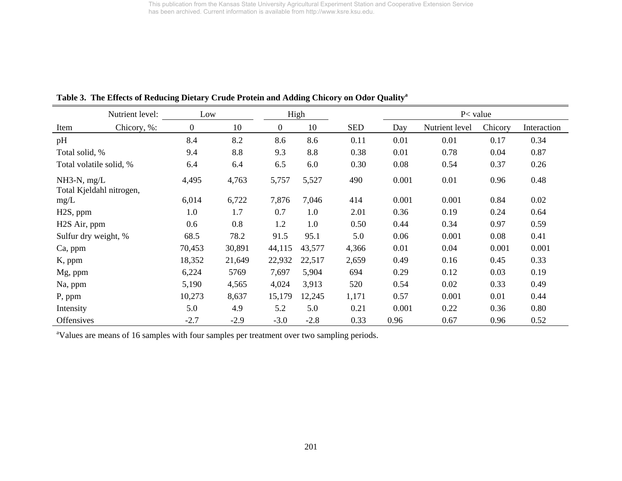|                           | Nutrient level:          | Low              |        |                | High   |            |       | $P<$ value     |         |             |
|---------------------------|--------------------------|------------------|--------|----------------|--------|------------|-------|----------------|---------|-------------|
| Item                      | Chicory, %:              | $\boldsymbol{0}$ | 10     | $\overline{0}$ | 10     | <b>SED</b> | Day   | Nutrient level | Chicory | Interaction |
| pH                        |                          | 8.4              | 8.2    | 8.6            | 8.6    | 0.11       | 0.01  | 0.01           | 0.17    | 0.34        |
| Total solid, %            |                          | 9.4              | 8.8    | 9.3            | 8.8    | 0.38       | 0.01  | 0.78           | 0.04    | 0.87        |
| Total volatile solid, %   |                          | 6.4              | 6.4    | 6.5            | 6.0    | 0.30       | 0.08  | 0.54           | 0.37    | 0.26        |
| $NH3-N$ , mg/L            | Total Kjeldahl nitrogen, | 4,495            | 4,763  | 5,757          | 5,527  | 490        | 0.001 | 0.01           | 0.96    | 0.48        |
| mg/L                      |                          | 6,014            | 6,722  | 7,876          | 7,046  | 414        | 0.001 | 0.001          | 0.84    | 0.02        |
| H <sub>2</sub> S, ppm     |                          | 1.0              | 1.7    | 0.7            | 1.0    | 2.01       | 0.36  | 0.19           | 0.24    | 0.64        |
| H <sub>2</sub> S Air, ppm |                          | 0.6              | 0.8    | 1.2            | 1.0    | 0.50       | 0.44  | 0.34           | 0.97    | 0.59        |
| Sulfur dry weight, %      |                          | 68.5             | 78.2   | 91.5           | 95.1   | 5.0        | 0.06  | 0.001          | 0.08    | 0.41        |
| Ca, ppm                   |                          | 70,453           | 30,891 | 44,115         | 43,577 | 4,366      | 0.01  | 0.04           | 0.001   | 0.001       |
| K, ppm                    |                          | 18,352           | 21,649 | 22,932         | 22,517 | 2,659      | 0.49  | 0.16           | 0.45    | 0.33        |
| Mg, ppm                   |                          | 6,224            | 5769   | 7,697          | 5,904  | 694        | 0.29  | 0.12           | 0.03    | 0.19        |
| Na, ppm                   |                          | 5,190            | 4,565  | 4,024          | 3,913  | 520        | 0.54  | 0.02           | 0.33    | 0.49        |
| P, ppm                    |                          | 10,273           | 8,637  | 15,179         | 12,245 | 1,171      | 0.57  | 0.001          | 0.01    | 0.44        |
| Intensity                 |                          | 5.0              | 4.9    | 5.2            | 5.0    | 0.21       | 0.001 | 0.22           | 0.36    | 0.80        |
| <b>Offensives</b>         |                          | $-2.7$           | $-2.9$ | $-3.0$         | $-2.8$ | 0.33       | 0.96  | 0.67           | 0.96    | 0.52        |

**Table 3. The Effects of Reducing Dietary Crude Protein and Adding Chicory on Odor Qualitya**

<sup>a</sup>Values are means of 16 samples with four samples per treatment over two sampling periods.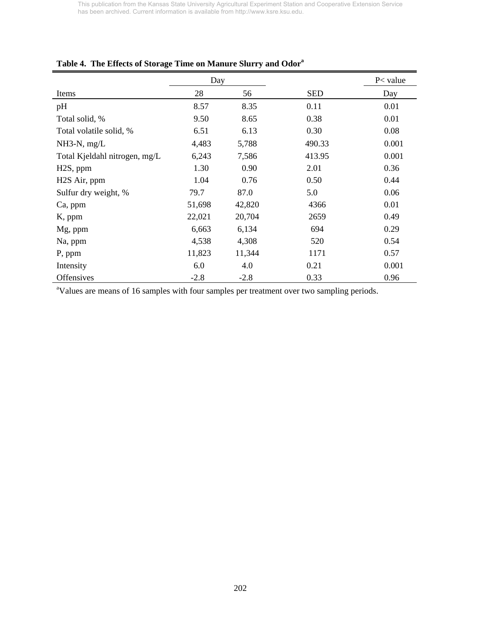|                               | Day    |        |            | $P<$ value |
|-------------------------------|--------|--------|------------|------------|
| Items                         | 28     | 56     | <b>SED</b> | Day        |
| pH                            | 8.57   | 8.35   | 0.11       | 0.01       |
| Total solid, %                | 9.50   | 8.65   | 0.38       | 0.01       |
| Total volatile solid, %       | 6.51   | 6.13   | 0.30       | 0.08       |
| $NH3-N$ , mg/L                | 4,483  | 5,788  | 490.33     | 0.001      |
| Total Kjeldahl nitrogen, mg/L | 6,243  | 7,586  | 413.95     | 0.001      |
| H <sub>2</sub> S, ppm         | 1.30   | 0.90   | 2.01       | 0.36       |
| H <sub>2</sub> S Air, ppm     | 1.04   | 0.76   | 0.50       | 0.44       |
| Sulfur dry weight, %          | 79.7   | 87.0   | 5.0        | 0.06       |
| Ca, ppm                       | 51,698 | 42,820 | 4366       | 0.01       |
| K, ppm                        | 22,021 | 20,704 | 2659       | 0.49       |
| Mg, ppm                       | 6,663  | 6,134  | 694        | 0.29       |
| Na, ppm                       | 4,538  | 4,308  | 520        | 0.54       |
| P, ppm                        | 11,823 | 11,344 | 1171       | 0.57       |
| Intensity                     | 6.0    | 4.0    | 0.21       | 0.001      |
| <b>Offensives</b>             | $-2.8$ | $-2.8$ | 0.33       | 0.96       |

## **Table 4. The Effects of Storage Time on Manure Slurry and Odora**

<sup>a</sup>Values are means of 16 samples with four samples per treatment over two sampling periods.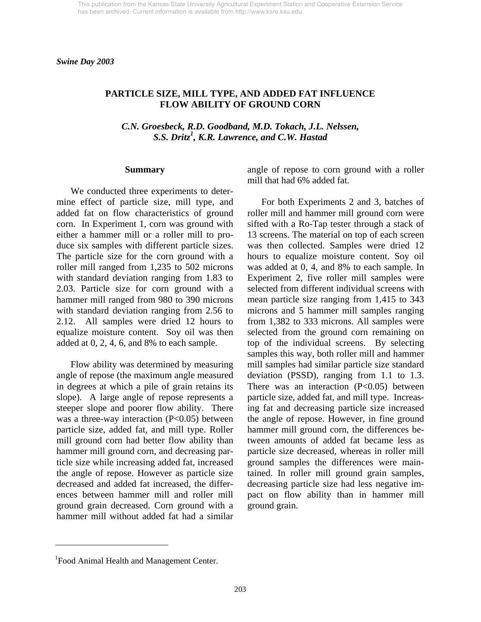### **PARTICLE SIZE, MILL TYPE, AND ADDED FAT INFLUENCE FLOW ABILITY OF GROUND CORN**

*C.N. Groesbeck, R.D. Goodband, M.D. Tokach, J.L. Nelssen, S.S. Dritz1 , K.R. Lawrence, and C.W. Hastad* 

#### **Summary**

We conducted three experiments to determine effect of particle size, mill type, and added fat on flow characteristics of ground corn. In Experiment 1, corn was ground with either a hammer mill or a roller mill to produce six samples with different particle sizes. The particle size for the corn ground with a roller mill ranged from 1,235 to 502 microns with standard deviation ranging from 1.83 to 2.03. Particle size for corn ground with a hammer mill ranged from 980 to 390 microns with standard deviation ranging from 2.56 to 2.12. All samples were dried 12 hours to equalize moisture content. Soy oil was then added at 0, 2, 4, 6, and 8% to each sample.

Flow ability was determined by measuring angle of repose (the maximum angle measured in degrees at which a pile of grain retains its slope). A large angle of repose represents a steeper slope and poorer flow ability. There was a three-way interaction (P<0.05) between particle size, added fat, and mill type. Roller mill ground corn had better flow ability than hammer mill ground corn, and decreasing particle size while increasing added fat, increased the angle of repose. However as particle size decreased and added fat increased, the differences between hammer mill and roller mill ground grain decreased. Corn ground with a hammer mill without added fat had a similar

angle of repose to corn ground with a roller mill that had 6% added fat.

For both Experiments 2 and 3, batches of roller mill and hammer mill ground corn were sifted with a Ro-Tap tester through a stack of 13 screens. The material on top of each screen was then collected. Samples were dried 12 hours to equalize moisture content. Soy oil was added at 0, 4, and 8% to each sample. In Experiment 2, five roller mill samples were selected from different individual screens with mean particle size ranging from 1,415 to 343 microns and 5 hammer mill samples ranging from 1,382 to 333 microns. All samples were selected from the ground corn remaining on top of the individual screens. By selecting samples this way, both roller mill and hammer mill samples had similar particle size standard deviation (PSSD), ranging from 1.1 to 1.3. There was an interaction  $(P<0.05)$  between particle size, added fat, and mill type. Increasing fat and decreasing particle size increased the angle of repose. However, in fine ground hammer mill ground corn, the differences between amounts of added fat became less as particle size decreased, whereas in roller mill ground samples the differences were maintained. In roller mill ground grain samples, decreasing particle size had less negative impact on flow ability than in hammer mill ground grain.

l

<sup>&</sup>lt;sup>1</sup> Food Animal Health and Management Center.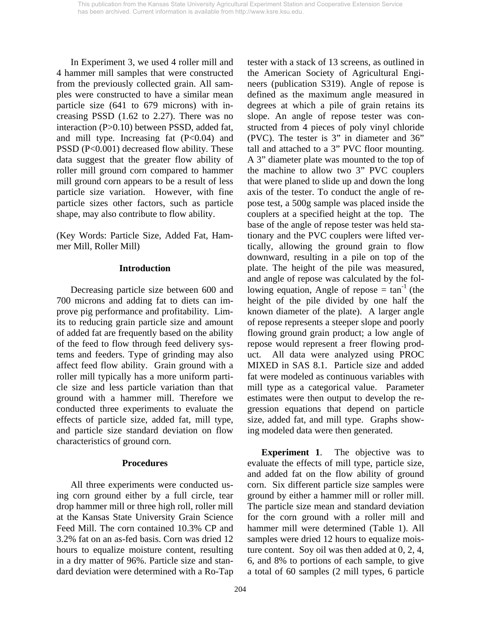In Experiment 3, we used 4 roller mill and 4 hammer mill samples that were constructed from the previously collected grain. All samples were constructed to have a similar mean particle size (641 to 679 microns) with increasing PSSD (1.62 to 2.27). There was no interaction (P>0.10) between PSSD, added fat, and mill type. Increasing fat  $(P<0.04)$  and PSSD (P<0.001) decreased flow ability. These data suggest that the greater flow ability of roller mill ground corn compared to hammer mill ground corn appears to be a result of less particle size variation. However, with fine particle sizes other factors, such as particle shape, may also contribute to flow ability.

(Key Words: Particle Size, Added Fat, Hammer Mill, Roller Mill)

## **Introduction**

Decreasing particle size between 600 and 700 microns and adding fat to diets can improve pig performance and profitability. Limits to reducing grain particle size and amount of added fat are frequently based on the ability of the feed to flow through feed delivery systems and feeders. Type of grinding may also affect feed flow ability. Grain ground with a roller mill typically has a more uniform particle size and less particle variation than that ground with a hammer mill. Therefore we conducted three experiments to evaluate the effects of particle size, added fat, mill type, and particle size standard deviation on flow characteristics of ground corn.

## **Procedures**

All three experiments were conducted using corn ground either by a full circle, tear drop hammer mill or three high roll, roller mill at the Kansas State University Grain Science Feed Mill. The corn contained 10.3% CP and 3.2% fat on an as-fed basis. Corn was dried 12 hours to equalize moisture content, resulting in a dry matter of 96%. Particle size and standard deviation were determined with a Ro-Tap tester with a stack of 13 screens, as outlined in the American Society of Agricultural Engineers (publication S319). Angle of repose is defined as the maximum angle measured in degrees at which a pile of grain retains its slope. An angle of repose tester was constructed from 4 pieces of poly vinyl chloride (PVC). The tester is 3" in diameter and 36" tall and attached to a 3" PVC floor mounting. A 3" diameter plate was mounted to the top of the machine to allow two 3" PVC couplers that were planed to slide up and down the long axis of the tester. To conduct the angle of repose test, a 500g sample was placed inside the couplers at a specified height at the top. The base of the angle of repose tester was held stationary and the PVC couplers were lifted vertically, allowing the ground grain to flow downward, resulting in a pile on top of the plate. The height of the pile was measured, and angle of repose was calculated by the following equation, Angle of repose  $= \tan^{-1}$  (the height of the pile divided by one half the known diameter of the plate). A larger angle of repose represents a steeper slope and poorly flowing ground grain product; a low angle of repose would represent a freer flowing product. All data were analyzed using PROC MIXED in SAS 8.1. Particle size and added fat were modeled as continuous variables with mill type as a categorical value. Parameter estimates were then output to develop the regression equations that depend on particle size, added fat, and mill type. Graphs showing modeled data were then generated.

**Experiment 1.** The objective was to evaluate the effects of mill type, particle size, and added fat on the flow ability of ground corn. Six different particle size samples were ground by either a hammer mill or roller mill. The particle size mean and standard deviation for the corn ground with a roller mill and hammer mill were determined (Table 1). All samples were dried 12 hours to equalize moisture content. Soy oil was then added at 0, 2, 4, 6, and 8% to portions of each sample, to give a total of 60 samples (2 mill types, 6 particle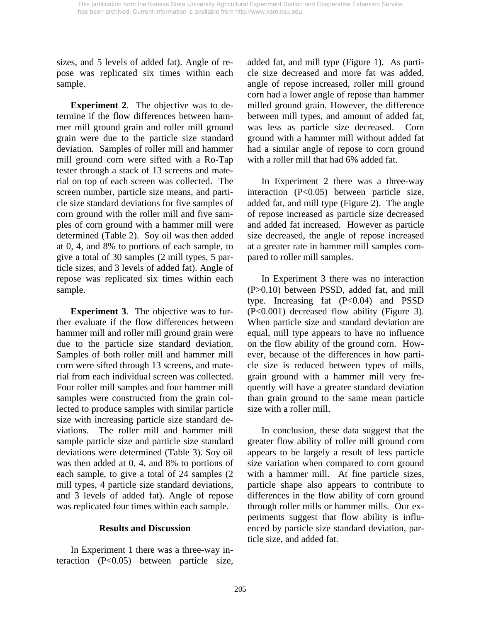sizes, and 5 levels of added fat). Angle of repose was replicated six times within each sample.

**Experiment 2**. The objective was to determine if the flow differences between hammer mill ground grain and roller mill ground grain were due to the particle size standard deviation. Samples of roller mill and hammer mill ground corn were sifted with a Ro-Tap tester through a stack of 13 screens and material on top of each screen was collected. The screen number, particle size means, and particle size standard deviations for five samples of corn ground with the roller mill and five samples of corn ground with a hammer mill were determined (Table 2). Soy oil was then added at 0, 4, and 8% to portions of each sample, to give a total of 30 samples (2 mill types, 5 particle sizes, and 3 levels of added fat). Angle of repose was replicated six times within each sample.

**Experiment 3.** The objective was to further evaluate if the flow differences between hammer mill and roller mill ground grain were due to the particle size standard deviation. Samples of both roller mill and hammer mill corn were sifted through 13 screens, and material from each individual screen was collected. Four roller mill samples and four hammer mill samples were constructed from the grain collected to produce samples with similar particle size with increasing particle size standard deviations. The roller mill and hammer mill sample particle size and particle size standard deviations were determined (Table 3). Soy oil was then added at 0, 4, and 8% to portions of each sample, to give a total of 24 samples (2 mill types, 4 particle size standard deviations, and 3 levels of added fat). Angle of repose was replicated four times within each sample.

### **Results and Discussion**

 In Experiment 1 there was a three-way interaction (P<0.05) between particle size, added fat, and mill type (Figure 1). As particle size decreased and more fat was added, angle of repose increased, roller mill ground corn had a lower angle of repose than hammer milled ground grain. However, the difference between mill types, and amount of added fat, was less as particle size decreased. Corn ground with a hammer mill without added fat had a similar angle of repose to corn ground with a roller mill that had 6% added fat.

In Experiment 2 there was a three-way interaction (P<0.05) between particle size, added fat, and mill type (Figure 2). The angle of repose increased as particle size decreased and added fat increased. However as particle size decreased, the angle of repose increased at a greater rate in hammer mill samples compared to roller mill samples.

In Experiment 3 there was no interaction (P>0.10) between PSSD, added fat, and mill type. Increasing fat  $(P<0.04)$  and PSSD (P<0.001) decreased flow ability (Figure 3). When particle size and standard deviation are equal, mill type appears to have no influence on the flow ability of the ground corn. However, because of the differences in how particle size is reduced between types of mills, grain ground with a hammer mill very frequently will have a greater standard deviation than grain ground to the same mean particle size with a roller mill.

In conclusion, these data suggest that the greater flow ability of roller mill ground corn appears to be largely a result of less particle size variation when compared to corn ground with a hammer mill. At fine particle sizes, particle shape also appears to contribute to differences in the flow ability of corn ground through roller mills or hammer mills. Our experiments suggest that flow ability is influenced by particle size standard deviation, particle size, and added fat.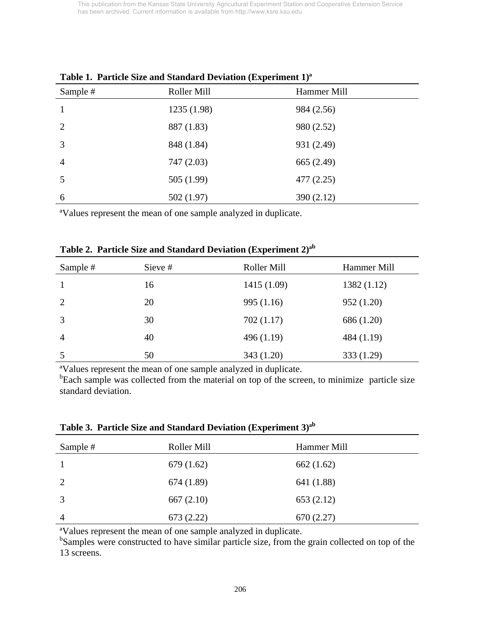| $m$ where $\omega$ and $\omega$ is considered to $\omega$ is a considered (sample considered $\omega$ ) |             |             |  |  |  |  |
|---------------------------------------------------------------------------------------------------------|-------------|-------------|--|--|--|--|
| Sample #                                                                                                | Roller Mill | Hammer Mill |  |  |  |  |
|                                                                                                         | 1235(1.98)  | 984 (2.56)  |  |  |  |  |
| 2                                                                                                       | 887 (1.83)  | 980 (2.52)  |  |  |  |  |
| 3                                                                                                       | 848 (1.84)  | 931 (2.49)  |  |  |  |  |
| $\overline{4}$                                                                                          | 747 (2.03)  | 665 (2.49)  |  |  |  |  |
| 5                                                                                                       | 505(1.99)   | 477(2.25)   |  |  |  |  |
| 6                                                                                                       | 502(1.97)   | 390 (2.12)  |  |  |  |  |

**Table 1. Particle Size and Standard Deviation (Experiment 1)ª** 

ªValues represent the mean of one sample analyzed in duplicate.

| Table 2. Particle Size and Standard Deviation (Experiment 2) <sup>ab</sup> |         |             |  |  |  |  |  |
|----------------------------------------------------------------------------|---------|-------------|--|--|--|--|--|
| Sample #                                                                   | Sieve # | Roller Mill |  |  |  |  |  |

| Sample #       | Sieve # | Roller Mill | Hammer Mill |
|----------------|---------|-------------|-------------|
|                | 16      | 1415 (1.09) | 1382(1.12)  |
| 2              | 20      | 995(1.16)   | 952(1.20)   |
| 3              | 30      | 702(1.17)   | 686 (1.20)  |
| $\overline{4}$ | 40      | 496(1.19)   | 484 (1.19)  |
|                | 50      | 343(1.20)   | 333(1.29)   |

ªValues represent the mean of one sample analyzed in duplicate.

<sup>b</sup>Each sample was collected from the material on top of the screen, to minimize particle size standard deviation.

**Table 3. Particle Size and Standard Deviation (Experiment 3)ªb** 

| Sample #       | Roller Mill | Hammer Mill |
|----------------|-------------|-------------|
|                | 679(1.62)   | 662(1.62)   |
| 2              | 674(1.89)   | 641 (1.88)  |
| 3              | 667(2.10)   | 653 (2.12)  |
| $\overline{4}$ | 673 (2.22)  | 670 (2.27)  |

ªValues represent the mean of one sample analyzed in duplicate.

<sup>b</sup>Samples were constructed to have similar particle size, from the grain collected on top of the 13 screens.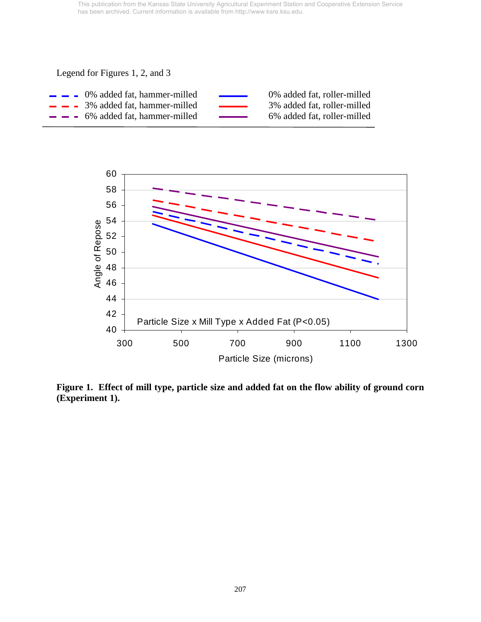Legend for Figures 1, 2, and 3

| $\blacksquare$ $\blacksquare$ 0% added fat, hammer-milled | <b>Contract Contract Contract Contract</b> | 0% added fat, roller-milled |
|-----------------------------------------------------------|--------------------------------------------|-----------------------------|
| $\blacksquare$ $\blacksquare$ 3% added fat, hammer-milled | <b>Contract Contract Contract Contract</b> | 3% added fat, roller-milled |
| $\equiv$ $\equiv$ 6% added fat, hammer-milled             | <b>Contract Contract Contract</b>          | 6% added fat, roller-milled |



**Figure 1. Effect of mill type, particle size and added fat on the flow ability of ground corn (Experiment 1).**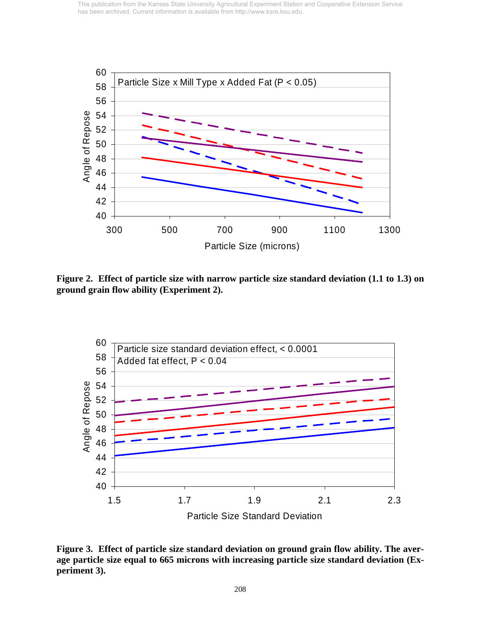

**Figure 2. Effect of particle size with narrow particle size standard deviation (1.1 to 1.3) on ground grain flow ability (Experiment 2).** 



**Figure 3. Effect of particle size standard deviation on ground grain flow ability. The average particle size equal to 665 microns with increasing particle size standard deviation (Experiment 3).**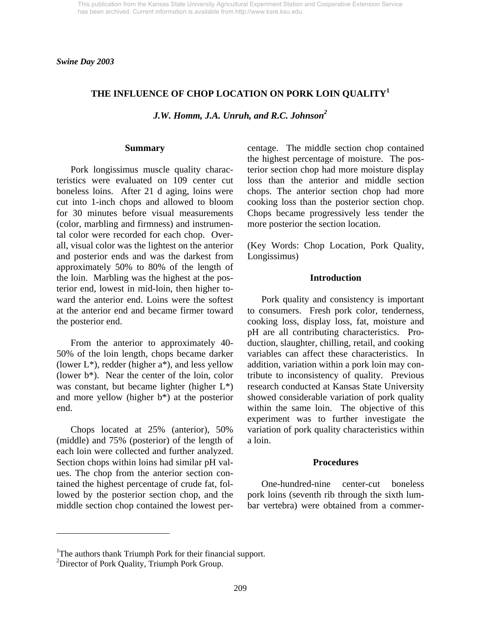*Swine Day 2003* 

## **THE INFLUENCE OF CHOP LOCATION ON PORK LOIN QUALITY<sup>1</sup>**

*J.W. Homm, J.A. Unruh, and R.C. Johnson2* 

#### **Summary**

 Pork longissimus muscle quality characteristics were evaluated on 109 center cut boneless loins. After 21 d aging, loins were cut into 1-inch chops and allowed to bloom for 30 minutes before visual measurements (color, marbling and firmness) and instrumental color were recorded for each chop. Overall, visual color was the lightest on the anterior and posterior ends and was the darkest from approximately 50% to 80% of the length of the loin. Marbling was the highest at the posterior end, lowest in mid-loin, then higher toward the anterior end. Loins were the softest at the anterior end and became firmer toward the posterior end.

 From the anterior to approximately 40- 50% of the loin length, chops became darker (lower  $L^*$ ), redder (higher  $a^*$ ), and less yellow (lower b\*). Near the center of the loin, color was constant, but became lighter (higher L\*) and more yellow (higher b\*) at the posterior end.

 Chops located at 25% (anterior), 50% (middle) and 75% (posterior) of the length of each loin were collected and further analyzed. Section chops within loins had similar pH values. The chop from the anterior section contained the highest percentage of crude fat, followed by the posterior section chop, and the middle section chop contained the lowest percentage. The middle section chop contained the highest percentage of moisture. The posterior section chop had more moisture display loss than the anterior and middle section chops. The anterior section chop had more cooking loss than the posterior section chop. Chops became progressively less tender the more posterior the section location.

(Key Words: Chop Location, Pork Quality, Longissimus)

#### **Introduction**

 Pork quality and consistency is important to consumers. Fresh pork color, tenderness, cooking loss, display loss, fat, moisture and pH are all contributing characteristics. Production, slaughter, chilling, retail, and cooking variables can affect these characteristics. In addition, variation within a pork loin may contribute to inconsistency of quality. Previous research conducted at Kansas State University showed considerable variation of pork quality within the same loin. The objective of this experiment was to further investigate the variation of pork quality characteristics within a loin.

#### **Procedures**

 One-hundred-nine center-cut boneless pork loins (seventh rib through the sixth lumbar vertebra) were obtained from a commer-

 $\overline{a}$ 

<sup>&</sup>lt;sup>1</sup>The authors thank Triumph Pork for their financial support.

<sup>&</sup>lt;sup>2</sup>Director of Pork Quality, Triumph Pork Group.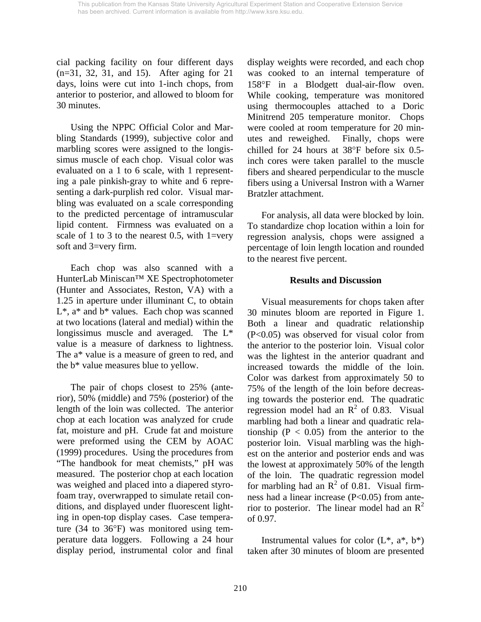cial packing facility on four different days (n=31, 32, 31, and 15). After aging for 21 days, loins were cut into 1-inch chops, from anterior to posterior, and allowed to bloom for 30 minutes.

 Using the NPPC Official Color and Marbling Standards (1999), subjective color and marbling scores were assigned to the longissimus muscle of each chop. Visual color was evaluated on a 1 to 6 scale, with 1 representing a pale pinkish-gray to white and 6 representing a dark-purplish red color. Visual marbling was evaluated on a scale corresponding to the predicted percentage of intramuscular lipid content. Firmness was evaluated on a scale of 1 to 3 to the nearest 0.5, with 1=very soft and 3=very firm.

 Each chop was also scanned with a HunterLab Miniscan™ XE Spectrophotometer (Hunter and Associates, Reston, VA) with a 1.25 in aperture under illuminant C, to obtain  $L^*$ ,  $a^*$  and  $b^*$  values. Each chop was scanned at two locations (lateral and medial) within the longissimus muscle and averaged. The L\* value is a measure of darkness to lightness. The a\* value is a measure of green to red, and the b\* value measures blue to yellow.

 The pair of chops closest to 25% (anterior), 50% (middle) and 75% (posterior) of the length of the loin was collected. The anterior chop at each location was analyzed for crude fat, moisture and pH. Crude fat and moisture were preformed using the CEM by AOAC (1999) procedures. Using the procedures from "The handbook for meat chemists," pH was measured. The posterior chop at each location was weighed and placed into a diapered styrofoam tray, overwrapped to simulate retail conditions, and displayed under fluorescent lighting in open-top display cases. Case temperature (34 to 36°F) was monitored using temperature data loggers. Following a 24 hour display period, instrumental color and final display weights were recorded, and each chop was cooked to an internal temperature of 158°F in a Blodgett dual-air-flow oven. While cooking, temperature was monitored using thermocouples attached to a Doric Minitrend 205 temperature monitor. Chops were cooled at room temperature for 20 minutes and reweighed. Finally, chops were chilled for 24 hours at 38°F before six 0.5 inch cores were taken parallel to the muscle fibers and sheared perpendicular to the muscle fibers using a Universal Instron with a Warner Bratzler attachment.

 For analysis, all data were blocked by loin. To standardize chop location within a loin for regression analysis, chops were assigned a percentage of loin length location and rounded to the nearest five percent.

### **Results and Discussion**

 Visual measurements for chops taken after 30 minutes bloom are reported in Figure 1. Both a linear and quadratic relationship (P<0.05) was observed for visual color from the anterior to the posterior loin. Visual color was the lightest in the anterior quadrant and increased towards the middle of the loin. Color was darkest from approximately 50 to 75% of the length of the loin before decreasing towards the posterior end. The quadratic regression model had an  $\mathbb{R}^2$  of 0.83. Visual marbling had both a linear and quadratic relationship ( $P < 0.05$ ) from the anterior to the posterior loin. Visual marbling was the highest on the anterior and posterior ends and was the lowest at approximately 50% of the length of the loin. The quadratic regression model for marbling had an  $\mathbb{R}^2$  of 0.81. Visual firmness had a linear increase (P<0.05) from anterior to posterior. The linear model had an  $\mathbb{R}^2$ of 0.97.

Instrumental values for color  $(L^*, a^*, b^*)$ taken after 30 minutes of bloom are presented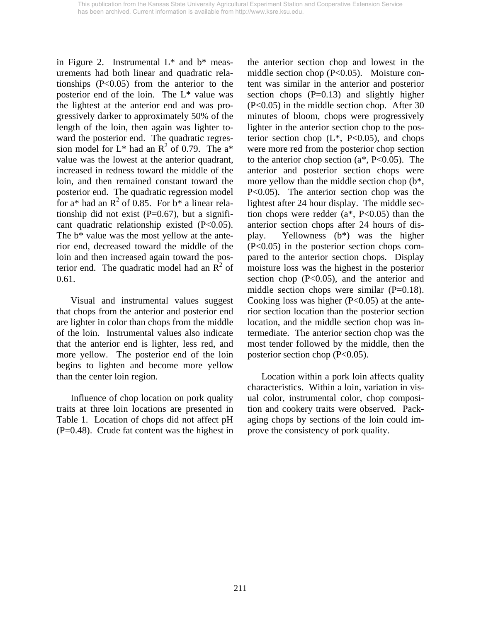in Figure 2. Instrumental L\* and b\* measurements had both linear and quadratic relationships  $(P<0.05)$  from the anterior to the posterior end of the loin. The L\* value was the lightest at the anterior end and was progressively darker to approximately 50% of the length of the loin, then again was lighter toward the posterior end. The quadratic regression model for  $L^*$  had an  $R^2$  of 0.79. The a<sup>\*</sup> value was the lowest at the anterior quadrant, increased in redness toward the middle of the loin, and then remained constant toward the posterior end. The quadratic regression model for a\* had an  $R^2$  of 0.85. For  $b^*$  a linear relationship did not exist  $(P=0.67)$ , but a significant quadratic relationship existed (P<0.05). The b\* value was the most yellow at the anterior end, decreased toward the middle of the loin and then increased again toward the posterior end. The quadratic model had an  $\overline{R}^2$  of 0.61.

 Visual and instrumental values suggest that chops from the anterior and posterior end are lighter in color than chops from the middle of the loin. Instrumental values also indicate that the anterior end is lighter, less red, and more yellow. The posterior end of the loin begins to lighten and become more yellow than the center loin region.

 Influence of chop location on pork quality traits at three loin locations are presented in Table 1. Location of chops did not affect pH (P=0.48). Crude fat content was the highest in the anterior section chop and lowest in the middle section chop (P<0.05). Moisture content was similar in the anterior and posterior section chops  $(P=0.13)$  and slightly higher (P<0.05) in the middle section chop. After 30 minutes of bloom, chops were progressively lighter in the anterior section chop to the posterior section chop  $(L^*, P<0.05)$ , and chops were more red from the posterior chop section to the anterior chop section  $(a^*, P<0.05)$ . The anterior and posterior section chops were more yellow than the middle section chop (b\*, P<0.05). The anterior section chop was the lightest after 24 hour display. The middle section chops were redder  $(a^*, P<0.05)$  than the anterior section chops after 24 hours of display. Yellowness (b\*) was the higher (P<0.05) in the posterior section chops compared to the anterior section chops. Display moisture loss was the highest in the posterior section chop  $(P<0.05)$ , and the anterior and middle section chops were similar (P=0.18). Cooking loss was higher  $(P<0.05)$  at the anterior section location than the posterior section location, and the middle section chop was intermediate. The anterior section chop was the most tender followed by the middle, then the posterior section chop  $(P<0.05)$ .

 Location within a pork loin affects quality characteristics. Within a loin, variation in visual color, instrumental color, chop composition and cookery traits were observed. Packaging chops by sections of the loin could improve the consistency of pork quality.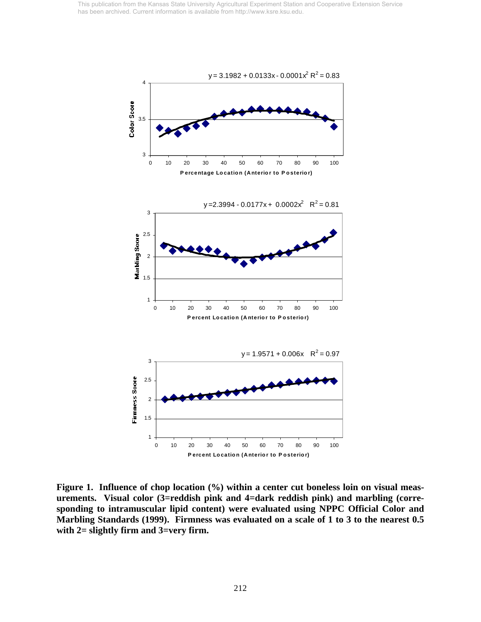

**Figure 1. Influence of chop location (%) within a center cut boneless loin on visual measurements. Visual color (3=reddish pink and 4=dark reddish pink) and marbling (corresponding to intramuscular lipid content) were evaluated using NPPC Official Color and Marbling Standards (1999). Firmness was evaluated on a scale of 1 to 3 to the nearest 0.5 with 2= slightly firm and 3=very firm.**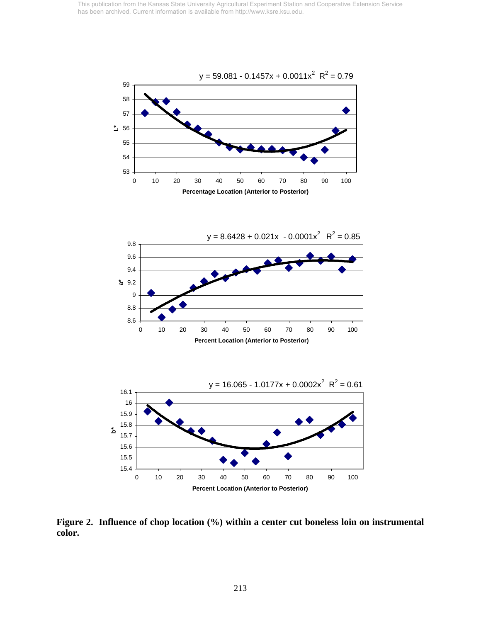



**Figure 2. Influence of chop location (%) within a center cut boneless loin on instrumental color.** 

0 10 20 30 40 50 60 70 80 90 100 **Percent Location (Anterior to Posterior)**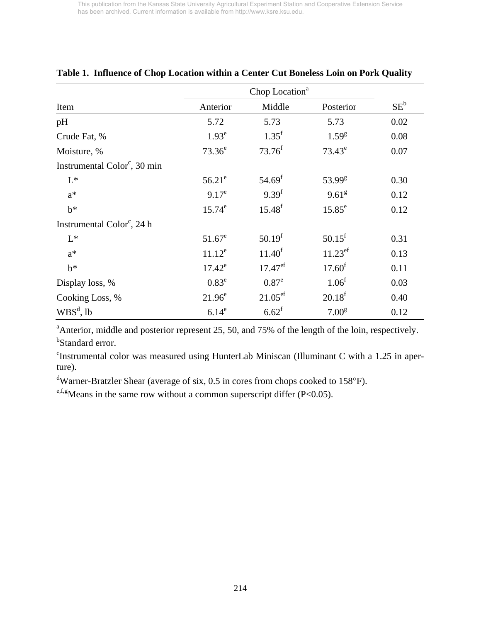|                                          | Chop Location <sup>a</sup> |                       |                       |        |
|------------------------------------------|----------------------------|-----------------------|-----------------------|--------|
| Item                                     | Anterior                   | Middle                | Posterior             | $SE^b$ |
| pH                                       | 5.72                       | 5.73                  | 5.73                  | 0.02   |
| Crude Fat, %                             | 1.93 <sup>e</sup>          | $1.35^{\rm f}$        | $1.59^{8}$            | 0.08   |
| Moisture, %                              | $73.36^e$                  | $73.76^{f}$           | $73.43^e$             | 0.07   |
| Instrumental Color <sup>c</sup> , 30 min |                            |                       |                       |        |
| $L^*$                                    | $56.21^e$                  | $54.69$ <sup>f</sup>  | 53.99 <sup>g</sup>    | 0.30   |
| $a^*$                                    | $9.17^e$                   | 9.39 <sup>f</sup>     | 9.61 <sup>g</sup>     | 0.12   |
| $b^*$                                    | $15.74^e$                  | $15.48^{f}$           | $15.85^e$             | 0.12   |
| Instrumental Color <sup>c</sup> , 24 h   |                            |                       |                       |        |
| $L^*$                                    | $51.67^e$                  | 50.19 <sup>f</sup>    | $50.15$ <sup>f</sup>  | 0.31   |
| $a^*$                                    | $11.12^e$                  | $11.40^f$             | $11.23$ <sup>ef</sup> | 0.13   |
| $b^*$                                    | $17.42^e$                  | $17.47$ <sup>ef</sup> | 17.60 <sup>f</sup>    | 0.11   |
| Display loss, %                          | $0.83^e$                   | 0.87 <sup>e</sup>     | 1.06 <sup>f</sup>     | 0.03   |
| Cooking Loss, %                          | $21.96^e$                  | $21.05^{\rm ef}$      | 20.18 <sup>f</sup>    | 0.40   |
| $WBS^d$ , lb                             | 6.14 <sup>e</sup>          | $6.62$ <sup>f</sup>   | 7.00 <sup>g</sup>     | 0.12   |

## **Table 1. Influence of Chop Location within a Center Cut Boneless Loin on Pork Quality**

<sup>a</sup> Anterior, middle and posterior represent 25, 50, and 75% of the length of the loin, respectively. <sup>b</sup>Standard error.

c Instrumental color was measured using HunterLab Miniscan (Illuminant C with a 1.25 in aperture).

<sup>d</sup>Warner-Bratzler Shear (average of six, 0.5 in cores from chops cooked to 158°F).

<sup>e,f,g</sup>Means in the same row without a common superscript differ (P<0.05).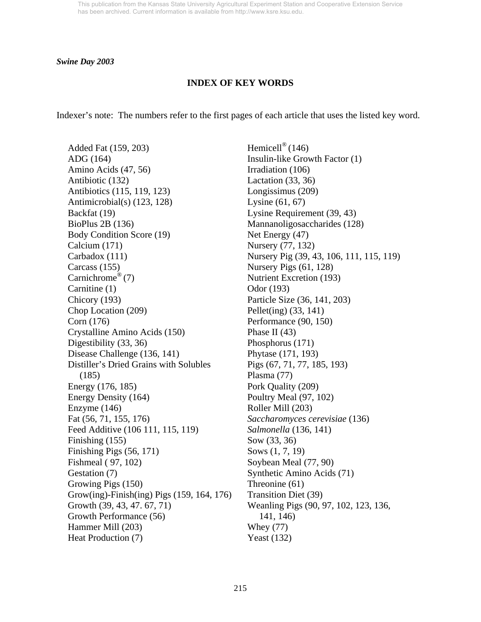#### *Swine Day 2003*

#### **INDEX OF KEY WORDS**

Indexer's note: The numbers refer to the first pages of each article that uses the listed key word.

Added Fat (159, 203) ADG (164) Amino Acids (47, 56) Antibiotic (132) Antibiotics (115, 119, 123) Antimicrobial(s) (123, 128) Backfat (19) BioPlus 2B (136) Body Condition Score (19) Calcium (171) Carbadox (111) Carcass (155) Carnichrome<sup>®</sup> $(7)$ Carnitine (1) Chicory (193) Chop Location (209) Corn (176) Crystalline Amino Acids (150) Digestibility (33, 36) Disease Challenge (136, 141) Distiller's Dried Grains with Solubles (185) Energy (176, 185) Energy Density (164) Enzyme (146) Fat (56, 71, 155, 176) Feed Additive (106 111, 115, 119) Finishing (155) Finishing Pigs (56, 171) Fishmeal ( 97, 102) Gestation (7) Growing Pigs (150) Grow(ing)-Finish(ing) Pigs (159, 164, 176) Growth (39, 43, 47. 67, 71) Growth Performance (56) Hammer Mill (203) Heat Production (7)

Hemicell<sup>®</sup> (146) Insulin-like Growth Factor (1) Irradiation (106) Lactation (33, 36) Longissimus (209) Lysine (61, 67) Lysine Requirement (39, 43) Mannanoligosaccharides (128) Net Energy (47) Nursery (77, 132) Nursery Pig (39, 43, 106, 111, 115, 119) Nursery Pigs (61, 128) Nutrient Excretion (193) Odor (193) Particle Size (36, 141, 203) Pellet(ing) (33, 141) Performance (90, 150) Phase II (43) Phosphorus (171) Phytase (171, 193) Pigs (67, 71, 77, 185, 193) Plasma (77) Pork Quality (209) Poultry Meal (97, 102) Roller Mill (203) *Saccharomyces cerevisiae* (136) *Salmonella* (136, 141) Sow (33, 36) Sows (1, 7, 19) Soybean Meal (77, 90) Synthetic Amino Acids (71) Threonine (61) Transition Diet (39) Weanling Pigs (90, 97, 102, 123, 136, 141, 146) Whey (77) Yeast (132)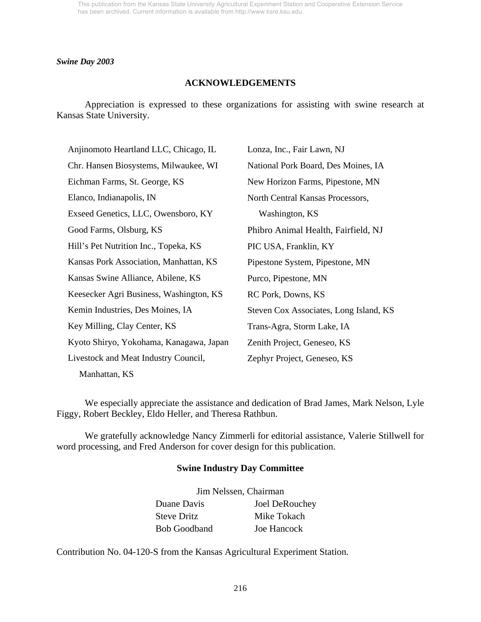#### *Swine Day 2003*

### **ACKNOWLEDGEMENTS**

 Appreciation is expressed to these organizations for assisting with swine research at Kansas State University.

| Anjinomoto Heartland LLC, Chicago, IL   | Lonza, Inc., Fair Lawn, NJ             |  |
|-----------------------------------------|----------------------------------------|--|
| Chr. Hansen Biosystems, Milwaukee, WI   | National Pork Board, Des Moines, IA    |  |
| Eichman Farms, St. George, KS           | New Horizon Farms, Pipestone, MN       |  |
| Elanco, Indianapolis, IN                | North Central Kansas Processors,       |  |
| Exseed Genetics, LLC, Owensboro, KY     | Washington, KS                         |  |
| Good Farms, Olsburg, KS                 | Phibro Animal Health, Fairfield, NJ    |  |
| Hill's Pet Nutrition Inc., Topeka, KS   | PIC USA, Franklin, KY                  |  |
| Kansas Pork Association, Manhattan, KS  | Pipestone System, Pipestone, MN        |  |
| Kansas Swine Alliance, Abilene, KS      | Purco, Pipestone, MN                   |  |
| Keesecker Agri Business, Washington, KS | RC Pork, Downs, KS                     |  |
| Kemin Industries, Des Moines, IA        | Steven Cox Associates, Long Island, KS |  |
| Key Milling, Clay Center, KS            | Trans-Agra, Storm Lake, IA             |  |
| Kyoto Shiryo, Yokohama, Kanagawa, Japan | Zenith Project, Geneseo, KS            |  |
| Livestock and Meat Industry Council,    | Zephyr Project, Geneseo, KS            |  |
|                                         |                                        |  |

Manhattan, KS

 We especially appreciate the assistance and dedication of Brad James, Mark Nelson, Lyle Figgy, Robert Beckley, Eldo Heller, and Theresa Rathbun.

 We gratefully acknowledge Nancy Zimmerli for editorial assistance, Valerie Stillwell for word processing, and Fred Anderson for cover design for this publication.

#### **Swine Industry Day Committee**

|                     | Jim Nelssen, Chairman |  |  |
|---------------------|-----------------------|--|--|
| Duane Davis         | Joel DeRouchey        |  |  |
| <b>Steve Dritz</b>  | Mike Tokach           |  |  |
| <b>Bob Goodband</b> | Joe Hancock           |  |  |

Contribution No. 04-120-S from the Kansas Agricultural Experiment Station.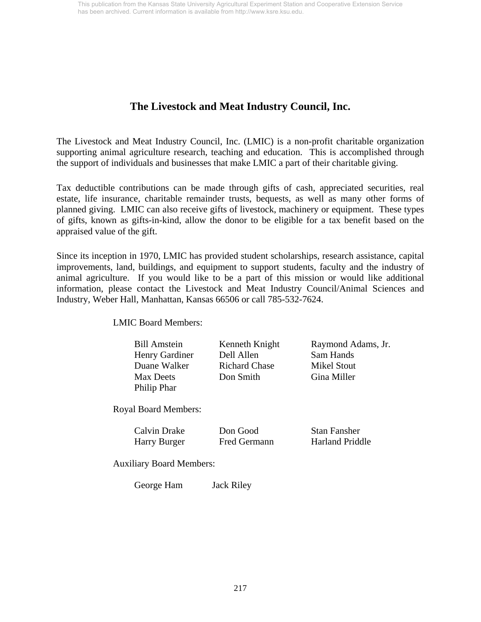## **The Livestock and Meat Industry Council, Inc.**

The Livestock and Meat Industry Council, Inc. (LMIC) is a non-profit charitable organization supporting animal agriculture research, teaching and education. This is accomplished through the support of individuals and businesses that make LMIC a part of their charitable giving.

Tax deductible contributions can be made through gifts of cash, appreciated securities, real estate, life insurance, charitable remainder trusts, bequests, as well as many other forms of planned giving. LMIC can also receive gifts of livestock, machinery or equipment. These types of gifts, known as gifts-in-kind, allow the donor to be eligible for a tax benefit based on the appraised value of the gift.

Since its inception in 1970, LMIC has provided student scholarships, research assistance, capital improvements, land, buildings, and equipment to support students, faculty and the industry of animal agriculture. If you would like to be a part of this mission or would like additional information, please contact the Livestock and Meat Industry Council/Animal Sciences and Industry, Weber Hall, Manhattan, Kansas 66506 or call 785-532-7624.

LMIC Board Members:

| <b>Bill Amstein</b> |
|---------------------|
| Henry Gardiner      |
| Duane Walker        |
| <b>Max Deets</b>    |
| Philip Phar         |
|                     |

Dell Allen Sam Hands Richard Chase Mikel Stout Don Smith Gina Miller

Kenneth Knight Raymond Adams, Jr.

Royal Board Members:

| <b>Calvin Drake</b> |  |
|---------------------|--|
| Harry Burger        |  |

Fred Germann Harland Priddle

**Don Good** Stan Fansher

Auxiliary Board Members:

George Ham Jack Riley